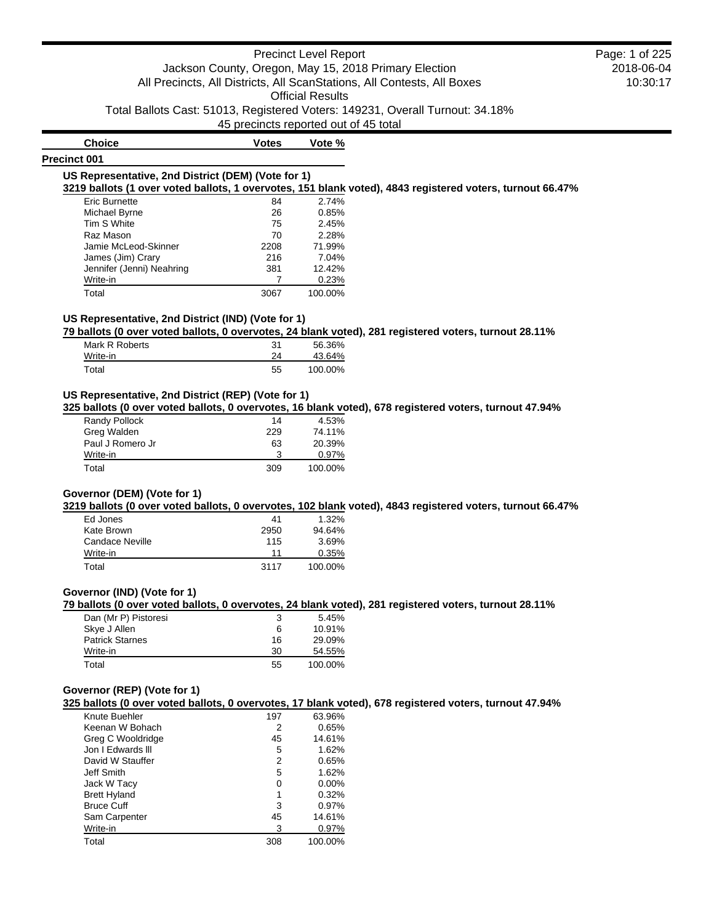45 precincts reported out of 45 total

# **Precinct 001**

**Choice Votes Votes Vote %** 

#### **US Representative, 2nd District (DEM) (Vote for 1)**

**3219 ballots (1 over voted ballots, 1 overvotes, 151 blank voted), 4843 registered voters, turnout 66.47%**

| <b>Eric Burnette</b>      | 84   | 2.74%   |
|---------------------------|------|---------|
| Michael Byrne             | 26   | 0.85%   |
| Tim S White               | 75   | 2.45%   |
| Raz Mason                 | 70   | 2.28%   |
| Jamie McLeod-Skinner      | 2208 | 71.99%  |
| James (Jim) Crary         | 216  | 7.04%   |
| Jennifer (Jenni) Neahring | 381  | 12.42%  |
| Write-in                  |      | 0.23%   |
| Total                     | 3067 | 100.00% |

### **US Representative, 2nd District (IND) (Vote for 1)**

**79 ballots (0 over voted ballots, 0 overvotes, 24 blank voted), 281 registered voters, turnout 28.11%**

| Mark R Roberts | 31 | 56.36%  |
|----------------|----|---------|
| Write-in       | 24 | 43.64%  |
| Total          | 55 | 100.00% |

### **US Representative, 2nd District (REP) (Vote for 1)**

**325 ballots (0 over voted ballots, 0 overvotes, 16 blank voted), 678 registered voters, turnout 47.94%**

| Randy Pollock    | 14  | 4.53%    |
|------------------|-----|----------|
| Greg Walden      | 229 | 74.11%   |
| Paul J Romero Jr | 63  | 20.39%   |
| Write-in         | 3   | $0.97\%$ |
| Total            | 309 | 100.00%  |

### **Governor (DEM) (Vote for 1)**

**3219 ballots (0 over voted ballots, 0 overvotes, 102 blank voted), 4843 registered voters, turnout 66.47%**

| Ed Jones        | 41   | $1.32\%$ |
|-----------------|------|----------|
| Kate Brown      | 2950 | 94.64%   |
| Candace Neville | 115  | 3.69%    |
| Write-in        | 11   | 0.35%    |
| Total           | 3117 | 100.00%  |

#### **Governor (IND) (Vote for 1)**

**79 ballots (0 over voted ballots, 0 overvotes, 24 blank voted), 281 registered voters, turnout 28.11%**

| Dan (Mr P) Pistoresi   | 3  | 5.45%   |
|------------------------|----|---------|
| Skye J Allen           | 6  | 10.91%  |
| <b>Patrick Starnes</b> | 16 | 29.09%  |
| Write-in               | 30 | 54.55%  |
| Total                  | 55 | 100.00% |

#### **Governor (REP) (Vote for 1)**

**325 ballots (0 over voted ballots, 0 overvotes, 17 blank voted), 678 registered voters, turnout 47.94%**

| Knute Buehler       | 197 | 63.96%   |
|---------------------|-----|----------|
| Keenan W Bohach     | 2   | 0.65%    |
| Greg C Wooldridge   | 45  | 14.61%   |
| Jon I Edwards III   | 5   | 1.62%    |
| David W Stauffer    | 2   | 0.65%    |
| Jeff Smith          | 5   | 1.62%    |
| Jack W Tacy         | 0   | $0.00\%$ |
| <b>Brett Hyland</b> | 1   | 0.32%    |
| <b>Bruce Cuff</b>   | 3   | 0.97%    |
| Sam Carpenter       | 45  | 14.61%   |
| Write-in            | 3   | 0.97%    |
| Total               | 308 | 100.00%  |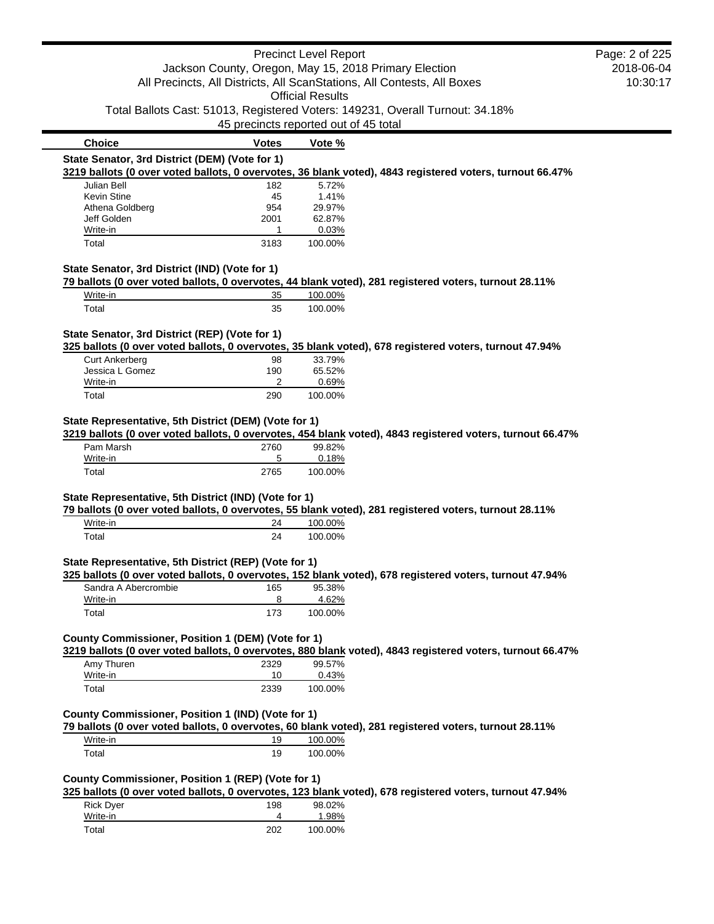|                                                       |                                       | <b>Precinct Level Report</b> |                                                                                                           | Page: 2 of 225 |
|-------------------------------------------------------|---------------------------------------|------------------------------|-----------------------------------------------------------------------------------------------------------|----------------|
|                                                       |                                       |                              | Jackson County, Oregon, May 15, 2018 Primary Election                                                     | 2018-06-04     |
|                                                       |                                       |                              | All Precincts, All Districts, All ScanStations, All Contests, All Boxes                                   | 10:30:17       |
|                                                       |                                       | <b>Official Results</b>      |                                                                                                           |                |
|                                                       |                                       |                              | Total Ballots Cast: 51013, Registered Voters: 149231, Overall Turnout: 34.18%                             |                |
|                                                       | 45 precincts reported out of 45 total |                              |                                                                                                           |                |
| <b>Choice</b>                                         | <b>Votes</b>                          | Vote %                       |                                                                                                           |                |
| State Senator, 3rd District (DEM) (Vote for 1)        |                                       |                              |                                                                                                           |                |
|                                                       |                                       |                              | 3219 ballots (0 over voted ballots, 0 overvotes, 36 blank voted), 4843 registered voters, turnout 66.47%  |                |
| Julian Bell                                           | 182                                   | 5.72%                        |                                                                                                           |                |
| Kevin Stine                                           | 45                                    | 1.41%                        |                                                                                                           |                |
| Athena Goldberg                                       | 954                                   | 29.97%                       |                                                                                                           |                |
| Jeff Golden<br>Write-in                               | 2001<br>1                             | 62.87%<br>0.03%              |                                                                                                           |                |
| Total                                                 | 3183                                  | 100.00%                      |                                                                                                           |                |
|                                                       |                                       |                              |                                                                                                           |                |
| State Senator, 3rd District (IND) (Vote for 1)        |                                       |                              |                                                                                                           |                |
|                                                       |                                       |                              | 79 ballots (0 over voted ballots, 0 overvotes, 44 blank voted), 281 registered voters, turnout 28.11%     |                |
| Write-in                                              | 35                                    | 100.00%                      |                                                                                                           |                |
| Total                                                 | 35                                    | 100.00%                      |                                                                                                           |                |
| State Senator, 3rd District (REP) (Vote for 1)        |                                       |                              |                                                                                                           |                |
|                                                       |                                       |                              | 325 ballots (0 over voted ballots, 0 overvotes, 35 blank voted), 678 registered voters, turnout 47.94%    |                |
| <b>Curt Ankerberg</b>                                 | 98                                    | 33.79%                       |                                                                                                           |                |
| Jessica L Gomez                                       | 190                                   | 65.52%                       |                                                                                                           |                |
| Write-in                                              | 2                                     | 0.69%                        |                                                                                                           |                |
| Total                                                 | 290                                   | 100.00%                      |                                                                                                           |                |
| Pam Marsh<br>Write-in                                 | 2760<br>5                             | 99.82%<br>0.18%              |                                                                                                           |                |
| Total                                                 | 2765                                  | 100.00%                      |                                                                                                           |                |
|                                                       |                                       |                              |                                                                                                           |                |
| State Representative, 5th District (IND) (Vote for 1) |                                       |                              | 79 ballots (0 over voted ballots, 0 overvotes, 55 blank voted), 281 registered voters, turnout 28.11%     |                |
| Write-in                                              | 24                                    | 100.00%                      |                                                                                                           |                |
| Total                                                 | 24                                    | 100.00%                      |                                                                                                           |                |
|                                                       |                                       |                              |                                                                                                           |                |
| State Representative, 5th District (REP) (Vote for 1) |                                       |                              |                                                                                                           |                |
|                                                       |                                       |                              | 325 ballots (0 over voted ballots, 0 overvotes, 152 blank voted), 678 registered voters, turnout 47.94%   |                |
| Sandra A Abercrombie                                  | 165                                   | 95.38%                       |                                                                                                           |                |
| Write-in                                              | 8                                     | 4.62%                        |                                                                                                           |                |
| Total                                                 | 173                                   | 100.00%                      |                                                                                                           |                |
| County Commissioner, Position 1 (DEM) (Vote for 1)    |                                       |                              |                                                                                                           |                |
|                                                       |                                       |                              | 3219 ballots (0 over voted ballots, 0 overvotes, 880 blank voted), 4843 registered voters, turnout 66.47% |                |
| Amy Thuren                                            | 2329                                  | 99.57%                       |                                                                                                           |                |
| Write-in                                              | 10                                    | 0.43%                        |                                                                                                           |                |
| Total                                                 | 2339                                  | 100.00%                      |                                                                                                           |                |
|                                                       |                                       |                              |                                                                                                           |                |
| County Commissioner, Position 1 (IND) (Vote for 1)    |                                       |                              |                                                                                                           |                |
|                                                       |                                       |                              | 79 ballots (0 over voted ballots, 0 overvotes, 60 blank voted), 281 registered voters, turnout 28.11%     |                |
| Write-in                                              | 19                                    | 100.00%                      |                                                                                                           |                |
| Total                                                 | 19                                    | 100.00%                      |                                                                                                           |                |
|                                                       |                                       |                              |                                                                                                           |                |
| County Commissioner, Position 1 (REP) (Vote for 1)    |                                       |                              |                                                                                                           |                |
|                                                       |                                       |                              | 325 ballots (0 over voted ballots, 0 overvotes, 123 blank voted), 678 registered voters, turnout 47.94%   |                |
| <b>Rick Dyer</b>                                      | 198                                   | 98.02%                       |                                                                                                           |                |
| Write-in                                              | 4                                     | 1.98%                        |                                                                                                           |                |

Total 202 100.00%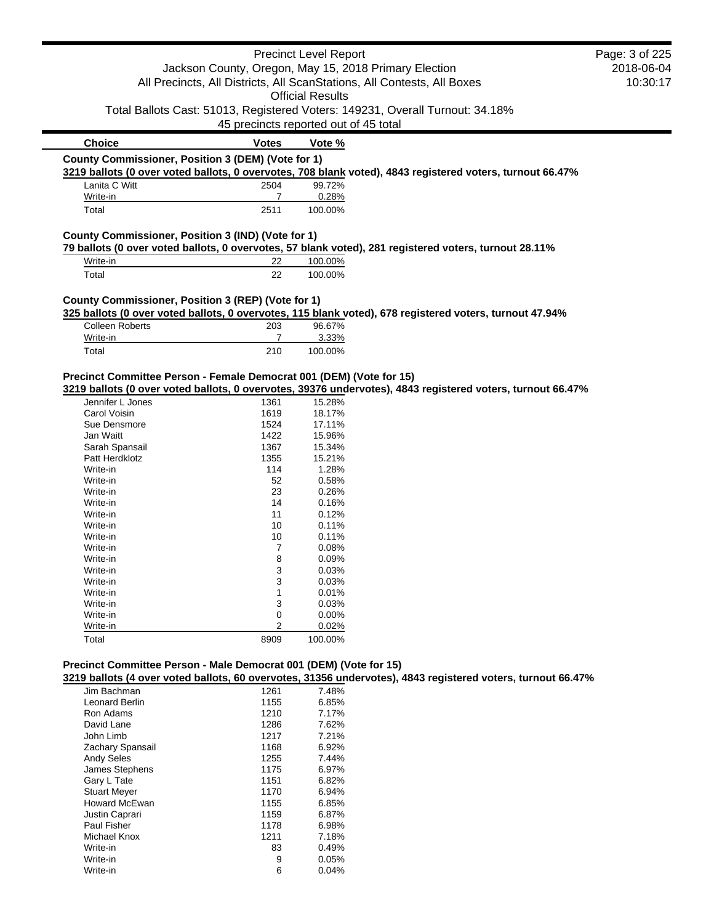|                                                                     |                                       | <b>Precinct Level Report</b> |                                                                                                             | Page: 3 of 225 |
|---------------------------------------------------------------------|---------------------------------------|------------------------------|-------------------------------------------------------------------------------------------------------------|----------------|
|                                                                     |                                       |                              | Jackson County, Oregon, May 15, 2018 Primary Election                                                       | 2018-06-04     |
|                                                                     |                                       |                              | All Precincts, All Districts, All ScanStations, All Contests, All Boxes                                     | 10:30:17       |
|                                                                     |                                       | <b>Official Results</b>      |                                                                                                             |                |
|                                                                     |                                       |                              | Total Ballots Cast: 51013, Registered Voters: 149231, Overall Turnout: 34.18%                               |                |
|                                                                     | 45 precincts reported out of 45 total |                              |                                                                                                             |                |
| <b>Choice</b>                                                       | <b>Votes</b>                          | Vote %                       |                                                                                                             |                |
| County Commissioner, Position 3 (DEM) (Vote for 1)                  |                                       |                              |                                                                                                             |                |
|                                                                     |                                       |                              | 3219 ballots (0 over voted ballots, 0 overvotes, 708 blank voted), 4843 registered voters, turnout 66.47%   |                |
| Lanita C Witt                                                       | 2504                                  | 99.72%                       |                                                                                                             |                |
| Write-in                                                            | $\overline{7}$                        | 0.28%                        |                                                                                                             |                |
| Total                                                               | 2511                                  | 100.00%                      |                                                                                                             |                |
| County Commissioner, Position 3 (IND) (Vote for 1)                  |                                       |                              |                                                                                                             |                |
|                                                                     |                                       |                              | 79 ballots (0 over voted ballots, 0 overvotes, 57 blank voted), 281 registered voters, turnout 28.11%       |                |
| Write-in                                                            | 22                                    | 100.00%                      |                                                                                                             |                |
| Total                                                               | 22                                    | 100.00%                      |                                                                                                             |                |
|                                                                     |                                       |                              |                                                                                                             |                |
| County Commissioner, Position 3 (REP) (Vote for 1)                  |                                       |                              | 325 ballots (0 over voted ballots, 0 overvotes, 115 blank voted), 678 registered voters, turnout 47.94%     |                |
| <b>Colleen Roberts</b>                                              | 203                                   | 96.67%                       |                                                                                                             |                |
| Write-in                                                            | $\overline{7}$                        | 3.33%                        |                                                                                                             |                |
| Total                                                               | 210                                   | 100.00%                      |                                                                                                             |                |
|                                                                     |                                       |                              |                                                                                                             |                |
| Precinct Committee Person - Female Democrat 001 (DEM) (Vote for 15) |                                       |                              |                                                                                                             |                |
|                                                                     |                                       |                              | 3219 ballots (0 over voted ballots, 0 overvotes, 39376 undervotes), 4843 registered voters, turnout 66.47%  |                |
| Jennifer L Jones                                                    | 1361                                  | 15.28%                       |                                                                                                             |                |
| Carol Voisin                                                        | 1619                                  | 18.17%                       |                                                                                                             |                |
| Sue Densmore                                                        | 1524                                  | 17.11%                       |                                                                                                             |                |
| Jan Waitt                                                           | 1422                                  | 15.96%                       |                                                                                                             |                |
| Sarah Spansail                                                      | 1367                                  | 15.34%                       |                                                                                                             |                |
| Patt Herdklotz                                                      | 1355                                  | 15.21%                       |                                                                                                             |                |
| Write-in                                                            | 114                                   | 1.28%                        |                                                                                                             |                |
| Write-in                                                            | 52                                    | 0.58%                        |                                                                                                             |                |
| Write-in                                                            | 23                                    | 0.26%                        |                                                                                                             |                |
| Write-in<br>Write-in                                                | 14                                    | 0.16%                        |                                                                                                             |                |
|                                                                     | 11                                    | 0.12%                        |                                                                                                             |                |
| Write-in                                                            | 10                                    | 0.11%                        |                                                                                                             |                |
| Write-in                                                            | 10                                    | 0.11%<br>0.08%               |                                                                                                             |                |
| Write-in<br>Write-in                                                | 7<br>8                                | 0.09%                        |                                                                                                             |                |
| Write-in                                                            | 3                                     | 0.03%                        |                                                                                                             |                |
| Write-in                                                            | 3                                     | 0.03%                        |                                                                                                             |                |
| Write-in                                                            | 1                                     | 0.01%                        |                                                                                                             |                |
| Write-in                                                            | 3                                     | 0.03%                        |                                                                                                             |                |
| Write-in                                                            | 0                                     | 0.00%                        |                                                                                                             |                |
| Write-in                                                            | 2                                     | 0.02%                        |                                                                                                             |                |
| Total                                                               | 8909                                  | 100.00%                      |                                                                                                             |                |
|                                                                     |                                       |                              |                                                                                                             |                |
|                                                                     |                                       |                              |                                                                                                             |                |
| Precinct Committee Person - Male Democrat 001 (DEM) (Vote for 15)   |                                       |                              |                                                                                                             |                |
|                                                                     |                                       |                              | 3219 ballots (4 over voted ballots, 60 overvotes, 31356 undervotes), 4843 registered voters, turnout 66.47% |                |
| Jim Bachman                                                         | 1261                                  | 7.48%                        |                                                                                                             |                |
| Leonard Berlin                                                      | 1155                                  | 6.85%                        |                                                                                                             |                |
| Ron Adams                                                           | 1210                                  | 7.17%                        |                                                                                                             |                |
| David Lane                                                          | 1286                                  | 7.62%                        |                                                                                                             |                |
| John Limb                                                           | 1217                                  | 7.21%                        |                                                                                                             |                |
| Zachary Spansail                                                    | 1168                                  | 6.92%                        |                                                                                                             |                |
| <b>Andy Seles</b>                                                   | 1255                                  | 7.44%                        |                                                                                                             |                |
| James Stephens                                                      | 1175                                  | 6.97%                        |                                                                                                             |                |

Gary L Tate 6.82% Stuart Meyer 1170 6.94% Howard McEwan 1155 6.85% Justin Caprari 1159 6.87% Paul Fisher 1178 6.98%<br>Michael Knox 1211 7.18% Michael Knox 1211 7.18%<br>Write-in 83 0.49% Write-in 83 0.49%<br>Write-in 9 0.05% Write-in 9 0.05%<br>Write-in 6 0.04%

Write-in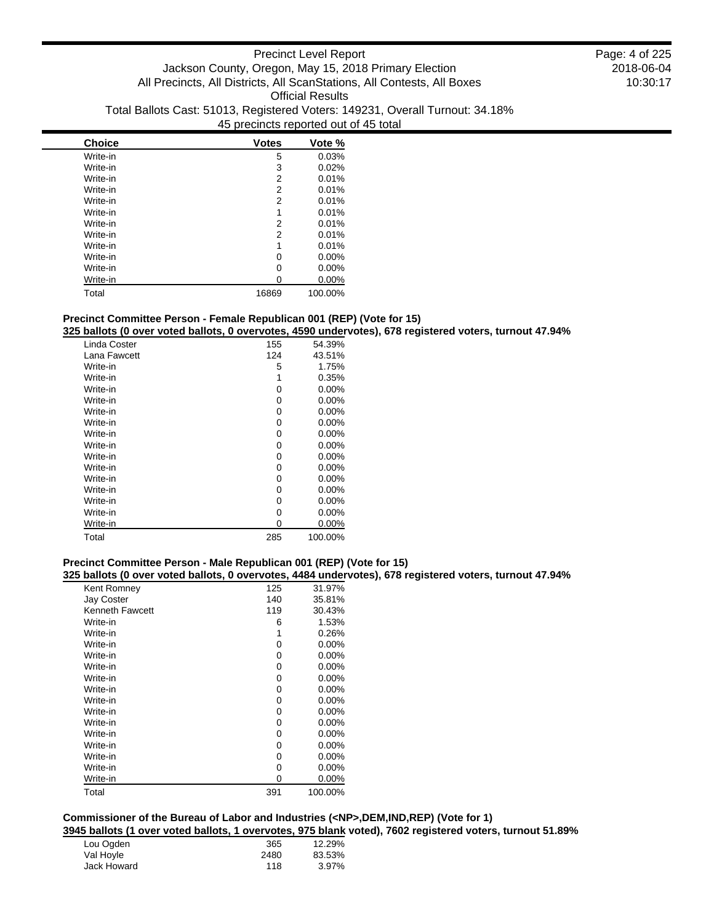| <b>Choice</b> | <b>Votes</b> | Vote %   |
|---------------|--------------|----------|
| Write-in      | 5            | 0.03%    |
| Write-in      | 3            | 0.02%    |
| Write-in      | 2            | 0.01%    |
| Write-in      | 2            | 0.01%    |
| Write-in      | 2            | 0.01%    |
| Write-in      | 1            | 0.01%    |
| Write-in      | 2            | 0.01%    |
| Write-in      | 2            | 0.01%    |
| Write-in      | 1            | 0.01%    |
| Write-in      | 0            | $0.00\%$ |
| Write-in      | 0            | $0.00\%$ |
| Write-in      | ი            | 0.00%    |
| Total         | 16869        | 100.00%  |

### **Precinct Committee Person - Female Republican 001 (REP) (Vote for 15)**

### **325 ballots (0 over voted ballots, 0 overvotes, 4590 undervotes), 678 registered voters, turnout 47.94%**

| Linda Coster | 155 | 54.39%   |
|--------------|-----|----------|
| Lana Fawcett | 124 | 43.51%   |
| Write-in     | 5   | 1.75%    |
| Write-in     | 1   | 0.35%    |
| Write-in     | 0   | $0.00\%$ |
| Write-in     | 0   | $0.00\%$ |
| Write-in     | 0   | $0.00\%$ |
| Write-in     | 0   | $0.00\%$ |
| Write-in     | 0   | $0.00\%$ |
| Write-in     | 0   | $0.00\%$ |
| Write-in     | 0   | $0.00\%$ |
| Write-in     | 0   | $0.00\%$ |
| Write-in     | 0   | $0.00\%$ |
| Write-in     | 0   | $0.00\%$ |
| Write-in     | 0   | $0.00\%$ |
| Write-in     | 0   | $0.00\%$ |
| Write-in     | 0   | 0.00%    |
| Total        | 285 | 100.00%  |

### **Precinct Committee Person - Male Republican 001 (REP) (Vote for 15)**

#### **325 ballots (0 over voted ballots, 0 overvotes, 4484 undervotes), 678 registered voters, turnout 47.94%**

| Kent Romney            | 125 | 31.97%   |
|------------------------|-----|----------|
| <b>Jay Coster</b>      | 140 | 35.81%   |
| <b>Kenneth Fawcett</b> | 119 | 30.43%   |
| Write-in               | 6   | 1.53%    |
| Write-in               | 1   | 0.26%    |
| Write-in               | 0   | $0.00\%$ |
| Write-in               | 0   | $0.00\%$ |
| Write-in               | 0   | $0.00\%$ |
| Write-in               | 0   | $0.00\%$ |
| Write-in               | 0   | $0.00\%$ |
| Write-in               | 0   | $0.00\%$ |
| Write-in               | 0   | $0.00\%$ |
| Write-in               | 0   | $0.00\%$ |
| Write-in               | 0   | $0.00\%$ |
| Write-in               | 0   | $0.00\%$ |
| Write-in               | 0   | $0.00\%$ |
| Write-in               | 0   | $0.00\%$ |
| Write-in               | 0   | 0.00%    |
| Total                  | 391 | 100.00%  |

# **Commissioner of the Bureau of Labor and Industries (<NP>,DEM,IND,REP) (Vote for 1)**

**3945 ballots (1 over voted ballots, 1 overvotes, 975 blank voted), 7602 registered voters, turnout 51.89%**

| Lou Ogden   | 365  | 12.29% |
|-------------|------|--------|
| Val Hoyle   | 2480 | 83.53% |
| Jack Howard | 118  | 3.97%  |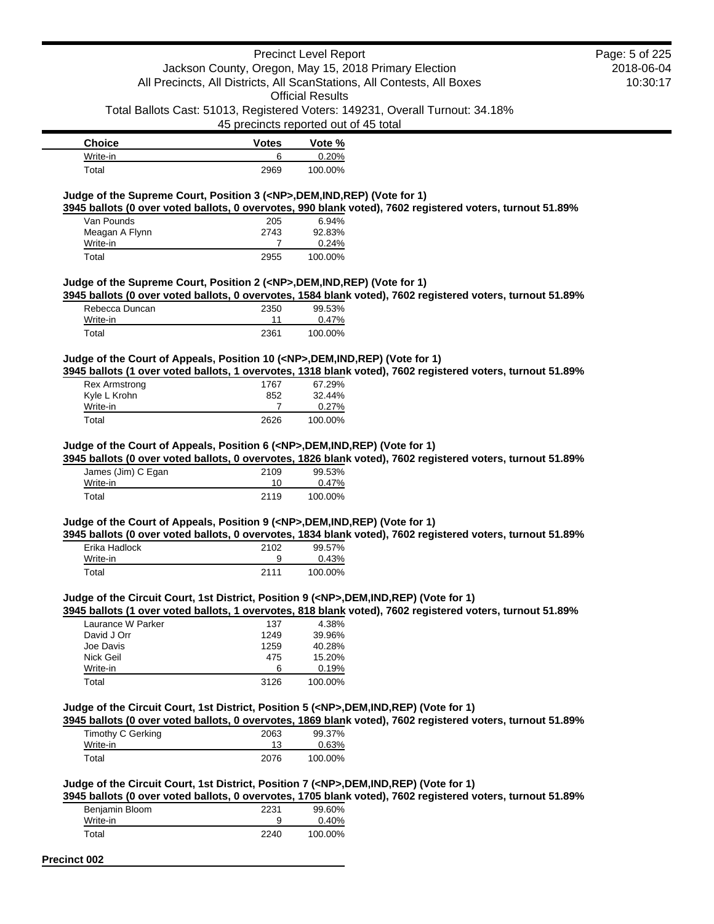### Precinct Level Report Jackson County, Oregon, May 15, 2018 Primary Election

### 2018-06-04 10:30:17 Page: 5 of 225

All Precincts, All Districts, All ScanStations, All Contests, All Boxes Official Results Total Ballots Cast: 51013, Registered Voters: 149231, Overall Turnout: 34.18%

45 precincts reported out of 45 total

| <b>Choice</b> | <b>Votes</b> | Vote %  |
|---------------|--------------|---------|
| Write-in      |              | 0.20%   |
| Total         | 2969         | 100.00% |

### **Judge of the Supreme Court, Position 3 (<NP>,DEM,IND,REP) (Vote for 1)**

**3945 ballots (0 over voted ballots, 0 overvotes, 990 blank voted), 7602 registered voters, turnout 51.89%**

| Van Pounds     | 205  | $6.94\%$ |
|----------------|------|----------|
| Meagan A Flynn | 2743 | 92.83%   |
| Write-in       |      | 0.24%    |
| Total          | 2955 | 100.00%  |

#### **Judge of the Supreme Court, Position 2 (<NP>,DEM,IND,REP) (Vote for 1)**

**3945 ballots (0 over voted ballots, 0 overvotes, 1584 blank voted), 7602 registered voters, turnout 51.89%**

| Rebecca Duncan | 2350 | 99.53%  |
|----------------|------|---------|
| Write-in       | 11   | 0.47%   |
| Total          | 2361 | 100.00% |

#### **Judge of the Court of Appeals, Position 10 (<NP>,DEM,IND,REP) (Vote for 1)**

**3945 ballots (1 over voted ballots, 1 overvotes, 1318 blank voted), 7602 registered voters, turnout 51.89%**

| <b>Rex Armstrong</b> | 1767 | 67.29%  |
|----------------------|------|---------|
| Kyle L Krohn         | 852  | 32.44%  |
| Write-in             |      | 0.27%   |
| Total                | 2626 | 100.00% |

#### **Judge of the Court of Appeals, Position 6 (<NP>,DEM,IND,REP) (Vote for 1)**

**3945 ballots (0 over voted ballots, 0 overvotes, 1826 blank voted), 7602 registered voters, turnout 51.89%**

| James (Jim) C Egan | 2109 | 99.53%  |
|--------------------|------|---------|
| Write-in           | 10   | 0.47%   |
| Total              | 2119 | 100.00% |

### **Judge of the Court of Appeals, Position 9 (<NP>,DEM,IND,REP) (Vote for 1)**

**3945 ballots (0 over voted ballots, 0 overvotes, 1834 blank voted), 7602 registered voters, turnout 51.89%** Erika Hadlock 2102 99.57%

| Write-in |      | 0.43%   |
|----------|------|---------|
| Total    | 2111 | 100.00% |

# **Judge of the Circuit Court, 1st District, Position 9 (<NP>,DEM,IND,REP) (Vote for 1)**

**3945 ballots (1 over voted ballots, 1 overvotes, 818 blank voted), 7602 registered voters, turnout 51.89%**

| Laurance W Parker | 137  | 4.38%   |
|-------------------|------|---------|
| David J Orr       | 1249 | 39.96%  |
| Joe Davis         | 1259 | 40.28%  |
| Nick Geil         | 475  | 15.20%  |
| Write-in          | 6    | 0.19%   |
| Total             | 3126 | 100.00% |

#### **Judge of the Circuit Court, 1st District, Position 5 (<NP>,DEM,IND,REP) (Vote for 1)**

**3945 ballots (0 over voted ballots, 0 overvotes, 1869 blank voted), 7602 registered voters, turnout 51.89%**

| Timothy C Gerking | 2063 | 99.37%  |
|-------------------|------|---------|
| Write-in          |      | 0.63%   |
| Total             | 2076 | 100.00% |

### **Judge of the Circuit Court, 1st District, Position 7 (<NP>,DEM,IND,REP) (Vote for 1)**

**3945 ballots (0 over voted ballots, 0 overvotes, 1705 blank voted), 7602 registered voters, turnout 51.89%**

| Benjamin Bloom | 2231 | 99.60%  |
|----------------|------|---------|
| Write-in       |      | 0.40%   |
| Total          | 2240 | 100.00% |

#### **Precinct 002**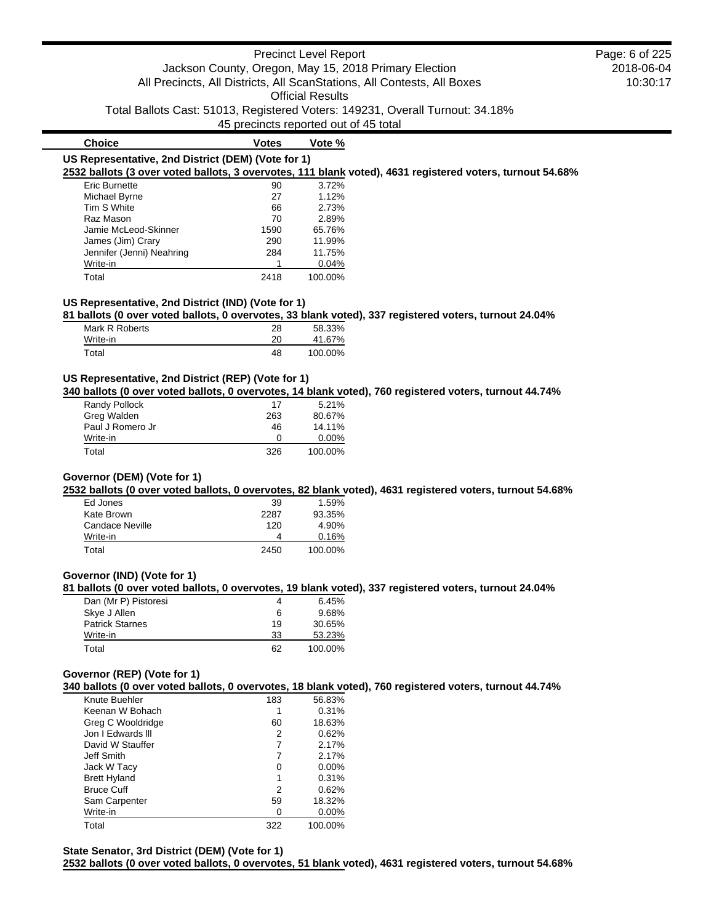### Precinct Level Report Jackson County, Oregon, May 15, 2018 Primary Election All Precincts, All Districts, All ScanStations, All Contests, All Boxes Official Results

Total Ballots Cast: 51013, Registered Voters: 149231, Overall Turnout: 34.18%

45 precincts reported out of 45 total

| <b>Choice</b>                                      | <b>Votes</b> | Vote % |                                                                                                           |
|----------------------------------------------------|--------------|--------|-----------------------------------------------------------------------------------------------------------|
| US Representative, 2nd District (DEM) (Vote for 1) |              |        |                                                                                                           |
|                                                    |              |        | 2532 ballots (3 over voted ballots, 3 overvotes, 111 blank voted), 4631 registered voters, turnout 54.68% |
| Eric Burnette                                      | 90           | 3.72%  |                                                                                                           |
| Michael Byrne                                      | 27           | 1.12%  |                                                                                                           |
| Tim S White                                        | 66           | 2.73%  |                                                                                                           |
| Raz Mason                                          | 70           | 2.89%  |                                                                                                           |
| Jamie McLeod-Skinner                               | 1590         | 65.76% |                                                                                                           |
| James (Jim) Crary                                  | 290          | 11.99% |                                                                                                           |
| Jennifer (Jenni) Neahring                          | 284          | 11.75% |                                                                                                           |
| Write-in                                           |              | 0.04%  |                                                                                                           |

| .     |      | .       |
|-------|------|---------|
| Total | 2418 | 100.00% |

### **US Representative, 2nd District (IND) (Vote for 1)**

**81 ballots (0 over voted ballots, 0 overvotes, 33 blank voted), 337 registered voters, turnout 24.04%**

| Mark R Roberts | 28 | 58.33%  |
|----------------|----|---------|
| Write-in       | 20 | 41.67%  |
| Total          | 48 | 100.00% |

#### **US Representative, 2nd District (REP) (Vote for 1)**

**340 ballots (0 over voted ballots, 0 overvotes, 14 blank voted), 760 registered voters, turnout 44.74%**

| Randy Pollock    | 17  | 5.21%    |
|------------------|-----|----------|
| Greg Walden      | 263 | 80.67%   |
| Paul J Romero Jr | 46  | 14.11%   |
| Write-in         | O   | $0.00\%$ |
| Total            | 326 | 100.00%  |

### **Governor (DEM) (Vote for 1)**

**2532 ballots (0 over voted ballots, 0 overvotes, 82 blank voted), 4631 registered voters, turnout 54.68%**

| Ed Jones        | 39   | 1.59%   |
|-----------------|------|---------|
| Kate Brown      | 2287 | 93.35%  |
| Candace Neville | 120  | 4.90%   |
| Write-in        |      | 0.16%   |
| Total           | 2450 | 100.00% |

#### **Governor (IND) (Vote for 1)**

**81 ballots (0 over voted ballots, 0 overvotes, 19 blank voted), 337 registered voters, turnout 24.04%**

| Dan (Mr P) Pistoresi   |    | 6.45%   |
|------------------------|----|---------|
| Skye J Allen           | 6  | 9.68%   |
| <b>Patrick Starnes</b> | 19 | 30.65%  |
| Write-in               | 33 | 53.23%  |
| Total                  | 62 | 100.00% |

### **Governor (REP) (Vote for 1)**

**340 ballots (0 over voted ballots, 0 overvotes, 18 blank voted), 760 registered voters, turnout 44.74%**

| Knute Buehler       | 183 | 56.83%   |
|---------------------|-----|----------|
| Keenan W Bohach     |     | 0.31%    |
| Greg C Wooldridge   | 60  | 18.63%   |
| Jon I Edwards III   | 2   | 0.62%    |
| David W Stauffer    | 7   | 2.17%    |
| Jeff Smith          |     | 2.17%    |
| Jack W Tacy         | Ω   | $0.00\%$ |
| <b>Brett Hyland</b> | 1   | 0.31%    |
| <b>Bruce Cuff</b>   | 2   | 0.62%    |
| Sam Carpenter       | 59  | 18.32%   |
| Write-in            | Ω   | $0.00\%$ |
| Total               | 322 | 100.00%  |

**State Senator, 3rd District (DEM) (Vote for 1) 2532 ballots (0 over voted ballots, 0 overvotes, 51 blank voted), 4631 registered voters, turnout 54.68%**

### 2018-06-04 10:30:17 Page: 6 of 225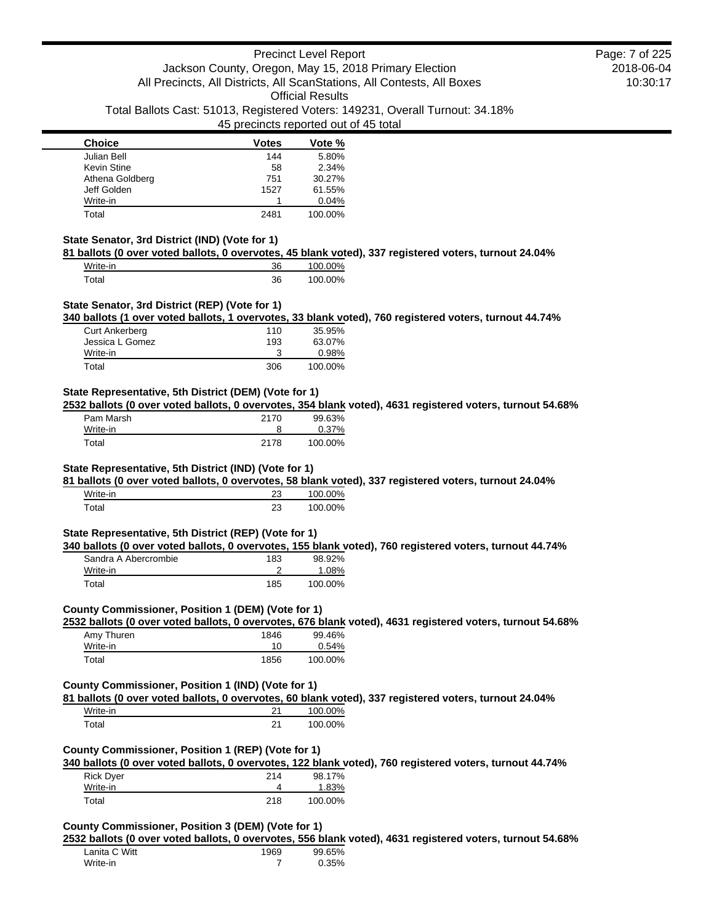#### **Choice Votes Votes Vote** % Julian Bell 144 5.80% Kevin Stine 58 2.34%<br>Athena Goldberg 1988 1989 751 30.27% Athena Goldberg Jeff Golden 1527 61.55% Write-in 0.04% Total 2481 100.00%

#### **State Senator, 3rd District (IND) (Vote for 1)**

**81 ballots (0 over voted ballots, 0 overvotes, 45 blank voted), 337 registered voters, turnout 24.04%**

| Write-in | 36 | 100.00% |
|----------|----|---------|
| Total    | 36 | 100.00% |

#### **State Senator, 3rd District (REP) (Vote for 1)**

**340 ballots (1 over voted ballots, 1 overvotes, 33 blank voted), 760 registered voters, turnout 44.74%**

| Curt Ankerberg  | 110 | 35.95%  |
|-----------------|-----|---------|
| Jessica L Gomez | 193 | 63.07%  |
| Write-in        |     | 0.98%   |
| Total           | 306 | 100.00% |

#### **State Representative, 5th District (DEM) (Vote for 1)**

**2532 ballots (0 over voted ballots, 0 overvotes, 354 blank voted), 4631 registered voters, turnout 54.68%**

| Pam Marsh | 2170 | 99.63%  |
|-----------|------|---------|
| Write-in  |      | 0.37%   |
| Total     | 2178 | 100.00% |

### **State Representative, 5th District (IND) (Vote for 1)**

**81 ballots (0 over voted ballots, 0 overvotes, 58 blank voted), 337 registered voters, turnout 24.04%**

| Write-in | ົ<br>້   | 100.00% |
|----------|----------|---------|
| Total    | າາ<br>25 | 100.00% |

#### **State Representative, 5th District (REP) (Vote for 1)**

**340 ballots (0 over voted ballots, 0 overvotes, 155 blank voted), 760 registered voters, turnout 44.74%**

| Sandra A Abercrombie | 183 | 98.92%  |
|----------------------|-----|---------|
| Write-in             |     | 1.08%   |
| Total                | 185 | 100.00% |

### **County Commissioner, Position 1 (DEM) (Vote for 1)**

**2532 ballots (0 over voted ballots, 0 overvotes, 676 blank voted), 4631 registered voters, turnout 54.68%**

| Amy Thuren | 1846 | 99.46%  |
|------------|------|---------|
| Write-in   | 10   | 0.54%   |
| Total      | 1856 | 100.00% |

#### **County Commissioner, Position 1 (IND) (Vote for 1)**

**81 ballots (0 over voted ballots, 0 overvotes, 60 blank voted), 337 registered voters, turnout 24.04%**

| Write-in | つイ | 100.00% |
|----------|----|---------|
| Total    | 21 | 100.00% |

#### **County Commissioner, Position 1 (REP) (Vote for 1)**

**340 ballots (0 over voted ballots, 0 overvotes, 122 blank voted), 760 registered voters, turnout 44.74%**

| Rick Dyer | 214 | 98.17%  |
|-----------|-----|---------|
| Write-in  |     | 1.83%   |
| Total     | 218 | 100.00% |

#### **County Commissioner, Position 3 (DEM) (Vote for 1)**

**2532 ballots (0 over voted ballots, 0 overvotes, 556 blank voted), 4631 registered voters, turnout 54.68%**

| Lanita C Witt | 1969 | 99.65% |
|---------------|------|--------|
| Write-in      |      | 0.35%  |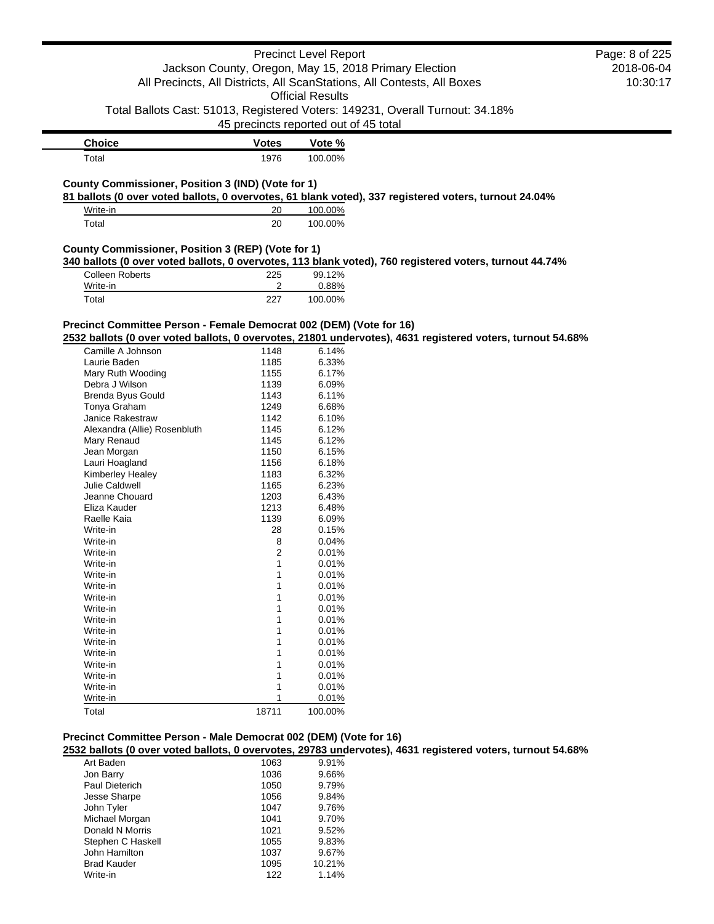|                                                                     |              | <b>Precinct Level Report</b>                          |                                                                                                            | Page: 8 of 225 |
|---------------------------------------------------------------------|--------------|-------------------------------------------------------|------------------------------------------------------------------------------------------------------------|----------------|
|                                                                     |              | Jackson County, Oregon, May 15, 2018 Primary Election |                                                                                                            | 2018-06-04     |
|                                                                     |              |                                                       | All Precincts, All Districts, All ScanStations, All Contests, All Boxes                                    | 10:30:17       |
|                                                                     |              | <b>Official Results</b>                               |                                                                                                            |                |
|                                                                     |              |                                                       |                                                                                                            |                |
|                                                                     |              |                                                       | Total Ballots Cast: 51013, Registered Voters: 149231, Overall Turnout: 34.18%                              |                |
|                                                                     |              | 45 precincts reported out of 45 total                 |                                                                                                            |                |
| <b>Choice</b>                                                       | <b>Votes</b> | Vote %                                                |                                                                                                            |                |
| Total                                                               | 1976         | 100.00%                                               |                                                                                                            |                |
|                                                                     |              |                                                       |                                                                                                            |                |
| County Commissioner, Position 3 (IND) (Vote for 1)                  |              |                                                       |                                                                                                            |                |
|                                                                     |              |                                                       | 81 ballots (0 over voted ballots, 0 overvotes, 61 blank voted), 337 registered voters, turnout 24.04%      |                |
| Write-in                                                            | 20           | 100.00%                                               |                                                                                                            |                |
| Total                                                               | 20           | 100.00%                                               |                                                                                                            |                |
|                                                                     |              |                                                       |                                                                                                            |                |
| County Commissioner, Position 3 (REP) (Vote for 1)                  |              |                                                       | 340 ballots (0 over voted ballots, 0 overvotes, 113 blank voted), 760 registered voters, turnout 44.74%    |                |
| <b>Colleen Roberts</b>                                              | 225          | 99.12%                                                |                                                                                                            |                |
| Write-in                                                            | 2            | 0.88%                                                 |                                                                                                            |                |
| Total                                                               | 227          | 100.00%                                               |                                                                                                            |                |
|                                                                     |              |                                                       |                                                                                                            |                |
| Precinct Committee Person - Female Democrat 002 (DEM) (Vote for 16) |              |                                                       |                                                                                                            |                |
|                                                                     |              |                                                       | 2532 ballots (0 over voted ballots, 0 overvotes, 21801 undervotes), 4631 registered voters, turnout 54.68% |                |
|                                                                     |              | 6.14%                                                 |                                                                                                            |                |
| Camille A Johnson<br>Laurie Baden                                   | 1148<br>1185 | 6.33%                                                 |                                                                                                            |                |
| Mary Ruth Wooding                                                   | 1155         | 6.17%                                                 |                                                                                                            |                |
| Debra J Wilson                                                      | 1139         | 6.09%                                                 |                                                                                                            |                |
| Brenda Byus Gould                                                   | 1143         | 6.11%                                                 |                                                                                                            |                |
| Tonya Graham                                                        | 1249         | 6.68%                                                 |                                                                                                            |                |
| Janice Rakestraw                                                    | 1142         | 6.10%                                                 |                                                                                                            |                |
| Alexandra (Allie) Rosenbluth                                        | 1145         | 6.12%                                                 |                                                                                                            |                |
| Mary Renaud                                                         | 1145         | 6.12%                                                 |                                                                                                            |                |
| Jean Morgan                                                         | 1150         | 6.15%                                                 |                                                                                                            |                |
| Lauri Hoagland                                                      | 1156         | 6.18%                                                 |                                                                                                            |                |
| Kimberley Healey                                                    | 1183         | 6.32%                                                 |                                                                                                            |                |
| Julie Caldwell                                                      | 1165         | 6.23%                                                 |                                                                                                            |                |
| Jeanne Chouard                                                      | 1203         | 6.43%                                                 |                                                                                                            |                |
| Eliza Kauder                                                        | 1213         | 6.48%                                                 |                                                                                                            |                |
| Raelle Kaia                                                         | 1139         | 6.09%                                                 |                                                                                                            |                |
| Write-in                                                            | 28           | 0.15%                                                 |                                                                                                            |                |
| Write-in                                                            | 8            | 0.04%                                                 |                                                                                                            |                |
| Write-in                                                            | 2            | 0.01%                                                 |                                                                                                            |                |
| Write-in                                                            | 1            | 0.01%                                                 |                                                                                                            |                |
| Write-in                                                            | 1            | 0.01%                                                 |                                                                                                            |                |
| Write-in                                                            | 1            | 0.01%                                                 |                                                                                                            |                |
| Write-in                                                            | 1            | 0.01%                                                 |                                                                                                            |                |
| Write-in                                                            |              | 0.01%                                                 |                                                                                                            |                |
| Write-in                                                            | 1            | 0.01%                                                 |                                                                                                            |                |
| Write-in                                                            |              | 0.01%                                                 |                                                                                                            |                |
| Write-in                                                            | 1            | 0.01%                                                 |                                                                                                            |                |
| Write-in                                                            | 1            | 0.01%                                                 |                                                                                                            |                |
| Write-in                                                            | 1            | 0.01%                                                 |                                                                                                            |                |
| Write-in<br>Write-in                                                | 1            | 0.01%<br>0.01%                                        |                                                                                                            |                |
| Write-in                                                            | 1<br>1       | 0.01%                                                 |                                                                                                            |                |
|                                                                     |              |                                                       |                                                                                                            |                |
| Total                                                               | 18711        | 100.00%                                               |                                                                                                            |                |
|                                                                     |              |                                                       |                                                                                                            |                |
| Precinct Committee Person - Male Democrat 002 (DEM) (Vote for 16)   |              |                                                       |                                                                                                            |                |
|                                                                     |              |                                                       | 2532 ballots (0 over voted ballots, 0 overvotes, 29783 undervotes), 4631 registered voters, turnout 54.68% |                |
| Art Baden                                                           | 1063         | 9.91%                                                 |                                                                                                            |                |
| Jon Barry                                                           | 1036         | 9.66%                                                 |                                                                                                            |                |
| Paul Dieterich                                                      | 1050         | 9.79%                                                 |                                                                                                            |                |
| Jesse Sharpe                                                        | 1056         | 9.84%                                                 |                                                                                                            |                |
| John Tyler                                                          | 1047         | 9.76%                                                 |                                                                                                            |                |
| Michael Morgan                                                      | 1041         | 9.70%                                                 |                                                                                                            |                |
| Donald N Morris                                                     | 1021         | 9.52%                                                 |                                                                                                            |                |

Stephen C Haskell 1055 9.83% John Hamilton 1037 9.67% Brad Kauder 1095 10.21%<br>
Write-in 122 1.14%

Write-in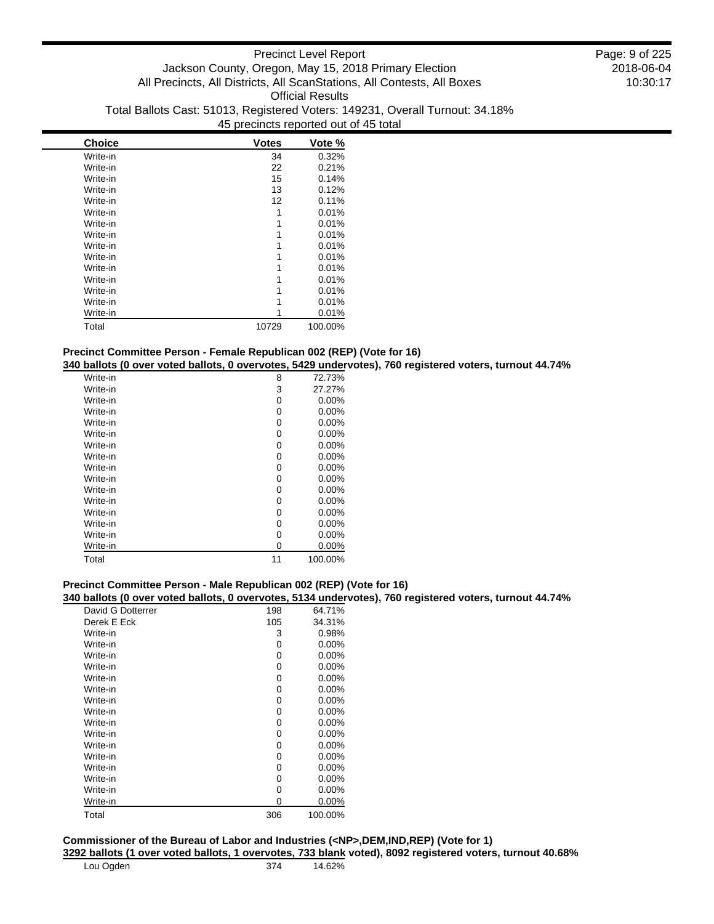| <b>Choice</b> | <b>Votes</b> | Vote %  |
|---------------|--------------|---------|
| Write-in      | 34           | 0.32%   |
| Write-in      | 22           | 0.21%   |
| Write-in      | 15           | 0.14%   |
| Write-in      | 13           | 0.12%   |
| Write-in      | 12           | 0.11%   |
| Write-in      | 1            | 0.01%   |
| Write-in      |              | 0.01%   |
| Write-in      |              | 0.01%   |
| Write-in      | 1            | 0.01%   |
| Write-in      | 1            | 0.01%   |
| Write-in      |              | 0.01%   |
| Write-in      |              | 0.01%   |
| Write-in      |              | 0.01%   |
| Write-in      |              | 0.01%   |
| Write-in      |              | 0.01%   |
| Total         | 10729        | 100.00% |

# **Precinct Committee Person - Female Republican 002 (REP) (Vote for 16)**

**340 ballots (0 over voted ballots, 0 overvotes, 5429 undervotes), 760 registered voters, turnout 44.74%**

| Write-in | 8  | 72.73%   |
|----------|----|----------|
| Write-in | 3  | 27.27%   |
| Write-in | 0  | 0.00%    |
| Write-in | 0  | 0.00%    |
| Write-in | 0  | 0.00%    |
| Write-in | 0  | 0.00%    |
| Write-in | 0  | $0.00\%$ |
| Write-in | 0  | 0.00%    |
| Write-in | 0  | $0.00\%$ |
| Write-in | 0  | 0.00%    |
| Write-in | 0  | 0.00%    |
| Write-in | 0  | 0.00%    |
| Write-in | 0  | 0.00%    |
| Write-in | 0  | $0.00\%$ |
| Write-in | 0  | $0.00\%$ |
| Write-in | 0  | $0.00\%$ |
| Total    | 11 | 100.00%  |

## **Precinct Committee Person - Male Republican 002 (REP) (Vote for 16)**

**340 ballots (0 over voted ballots, 0 overvotes, 5134 undervotes), 760 registered voters, turnout 44.74%**

| David G Dotterrer | 198 | 64.71%   |
|-------------------|-----|----------|
| Derek E Eck       | 105 | 34.31%   |
| Write-in          | 3   | 0.98%    |
| Write-in          | 0   | $0.00\%$ |
| Write-in          | 0   | $0.00\%$ |
| Write-in          | 0   | 0.00%    |
| Write-in          | 0   | $0.00\%$ |
| Write-in          | 0   | $0.00\%$ |
| Write-in          | 0   | $0.00\%$ |
| Write-in          | 0   | $0.00\%$ |
| Write-in          | 0   | $0.00\%$ |
| Write-in          | 0   | $0.00\%$ |
| Write-in          | 0   | $0.00\%$ |
| Write-in          | 0   | $0.00\%$ |
| Write-in          | 0   | $0.00\%$ |
| Write-in          | 0   | $0.00\%$ |
| Write-in          | 0   | $0.00\%$ |
| Write-in          | 0   | 0.00%    |
| Total             | 306 | 100.00%  |

### **Commissioner of the Bureau of Labor and Industries (<NP>,DEM,IND,REP) (Vote for 1) 3292 ballots (1 over voted ballots, 1 overvotes, 733 blank voted), 8092 registered voters, turnout 40.68%**

| Lou Ogden | 374 | 14.62% |
|-----------|-----|--------|
|           |     |        |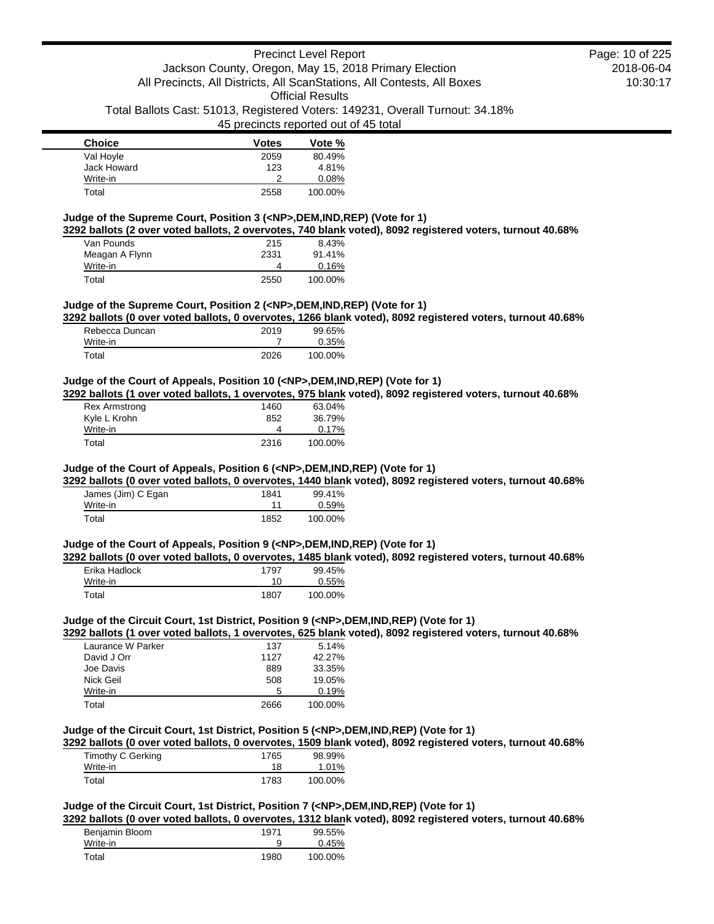| <b>Choice</b> | <b>Votes</b> | Vote %  |
|---------------|--------------|---------|
| Val Hoyle     | 2059         | 80.49%  |
| Jack Howard   | 123          | 4.81%   |
| Write-in      | າ            | 0.08%   |
| Total         | 2558         | 100.00% |

#### **Judge of the Supreme Court, Position 3 (<NP>,DEM,IND,REP) (Vote for 1)**

**3292 ballots (2 over voted ballots, 2 overvotes, 740 blank voted), 8092 registered voters, turnout 40.68%**

| Van Pounds     | 215  | 8.43%   |
|----------------|------|---------|
| Meagan A Flynn | 2331 | 91.41%  |
| Write-in       |      | 0.16%   |
| Total          | 2550 | 100.00% |

#### **Judge of the Supreme Court, Position 2 (<NP>,DEM,IND,REP) (Vote for 1)**

**3292 ballots (0 over voted ballots, 0 overvotes, 1266 blank voted), 8092 registered voters, turnout 40.68%**

| Rebecca Duncan | 2019 | 99.65%  |
|----------------|------|---------|
| Write-in       |      | 0.35%   |
| Total          | 2026 | 100.00% |

#### **Judge of the Court of Appeals, Position 10 (<NP>,DEM,IND,REP) (Vote for 1)**

**3292 ballots (1 over voted ballots, 1 overvotes, 975 blank voted), 8092 registered voters, turnout 40.68%**

| <b>Rex Armstrong</b> | 1460 | 63.04%  |
|----------------------|------|---------|
| Kyle L Krohn         | 852  | 36.79%  |
| Write-in             |      | 0.17%   |
| Total                | 2316 | 100.00% |

### **Judge of the Court of Appeals, Position 6 (<NP>,DEM,IND,REP) (Vote for 1)**

**3292 ballots (0 over voted ballots, 0 overvotes, 1440 blank voted), 8092 registered voters, turnout 40.68%**

| James (Jim) C Egan | 1841 | 99.41%  |
|--------------------|------|---------|
| Write-in           |      | 0.59%   |
| Total              | 1852 | 100.00% |

#### **Judge of the Court of Appeals, Position 9 (<NP>,DEM,IND,REP) (Vote for 1)**

**3292 ballots (0 over voted ballots, 0 overvotes, 1485 blank voted), 8092 registered voters, turnout 40.68%**

| Erika Hadlock | 1797 | 99.45%  |
|---------------|------|---------|
| Write-in      | 10   | 0.55%   |
| Total         | 1807 | 100.00% |

#### **Judge of the Circuit Court, 1st District, Position 9 (<NP>,DEM,IND,REP) (Vote for 1)**

**3292 ballots (1 over voted ballots, 1 overvotes, 625 blank voted), 8092 registered voters, turnout 40.68%**

| Laurance W Parker | 137  | 5.14%   |
|-------------------|------|---------|
| David J Orr       | 1127 | 42.27%  |
| Joe Davis         | 889  | 33.35%  |
| Nick Geil         | 508  | 19.05%  |
| Write-in          | 5    | 0.19%   |
| Total             | 2666 | 100.00% |

### **Judge of the Circuit Court, 1st District, Position 5 (<NP>,DEM,IND,REP) (Vote for 1)**

**3292 ballots (0 over voted ballots, 0 overvotes, 1509 blank voted), 8092 registered voters, turnout 40.68%**

| Timothy C Gerking | 1765 | 98.99%  |
|-------------------|------|---------|
| Write-in          | 18   | 1.01%   |
| Total             | 1783 | 100.00% |

#### **Judge of the Circuit Court, 1st District, Position 7 (<NP>,DEM,IND,REP) (Vote for 1)**

**3292 ballots (0 over voted ballots, 0 overvotes, 1312 blank voted), 8092 registered voters, turnout 40.68%**

| Benjamin Bloom | 1971 | 99.55%  |  |
|----------------|------|---------|--|
| Write-in       |      | 0.45%   |  |
| Total          | 1980 | 100.00% |  |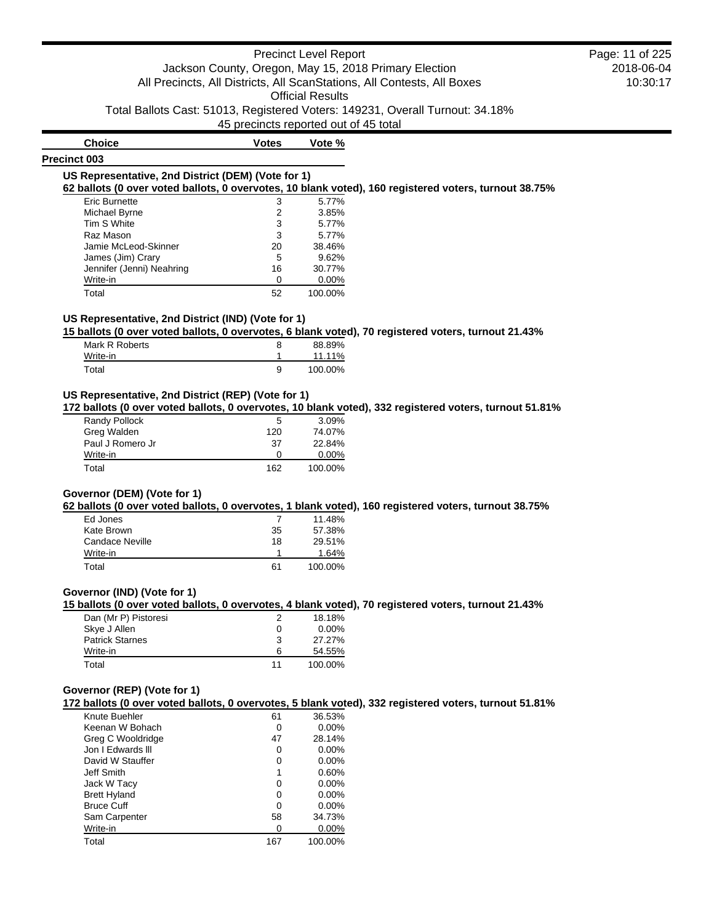# Precinct Level Report Jackson County, Oregon, May 15, 2018 Primary Election All Precincts, All Districts, All ScanStations, All Contests, All Boxes Official Results

Total Ballots Cast: 51013, Registered Voters: 149231, Overall Turnout: 34.18%

45 precincts reported out of 45 total

### **Precinct 003**

**Choice Votes Vote %**

#### **US Representative, 2nd District (DEM) (Vote for 1) 62 ballots (0 over voted ballots, 0 overvotes, 10 blank voted), 160 registered voters, turnout 38.75%**

| 3  | 5.77%   |
|----|---------|
| 2  | 3.85%   |
| 3  | 5.77%   |
| 3  | 5.77%   |
| 20 | 38.46%  |
| 5  | 9.62%   |
| 16 | 30.77%  |
| ი  | 0.00%   |
| 52 | 100.00% |
|    |         |

### **US Representative, 2nd District (IND) (Vote for 1)**

**15 ballots (0 over voted ballots, 0 overvotes, 6 blank voted), 70 registered voters, turnout 21.43%**

| Mark R Roberts |   | 88.89%  |
|----------------|---|---------|
| Write-in       |   | 11.11%  |
| Total          | a | 100.00% |

### **US Representative, 2nd District (REP) (Vote for 1)**

**172 ballots (0 over voted ballots, 0 overvotes, 10 blank voted), 332 registered voters, turnout 51.81%**

| Randy Pollock    | 5        | $3.09\%$ |
|------------------|----------|----------|
| Greg Walden      | 120      | 74.07%   |
| Paul J Romero Jr | 37       | 22.84%   |
| Write-in         | $\Omega$ | $0.00\%$ |
| Total            | 162      | 100.00%  |

### **Governor (DEM) (Vote for 1)**

**62 ballots (0 over voted ballots, 0 overvotes, 1 blank voted), 160 registered voters, turnout 38.75%**

| Ed Jones        |    | 11.48%  |
|-----------------|----|---------|
| Kate Brown      | 35 | 57.38%  |
| Candace Neville | 18 | 29.51%  |
| Write-in        |    | 1.64%   |
| Total           | 61 | 100.00% |

### **Governor (IND) (Vote for 1)**

**15 ballots (0 over voted ballots, 0 overvotes, 4 blank voted), 70 registered voters, turnout 21.43%**

| Dan (Mr P) Pistoresi   |    | 18.18%   |
|------------------------|----|----------|
| Skye J Allen           | 0  | $0.00\%$ |
| <b>Patrick Starnes</b> | 3  | 27.27%   |
| Write-in               | 6  | 54.55%   |
| Total                  | 11 | 100.00%  |

#### **Governor (REP) (Vote for 1)**

**172 ballots (0 over voted ballots, 0 overvotes, 5 blank voted), 332 registered voters, turnout 51.81%**

| Knute Buehler       | 61  | 36.53%   |
|---------------------|-----|----------|
| Keenan W Bohach     | 0   | $0.00\%$ |
| Greg C Wooldridge   | 47  | 28.14%   |
| Jon I Edwards III   | 0   | $0.00\%$ |
| David W Stauffer    | 0   | $0.00\%$ |
| Jeff Smith          | 1   | 0.60%    |
| Jack W Tacy         | 0   | $0.00\%$ |
| <b>Brett Hyland</b> | 0   | $0.00\%$ |
| <b>Bruce Cuff</b>   | 0   | $0.00\%$ |
| Sam Carpenter       | 58  | 34.73%   |
| Write-in            | 0   | $0.00\%$ |
| Total               | 167 | 100.00%  |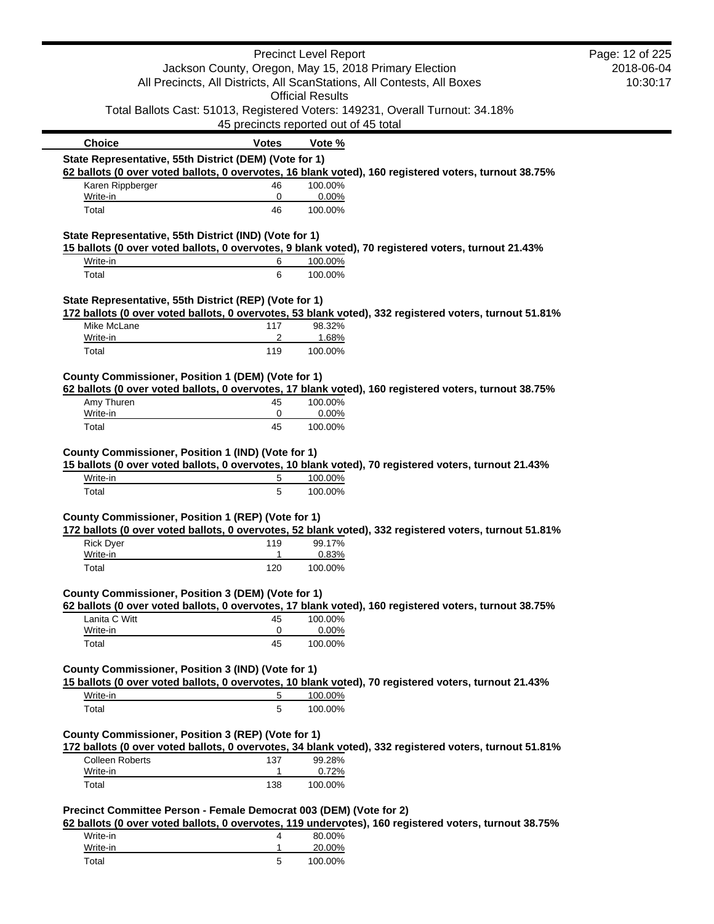|                                                                         |                                       | <b>Precinct Level Report</b> |                                                                                                        | Page: 12 of 225 |
|-------------------------------------------------------------------------|---------------------------------------|------------------------------|--------------------------------------------------------------------------------------------------------|-----------------|
| Jackson County, Oregon, May 15, 2018 Primary Election                   |                                       |                              | 2018-06-04                                                                                             |                 |
| All Precincts, All Districts, All ScanStations, All Contests, All Boxes |                                       |                              | 10:30:17                                                                                               |                 |
|                                                                         |                                       | <b>Official Results</b>      |                                                                                                        |                 |
|                                                                         |                                       |                              | Total Ballots Cast: 51013, Registered Voters: 149231, Overall Turnout: 34.18%                          |                 |
|                                                                         | 45 precincts reported out of 45 total |                              |                                                                                                        |                 |
| <b>Choice</b>                                                           | <b>Votes</b>                          | Vote %                       |                                                                                                        |                 |
| State Representative, 55th District (DEM) (Vote for 1)                  |                                       |                              |                                                                                                        |                 |
|                                                                         |                                       |                              | 62 ballots (0 over voted ballots, 0 overvotes, 16 blank voted), 160 registered voters, turnout 38.75%  |                 |
| Karen Rippberger                                                        | 46                                    | 100.00%                      |                                                                                                        |                 |
| Write-in                                                                | 0                                     | 0.00%                        |                                                                                                        |                 |
| Total                                                                   | 46                                    | 100.00%                      |                                                                                                        |                 |
| State Representative, 55th District (IND) (Vote for 1)                  |                                       |                              |                                                                                                        |                 |
|                                                                         |                                       |                              | 15 ballots (0 over voted ballots, 0 overvotes, 9 blank voted), 70 registered voters, turnout 21.43%    |                 |
| Write-in                                                                | 6                                     | 100.00%                      |                                                                                                        |                 |
| Total                                                                   | 6                                     | 100.00%                      |                                                                                                        |                 |
|                                                                         |                                       |                              |                                                                                                        |                 |
| State Representative, 55th District (REP) (Vote for 1)                  |                                       |                              |                                                                                                        |                 |
|                                                                         |                                       |                              | 172 ballots (0 over voted ballots, 0 overvotes, 53 blank voted), 332 registered voters, turnout 51.81% |                 |
| Mike McLane                                                             | 117                                   | 98.32%                       |                                                                                                        |                 |
| Write-in                                                                | 2                                     | 1.68%                        |                                                                                                        |                 |
| Total                                                                   | 119                                   | 100.00%                      |                                                                                                        |                 |
| County Commissioner, Position 1 (DEM) (Vote for 1)                      |                                       |                              |                                                                                                        |                 |
|                                                                         |                                       |                              | 62 ballots (0 over voted ballots, 0 overvotes, 17 blank voted), 160 registered voters, turnout 38.75%  |                 |
| Amy Thuren                                                              | 45                                    | 100.00%                      |                                                                                                        |                 |
| Write-in                                                                | 0                                     | 0.00%                        |                                                                                                        |                 |
| Total                                                                   | 45                                    | 100.00%                      |                                                                                                        |                 |
|                                                                         |                                       |                              |                                                                                                        |                 |
| County Commissioner, Position 1 (IND) (Vote for 1)                      |                                       |                              |                                                                                                        |                 |
|                                                                         |                                       |                              | 15 ballots (0 over voted ballots, 0 overvotes, 10 blank voted), 70 registered voters, turnout 21.43%   |                 |
| Write-in                                                                | 5                                     | 100.00%                      |                                                                                                        |                 |
| Total                                                                   | 5                                     | 100.00%                      |                                                                                                        |                 |
|                                                                         |                                       |                              |                                                                                                        |                 |
| County Commissioner, Position 1 (REP) (Vote for 1)                      |                                       |                              | 172 ballots (0 over voted ballots, 0 overvotes, 52 blank voted), 332 registered voters, turnout 51.81% |                 |
| <b>Rick Dyer</b>                                                        | 119                                   | 99.17%                       |                                                                                                        |                 |
| Write-in                                                                | 1                                     | 0.83%                        |                                                                                                        |                 |
| Total                                                                   | 120                                   | 100.00%                      |                                                                                                        |                 |
|                                                                         |                                       |                              |                                                                                                        |                 |
| County Commissioner, Position 3 (DEM) (Vote for 1)                      |                                       |                              |                                                                                                        |                 |
|                                                                         |                                       |                              | 62 ballots (0 over voted ballots, 0 overvotes, 17 blank voted), 160 registered voters, turnout 38.75%  |                 |
| Lanita C Witt                                                           | 45                                    | 100.00%                      |                                                                                                        |                 |
| Write-in                                                                | 0                                     | 0.00%                        |                                                                                                        |                 |
| Total                                                                   | 45                                    | 100.00%                      |                                                                                                        |                 |
|                                                                         |                                       |                              |                                                                                                        |                 |
| County Commissioner, Position 3 (IND) (Vote for 1)                      |                                       |                              | 15 ballots (0 over voted ballots, 0 overvotes, 10 blank voted), 70 registered voters, turnout 21.43%   |                 |
| Write-in                                                                | 5                                     | 100.00%                      |                                                                                                        |                 |
| Total                                                                   | 5                                     | 100.00%                      |                                                                                                        |                 |
|                                                                         |                                       |                              |                                                                                                        |                 |
| County Commissioner, Position 3 (REP) (Vote for 1)                      |                                       |                              |                                                                                                        |                 |
|                                                                         |                                       |                              | 172 ballots (0 over voted ballots, 0 overvotes, 34 blank voted), 332 registered voters, turnout 51.81% |                 |
| <b>Colleen Roberts</b>                                                  | 137                                   | 99.28%                       |                                                                                                        |                 |
| Write-in                                                                | $\mathbf{1}$                          | 0.72%                        |                                                                                                        |                 |
| Total                                                                   | 138                                   | 100.00%                      |                                                                                                        |                 |
|                                                                         |                                       |                              |                                                                                                        |                 |
| Precinct Committee Person - Female Democrat 003 (DEM) (Vote for 2)      |                                       |                              |                                                                                                        |                 |
|                                                                         |                                       |                              | 62 ballots (0 over voted ballots, 0 overvotes, 119 undervotes), 160 registered voters, turnout 38.75%  |                 |
| Write-in                                                                | 4                                     | 80.00%                       |                                                                                                        |                 |
| Write-in                                                                | $\mathbf{1}$                          | 20.00%                       |                                                                                                        |                 |
| Total                                                                   | 5                                     | 100.00%                      |                                                                                                        |                 |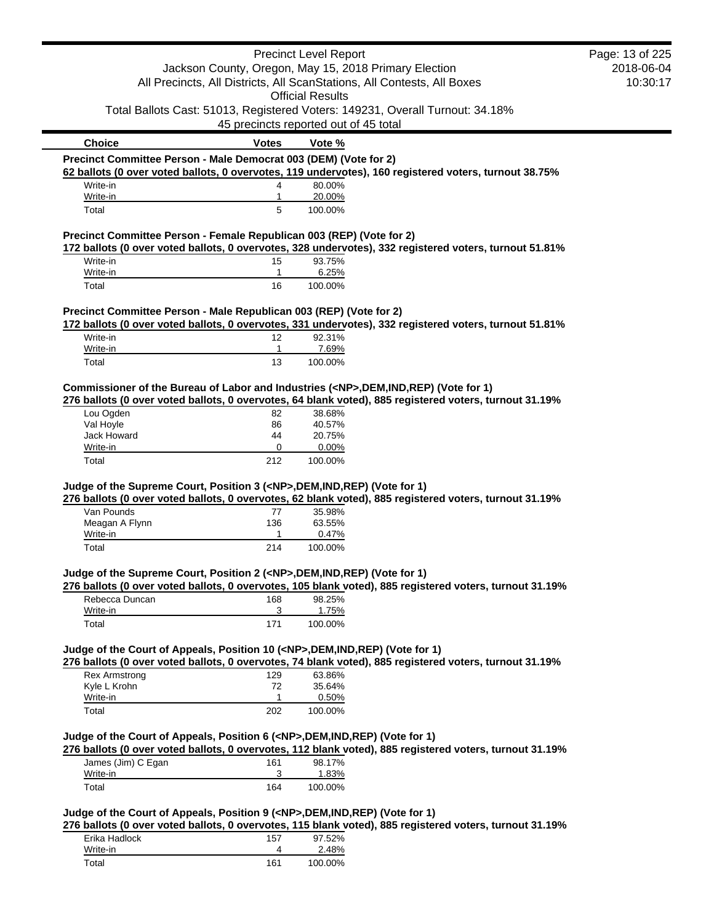|                                                                                          |                                                       | <b>Precinct Level Report</b>          |                                                                                                         | Page: 13 of 225 |
|------------------------------------------------------------------------------------------|-------------------------------------------------------|---------------------------------------|---------------------------------------------------------------------------------------------------------|-----------------|
|                                                                                          | Jackson County, Oregon, May 15, 2018 Primary Election |                                       |                                                                                                         | 2018-06-04      |
|                                                                                          |                                                       |                                       | All Precincts, All Districts, All ScanStations, All Contests, All Boxes                                 | 10:30:17        |
|                                                                                          |                                                       | <b>Official Results</b>               |                                                                                                         |                 |
|                                                                                          |                                                       |                                       | Total Ballots Cast: 51013, Registered Voters: 149231, Overall Turnout: 34.18%                           |                 |
|                                                                                          |                                                       | 45 precincts reported out of 45 total |                                                                                                         |                 |
| <b>Choice</b>                                                                            | <b>Votes</b>                                          | Vote %                                |                                                                                                         |                 |
| Precinct Committee Person - Male Democrat 003 (DEM) (Vote for 2)                         |                                                       |                                       |                                                                                                         |                 |
|                                                                                          |                                                       |                                       | 62 ballots (0 over voted ballots, 0 overvotes, 119 undervotes), 160 registered voters, turnout 38.75%   |                 |
| Write-in                                                                                 | 4                                                     | 80.00%                                |                                                                                                         |                 |
| Write-in                                                                                 | 1                                                     | 20.00%                                |                                                                                                         |                 |
| Total                                                                                    | 5                                                     | 100.00%                               |                                                                                                         |                 |
| Precinct Committee Person - Female Republican 003 (REP) (Vote for 2)                     |                                                       |                                       |                                                                                                         |                 |
|                                                                                          |                                                       |                                       | 172 ballots (0 over voted ballots, 0 overvotes, 328 undervotes), 332 registered voters, turnout 51.81%  |                 |
| Write-in                                                                                 | 15                                                    | 93.75%                                |                                                                                                         |                 |
| Write-in                                                                                 | 1                                                     | 6.25%                                 |                                                                                                         |                 |
| Total                                                                                    | 16                                                    | 100.00%                               |                                                                                                         |                 |
|                                                                                          |                                                       |                                       |                                                                                                         |                 |
| Precinct Committee Person - Male Republican 003 (REP) (Vote for 2)                       |                                                       |                                       |                                                                                                         |                 |
| Write-in                                                                                 |                                                       | 92.31%                                | 172 ballots (0 over voted ballots, 0 overvotes, 331 undervotes), 332 registered voters, turnout 51.81%  |                 |
| Write-in                                                                                 | 12<br>1                                               | 7.69%                                 |                                                                                                         |                 |
| Total                                                                                    | 13                                                    | 100.00%                               |                                                                                                         |                 |
|                                                                                          |                                                       |                                       |                                                                                                         |                 |
| Commissioner of the Bureau of Labor and Industries ( <np>,DEM,IND,REP) (Vote for 1)</np> |                                                       |                                       |                                                                                                         |                 |
|                                                                                          |                                                       |                                       | 276 ballots (0 over voted ballots, 0 overvotes, 64 blank voted), 885 registered voters, turnout 31.19%  |                 |
| Lou Ogden                                                                                | 82                                                    | 38.68%                                |                                                                                                         |                 |
| Val Hoyle                                                                                | 86                                                    | 40.57%                                |                                                                                                         |                 |
| Jack Howard                                                                              | 44                                                    | 20.75%                                |                                                                                                         |                 |
| Write-in                                                                                 | 0                                                     | 0.00%                                 |                                                                                                         |                 |
| Total                                                                                    | 212                                                   | 100.00%                               |                                                                                                         |                 |
|                                                                                          |                                                       |                                       |                                                                                                         |                 |
| Judge of the Supreme Court, Position 3 ( <np>,DEM,IND,REP) (Vote for 1)</np>             |                                                       |                                       | 276 ballots (0 over voted ballots, 0 overvotes, 62 blank voted), 885 registered voters, turnout 31.19%  |                 |
| Van Pounds                                                                               | 77                                                    | 35.98%                                |                                                                                                         |                 |
| Meagan A Flynn                                                                           | 136                                                   | 63.55%                                |                                                                                                         |                 |
| Write-in                                                                                 | 1                                                     | 0.47%                                 |                                                                                                         |                 |
| Total                                                                                    | 214                                                   | 100.00%                               |                                                                                                         |                 |
|                                                                                          |                                                       |                                       |                                                                                                         |                 |
| Judge of the Supreme Court, Position 2 ( <np>,DEM,IND,REP) (Vote for 1)</np>             |                                                       |                                       |                                                                                                         |                 |
|                                                                                          |                                                       |                                       | 276 ballots (0 over voted ballots, 0 overvotes, 105 blank voted), 885 registered voters, turnout 31.19% |                 |
| Rebecca Duncan                                                                           | 168                                                   | 98.25%                                |                                                                                                         |                 |
| Write-in                                                                                 | 3                                                     | 1.75%                                 |                                                                                                         |                 |
| Total                                                                                    | 171                                                   | 100.00%                               |                                                                                                         |                 |
|                                                                                          |                                                       |                                       |                                                                                                         |                 |
| Judge of the Court of Appeals, Position 10 ( <np>,DEM,IND,REP) (Vote for 1)</np>         |                                                       |                                       | 276 ballots (0 over voted ballots, 0 overvotes, 74 blank voted), 885 registered voters, turnout 31.19%  |                 |
|                                                                                          |                                                       |                                       |                                                                                                         |                 |
| <b>Rex Armstrong</b><br>Kyle L Krohn                                                     | 129<br>72                                             | 63.86%<br>35.64%                      |                                                                                                         |                 |
| Write-in                                                                                 | 1                                                     | 0.50%                                 |                                                                                                         |                 |
| Total                                                                                    | 202                                                   | 100.00%                               |                                                                                                         |                 |
|                                                                                          |                                                       |                                       |                                                                                                         |                 |
| Judge of the Court of Appeals, Position 6 ( <np>,DEM,IND,REP) (Vote for 1)</np>          |                                                       |                                       |                                                                                                         |                 |
|                                                                                          |                                                       |                                       | 276 ballots (0 over voted ballots, 0 overvotes, 112 blank voted), 885 registered voters, turnout 31.19% |                 |
| James (Jim) C Egan                                                                       | 161                                                   | 98.17%                                |                                                                                                         |                 |
| Write-in                                                                                 | 3                                                     | 1.83%                                 |                                                                                                         |                 |
| Total                                                                                    | 164                                                   | 100.00%                               |                                                                                                         |                 |
|                                                                                          |                                                       |                                       |                                                                                                         |                 |
| Judge of the Court of Appeals, Position 9 ( <np>,DEM,IND,REP) (Vote for 1)</np>          |                                                       |                                       |                                                                                                         |                 |
|                                                                                          |                                                       |                                       | 276 ballots (0 over voted ballots, 0 overvotes, 115 blank voted), 885 registered voters, turnout 31.19% |                 |
| Erika Hadlock                                                                            | 157                                                   | 97.52%                                |                                                                                                         |                 |
| Write-in                                                                                 | 4                                                     | 2.48%                                 |                                                                                                         |                 |
| Total                                                                                    | 161                                                   | 100.00%                               |                                                                                                         |                 |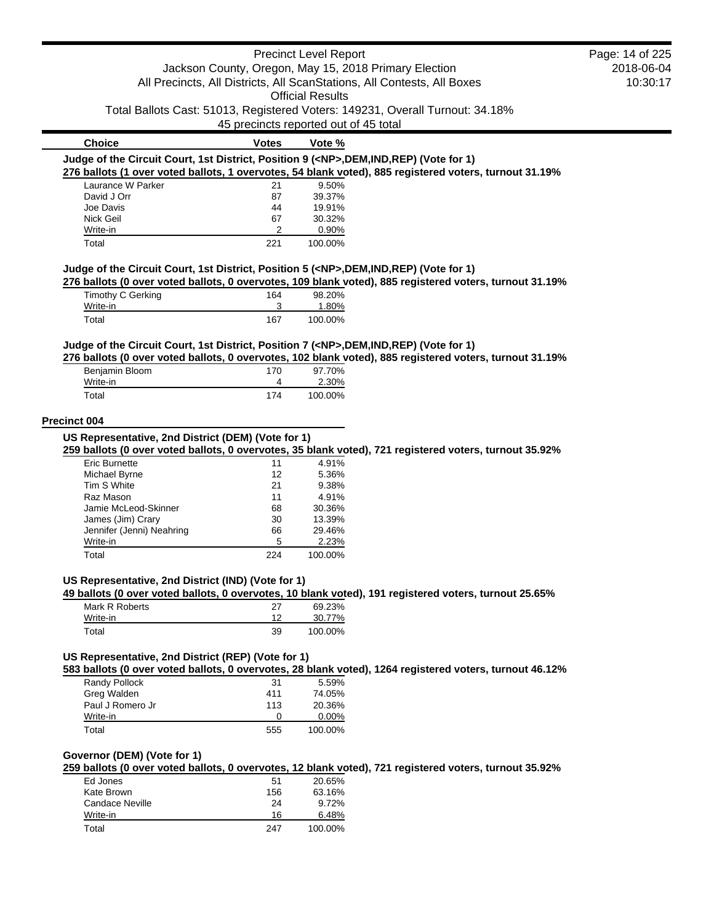|                                                                                                                         |              | <b>Precinct Level Report</b>          |            | Page: 14 of 225 |
|-------------------------------------------------------------------------------------------------------------------------|--------------|---------------------------------------|------------|-----------------|
| Jackson County, Oregon, May 15, 2018 Primary Election                                                                   |              |                                       | 2018-06-04 |                 |
| All Precincts, All Districts, All ScanStations, All Contests, All Boxes                                                 |              |                                       | 10:30:17   |                 |
|                                                                                                                         |              | <b>Official Results</b>               |            |                 |
|                                                                                                                         |              |                                       |            |                 |
| Total Ballots Cast: 51013, Registered Voters: 149231, Overall Turnout: 34.18%                                           |              |                                       |            |                 |
|                                                                                                                         |              | 45 precincts reported out of 45 total |            |                 |
| <b>Choice</b>                                                                                                           | <b>Votes</b> | Vote %                                |            |                 |
| Judge of the Circuit Court, 1st District, Position 9 ( <np>,DEM,IND,REP) (Vote for 1)</np>                              |              |                                       |            |                 |
| 276 ballots (1 over voted ballots, 1 overvotes, 54 blank voted), 885 registered voters, turnout 31.19%                  |              |                                       |            |                 |
| Laurance W Parker                                                                                                       | 21           | 9.50%                                 |            |                 |
| David J Orr                                                                                                             | 87           | 39.37%                                |            |                 |
| Joe Davis                                                                                                               | 44           | 19.91%                                |            |                 |
| Nick Geil                                                                                                               | 67           | 30.32%                                |            |                 |
| Write-in                                                                                                                | 2            | 0.90%                                 |            |                 |
| Total                                                                                                                   | 221          | 100.00%                               |            |                 |
| Judge of the Circuit Court, 1st District, Position 5 ( <np>,DEM,IND,REP) (Vote for 1)</np>                              |              |                                       |            |                 |
| 276 ballots (0 over voted ballots, 0 overvotes, 109 blank voted), 885 registered voters, turnout 31.19%                 |              |                                       |            |                 |
| Timothy C Gerking                                                                                                       | 164          | 98.20%                                |            |                 |
| Write-in                                                                                                                | 3            | 1.80%                                 |            |                 |
| Total                                                                                                                   | 167          | 100.00%                               |            |                 |
|                                                                                                                         |              |                                       |            |                 |
| Judge of the Circuit Court, 1st District, Position 7 ( <np>,DEM,IND,REP) (Vote for 1)</np>                              |              |                                       |            |                 |
| 276 ballots (0 over voted ballots, 0 overvotes, 102 blank voted), 885 registered voters, turnout 31.19%                 |              | 97.70%                                |            |                 |
| Benjamin Bloom<br>Write-in                                                                                              | 170<br>4     | 2.30%                                 |            |                 |
|                                                                                                                         |              |                                       |            |                 |
| Total                                                                                                                   | 174          | 100.00%                               |            |                 |
| <b>Eric Burnette</b>                                                                                                    | 11<br>12     | 4.91%<br>5.36%                        |            |                 |
| Michael Byrne                                                                                                           |              |                                       |            |                 |
| Tim S White<br>Raz Mason                                                                                                | 21<br>11     | 9.38%<br>4.91%                        |            |                 |
| Jamie McLeod-Skinner                                                                                                    | 68           | 30.36%                                |            |                 |
| James (Jim) Crary                                                                                                       | 30           | 13.39%                                |            |                 |
| Jennifer (Jenni) Neahring                                                                                               | 66           | 29.46%                                |            |                 |
| Write-in                                                                                                                | 5            | 2.23%                                 |            |                 |
| Total                                                                                                                   | 224          | 100.00%                               |            |                 |
|                                                                                                                         |              |                                       |            |                 |
| US Representative, 2nd District (IND) (Vote for 1)                                                                      |              |                                       |            |                 |
| 49 ballots (0 over voted ballots, 0 overvotes, 10 blank voted), 191 registered voters, turnout 25.65%<br>Mark R Roberts | 27           | 69.23%                                |            |                 |
| Write-in                                                                                                                | 12           | 30.77%                                |            |                 |
| Total                                                                                                                   | 39           | 100.00%                               |            |                 |
|                                                                                                                         |              |                                       |            |                 |
| US Representative, 2nd District (REP) (Vote for 1)                                                                      |              |                                       |            |                 |
| 583 ballots (0 over voted ballots, 0 overvotes, 28 blank voted), 1264 registered voters, turnout 46.12%                 |              |                                       |            |                 |
| Randy Pollock                                                                                                           | 31           | 5.59%                                 |            |                 |
| Grea Walden                                                                                                             | 411          | 74.05%                                |            |                 |
| Paul J Romero Jr                                                                                                        | 113          | 20.36%                                |            |                 |
| Write-in                                                                                                                | 0            | 0.00%                                 |            |                 |
| Total                                                                                                                   | 555          | 100.00%                               |            |                 |
| Governor (DEM) (Vote for 1)                                                                                             |              |                                       |            |                 |
| 259 ballots (0 over voted ballots, 0 overvotes, 12 blank voted), 721 registered voters, turnout 35.92%                  |              |                                       |            |                 |
| Ed Jones                                                                                                                | 51           | 20.65%                                |            |                 |
| Kate Brown                                                                                                              | 156          | 63.16%                                |            |                 |
| <b>Candace Neville</b>                                                                                                  | 24           | 9.72%                                 |            |                 |
| Write-in                                                                                                                | 16           | 6.48%                                 |            |                 |
| Total                                                                                                                   | 247          | 100.00%                               |            |                 |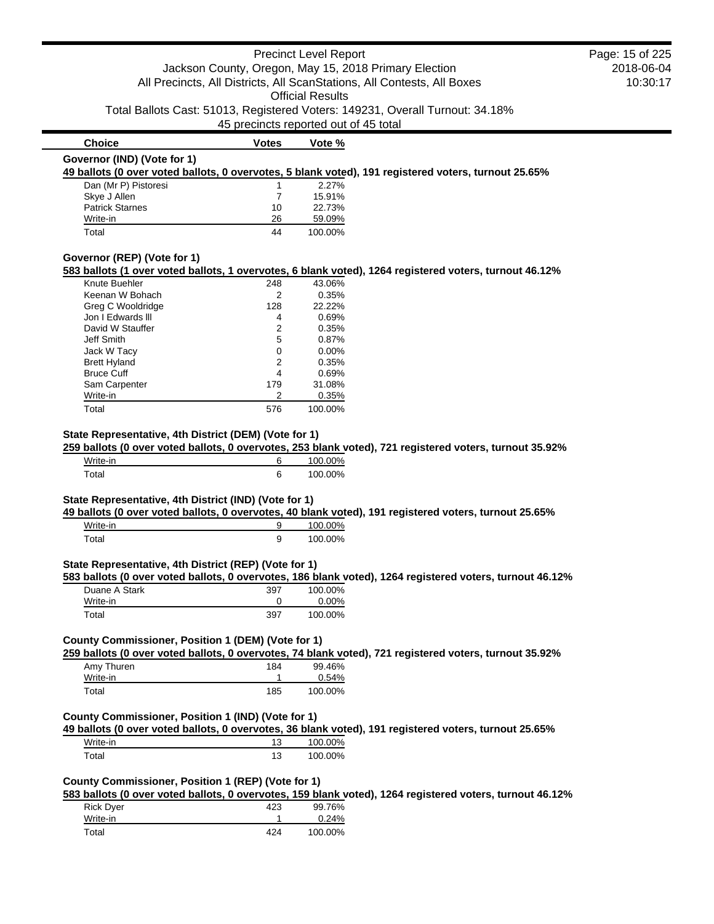|                                                                            |                                                       | <b>Precinct Level Report</b>          |                                                                                                          | Page: 15 of 225 |
|----------------------------------------------------------------------------|-------------------------------------------------------|---------------------------------------|----------------------------------------------------------------------------------------------------------|-----------------|
|                                                                            | Jackson County, Oregon, May 15, 2018 Primary Election |                                       |                                                                                                          | 2018-06-04      |
|                                                                            |                                                       |                                       | All Precincts, All Districts, All ScanStations, All Contests, All Boxes                                  | 10:30:17        |
|                                                                            |                                                       | <b>Official Results</b>               |                                                                                                          |                 |
|                                                                            |                                                       |                                       |                                                                                                          |                 |
|                                                                            |                                                       |                                       | Total Ballots Cast: 51013, Registered Voters: 149231, Overall Turnout: 34.18%                            |                 |
|                                                                            |                                                       | 45 precincts reported out of 45 total |                                                                                                          |                 |
| <b>Choice</b>                                                              | <b>Votes</b>                                          | Vote %                                |                                                                                                          |                 |
| Governor (IND) (Vote for 1)                                                |                                                       |                                       |                                                                                                          |                 |
|                                                                            |                                                       |                                       | 49 ballots (0 over voted ballots, 0 overvotes, 5 blank voted), 191 registered voters, turnout 25.65%     |                 |
| Dan (Mr P) Pistoresi                                                       | 1                                                     | 2.27%                                 |                                                                                                          |                 |
| Skye J Allen                                                               | 7                                                     | 15.91%                                |                                                                                                          |                 |
| <b>Patrick Starnes</b>                                                     | 10                                                    | 22.73%                                |                                                                                                          |                 |
| Write-in                                                                   | 26                                                    | 59.09%                                |                                                                                                          |                 |
| Total                                                                      | 44                                                    | 100.00%                               |                                                                                                          |                 |
| Governor (REP) (Vote for 1)                                                |                                                       |                                       |                                                                                                          |                 |
|                                                                            |                                                       |                                       | 583 ballots (1 over voted ballots, 1 overvotes, 6 blank voted), 1264 registered voters, turnout 46.12%   |                 |
| Knute Buehler                                                              | 248                                                   | 43.06%                                |                                                                                                          |                 |
| Keenan W Bohach                                                            | 2                                                     | 0.35%                                 |                                                                                                          |                 |
| Greg C Wooldridge                                                          | 128                                                   | 22.22%                                |                                                                                                          |                 |
| Jon I Edwards III                                                          | 4                                                     | 0.69%                                 |                                                                                                          |                 |
| David W Stauffer                                                           | 2                                                     | 0.35%                                 |                                                                                                          |                 |
| Jeff Smith                                                                 | 5                                                     | 0.87%                                 |                                                                                                          |                 |
| Jack W Tacy                                                                | 0                                                     | 0.00%                                 |                                                                                                          |                 |
| <b>Brett Hyland</b>                                                        | 2                                                     | 0.35%                                 |                                                                                                          |                 |
| <b>Bruce Cuff</b>                                                          | 4                                                     | 0.69%                                 |                                                                                                          |                 |
| Sam Carpenter                                                              | 179                                                   | 31.08%                                |                                                                                                          |                 |
| Write-in                                                                   | 2                                                     | 0.35%                                 |                                                                                                          |                 |
| Total                                                                      | 576                                                   | 100.00%                               |                                                                                                          |                 |
| State Representative, 4th District (DEM) (Vote for 1)<br>Write-in          | 6                                                     | 100.00%                               | 259 ballots (0 over voted ballots, 0 overvotes, 253 blank voted), 721 registered voters, turnout 35.92%  |                 |
| Total                                                                      | 6                                                     | 100.00%                               |                                                                                                          |                 |
| State Representative, 4th District (IND) (Vote for 1)<br>Write-in<br>Total | 9<br>9                                                | 100.00%<br>100.00%                    | 49 ballots (0 over voted ballots, 0 overvotes, 40 blank voted), 191 registered voters, turnout 25.65%    |                 |
| State Representative, 4th District (REP) (Vote for 1)                      |                                                       |                                       | 583 ballots (0 over voted ballots, 0 overvotes, 186 blank voted), 1264 registered voters, turnout 46.12% |                 |
| Duane A Stark                                                              | 397                                                   | 100.00%                               |                                                                                                          |                 |
| Write-in                                                                   | 0                                                     | 0.00%                                 |                                                                                                          |                 |
| Total                                                                      | 397                                                   | 100.00%                               |                                                                                                          |                 |
| County Commissioner, Position 1 (DEM) (Vote for 1)                         |                                                       |                                       | 259 ballots (0 over voted ballots, 0 overvotes, 74 blank voted), 721 registered voters, turnout 35.92%   |                 |
| Amy Thuren                                                                 | 184                                                   | 99.46%                                |                                                                                                          |                 |
| Write-in                                                                   | 1                                                     | 0.54%                                 |                                                                                                          |                 |
| Total                                                                      | 185                                                   | 100.00%                               |                                                                                                          |                 |
| County Commissioner, Position 1 (IND) (Vote for 1)                         |                                                       |                                       |                                                                                                          |                 |
|                                                                            |                                                       |                                       | 49 ballots (0 over voted ballots, 0 overvotes, 36 blank voted), 191 registered voters, turnout 25.65%    |                 |
| Write-in                                                                   | 13                                                    | 100.00%                               |                                                                                                          |                 |
| Total                                                                      | 13                                                    | 100.00%                               |                                                                                                          |                 |

#### **County Commissioner, Position 1 (REP) (Vote for 1)**

**583 ballots (0 over voted ballots, 0 overvotes, 159 blank voted), 1264 registered voters, turnout 46.12%**

| <b>Rick Dyer</b> | 423 | 99.76%  |
|------------------|-----|---------|
| Write-in         |     | 0.24%   |
| Total            | 424 | 100.00% |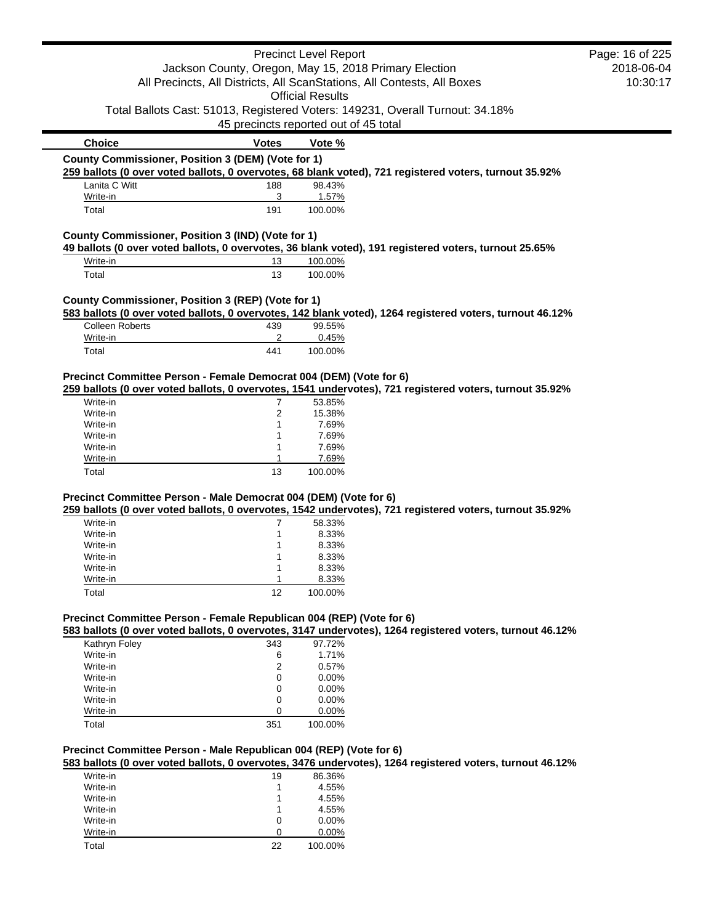|                                                                                                        |              | <b>Precinct Level Report</b>                                                  |                                                                                                          | Page: 16 of 225 |
|--------------------------------------------------------------------------------------------------------|--------------|-------------------------------------------------------------------------------|----------------------------------------------------------------------------------------------------------|-----------------|
|                                                                                                        |              | Jackson County, Oregon, May 15, 2018 Primary Election                         |                                                                                                          | 2018-06-04      |
|                                                                                                        |              | All Precincts, All Districts, All ScanStations, All Contests, All Boxes       |                                                                                                          | 10:30:17        |
|                                                                                                        |              | <b>Official Results</b>                                                       |                                                                                                          |                 |
|                                                                                                        |              | Total Ballots Cast: 51013, Registered Voters: 149231, Overall Turnout: 34.18% |                                                                                                          |                 |
|                                                                                                        |              | 45 precincts reported out of 45 total                                         |                                                                                                          |                 |
| <b>Choice</b>                                                                                          | <b>Votes</b> | Vote %                                                                        |                                                                                                          |                 |
| County Commissioner, Position 3 (DEM) (Vote for 1)                                                     |              |                                                                               |                                                                                                          |                 |
| 259 ballots (0 over voted ballots, 0 overvotes, 68 blank voted), 721 registered voters, turnout 35.92% |              |                                                                               |                                                                                                          |                 |
| Lanita C Witt                                                                                          | 188          | 98.43%                                                                        |                                                                                                          |                 |
| Write-in                                                                                               | 3            | 1.57%                                                                         |                                                                                                          |                 |
| Total                                                                                                  | 191          | 100.00%                                                                       |                                                                                                          |                 |
| County Commissioner, Position 3 (IND) (Vote for 1)                                                     |              |                                                                               |                                                                                                          |                 |
| 49 ballots (0 over voted ballots, 0 overvotes, 36 blank voted), 191 registered voters, turnout 25.65%  |              |                                                                               |                                                                                                          |                 |
| Write-in                                                                                               | 13           | 100.00%                                                                       |                                                                                                          |                 |
| Total                                                                                                  | 13           | 100.00%                                                                       |                                                                                                          |                 |
| County Commissioner, Position 3 (REP) (Vote for 1)                                                     |              |                                                                               |                                                                                                          |                 |
| <b>Colleen Roberts</b>                                                                                 | 439          | 99.55%                                                                        | 583 ballots (0 over voted ballots, 0 overvotes, 142 blank voted), 1264 registered voters, turnout 46.12% |                 |
| Write-in                                                                                               | 2            | 0.45%                                                                         |                                                                                                          |                 |
| Total                                                                                                  | 441          | 100.00%                                                                       |                                                                                                          |                 |
|                                                                                                        |              |                                                                               |                                                                                                          |                 |
| Precinct Committee Person - Female Democrat 004 (DEM) (Vote for 6)                                     |              |                                                                               |                                                                                                          |                 |
| Write-in                                                                                               |              |                                                                               | 259 ballots (0 over voted ballots, 0 overvotes, 1541 undervotes), 721 registered voters, turnout 35.92%  |                 |
| Write-in                                                                                               | 7<br>2       | 53.85%<br>15.38%                                                              |                                                                                                          |                 |
| Write-in                                                                                               | 1            | 7.69%                                                                         |                                                                                                          |                 |
| Write-in                                                                                               | 1            | 7.69%                                                                         |                                                                                                          |                 |
| Write-in                                                                                               |              | 7.69%                                                                         |                                                                                                          |                 |
| Write-in                                                                                               |              | 7.69%                                                                         |                                                                                                          |                 |
| Total                                                                                                  | 13           | 100.00%                                                                       |                                                                                                          |                 |
|                                                                                                        |              |                                                                               |                                                                                                          |                 |
| Precinct Committee Person - Male Democrat 004 (DEM) (Vote for 6)                                       |              |                                                                               | 259 ballots (0 over voted ballots, 0 overvotes, 1542 undervotes), 721 registered voters, turnout 35.92%  |                 |
| Write-in                                                                                               | 7            | 58.33%                                                                        |                                                                                                          |                 |
| Write-in                                                                                               | 1            | 8.33%                                                                         |                                                                                                          |                 |
| Write-in                                                                                               |              | 8.33%                                                                         |                                                                                                          |                 |
| Write-in                                                                                               |              | 8.33%                                                                         |                                                                                                          |                 |
| Write-in                                                                                               |              | 8.33%                                                                         |                                                                                                          |                 |
| Write-in                                                                                               | 1            | 8.33%                                                                         |                                                                                                          |                 |
| Total                                                                                                  | 12           | 100.00%                                                                       |                                                                                                          |                 |
| Precinct Committee Person - Female Republican 004 (REP) (Vote for 6)                                   |              |                                                                               |                                                                                                          |                 |
|                                                                                                        |              |                                                                               | 583 ballots (0 over voted ballots, 0 overvotes, 3147 undervotes), 1264 registered voters, turnout 46.12% |                 |
| Kathryn Foley                                                                                          | 343          | 97.72%                                                                        |                                                                                                          |                 |
| Write-in                                                                                               | 6            | 1.71%                                                                         |                                                                                                          |                 |
| Write-in                                                                                               | 2            | 0.57%                                                                         |                                                                                                          |                 |
| Write-in                                                                                               | 0            | $0.00\%$                                                                      |                                                                                                          |                 |
| Write-in                                                                                               | 0            | 0.00%                                                                         |                                                                                                          |                 |
| Write-in                                                                                               | 0            | 0.00%                                                                         |                                                                                                          |                 |
| Write-in                                                                                               | 0            | 0.00%                                                                         |                                                                                                          |                 |
| Total                                                                                                  | 351          | 100.00%                                                                       |                                                                                                          |                 |
|                                                                                                        |              |                                                                               |                                                                                                          |                 |
| Precinct Committee Person - Male Republican 004 (REP) (Vote for 6)                                     |              |                                                                               | 583 ballots (0 over voted ballots, 0 overvotes, 3476 undervotes), 1264 registered voters, turnout 46.12% |                 |
| Write-in                                                                                               | 19           | 86.36%                                                                        |                                                                                                          |                 |
| Write-in                                                                                               | 1            | 4.55%                                                                         |                                                                                                          |                 |
| Write-in                                                                                               | 1            | 4.55%                                                                         |                                                                                                          |                 |
| Write-in                                                                                               | 1            | 4.55%                                                                         |                                                                                                          |                 |
| Write-in                                                                                               | 0            | $0.00\%$                                                                      |                                                                                                          |                 |
|                                                                                                        |              |                                                                               |                                                                                                          |                 |

Write-in 0 0.00% Total 22 100.00%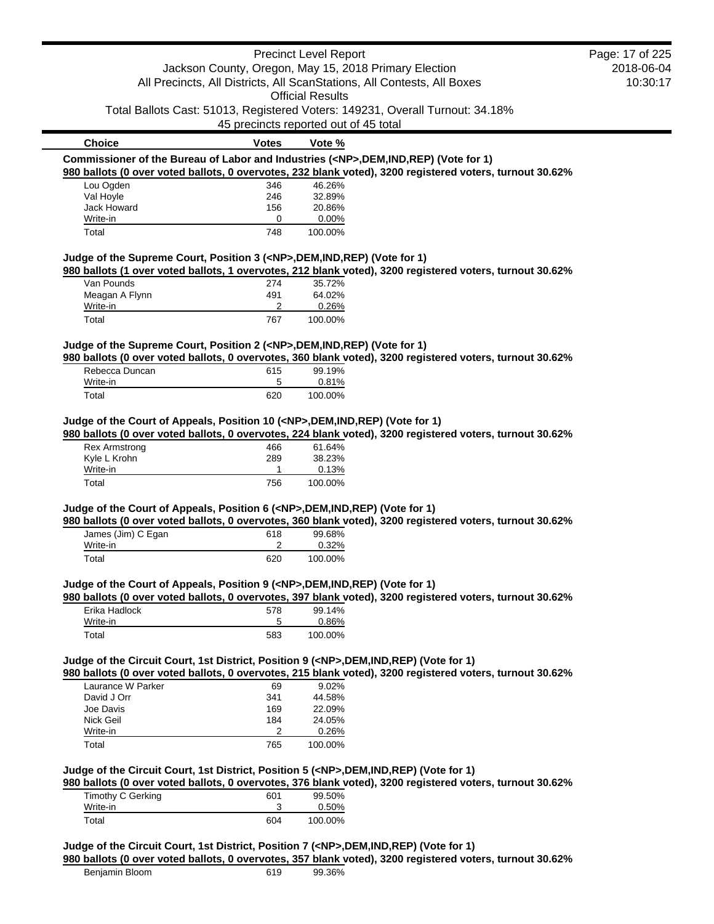|                                                                                            |                | <b>Precinct Level Report</b>          |                                                                                                          | Page: 17 of 225 |
|--------------------------------------------------------------------------------------------|----------------|---------------------------------------|----------------------------------------------------------------------------------------------------------|-----------------|
|                                                                                            |                |                                       | Jackson County, Oregon, May 15, 2018 Primary Election                                                    | 2018-06-04      |
|                                                                                            |                |                                       | All Precincts, All Districts, All ScanStations, All Contests, All Boxes                                  | 10:30:17        |
|                                                                                            |                | <b>Official Results</b>               |                                                                                                          |                 |
|                                                                                            |                |                                       | Total Ballots Cast: 51013, Registered Voters: 149231, Overall Turnout: 34.18%                            |                 |
|                                                                                            |                | 45 precincts reported out of 45 total |                                                                                                          |                 |
| <b>Choice</b>                                                                              | <b>Votes</b>   | Vote %                                |                                                                                                          |                 |
| Commissioner of the Bureau of Labor and Industries ( <np>,DEM,IND,REP) (Vote for 1)</np>   |                |                                       |                                                                                                          |                 |
|                                                                                            |                |                                       | 980 ballots (0 over voted ballots, 0 overvotes, 232 blank voted), 3200 registered voters, turnout 30.62% |                 |
| Lou Ogden                                                                                  | 346            | 46.26%                                |                                                                                                          |                 |
| Val Hoyle                                                                                  | 246            | 32.89%                                |                                                                                                          |                 |
| Jack Howard                                                                                | 156            | 20.86%                                |                                                                                                          |                 |
| Write-in<br>Total                                                                          | 0<br>748       | 0.00%<br>100.00%                      |                                                                                                          |                 |
|                                                                                            |                |                                       |                                                                                                          |                 |
| Judge of the Supreme Court, Position 3 ( <np>,DEM,IND,REP) (Vote for 1)</np>               |                |                                       |                                                                                                          |                 |
| Van Pounds                                                                                 | 274            | 35.72%                                | 980 ballots (1 over voted ballots, 1 overvotes, 212 blank voted), 3200 registered voters, turnout 30.62% |                 |
| Meagan A Flynn                                                                             | 491            | 64.02%                                |                                                                                                          |                 |
| Write-in                                                                                   | 2              | 0.26%                                 |                                                                                                          |                 |
| Total                                                                                      | 767            | 100.00%                               |                                                                                                          |                 |
|                                                                                            |                |                                       |                                                                                                          |                 |
| Judge of the Supreme Court, Position 2 ( <np>,DEM,IND,REP) (Vote for 1)</np>               |                |                                       | 980 ballots (0 over voted ballots, 0 overvotes, 360 blank voted), 3200 registered voters, turnout 30.62% |                 |
| Rebecca Duncan                                                                             | 615            | 99.19%                                |                                                                                                          |                 |
| Write-in                                                                                   | 5              | 0.81%                                 |                                                                                                          |                 |
| Total                                                                                      | 620            | 100.00%                               |                                                                                                          |                 |
|                                                                                            |                |                                       |                                                                                                          |                 |
| Judge of the Court of Appeals, Position 10 ( <np>,DEM,IND,REP) (Vote for 1)</np>           |                |                                       | 980 ballots (0 over voted ballots, 0 overvotes, 224 blank voted), 3200 registered voters, turnout 30.62% |                 |
| <b>Rex Armstrong</b>                                                                       | 466            | 61.64%                                |                                                                                                          |                 |
| Kyle L Krohn                                                                               | 289            | 38.23%                                |                                                                                                          |                 |
| Write-in                                                                                   | $\mathbf{1}$   | 0.13%                                 |                                                                                                          |                 |
| Total                                                                                      | 756            | 100.00%                               |                                                                                                          |                 |
|                                                                                            |                |                                       |                                                                                                          |                 |
| Judge of the Court of Appeals, Position 6 ( <np>,DEM,IND,REP) (Vote for 1)</np>            |                |                                       | 980 ballots (0 over voted ballots, 0 overvotes, 360 blank voted), 3200 registered voters, turnout 30.62% |                 |
| James (Jim) C Egan                                                                         | 618            | 99.68%                                |                                                                                                          |                 |
| Write-in                                                                                   | 2              | 0.32%                                 |                                                                                                          |                 |
| Total                                                                                      | 620            | 100.00%                               |                                                                                                          |                 |
| Judge of the Court of Appeals, Position 9 ( <np>,DEM,IND,REP) (Vote for 1)</np>            |                |                                       |                                                                                                          |                 |
|                                                                                            |                |                                       | 980 ballots (0 over voted ballots, 0 overvotes, 397 blank voted), 3200 registered voters, turnout 30.62% |                 |
| Erika Hadlock                                                                              | 578            | 99.14%                                |                                                                                                          |                 |
| Write-in                                                                                   | 5              | 0.86%                                 |                                                                                                          |                 |
| Total                                                                                      | 583            | 100.00%                               |                                                                                                          |                 |
|                                                                                            |                |                                       |                                                                                                          |                 |
| Judge of the Circuit Court, 1st District, Position 9 ( <np>,DEM,IND,REP) (Vote for 1)</np> |                |                                       | 980 ballots (0 over voted ballots, 0 overvotes, 215 blank voted), 3200 registered voters, turnout 30.62% |                 |
| Laurance W Parker                                                                          | 69             | 9.02%                                 |                                                                                                          |                 |
| David J Orr                                                                                | 341            | 44.58%                                |                                                                                                          |                 |
| Joe Davis                                                                                  | 169            | 22.09%                                |                                                                                                          |                 |
| Nick Geil                                                                                  | 184            | 24.05%                                |                                                                                                          |                 |
| Write-in                                                                                   | $\overline{2}$ | 0.26%                                 |                                                                                                          |                 |
| Total                                                                                      | 765            | 100.00%                               |                                                                                                          |                 |
| Judge of the Circuit Court, 1st District, Position 5 ( <np>,DEM,IND,REP) (Vote for 1)</np> |                |                                       |                                                                                                          |                 |
|                                                                                            |                |                                       | 980 ballots (0 over voted ballots, 0 overvotes, 376 blank voted), 3200 registered voters, turnout 30.62% |                 |
| Timothy C Gerking                                                                          | 601            | 99.50%                                |                                                                                                          |                 |
| Write-in                                                                                   | 3              | 0.50%                                 |                                                                                                          |                 |
| Total                                                                                      | 604            | 100.00%                               |                                                                                                          |                 |
| Judge of the Circuit Court, 1st District, Position 7 ( <np>,DEM,IND,REP) (Vote for 1)</np> |                |                                       |                                                                                                          |                 |
|                                                                                            |                |                                       | 980 ballots (0 over voted ballots, 0 overvotes, 357 blank voted), 3200 registered voters, turnout 30.62% |                 |
| Benjamin Bloom                                                                             | 619            | 99.36%                                |                                                                                                          |                 |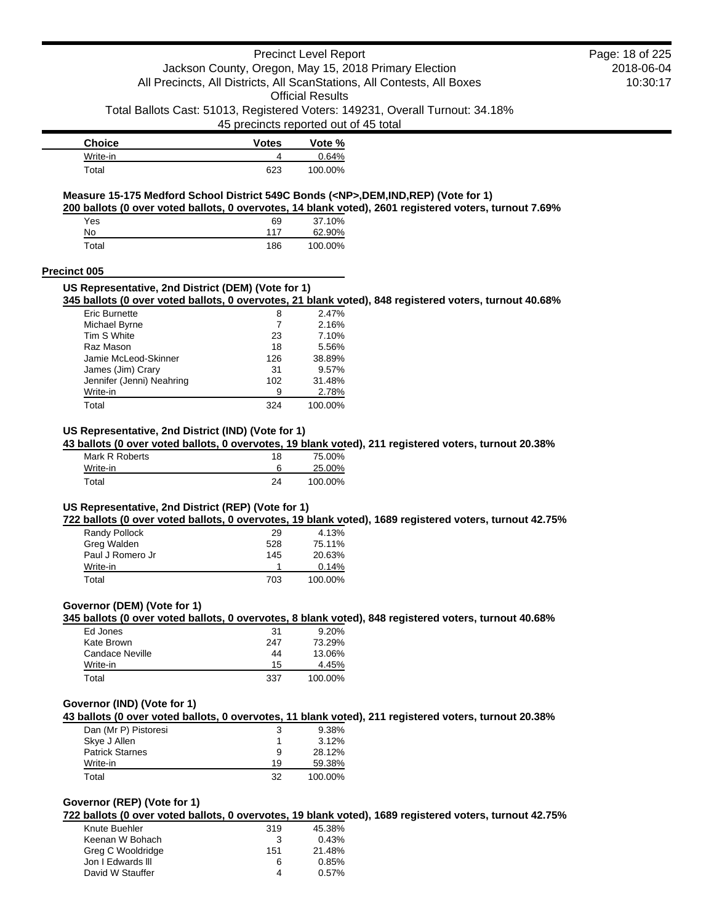### Precinct Level Report Jackson County, Oregon, May 15, 2018 Primary Election All Precincts, All Districts, All ScanStations, All Contests, All Boxes

Official Results

Total Ballots Cast: 51013, Registered Voters: 149231, Overall Turnout: 34.18%

45 precincts reported out of 45 total

| Choice   | Votes | Vote %  |
|----------|-------|---------|
| Write-in |       | በ 64%   |
| Total    | 623   | 100.00% |

### **Measure 15-175 Medford School District 549C Bonds (<NP>,DEM,IND,REP) (Vote for 1)**

**200 ballots (0 over voted ballots, 0 overvotes, 14 blank voted), 2601 registered voters, turnout 7.69%**

| Yes   | 69  | 37.10%  |
|-------|-----|---------|
| No    | 117 | 62.90%  |
| Total | 186 | 100.00% |

#### **Precinct 005**

#### **US Representative, 2nd District (DEM) (Vote for 1) 345 ballots (0 over voted ballots, 0 overvotes, 21 blank voted), 848 registered voters, turnout 40.68%** Eric Burnette 8 2.47%

| ________                  |     | -----   |
|---------------------------|-----|---------|
| Michael Byrne             | 7   | 2.16%   |
| Tim S White               | 23  | 7.10%   |
| Raz Mason                 | 18  | 5.56%   |
| Jamie McLeod-Skinner      | 126 | 38.89%  |
| James (Jim) Crary         | 31  | 9.57%   |
| Jennifer (Jenni) Neahring | 102 | 31.48%  |
| Write-in                  | 9   | 2.78%   |
| Total                     | 324 | 100.00% |

### **US Representative, 2nd District (IND) (Vote for 1)**

**43 ballots (0 over voted ballots, 0 overvotes, 19 blank voted), 211 registered voters, turnout 20.38%**

| Mark R Roberts | 18 | 75.00%  |
|----------------|----|---------|
| Write-in       |    | 25.00%  |
| Total          | 24 | 100.00% |

### **US Representative, 2nd District (REP) (Vote for 1)**

**722 ballots (0 over voted ballots, 0 overvotes, 19 blank voted), 1689 registered voters, turnout 42.75%**

| Randy Pollock    | 29  | 4.13%   |
|------------------|-----|---------|
| Greg Walden      | 528 | 75.11%  |
| Paul J Romero Jr | 145 | 20.63%  |
| Write-in         |     | 0.14%   |
| Total            | 703 | 100.00% |

#### **Governor (DEM) (Vote for 1)**

**345 ballots (0 over voted ballots, 0 overvotes, 8 blank voted), 848 registered voters, turnout 40.68%**

| Ed Jones        | -31 | 9.20%   |
|-----------------|-----|---------|
| Kate Brown      | 247 | 73.29%  |
| Candace Neville | 44  | 13.06%  |
| Write-in        | 15  | 4.45%   |
| Total           | 337 | 100.00% |

#### **Governor (IND) (Vote for 1)**

**43 ballots (0 over voted ballots, 0 overvotes, 11 blank voted), 211 registered voters, turnout 20.38%**

| Dan (Mr P) Pistoresi   | 3  | 9.38%   |
|------------------------|----|---------|
| Skye J Allen           |    | 3.12%   |
| <b>Patrick Starnes</b> | 9  | 28.12%  |
| Write-in               | 19 | 59.38%  |
| Total                  | 32 | 100.00% |

### **Governor (REP) (Vote for 1)**

**722 ballots (0 over voted ballots, 0 overvotes, 19 blank voted), 1689 registered voters, turnout 42.75%**

| Knute Buehler     | 319 | 45.38% |
|-------------------|-----|--------|
| Keenan W Bohach   | 3   | 0.43%  |
| Greg C Wooldridge | 151 | 21.48% |
| Jon I Edwards III | 6   | 0.85%  |
| David W Stauffer  | 4   | 0.57%  |
|                   |     |        |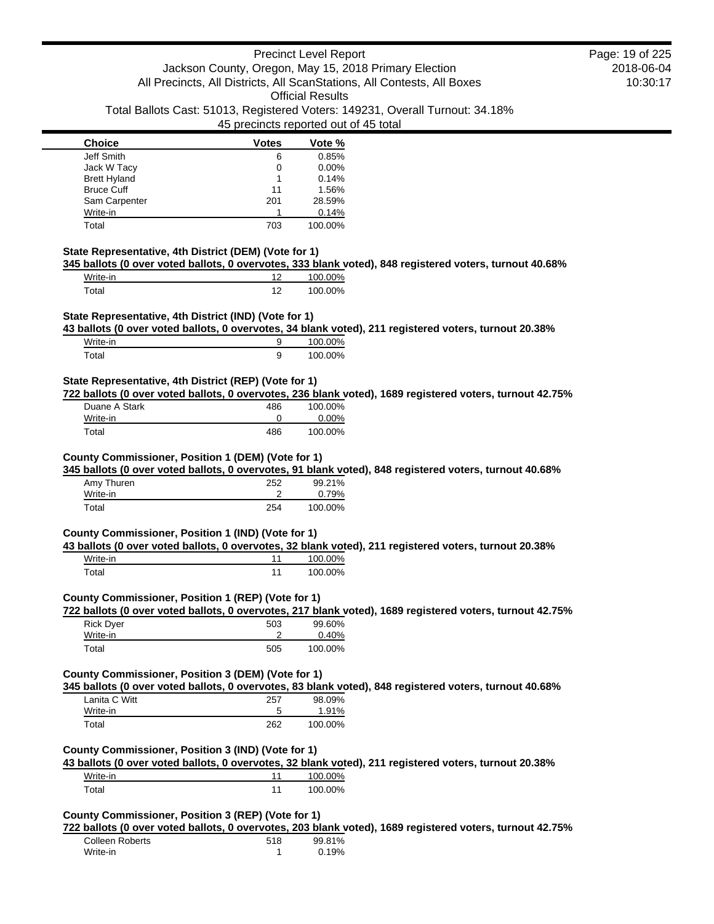| <b>Choice</b>       | <b>Votes</b> | Vote %  |
|---------------------|--------------|---------|
| Jeff Smith          | 6            | 0.85%   |
| Jack W Tacy         | 0            | 0.00%   |
| <b>Brett Hyland</b> |              | 0.14%   |
| <b>Bruce Cuff</b>   | 11           | 1.56%   |
| Sam Carpenter       | 201          | 28.59%  |
| Write-in            |              | 0.14%   |
| Total               | 703          | 100.00% |

### **State Representative, 4th District (DEM) (Vote for 1)**

**345 ballots (0 over voted ballots, 0 overvotes, 333 blank voted), 848 registered voters, turnout 40.68%**

| Write-in    | 10 | 100.00% |
|-------------|----|---------|
| $\tau$ otal | ィっ | 100.00% |

### **State Representative, 4th District (IND) (Vote for 1)**

**43 ballots (0 over voted ballots, 0 overvotes, 34 blank voted), 211 registered voters, turnout 20.38%**

| Write-in | 100.00% |
|----------|---------|
| Total    | 100.00% |

#### **State Representative, 4th District (REP) (Vote for 1)**

**722 ballots (0 over voted ballots, 0 overvotes, 236 blank voted), 1689 registered voters, turnout 42.75%**

| Duane A Stark | 486 | 100.00%  |
|---------------|-----|----------|
| Write-in      |     | $0.00\%$ |
| Total         | 486 | 100.00%  |

#### **County Commissioner, Position 1 (DEM) (Vote for 1)**

**345 ballots (0 over voted ballots, 0 overvotes, 91 blank voted), 848 registered voters, turnout 40.68%**

| Amy Thuren | 252 | 99.21%  |
|------------|-----|---------|
| Write-in   |     | 0.79%   |
| Total      | 254 | 100.00% |

#### **County Commissioner, Position 1 (IND) (Vote for 1)**

**43 ballots (0 over voted ballots, 0 overvotes, 32 blank voted), 211 registered voters, turnout 20.38%**

| Write-in | 100.00% |
|----------|---------|
| Total    | 100.00% |

#### **County Commissioner, Position 1 (REP) (Vote for 1)**

**722 ballots (0 over voted ballots, 0 overvotes, 217 blank voted), 1689 registered voters, turnout 42.75%**

| Rick Dyer | 503 | 99.60%  |
|-----------|-----|---------|
| Write-in  |     | 0.40%   |
| Total     | 505 | 100.00% |

#### **County Commissioner, Position 3 (DEM) (Vote for 1)**

**345 ballots (0 over voted ballots, 0 overvotes, 83 blank voted), 848 registered voters, turnout 40.68%**

| Lanita C Witt | 257 | 98.09%  |
|---------------|-----|---------|
| Write-in      | 5   | 1.91%   |
| Total         | 262 | 100.00% |

### **County Commissioner, Position 3 (IND) (Vote for 1)**

**43 ballots (0 over voted ballots, 0 overvotes, 32 blank voted), 211 registered voters, turnout 20.38%**

| Write-in | 100.00% |
|----------|---------|
| Total    | 100.00% |

### **County Commissioner, Position 3 (REP) (Vote for 1)**

**722 ballots (0 over voted ballots, 0 overvotes, 203 blank voted), 1689 registered voters, turnout 42.75%**

| Colleen Roberts | 518 | 99.81% |
|-----------------|-----|--------|
| Write-in        |     | 0.19%  |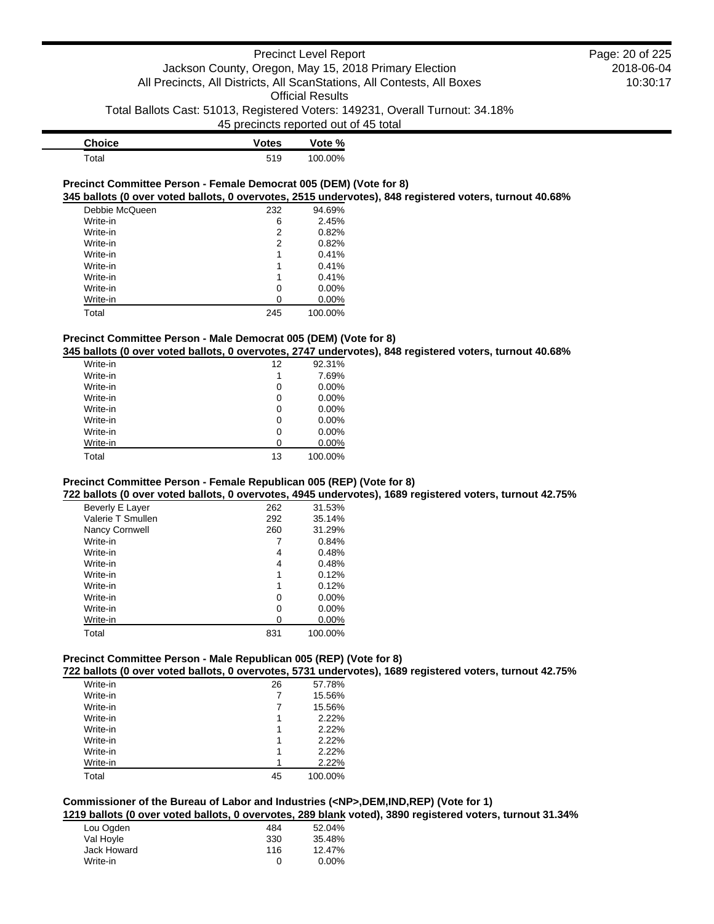| <b>Choice</b> | <b>Votes</b> | Vote %  |
|---------------|--------------|---------|
| $\tau$ otal   | 519          | 100.00% |

#### **Precinct Committee Person - Female Democrat 005 (DEM) (Vote for 8) 345 ballots (0 over voted ballots, 0 overvotes, 2515 undervotes), 848 registered voters, turnout 40.68%**

| Debbie McQueen | 232 | 94.69%   |
|----------------|-----|----------|
| Write-in       | 6   | 2.45%    |
| Write-in       | 2   | 0.82%    |
| Write-in       | 2   | 0.82%    |
| Write-in       | 1   | 0.41%    |
| Write-in       |     | 0.41%    |
| Write-in       | 1   | 0.41%    |
| Write-in       | 0   | $0.00\%$ |
| Write-in       | O   | 0.00%    |
| Total          | 245 | 100.00%  |

#### **Precinct Committee Person - Male Democrat 005 (DEM) (Vote for 8)**

**345 ballots (0 over voted ballots, 0 overvotes, 2747 undervotes), 848 registered voters, turnout 40.68%**

| Write-in | 12 | 92.31%   |
|----------|----|----------|
| Write-in | 1  | 7.69%    |
| Write-in | 0  | 0.00%    |
| Write-in | 0  | $0.00\%$ |
| Write-in | 0  | $0.00\%$ |
| Write-in | 0  | 0.00%    |
| Write-in | 0  | $0.00\%$ |
| Write-in | 0  | 0.00%    |
| Total    | 13 | 100.00%  |

### **Precinct Committee Person - Female Republican 005 (REP) (Vote for 8)**

### **722 ballots (0 over voted ballots, 0 overvotes, 4945 undervotes), 1689 registered voters, turnout 42.75%**

| Beverly E Layer   | 262 | 31.53%   |
|-------------------|-----|----------|
| Valerie T Smullen | 292 | 35.14%   |
| Nancy Cornwell    | 260 | 31.29%   |
| Write-in          |     | 0.84%    |
| Write-in          | 4   | 0.48%    |
| Write-in          | 4   | 0.48%    |
| Write-in          | 1   | 0.12%    |
| Write-in          | 1   | 0.12%    |
| Write-in          | 0   | $0.00\%$ |
| Write-in          | 0   | $0.00\%$ |
| Write-in          | 0   | $0.00\%$ |
| Total             | 831 | 100.00%  |

### **Precinct Committee Person - Male Republican 005 (REP) (Vote for 8)**

**722 ballots (0 over voted ballots, 0 overvotes, 5731 undervotes), 1689 registered voters, turnout 42.75%**

| Write-in | 26 | 57.78%  |
|----------|----|---------|
| Write-in | 7  | 15.56%  |
| Write-in | 7  | 15.56%  |
| Write-in | 1  | 2.22%   |
| Write-in | 1  | 2.22%   |
| Write-in | 1  | 2.22%   |
| Write-in | 1  | 2.22%   |
| Write-in | 1  | 2.22%   |
| Total    | 45 | 100.00% |

#### **Commissioner of the Bureau of Labor and Industries (<NP>,DEM,IND,REP) (Vote for 1) 1219 ballots (0 over voted ballots, 0 overvotes, 289 blank voted), 3890 registered voters, turnout 31.34%**

| Lou Ogden   | 484 | 52.04%   |
|-------------|-----|----------|
| Val Hoyle   | 330 | 35.48%   |
| Jack Howard | 116 | 12.47%   |
| Write-in    | O   | $0.00\%$ |

2018-06-04 10:30:17 Page: 20 of 225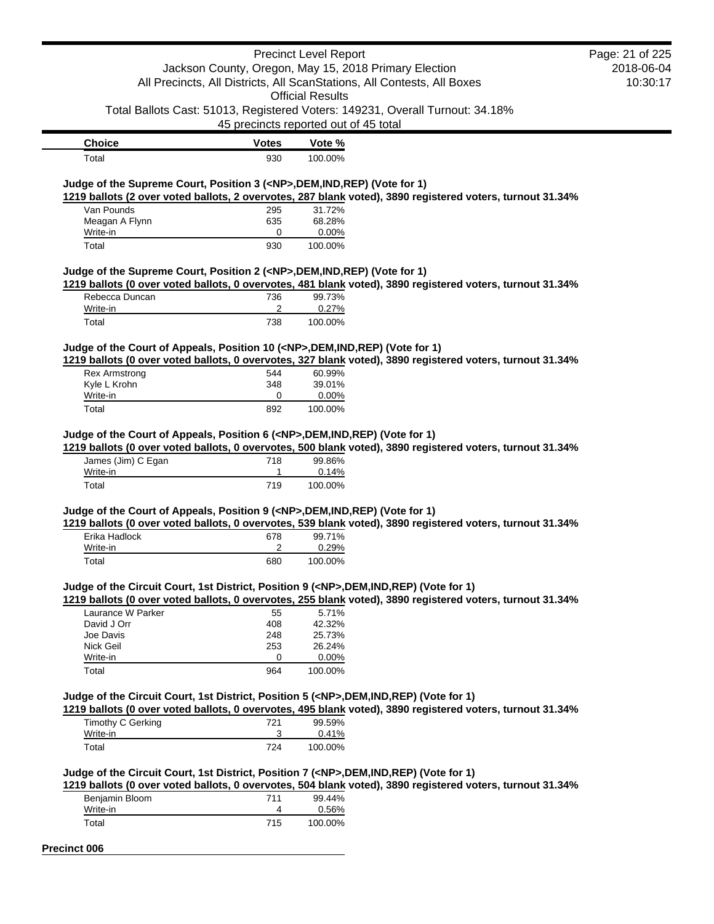|                                                                                            |                                                       | <b>Precinct Level Report</b> |                                                                                                           | Page: 21 of 225 |
|--------------------------------------------------------------------------------------------|-------------------------------------------------------|------------------------------|-----------------------------------------------------------------------------------------------------------|-----------------|
|                                                                                            | Jackson County, Oregon, May 15, 2018 Primary Election |                              |                                                                                                           | 2018-06-04      |
|                                                                                            |                                                       |                              | All Precincts, All Districts, All ScanStations, All Contests, All Boxes                                   | 10:30:17        |
|                                                                                            |                                                       | <b>Official Results</b>      |                                                                                                           |                 |
|                                                                                            |                                                       |                              | Total Ballots Cast: 51013, Registered Voters: 149231, Overall Turnout: 34.18%                             |                 |
|                                                                                            |                                                       |                              |                                                                                                           |                 |
|                                                                                            | 45 precincts reported out of 45 total                 |                              |                                                                                                           |                 |
| <b>Choice</b>                                                                              | <b>Votes</b>                                          | Vote %                       |                                                                                                           |                 |
| Total                                                                                      | 930                                                   | 100.00%                      |                                                                                                           |                 |
|                                                                                            |                                                       |                              |                                                                                                           |                 |
| Judge of the Supreme Court, Position 3 ( <np>,DEM,IND,REP) (Vote for 1)</np>               |                                                       |                              |                                                                                                           |                 |
| Van Pounds                                                                                 |                                                       | 31.72%                       | 1219 ballots (2 over voted ballots, 2 overvotes, 287 blank voted), 3890 registered voters, turnout 31.34% |                 |
|                                                                                            | 295                                                   | 68.28%                       |                                                                                                           |                 |
| Meagan A Flynn<br>Write-in                                                                 | 635<br>0                                              | 0.00%                        |                                                                                                           |                 |
| Total                                                                                      | 930                                                   | 100.00%                      |                                                                                                           |                 |
|                                                                                            |                                                       |                              |                                                                                                           |                 |
| Judge of the Supreme Court, Position 2 ( <np>,DEM,IND,REP) (Vote for 1)</np>               |                                                       |                              |                                                                                                           |                 |
|                                                                                            |                                                       |                              | 1219 ballots (0 over voted ballots, 0 overvotes, 481 blank voted), 3890 registered voters, turnout 31.34% |                 |
| Rebecca Duncan                                                                             | 736                                                   | 99.73%                       |                                                                                                           |                 |
| Write-in                                                                                   | 2                                                     | 0.27%                        |                                                                                                           |                 |
| Total                                                                                      | 738                                                   | 100.00%                      |                                                                                                           |                 |
|                                                                                            |                                                       |                              |                                                                                                           |                 |
| Judge of the Court of Appeals, Position 10 ( <np>,DEM,IND,REP) (Vote for 1)</np>           |                                                       |                              |                                                                                                           |                 |
|                                                                                            |                                                       |                              | 1219 ballots (0 over voted ballots, 0 overvotes, 327 blank voted), 3890 registered voters, turnout 31.34% |                 |
| <b>Rex Armstrong</b>                                                                       | 544                                                   | 60.99%                       |                                                                                                           |                 |
| Kyle L Krohn                                                                               | 348                                                   | 39.01%                       |                                                                                                           |                 |
| Write-in                                                                                   | 0                                                     | 0.00%                        |                                                                                                           |                 |
| Total                                                                                      | 892                                                   | 100.00%                      |                                                                                                           |                 |
| Judge of the Court of Appeals, Position 6 ( <np>,DEM,IND,REP) (Vote for 1)</np>            |                                                       |                              |                                                                                                           |                 |
|                                                                                            |                                                       |                              | 1219 ballots (0 over voted ballots, 0 overvotes, 500 blank voted), 3890 registered voters, turnout 31.34% |                 |
| James (Jim) C Egan                                                                         | 718                                                   | 99.86%                       |                                                                                                           |                 |
| Write-in                                                                                   | 1<br>719                                              | 0.14%                        |                                                                                                           |                 |
| Total                                                                                      |                                                       | 100.00%                      |                                                                                                           |                 |
| Judge of the Court of Appeals, Position 9 ( <np>,DEM,IND,REP) (Vote for 1)</np>            |                                                       |                              |                                                                                                           |                 |
|                                                                                            |                                                       |                              | 1219 ballots (0 over voted ballots, 0 overvotes, 539 blank voted), 3890 registered voters, turnout 31.34% |                 |
| Erika Hadlock                                                                              | 678                                                   | 99.71%                       |                                                                                                           |                 |
| Write-in                                                                                   | 2                                                     | 0.29%                        |                                                                                                           |                 |
| Total                                                                                      | 680                                                   | 100.00%                      |                                                                                                           |                 |
|                                                                                            |                                                       |                              |                                                                                                           |                 |
| Judge of the Circuit Court, 1st District, Position 9 ( <np>,DEM,IND,REP) (Vote for 1)</np> |                                                       |                              |                                                                                                           |                 |
|                                                                                            |                                                       |                              | 1219 ballots (0 over voted ballots, 0 overvotes, 255 blank voted), 3890 registered voters, turnout 31.34% |                 |
| Laurance W Parker                                                                          | 55                                                    | 5.71%                        |                                                                                                           |                 |
| David J Orr                                                                                | 408                                                   | 42.32%                       |                                                                                                           |                 |
| Joe Davis                                                                                  | 248                                                   | 25.73%                       |                                                                                                           |                 |
| Nick Geil                                                                                  | 253                                                   | 26.24%                       |                                                                                                           |                 |
| Write-in                                                                                   | 0                                                     | 0.00%                        |                                                                                                           |                 |
| Total                                                                                      | 964                                                   | 100.00%                      |                                                                                                           |                 |
|                                                                                            |                                                       |                              |                                                                                                           |                 |
| Judge of the Circuit Court, 1st District, Position 5 ( <np>,DEM,IND,REP) (Vote for 1)</np> |                                                       |                              |                                                                                                           |                 |
|                                                                                            |                                                       |                              | 1219 ballots (0 over voted ballots, 0 overvotes, 495 blank voted), 3890 registered voters, turnout 31.34% |                 |
| <b>Timothy C Gerking</b><br>Write-in                                                       | 721<br>3                                              | 99.59%                       |                                                                                                           |                 |
| Total                                                                                      | 724                                                   | 0.41%<br>100.00%             |                                                                                                           |                 |
|                                                                                            |                                                       |                              |                                                                                                           |                 |
| Judge of the Circuit Court, 1st District, Position 7 ( <np>,DEM,IND,REP) (Vote for 1)</np> |                                                       |                              |                                                                                                           |                 |
|                                                                                            |                                                       |                              | 1219 ballots (0 over voted ballots, 0 overvotes, 504 blank voted), 3890 registered voters, turnout 31.34% |                 |
| Benjamin Bloom                                                                             | 711                                                   | 99.44%                       |                                                                                                           |                 |
| Write-in                                                                                   | 4                                                     | 0.56%                        |                                                                                                           |                 |
| Total                                                                                      | 715                                                   | 100.00%                      |                                                                                                           |                 |
|                                                                                            |                                                       |                              |                                                                                                           |                 |

**Precinct 006**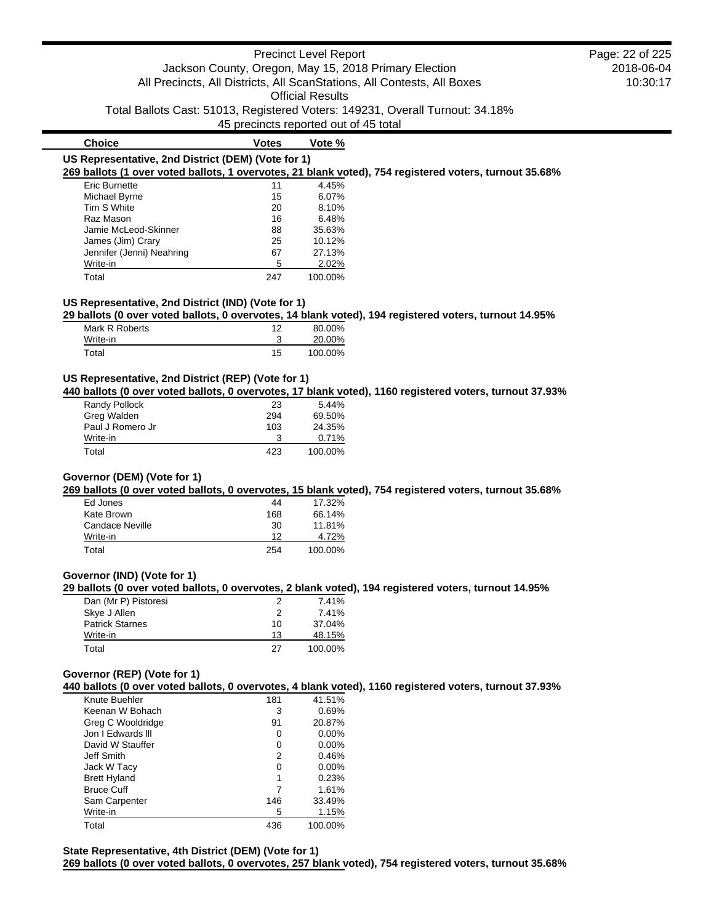### Precinct Level Report Jackson County, Oregon, May 15, 2018 Primary Election All Precincts, All Districts, All ScanStations, All Contests, All Boxes Official Results

Total Ballots Cast: 51013, Registered Voters: 149231, Overall Turnout: 34.18%

45 precincts reported out of 45 total

| <b>Choice</b>                                      | <b>Votes</b> | Vote %  |                                                                                                        |
|----------------------------------------------------|--------------|---------|--------------------------------------------------------------------------------------------------------|
| US Representative, 2nd District (DEM) (Vote for 1) |              |         |                                                                                                        |
|                                                    |              |         | 269 ballots (1 over voted ballots, 1 overvotes, 21 blank voted), 754 registered voters, turnout 35.68% |
| <b>Eric Burnette</b>                               | 11           | 4.45%   |                                                                                                        |
| Michael Byrne                                      | 15           | 6.07%   |                                                                                                        |
| Tim S White                                        | 20           | 8.10%   |                                                                                                        |
| Raz Mason                                          | 16           | 6.48%   |                                                                                                        |
| Jamie McLeod-Skinner                               | 88           | 35.63%  |                                                                                                        |
| James (Jim) Crary                                  | 25           | 10.12%  |                                                                                                        |
| Jennifer (Jenni) Neahring                          | 67           | 27.13%  |                                                                                                        |
| Write-in                                           | 5            | 2.02%   |                                                                                                        |
| Total                                              | 247          | 100.00% |                                                                                                        |

### **US Representative, 2nd District (IND) (Vote for 1)**

**29 ballots (0 over voted ballots, 0 overvotes, 14 blank voted), 194 registered voters, turnout 14.95%**

| Mark R Roberts | ィっ | 80.00%  |
|----------------|----|---------|
| Write-in       |    | 20.00%  |
| Total          | 15 | 100.00% |

#### **US Representative, 2nd District (REP) (Vote for 1)**

**440 ballots (0 over voted ballots, 0 overvotes, 17 blank voted), 1160 registered voters, turnout 37.93%**

| Randy Pollock    | 23  | 5.44%   |
|------------------|-----|---------|
| Greg Walden      | 294 | 69.50%  |
| Paul J Romero Jr | 103 | 24.35%  |
| Write-in         | З   | 0.71%   |
| Total            | 423 | 100.00% |

### **Governor (DEM) (Vote for 1)**

**269 ballots (0 over voted ballots, 0 overvotes, 15 blank voted), 754 registered voters, turnout 35.68%**

| Ed Jones        | 44  | 17.32%  |
|-----------------|-----|---------|
| Kate Brown      | 168 | 66.14%  |
| Candace Neville | 30  | 11.81%  |
| Write-in        | 12  | 4.72%   |
| Total           | 254 | 100.00% |

#### **Governor (IND) (Vote for 1)**

**29 ballots (0 over voted ballots, 0 overvotes, 2 blank voted), 194 registered voters, turnout 14.95%**

| Dan (Mr P) Pistoresi   | 2  | 7.41%   |
|------------------------|----|---------|
| Skye J Allen           | 2  | 7.41%   |
| <b>Patrick Starnes</b> | 10 | 37.04%  |
| Write-in               | 13 | 48.15%  |
| Total                  | 27 | 100.00% |

### **Governor (REP) (Vote for 1)**

**440 ballots (0 over voted ballots, 0 overvotes, 4 blank voted), 1160 registered voters, turnout 37.93%**

| Knute Buehler       | 181 | 41.51%   |
|---------------------|-----|----------|
| Keenan W Bohach     | 3   | 0.69%    |
| Greg C Wooldridge   | 91  | 20.87%   |
| Jon I Edwards III   | 0   | $0.00\%$ |
| David W Stauffer    | 0   | $0.00\%$ |
| Jeff Smith          | 2   | 0.46%    |
| Jack W Tacy         | 0   | $0.00\%$ |
| <b>Brett Hyland</b> | 1   | 0.23%    |
| <b>Bruce Cuff</b>   |     | 1.61%    |
| Sam Carpenter       | 146 | 33.49%   |
| Write-in            | 5   | 1.15%    |
| Total               | 436 | 100.00%  |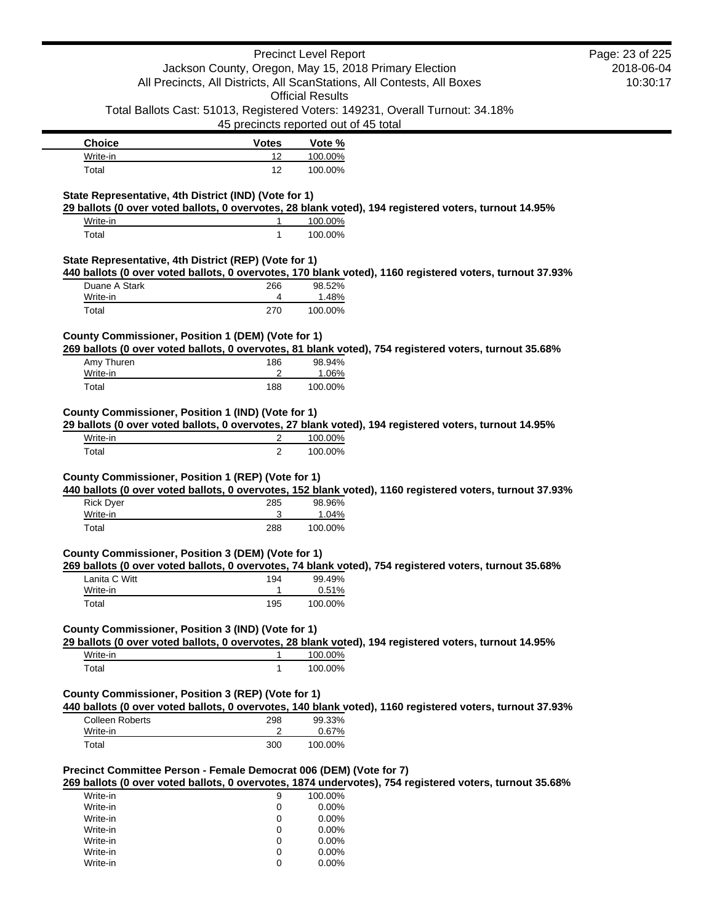|                                                                                                                                                              |                 | <b>Precinct Level Report</b>                                                  |                                                                                                          | Page: 23 of 225 |
|--------------------------------------------------------------------------------------------------------------------------------------------------------------|-----------------|-------------------------------------------------------------------------------|----------------------------------------------------------------------------------------------------------|-----------------|
|                                                                                                                                                              |                 | Jackson County, Oregon, May 15, 2018 Primary Election                         |                                                                                                          | 2018-06-04      |
|                                                                                                                                                              |                 | All Precincts, All Districts, All ScanStations, All Contests, All Boxes       |                                                                                                          | 10:30:17        |
|                                                                                                                                                              |                 | <b>Official Results</b>                                                       |                                                                                                          |                 |
|                                                                                                                                                              |                 | Total Ballots Cast: 51013, Registered Voters: 149231, Overall Turnout: 34.18% |                                                                                                          |                 |
|                                                                                                                                                              |                 | 45 precincts reported out of 45 total                                         |                                                                                                          |                 |
| <b>Choice</b>                                                                                                                                                | <b>Votes</b>    | Vote %                                                                        |                                                                                                          |                 |
| Write-in                                                                                                                                                     | 12              | 100.00%                                                                       |                                                                                                          |                 |
| Total                                                                                                                                                        | 12 <sup>2</sup> | 100.00%                                                                       |                                                                                                          |                 |
|                                                                                                                                                              |                 |                                                                               |                                                                                                          |                 |
| State Representative, 4th District (IND) (Vote for 1)                                                                                                        |                 |                                                                               |                                                                                                          |                 |
| 29 ballots (0 over voted ballots, 0 overvotes, 28 blank voted), 194 registered voters, turnout 14.95%<br>Write-in                                            | 1               |                                                                               |                                                                                                          |                 |
| Total                                                                                                                                                        | $\mathbf{1}$    | 100.00%<br>100.00%                                                            |                                                                                                          |                 |
|                                                                                                                                                              |                 |                                                                               |                                                                                                          |                 |
| State Representative, 4th District (REP) (Vote for 1)                                                                                                        |                 |                                                                               |                                                                                                          |                 |
|                                                                                                                                                              |                 |                                                                               | 440 ballots (0 over voted ballots, 0 overvotes, 170 blank voted), 1160 registered voters, turnout 37.93% |                 |
| Duane A Stark                                                                                                                                                | 266             | 98.52%                                                                        |                                                                                                          |                 |
| Write-in                                                                                                                                                     | 4               | 1.48%                                                                         |                                                                                                          |                 |
| Total                                                                                                                                                        | 270             | 100.00%                                                                       |                                                                                                          |                 |
|                                                                                                                                                              |                 |                                                                               |                                                                                                          |                 |
| County Commissioner, Position 1 (DEM) (Vote for 1)<br>269 ballots (0 over voted ballots, 0 overvotes, 81 blank voted), 754 registered voters, turnout 35.68% |                 |                                                                               |                                                                                                          |                 |
| Amy Thuren                                                                                                                                                   | 186             | 98.94%                                                                        |                                                                                                          |                 |
| Write-in                                                                                                                                                     | 2               | 1.06%                                                                         |                                                                                                          |                 |
| Total                                                                                                                                                        | 188             | 100.00%                                                                       |                                                                                                          |                 |
|                                                                                                                                                              |                 |                                                                               |                                                                                                          |                 |
| County Commissioner, Position 1 (IND) (Vote for 1)                                                                                                           |                 |                                                                               |                                                                                                          |                 |
| 29 ballots (0 over voted ballots, 0 overvotes, 27 blank voted), 194 registered voters, turnout 14.95%                                                        |                 |                                                                               |                                                                                                          |                 |
| Write-in                                                                                                                                                     | 2               | 100.00%                                                                       |                                                                                                          |                 |
| Total                                                                                                                                                        | 2               | 100.00%                                                                       |                                                                                                          |                 |
|                                                                                                                                                              |                 |                                                                               |                                                                                                          |                 |
| County Commissioner, Position 1 (REP) (Vote for 1)                                                                                                           |                 |                                                                               |                                                                                                          |                 |
|                                                                                                                                                              |                 |                                                                               | 440 ballots (0 over voted ballots, 0 overvotes, 152 blank voted), 1160 registered voters, turnout 37.93% |                 |
| <b>Rick Dyer</b>                                                                                                                                             | 285             | 98.96%                                                                        |                                                                                                          |                 |
| Write-in                                                                                                                                                     | 3               | 1.04%                                                                         |                                                                                                          |                 |
| Total                                                                                                                                                        | 288             | 100.00%                                                                       |                                                                                                          |                 |
| County Commissioner, Position 3 (DEM) (Vote for 1)                                                                                                           |                 |                                                                               |                                                                                                          |                 |
| 269 ballots (0 over voted ballots, 0 overvotes, 74 blank voted), 754 registered voters, turnout 35.68%                                                       |                 |                                                                               |                                                                                                          |                 |
| Lanita C Witt                                                                                                                                                | 194             | 99.49%                                                                        |                                                                                                          |                 |
| Write-in                                                                                                                                                     | 1               | 0.51%                                                                         |                                                                                                          |                 |
| Total                                                                                                                                                        | 195             | 100.00%                                                                       |                                                                                                          |                 |
|                                                                                                                                                              |                 |                                                                               |                                                                                                          |                 |
| County Commissioner, Position 3 (IND) (Vote for 1)                                                                                                           |                 |                                                                               |                                                                                                          |                 |
| 29 ballots (0 over voted ballots, 0 overvotes, 28 blank voted), 194 registered voters, turnout 14.95%                                                        |                 |                                                                               |                                                                                                          |                 |
| Write-in                                                                                                                                                     | 1               | 100.00%                                                                       |                                                                                                          |                 |
| Total                                                                                                                                                        | 1               | 100.00%                                                                       |                                                                                                          |                 |
| County Commissioner, Position 3 (REP) (Vote for 1)                                                                                                           |                 |                                                                               |                                                                                                          |                 |
|                                                                                                                                                              |                 |                                                                               | 440 ballots (0 over voted ballots, 0 overvotes, 140 blank voted), 1160 registered voters, turnout 37.93% |                 |
| Colleen Roberts                                                                                                                                              | 298             | 99.33%                                                                        |                                                                                                          |                 |
| Write-in                                                                                                                                                     | 2               | 0.67%                                                                         |                                                                                                          |                 |
| Total                                                                                                                                                        | 300             | 100.00%                                                                       |                                                                                                          |                 |
|                                                                                                                                                              |                 |                                                                               |                                                                                                          |                 |
| Precinct Committee Person - Female Democrat 006 (DEM) (Vote for 7)                                                                                           |                 |                                                                               |                                                                                                          |                 |
|                                                                                                                                                              |                 |                                                                               | 269 ballots (0 over voted ballots, 0 overvotes, 1874 undervotes), 754 registered voters, turnout 35.68%  |                 |
| Write-in                                                                                                                                                     | 9               | 100.00%                                                                       |                                                                                                          |                 |
| Write-in                                                                                                                                                     | 0               | 0.00%                                                                         |                                                                                                          |                 |
| Write-in                                                                                                                                                     | 0               | 0.00%                                                                         |                                                                                                          |                 |
| Write-in                                                                                                                                                     | 0               | 0.00%                                                                         |                                                                                                          |                 |
| Write-in                                                                                                                                                     | 0               | 0.00%                                                                         |                                                                                                          |                 |
| Write-in<br>Write-in                                                                                                                                         | 0<br>0          | 0.00%<br>0.00%                                                                |                                                                                                          |                 |
|                                                                                                                                                              |                 |                                                                               |                                                                                                          |                 |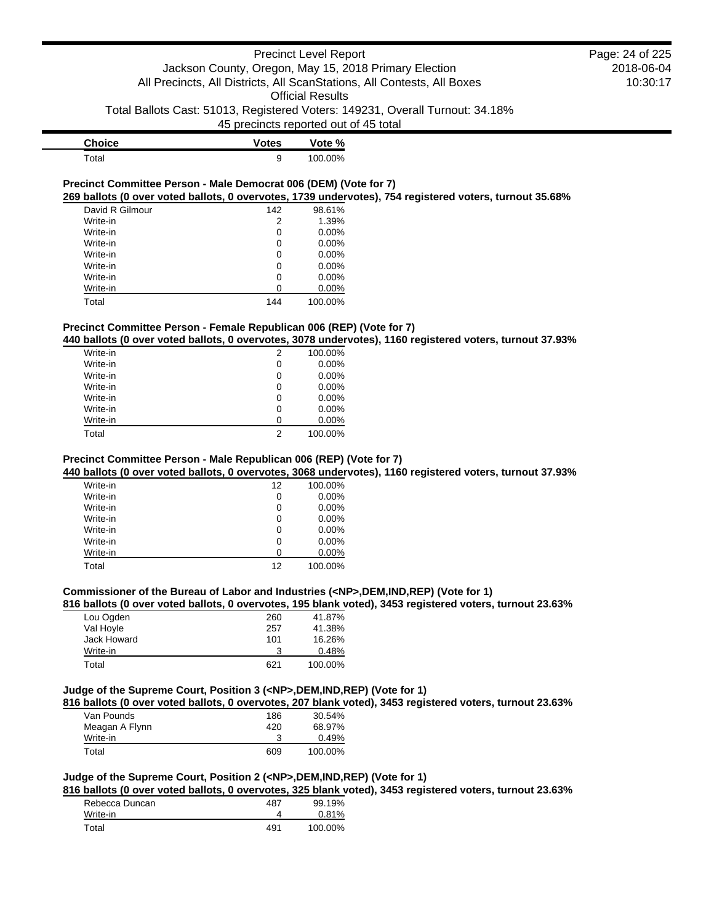| <b>Choice</b> | <b>Votes</b> | Vote %  |
|---------------|--------------|---------|
| $\tau$ otal   |              | 100.00% |

#### **Precinct Committee Person - Male Democrat 006 (DEM) (Vote for 7) 269 ballots (0 over voted ballots, 0 overvotes, 1739 undervotes), 754 registered voters, turnout 35.68%**

| David R Gilmour | 142 | 98.61%   |
|-----------------|-----|----------|
| Write-in        | 2   | 1.39%    |
| Write-in        | 0   | 0.00%    |
| Write-in        | 0   | 0.00%    |
| Write-in        | 0   | 0.00%    |
| Write-in        | 0   | $0.00\%$ |
| Write-in        | 0   | $0.00\%$ |
| Write-in        | ი   | 0.00%    |
| Total           | 144 | 100.00%  |

#### **Precinct Committee Person - Female Republican 006 (REP) (Vote for 7)**

#### **440 ballots (0 over voted ballots, 0 overvotes, 3078 undervotes), 1160 registered voters, turnout 37.93%**

| Write-in | 2 | 100.00% |
|----------|---|---------|
| Write-in | 0 | 0.00%   |
| Write-in | 0 | 0.00%   |
| Write-in | 0 | 0.00%   |
| Write-in | 0 | 0.00%   |
| Write-in | 0 | 0.00%   |
| Write-in | ∩ | 0.00%   |
| Total    | 2 | 100.00% |
|          |   |         |

### **Precinct Committee Person - Male Republican 006 (REP) (Vote for 7)**

#### **440 ballots (0 over voted ballots, 0 overvotes, 3068 undervotes), 1160 registered voters, turnout 37.93%**

| Write-in | 12 | 100.00%  |
|----------|----|----------|
| Write-in | 0  | $0.00\%$ |
| Write-in | 0  | $0.00\%$ |
| Write-in | 0  | $0.00\%$ |
| Write-in | 0  | $0.00\%$ |
| Write-in | 0  | 0.00%    |
| Write-in | ∩  | 0.00%    |
| Total    | 12 | 100.00%  |

#### **Commissioner of the Bureau of Labor and Industries (<NP>,DEM,IND,REP) (Vote for 1)**

#### **816 ballots (0 over voted ballots, 0 overvotes, 195 blank voted), 3453 registered voters, turnout 23.63%**

| Lou Ogden   | 260 | 41.87%  |
|-------------|-----|---------|
| Val Hoyle   | 257 | 41.38%  |
| Jack Howard | 101 | 16.26%  |
| Write-in    | 3   | 0.48%   |
| Total       | 621 | 100.00% |

#### **Judge of the Supreme Court, Position 3 (<NP>,DEM,IND,REP) (Vote for 1)**

**816 ballots (0 over voted ballots, 0 overvotes, 207 blank voted), 3453 registered voters, turnout 23.63%**

| Van Pounds     | 186 | 30.54%  |
|----------------|-----|---------|
| Meagan A Flynn | 420 | 68.97%  |
| Write-in       |     | 0.49%   |
| Total          | 609 | 100.00% |
|                |     |         |

# **Judge of the Supreme Court, Position 2 (<NP>,DEM,IND,REP) (Vote for 1)**

**816 ballots (0 over voted ballots, 0 overvotes, 325 blank voted), 3453 registered voters, turnout 23.63%**

| Rebecca Duncan | 487 | 99.19%  |
|----------------|-----|---------|
| Write-in       |     | 0.81%   |
| Total          | 491 | 100.00% |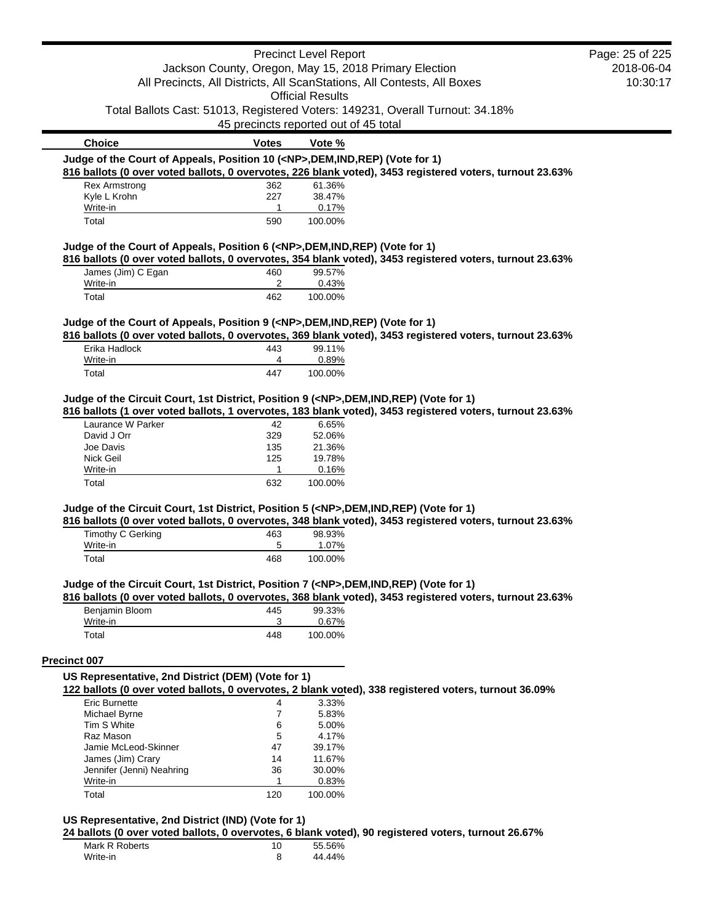|                                                                                                                    |                                       | <b>Precinct Level Report</b> |                                                                                                          | Page: 25 of 225 |
|--------------------------------------------------------------------------------------------------------------------|---------------------------------------|------------------------------|----------------------------------------------------------------------------------------------------------|-----------------|
|                                                                                                                    |                                       |                              | Jackson County, Oregon, May 15, 2018 Primary Election                                                    | 2018-06-04      |
|                                                                                                                    |                                       |                              | All Precincts, All Districts, All ScanStations, All Contests, All Boxes                                  | 10:30:17        |
|                                                                                                                    |                                       | <b>Official Results</b>      |                                                                                                          |                 |
|                                                                                                                    |                                       |                              | Total Ballots Cast: 51013, Registered Voters: 149231, Overall Turnout: 34.18%                            |                 |
|                                                                                                                    | 45 precincts reported out of 45 total |                              |                                                                                                          |                 |
| <b>Choice</b>                                                                                                      | <b>Votes</b>                          |                              |                                                                                                          |                 |
|                                                                                                                    |                                       | Vote %                       |                                                                                                          |                 |
| Judge of the Court of Appeals, Position 10 ( <np>,DEM,IND,REP) (Vote for 1)</np>                                   |                                       |                              |                                                                                                          |                 |
|                                                                                                                    |                                       |                              | 816 ballots (0 over voted ballots, 0 overvotes, 226 blank voted), 3453 registered voters, turnout 23.63% |                 |
| <b>Rex Armstrong</b><br>Kyle L Krohn                                                                               | 362                                   | 61.36%                       |                                                                                                          |                 |
| Write-in                                                                                                           | 227<br>1                              | 38.47%<br>0.17%              |                                                                                                          |                 |
| Total                                                                                                              | 590                                   | 100.00%                      |                                                                                                          |                 |
| Judge of the Court of Appeals, Position 6 ( <np>, DEM, IND, REP) (Vote for 1)</np>                                 |                                       |                              |                                                                                                          |                 |
| James (Jim) C Egan                                                                                                 | 460                                   | 99.57%                       | 816 ballots (0 over voted ballots, 0 overvotes, 354 blank voted), 3453 registered voters, turnout 23.63% |                 |
| Write-in                                                                                                           | 2                                     | 0.43%                        |                                                                                                          |                 |
| Total                                                                                                              | 462                                   | 100.00%                      |                                                                                                          |                 |
|                                                                                                                    |                                       |                              |                                                                                                          |                 |
| Judge of the Court of Appeals, Position 9 ( <np>,DEM,IND,REP) (Vote for 1)</np>                                    |                                       |                              | 816 ballots (0 over voted ballots, 0 overvotes, 369 blank voted), 3453 registered voters, turnout 23.63% |                 |
| Erika Hadlock                                                                                                      | 443                                   | 99.11%                       |                                                                                                          |                 |
| Write-in                                                                                                           | 4                                     | 0.89%                        |                                                                                                          |                 |
| Total                                                                                                              | 447                                   | 100.00%                      |                                                                                                          |                 |
| Judge of the Circuit Court, 1st District, Position 9 ( <np>,DEM,IND,REP) (Vote for 1)<br/>Laurance W Parker</np>   | 42                                    | 6.65%                        | 816 ballots (1 over voted ballots, 1 overvotes, 183 blank voted), 3453 registered voters, turnout 23.63% |                 |
|                                                                                                                    |                                       |                              |                                                                                                          |                 |
| David J Orr                                                                                                        | 329                                   | 52.06%                       |                                                                                                          |                 |
| Joe Davis                                                                                                          | 135                                   | 21.36%                       |                                                                                                          |                 |
| Nick Geil                                                                                                          | 125                                   | 19.78%                       |                                                                                                          |                 |
| Write-in                                                                                                           | $\mathbf{1}$                          | 0.16%                        |                                                                                                          |                 |
| Total                                                                                                              | 632                                   | 100.00%                      |                                                                                                          |                 |
| Judge of the Circuit Court, 1st District, Position 5 ( <np>,DEM,IND,REP) (Vote for 1)</np>                         |                                       |                              |                                                                                                          |                 |
|                                                                                                                    |                                       | 98.93%                       | 816 ballots (0 over voted ballots, 0 overvotes, 348 blank voted), 3453 registered voters, turnout 23.63% |                 |
| Timothy C Gerking<br>Write-in                                                                                      | 463<br>5                              | 1.07%                        |                                                                                                          |                 |
| Total                                                                                                              | 468                                   | 100.00%                      |                                                                                                          |                 |
|                                                                                                                    |                                       |                              | 816 ballots (0 over voted ballots, 0 overvotes, 368 blank voted), 3453 registered voters, turnout 23.63% |                 |
| Beniamin Bloom                                                                                                     | 445                                   | 99.33%                       |                                                                                                          |                 |
| Write-in                                                                                                           | 3                                     | 0.67%                        |                                                                                                          |                 |
| Total                                                                                                              | 448                                   | 100.00%                      |                                                                                                          |                 |
| Judge of the Circuit Court, 1st District, Position 7 ( <np>,DEM,IND,REP) (Vote for 1)<br/><b>Precinct 007</b></np> |                                       |                              |                                                                                                          |                 |
| US Representative, 2nd District (DEM) (Vote for 1)                                                                 |                                       |                              |                                                                                                          |                 |
| <b>Eric Burnette</b>                                                                                               | 4                                     | 3.33%                        | 122 ballots (0 over voted ballots, 0 overvotes, 2 blank voted), 338 registered voters, turnout 36.09%    |                 |
| Michael Byrne                                                                                                      | $\overline{7}$                        | 5.83%                        |                                                                                                          |                 |
| Tim S White                                                                                                        | 6                                     | 5.00%                        |                                                                                                          |                 |
| Raz Mason                                                                                                          | 5                                     | 4.17%                        |                                                                                                          |                 |
| Jamie McLeod-Skinner                                                                                               | 47                                    | 39.17%                       |                                                                                                          |                 |
| James (Jim) Crary                                                                                                  | 14                                    | 11.67%                       |                                                                                                          |                 |
| Jennifer (Jenni) Neahring                                                                                          | 36                                    | 30.00%                       |                                                                                                          |                 |
| Write-in                                                                                                           | 1                                     | 0.83%<br>100.00%             |                                                                                                          |                 |

**US Representative, 2nd District (IND) (Vote for 1)**

**24 ballots (0 over voted ballots, 0 overvotes, 6 blank voted), 90 registered voters, turnout 26.67%**

| Mark R Roberts | 10 | 55.56% |
|----------------|----|--------|
| Write-in       |    | 44.44% |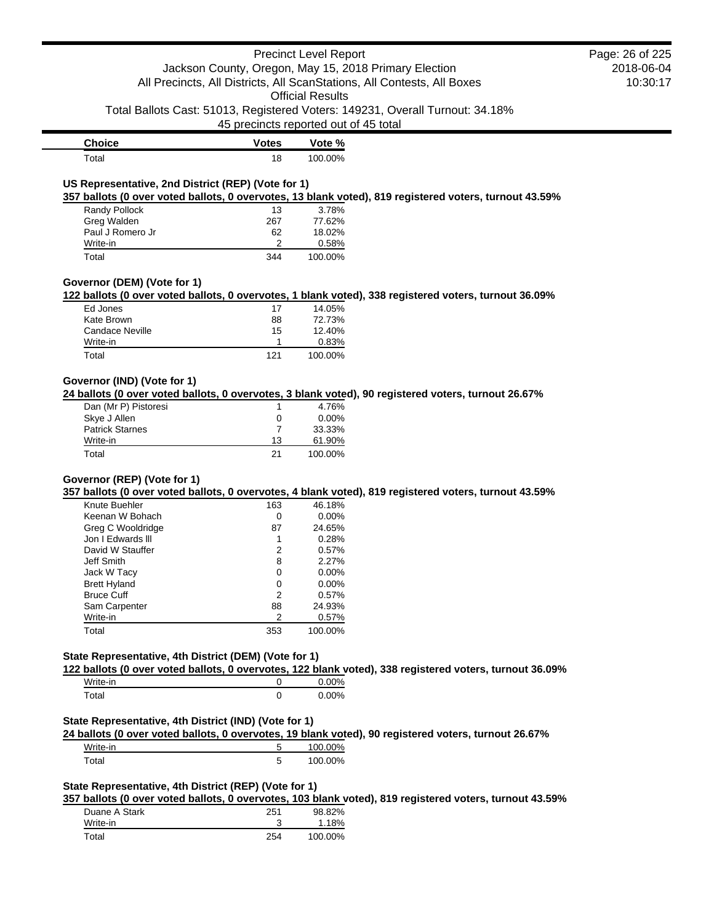# Precinct Level Report Jackson County, Oregon, May 15, 2018 Primary Election All Precincts, All Districts, All ScanStations, All Contests, All Boxes

Official Results

Total Ballots Cast: 51013, Registered Voters: 149231, Overall Turnout: 34.18%

45 precincts reported out of 45 total

| <b>Choice</b> | Votes | Vote %  |
|---------------|-------|---------|
| $\tau$ otal   | 18    | 100.00% |

### **US Representative, 2nd District (REP) (Vote for 1)**

**357 ballots (0 over voted ballots, 0 overvotes, 13 blank voted), 819 registered voters, turnout 43.59%**

| Randy Pollock    | 13  | 3.78%   |
|------------------|-----|---------|
| Greg Walden      | 267 | 77.62%  |
| Paul J Romero Jr | 62  | 18.02%  |
| Write-in         |     | 0.58%   |
| Total            | 344 | 100.00% |

#### **Governor (DEM) (Vote for 1)**

**122 ballots (0 over voted ballots, 0 overvotes, 1 blank voted), 338 registered voters, turnout 36.09%**

| Ed Jones        | 17  | 14.05%  |
|-----------------|-----|---------|
| Kate Brown      | 88  | 72.73%  |
| Candace Neville | 15  | 12.40%  |
| Write-in        |     | 0.83%   |
| Total           | 121 | 100.00% |

### **Governor (IND) (Vote for 1)**

**24 ballots (0 over voted ballots, 0 overvotes, 3 blank voted), 90 registered voters, turnout 26.67%**

| Dan (Mr P) Pistoresi   |    | 4.76%    |
|------------------------|----|----------|
| Skye J Allen           |    | $0.00\%$ |
| <b>Patrick Starnes</b> |    | 33.33%   |
| Write-in               | 13 | 61.90%   |
| Total                  | 21 | 100.00%  |

### **Governor (REP) (Vote for 1)**

**357 ballots (0 over voted ballots, 0 overvotes, 4 blank voted), 819 registered voters, turnout 43.59%**

| 163 | 46.18%   |
|-----|----------|
| 0   | $0.00\%$ |
| 87  | 24.65%   |
| 1   | 0.28%    |
| 2   | 0.57%    |
| 8   | 2.27%    |
| 0   | $0.00\%$ |
| 0   | $0.00\%$ |
| 2   | 0.57%    |
| 88  | 24.93%   |
| 2   | 0.57%    |
| 353 | 100.00%  |
|     |          |

### **State Representative, 4th District (DEM) (Vote for 1)**

**122 ballots (0 over voted ballots, 0 overvotes, 122 blank voted), 338 registered voters, turnout 36.09%**

| Write-in | 0.00% |
|----------|-------|
| Total    | 0.00% |

#### **State Representative, 4th District (IND) (Vote for 1)**

**24 ballots (0 over voted ballots, 0 overvotes, 19 blank voted), 90 registered voters, turnout 26.67%**

| Write-in | 100.00% |
|----------|---------|
| Total    | 100.00% |

### **State Representative, 4th District (REP) (Vote for 1)**

**357 ballots (0 over voted ballots, 0 overvotes, 103 blank voted), 819 registered voters, turnout 43.59%**

| Duane A Stark | 251 | 98.82%   |
|---------------|-----|----------|
| Write-in      |     | $1.18\%$ |
| Total         | 254 | 100.00%  |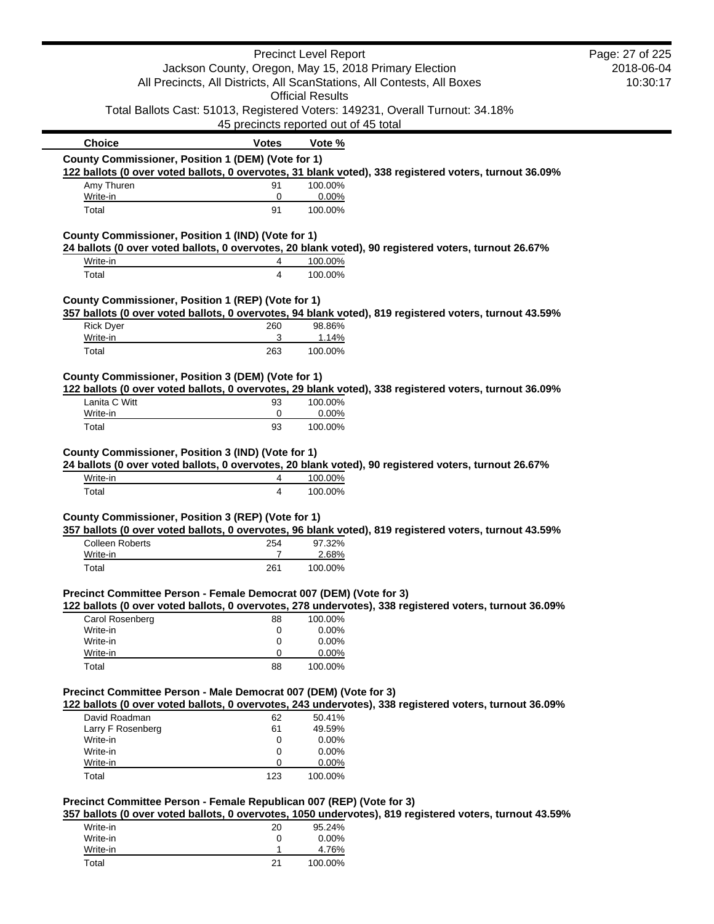|                                                                      |                                       | <b>Precinct Level Report</b> |                                                                                                         | Page: 27 of 225 |
|----------------------------------------------------------------------|---------------------------------------|------------------------------|---------------------------------------------------------------------------------------------------------|-----------------|
|                                                                      |                                       |                              | Jackson County, Oregon, May 15, 2018 Primary Election                                                   | 2018-06-04      |
|                                                                      |                                       |                              | All Precincts, All Districts, All ScanStations, All Contests, All Boxes                                 | 10:30:17        |
|                                                                      |                                       | <b>Official Results</b>      |                                                                                                         |                 |
|                                                                      |                                       |                              | Total Ballots Cast: 51013, Registered Voters: 149231, Overall Turnout: 34.18%                           |                 |
|                                                                      | 45 precincts reported out of 45 total |                              |                                                                                                         |                 |
| <b>Choice</b>                                                        | <b>Votes</b>                          | Vote %                       |                                                                                                         |                 |
| County Commissioner, Position 1 (DEM) (Vote for 1)                   |                                       |                              |                                                                                                         |                 |
|                                                                      |                                       |                              | 122 ballots (0 over voted ballots, 0 overvotes, 31 blank voted), 338 registered voters, turnout 36.09%  |                 |
| Amy Thuren                                                           | 91                                    | 100.00%                      |                                                                                                         |                 |
| Write-in<br>Total                                                    | 0<br>91                               | 0.00%<br>100.00%             |                                                                                                         |                 |
|                                                                      |                                       |                              |                                                                                                         |                 |
| County Commissioner, Position 1 (IND) (Vote for 1)                   |                                       |                              |                                                                                                         |                 |
|                                                                      |                                       |                              | 24 ballots (0 over voted ballots, 0 overvotes, 20 blank voted), 90 registered voters, turnout 26.67%    |                 |
| Write-in                                                             | 4                                     | 100.00%                      |                                                                                                         |                 |
| Total                                                                | 4                                     | 100.00%                      |                                                                                                         |                 |
| County Commissioner, Position 1 (REP) (Vote for 1)                   |                                       |                              |                                                                                                         |                 |
|                                                                      |                                       |                              | 357 ballots (0 over voted ballots, 0 overvotes, 94 blank voted), 819 registered voters, turnout 43.59%  |                 |
| <b>Rick Dyer</b>                                                     | 260                                   | 98.86%                       |                                                                                                         |                 |
| Write-in                                                             | 3                                     | 1.14%                        |                                                                                                         |                 |
| Total                                                                | 263                                   | 100.00%                      |                                                                                                         |                 |
|                                                                      |                                       |                              |                                                                                                         |                 |
| County Commissioner, Position 3 (DEM) (Vote for 1)                   |                                       |                              |                                                                                                         |                 |
| Lanita C Witt                                                        | 93                                    | 100.00%                      | 122 ballots (0 over voted ballots, 0 overvotes, 29 blank voted), 338 registered voters, turnout 36.09%  |                 |
| Write-in                                                             | $\mathbf 0$                           | 0.00%                        |                                                                                                         |                 |
| Total                                                                | 93                                    | 100.00%                      |                                                                                                         |                 |
|                                                                      |                                       |                              |                                                                                                         |                 |
| County Commissioner, Position 3 (IND) (Vote for 1)                   |                                       |                              |                                                                                                         |                 |
|                                                                      |                                       |                              | 24 ballots (0 over voted ballots, 0 overvotes, 20 blank voted), 90 registered voters, turnout 26.67%    |                 |
| Write-in                                                             | 4                                     | 100.00%                      |                                                                                                         |                 |
| Total                                                                | $\overline{4}$                        | 100.00%                      |                                                                                                         |                 |
|                                                                      |                                       |                              |                                                                                                         |                 |
| County Commissioner, Position 3 (REP) (Vote for 1)                   |                                       |                              |                                                                                                         |                 |
|                                                                      |                                       |                              | 357 ballots (0 over voted ballots, 0 overvotes, 96 blank voted), 819 registered voters, turnout 43.59%  |                 |
| <b>Colleen Roberts</b>                                               | 254<br>$\overline{7}$                 | 97.32%                       |                                                                                                         |                 |
| Write-in<br>Total                                                    | 261                                   | 2.68%<br>100.00%             |                                                                                                         |                 |
|                                                                      |                                       |                              |                                                                                                         |                 |
| Precinct Committee Person - Female Democrat 007 (DEM) (Vote for 3)   |                                       |                              |                                                                                                         |                 |
|                                                                      |                                       |                              | 122 ballots (0 over voted ballots, 0 overvotes, 278 undervotes), 338 registered voters, turnout 36.09%  |                 |
| Carol Rosenberg                                                      | 88                                    | 100.00%                      |                                                                                                         |                 |
| Write-in                                                             | 0                                     | 0.00%                        |                                                                                                         |                 |
| Write-in                                                             | 0                                     | 0.00%                        |                                                                                                         |                 |
| Write-in                                                             | 0                                     | 0.00%                        |                                                                                                         |                 |
| Total                                                                | 88                                    | 100.00%                      |                                                                                                         |                 |
| Precinct Committee Person - Male Democrat 007 (DEM) (Vote for 3)     |                                       |                              |                                                                                                         |                 |
|                                                                      |                                       |                              | 122 ballots (0 over voted ballots, 0 overvotes, 243 undervotes), 338 registered voters, turnout 36.09%  |                 |
| David Roadman                                                        | 62                                    | 50.41%                       |                                                                                                         |                 |
| Larry F Rosenberg                                                    | 61                                    | 49.59%                       |                                                                                                         |                 |
| Write-in                                                             | 0                                     | 0.00%                        |                                                                                                         |                 |
| Write-in                                                             | 0                                     | 0.00%                        |                                                                                                         |                 |
| Write-in                                                             | 0                                     | 0.00%                        |                                                                                                         |                 |
| Total                                                                | 123                                   | 100.00%                      |                                                                                                         |                 |
|                                                                      |                                       |                              |                                                                                                         |                 |
| Precinct Committee Person - Female Republican 007 (REP) (Vote for 3) |                                       |                              | 357 ballots (0 over voted ballots, 0 overvotes, 1050 undervotes), 819 registered voters, turnout 43.59% |                 |
| Write-in                                                             | 20                                    | 95.24%                       |                                                                                                         |                 |
| Write-in                                                             |                                       |                              |                                                                                                         |                 |
|                                                                      |                                       |                              |                                                                                                         |                 |
| Write-in                                                             | 0<br>1                                | 0.00%<br>4.76%               |                                                                                                         |                 |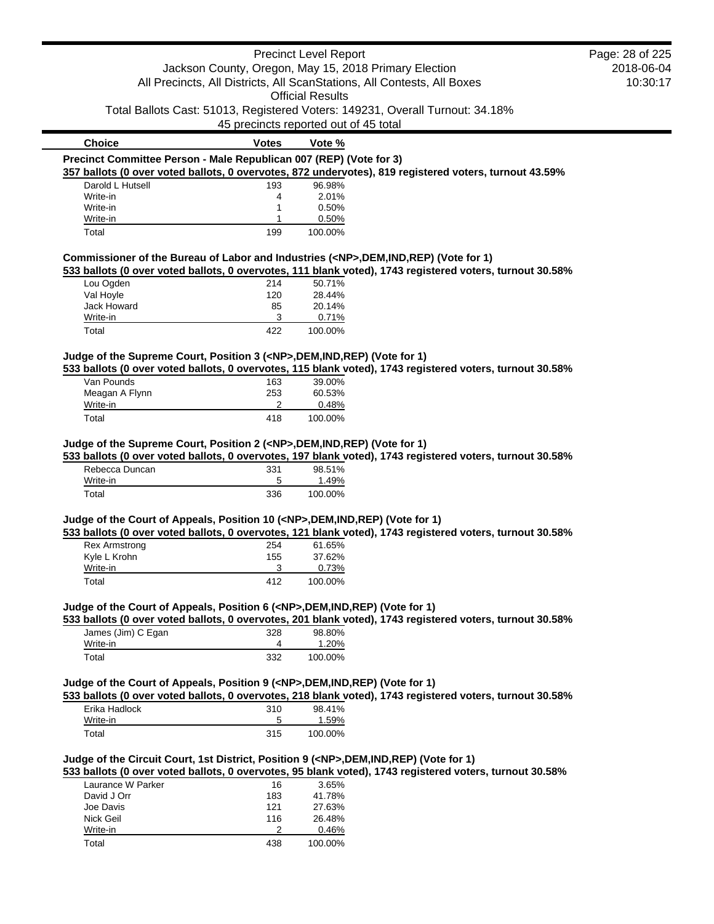|                                                                                                                                                                     |            | <b>Precinct Level Report</b>                                                  |                                                                                                          | Page: 28 of 225 |
|---------------------------------------------------------------------------------------------------------------------------------------------------------------------|------------|-------------------------------------------------------------------------------|----------------------------------------------------------------------------------------------------------|-----------------|
|                                                                                                                                                                     |            | Jackson County, Oregon, May 15, 2018 Primary Election                         |                                                                                                          | 2018-06-04      |
|                                                                                                                                                                     |            | All Precincts, All Districts, All ScanStations, All Contests, All Boxes       |                                                                                                          | 10:30:17        |
|                                                                                                                                                                     |            | <b>Official Results</b>                                                       |                                                                                                          |                 |
|                                                                                                                                                                     |            | Total Ballots Cast: 51013, Registered Voters: 149231, Overall Turnout: 34.18% |                                                                                                          |                 |
|                                                                                                                                                                     |            | 45 precincts reported out of 45 total                                         |                                                                                                          |                 |
| <b>Choice</b>                                                                                                                                                       | Votes      | Vote %                                                                        |                                                                                                          |                 |
| Precinct Committee Person - Male Republican 007 (REP) (Vote for 3)                                                                                                  |            |                                                                               |                                                                                                          |                 |
|                                                                                                                                                                     |            |                                                                               | 357 ballots (0 over voted ballots, 0 overvotes, 872 undervotes), 819 registered voters, turnout 43.59%   |                 |
| Darold L Hutsell                                                                                                                                                    | 193        | 96.98%                                                                        |                                                                                                          |                 |
| Write-in                                                                                                                                                            | 4          | 2.01%                                                                         |                                                                                                          |                 |
| Write-in                                                                                                                                                            | 1          | 0.50%                                                                         |                                                                                                          |                 |
| Write-in<br>Total                                                                                                                                                   | 1<br>199   | 0.50%<br>100.00%                                                              |                                                                                                          |                 |
|                                                                                                                                                                     |            |                                                                               |                                                                                                          |                 |
| Commissioner of the Bureau of Labor and Industries ( <np>,DEM,IND,REP) (Vote for 1)</np>                                                                            |            |                                                                               |                                                                                                          |                 |
|                                                                                                                                                                     |            |                                                                               | 533 ballots (0 over voted ballots, 0 overvotes, 111 blank voted), 1743 registered voters, turnout 30.58% |                 |
| Lou Ogden<br>Val Hoyle                                                                                                                                              | 214<br>120 | 50.71%<br>28.44%                                                              |                                                                                                          |                 |
| Jack Howard                                                                                                                                                         | 85         | 20.14%                                                                        |                                                                                                          |                 |
| Write-in                                                                                                                                                            | 3          | 0.71%                                                                         |                                                                                                          |                 |
| Total                                                                                                                                                               | 422        | 100.00%                                                                       |                                                                                                          |                 |
|                                                                                                                                                                     |            |                                                                               |                                                                                                          |                 |
| Judge of the Supreme Court, Position 3 ( <np>,DEM,IND,REP) (Vote for 1)</np>                                                                                        |            |                                                                               |                                                                                                          |                 |
|                                                                                                                                                                     |            |                                                                               | 533 ballots (0 over voted ballots, 0 overvotes, 115 blank voted), 1743 registered voters, turnout 30.58% |                 |
| Van Pounds                                                                                                                                                          | 163        | 39.00%                                                                        |                                                                                                          |                 |
| Meagan A Flynn<br>Write-in                                                                                                                                          | 253<br>2   | 60.53%<br>0.48%                                                               |                                                                                                          |                 |
|                                                                                                                                                                     |            |                                                                               |                                                                                                          |                 |
|                                                                                                                                                                     |            |                                                                               |                                                                                                          |                 |
| Total<br>Judge of the Supreme Court, Position 2 ( <np>,DEM,IND,REP) (Vote for 1)</np>                                                                               | 418        | 100.00%                                                                       | 533 ballots (0 over voted ballots, 0 overvotes, 197 blank voted), 1743 registered voters, turnout 30.58% |                 |
| Rebecca Duncan<br>Write-in                                                                                                                                          | 331<br>5   | 98.51%<br>1.49%                                                               |                                                                                                          |                 |
| Total                                                                                                                                                               | 336        | 100.00%                                                                       |                                                                                                          |                 |
|                                                                                                                                                                     |            |                                                                               |                                                                                                          |                 |
|                                                                                                                                                                     |            |                                                                               |                                                                                                          |                 |
|                                                                                                                                                                     |            |                                                                               | 533 ballots (0 over voted ballots, 0 overvotes, 121 blank voted), 1743 registered voters, turnout 30.58% |                 |
| <b>Rex Armstrong</b>                                                                                                                                                | 254        | 61.65%                                                                        |                                                                                                          |                 |
| Kyle L Krohn                                                                                                                                                        | 155        | 37.62%                                                                        |                                                                                                          |                 |
| Write-in<br>Total                                                                                                                                                   | 3<br>412   | 0.73%<br>100.00%                                                              |                                                                                                          |                 |
|                                                                                                                                                                     |            |                                                                               |                                                                                                          |                 |
|                                                                                                                                                                     |            |                                                                               |                                                                                                          |                 |
|                                                                                                                                                                     |            |                                                                               | 533 ballots (0 over voted ballots, 0 overvotes, 201 blank voted), 1743 registered voters, turnout 30.58% |                 |
| James (Jim) C Egan                                                                                                                                                  | 328        | 98.80%                                                                        |                                                                                                          |                 |
| Write-in<br>Total                                                                                                                                                   | 4<br>332   | 1.20%<br>100.00%                                                              |                                                                                                          |                 |
| Judge of the Court of Appeals, Position 10 ( <np>,DEM,IND,REP) (Vote for 1)<br/>Judge of the Court of Appeals, Position 6 (<np>,DEM,IND,REP) (Vote for 1)</np></np> |            |                                                                               |                                                                                                          |                 |
| Judge of the Court of Appeals, Position 9 ( <np>,DEM,IND,REP) (Vote for 1)</np>                                                                                     |            |                                                                               |                                                                                                          |                 |
|                                                                                                                                                                     |            |                                                                               | 533 ballots (0 over voted ballots, 0 overvotes, 218 blank voted), 1743 registered voters, turnout 30.58% |                 |
| Erika Hadlock                                                                                                                                                       | 310        | 98.41%                                                                        |                                                                                                          |                 |
| Write-in                                                                                                                                                            | 5          | 1.59%                                                                         |                                                                                                          |                 |
| Total                                                                                                                                                               | 315        | 100.00%                                                                       |                                                                                                          |                 |
|                                                                                                                                                                     |            |                                                                               |                                                                                                          |                 |
|                                                                                                                                                                     |            |                                                                               |                                                                                                          |                 |
|                                                                                                                                                                     |            |                                                                               | 533 ballots (0 over voted ballots, 0 overvotes, 95 blank voted), 1743 registered voters, turnout 30.58%  |                 |
| Laurance W Parker                                                                                                                                                   | 16         | 3.65%                                                                         |                                                                                                          |                 |
| Judge of the Circuit Court, 1st District, Position 9 ( <np>,DEM,IND,REP) (Vote for 1)<br/>David J Orr</np>                                                          | 183        | 41.78%                                                                        |                                                                                                          |                 |
| Joe Davis                                                                                                                                                           | 121        | 27.63%                                                                        |                                                                                                          |                 |
| Nick Geil<br>Write-in                                                                                                                                               | 116<br>2   | 26.48%<br>0.46%                                                               |                                                                                                          |                 |
| Total                                                                                                                                                               | 438        | 100.00%                                                                       |                                                                                                          |                 |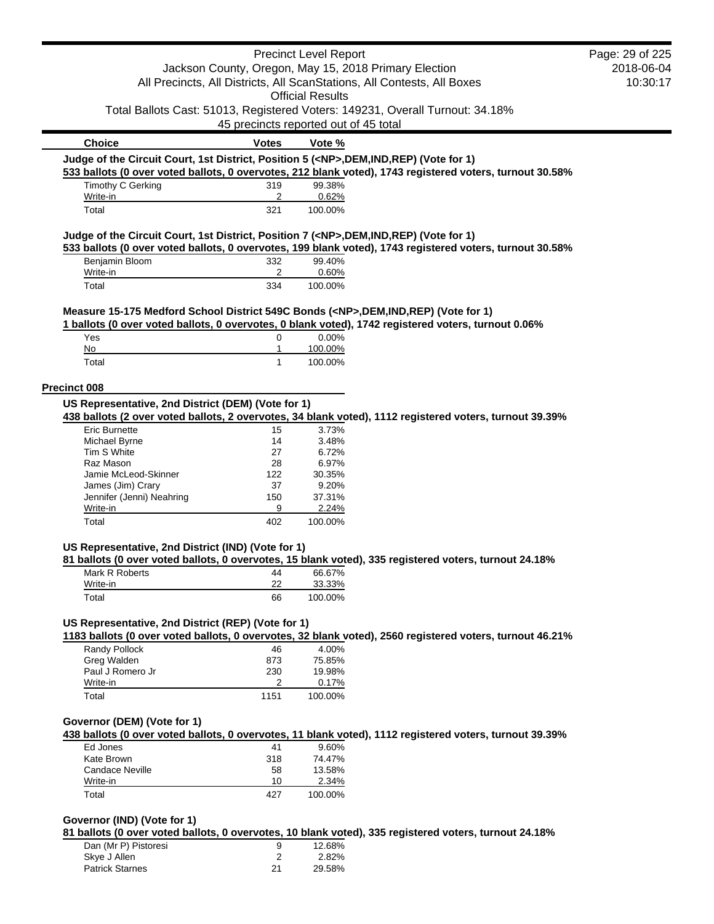|                                                                                            |                                       | <b>Precinct Level Report</b> |                                                                                                          | Page: 29 of 225 |
|--------------------------------------------------------------------------------------------|---------------------------------------|------------------------------|----------------------------------------------------------------------------------------------------------|-----------------|
|                                                                                            |                                       |                              | Jackson County, Oregon, May 15, 2018 Primary Election                                                    | 2018-06-04      |
|                                                                                            |                                       |                              | All Precincts, All Districts, All ScanStations, All Contests, All Boxes                                  | 10:30:17        |
|                                                                                            |                                       | <b>Official Results</b>      |                                                                                                          |                 |
|                                                                                            |                                       |                              | Total Ballots Cast: 51013, Registered Voters: 149231, Overall Turnout: 34.18%                            |                 |
|                                                                                            | 45 precincts reported out of 45 total |                              |                                                                                                          |                 |
| <b>Choice</b>                                                                              | <b>Votes</b>                          | Vote %                       |                                                                                                          |                 |
| Judge of the Circuit Court, 1st District, Position 5 ( <np>,DEM,IND,REP) (Vote for 1)</np> |                                       |                              | 533 ballots (0 over voted ballots, 0 overvotes, 212 blank voted), 1743 registered voters, turnout 30.58% |                 |
| Timothy C Gerking                                                                          | 319                                   | 99.38%                       |                                                                                                          |                 |
| Write-in                                                                                   | 2                                     | 0.62%                        |                                                                                                          |                 |
| Total                                                                                      | 321                                   | 100.00%                      |                                                                                                          |                 |
| Judge of the Circuit Court, 1st District, Position 7 ( <np>,DEM,IND,REP) (Vote for 1)</np> |                                       |                              |                                                                                                          |                 |
|                                                                                            |                                       |                              | 533 ballots (0 over voted ballots, 0 overvotes, 199 blank voted), 1743 registered voters, turnout 30.58% |                 |
| Benjamin Bloom                                                                             | 332                                   | 99.40%                       |                                                                                                          |                 |
| Write-in                                                                                   | 2<br>334                              | 0.60%                        |                                                                                                          |                 |
| Total                                                                                      |                                       | 100.00%                      |                                                                                                          |                 |
| Measure 15-175 Medford School District 549C Bonds ( <np>,DEM,IND,REP) (Vote for 1)</np>    |                                       |                              |                                                                                                          |                 |
|                                                                                            |                                       |                              | 1 ballots (0 over voted ballots, 0 overvotes, 0 blank voted), 1742 registered voters, turnout 0.06%      |                 |
| Yes                                                                                        | 0                                     | 0.00%                        |                                                                                                          |                 |
| No                                                                                         | 1                                     | 100.00%                      |                                                                                                          |                 |
| Total                                                                                      | $\mathbf{1}$                          | 100.00%                      |                                                                                                          |                 |
| <b>Precinct 008</b>                                                                        |                                       |                              |                                                                                                          |                 |
| US Representative, 2nd District (DEM) (Vote for 1)                                         |                                       |                              |                                                                                                          |                 |
|                                                                                            |                                       |                              | 438 ballots (2 over voted ballots, 2 overvotes, 34 blank voted), 1112 registered voters, turnout 39.39%  |                 |
| <b>Eric Burnette</b>                                                                       | 15                                    | 3.73%                        |                                                                                                          |                 |
| Michael Byrne                                                                              | 14                                    | 3.48%                        |                                                                                                          |                 |
| Tim S White                                                                                | 27                                    | 6.72%                        |                                                                                                          |                 |
| Raz Mason                                                                                  | 28                                    | 6.97%                        |                                                                                                          |                 |
| Jamie McLeod-Skinner                                                                       | 122                                   | 30.35%                       |                                                                                                          |                 |
| James (Jim) Crary<br>Jennifer (Jenni) Neahring                                             | 37<br>150                             | 9.20%<br>37.31%              |                                                                                                          |                 |
| Write-in                                                                                   | 9                                     | 2.24%                        |                                                                                                          |                 |
| Total                                                                                      | 402                                   | 100.00%                      |                                                                                                          |                 |
|                                                                                            |                                       |                              |                                                                                                          |                 |
| US Representative, 2nd District (IND) (Vote for 1)                                         |                                       |                              |                                                                                                          |                 |
|                                                                                            |                                       |                              | 81 ballots (0 over voted ballots, 0 overvotes, 15 blank voted), 335 registered voters, turnout 24.18%    |                 |
| Mark R Roberts 44                                                                          |                                       | 66.67%                       |                                                                                                          |                 |
| Write-in                                                                                   | 22                                    | 33.33%                       |                                                                                                          |                 |
| Total                                                                                      | 66                                    | 100.00%                      |                                                                                                          |                 |
| US Representative, 2nd District (REP) (Vote for 1)                                         |                                       |                              |                                                                                                          |                 |
|                                                                                            |                                       |                              | 1183 ballots (0 over voted ballots, 0 overvotes, 32 blank voted), 2560 registered voters, turnout 46.21% |                 |
| Randy Pollock                                                                              | 46                                    | 4.00%                        |                                                                                                          |                 |
| Greg Walden                                                                                | 873                                   | 75.85%                       |                                                                                                          |                 |
| Paul J Romero Jr                                                                           | 230                                   | 19.98%                       |                                                                                                          |                 |
| Write-in                                                                                   | 2                                     | 0.17%                        |                                                                                                          |                 |
| Total                                                                                      | 1151                                  | 100.00%                      |                                                                                                          |                 |
|                                                                                            |                                       |                              |                                                                                                          |                 |
| Governor (DEM) (Vote for 1)                                                                |                                       |                              |                                                                                                          |                 |
| Ed Jones                                                                                   |                                       | 9.60%                        | 438 ballots (0 over voted ballots, 0 overvotes, 11 blank voted), 1112 registered voters, turnout 39.39%  |                 |
| Kate Brown                                                                                 | 41<br>318                             | 74.47%                       |                                                                                                          |                 |
| <b>Candace Neville</b>                                                                     | 58                                    | 13.58%                       |                                                                                                          |                 |
| Write-in                                                                                   | 10                                    | 2.34%                        |                                                                                                          |                 |
| Total                                                                                      | 427                                   | 100.00%                      |                                                                                                          |                 |
|                                                                                            |                                       |                              |                                                                                                          |                 |
| Governor (IND) (Vote for 1)                                                                |                                       |                              |                                                                                                          |                 |
|                                                                                            |                                       |                              | 81 ballots (0 over voted ballots, 0 overvotes, 10 blank voted), 335 registered voters, turnout 24.18%    |                 |
| Dan (Mr P) Pistoresi<br>Skye J Allen                                                       | 9<br>2                                | 12.68%<br>2.82%              |                                                                                                          |                 |
| <b>Patrick Starnes</b>                                                                     | 21                                    | 29.58%                       |                                                                                                          |                 |
|                                                                                            |                                       |                              |                                                                                                          |                 |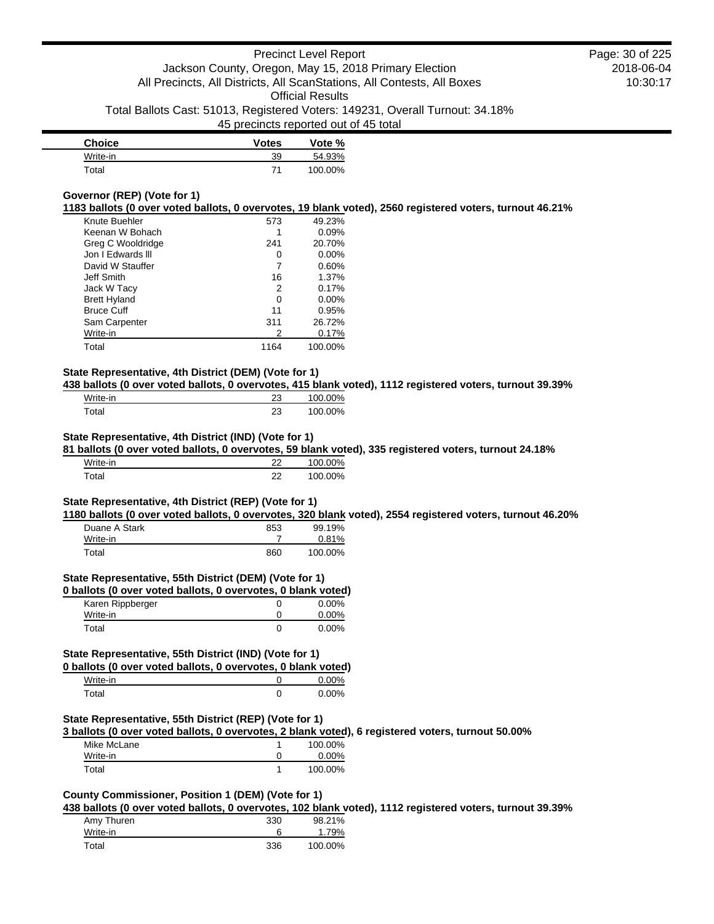| <b>Choice</b> | <b>Votes</b> | Vote %  |
|---------------|--------------|---------|
| Write-in      | 39           | 54.93%  |
| Total         |              | 100.00% |

### **Governor (REP) (Vote for 1)**

**1183 ballots (0 over voted ballots, 0 overvotes, 19 blank voted), 2560 registered voters, turnout 46.21%**

| Knute Buehler       | 573  | 49.23%   |
|---------------------|------|----------|
| Keenan W Bohach     |      | 0.09%    |
| Greg C Wooldridge   | 241  | 20.70%   |
| Jon I Edwards III   | 0    | $0.00\%$ |
| David W Stauffer    |      | 0.60%    |
| Jeff Smith          | 16   | 1.37%    |
| Jack W Tacy         | 2    | 0.17%    |
| <b>Brett Hyland</b> | 0    | $0.00\%$ |
| <b>Bruce Cuff</b>   | 11   | 0.95%    |
| Sam Carpenter       | 311  | 26.72%   |
| Write-in            | 2    | 0.17%    |
| Total               | 1164 | 100.00%  |

### **State Representative, 4th District (DEM) (Vote for 1)**

**438 ballots (0 over voted ballots, 0 overvotes, 415 blank voted), 1112 registered voters, turnout 39.39%**

| Write-in    | າາ<br>∠ ∪ | 100.00% |
|-------------|-----------|---------|
| $\tau$ otal | າາ<br>27  | 100.00% |

### **State Representative, 4th District (IND) (Vote for 1)**

**81 ballots (0 over voted ballots, 0 overvotes, 59 blank voted), 335 registered voters, turnout 24.18%**

| Write-in          | າາ | 100.00% |
|-------------------|----|---------|
| <sup>-</sup> otal | າາ | 100.00% |

### **State Representative, 4th District (REP) (Vote for 1)**

**1180 ballots (0 over voted ballots, 0 overvotes, 320 blank voted), 2554 registered voters, turnout 46.20%**

| Duane A Stark | 853 | 99.19%   |
|---------------|-----|----------|
| Write-in      |     | $0.81\%$ |
| Total         | 860 | 100.00%  |

### **State Representative, 55th District (DEM) (Vote for 1)**

| 0 ballots (0 over voted ballots, 0 overvotes, 0 blank voted) |   |          |
|--------------------------------------------------------------|---|----------|
| Karen Rippberger                                             | O | $0.00\%$ |
| Write-in                                                     | O | $0.00\%$ |
| Total                                                        | O | $0.00\%$ |

### **State Representative, 55th District (IND) (Vote for 1)**

|          | 0 ballots (0 over voted ballots, 0 overvotes, 0 blank voted) |          |
|----------|--------------------------------------------------------------|----------|
| Write-in |                                                              | 0.00%    |
| Total    |                                                              | $0.00\%$ |

#### **State Representative, 55th District (REP) (Vote for 1)**

**3 ballots (0 over voted ballots, 0 overvotes, 2 blank voted), 6 registered voters, turnout 50.00%**

| Mike McLane | 100.00%  |
|-------------|----------|
| Write-in    | $0.00\%$ |
| Total       | 100.00%  |

# **County Commissioner, Position 1 (DEM) (Vote for 1)**

**438 ballots (0 over voted ballots, 0 overvotes, 102 blank voted), 1112 registered voters, turnout 39.39%**

| Amy Thuren | 330 | 98.21%  |
|------------|-----|---------|
| Write-in   |     | 1.79%   |
| Total      | 336 | 100.00% |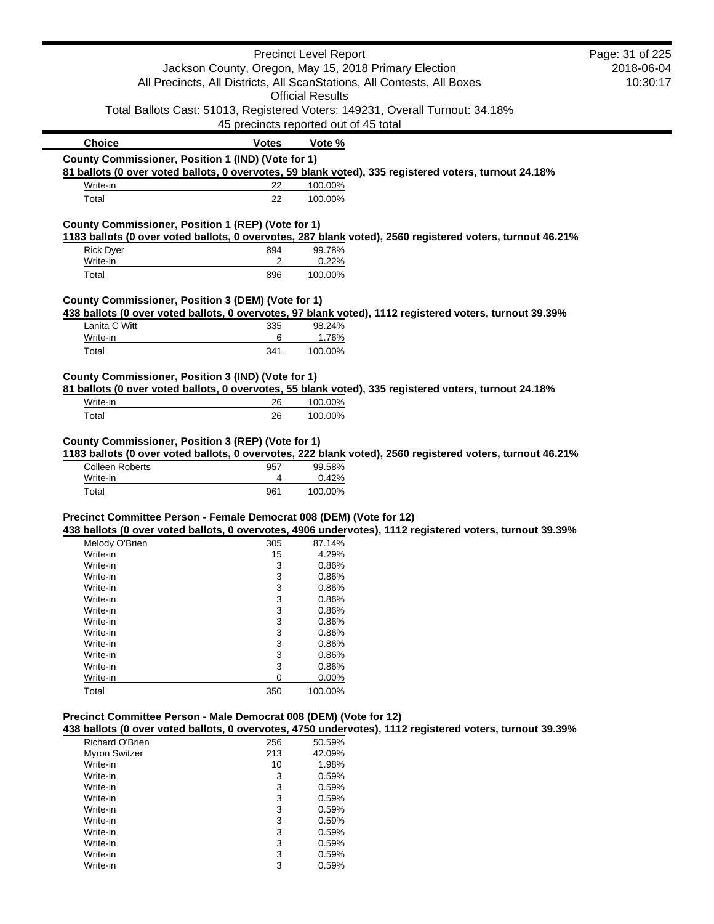|                                                                     |                                       | <b>Precinct Level Report</b> |                                                                                                           | Page: 31 of 225 |
|---------------------------------------------------------------------|---------------------------------------|------------------------------|-----------------------------------------------------------------------------------------------------------|-----------------|
|                                                                     |                                       |                              | Jackson County, Oregon, May 15, 2018 Primary Election                                                     | 2018-06-04      |
|                                                                     |                                       |                              | All Precincts, All Districts, All ScanStations, All Contests, All Boxes                                   | 10:30:17        |
|                                                                     |                                       | <b>Official Results</b>      |                                                                                                           |                 |
|                                                                     |                                       |                              | Total Ballots Cast: 51013, Registered Voters: 149231, Overall Turnout: 34.18%                             |                 |
|                                                                     | 45 precincts reported out of 45 total |                              |                                                                                                           |                 |
|                                                                     |                                       |                              |                                                                                                           |                 |
| <b>Choice</b>                                                       | <b>Votes</b>                          | Vote %                       |                                                                                                           |                 |
| County Commissioner, Position 1 (IND) (Vote for 1)                  |                                       |                              | 81 ballots (0 over voted ballots, 0 overvotes, 59 blank voted), 335 registered voters, turnout 24.18%     |                 |
| Write-in                                                            | 22                                    | 100.00%                      |                                                                                                           |                 |
| Total                                                               | 22                                    | 100.00%                      |                                                                                                           |                 |
| County Commissioner, Position 1 (REP) (Vote for 1)                  |                                       |                              |                                                                                                           |                 |
|                                                                     |                                       |                              | 1183 ballots (0 over voted ballots, 0 overvotes, 287 blank voted), 2560 registered voters, turnout 46.21% |                 |
| <b>Rick Dyer</b>                                                    | 894                                   | 99.78%                       |                                                                                                           |                 |
| Write-in                                                            | 2                                     | 0.22%                        |                                                                                                           |                 |
| Total                                                               | 896                                   | 100.00%                      |                                                                                                           |                 |
| County Commissioner, Position 3 (DEM) (Vote for 1)                  |                                       |                              |                                                                                                           |                 |
|                                                                     |                                       |                              | 438 ballots (0 over voted ballots, 0 overvotes, 97 blank voted), 1112 registered voters, turnout 39.39%   |                 |
| Lanita C Witt                                                       | 335                                   | 98.24%                       |                                                                                                           |                 |
| Write-in                                                            | 6                                     | 1.76%                        |                                                                                                           |                 |
| Total                                                               | 341                                   | 100.00%                      |                                                                                                           |                 |
| County Commissioner, Position 3 (IND) (Vote for 1)                  |                                       |                              |                                                                                                           |                 |
|                                                                     |                                       |                              | 81 ballots (0 over voted ballots, 0 overvotes, 55 blank voted), 335 registered voters, turnout 24.18%     |                 |
| Write-in                                                            | 26                                    | 100.00%                      |                                                                                                           |                 |
| Total                                                               | 26                                    | 100.00%                      |                                                                                                           |                 |
|                                                                     |                                       |                              |                                                                                                           |                 |
| County Commissioner, Position 3 (REP) (Vote for 1)                  |                                       |                              | 1183 ballots (0 over voted ballots, 0 overvotes, 222 blank voted), 2560 registered voters, turnout 46.21% |                 |
| <b>Colleen Roberts</b>                                              | 957                                   | 99.58%                       |                                                                                                           |                 |
| Write-in                                                            | 4                                     | 0.42%                        |                                                                                                           |                 |
| Total                                                               | 961                                   | 100.00%                      |                                                                                                           |                 |
| Precinct Committee Person - Female Democrat 008 (DEM) (Vote for 12) |                                       |                              |                                                                                                           |                 |
|                                                                     |                                       |                              | 438 ballots (0 over voted ballots, 0 overvotes, 4906 undervotes), 1112 registered voters, turnout 39.39%  |                 |
| Melody O'Brien                                                      | 305                                   | 87.14%                       |                                                                                                           |                 |
| Write-in                                                            | 15                                    | 4.29%                        |                                                                                                           |                 |
| Write-in                                                            | 3                                     | 0.86%                        |                                                                                                           |                 |
| Write-in                                                            | 3                                     | 0.86%                        |                                                                                                           |                 |
| Write-in                                                            | 3                                     | 0.86%                        |                                                                                                           |                 |
| Write-in                                                            | 3                                     | 0.86%                        |                                                                                                           |                 |
| Write-in                                                            | 3                                     | 0.86%                        |                                                                                                           |                 |
| Write-in                                                            | 3                                     | 0.86%                        |                                                                                                           |                 |
| Write-in                                                            | 3                                     | 0.86%                        |                                                                                                           |                 |
| Write-in                                                            | 3                                     | 0.86%                        |                                                                                                           |                 |
| Write-in                                                            | 3                                     | 0.86%                        |                                                                                                           |                 |
|                                                                     |                                       | 0.86%                        |                                                                                                           |                 |
| Write-in                                                            | 3                                     |                              |                                                                                                           |                 |
| Write-in<br>Total                                                   | 0<br>350                              | 0.00%<br>100.00%             |                                                                                                           |                 |
|                                                                     |                                       |                              |                                                                                                           |                 |
| Precinct Committee Person - Male Democrat 008 (DEM) (Vote for 12)   |                                       |                              |                                                                                                           |                 |
|                                                                     |                                       |                              | 438 ballots (0 over voted ballots, 0 overvotes, 4750 undervotes), 1112 registered voters, turnout 39.39%  |                 |
| Richard O'Brien                                                     | 256                                   | 50.59%                       |                                                                                                           |                 |
| <b>Myron Switzer</b>                                                | 213                                   | 42.09%                       |                                                                                                           |                 |
| Write-in                                                            | 10                                    | 1.98%                        |                                                                                                           |                 |
| Write-in                                                            | 3                                     | 0.59%                        |                                                                                                           |                 |
|                                                                     |                                       |                              |                                                                                                           |                 |

| $V = V - V - V$ | ιv | 70 / 1 |
|-----------------|----|--------|
| Write-in        | 3  | 0.59%  |
| Write-in        | 3  | 0.59%  |
| Write-in        | 3  | 0.59%  |
| Write-in        | 3  | 0.59%  |
| Write-in        | 3  | 0.59%  |
| Write-in        | 3  | 0.59%  |
| Write-in        | 3  | 0.59%  |
| Write-in        | 3  | 0.59%  |
| Write-in        | 3  | 0.59%  |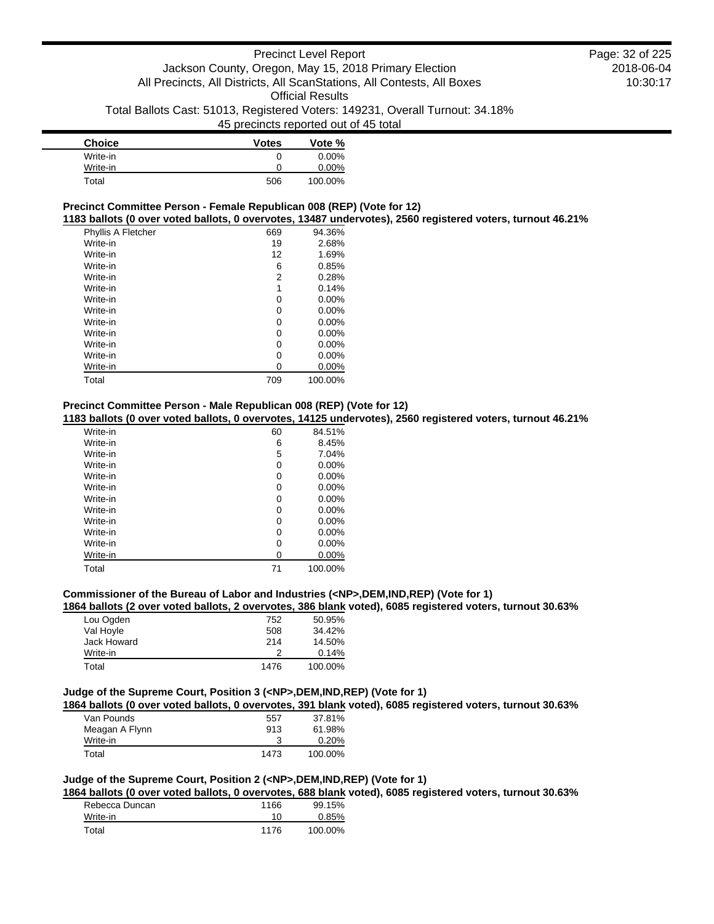| <b>Choice</b> | <b>Votes</b> | Vote %   |
|---------------|--------------|----------|
| Write-in      | 0            | $0.00\%$ |
| Write-in      | 0            | 0.00%    |
| Total         | 506          | 100.00%  |

#### **Precinct Committee Person - Female Republican 008 (REP) (Vote for 12)**

**1183 ballots (0 over voted ballots, 0 overvotes, 13487 undervotes), 2560 registered voters, turnout 46.21%**

| Phyllis A Fletcher | 669 | 94.36%   |
|--------------------|-----|----------|
| Write-in           | 19  | 2.68%    |
| Write-in           | 12  | 1.69%    |
| Write-in           | 6   | 0.85%    |
| Write-in           | 2   | 0.28%    |
| Write-in           | 1   | 0.14%    |
| Write-in           | 0   | $0.00\%$ |
| Write-in           | 0   | $0.00\%$ |
| Write-in           | 0   | $0.00\%$ |
| Write-in           | 0   | $0.00\%$ |
| Write-in           | 0   | $0.00\%$ |
| Write-in           | 0   | $0.00\%$ |
| Write-in           | 0   | $0.00\%$ |
| Total              | 709 | 100.00%  |
|                    |     |          |

### **Precinct Committee Person - Male Republican 008 (REP) (Vote for 12)**

**1183 ballots (0 over voted ballots, 0 overvotes, 14125 undervotes), 2560 registered voters, turnout 46.21%**

| Write-in | 60 | 84.51%   |
|----------|----|----------|
| Write-in | 6  | 8.45%    |
| Write-in | 5  | 7.04%    |
| Write-in | 0  | $0.00\%$ |
| Write-in | 0  | 0.00%    |
| Write-in | 0  | $0.00\%$ |
| Write-in | 0  | $0.00\%$ |
| Write-in | 0  | $0.00\%$ |
| Write-in | 0  | 0.00%    |
| Write-in | 0  | $0.00\%$ |
| Write-in | 0  | $0.00\%$ |
| Write-in | 0  | $0.00\%$ |
| Total    | 71 | 100.00%  |

#### **Commissioner of the Bureau of Labor and Industries (<NP>,DEM,IND,REP) (Vote for 1)**

**1864 ballots (2 over voted ballots, 2 overvotes, 386 blank voted), 6085 registered voters, turnout 30.63%**

| Lou Ogden   | 752  | 50.95%  |
|-------------|------|---------|
| Val Hoyle   | 508  | 34.42%  |
| Jack Howard | 214  | 14.50%  |
| Write-in    |      | 0.14%   |
| Total       | 1476 | 100.00% |

# **Judge of the Supreme Court, Position 3 (<NP>,DEM,IND,REP) (Vote for 1)**

**1864 ballots (0 over voted ballots, 0 overvotes, 391 blank voted), 6085 registered voters, turnout 30.63%**

| Van Pounds     | 557  | 37.81%  |
|----------------|------|---------|
| Meagan A Flynn | 913  | 61.98%  |
| Write-in       |      | 0.20%   |
| Total          | 1473 | 100.00% |
|                |      |         |

### **Judge of the Supreme Court, Position 2 (<NP>,DEM,IND,REP) (Vote for 1)**

**1864 ballots (0 over voted ballots, 0 overvotes, 688 blank voted), 6085 registered voters, turnout 30.63%**

| Rebecca Duncan | 1166 | 99.15%  |
|----------------|------|---------|
| Write-in       | 10   | 0.85%   |
| Total          | 1176 | 100.00% |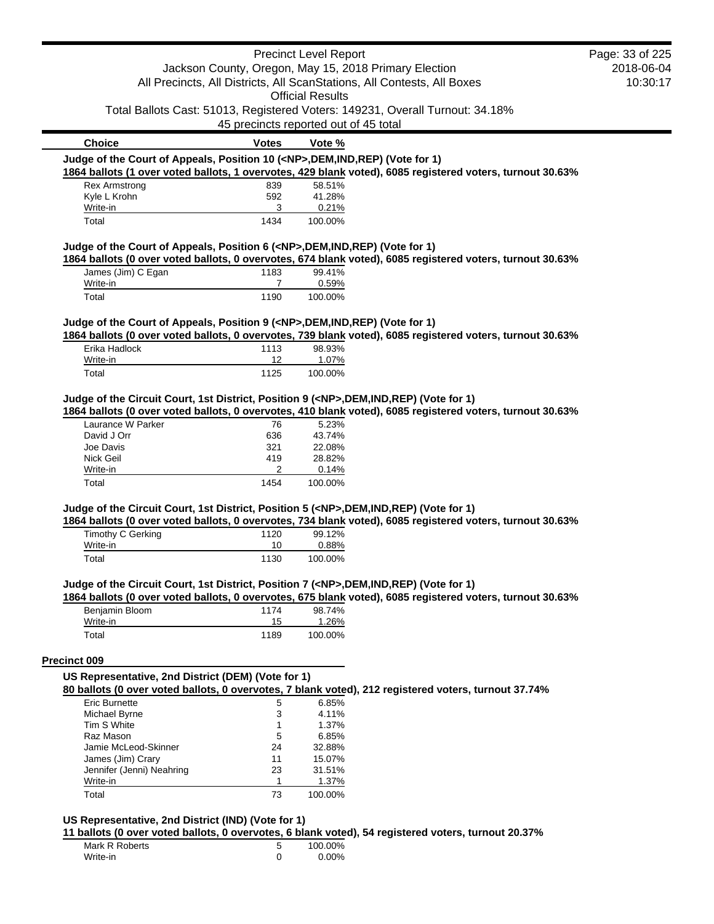|                                                                                            |                   | <b>Precinct Level Report</b>                          |                                                                                                           | Page: 33 of 225 |
|--------------------------------------------------------------------------------------------|-------------------|-------------------------------------------------------|-----------------------------------------------------------------------------------------------------------|-----------------|
|                                                                                            |                   | Jackson County, Oregon, May 15, 2018 Primary Election |                                                                                                           | 2018-06-04      |
|                                                                                            |                   |                                                       | All Precincts, All Districts, All ScanStations, All Contests, All Boxes                                   | 10:30:17        |
|                                                                                            |                   | <b>Official Results</b>                               |                                                                                                           |                 |
|                                                                                            |                   |                                                       | Total Ballots Cast: 51013, Registered Voters: 149231, Overall Turnout: 34.18%                             |                 |
|                                                                                            |                   | 45 precincts reported out of 45 total                 |                                                                                                           |                 |
|                                                                                            |                   |                                                       |                                                                                                           |                 |
| <b>Choice</b>                                                                              | <b>Votes</b>      | Vote %                                                |                                                                                                           |                 |
| Judge of the Court of Appeals, Position 10 ( <np>,DEM,IND,REP) (Vote for 1)</np>           |                   |                                                       |                                                                                                           |                 |
|                                                                                            |                   |                                                       | 1864 ballots (1 over voted ballots, 1 overvotes, 429 blank voted), 6085 registered voters, turnout 30.63% |                 |
| <b>Rex Armstrong</b>                                                                       | 839               | 58.51%                                                |                                                                                                           |                 |
| Kyle L Krohn                                                                               | 592               | 41.28%                                                |                                                                                                           |                 |
| Write-in                                                                                   | 3                 | 0.21%                                                 |                                                                                                           |                 |
| Total                                                                                      | 1434              | 100.00%                                               |                                                                                                           |                 |
| Judge of the Court of Appeals, Position 6 ( <np>,DEM,IND,REP) (Vote for 1)</np>            |                   |                                                       |                                                                                                           |                 |
|                                                                                            |                   |                                                       | 1864 ballots (0 over voted ballots, 0 overvotes, 674 blank voted), 6085 registered voters, turnout 30.63% |                 |
| James (Jim) C Egan                                                                         | 1183              | 99.41%                                                |                                                                                                           |                 |
| Write-in                                                                                   | $\overline{7}$    | 0.59%                                                 |                                                                                                           |                 |
| Total                                                                                      | 1190              | 100.00%                                               |                                                                                                           |                 |
|                                                                                            |                   |                                                       |                                                                                                           |                 |
| Judge of the Court of Appeals, Position 9 ( <np>,DEM,IND,REP) (Vote for 1)</np>            |                   |                                                       |                                                                                                           |                 |
|                                                                                            |                   |                                                       | 1864 ballots (0 over voted ballots, 0 overvotes, 739 blank voted), 6085 registered voters, turnout 30.63% |                 |
| Erika Hadlock                                                                              | 1113              | 98.93%                                                |                                                                                                           |                 |
| Write-in                                                                                   | 12                | 1.07%                                                 |                                                                                                           |                 |
| Total                                                                                      | 1125              | 100.00%                                               |                                                                                                           |                 |
| David J Orr<br>Joe Davis<br>Nick Geil                                                      | 636<br>321<br>419 | 43.74%<br>22.08%<br>28.82%                            |                                                                                                           |                 |
| Write-in                                                                                   | 2                 | 0.14%                                                 |                                                                                                           |                 |
| Total                                                                                      | 1454              | 100.00%                                               |                                                                                                           |                 |
| Judge of the Circuit Court, 1st District, Position 5 ( <np>,DEM,IND,REP) (Vote for 1)</np> |                   |                                                       |                                                                                                           |                 |
|                                                                                            |                   |                                                       | 1864 ballots (0 over voted ballots, 0 overvotes, 734 blank voted), 6085 registered voters, turnout 30.63% |                 |
| Timothy C Gerking                                                                          | 1120              | 99.12%                                                |                                                                                                           |                 |
| Write-in                                                                                   | 10                | 0.88%                                                 |                                                                                                           |                 |
| Total                                                                                      | 1130              | 100.00%                                               |                                                                                                           |                 |
|                                                                                            |                   |                                                       |                                                                                                           |                 |
| Judge of the Circuit Court, 1st District, Position 7 ( <np>,DEM,IND,REP) (Vote for 1)</np> |                   |                                                       | 1864 ballots (0 over voted ballots, 0 overvotes, 675 blank voted), 6085 registered voters, turnout 30.63% |                 |
| Benjamin Bloom                                                                             | 1174              | 98.74%                                                |                                                                                                           |                 |
| Write-in                                                                                   | 15                | 1.26%                                                 |                                                                                                           |                 |
| Total                                                                                      | 1189              | 100.00%                                               |                                                                                                           |                 |
|                                                                                            |                   |                                                       |                                                                                                           |                 |
| Precinct 009                                                                               |                   |                                                       |                                                                                                           |                 |
| US Representative, 2nd District (DEM) (Vote for 1)                                         |                   |                                                       |                                                                                                           |                 |
|                                                                                            |                   |                                                       | 80 ballots (0 over voted ballots, 0 overvotes, 7 blank voted), 212 registered voters, turnout 37.74%      |                 |
| <b>Eric Burnette</b>                                                                       | 5                 | 6.85%                                                 |                                                                                                           |                 |
| Michael Byrne                                                                              | 3                 | 4.11%                                                 |                                                                                                           |                 |
| Tim S White                                                                                | $\mathbf{1}$      | 1.37%                                                 |                                                                                                           |                 |
| Raz Mason                                                                                  | 5                 | 6.85%                                                 |                                                                                                           |                 |
| Jamie McLeod-Skinner                                                                       | 24                | 32.88%                                                |                                                                                                           |                 |
| James (Jim) Crary                                                                          | 11                | 15.07%                                                |                                                                                                           |                 |
| Jennifer (Jenni) Neahring                                                                  | 23                | 31.51%                                                |                                                                                                           |                 |
| Write-in                                                                                   | 1                 | 1.37%                                                 |                                                                                                           |                 |
|                                                                                            |                   |                                                       |                                                                                                           |                 |
| Total                                                                                      | 73                | 100.00%                                               |                                                                                                           |                 |

#### **US Representative, 2nd District (IND) (Vote for 1)**

**11 ballots (0 over voted ballots, 0 overvotes, 6 blank voted), 54 registered voters, turnout 20.37%**

| Mark R Roberts | 100.00%  |
|----------------|----------|
| Write-in       | $0.00\%$ |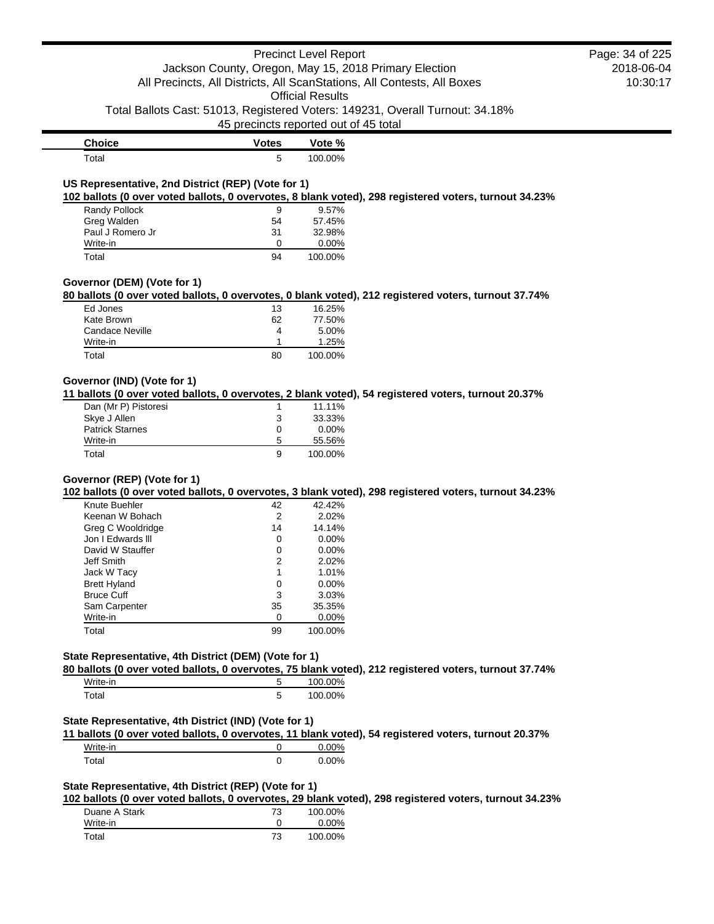### Precinct Level Report Jackson County, Oregon, May 15, 2018 Primary Election All Precincts, All Districts, All ScanStations, All Contests, All Boxes Official Results Total Ballots Cast: 51013, Registered Voters: 149231, Overall Turnout: 34.18% 45 precincts reported out of 45 total 2018-06-04 10:30:17 **Choice Votes Vote %** Total 5 100.00% **US Representative, 2nd District (REP) (Vote for 1) 102 ballots (0 over voted ballots, 0 overvotes, 8 blank voted), 298 registered voters, turnout 34.23%** Randy Pollock 9 9.57% Greg Walden 54 57.45% Paul J Romero Jr 31 Write-in 0 0.00% Total 94 100.00% **Governor (DEM) (Vote for 1) 80 ballots (0 over voted ballots, 0 overvotes, 0 blank voted), 212 registered voters, turnout 37.74%** Ed Jones 13 16.25% Kate Brown 62 77.50% Candace Neville **4** 5.00% Write-in 1.25% Total 80 100.00% **Governor (IND) (Vote for 1) 11 ballots (0 over voted ballots, 0 overvotes, 2 blank voted), 54 registered voters, turnout 20.37%** Dan (Mr P) Pistoresi 1 11.11% Skye J Allen 33.33% Page: 34 of 225

|                        |   | .        |
|------------------------|---|----------|
| Skye J Allen           | 3 | 33.33%   |
| <b>Patrick Starnes</b> | Ω | $0.00\%$ |
| Write-in               | 5 | 55.56%   |
| Total                  | 9 | 100.00%  |
|                        |   |          |

### **Governor (REP) (Vote for 1)**

**102 ballots (0 over voted ballots, 0 overvotes, 3 blank voted), 298 registered voters, turnout 34.23%**

| Keenan W Bohach<br>Greg C Wooldridge | 2<br>14 | 2.02%<br>14.14% |
|--------------------------------------|---------|-----------------|
|                                      |         |                 |
|                                      |         |                 |
| Jon I Edwards III                    | 0       | $0.00\%$        |
| David W Stauffer                     | 0       | $0.00\%$        |
| Jeff Smith                           | 2       | 2.02%           |
| Jack W Tacy                          | 1       | 1.01%           |
| <b>Brett Hyland</b>                  | 0       | $0.00\%$        |
| <b>Bruce Cuff</b>                    | 3       | 3.03%           |
| Sam Carpenter                        | 35      | 35.35%          |
| Write-in                             | O       | $0.00\%$        |
| Total                                | 99      | 100.00%         |

## **State Representative, 4th District (DEM) (Vote for 1)**

**80 ballots (0 over voted ballots, 0 overvotes, 75 blank voted), 212 registered voters, turnout 37.74%**

| Write-in | 100.00% |
|----------|---------|
| Total    | 100.00% |

#### **State Representative, 4th District (IND) (Vote for 1)**

**11 ballots (0 over voted ballots, 0 overvotes, 11 blank voted), 54 registered voters, turnout 20.37%**

| Write-in | 0.00% |
|----------|-------|
| Total    | 0.00% |

### **State Representative, 4th District (REP) (Vote for 1)**

**102 ballots (0 over voted ballots, 0 overvotes, 29 blank voted), 298 registered voters, turnout 34.23%**

| Duane A Stark | 73 | 100.00%  |
|---------------|----|----------|
| Write-in      |    | $0.00\%$ |
| Total         | 73 | 100.00%  |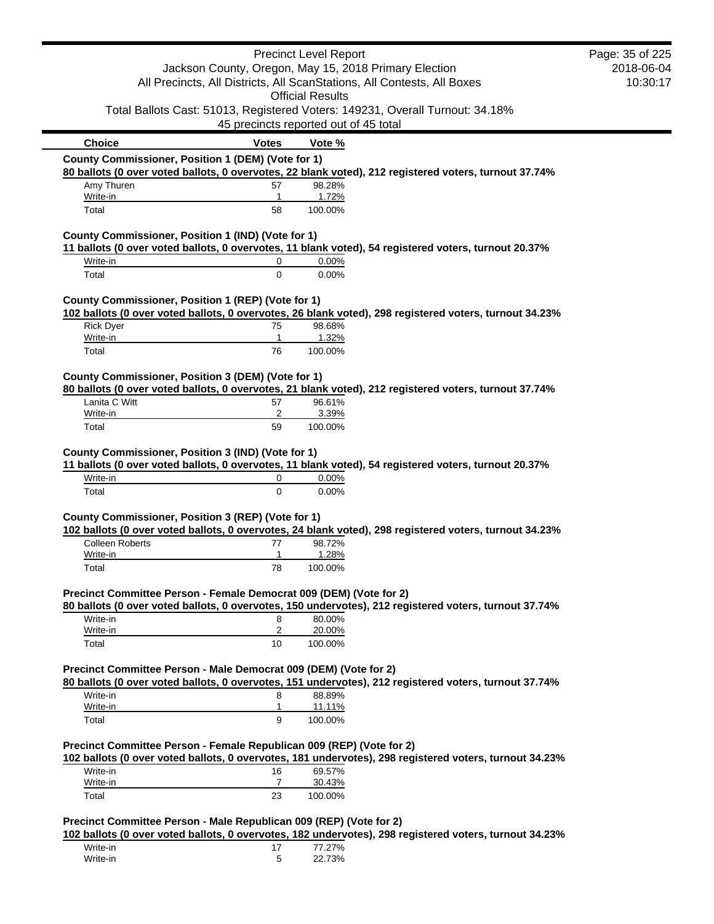| <b>Precinct Level Report</b><br>Jackson County, Oregon, May 15, 2018 Primary Election<br>All Precincts, All Districts, All ScanStations, All Contests, All Boxes<br><b>Official Results</b><br>Total Ballots Cast: 51013, Registered Voters: 149231, Overall Turnout: 34.18%<br>45 precincts reported out of 45 total<br>Vote %<br>County Commissioner, Position 1 (DEM) (Vote for 1)<br>80 ballots (0 over voted ballots, 0 overvotes, 22 blank voted), 212 registered voters, turnout 37.74%<br>98.28%<br>1.72%<br>100.00%<br>County Commissioner, Position 1 (IND) (Vote for 1)<br>11 ballots (0 over voted ballots, 0 overvotes, 11 blank voted), 54 registered voters, turnout 20.37%<br>0.00%<br>0.00% | Page: 35 of 225<br>2018-06-04<br>10:30:17                                                                                                                                                                                                                                                                                                                                                                                                                                                                                                                                                                                                                                                                                                                                                                                                                                                                                                                                    |
|--------------------------------------------------------------------------------------------------------------------------------------------------------------------------------------------------------------------------------------------------------------------------------------------------------------------------------------------------------------------------------------------------------------------------------------------------------------------------------------------------------------------------------------------------------------------------------------------------------------------------------------------------------------------------------------------------------------|------------------------------------------------------------------------------------------------------------------------------------------------------------------------------------------------------------------------------------------------------------------------------------------------------------------------------------------------------------------------------------------------------------------------------------------------------------------------------------------------------------------------------------------------------------------------------------------------------------------------------------------------------------------------------------------------------------------------------------------------------------------------------------------------------------------------------------------------------------------------------------------------------------------------------------------------------------------------------|
|                                                                                                                                                                                                                                                                                                                                                                                                                                                                                                                                                                                                                                                                                                              |                                                                                                                                                                                                                                                                                                                                                                                                                                                                                                                                                                                                                                                                                                                                                                                                                                                                                                                                                                              |
|                                                                                                                                                                                                                                                                                                                                                                                                                                                                                                                                                                                                                                                                                                              |                                                                                                                                                                                                                                                                                                                                                                                                                                                                                                                                                                                                                                                                                                                                                                                                                                                                                                                                                                              |
|                                                                                                                                                                                                                                                                                                                                                                                                                                                                                                                                                                                                                                                                                                              |                                                                                                                                                                                                                                                                                                                                                                                                                                                                                                                                                                                                                                                                                                                                                                                                                                                                                                                                                                              |
|                                                                                                                                                                                                                                                                                                                                                                                                                                                                                                                                                                                                                                                                                                              |                                                                                                                                                                                                                                                                                                                                                                                                                                                                                                                                                                                                                                                                                                                                                                                                                                                                                                                                                                              |
|                                                                                                                                                                                                                                                                                                                                                                                                                                                                                                                                                                                                                                                                                                              |                                                                                                                                                                                                                                                                                                                                                                                                                                                                                                                                                                                                                                                                                                                                                                                                                                                                                                                                                                              |
|                                                                                                                                                                                                                                                                                                                                                                                                                                                                                                                                                                                                                                                                                                              |                                                                                                                                                                                                                                                                                                                                                                                                                                                                                                                                                                                                                                                                                                                                                                                                                                                                                                                                                                              |
|                                                                                                                                                                                                                                                                                                                                                                                                                                                                                                                                                                                                                                                                                                              |                                                                                                                                                                                                                                                                                                                                                                                                                                                                                                                                                                                                                                                                                                                                                                                                                                                                                                                                                                              |
|                                                                                                                                                                                                                                                                                                                                                                                                                                                                                                                                                                                                                                                                                                              |                                                                                                                                                                                                                                                                                                                                                                                                                                                                                                                                                                                                                                                                                                                                                                                                                                                                                                                                                                              |
|                                                                                                                                                                                                                                                                                                                                                                                                                                                                                                                                                                                                                                                                                                              |                                                                                                                                                                                                                                                                                                                                                                                                                                                                                                                                                                                                                                                                                                                                                                                                                                                                                                                                                                              |
|                                                                                                                                                                                                                                                                                                                                                                                                                                                                                                                                                                                                                                                                                                              |                                                                                                                                                                                                                                                                                                                                                                                                                                                                                                                                                                                                                                                                                                                                                                                                                                                                                                                                                                              |
|                                                                                                                                                                                                                                                                                                                                                                                                                                                                                                                                                                                                                                                                                                              |                                                                                                                                                                                                                                                                                                                                                                                                                                                                                                                                                                                                                                                                                                                                                                                                                                                                                                                                                                              |
|                                                                                                                                                                                                                                                                                                                                                                                                                                                                                                                                                                                                                                                                                                              |                                                                                                                                                                                                                                                                                                                                                                                                                                                                                                                                                                                                                                                                                                                                                                                                                                                                                                                                                                              |
|                                                                                                                                                                                                                                                                                                                                                                                                                                                                                                                                                                                                                                                                                                              |                                                                                                                                                                                                                                                                                                                                                                                                                                                                                                                                                                                                                                                                                                                                                                                                                                                                                                                                                                              |
| County Commissioner, Position 1 (REP) (Vote for 1)                                                                                                                                                                                                                                                                                                                                                                                                                                                                                                                                                                                                                                                           |                                                                                                                                                                                                                                                                                                                                                                                                                                                                                                                                                                                                                                                                                                                                                                                                                                                                                                                                                                              |
|                                                                                                                                                                                                                                                                                                                                                                                                                                                                                                                                                                                                                                                                                                              | 102 ballots (0 over voted ballots, 0 overvotes, 26 blank voted), 298 registered voters, turnout 34.23%                                                                                                                                                                                                                                                                                                                                                                                                                                                                                                                                                                                                                                                                                                                                                                                                                                                                       |
| 98.68%                                                                                                                                                                                                                                                                                                                                                                                                                                                                                                                                                                                                                                                                                                       |                                                                                                                                                                                                                                                                                                                                                                                                                                                                                                                                                                                                                                                                                                                                                                                                                                                                                                                                                                              |
| 100.00%                                                                                                                                                                                                                                                                                                                                                                                                                                                                                                                                                                                                                                                                                                      |                                                                                                                                                                                                                                                                                                                                                                                                                                                                                                                                                                                                                                                                                                                                                                                                                                                                                                                                                                              |
|                                                                                                                                                                                                                                                                                                                                                                                                                                                                                                                                                                                                                                                                                                              |                                                                                                                                                                                                                                                                                                                                                                                                                                                                                                                                                                                                                                                                                                                                                                                                                                                                                                                                                                              |
|                                                                                                                                                                                                                                                                                                                                                                                                                                                                                                                                                                                                                                                                                                              |                                                                                                                                                                                                                                                                                                                                                                                                                                                                                                                                                                                                                                                                                                                                                                                                                                                                                                                                                                              |
| 96.61%                                                                                                                                                                                                                                                                                                                                                                                                                                                                                                                                                                                                                                                                                                       |                                                                                                                                                                                                                                                                                                                                                                                                                                                                                                                                                                                                                                                                                                                                                                                                                                                                                                                                                                              |
| 3.39%                                                                                                                                                                                                                                                                                                                                                                                                                                                                                                                                                                                                                                                                                                        |                                                                                                                                                                                                                                                                                                                                                                                                                                                                                                                                                                                                                                                                                                                                                                                                                                                                                                                                                                              |
| 100.00%                                                                                                                                                                                                                                                                                                                                                                                                                                                                                                                                                                                                                                                                                                      |                                                                                                                                                                                                                                                                                                                                                                                                                                                                                                                                                                                                                                                                                                                                                                                                                                                                                                                                                                              |
| 0.00%                                                                                                                                                                                                                                                                                                                                                                                                                                                                                                                                                                                                                                                                                                        |                                                                                                                                                                                                                                                                                                                                                                                                                                                                                                                                                                                                                                                                                                                                                                                                                                                                                                                                                                              |
|                                                                                                                                                                                                                                                                                                                                                                                                                                                                                                                                                                                                                                                                                                              |                                                                                                                                                                                                                                                                                                                                                                                                                                                                                                                                                                                                                                                                                                                                                                                                                                                                                                                                                                              |
|                                                                                                                                                                                                                                                                                                                                                                                                                                                                                                                                                                                                                                                                                                              |                                                                                                                                                                                                                                                                                                                                                                                                                                                                                                                                                                                                                                                                                                                                                                                                                                                                                                                                                                              |
|                                                                                                                                                                                                                                                                                                                                                                                                                                                                                                                                                                                                                                                                                                              |                                                                                                                                                                                                                                                                                                                                                                                                                                                                                                                                                                                                                                                                                                                                                                                                                                                                                                                                                                              |
|                                                                                                                                                                                                                                                                                                                                                                                                                                                                                                                                                                                                                                                                                                              |                                                                                                                                                                                                                                                                                                                                                                                                                                                                                                                                                                                                                                                                                                                                                                                                                                                                                                                                                                              |
| 100.00%                                                                                                                                                                                                                                                                                                                                                                                                                                                                                                                                                                                                                                                                                                      |                                                                                                                                                                                                                                                                                                                                                                                                                                                                                                                                                                                                                                                                                                                                                                                                                                                                                                                                                                              |
|                                                                                                                                                                                                                                                                                                                                                                                                                                                                                                                                                                                                                                                                                                              |                                                                                                                                                                                                                                                                                                                                                                                                                                                                                                                                                                                                                                                                                                                                                                                                                                                                                                                                                                              |
|                                                                                                                                                                                                                                                                                                                                                                                                                                                                                                                                                                                                                                                                                                              |                                                                                                                                                                                                                                                                                                                                                                                                                                                                                                                                                                                                                                                                                                                                                                                                                                                                                                                                                                              |
| 80.00%                                                                                                                                                                                                                                                                                                                                                                                                                                                                                                                                                                                                                                                                                                       |                                                                                                                                                                                                                                                                                                                                                                                                                                                                                                                                                                                                                                                                                                                                                                                                                                                                                                                                                                              |
| 20.00%                                                                                                                                                                                                                                                                                                                                                                                                                                                                                                                                                                                                                                                                                                       |                                                                                                                                                                                                                                                                                                                                                                                                                                                                                                                                                                                                                                                                                                                                                                                                                                                                                                                                                                              |
| 100.00%                                                                                                                                                                                                                                                                                                                                                                                                                                                                                                                                                                                                                                                                                                      |                                                                                                                                                                                                                                                                                                                                                                                                                                                                                                                                                                                                                                                                                                                                                                                                                                                                                                                                                                              |
|                                                                                                                                                                                                                                                                                                                                                                                                                                                                                                                                                                                                                                                                                                              |                                                                                                                                                                                                                                                                                                                                                                                                                                                                                                                                                                                                                                                                                                                                                                                                                                                                                                                                                                              |
|                                                                                                                                                                                                                                                                                                                                                                                                                                                                                                                                                                                                                                                                                                              |                                                                                                                                                                                                                                                                                                                                                                                                                                                                                                                                                                                                                                                                                                                                                                                                                                                                                                                                                                              |
| 88.89%                                                                                                                                                                                                                                                                                                                                                                                                                                                                                                                                                                                                                                                                                                       |                                                                                                                                                                                                                                                                                                                                                                                                                                                                                                                                                                                                                                                                                                                                                                                                                                                                                                                                                                              |
|                                                                                                                                                                                                                                                                                                                                                                                                                                                                                                                                                                                                                                                                                                              |                                                                                                                                                                                                                                                                                                                                                                                                                                                                                                                                                                                                                                                                                                                                                                                                                                                                                                                                                                              |
| 100.00%                                                                                                                                                                                                                                                                                                                                                                                                                                                                                                                                                                                                                                                                                                      |                                                                                                                                                                                                                                                                                                                                                                                                                                                                                                                                                                                                                                                                                                                                                                                                                                                                                                                                                                              |
|                                                                                                                                                                                                                                                                                                                                                                                                                                                                                                                                                                                                                                                                                                              |                                                                                                                                                                                                                                                                                                                                                                                                                                                                                                                                                                                                                                                                                                                                                                                                                                                                                                                                                                              |
|                                                                                                                                                                                                                                                                                                                                                                                                                                                                                                                                                                                                                                                                                                              | 102 ballots (0 over voted ballots, 0 overvotes, 181 undervotes), 298 registered voters, turnout 34.23%                                                                                                                                                                                                                                                                                                                                                                                                                                                                                                                                                                                                                                                                                                                                                                                                                                                                       |
| 69.57%<br>30.43%                                                                                                                                                                                                                                                                                                                                                                                                                                                                                                                                                                                                                                                                                             |                                                                                                                                                                                                                                                                                                                                                                                                                                                                                                                                                                                                                                                                                                                                                                                                                                                                                                                                                                              |
| 100.00%                                                                                                                                                                                                                                                                                                                                                                                                                                                                                                                                                                                                                                                                                                      |                                                                                                                                                                                                                                                                                                                                                                                                                                                                                                                                                                                                                                                                                                                                                                                                                                                                                                                                                                              |
|                                                                                                                                                                                                                                                                                                                                                                                                                                                                                                                                                                                                                                                                                                              | 1.32%<br>County Commissioner, Position 3 (DEM) (Vote for 1)<br>80 ballots (0 over voted ballots, 0 overvotes, 21 blank voted), 212 registered voters, turnout 37.74%<br>County Commissioner, Position 3 (IND) (Vote for 1)<br>11 ballots (0 over voted ballots, 0 overvotes, 11 blank voted), 54 registered voters, turnout 20.37%<br>0.00%<br>County Commissioner, Position 3 (REP) (Vote for 1)<br>102 ballots (0 over voted ballots, 0 overvotes, 24 blank voted), 298 registered voters, turnout 34.23%<br>98.72%<br>1.28%<br>Precinct Committee Person - Female Democrat 009 (DEM) (Vote for 2)<br>80 ballots (0 over voted ballots, 0 overvotes, 150 undervotes), 212 registered voters, turnout 37.74%<br>Precinct Committee Person - Male Democrat 009 (DEM) (Vote for 2)<br>80 ballots (0 over voted ballots, 0 overvotes, 151 undervotes), 212 registered voters, turnout 37.74%<br>11.11%<br>Precinct Committee Person - Female Republican 009 (REP) (Vote for 2) |

| Write-in |   | .27%   |
|----------|---|--------|
| Write-in | ν | 22.73% |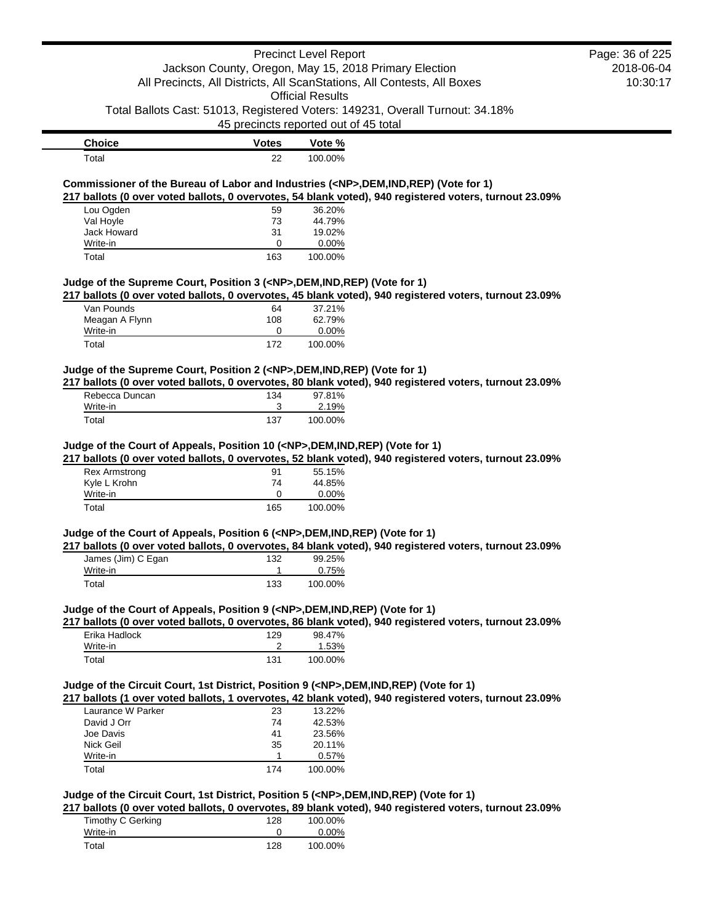|                                                                                            |                                       | <b>Precinct Level Report</b> |                                                                                                        | Page: 36 of 225 |
|--------------------------------------------------------------------------------------------|---------------------------------------|------------------------------|--------------------------------------------------------------------------------------------------------|-----------------|
|                                                                                            |                                       |                              | Jackson County, Oregon, May 15, 2018 Primary Election                                                  | 2018-06-04      |
|                                                                                            |                                       |                              | All Precincts, All Districts, All ScanStations, All Contests, All Boxes                                | 10:30:17        |
|                                                                                            |                                       | <b>Official Results</b>      |                                                                                                        |                 |
|                                                                                            | 45 precincts reported out of 45 total |                              | Total Ballots Cast: 51013, Registered Voters: 149231, Overall Turnout: 34.18%                          |                 |
| <b>Choice</b>                                                                              | <b>Votes</b>                          | Vote %                       |                                                                                                        |                 |
| Total                                                                                      | 22                                    | 100.00%                      |                                                                                                        |                 |
|                                                                                            |                                       |                              |                                                                                                        |                 |
| Commissioner of the Bureau of Labor and Industries ( <np>,DEM,IND,REP) (Vote for 1)</np>   |                                       |                              | 217 ballots (0 over voted ballots, 0 overvotes, 54 blank voted), 940 registered voters, turnout 23.09% |                 |
| Lou Ogden                                                                                  | 59                                    | 36.20%                       |                                                                                                        |                 |
| Val Hoyle                                                                                  | 73                                    | 44.79%                       |                                                                                                        |                 |
| Jack Howard                                                                                | 31                                    | 19.02%                       |                                                                                                        |                 |
| Write-in                                                                                   | 0                                     | 0.00%                        |                                                                                                        |                 |
| Total                                                                                      | 163                                   | 100.00%                      |                                                                                                        |                 |
| Judge of the Supreme Court, Position 3 ( <np>,DEM,IND,REP) (Vote for 1)</np>               |                                       |                              |                                                                                                        |                 |
|                                                                                            |                                       |                              | 217 ballots (0 over voted ballots, 0 overvotes, 45 blank voted), 940 registered voters, turnout 23.09% |                 |
| $\overline{V}$ an Pounds                                                                   | 64                                    | 37.21%                       |                                                                                                        |                 |
| Meagan A Flynn                                                                             | 108                                   | 62.79%                       |                                                                                                        |                 |
| Write-in                                                                                   | 0                                     | 0.00%                        |                                                                                                        |                 |
| Total                                                                                      | 172                                   | 100.00%                      |                                                                                                        |                 |
| Judge of the Supreme Court, Position 2 ( <np>,DEM,IND,REP) (Vote for 1)</np>               |                                       |                              |                                                                                                        |                 |
|                                                                                            |                                       |                              | 217 ballots (0 over voted ballots, 0 overvotes, 80 blank voted), 940 registered voters, turnout 23.09% |                 |
| Rebecca Duncan                                                                             | 134                                   | 97.81%                       |                                                                                                        |                 |
| Write-in                                                                                   | 3                                     | 2.19%                        |                                                                                                        |                 |
| Total                                                                                      | 137                                   | 100.00%                      |                                                                                                        |                 |
| Judge of the Court of Appeals, Position 10 ( <np>,DEM,IND,REP) (Vote for 1)</np>           |                                       |                              |                                                                                                        |                 |
|                                                                                            |                                       |                              | 217 ballots (0 over voted ballots, 0 overvotes, 52 blank voted), 940 registered voters, turnout 23.09% |                 |
| <b>Rex Armstrong</b>                                                                       | 91                                    | 55.15%                       |                                                                                                        |                 |
| Kyle L Krohn                                                                               | 74                                    | 44.85%                       |                                                                                                        |                 |
| Write-in                                                                                   | 0                                     | 0.00%                        |                                                                                                        |                 |
| Total                                                                                      | 165                                   | 100.00%                      |                                                                                                        |                 |
| Judge of the Court of Appeals, Position 6 ( <np>,DEM,IND,REP) (Vote for 1)</np>            |                                       |                              |                                                                                                        |                 |
|                                                                                            |                                       |                              | 217 ballots (0 over voted ballots, 0 overvotes, 84 blank voted), 940 registered voters, turnout 23.09% |                 |
| James (Jim) C Egan                                                                         | 132                                   | 99.25%                       |                                                                                                        |                 |
| Write-in                                                                                   | 1                                     | 0.75%                        |                                                                                                        |                 |
| Total                                                                                      | 133                                   | 100.00%                      |                                                                                                        |                 |
| Judge of the Court of Appeals, Position 9 ( <np>,DEM,IND,REP) (Vote for 1)</np>            |                                       |                              |                                                                                                        |                 |
|                                                                                            |                                       |                              | 217 ballots (0 over voted ballots, 0 overvotes, 86 blank voted), 940 registered voters, turnout 23.09% |                 |
| Erika Hadlock                                                                              | 129                                   | 98.47%                       |                                                                                                        |                 |
| Write-in                                                                                   | 2                                     | 1.53%                        |                                                                                                        |                 |
| Total                                                                                      | 131                                   | 100.00%                      |                                                                                                        |                 |
| Judge of the Circuit Court, 1st District, Position 9 ( <np>,DEM,IND,REP) (Vote for 1)</np> |                                       |                              |                                                                                                        |                 |
|                                                                                            |                                       |                              | 217 ballots (1 over voted ballots, 1 overvotes, 42 blank voted), 940 registered voters, turnout 23.09% |                 |
| Laurance W Parker                                                                          | 23                                    | 13.22%                       |                                                                                                        |                 |
| David J Orr                                                                                | 74                                    | 42.53%                       |                                                                                                        |                 |
| Joe Davis                                                                                  | 41                                    | 23.56%                       |                                                                                                        |                 |
| Nick Geil                                                                                  | 35                                    | 20.11%                       |                                                                                                        |                 |
| Write-in                                                                                   | $\mathbf{1}$                          | 0.57%                        |                                                                                                        |                 |
| Total                                                                                      | 174                                   | 100.00%                      |                                                                                                        |                 |
| Judge of the Circuit Court, 1st District, Position 5 ( <np>,DEM,IND,REP) (Vote for 1)</np> |                                       |                              |                                                                                                        |                 |
|                                                                                            |                                       |                              | 217 ballots (0 over voted ballots, 0 overvotes, 89 blank voted), 940 registered voters, turnout 23.09% |                 |
| <b>Timothy C Gerking</b>                                                                   | 128                                   | 100.00%                      |                                                                                                        |                 |
| Write-in                                                                                   | 0                                     | 0.00%                        |                                                                                                        |                 |
| Total                                                                                      | 128                                   | 100.00%                      |                                                                                                        |                 |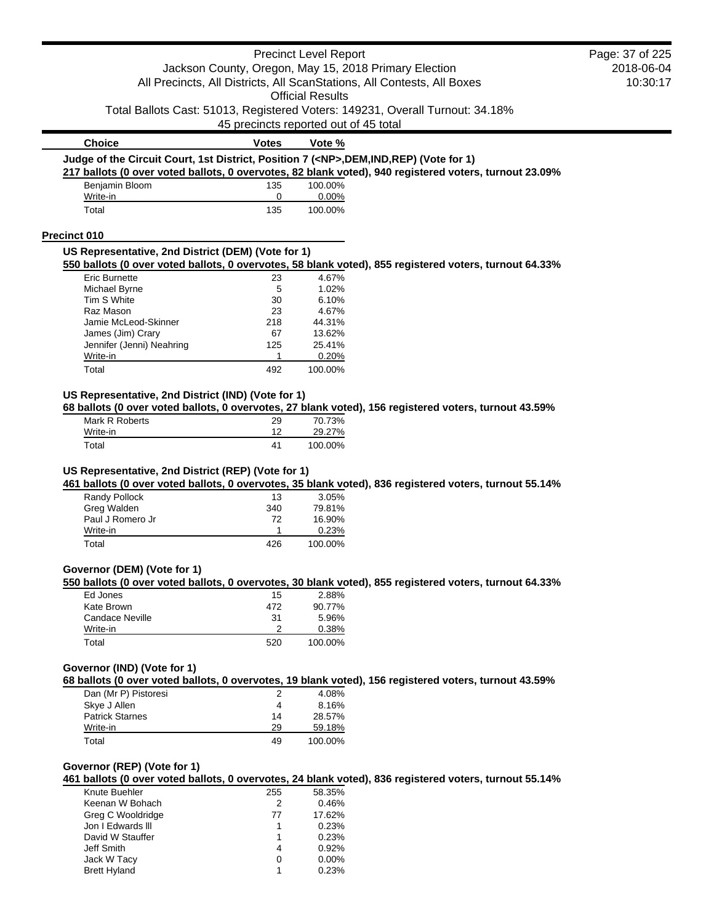|                                                                                            |                                       | <b>Precinct Level Report</b> |                                                                                                        | Page: 37 of 225 |
|--------------------------------------------------------------------------------------------|---------------------------------------|------------------------------|--------------------------------------------------------------------------------------------------------|-----------------|
| Jackson County, Oregon, May 15, 2018 Primary Election                                      |                                       |                              | 2018-06-04                                                                                             |                 |
| All Precincts, All Districts, All ScanStations, All Contests, All Boxes                    | 10:30:17                              |                              |                                                                                                        |                 |
|                                                                                            |                                       | <b>Official Results</b>      |                                                                                                        |                 |
|                                                                                            | 45 precincts reported out of 45 total |                              | Total Ballots Cast: 51013, Registered Voters: 149231, Overall Turnout: 34.18%                          |                 |
| <b>Choice</b>                                                                              | <b>Votes</b>                          | Vote %                       |                                                                                                        |                 |
| Judge of the Circuit Court, 1st District, Position 7 ( <np>,DEM,IND,REP) (Vote for 1)</np> |                                       |                              |                                                                                                        |                 |
|                                                                                            |                                       |                              | 217 ballots (0 over voted ballots, 0 overvotes, 82 blank voted), 940 registered voters, turnout 23.09% |                 |
| Benjamin Bloom                                                                             | 135                                   | 100.00%<br>0.00%             |                                                                                                        |                 |
| Write-in<br>Total                                                                          | 0<br>135                              | 100.00%                      |                                                                                                        |                 |
|                                                                                            |                                       |                              |                                                                                                        |                 |
| <b>Precinct 010</b><br>US Representative, 2nd District (DEM) (Vote for 1)                  |                                       |                              |                                                                                                        |                 |
|                                                                                            |                                       |                              | 550 ballots (0 over voted ballots, 0 overvotes, 58 blank voted), 855 registered voters, turnout 64.33% |                 |
| <b>Eric Burnette</b>                                                                       | 23                                    | 4.67%                        |                                                                                                        |                 |
| Michael Byrne                                                                              | 5                                     | 1.02%                        |                                                                                                        |                 |
| Tim S White                                                                                | 30                                    | 6.10%                        |                                                                                                        |                 |
| Raz Mason<br>Jamie McLeod-Skinner                                                          | 23<br>218                             | 4.67%<br>44.31%              |                                                                                                        |                 |
| James (Jim) Crary                                                                          | 67                                    | 13.62%                       |                                                                                                        |                 |
| Jennifer (Jenni) Neahring                                                                  | 125                                   | 25.41%                       |                                                                                                        |                 |
| Write-in                                                                                   | 1                                     | 0.20%                        |                                                                                                        |                 |
| Total                                                                                      | 492                                   | 100.00%                      |                                                                                                        |                 |
| US Representative, 2nd District (IND) (Vote for 1)                                         |                                       |                              |                                                                                                        |                 |
| Mark R Roberts                                                                             | 29                                    | 70.73%                       | 68 ballots (0 over voted ballots, 0 overvotes, 27 blank voted), 156 registered voters, turnout 43.59%  |                 |
| Write-in                                                                                   | 12                                    | 29.27%                       |                                                                                                        |                 |
| Total                                                                                      | 41                                    | 100.00%                      |                                                                                                        |                 |
| Randy Pollock<br>Greg Walden<br>Paul J Romero Jr                                           | 13<br>340<br>72                       | 3.05%<br>79.81%<br>16.90%    |                                                                                                        |                 |
| Write-in<br>Total                                                                          | 1<br>426                              | 0.23%<br>100.00%             |                                                                                                        |                 |
|                                                                                            |                                       |                              |                                                                                                        |                 |
| Governor (DEM) (Vote for 1)                                                                |                                       |                              | 550 ballots (0 over voted ballots, 0 overvotes, 30 blank voted), 855 registered voters, turnout 64.33% |                 |
| Ed Jones                                                                                   | 15                                    | 2.88%                        |                                                                                                        |                 |
| Kate Brown                                                                                 | 472                                   | 90.77%                       |                                                                                                        |                 |
| <b>Candace Neville</b>                                                                     | 31                                    | 5.96%                        |                                                                                                        |                 |
| Write-in<br>Total                                                                          | 2<br>520                              | 0.38%<br>100.00%             |                                                                                                        |                 |
|                                                                                            |                                       |                              |                                                                                                        |                 |
| Governor (IND) (Vote for 1)                                                                |                                       |                              | 68 ballots (0 over voted ballots, 0 overvotes, 19 blank voted), 156 registered voters, turnout 43.59%  |                 |
| Dan (Mr P) Pistoresi                                                                       | 2                                     | 4.08%                        |                                                                                                        |                 |
| Skye J Allen                                                                               | 4                                     | 8.16%                        |                                                                                                        |                 |
| <b>Patrick Starnes</b>                                                                     | 14                                    | 28.57%                       |                                                                                                        |                 |
| Write-in                                                                                   | 29                                    | 59.18%                       |                                                                                                        |                 |
| Total                                                                                      | 49                                    | 100.00%                      |                                                                                                        |                 |
| Governor (REP) (Vote for 1)                                                                |                                       |                              |                                                                                                        |                 |
|                                                                                            |                                       |                              | 461 ballots (0 over voted ballots, 0 overvotes, 24 blank voted), 836 registered voters, turnout 55.14% |                 |
| Knute Buehler<br>Keenan W Bohach                                                           | 255<br>2                              | 58.35%<br>0.46%              |                                                                                                        |                 |
| Greg C Wooldridge                                                                          | 77                                    | 17.62%                       |                                                                                                        |                 |
| Jon I Edwards III                                                                          | 1                                     | 0.23%                        |                                                                                                        |                 |
| David W Stauffer                                                                           | 1                                     | 0.23%                        |                                                                                                        |                 |
| Jeff Smith                                                                                 | 4                                     | 0.92%                        |                                                                                                        |                 |
| Jack W Tacy                                                                                | 0                                     | 0.00%                        |                                                                                                        |                 |
| <b>Brett Hyland</b>                                                                        | 1                                     | 0.23%                        |                                                                                                        |                 |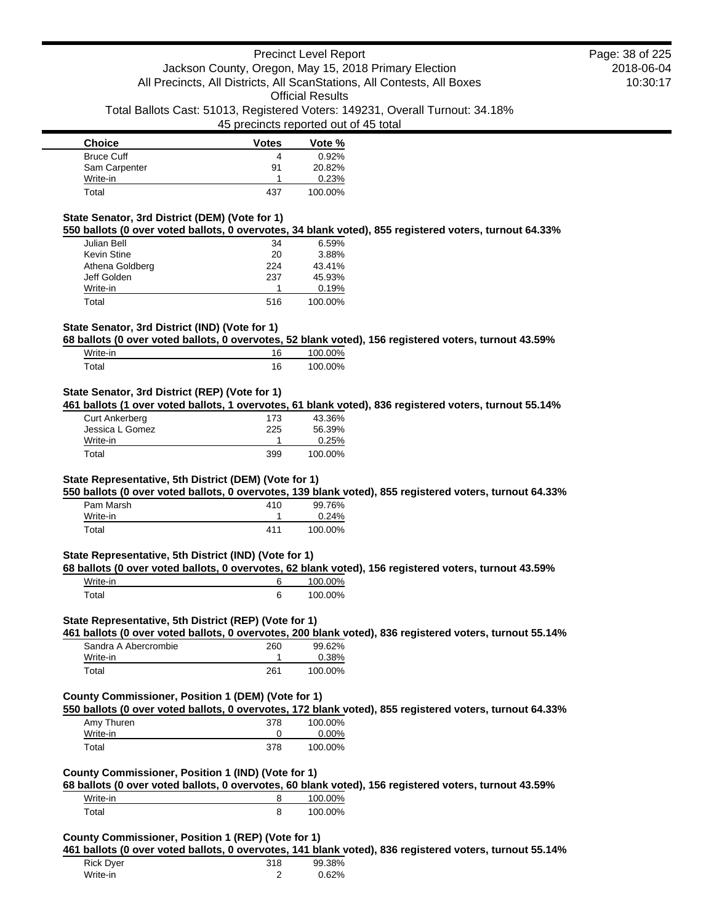| <b>Choice</b>     | <b>Votes</b> | Vote %  |
|-------------------|--------------|---------|
| <b>Bruce Cuff</b> | 4            | 0.92%   |
| Sam Carpenter     | 91           | 20.82%  |
| Write-in          |              | 0.23%   |
| Total             | 437          | 100.00% |

## **State Senator, 3rd District (DEM) (Vote for 1)**

**550 ballots (0 over voted ballots, 0 overvotes, 34 blank voted), 855 registered voters, turnout 64.33%**

| Julian Bell        | 34  | 6.59%   |
|--------------------|-----|---------|
| <b>Kevin Stine</b> | 20  | 3.88%   |
| Athena Goldberg    | 224 | 43.41%  |
| Jeff Golden        | 237 | 45.93%  |
| Write-in           |     | 0.19%   |
| Total              | 516 | 100.00% |

## **State Senator, 3rd District (IND) (Vote for 1)**

**68 ballots (0 over voted ballots, 0 overvotes, 52 blank voted), 156 registered voters, turnout 43.59%**

| Write-in    | 16 | 100.00% |
|-------------|----|---------|
| $\tau$ otal | 16 | 100.00% |

## **State Senator, 3rd District (REP) (Vote for 1)**

**461 ballots (1 over voted ballots, 1 overvotes, 61 blank voted), 836 registered voters, turnout 55.14%**

| Curt Ankerberg  | 173 | 43.36%  |
|-----------------|-----|---------|
| Jessica L Gomez | 225 | 56.39%  |
| Write-in        |     | 0.25%   |
| Total           | 399 | 100.00% |

### **State Representative, 5th District (DEM) (Vote for 1)**

**550 ballots (0 over voted ballots, 0 overvotes, 139 blank voted), 855 registered voters, turnout 64.33%**

| Pam Marsh | 410 | 99.76%  |
|-----------|-----|---------|
| Write-in  |     | 0.24%   |
| Total     | 411 | 100.00% |

#### **State Representative, 5th District (IND) (Vote for 1)**

**68 ballots (0 over voted ballots, 0 overvotes, 62 blank voted), 156 registered voters, turnout 43.59%**

| Write-in | 100.00% |
|----------|---------|
| Total    | 100.00% |

#### **State Representative, 5th District (REP) (Vote for 1)**

**461 ballots (0 over voted ballots, 0 overvotes, 200 blank voted), 836 registered voters, turnout 55.14%** andra A Abercrombic

| Sandra A Abercromble | zou | $99.02\%$ |
|----------------------|-----|-----------|
| Write-in             |     | 0.38%     |
| Total                | 261 | 100.00%   |

## **County Commissioner, Position 1 (DEM) (Vote for 1)**

**550 ballots (0 over voted ballots, 0 overvotes, 172 blank voted), 855 registered voters, turnout 64.33%** Amy Thuren 378 100.00%

| Write-in |     | $0.00\%$ |
|----------|-----|----------|
| Total    | 378 | 100.00%  |

## **County Commissioner, Position 1 (IND) (Vote for 1)**

**68 ballots (0 over voted ballots, 0 overvotes, 60 blank voted), 156 registered voters, turnout 43.59%** Write-in 8 100.00% Total 8 100.00%

#### **County Commissioner, Position 1 (REP) (Vote for 1)**

**461 ballots (0 over voted ballots, 0 overvotes, 141 blank voted), 836 registered voters, turnout 55.14%**

| <b>Rick Dyer</b><br>Write-in | 318 | 99.38% |
|------------------------------|-----|--------|
|                              |     | 0.62%  |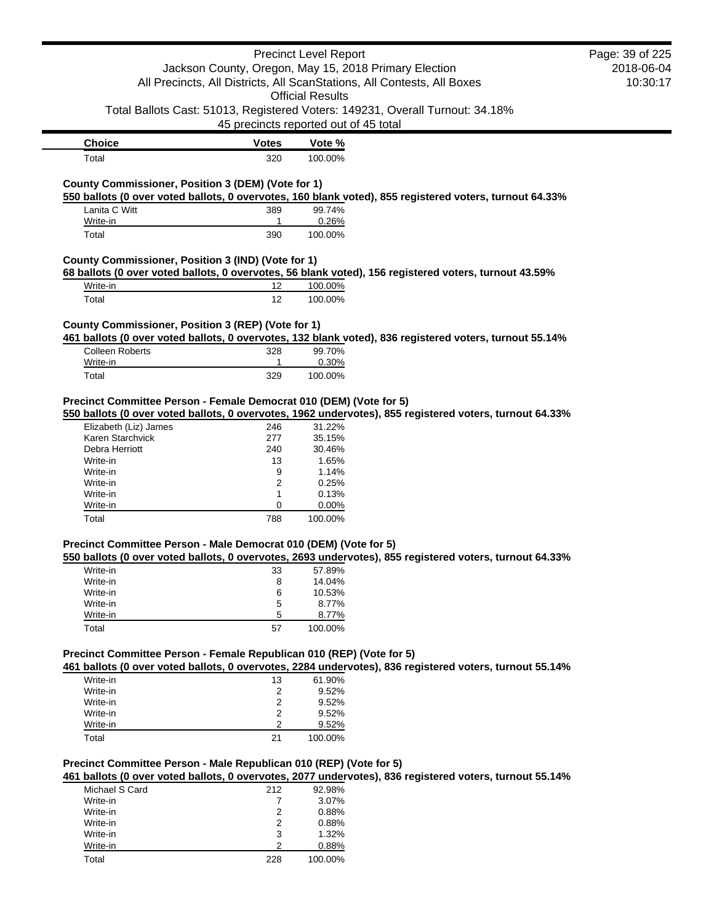| Page: 39 of 225 | <b>Precinct Level Report</b>                                                                                                                          |                |                            |                                                                                                                          |
|-----------------|-------------------------------------------------------------------------------------------------------------------------------------------------------|----------------|----------------------------|--------------------------------------------------------------------------------------------------------------------------|
| 2018-06-04      | Jackson County, Oregon, May 15, 2018 Primary Election                                                                                                 |                |                            |                                                                                                                          |
| 10:30:17        | All Precincts, All Districts, All ScanStations, All Contests, All Boxes                                                                               |                |                            |                                                                                                                          |
|                 | <b>Official Results</b>                                                                                                                               |                |                            |                                                                                                                          |
|                 | Total Ballots Cast: 51013, Registered Voters: 149231, Overall Turnout: 34.18%                                                                         |                |                            |                                                                                                                          |
|                 | 45 precincts reported out of 45 total                                                                                                                 |                |                            |                                                                                                                          |
|                 |                                                                                                                                                       |                |                            |                                                                                                                          |
|                 | Vote %<br>100.00%                                                                                                                                     |                | <b>Votes</b><br>320        | <b>Choice</b><br>Total                                                                                                   |
|                 |                                                                                                                                                       |                |                            |                                                                                                                          |
|                 | 550 ballots (0 over voted ballots, 0 overvotes, 160 blank voted), 855 registered voters, turnout 64.33%                                               |                |                            | County Commissioner, Position 3 (DEM) (Vote for 1)                                                                       |
|                 | 99.74%                                                                                                                                                |                | 389                        | Lanita C Witt                                                                                                            |
|                 | 0.26%                                                                                                                                                 |                | $\mathbf{1}$               | Write-in                                                                                                                 |
|                 | 100.00%                                                                                                                                               |                | 390                        | Total                                                                                                                    |
|                 |                                                                                                                                                       |                |                            | County Commissioner, Position 3 (IND) (Vote for 1)                                                                       |
|                 | 68 ballots (0 over voted ballots, 0 overvotes, 56 blank voted), 156 registered voters, turnout 43.59%                                                 |                |                            |                                                                                                                          |
|                 | 100.00%                                                                                                                                               |                | 12                         | Write-in                                                                                                                 |
|                 | 100.00%                                                                                                                                               |                | 12                         | Total                                                                                                                    |
|                 |                                                                                                                                                       |                |                            |                                                                                                                          |
|                 | 461 ballots (0 over voted ballots, 0 overvotes, 132 blank voted), 836 registered voters, turnout 55.14%                                               |                |                            | County Commissioner, Position 3 (REP) (Vote for 1)                                                                       |
|                 | 99.70%                                                                                                                                                |                | 328                        | <b>Colleen Roberts</b>                                                                                                   |
|                 | 0.30%                                                                                                                                                 |                | 1                          | Write-in                                                                                                                 |
|                 | 100.00%                                                                                                                                               |                | 329                        | Total                                                                                                                    |
|                 |                                                                                                                                                       |                |                            |                                                                                                                          |
|                 |                                                                                                                                                       |                |                            | Precinct Committee Person - Female Democrat 010 (DEM) (Vote for 5)                                                       |
|                 | 550 ballots (0 over voted ballots, 0 overvotes, 1962 undervotes), 855 registered voters, turnout 64.33%                                               |                |                            |                                                                                                                          |
|                 | 31.22%                                                                                                                                                |                | 246                        | Elizabeth (Liz) James                                                                                                    |
|                 | 35.15%                                                                                                                                                |                | 277                        | Karen Starchvick                                                                                                         |
|                 | 30.46%                                                                                                                                                |                | 240                        | Debra Herriott                                                                                                           |
|                 | 1.65%                                                                                                                                                 |                | 13                         | Write-in                                                                                                                 |
|                 | 1.14%                                                                                                                                                 |                | 9                          | Write-in                                                                                                                 |
|                 | 0.25%                                                                                                                                                 |                | 2                          | Write-in                                                                                                                 |
|                 | 0.13%                                                                                                                                                 | 1              |                            | Write-in                                                                                                                 |
|                 | 0.00%                                                                                                                                                 |                | 0<br>788                   | Write-in                                                                                                                 |
|                 | 100.00%                                                                                                                                               |                |                            | Total                                                                                                                    |
|                 |                                                                                                                                                       |                |                            | Precinct Committee Person - Male Democrat 010 (DEM) (Vote for 5)                                                         |
|                 | 550 ballots (0 over voted ballots, 0 overvotes, 2693 undervotes), 855 registered voters, turnout 64.33%                                               |                |                            |                                                                                                                          |
|                 | 57.89%                                                                                                                                                | 33             |                            | Write-in<br>Write-in                                                                                                     |
|                 | 14.04%<br>10.53%                                                                                                                                      |                | 8<br>6                     | Write-in                                                                                                                 |
|                 | 8.77%                                                                                                                                                 |                | 5                          | Write-in                                                                                                                 |
|                 | 8.77%                                                                                                                                                 |                | 5                          | Write-in                                                                                                                 |
|                 | 100.00%                                                                                                                                               |                | 57                         | Total                                                                                                                    |
|                 |                                                                                                                                                       |                |                            |                                                                                                                          |
|                 | 461 ballots (0 over voted ballots, 0 overvotes, 2284 undervotes), 836 registered voters, turnout 55.14%                                               |                |                            | Precinct Committee Person - Female Republican 010 (REP) (Vote for 5)                                                     |
|                 | 61.90%                                                                                                                                                |                | 13                         | Write-in                                                                                                                 |
|                 | 9.52%                                                                                                                                                 |                | 2                          | Write-in                                                                                                                 |
|                 | 9.52%                                                                                                                                                 |                | 2                          | Write-in                                                                                                                 |
|                 | 9.52%                                                                                                                                                 |                | 2                          | Write-in                                                                                                                 |
|                 | 9.52%                                                                                                                                                 |                | 2                          | Write-in                                                                                                                 |
|                 | 100.00%                                                                                                                                               |                | 21                         | Total                                                                                                                    |
|                 |                                                                                                                                                       |                |                            |                                                                                                                          |
|                 |                                                                                                                                                       |                |                            |                                                                                                                          |
|                 |                                                                                                                                                       |                |                            |                                                                                                                          |
|                 |                                                                                                                                                       |                |                            |                                                                                                                          |
|                 |                                                                                                                                                       |                |                            |                                                                                                                          |
|                 |                                                                                                                                                       |                |                            |                                                                                                                          |
|                 | 1.32%                                                                                                                                                 | 3              |                            | Write-in                                                                                                                 |
|                 |                                                                                                                                                       | $\overline{2}$ |                            | Write-in                                                                                                                 |
|                 | 461 ballots (0 over voted ballots, 0 overvotes, 2077 undervotes), 836 registered voters, turnout 55.14%<br>92.98%<br>3.07%<br>0.88%<br>0.88%<br>0.88% | 2              | 212<br>$\overline{7}$<br>2 | Precinct Committee Person - Male Republican 010 (REP) (Vote for 5)<br>Michael S Card<br>Write-in<br>Write-in<br>Write-in |

Total 228 100.00%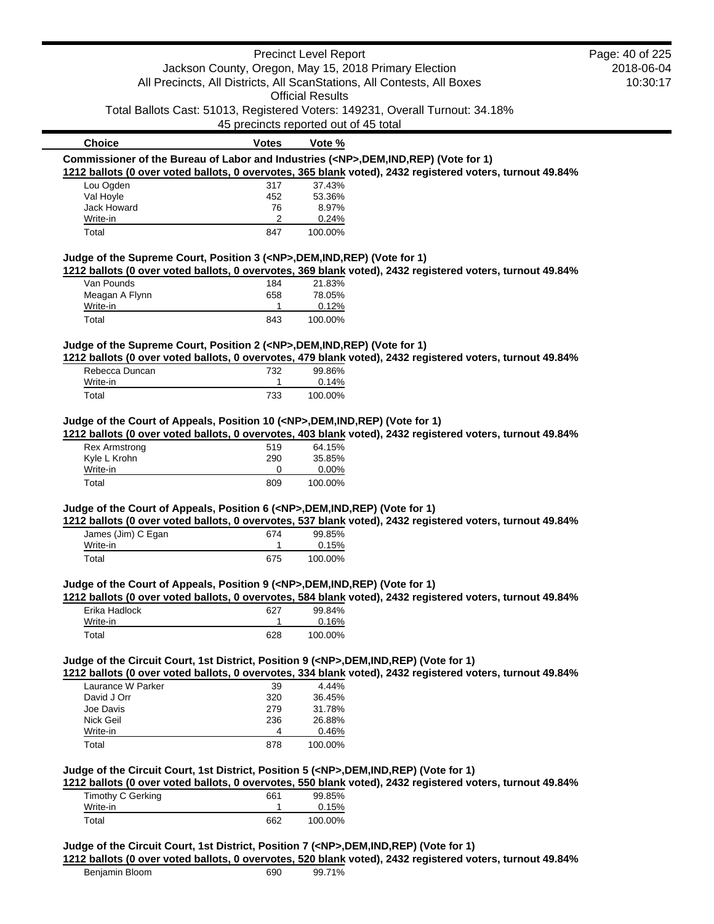|                                                                                            |                                       | <b>Precinct Level Report</b> |                                                                                                           | Page: 40 of 225 |
|--------------------------------------------------------------------------------------------|---------------------------------------|------------------------------|-----------------------------------------------------------------------------------------------------------|-----------------|
|                                                                                            |                                       |                              | Jackson County, Oregon, May 15, 2018 Primary Election                                                     | 2018-06-04      |
|                                                                                            |                                       |                              | All Precincts, All Districts, All ScanStations, All Contests, All Boxes                                   | 10:30:17        |
|                                                                                            |                                       | <b>Official Results</b>      |                                                                                                           |                 |
|                                                                                            |                                       |                              | Total Ballots Cast: 51013, Registered Voters: 149231, Overall Turnout: 34.18%                             |                 |
|                                                                                            | 45 precincts reported out of 45 total |                              |                                                                                                           |                 |
| <b>Choice</b>                                                                              | <b>Votes</b>                          | Vote %                       |                                                                                                           |                 |
| Commissioner of the Bureau of Labor and Industries ( <np>,DEM,IND,REP) (Vote for 1)</np>   |                                       |                              |                                                                                                           |                 |
|                                                                                            |                                       |                              | 1212 ballots (0 over voted ballots, 0 overvotes, 365 blank voted), 2432 registered voters, turnout 49.84% |                 |
| Lou Ogden                                                                                  | 317                                   | 37.43%                       |                                                                                                           |                 |
| Val Hoyle                                                                                  | 452                                   | 53.36%                       |                                                                                                           |                 |
| Jack Howard                                                                                | 76                                    | 8.97%                        |                                                                                                           |                 |
| Write-in<br>Total                                                                          | 2<br>847                              | 0.24%<br>100.00%             |                                                                                                           |                 |
|                                                                                            |                                       |                              |                                                                                                           |                 |
| Judge of the Supreme Court, Position 3 ( <np>,DEM,IND,REP) (Vote for 1)</np>               |                                       |                              |                                                                                                           |                 |
| Van Pounds                                                                                 | 184                                   | 21.83%                       | 1212 ballots (0 over voted ballots, 0 overvotes, 369 blank voted), 2432 registered voters, turnout 49.84% |                 |
| Meagan A Flynn                                                                             | 658                                   | 78.05%                       |                                                                                                           |                 |
| Write-in                                                                                   | 1                                     | 0.12%                        |                                                                                                           |                 |
| Total                                                                                      | 843                                   | 100.00%                      |                                                                                                           |                 |
|                                                                                            |                                       |                              |                                                                                                           |                 |
| Judge of the Supreme Court, Position 2 ( <np>,DEM,IND,REP) (Vote for 1)</np>               |                                       |                              | 1212 ballots (0 over voted ballots, 0 overvotes, 479 blank voted), 2432 registered voters, turnout 49.84% |                 |
| Rebecca Duncan                                                                             | 732                                   | 99.86%                       |                                                                                                           |                 |
| Write-in                                                                                   | 1                                     | 0.14%                        |                                                                                                           |                 |
| Total                                                                                      | 733                                   | 100.00%                      |                                                                                                           |                 |
|                                                                                            |                                       |                              |                                                                                                           |                 |
| Judge of the Court of Appeals, Position 10 ( <np>,DEM,IND,REP) (Vote for 1)</np>           |                                       |                              | 1212 ballots (0 over voted ballots, 0 overvotes, 403 blank voted), 2432 registered voters, turnout 49.84% |                 |
| <b>Rex Armstrong</b>                                                                       | 519                                   | 64.15%                       |                                                                                                           |                 |
| Kyle L Krohn                                                                               | 290                                   | 35.85%                       |                                                                                                           |                 |
| Write-in                                                                                   | 0                                     | 0.00%                        |                                                                                                           |                 |
| Total                                                                                      | 809                                   | 100.00%                      |                                                                                                           |                 |
| Judge of the Court of Appeals, Position 6 ( <np>,DEM,IND,REP) (Vote for 1)</np>            |                                       |                              |                                                                                                           |                 |
|                                                                                            |                                       |                              | 1212 ballots (0 over voted ballots, 0 overvotes, 537 blank voted), 2432 registered voters, turnout 49.84% |                 |
| James (Jim) C Egan                                                                         | 674                                   | 99.85%                       |                                                                                                           |                 |
| Write-in                                                                                   | 1                                     | 0.15%                        |                                                                                                           |                 |
| Total                                                                                      | 675                                   | 100.00%                      |                                                                                                           |                 |
| Judge of the Court of Appeals, Position 9 ( <np>,DEM,IND,REP) (Vote for 1)</np>            |                                       |                              |                                                                                                           |                 |
|                                                                                            |                                       |                              | 1212 ballots (0 over voted ballots, 0 overvotes, 584 blank voted), 2432 registered voters, turnout 49.84% |                 |
| Erika Hadlock                                                                              | 627                                   | 99.84%                       |                                                                                                           |                 |
| Write-in                                                                                   | 1                                     | 0.16%                        |                                                                                                           |                 |
| Total                                                                                      | 628                                   | 100.00%                      |                                                                                                           |                 |
| Judge of the Circuit Court, 1st District, Position 9 ( <np>,DEM,IND,REP) (Vote for 1)</np> |                                       |                              |                                                                                                           |                 |
|                                                                                            |                                       |                              | 1212 ballots (0 over voted ballots, 0 overvotes, 334 blank voted), 2432 registered voters, turnout 49.84% |                 |
| Laurance W Parker                                                                          | 39                                    | 4.44%                        |                                                                                                           |                 |
| David J Orr                                                                                | 320                                   | 36.45%                       |                                                                                                           |                 |
| Joe Davis                                                                                  | 279                                   | 31.78%                       |                                                                                                           |                 |
| Nick Geil                                                                                  | 236                                   | 26.88%                       |                                                                                                           |                 |
| Write-in                                                                                   | 4                                     | 0.46%                        |                                                                                                           |                 |
| Total                                                                                      | 878                                   | 100.00%                      |                                                                                                           |                 |
| Judge of the Circuit Court, 1st District, Position 5 ( <np>,DEM,IND,REP) (Vote for 1)</np> |                                       |                              |                                                                                                           |                 |
|                                                                                            |                                       |                              | 1212 ballots (0 over voted ballots, 0 overvotes, 550 blank voted), 2432 registered voters, turnout 49.84% |                 |
| Timothy C Gerking                                                                          | 661                                   | 99.85%                       |                                                                                                           |                 |
| Write-in                                                                                   | $\mathbf{1}$                          | 0.15%                        |                                                                                                           |                 |
| Total                                                                                      | 662                                   | 100.00%                      |                                                                                                           |                 |
| Judge of the Circuit Court, 1st District, Position 7 ( <np>,DEM,IND,REP) (Vote for 1)</np> |                                       |                              |                                                                                                           |                 |
|                                                                                            |                                       |                              | 1212 ballots (0 over voted ballots, 0 overvotes, 520 blank voted), 2432 registered voters, turnout 49.84% |                 |
| Benjamin Bloom                                                                             | 690                                   | 99.71%                       |                                                                                                           |                 |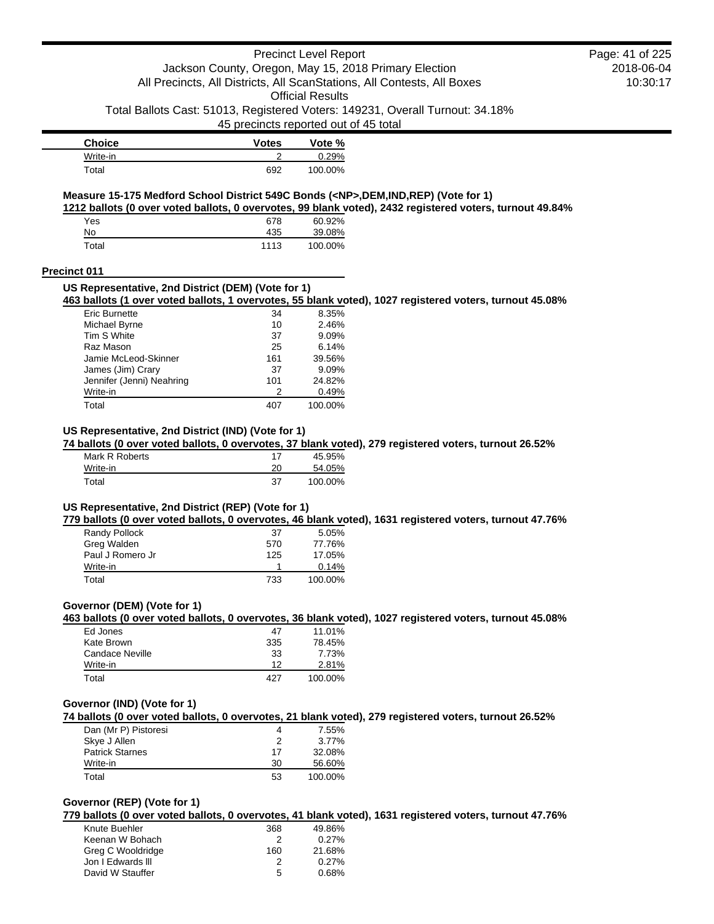## Precinct Level Report Jackson County, Oregon, May 15, 2018 Primary Election All Precincts, All Districts, All ScanStations, All Contests, All Boxes

Official Results

Total Ballots Cast: 51013, Registered Voters: 149231, Overall Turnout: 34.18%

45 precincts reported out of 45 total

| <b>Choice</b> | <b>Votes</b> | Vote %  |
|---------------|--------------|---------|
| Write-in      |              | 0.29%   |
| Total         | 692          | 100.00% |

## **Measure 15-175 Medford School District 549C Bonds (<NP>,DEM,IND,REP) (Vote for 1)**

**1212 ballots (0 over voted ballots, 0 overvotes, 99 blank voted), 2432 registered voters, turnout 49.84%**

| Yes   | 678  | 60.92%  |
|-------|------|---------|
| No    | 435  | 39.08%  |
| Total | 1113 | 100.00% |

### **Precinct 011**

## **US Representative, 2nd District (DEM) (Vote for 1)**

**463 ballots (1 over voted ballots, 1 overvotes, 55 blank voted), 1027 registered voters, turnout 45.08%**

| Eric Burnette             | 34  | 8.35%   |
|---------------------------|-----|---------|
| Michael Byrne             | 10  | 2.46%   |
| Tim S White               | 37  | 9.09%   |
| Raz Mason                 | 25  | 6.14%   |
| Jamie McLeod-Skinner      | 161 | 39.56%  |
| James (Jim) Crary         | 37  | 9.09%   |
| Jennifer (Jenni) Neahring | 101 | 24.82%  |
| Write-in                  | 2   | 0.49%   |
| Total                     | 407 | 100.00% |

## **US Representative, 2nd District (IND) (Vote for 1)**

**74 ballots (0 over voted ballots, 0 overvotes, 37 blank voted), 279 registered voters, turnout 26.52%**

| Mark R Roberts | 17 | 45.95%  |
|----------------|----|---------|
| Write-in       | 20 | 54.05%  |
| Total          | 37 | 100.00% |

## **US Representative, 2nd District (REP) (Vote for 1)**

**779 ballots (0 over voted ballots, 0 overvotes, 46 blank voted), 1631 registered voters, turnout 47.76%**

| Randy Pollock    | -37 | 5.05%   |
|------------------|-----|---------|
| Greg Walden      | 570 | 77.76%  |
| Paul J Romero Jr | 125 | 17.05%  |
| Write-in         |     | 0.14%   |
| Total            | 733 | 100.00% |

### **Governor (DEM) (Vote for 1)**

**463 ballots (0 over voted ballots, 0 overvotes, 36 blank voted), 1027 registered voters, turnout 45.08%**

| Ed Jones        | 47  | 11.01%  |
|-----------------|-----|---------|
| Kate Brown      | 335 | 78.45%  |
| Candace Neville | 33  | 7.73%   |
| Write-in        | 12  | 2.81%   |
| Total           | 427 | 100.00% |

### **Governor (IND) (Vote for 1)**

**74 ballots (0 over voted ballots, 0 overvotes, 21 blank voted), 279 registered voters, turnout 26.52%**

| Dan (Mr P) Pistoresi   | 4  | 7.55%   |
|------------------------|----|---------|
| Skye J Allen           | 2  | 3.77%   |
| <b>Patrick Starnes</b> | 17 | 32.08%  |
| Write-in               | 30 | 56.60%  |
| Total                  | 53 | 100.00% |

### **Governor (REP) (Vote for 1)**

**779 ballots (0 over voted ballots, 0 overvotes, 41 blank voted), 1631 registered voters, turnout 47.76%**

| Knute Buehler     | 368 | 49.86%   |
|-------------------|-----|----------|
| Keenan W Bohach   | 2   | 0.27%    |
| Greg C Wooldridge | 160 | 21.68%   |
| Jon I Edwards III | 2   | $0.27\%$ |
| David W Stauffer  | 5   | 0.68%    |
|                   |     |          |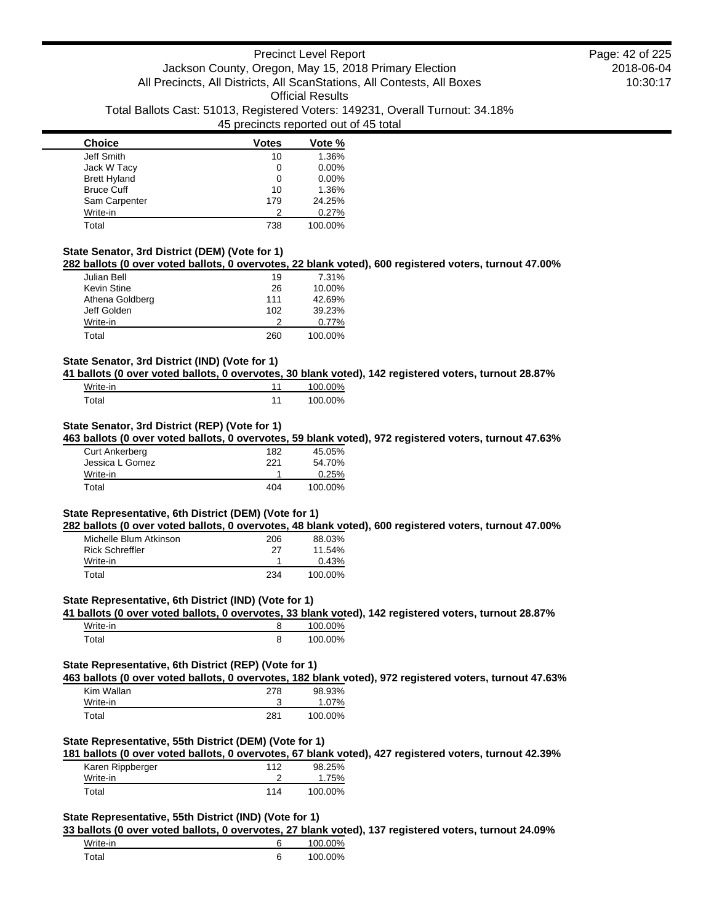| <b>Choice</b>       | <b>Votes</b> | Vote %  |
|---------------------|--------------|---------|
| Jeff Smith          | 10           | 1.36%   |
| Jack W Tacy         |              | 0.00%   |
| <b>Brett Hyland</b> | 0            | 0.00%   |
| <b>Bruce Cuff</b>   | 10           | 1.36%   |
| Sam Carpenter       | 179          | 24.25%  |
| Write-in            | 2            | 0.27%   |
| Total               | 738          | 100.00% |

## **State Senator, 3rd District (DEM) (Vote for 1)**

**282 ballots (0 over voted ballots, 0 overvotes, 22 blank voted), 600 registered voters, turnout 47.00%**

| Julian Bell     | 19  | 7.31%   |
|-----------------|-----|---------|
| Kevin Stine     | 26  | 10.00%  |
| Athena Goldberg | 111 | 42.69%  |
| Jeff Golden     | 102 | 39.23%  |
| Write-in        | っ   | 0.77%   |
| Total           | 260 | 100.00% |

### **State Senator, 3rd District (IND) (Vote for 1)**

**41 ballots (0 over voted ballots, 0 overvotes, 30 blank voted), 142 registered voters, turnout 28.87%**

| Write-in | 100.00% |
|----------|---------|
| Total    | 100.00% |

## **State Senator, 3rd District (REP) (Vote for 1)**

**463 ballots (0 over voted ballots, 0 overvotes, 59 blank voted), 972 registered voters, turnout 47.63%**

| <b>Curt Ankerberg</b> | 182 | 45.05%  |
|-----------------------|-----|---------|
| Jessica L Gomez       | 221 | 54.70%  |
| Write-in              |     | 0.25%   |
| Total                 | 404 | 100.00% |

## **State Representative, 6th District (DEM) (Vote for 1)**

**282 ballots (0 over voted ballots, 0 overvotes, 48 blank voted), 600 registered voters, turnout 47.00%**

| Michelle Blum Atkinson | 206 | 88.03%    |
|------------------------|-----|-----------|
| Rick Schreffler        | 27  | $11.54\%$ |
| Write-in               |     | 0.43%     |
| Total                  | 234 | 100.00%   |

#### **State Representative, 6th District (IND) (Vote for 1)**

**41 ballots (0 over voted ballots, 0 overvotes, 33 blank voted), 142 registered voters, turnout 28.87%**

| Write-in | 100.00% |
|----------|---------|
| Total    | 100.00% |

## **State Representative, 6th District (REP) (Vote for 1)**

**463 ballots (0 over voted ballots, 0 overvotes, 182 blank voted), 972 registered voters, turnout 47.63%**

| Kim Wallan | 278 | 98.93%  |
|------------|-----|---------|
| Write-in   | ۰J  | 1.07%   |
| Total      | 281 | 100.00% |

#### **State Representative, 55th District (DEM) (Vote for 1)**

**181 ballots (0 over voted ballots, 0 overvotes, 67 blank voted), 427 registered voters, turnout 42.39%**

| Karen Rippberger | 112 | 98.25%  |
|------------------|-----|---------|
| Write-in         |     | 1.75%   |
| Total            | 114 | 100.00% |

### **State Representative, 55th District (IND) (Vote for 1)**

**33 ballots (0 over voted ballots, 0 overvotes, 27 blank voted), 137 registered voters, turnout 24.09%**

| Write-in | 100.00% |
|----------|---------|
| Total    | 100.00% |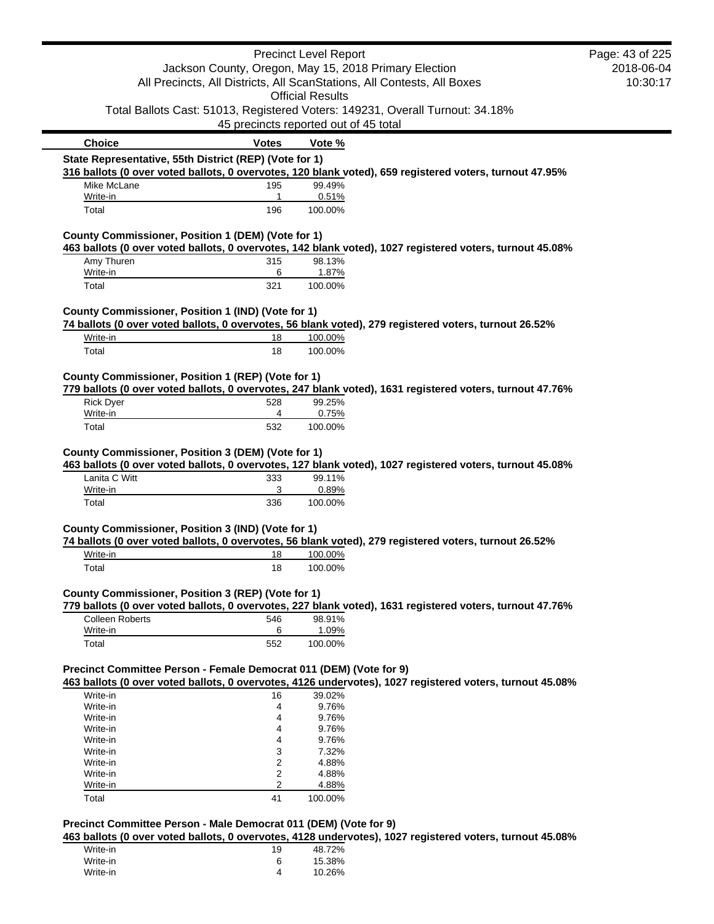| Jackson County, Oregon, May 15, 2018 Primary Election<br>All Precincts, All Districts, All ScanStations, All Contests, All Boxes<br><b>Official Results</b><br>Total Ballots Cast: 51013, Registered Voters: 149231, Overall Turnout: 34.18%<br>45 precincts reported out of 45 total<br><b>Choice</b><br><b>Votes</b><br>Vote %<br>State Representative, 55th District (REP) (Vote for 1)<br>316 ballots (0 over voted ballots, 0 overvotes, 120 blank voted), 659 registered voters, turnout 47.95%<br>195<br>99.49%<br>Mike McLane<br>0.51%<br>Write-in<br>$\mathbf{1}$<br>196<br>100.00%<br>Total<br>County Commissioner, Position 1 (DEM) (Vote for 1)<br>463 ballots (0 over voted ballots, 0 overvotes, 142 blank voted), 1027 registered voters, turnout 45.08%<br>Amy Thuren<br>98.13%<br>315<br>1.87%<br>Write-in<br>6<br>Total<br>321<br>100.00%<br>County Commissioner, Position 1 (IND) (Vote for 1)<br>74 ballots (0 over voted ballots, 0 overvotes, 56 blank voted), 279 registered voters, turnout 26.52%<br>Write-in<br>18<br>100.00%<br>Total<br>18<br>100.00%<br>County Commissioner, Position 1 (REP) (Vote for 1)<br>779 ballots (0 over voted ballots, 0 overvotes, 247 blank voted), 1631 registered voters, turnout 47.76%<br><b>Rick Dyer</b><br>528<br>99.25%<br>Write-in<br>4<br>0.75%<br>532<br>Total<br>100.00%<br>County Commissioner, Position 3 (DEM) (Vote for 1)<br>463 ballots (0 over voted ballots, 0 overvotes, 127 blank voted), 1027 registered voters, turnout 45.08%<br>Lanita C Witt<br>99.11%<br>333<br>Write-in<br>0.89%<br>3<br>Total<br>336<br>100.00%<br>County Commissioner, Position 3 (IND) (Vote for 1)<br>74 ballots (0 over voted ballots, 0 overvotes, 56 blank voted), 279 registered voters, turnout 26.52%<br>Write-in<br>18<br>100.00%<br>18<br>Total<br>100.00%<br>County Commissioner, Position 3 (REP) (Vote for 1)<br>779 ballots (0 over voted ballots, 0 overvotes, 227 blank voted), 1631 registered voters, turnout 47.76%<br><b>Colleen Roberts</b><br>546<br>98.91%<br>6<br>1.09%<br>Write-in<br>552<br>Total<br>100.00%<br>Precinct Committee Person - Female Democrat 011 (DEM) (Vote for 9)<br>463 ballots (0 over voted ballots, 0 overvotes, 4126 undervotes), 1027 registered voters, turnout 45.08%<br>16<br>39.02%<br>Write-in<br>Write-in<br>9.76%<br>4<br>9.76%<br>Write-in<br>4<br>9.76%<br>Write-in<br>4<br>Write-in<br>9.76%<br>4<br>3<br>Write-in<br>7.32%<br>Write-in<br>2<br>4.88%<br>2<br>4.88%<br>Write-in<br>$\overline{c}$<br>4.88%<br>Write-in<br>41<br>Total<br>100.00%<br>Precinct Committee Person - Male Democrat 011 (DEM) (Vote for 9)<br>463 ballots (0 over voted ballots, 0 overvotes, 4128 undervotes), 1027 registered voters, turnout 45.08%<br>48.72%<br>Write-in<br>19<br>Write-in<br>15.38%<br>6<br>4<br>Write-in |  | <b>Precinct Level Report</b> | Page: 43 of 225 |
|-----------------------------------------------------------------------------------------------------------------------------------------------------------------------------------------------------------------------------------------------------------------------------------------------------------------------------------------------------------------------------------------------------------------------------------------------------------------------------------------------------------------------------------------------------------------------------------------------------------------------------------------------------------------------------------------------------------------------------------------------------------------------------------------------------------------------------------------------------------------------------------------------------------------------------------------------------------------------------------------------------------------------------------------------------------------------------------------------------------------------------------------------------------------------------------------------------------------------------------------------------------------------------------------------------------------------------------------------------------------------------------------------------------------------------------------------------------------------------------------------------------------------------------------------------------------------------------------------------------------------------------------------------------------------------------------------------------------------------------------------------------------------------------------------------------------------------------------------------------------------------------------------------------------------------------------------------------------------------------------------------------------------------------------------------------------------------------------------------------------------------------------------------------------------------------------------------------------------------------------------------------------------------------------------------------------------------------------------------------------------------------------------------------------------------------------------------------------------------------------------------------------------------------------------------------------------------------------------------------------------------------------------------------------------------------------------------------------------------------------------------------------------------------------------------------------------------|--|------------------------------|-----------------|
|                                                                                                                                                                                                                                                                                                                                                                                                                                                                                                                                                                                                                                                                                                                                                                                                                                                                                                                                                                                                                                                                                                                                                                                                                                                                                                                                                                                                                                                                                                                                                                                                                                                                                                                                                                                                                                                                                                                                                                                                                                                                                                                                                                                                                                                                                                                                                                                                                                                                                                                                                                                                                                                                                                                                                                                                                             |  |                              | 2018-06-04      |
|                                                                                                                                                                                                                                                                                                                                                                                                                                                                                                                                                                                                                                                                                                                                                                                                                                                                                                                                                                                                                                                                                                                                                                                                                                                                                                                                                                                                                                                                                                                                                                                                                                                                                                                                                                                                                                                                                                                                                                                                                                                                                                                                                                                                                                                                                                                                                                                                                                                                                                                                                                                                                                                                                                                                                                                                                             |  |                              | 10:30:17        |
|                                                                                                                                                                                                                                                                                                                                                                                                                                                                                                                                                                                                                                                                                                                                                                                                                                                                                                                                                                                                                                                                                                                                                                                                                                                                                                                                                                                                                                                                                                                                                                                                                                                                                                                                                                                                                                                                                                                                                                                                                                                                                                                                                                                                                                                                                                                                                                                                                                                                                                                                                                                                                                                                                                                                                                                                                             |  |                              |                 |
|                                                                                                                                                                                                                                                                                                                                                                                                                                                                                                                                                                                                                                                                                                                                                                                                                                                                                                                                                                                                                                                                                                                                                                                                                                                                                                                                                                                                                                                                                                                                                                                                                                                                                                                                                                                                                                                                                                                                                                                                                                                                                                                                                                                                                                                                                                                                                                                                                                                                                                                                                                                                                                                                                                                                                                                                                             |  |                              |                 |
|                                                                                                                                                                                                                                                                                                                                                                                                                                                                                                                                                                                                                                                                                                                                                                                                                                                                                                                                                                                                                                                                                                                                                                                                                                                                                                                                                                                                                                                                                                                                                                                                                                                                                                                                                                                                                                                                                                                                                                                                                                                                                                                                                                                                                                                                                                                                                                                                                                                                                                                                                                                                                                                                                                                                                                                                                             |  |                              |                 |
|                                                                                                                                                                                                                                                                                                                                                                                                                                                                                                                                                                                                                                                                                                                                                                                                                                                                                                                                                                                                                                                                                                                                                                                                                                                                                                                                                                                                                                                                                                                                                                                                                                                                                                                                                                                                                                                                                                                                                                                                                                                                                                                                                                                                                                                                                                                                                                                                                                                                                                                                                                                                                                                                                                                                                                                                                             |  |                              |                 |
|                                                                                                                                                                                                                                                                                                                                                                                                                                                                                                                                                                                                                                                                                                                                                                                                                                                                                                                                                                                                                                                                                                                                                                                                                                                                                                                                                                                                                                                                                                                                                                                                                                                                                                                                                                                                                                                                                                                                                                                                                                                                                                                                                                                                                                                                                                                                                                                                                                                                                                                                                                                                                                                                                                                                                                                                                             |  |                              |                 |
|                                                                                                                                                                                                                                                                                                                                                                                                                                                                                                                                                                                                                                                                                                                                                                                                                                                                                                                                                                                                                                                                                                                                                                                                                                                                                                                                                                                                                                                                                                                                                                                                                                                                                                                                                                                                                                                                                                                                                                                                                                                                                                                                                                                                                                                                                                                                                                                                                                                                                                                                                                                                                                                                                                                                                                                                                             |  |                              |                 |
|                                                                                                                                                                                                                                                                                                                                                                                                                                                                                                                                                                                                                                                                                                                                                                                                                                                                                                                                                                                                                                                                                                                                                                                                                                                                                                                                                                                                                                                                                                                                                                                                                                                                                                                                                                                                                                                                                                                                                                                                                                                                                                                                                                                                                                                                                                                                                                                                                                                                                                                                                                                                                                                                                                                                                                                                                             |  |                              |                 |
|                                                                                                                                                                                                                                                                                                                                                                                                                                                                                                                                                                                                                                                                                                                                                                                                                                                                                                                                                                                                                                                                                                                                                                                                                                                                                                                                                                                                                                                                                                                                                                                                                                                                                                                                                                                                                                                                                                                                                                                                                                                                                                                                                                                                                                                                                                                                                                                                                                                                                                                                                                                                                                                                                                                                                                                                                             |  |                              |                 |
|                                                                                                                                                                                                                                                                                                                                                                                                                                                                                                                                                                                                                                                                                                                                                                                                                                                                                                                                                                                                                                                                                                                                                                                                                                                                                                                                                                                                                                                                                                                                                                                                                                                                                                                                                                                                                                                                                                                                                                                                                                                                                                                                                                                                                                                                                                                                                                                                                                                                                                                                                                                                                                                                                                                                                                                                                             |  |                              |                 |
|                                                                                                                                                                                                                                                                                                                                                                                                                                                                                                                                                                                                                                                                                                                                                                                                                                                                                                                                                                                                                                                                                                                                                                                                                                                                                                                                                                                                                                                                                                                                                                                                                                                                                                                                                                                                                                                                                                                                                                                                                                                                                                                                                                                                                                                                                                                                                                                                                                                                                                                                                                                                                                                                                                                                                                                                                             |  |                              |                 |
|                                                                                                                                                                                                                                                                                                                                                                                                                                                                                                                                                                                                                                                                                                                                                                                                                                                                                                                                                                                                                                                                                                                                                                                                                                                                                                                                                                                                                                                                                                                                                                                                                                                                                                                                                                                                                                                                                                                                                                                                                                                                                                                                                                                                                                                                                                                                                                                                                                                                                                                                                                                                                                                                                                                                                                                                                             |  |                              |                 |
|                                                                                                                                                                                                                                                                                                                                                                                                                                                                                                                                                                                                                                                                                                                                                                                                                                                                                                                                                                                                                                                                                                                                                                                                                                                                                                                                                                                                                                                                                                                                                                                                                                                                                                                                                                                                                                                                                                                                                                                                                                                                                                                                                                                                                                                                                                                                                                                                                                                                                                                                                                                                                                                                                                                                                                                                                             |  |                              |                 |
|                                                                                                                                                                                                                                                                                                                                                                                                                                                                                                                                                                                                                                                                                                                                                                                                                                                                                                                                                                                                                                                                                                                                                                                                                                                                                                                                                                                                                                                                                                                                                                                                                                                                                                                                                                                                                                                                                                                                                                                                                                                                                                                                                                                                                                                                                                                                                                                                                                                                                                                                                                                                                                                                                                                                                                                                                             |  |                              |                 |
|                                                                                                                                                                                                                                                                                                                                                                                                                                                                                                                                                                                                                                                                                                                                                                                                                                                                                                                                                                                                                                                                                                                                                                                                                                                                                                                                                                                                                                                                                                                                                                                                                                                                                                                                                                                                                                                                                                                                                                                                                                                                                                                                                                                                                                                                                                                                                                                                                                                                                                                                                                                                                                                                                                                                                                                                                             |  |                              |                 |
|                                                                                                                                                                                                                                                                                                                                                                                                                                                                                                                                                                                                                                                                                                                                                                                                                                                                                                                                                                                                                                                                                                                                                                                                                                                                                                                                                                                                                                                                                                                                                                                                                                                                                                                                                                                                                                                                                                                                                                                                                                                                                                                                                                                                                                                                                                                                                                                                                                                                                                                                                                                                                                                                                                                                                                                                                             |  |                              |                 |
|                                                                                                                                                                                                                                                                                                                                                                                                                                                                                                                                                                                                                                                                                                                                                                                                                                                                                                                                                                                                                                                                                                                                                                                                                                                                                                                                                                                                                                                                                                                                                                                                                                                                                                                                                                                                                                                                                                                                                                                                                                                                                                                                                                                                                                                                                                                                                                                                                                                                                                                                                                                                                                                                                                                                                                                                                             |  |                              |                 |
|                                                                                                                                                                                                                                                                                                                                                                                                                                                                                                                                                                                                                                                                                                                                                                                                                                                                                                                                                                                                                                                                                                                                                                                                                                                                                                                                                                                                                                                                                                                                                                                                                                                                                                                                                                                                                                                                                                                                                                                                                                                                                                                                                                                                                                                                                                                                                                                                                                                                                                                                                                                                                                                                                                                                                                                                                             |  |                              |                 |
|                                                                                                                                                                                                                                                                                                                                                                                                                                                                                                                                                                                                                                                                                                                                                                                                                                                                                                                                                                                                                                                                                                                                                                                                                                                                                                                                                                                                                                                                                                                                                                                                                                                                                                                                                                                                                                                                                                                                                                                                                                                                                                                                                                                                                                                                                                                                                                                                                                                                                                                                                                                                                                                                                                                                                                                                                             |  |                              |                 |
|                                                                                                                                                                                                                                                                                                                                                                                                                                                                                                                                                                                                                                                                                                                                                                                                                                                                                                                                                                                                                                                                                                                                                                                                                                                                                                                                                                                                                                                                                                                                                                                                                                                                                                                                                                                                                                                                                                                                                                                                                                                                                                                                                                                                                                                                                                                                                                                                                                                                                                                                                                                                                                                                                                                                                                                                                             |  |                              |                 |
|                                                                                                                                                                                                                                                                                                                                                                                                                                                                                                                                                                                                                                                                                                                                                                                                                                                                                                                                                                                                                                                                                                                                                                                                                                                                                                                                                                                                                                                                                                                                                                                                                                                                                                                                                                                                                                                                                                                                                                                                                                                                                                                                                                                                                                                                                                                                                                                                                                                                                                                                                                                                                                                                                                                                                                                                                             |  |                              |                 |
|                                                                                                                                                                                                                                                                                                                                                                                                                                                                                                                                                                                                                                                                                                                                                                                                                                                                                                                                                                                                                                                                                                                                                                                                                                                                                                                                                                                                                                                                                                                                                                                                                                                                                                                                                                                                                                                                                                                                                                                                                                                                                                                                                                                                                                                                                                                                                                                                                                                                                                                                                                                                                                                                                                                                                                                                                             |  |                              |                 |
|                                                                                                                                                                                                                                                                                                                                                                                                                                                                                                                                                                                                                                                                                                                                                                                                                                                                                                                                                                                                                                                                                                                                                                                                                                                                                                                                                                                                                                                                                                                                                                                                                                                                                                                                                                                                                                                                                                                                                                                                                                                                                                                                                                                                                                                                                                                                                                                                                                                                                                                                                                                                                                                                                                                                                                                                                             |  |                              |                 |
|                                                                                                                                                                                                                                                                                                                                                                                                                                                                                                                                                                                                                                                                                                                                                                                                                                                                                                                                                                                                                                                                                                                                                                                                                                                                                                                                                                                                                                                                                                                                                                                                                                                                                                                                                                                                                                                                                                                                                                                                                                                                                                                                                                                                                                                                                                                                                                                                                                                                                                                                                                                                                                                                                                                                                                                                                             |  |                              |                 |
|                                                                                                                                                                                                                                                                                                                                                                                                                                                                                                                                                                                                                                                                                                                                                                                                                                                                                                                                                                                                                                                                                                                                                                                                                                                                                                                                                                                                                                                                                                                                                                                                                                                                                                                                                                                                                                                                                                                                                                                                                                                                                                                                                                                                                                                                                                                                                                                                                                                                                                                                                                                                                                                                                                                                                                                                                             |  |                              |                 |
|                                                                                                                                                                                                                                                                                                                                                                                                                                                                                                                                                                                                                                                                                                                                                                                                                                                                                                                                                                                                                                                                                                                                                                                                                                                                                                                                                                                                                                                                                                                                                                                                                                                                                                                                                                                                                                                                                                                                                                                                                                                                                                                                                                                                                                                                                                                                                                                                                                                                                                                                                                                                                                                                                                                                                                                                                             |  |                              |                 |
|                                                                                                                                                                                                                                                                                                                                                                                                                                                                                                                                                                                                                                                                                                                                                                                                                                                                                                                                                                                                                                                                                                                                                                                                                                                                                                                                                                                                                                                                                                                                                                                                                                                                                                                                                                                                                                                                                                                                                                                                                                                                                                                                                                                                                                                                                                                                                                                                                                                                                                                                                                                                                                                                                                                                                                                                                             |  |                              |                 |
|                                                                                                                                                                                                                                                                                                                                                                                                                                                                                                                                                                                                                                                                                                                                                                                                                                                                                                                                                                                                                                                                                                                                                                                                                                                                                                                                                                                                                                                                                                                                                                                                                                                                                                                                                                                                                                                                                                                                                                                                                                                                                                                                                                                                                                                                                                                                                                                                                                                                                                                                                                                                                                                                                                                                                                                                                             |  |                              |                 |
|                                                                                                                                                                                                                                                                                                                                                                                                                                                                                                                                                                                                                                                                                                                                                                                                                                                                                                                                                                                                                                                                                                                                                                                                                                                                                                                                                                                                                                                                                                                                                                                                                                                                                                                                                                                                                                                                                                                                                                                                                                                                                                                                                                                                                                                                                                                                                                                                                                                                                                                                                                                                                                                                                                                                                                                                                             |  |                              |                 |
|                                                                                                                                                                                                                                                                                                                                                                                                                                                                                                                                                                                                                                                                                                                                                                                                                                                                                                                                                                                                                                                                                                                                                                                                                                                                                                                                                                                                                                                                                                                                                                                                                                                                                                                                                                                                                                                                                                                                                                                                                                                                                                                                                                                                                                                                                                                                                                                                                                                                                                                                                                                                                                                                                                                                                                                                                             |  |                              |                 |
|                                                                                                                                                                                                                                                                                                                                                                                                                                                                                                                                                                                                                                                                                                                                                                                                                                                                                                                                                                                                                                                                                                                                                                                                                                                                                                                                                                                                                                                                                                                                                                                                                                                                                                                                                                                                                                                                                                                                                                                                                                                                                                                                                                                                                                                                                                                                                                                                                                                                                                                                                                                                                                                                                                                                                                                                                             |  |                              |                 |
|                                                                                                                                                                                                                                                                                                                                                                                                                                                                                                                                                                                                                                                                                                                                                                                                                                                                                                                                                                                                                                                                                                                                                                                                                                                                                                                                                                                                                                                                                                                                                                                                                                                                                                                                                                                                                                                                                                                                                                                                                                                                                                                                                                                                                                                                                                                                                                                                                                                                                                                                                                                                                                                                                                                                                                                                                             |  |                              |                 |
|                                                                                                                                                                                                                                                                                                                                                                                                                                                                                                                                                                                                                                                                                                                                                                                                                                                                                                                                                                                                                                                                                                                                                                                                                                                                                                                                                                                                                                                                                                                                                                                                                                                                                                                                                                                                                                                                                                                                                                                                                                                                                                                                                                                                                                                                                                                                                                                                                                                                                                                                                                                                                                                                                                                                                                                                                             |  |                              |                 |
|                                                                                                                                                                                                                                                                                                                                                                                                                                                                                                                                                                                                                                                                                                                                                                                                                                                                                                                                                                                                                                                                                                                                                                                                                                                                                                                                                                                                                                                                                                                                                                                                                                                                                                                                                                                                                                                                                                                                                                                                                                                                                                                                                                                                                                                                                                                                                                                                                                                                                                                                                                                                                                                                                                                                                                                                                             |  |                              |                 |
|                                                                                                                                                                                                                                                                                                                                                                                                                                                                                                                                                                                                                                                                                                                                                                                                                                                                                                                                                                                                                                                                                                                                                                                                                                                                                                                                                                                                                                                                                                                                                                                                                                                                                                                                                                                                                                                                                                                                                                                                                                                                                                                                                                                                                                                                                                                                                                                                                                                                                                                                                                                                                                                                                                                                                                                                                             |  |                              |                 |
|                                                                                                                                                                                                                                                                                                                                                                                                                                                                                                                                                                                                                                                                                                                                                                                                                                                                                                                                                                                                                                                                                                                                                                                                                                                                                                                                                                                                                                                                                                                                                                                                                                                                                                                                                                                                                                                                                                                                                                                                                                                                                                                                                                                                                                                                                                                                                                                                                                                                                                                                                                                                                                                                                                                                                                                                                             |  |                              |                 |
|                                                                                                                                                                                                                                                                                                                                                                                                                                                                                                                                                                                                                                                                                                                                                                                                                                                                                                                                                                                                                                                                                                                                                                                                                                                                                                                                                                                                                                                                                                                                                                                                                                                                                                                                                                                                                                                                                                                                                                                                                                                                                                                                                                                                                                                                                                                                                                                                                                                                                                                                                                                                                                                                                                                                                                                                                             |  |                              |                 |
|                                                                                                                                                                                                                                                                                                                                                                                                                                                                                                                                                                                                                                                                                                                                                                                                                                                                                                                                                                                                                                                                                                                                                                                                                                                                                                                                                                                                                                                                                                                                                                                                                                                                                                                                                                                                                                                                                                                                                                                                                                                                                                                                                                                                                                                                                                                                                                                                                                                                                                                                                                                                                                                                                                                                                                                                                             |  |                              |                 |
|                                                                                                                                                                                                                                                                                                                                                                                                                                                                                                                                                                                                                                                                                                                                                                                                                                                                                                                                                                                                                                                                                                                                                                                                                                                                                                                                                                                                                                                                                                                                                                                                                                                                                                                                                                                                                                                                                                                                                                                                                                                                                                                                                                                                                                                                                                                                                                                                                                                                                                                                                                                                                                                                                                                                                                                                                             |  |                              |                 |
|                                                                                                                                                                                                                                                                                                                                                                                                                                                                                                                                                                                                                                                                                                                                                                                                                                                                                                                                                                                                                                                                                                                                                                                                                                                                                                                                                                                                                                                                                                                                                                                                                                                                                                                                                                                                                                                                                                                                                                                                                                                                                                                                                                                                                                                                                                                                                                                                                                                                                                                                                                                                                                                                                                                                                                                                                             |  |                              |                 |
|                                                                                                                                                                                                                                                                                                                                                                                                                                                                                                                                                                                                                                                                                                                                                                                                                                                                                                                                                                                                                                                                                                                                                                                                                                                                                                                                                                                                                                                                                                                                                                                                                                                                                                                                                                                                                                                                                                                                                                                                                                                                                                                                                                                                                                                                                                                                                                                                                                                                                                                                                                                                                                                                                                                                                                                                                             |  |                              |                 |
|                                                                                                                                                                                                                                                                                                                                                                                                                                                                                                                                                                                                                                                                                                                                                                                                                                                                                                                                                                                                                                                                                                                                                                                                                                                                                                                                                                                                                                                                                                                                                                                                                                                                                                                                                                                                                                                                                                                                                                                                                                                                                                                                                                                                                                                                                                                                                                                                                                                                                                                                                                                                                                                                                                                                                                                                                             |  |                              |                 |
|                                                                                                                                                                                                                                                                                                                                                                                                                                                                                                                                                                                                                                                                                                                                                                                                                                                                                                                                                                                                                                                                                                                                                                                                                                                                                                                                                                                                                                                                                                                                                                                                                                                                                                                                                                                                                                                                                                                                                                                                                                                                                                                                                                                                                                                                                                                                                                                                                                                                                                                                                                                                                                                                                                                                                                                                                             |  |                              |                 |
|                                                                                                                                                                                                                                                                                                                                                                                                                                                                                                                                                                                                                                                                                                                                                                                                                                                                                                                                                                                                                                                                                                                                                                                                                                                                                                                                                                                                                                                                                                                                                                                                                                                                                                                                                                                                                                                                                                                                                                                                                                                                                                                                                                                                                                                                                                                                                                                                                                                                                                                                                                                                                                                                                                                                                                                                                             |  |                              |                 |
|                                                                                                                                                                                                                                                                                                                                                                                                                                                                                                                                                                                                                                                                                                                                                                                                                                                                                                                                                                                                                                                                                                                                                                                                                                                                                                                                                                                                                                                                                                                                                                                                                                                                                                                                                                                                                                                                                                                                                                                                                                                                                                                                                                                                                                                                                                                                                                                                                                                                                                                                                                                                                                                                                                                                                                                                                             |  |                              |                 |
|                                                                                                                                                                                                                                                                                                                                                                                                                                                                                                                                                                                                                                                                                                                                                                                                                                                                                                                                                                                                                                                                                                                                                                                                                                                                                                                                                                                                                                                                                                                                                                                                                                                                                                                                                                                                                                                                                                                                                                                                                                                                                                                                                                                                                                                                                                                                                                                                                                                                                                                                                                                                                                                                                                                                                                                                                             |  |                              |                 |
|                                                                                                                                                                                                                                                                                                                                                                                                                                                                                                                                                                                                                                                                                                                                                                                                                                                                                                                                                                                                                                                                                                                                                                                                                                                                                                                                                                                                                                                                                                                                                                                                                                                                                                                                                                                                                                                                                                                                                                                                                                                                                                                                                                                                                                                                                                                                                                                                                                                                                                                                                                                                                                                                                                                                                                                                                             |  |                              |                 |
|                                                                                                                                                                                                                                                                                                                                                                                                                                                                                                                                                                                                                                                                                                                                                                                                                                                                                                                                                                                                                                                                                                                                                                                                                                                                                                                                                                                                                                                                                                                                                                                                                                                                                                                                                                                                                                                                                                                                                                                                                                                                                                                                                                                                                                                                                                                                                                                                                                                                                                                                                                                                                                                                                                                                                                                                                             |  |                              |                 |
|                                                                                                                                                                                                                                                                                                                                                                                                                                                                                                                                                                                                                                                                                                                                                                                                                                                                                                                                                                                                                                                                                                                                                                                                                                                                                                                                                                                                                                                                                                                                                                                                                                                                                                                                                                                                                                                                                                                                                                                                                                                                                                                                                                                                                                                                                                                                                                                                                                                                                                                                                                                                                                                                                                                                                                                                                             |  |                              |                 |
|                                                                                                                                                                                                                                                                                                                                                                                                                                                                                                                                                                                                                                                                                                                                                                                                                                                                                                                                                                                                                                                                                                                                                                                                                                                                                                                                                                                                                                                                                                                                                                                                                                                                                                                                                                                                                                                                                                                                                                                                                                                                                                                                                                                                                                                                                                                                                                                                                                                                                                                                                                                                                                                                                                                                                                                                                             |  |                              |                 |
|                                                                                                                                                                                                                                                                                                                                                                                                                                                                                                                                                                                                                                                                                                                                                                                                                                                                                                                                                                                                                                                                                                                                                                                                                                                                                                                                                                                                                                                                                                                                                                                                                                                                                                                                                                                                                                                                                                                                                                                                                                                                                                                                                                                                                                                                                                                                                                                                                                                                                                                                                                                                                                                                                                                                                                                                                             |  |                              |                 |
|                                                                                                                                                                                                                                                                                                                                                                                                                                                                                                                                                                                                                                                                                                                                                                                                                                                                                                                                                                                                                                                                                                                                                                                                                                                                                                                                                                                                                                                                                                                                                                                                                                                                                                                                                                                                                                                                                                                                                                                                                                                                                                                                                                                                                                                                                                                                                                                                                                                                                                                                                                                                                                                                                                                                                                                                                             |  |                              |                 |
|                                                                                                                                                                                                                                                                                                                                                                                                                                                                                                                                                                                                                                                                                                                                                                                                                                                                                                                                                                                                                                                                                                                                                                                                                                                                                                                                                                                                                                                                                                                                                                                                                                                                                                                                                                                                                                                                                                                                                                                                                                                                                                                                                                                                                                                                                                                                                                                                                                                                                                                                                                                                                                                                                                                                                                                                                             |  |                              |                 |
|                                                                                                                                                                                                                                                                                                                                                                                                                                                                                                                                                                                                                                                                                                                                                                                                                                                                                                                                                                                                                                                                                                                                                                                                                                                                                                                                                                                                                                                                                                                                                                                                                                                                                                                                                                                                                                                                                                                                                                                                                                                                                                                                                                                                                                                                                                                                                                                                                                                                                                                                                                                                                                                                                                                                                                                                                             |  |                              |                 |
|                                                                                                                                                                                                                                                                                                                                                                                                                                                                                                                                                                                                                                                                                                                                                                                                                                                                                                                                                                                                                                                                                                                                                                                                                                                                                                                                                                                                                                                                                                                                                                                                                                                                                                                                                                                                                                                                                                                                                                                                                                                                                                                                                                                                                                                                                                                                                                                                                                                                                                                                                                                                                                                                                                                                                                                                                             |  |                              |                 |
|                                                                                                                                                                                                                                                                                                                                                                                                                                                                                                                                                                                                                                                                                                                                                                                                                                                                                                                                                                                                                                                                                                                                                                                                                                                                                                                                                                                                                                                                                                                                                                                                                                                                                                                                                                                                                                                                                                                                                                                                                                                                                                                                                                                                                                                                                                                                                                                                                                                                                                                                                                                                                                                                                                                                                                                                                             |  | 10.26%                       |                 |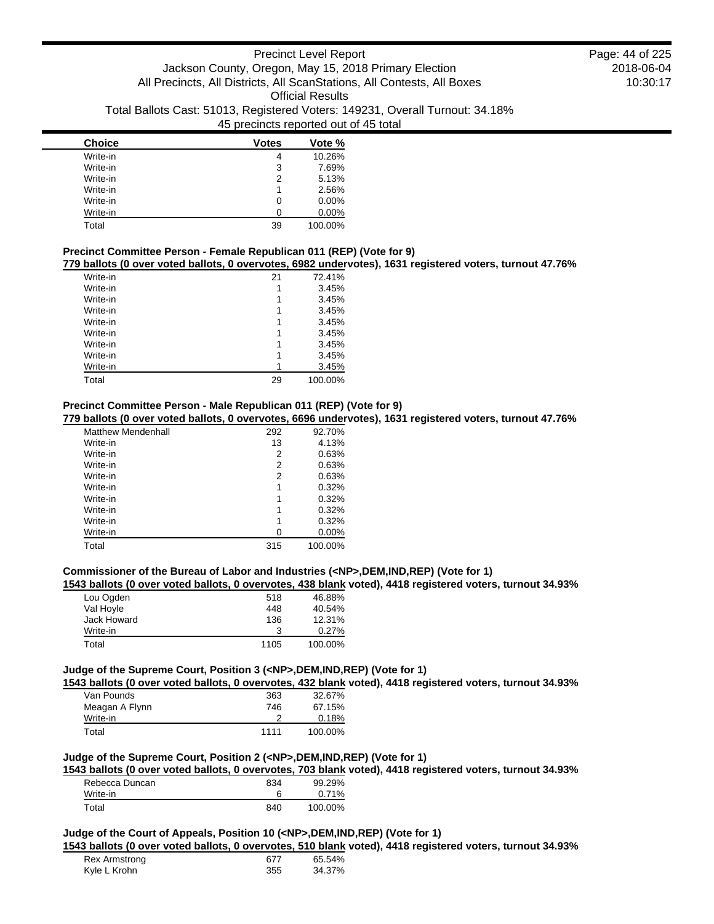| <b>Choice</b> | <b>Votes</b> | Vote %   |
|---------------|--------------|----------|
| Write-in      | 4            | 10.26%   |
| Write-in      | 3            | 7.69%    |
| Write-in      | 2            | 5.13%    |
| Write-in      |              | 2.56%    |
| Write-in      | 0            | $0.00\%$ |
| Write-in      |              | $0.00\%$ |
| Total         | 39           | 100.00%  |

## **Precinct Committee Person - Female Republican 011 (REP) (Vote for 9)**

**779 ballots (0 over voted ballots, 0 overvotes, 6982 undervotes), 1631 registered voters, turnout 47.76%**

| Write-in | 21 | 72.41%  |
|----------|----|---------|
| Write-in |    | 3.45%   |
| Write-in | 1  | 3.45%   |
| Write-in | 1  | 3.45%   |
| Write-in | 1  | 3.45%   |
| Write-in |    | 3.45%   |
| Write-in | 1  | 3.45%   |
| Write-in |    | 3.45%   |
| Write-in |    | 3.45%   |
| Total    | 29 | 100.00% |

## **Precinct Committee Person - Male Republican 011 (REP) (Vote for 9)**

**779 ballots (0 over voted ballots, 0 overvotes, 6696 undervotes), 1631 registered voters, turnout 47.76%**

| <b>Matthew Mendenhall</b> | 292 | 92.70%   |
|---------------------------|-----|----------|
| Write-in                  | 13  | 4.13%    |
| Write-in                  | 2   | 0.63%    |
| Write-in                  | 2   | 0.63%    |
| Write-in                  | 2   | 0.63%    |
| Write-in                  | 1   | 0.32%    |
| Write-in                  | 1   | 0.32%    |
| Write-in                  | 1   | 0.32%    |
| Write-in                  | 1   | 0.32%    |
| Write-in                  | 0   | $0.00\%$ |
| Total                     | 315 | 100.00%  |

### **Commissioner of the Bureau of Labor and Industries (<NP>,DEM,IND,REP) (Vote for 1)**

**1543 ballots (0 over voted ballots, 0 overvotes, 438 blank voted), 4418 registered voters, turnout 34.93%**

| Lou Ogden   | 518  | 46.88%  |
|-------------|------|---------|
| Val Hoyle   | 448  | 40.54%  |
| Jack Howard | 136  | 12.31%  |
| Write-in    | 3    | 0.27%   |
| Total       | 1105 | 100.00% |

#### **Judge of the Supreme Court, Position 3 (<NP>,DEM,IND,REP) (Vote for 1)**

**1543 ballots (0 over voted ballots, 0 overvotes, 432 blank voted), 4418 registered voters, turnout 34.93%**

| Van Pounds     | 363  | 32.67%  |
|----------------|------|---------|
| Meagan A Flynn | 746  | 67.15%  |
| Write-in       |      | 0.18%   |
| Total          | 1111 | 100.00% |

### **Judge of the Supreme Court, Position 2 (<NP>,DEM,IND,REP) (Vote for 1)**

**1543 ballots (0 over voted ballots, 0 overvotes, 703 blank voted), 4418 registered voters, turnout 34.93%**

| Rebecca Duncan | 834 | 99.29%  |
|----------------|-----|---------|
| Write-in       |     | 0.71%   |
| Total          | 840 | 100.00% |

## **Judge of the Court of Appeals, Position 10 (<NP>,DEM,IND,REP) (Vote for 1)**

**1543 ballots (0 over voted ballots, 0 overvotes, 510 blank voted), 4418 registered voters, turnout 34.93%**

| Rex Armstrong | 677 | 65.54% |
|---------------|-----|--------|
| Kyle L Krohn  | 355 | 34.37% |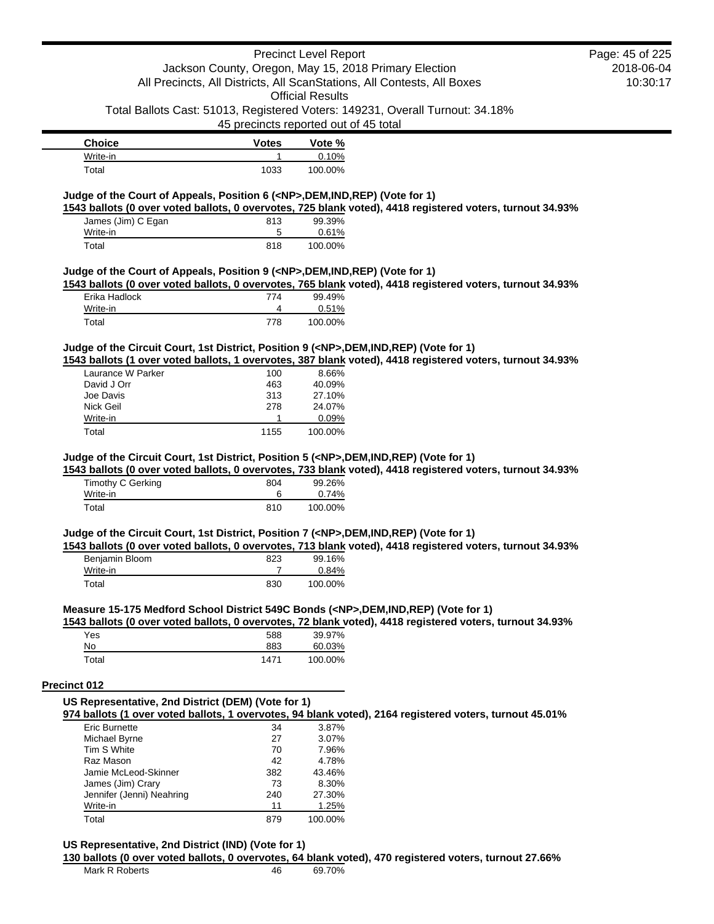### Precinct Level Report Jackson County, Oregon, May 15, 2018 Primary Election All Precincts, All Districts, All ScanStations, All Contests, All Boxes Official Results Total Ballots Cast: 51013, Registered Voters: 149231, Overall Turnout: 34.18% 45 precincts reported out of 45 total 2018-06-04 10:30:17 **Choice Votes Votes Vote %** Write-in 0.10% Total 1033 100.00% Page: 45 of 225

## **Judge of the Court of Appeals, Position 6 (<NP>,DEM,IND,REP) (Vote for 1)**

**1543 ballots (0 over voted ballots, 0 overvotes, 725 blank voted), 4418 registered voters, turnout 34.93%** James (Jim) C Egan 813 99.39% Write-in 0.61% Total 818 100.00%

#### **Judge of the Court of Appeals, Position 9 (<NP>,DEM,IND,REP) (Vote for 1)**

**1543 ballots (0 over voted ballots, 0 overvotes, 765 blank voted), 4418 registered voters, turnout 34.93%**

| Erika Hadlock | 774 | 99.49%  |
|---------------|-----|---------|
| Write-in      |     | 0.51%   |
| Total         | 778 | 100.00% |

## **Judge of the Circuit Court, 1st District, Position 9 (<NP>,DEM,IND,REP) (Vote for 1)**

**1543 ballots (1 over voted ballots, 1 overvotes, 387 blank voted), 4418 registered voters, turnout 34.93%**

| Laurance W Parker | 100  | 8.66%   |
|-------------------|------|---------|
| David J Orr       | 463  | 40.09%  |
| Joe Davis         | 313  | 27.10%  |
| Nick Geil         | 278  | 24.07%  |
| Write-in          |      | 0.09%   |
| Total             | 1155 | 100.00% |

### **Judge of the Circuit Court, 1st District, Position 5 (<NP>,DEM,IND,REP) (Vote for 1)**

**1543 ballots (0 over voted ballots, 0 overvotes, 733 blank voted), 4418 registered voters, turnout 34.93%**

| Timothy C Gerking | 804 | 99.26%  |
|-------------------|-----|---------|
| Write-in          |     | 0.74%   |
| Total             | 810 | 100.00% |

#### **Judge of the Circuit Court, 1st District, Position 7 (<NP>,DEM,IND,REP) (Vote for 1)**

**1543 ballots (0 over voted ballots, 0 overvotes, 713 blank voted), 4418 registered voters, turnout 34.93%**

| Benjamin Bloom | 823 | 99.16%  |
|----------------|-----|---------|
| Write-in       |     | 0.84%   |
| Total          | 830 | 100.00% |

## **Measure 15-175 Medford School District 549C Bonds (<NP>,DEM,IND,REP) (Vote for 1)**

**1543 ballots (0 over voted ballots, 0 overvotes, 72 blank voted), 4418 registered voters, turnout 34.93%**

| Yes   | 588  | 39.97%  |
|-------|------|---------|
| No    | 883  | 60.03%  |
| Total | 1471 | 100.00% |

#### **Precinct 012**

#### **US Representative, 2nd District (DEM) (Vote for 1)**

**974 ballots (1 over voted ballots, 1 overvotes, 94 blank voted), 2164 registered voters, turnout 45.01%**

| Eric Burnette             | 34  | 3.87%   |
|---------------------------|-----|---------|
| Michael Byrne             | 27  | 3.07%   |
| Tim S White               | 70  | 7.96%   |
| Raz Mason                 | 42  | 4.78%   |
| Jamie McLeod-Skinner      | 382 | 43.46%  |
| James (Jim) Crary         | 73  | 8.30%   |
| Jennifer (Jenni) Neahring | 240 | 27.30%  |
| Write-in                  | 11  | 1.25%   |
| Total                     |     | 100.00% |

### **US Representative, 2nd District (IND) (Vote for 1)**

**130 ballots (0 over voted ballots, 0 overvotes, 64 blank voted), 470 registered voters, turnout 27.66%**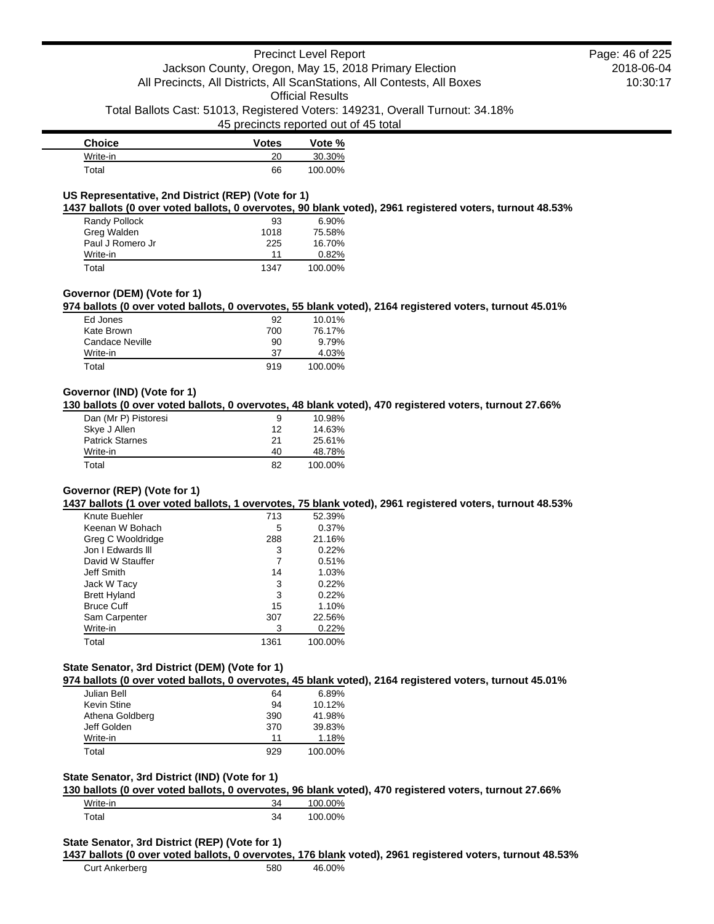45 precincts reported out of 45 total

| <b>Choice</b> | <b>Votes</b> | Vote %  |
|---------------|--------------|---------|
| Write-in      | 20           | 30.30%  |
| Total         | 66           | 100.00% |

## **US Representative, 2nd District (REP) (Vote for 1)**

**1437 ballots (0 over voted ballots, 0 overvotes, 90 blank voted), 2961 registered voters, turnout 48.53%**

| Randy Pollock    | 93   | 6.90%   |
|------------------|------|---------|
| Greg Walden      | 1018 | 75.58%  |
| Paul J Romero Jr | 225  | 16.70%  |
| Write-in         | 11   | 0.82%   |
| Total            | 1347 | 100.00% |

## **Governor (DEM) (Vote for 1)**

**974 ballots (0 over voted ballots, 0 overvotes, 55 blank voted), 2164 registered voters, turnout 45.01%**

| Ed Jones        | 92  | 10.01%  |
|-----------------|-----|---------|
| Kate Brown      | 700 | 76.17%  |
| Candace Neville | 90  | 9.79%   |
| Write-in        | 37  | 4.03%   |
| Total           | 919 | 100.00% |

## **Governor (IND) (Vote for 1)**

**130 ballots (0 over voted ballots, 0 overvotes, 48 blank voted), 470 registered voters, turnout 27.66%**

| Dan (Mr P) Pistoresi   | 9  | 10.98%  |
|------------------------|----|---------|
| Skye J Allen           | 12 | 14.63%  |
| <b>Patrick Starnes</b> | 21 | 25.61%  |
| Write-in               | 40 | 48.78%  |
| Total                  | 82 | 100.00% |

## **Governor (REP) (Vote for 1)**

**1437 ballots (1 over voted ballots, 1 overvotes, 75 blank voted), 2961 registered voters, turnout 48.53%**

| Knute Buehler       | 713  | 52.39%  |
|---------------------|------|---------|
| Keenan W Bohach     | 5    | 0.37%   |
| Greg C Wooldridge   | 288  | 21.16%  |
| Jon I Fdwards III   | 3    | 0.22%   |
| David W Stauffer    |      | 0.51%   |
| Jeff Smith          | 14   | 1.03%   |
| Jack W Tacy         | 3    | 0.22%   |
| <b>Brett Hyland</b> | 3    | 0.22%   |
| <b>Bruce Cuff</b>   | 15   | 1.10%   |
| Sam Carpenter       | 307  | 22.56%  |
| Write-in            | 3    | 0.22%   |
| Total               | 1361 | 100.00% |

## **State Senator, 3rd District (DEM) (Vote for 1)**

**974 ballots (0 over voted ballots, 0 overvotes, 45 blank voted), 2164 registered voters, turnout 45.01%**

| Julian Bell     | 64  | 6.89%   |
|-----------------|-----|---------|
| Kevin Stine     | 94  | 10.12%  |
| Athena Goldberg | 390 | 41.98%  |
| Jeff Golden     | 370 | 39.83%  |
| Write-in        | 11  | 1.18%   |
| Total           | 929 | 100.00% |

#### **State Senator, 3rd District (IND) (Vote for 1)**

**130 ballots (0 over voted ballots, 0 overvotes, 96 blank voted), 470 registered voters, turnout 27.66%**

| Write-in | 34 | 100.00% |
|----------|----|---------|
| Total    | 34 | 100.00% |

#### **State Senator, 3rd District (REP) (Vote for 1)**

**1437 ballots (0 over voted ballots, 0 overvotes, 176 blank voted), 2961 registered voters, turnout 48.53%**

Curt Ankerberg 680 580 46.00%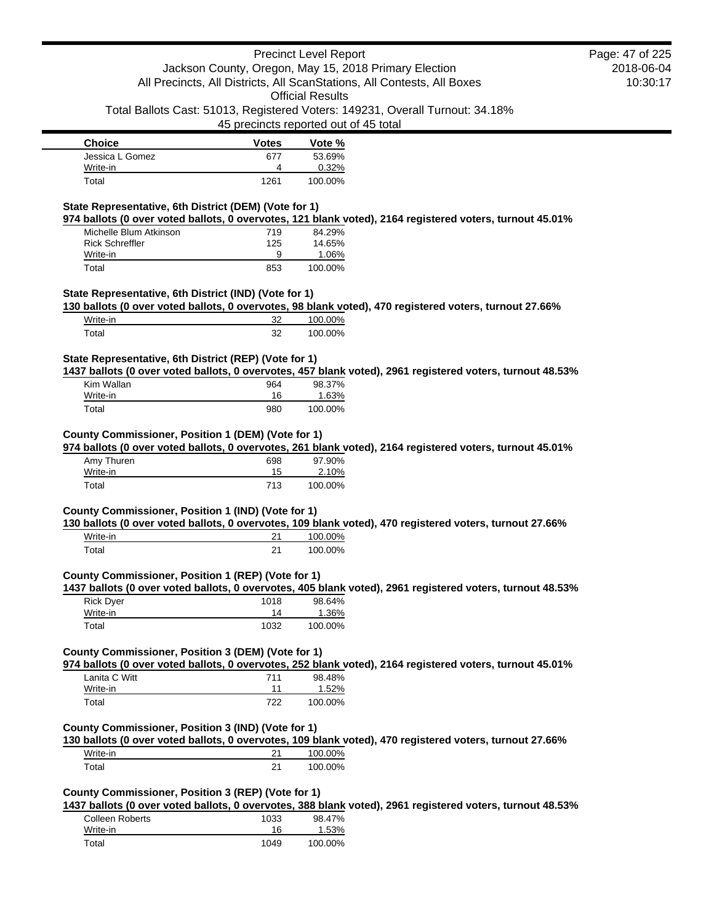|                                                                                                                                                                                                                                                                                       |                                                    | <b>Precinct Level Report</b>                                                  |                                                                                                           | Page: 47 of 225 |
|---------------------------------------------------------------------------------------------------------------------------------------------------------------------------------------------------------------------------------------------------------------------------------------|----------------------------------------------------|-------------------------------------------------------------------------------|-----------------------------------------------------------------------------------------------------------|-----------------|
|                                                                                                                                                                                                                                                                                       |                                                    | Jackson County, Oregon, May 15, 2018 Primary Election                         |                                                                                                           | 2018-06-04      |
|                                                                                                                                                                                                                                                                                       |                                                    | All Precincts, All Districts, All ScanStations, All Contests, All Boxes       |                                                                                                           | 10:30:17        |
|                                                                                                                                                                                                                                                                                       |                                                    | <b>Official Results</b>                                                       |                                                                                                           |                 |
|                                                                                                                                                                                                                                                                                       |                                                    | Total Ballots Cast: 51013, Registered Voters: 149231, Overall Turnout: 34.18% |                                                                                                           |                 |
|                                                                                                                                                                                                                                                                                       |                                                    | 45 precincts reported out of 45 total                                         |                                                                                                           |                 |
| <b>Choice</b>                                                                                                                                                                                                                                                                         | <b>Votes</b>                                       | Vote %                                                                        |                                                                                                           |                 |
| Jessica L Gomez                                                                                                                                                                                                                                                                       | 677                                                | 53.69%                                                                        |                                                                                                           |                 |
| Write-in<br>Total                                                                                                                                                                                                                                                                     | 4<br>1261                                          | 0.32%<br>100.00%                                                              |                                                                                                           |                 |
|                                                                                                                                                                                                                                                                                       |                                                    |                                                                               |                                                                                                           |                 |
| State Representative, 6th District (DEM) (Vote for 1)                                                                                                                                                                                                                                 |                                                    |                                                                               |                                                                                                           |                 |
|                                                                                                                                                                                                                                                                                       |                                                    |                                                                               | 974 ballots (0 over voted ballots, 0 overvotes, 121 blank voted), 2164 registered voters, turnout 45.01%  |                 |
| Michelle Blum Atkinson                                                                                                                                                                                                                                                                | 719                                                | 84.29%<br>14.65%                                                              |                                                                                                           |                 |
| <b>Rick Schreffler</b><br>Write-in                                                                                                                                                                                                                                                    | 125<br>9                                           | 1.06%                                                                         |                                                                                                           |                 |
| Total                                                                                                                                                                                                                                                                                 | 853                                                | 100.00%                                                                       |                                                                                                           |                 |
|                                                                                                                                                                                                                                                                                       |                                                    |                                                                               |                                                                                                           |                 |
| State Representative, 6th District (IND) (Vote for 1)                                                                                                                                                                                                                                 |                                                    |                                                                               |                                                                                                           |                 |
| 130 ballots (0 over voted ballots, 0 overvotes, 98 blank voted), 470 registered voters, turnout 27.66%                                                                                                                                                                                |                                                    |                                                                               |                                                                                                           |                 |
| Write-in                                                                                                                                                                                                                                                                              | 32                                                 | 100.00%                                                                       |                                                                                                           |                 |
| Total                                                                                                                                                                                                                                                                                 | 32                                                 | 100.00%                                                                       |                                                                                                           |                 |
|                                                                                                                                                                                                                                                                                       |                                                    |                                                                               |                                                                                                           |                 |
| State Representative, 6th District (REP) (Vote for 1)                                                                                                                                                                                                                                 |                                                    |                                                                               | 1437 ballots (0 over voted ballots, 0 overvotes, 457 blank voted), 2961 registered voters, turnout 48.53% |                 |
| Kim Wallan                                                                                                                                                                                                                                                                            | 964                                                | 98.37%                                                                        |                                                                                                           |                 |
| Write-in                                                                                                                                                                                                                                                                              | 16                                                 | 1.63%                                                                         |                                                                                                           |                 |
| Total                                                                                                                                                                                                                                                                                 | 980                                                | 100.00%                                                                       |                                                                                                           |                 |
|                                                                                                                                                                                                                                                                                       | County Commissioner, Position 1 (DEM) (Vote for 1) |                                                                               |                                                                                                           |                 |
| Amy Thuren                                                                                                                                                                                                                                                                            | 698                                                | 97.90%                                                                        |                                                                                                           |                 |
| Write-in                                                                                                                                                                                                                                                                              | 15                                                 | 2.10%                                                                         |                                                                                                           |                 |
| Total                                                                                                                                                                                                                                                                                 | 713                                                | 100.00%                                                                       |                                                                                                           |                 |
|                                                                                                                                                                                                                                                                                       |                                                    |                                                                               |                                                                                                           |                 |
|                                                                                                                                                                                                                                                                                       |                                                    |                                                                               |                                                                                                           |                 |
| 974 ballots (0 over voted ballots, 0 overvotes, 261 blank voted), 2164 registered voters, turnout 45.01%<br>County Commissioner, Position 1 (IND) (Vote for 1)<br>130 ballots (0 over voted ballots, 0 overvotes, 109 blank voted), 470 registered voters, turnout 27.66%<br>Write-in | 21                                                 | 100.00%                                                                       |                                                                                                           |                 |
| Total                                                                                                                                                                                                                                                                                 | 21                                                 | 100.00%                                                                       |                                                                                                           |                 |
|                                                                                                                                                                                                                                                                                       |                                                    |                                                                               |                                                                                                           |                 |
| County Commissioner, Position 1 (REP) (Vote for 1)                                                                                                                                                                                                                                    |                                                    |                                                                               |                                                                                                           |                 |
|                                                                                                                                                                                                                                                                                       |                                                    |                                                                               | 1437 ballots (0 over voted ballots, 0 overvotes, 405 blank voted), 2961 registered voters, turnout 48.53% |                 |
| <b>Rick Dyer</b>                                                                                                                                                                                                                                                                      | 1018                                               | 98.64%                                                                        |                                                                                                           |                 |
| Write-in                                                                                                                                                                                                                                                                              | 14                                                 | 1.36%                                                                         |                                                                                                           |                 |
| Total                                                                                                                                                                                                                                                                                 | 1032                                               | 100.00%                                                                       |                                                                                                           |                 |
|                                                                                                                                                                                                                                                                                       |                                                    |                                                                               | 974 ballots (0 over voted ballots, 0 overvotes, 252 blank voted), 2164 registered voters, turnout 45.01%  |                 |
| Lanita C Witt                                                                                                                                                                                                                                                                         | 711                                                | 98.48%                                                                        |                                                                                                           |                 |
| Write-in                                                                                                                                                                                                                                                                              | 11                                                 | 1.52%                                                                         |                                                                                                           |                 |
| Total                                                                                                                                                                                                                                                                                 | 722                                                | 100.00%                                                                       |                                                                                                           |                 |
| County Commissioner, Position 3 (DEM) (Vote for 1)<br>County Commissioner, Position 3 (IND) (Vote for 1)                                                                                                                                                                              |                                                    |                                                                               |                                                                                                           |                 |
| 130 ballots (0 over voted ballots, 0 overvotes, 109 blank voted), 470 registered voters, turnout 27.66%                                                                                                                                                                               |                                                    |                                                                               |                                                                                                           |                 |
| Write-in<br>Total                                                                                                                                                                                                                                                                     | 21<br>21                                           | 100.00%<br>100.00%                                                            |                                                                                                           |                 |

Colleen Roberts 1033 98.47%<br>
Write-in 16 1.53% Write-in 16<br>Total 1049  $100.00\%$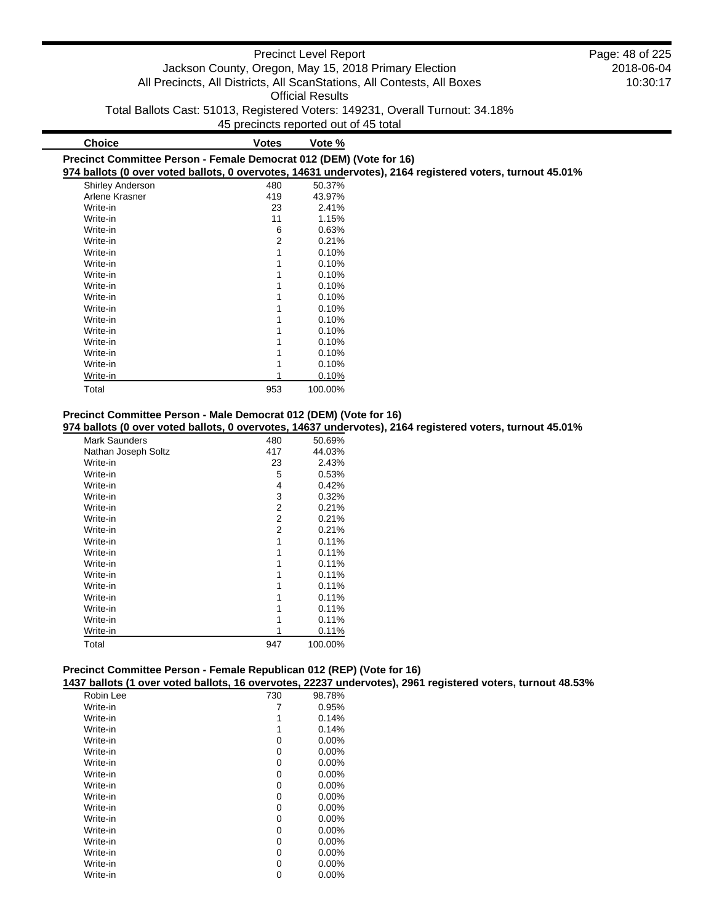|                                                                     |                                       | <b>Precinct Level Report</b> |                                                                                                           | Page: 48 of 225 |
|---------------------------------------------------------------------|---------------------------------------|------------------------------|-----------------------------------------------------------------------------------------------------------|-----------------|
|                                                                     |                                       |                              | Jackson County, Oregon, May 15, 2018 Primary Election                                                     | 2018-06-04      |
|                                                                     |                                       |                              | All Precincts, All Districts, All ScanStations, All Contests, All Boxes                                   | 10:30:17        |
|                                                                     |                                       | <b>Official Results</b>      |                                                                                                           |                 |
|                                                                     |                                       |                              | Total Ballots Cast: 51013, Registered Voters: 149231, Overall Turnout: 34.18%                             |                 |
|                                                                     | 45 precincts reported out of 45 total |                              |                                                                                                           |                 |
| <b>Choice</b>                                                       | <b>Votes</b>                          | Vote %                       |                                                                                                           |                 |
| Precinct Committee Person - Female Democrat 012 (DEM) (Vote for 16) |                                       |                              |                                                                                                           |                 |
|                                                                     |                                       |                              | 974 ballots (0 over voted ballots, 0 overvotes, 14631 undervotes), 2164 registered voters, turnout 45.01% |                 |
| Shirley Anderson                                                    | 480                                   | 50.37%                       |                                                                                                           |                 |
| Arlene Krasner                                                      | 419                                   | 43.97%                       |                                                                                                           |                 |
| Write-in                                                            | 23                                    | 2.41%                        |                                                                                                           |                 |
| Write-in                                                            | 11                                    | 1.15%                        |                                                                                                           |                 |
| Write-in                                                            | 6                                     | 0.63%                        |                                                                                                           |                 |

| Precinct Committee Person - Male Democrat 012 (DEM) (Vote for 16) |  |  |  |  |  |
|-------------------------------------------------------------------|--|--|--|--|--|
|-------------------------------------------------------------------|--|--|--|--|--|

Write-in 2 0.21% Write-in 1 0.10%<br>Write-in 1 0.10% Write-in 1 0.10%<br>Write-in 1 0.10%

Write-in 1 0.10%<br>Write-in 1 0.10% Write-in 1 0.10%<br>Write-in 1 0.10% Write-in 1 0.10%<br>Write-in 1 0.10% Write-in 1 0.10%<br>Write-in 1 0.10%

Write-in 0.10% Write-in 1 0.10%<br>Write-in 1 0.10%

Write-in 0.10% Total 953 100.00%

Write-in 1

Write-in

Write-in

**974 ballots (0 over voted ballots, 0 overvotes, 14637 undervotes), 2164 registered voters, turnout 45.01%**

| <b>Mark Saunders</b> | 480 | 50.69%  |
|----------------------|-----|---------|
| Nathan Joseph Soltz  | 417 | 44.03%  |
| Write-in             | 23  | 2.43%   |
| Write-in             | 5   | 0.53%   |
| Write-in             | 4   | 0.42%   |
| Write-in             | 3   | 0.32%   |
| Write-in             | 2   | 0.21%   |
| Write-in             | 2   | 0.21%   |
| Write-in             | 2   | 0.21%   |
| Write-in             | 1   | 0.11%   |
| Write-in             | 1   | 0.11%   |
| Write-in             | 1   | 0.11%   |
| Write-in             |     | 0.11%   |
| Write-in             | 1   | 0.11%   |
| Write-in             |     | 0.11%   |
| Write-in             |     | 0.11%   |
| Write-in             |     | 0.11%   |
| Write-in             |     | 0.11%   |
| Total                | 947 | 100.00% |

## **Precinct Committee Person - Female Republican 012 (REP) (Vote for 16)**

**1437 ballots (1 over voted ballots, 16 overvotes, 22237 undervotes), 2961 registered voters, turnout 48.53%**

| Robin Lee | 730 | 98.78%   |
|-----------|-----|----------|
| Write-in  |     | 0.95%    |
| Write-in  |     | 0.14%    |
| Write-in  |     | 0.14%    |
| Write-in  | 0   | 0.00%    |
| Write-in  | 0   | 0.00%    |
| Write-in  | 0   | 0.00%    |
| Write-in  | 0   | 0.00%    |
| Write-in  | 0   | 0.00%    |
| Write-in  | 0   | $0.00\%$ |
| Write-in  | 0   | 0.00%    |
| Write-in  | 0   | $0.00\%$ |
| Write-in  | 0   | 0.00%    |
| Write-in  | 0   | 0.00%    |
| Write-in  | 0   | 0.00%    |
| Write-in  | ი   | 0.00%    |
| Write-in  | 0   | $0.00\%$ |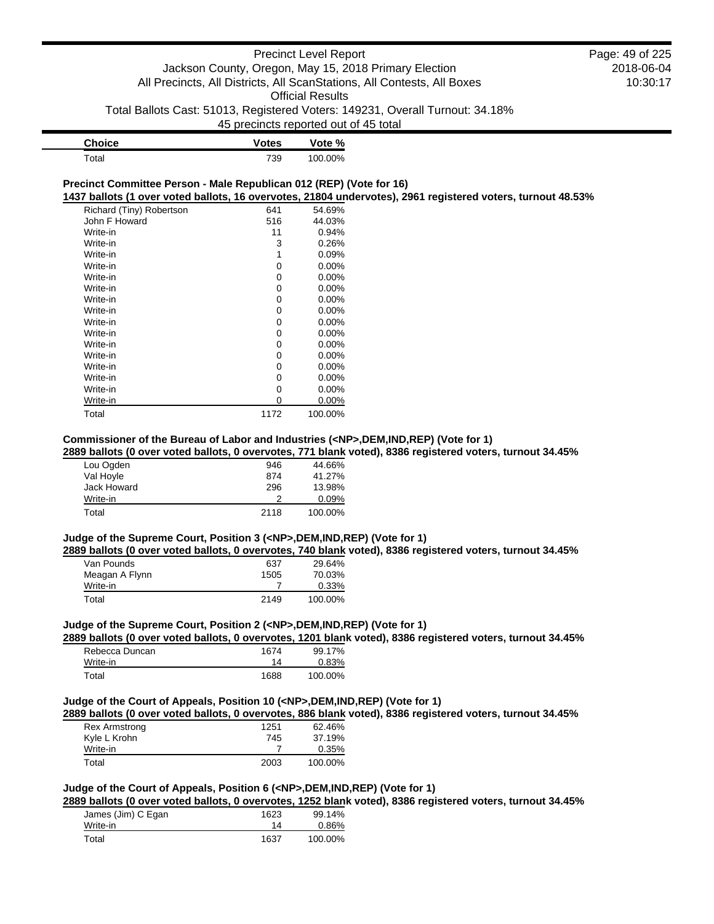2018-06-04 10:30:17

Page: 49 of 225

| <b>Choice</b> | <b>Votes</b> | Vote %  |
|---------------|--------------|---------|
| Total         | 739          | 100.00% |

#### **Precinct Committee Person - Male Republican 012 (REP) (Vote for 16) 1437 ballots (1 over voted ballots, 16 overvotes, 21804 undervotes), 2961 registered voters, turnout 48.53%**

| Richard (Tiny) Robertson | 641  | 54.69%   |
|--------------------------|------|----------|
| John F Howard            | 516  | 44.03%   |
| Write-in                 | 11   | 0.94%    |
| Write-in                 | 3    | 0.26%    |
| Write-in                 | 1    | 0.09%    |
| Write-in                 | 0    | $0.00\%$ |
| Write-in                 | 0    | $0.00\%$ |
| Write-in                 | 0    | 0.00%    |
| Write-in                 | 0    | $0.00\%$ |
| Write-in                 | 0    | $0.00\%$ |
| Write-in                 | 0    | $0.00\%$ |
| Write-in                 | 0    | 0.00%    |
| Write-in                 | 0    | $0.00\%$ |
| Write-in                 | 0    | $0.00\%$ |
| Write-in                 | 0    | $0.00\%$ |
| Write-in                 | 0    | $0.00\%$ |
| Write-in                 | 0    | $0.00\%$ |
| Write-in                 | 0    | 0.00%    |
| Total                    | 1172 | 100.00%  |

#### **Commissioner of the Bureau of Labor and Industries (<NP>,DEM,IND,REP) (Vote for 1)**

## **2889 ballots (0 over voted ballots, 0 overvotes, 771 blank voted), 8386 registered voters, turnout 34.45%**

| Lou Ogden   | 946  | 44.66%   |
|-------------|------|----------|
| Val Hoyle   | 874  | 41.27%   |
| Jack Howard | 296  | 13.98%   |
| Write-in    |      | $0.09\%$ |
| Total       | 2118 | 100.00%  |

## **Judge of the Supreme Court, Position 3 (<NP>,DEM,IND,REP) (Vote for 1)**

#### **2889 ballots (0 over voted ballots, 0 overvotes, 740 blank voted), 8386 registered voters, turnout 34.45%**

| Van Pounds     | 637  | 29.64%  |
|----------------|------|---------|
| Meagan A Flynn | 1505 | 70.03%  |
| Write-in       |      | 0.33%   |
| Total          | 2149 | 100.00% |

## **Judge of the Supreme Court, Position 2 (<NP>,DEM,IND,REP) (Vote for 1)**

### **2889 ballots (0 over voted ballots, 0 overvotes, 1201 blank voted), 8386 registered voters, turnout 34.45%**

| Rebecca Duncan | 1674 | 99.17%  |
|----------------|------|---------|
| Write-in       | 14   | 0.83%   |
| Total          | 1688 | 100.00% |

### **Judge of the Court of Appeals, Position 10 (<NP>,DEM,IND,REP) (Vote for 1)**

**2889 ballots (0 over voted ballots, 0 overvotes, 886 blank voted), 8386 registered voters, turnout 34.45%**

| Rex Armstrong | 1251 | 62.46%  |
|---------------|------|---------|
| Kyle L Krohn  | 745  | 37.19%  |
| Write-in      |      | 0.35%   |
| Total         | 2003 | 100.00% |

## **Judge of the Court of Appeals, Position 6 (<NP>,DEM,IND,REP) (Vote for 1)**

**2889 ballots (0 over voted ballots, 0 overvotes, 1252 blank voted), 8386 registered voters, turnout 34.45%**

| James (Jim) C Egan | 1623 | 99.14%   |
|--------------------|------|----------|
| Write-in           | 14   | $0.86\%$ |
| Total              | 1637 | 100.00%  |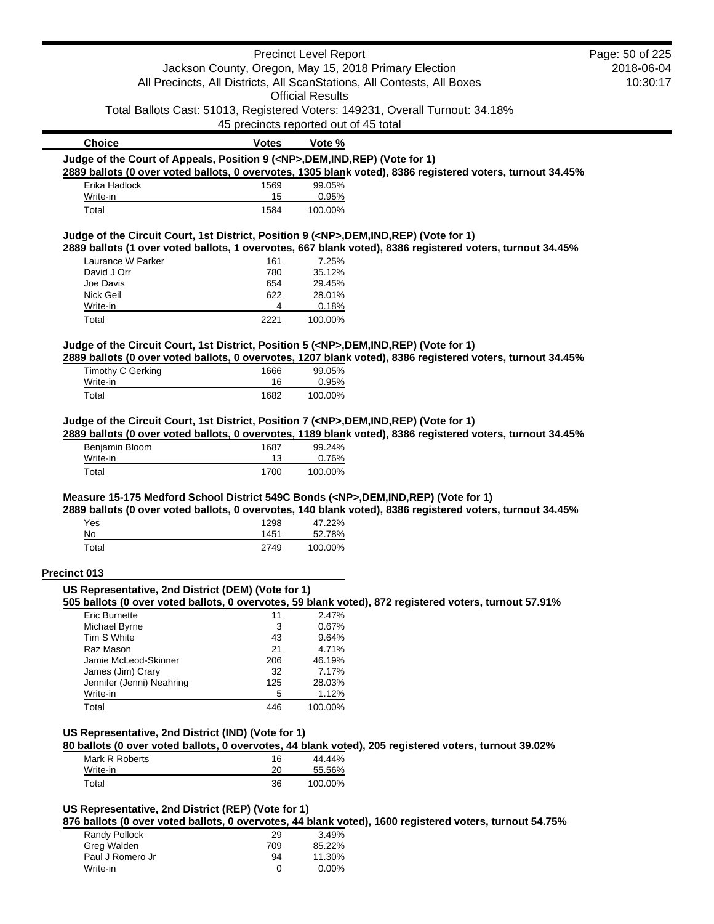| <b>Votes</b><br>1569<br>15<br>1584<br>161<br>780<br>654<br>622<br>4<br>2221<br>1666<br>16<br>1682<br>1687<br><u>13</u> | <b>Official Results</b><br>45 precincts reported out of 45 total<br>Vote %<br>99.05%<br>0.95%<br>100.00%<br>7.25%<br>35.12%<br>29.45%<br>28.01%<br>0.18%<br>100.00%<br>99.05%<br>0.95%<br>100.00%<br>99.24%<br>0.76% | Jackson County, Oregon, May 15, 2018 Primary Election<br>All Precincts, All Districts, All ScanStations, All Contests, All Boxes<br>Total Ballots Cast: 51013, Registered Voters: 149231, Overall Turnout: 34.18%<br>Judge of the Court of Appeals, Position 9 ( <np>,DEM,IND,REP) (Vote for 1)<br/>2889 ballots (0 over voted ballots, 0 overvotes, 1305 blank voted), 8386 registered voters, turnout 34.45%<br/>Judge of the Circuit Court, 1st District, Position 9 (<np>,DEM,IND,REP) (Vote for 1)<br/>2889 ballots (1 over voted ballots, 1 overvotes, 667 blank voted), 8386 registered voters, turnout 34.45%<br/>Judge of the Circuit Court, 1st District, Position 5 (<np>,DEM,IND,REP) (Vote for 1)<br/>2889 ballots (0 over voted ballots, 0 overvotes, 1207 blank voted), 8386 registered voters, turnout 34.45%<br/>Judge of the Circuit Court, 1st District, Position 7 (<np>,DEM,IND,REP) (Vote for 1)<br/>2889 ballots (0 over voted ballots, 0 overvotes, 1189 blank voted), 8386 registered voters, turnout 34.45%</np></np></np></np> | 2018-06-04<br>10:30:17                                                                                                                                                                                                                                                                                                                                                                                                                                                                                                                 |
|------------------------------------------------------------------------------------------------------------------------|----------------------------------------------------------------------------------------------------------------------------------------------------------------------------------------------------------------------|-----------------------------------------------------------------------------------------------------------------------------------------------------------------------------------------------------------------------------------------------------------------------------------------------------------------------------------------------------------------------------------------------------------------------------------------------------------------------------------------------------------------------------------------------------------------------------------------------------------------------------------------------------------------------------------------------------------------------------------------------------------------------------------------------------------------------------------------------------------------------------------------------------------------------------------------------------------------------------------------------------------------------------------------------------------|----------------------------------------------------------------------------------------------------------------------------------------------------------------------------------------------------------------------------------------------------------------------------------------------------------------------------------------------------------------------------------------------------------------------------------------------------------------------------------------------------------------------------------------|
|                                                                                                                        |                                                                                                                                                                                                                      |                                                                                                                                                                                                                                                                                                                                                                                                                                                                                                                                                                                                                                                                                                                                                                                                                                                                                                                                                                                                                                                           |                                                                                                                                                                                                                                                                                                                                                                                                                                                                                                                                        |
|                                                                                                                        |                                                                                                                                                                                                                      |                                                                                                                                                                                                                                                                                                                                                                                                                                                                                                                                                                                                                                                                                                                                                                                                                                                                                                                                                                                                                                                           |                                                                                                                                                                                                                                                                                                                                                                                                                                                                                                                                        |
|                                                                                                                        |                                                                                                                                                                                                                      |                                                                                                                                                                                                                                                                                                                                                                                                                                                                                                                                                                                                                                                                                                                                                                                                                                                                                                                                                                                                                                                           |                                                                                                                                                                                                                                                                                                                                                                                                                                                                                                                                        |
|                                                                                                                        |                                                                                                                                                                                                                      |                                                                                                                                                                                                                                                                                                                                                                                                                                                                                                                                                                                                                                                                                                                                                                                                                                                                                                                                                                                                                                                           |                                                                                                                                                                                                                                                                                                                                                                                                                                                                                                                                        |
|                                                                                                                        |                                                                                                                                                                                                                      |                                                                                                                                                                                                                                                                                                                                                                                                                                                                                                                                                                                                                                                                                                                                                                                                                                                                                                                                                                                                                                                           |                                                                                                                                                                                                                                                                                                                                                                                                                                                                                                                                        |
|                                                                                                                        |                                                                                                                                                                                                                      |                                                                                                                                                                                                                                                                                                                                                                                                                                                                                                                                                                                                                                                                                                                                                                                                                                                                                                                                                                                                                                                           |                                                                                                                                                                                                                                                                                                                                                                                                                                                                                                                                        |
|                                                                                                                        |                                                                                                                                                                                                                      |                                                                                                                                                                                                                                                                                                                                                                                                                                                                                                                                                                                                                                                                                                                                                                                                                                                                                                                                                                                                                                                           |                                                                                                                                                                                                                                                                                                                                                                                                                                                                                                                                        |
|                                                                                                                        |                                                                                                                                                                                                                      |                                                                                                                                                                                                                                                                                                                                                                                                                                                                                                                                                                                                                                                                                                                                                                                                                                                                                                                                                                                                                                                           |                                                                                                                                                                                                                                                                                                                                                                                                                                                                                                                                        |
|                                                                                                                        |                                                                                                                                                                                                                      |                                                                                                                                                                                                                                                                                                                                                                                                                                                                                                                                                                                                                                                                                                                                                                                                                                                                                                                                                                                                                                                           |                                                                                                                                                                                                                                                                                                                                                                                                                                                                                                                                        |
|                                                                                                                        |                                                                                                                                                                                                                      |                                                                                                                                                                                                                                                                                                                                                                                                                                                                                                                                                                                                                                                                                                                                                                                                                                                                                                                                                                                                                                                           |                                                                                                                                                                                                                                                                                                                                                                                                                                                                                                                                        |
|                                                                                                                        |                                                                                                                                                                                                                      |                                                                                                                                                                                                                                                                                                                                                                                                                                                                                                                                                                                                                                                                                                                                                                                                                                                                                                                                                                                                                                                           |                                                                                                                                                                                                                                                                                                                                                                                                                                                                                                                                        |
|                                                                                                                        |                                                                                                                                                                                                                      |                                                                                                                                                                                                                                                                                                                                                                                                                                                                                                                                                                                                                                                                                                                                                                                                                                                                                                                                                                                                                                                           |                                                                                                                                                                                                                                                                                                                                                                                                                                                                                                                                        |
|                                                                                                                        |                                                                                                                                                                                                                      |                                                                                                                                                                                                                                                                                                                                                                                                                                                                                                                                                                                                                                                                                                                                                                                                                                                                                                                                                                                                                                                           |                                                                                                                                                                                                                                                                                                                                                                                                                                                                                                                                        |
|                                                                                                                        |                                                                                                                                                                                                                      |                                                                                                                                                                                                                                                                                                                                                                                                                                                                                                                                                                                                                                                                                                                                                                                                                                                                                                                                                                                                                                                           |                                                                                                                                                                                                                                                                                                                                                                                                                                                                                                                                        |
|                                                                                                                        |                                                                                                                                                                                                                      |                                                                                                                                                                                                                                                                                                                                                                                                                                                                                                                                                                                                                                                                                                                                                                                                                                                                                                                                                                                                                                                           |                                                                                                                                                                                                                                                                                                                                                                                                                                                                                                                                        |
|                                                                                                                        |                                                                                                                                                                                                                      |                                                                                                                                                                                                                                                                                                                                                                                                                                                                                                                                                                                                                                                                                                                                                                                                                                                                                                                                                                                                                                                           |                                                                                                                                                                                                                                                                                                                                                                                                                                                                                                                                        |
|                                                                                                                        |                                                                                                                                                                                                                      |                                                                                                                                                                                                                                                                                                                                                                                                                                                                                                                                                                                                                                                                                                                                                                                                                                                                                                                                                                                                                                                           |                                                                                                                                                                                                                                                                                                                                                                                                                                                                                                                                        |
|                                                                                                                        |                                                                                                                                                                                                                      |                                                                                                                                                                                                                                                                                                                                                                                                                                                                                                                                                                                                                                                                                                                                                                                                                                                                                                                                                                                                                                                           |                                                                                                                                                                                                                                                                                                                                                                                                                                                                                                                                        |
|                                                                                                                        |                                                                                                                                                                                                                      |                                                                                                                                                                                                                                                                                                                                                                                                                                                                                                                                                                                                                                                                                                                                                                                                                                                                                                                                                                                                                                                           |                                                                                                                                                                                                                                                                                                                                                                                                                                                                                                                                        |
|                                                                                                                        |                                                                                                                                                                                                                      |                                                                                                                                                                                                                                                                                                                                                                                                                                                                                                                                                                                                                                                                                                                                                                                                                                                                                                                                                                                                                                                           |                                                                                                                                                                                                                                                                                                                                                                                                                                                                                                                                        |
|                                                                                                                        |                                                                                                                                                                                                                      |                                                                                                                                                                                                                                                                                                                                                                                                                                                                                                                                                                                                                                                                                                                                                                                                                                                                                                                                                                                                                                                           |                                                                                                                                                                                                                                                                                                                                                                                                                                                                                                                                        |
|                                                                                                                        |                                                                                                                                                                                                                      |                                                                                                                                                                                                                                                                                                                                                                                                                                                                                                                                                                                                                                                                                                                                                                                                                                                                                                                                                                                                                                                           |                                                                                                                                                                                                                                                                                                                                                                                                                                                                                                                                        |
|                                                                                                                        |                                                                                                                                                                                                                      |                                                                                                                                                                                                                                                                                                                                                                                                                                                                                                                                                                                                                                                                                                                                                                                                                                                                                                                                                                                                                                                           |                                                                                                                                                                                                                                                                                                                                                                                                                                                                                                                                        |
|                                                                                                                        |                                                                                                                                                                                                                      |                                                                                                                                                                                                                                                                                                                                                                                                                                                                                                                                                                                                                                                                                                                                                                                                                                                                                                                                                                                                                                                           |                                                                                                                                                                                                                                                                                                                                                                                                                                                                                                                                        |
| 1700                                                                                                                   | 100.00%                                                                                                                                                                                                              |                                                                                                                                                                                                                                                                                                                                                                                                                                                                                                                                                                                                                                                                                                                                                                                                                                                                                                                                                                                                                                                           |                                                                                                                                                                                                                                                                                                                                                                                                                                                                                                                                        |
|                                                                                                                        |                                                                                                                                                                                                                      |                                                                                                                                                                                                                                                                                                                                                                                                                                                                                                                                                                                                                                                                                                                                                                                                                                                                                                                                                                                                                                                           |                                                                                                                                                                                                                                                                                                                                                                                                                                                                                                                                        |
|                                                                                                                        |                                                                                                                                                                                                                      |                                                                                                                                                                                                                                                                                                                                                                                                                                                                                                                                                                                                                                                                                                                                                                                                                                                                                                                                                                                                                                                           |                                                                                                                                                                                                                                                                                                                                                                                                                                                                                                                                        |
| 1298                                                                                                                   | 47.22%                                                                                                                                                                                                               |                                                                                                                                                                                                                                                                                                                                                                                                                                                                                                                                                                                                                                                                                                                                                                                                                                                                                                                                                                                                                                                           |                                                                                                                                                                                                                                                                                                                                                                                                                                                                                                                                        |
| 1451                                                                                                                   | 52.78%                                                                                                                                                                                                               |                                                                                                                                                                                                                                                                                                                                                                                                                                                                                                                                                                                                                                                                                                                                                                                                                                                                                                                                                                                                                                                           |                                                                                                                                                                                                                                                                                                                                                                                                                                                                                                                                        |
| 2749                                                                                                                   | 100.00%                                                                                                                                                                                                              |                                                                                                                                                                                                                                                                                                                                                                                                                                                                                                                                                                                                                                                                                                                                                                                                                                                                                                                                                                                                                                                           |                                                                                                                                                                                                                                                                                                                                                                                                                                                                                                                                        |
|                                                                                                                        |                                                                                                                                                                                                                      |                                                                                                                                                                                                                                                                                                                                                                                                                                                                                                                                                                                                                                                                                                                                                                                                                                                                                                                                                                                                                                                           |                                                                                                                                                                                                                                                                                                                                                                                                                                                                                                                                        |
|                                                                                                                        |                                                                                                                                                                                                                      |                                                                                                                                                                                                                                                                                                                                                                                                                                                                                                                                                                                                                                                                                                                                                                                                                                                                                                                                                                                                                                                           |                                                                                                                                                                                                                                                                                                                                                                                                                                                                                                                                        |
|                                                                                                                        |                                                                                                                                                                                                                      |                                                                                                                                                                                                                                                                                                                                                                                                                                                                                                                                                                                                                                                                                                                                                                                                                                                                                                                                                                                                                                                           |                                                                                                                                                                                                                                                                                                                                                                                                                                                                                                                                        |
| 11                                                                                                                     | 2.47%                                                                                                                                                                                                                |                                                                                                                                                                                                                                                                                                                                                                                                                                                                                                                                                                                                                                                                                                                                                                                                                                                                                                                                                                                                                                                           |                                                                                                                                                                                                                                                                                                                                                                                                                                                                                                                                        |
| 3                                                                                                                      | 0.67%                                                                                                                                                                                                                |                                                                                                                                                                                                                                                                                                                                                                                                                                                                                                                                                                                                                                                                                                                                                                                                                                                                                                                                                                                                                                                           |                                                                                                                                                                                                                                                                                                                                                                                                                                                                                                                                        |
| 43                                                                                                                     | 9.64%                                                                                                                                                                                                                |                                                                                                                                                                                                                                                                                                                                                                                                                                                                                                                                                                                                                                                                                                                                                                                                                                                                                                                                                                                                                                                           |                                                                                                                                                                                                                                                                                                                                                                                                                                                                                                                                        |
| 21                                                                                                                     | 4.71%                                                                                                                                                                                                                |                                                                                                                                                                                                                                                                                                                                                                                                                                                                                                                                                                                                                                                                                                                                                                                                                                                                                                                                                                                                                                                           |                                                                                                                                                                                                                                                                                                                                                                                                                                                                                                                                        |
| 206                                                                                                                    | 46.19%                                                                                                                                                                                                               |                                                                                                                                                                                                                                                                                                                                                                                                                                                                                                                                                                                                                                                                                                                                                                                                                                                                                                                                                                                                                                                           |                                                                                                                                                                                                                                                                                                                                                                                                                                                                                                                                        |
|                                                                                                                        |                                                                                                                                                                                                                      |                                                                                                                                                                                                                                                                                                                                                                                                                                                                                                                                                                                                                                                                                                                                                                                                                                                                                                                                                                                                                                                           |                                                                                                                                                                                                                                                                                                                                                                                                                                                                                                                                        |
|                                                                                                                        |                                                                                                                                                                                                                      |                                                                                                                                                                                                                                                                                                                                                                                                                                                                                                                                                                                                                                                                                                                                                                                                                                                                                                                                                                                                                                                           |                                                                                                                                                                                                                                                                                                                                                                                                                                                                                                                                        |
|                                                                                                                        |                                                                                                                                                                                                                      |                                                                                                                                                                                                                                                                                                                                                                                                                                                                                                                                                                                                                                                                                                                                                                                                                                                                                                                                                                                                                                                           |                                                                                                                                                                                                                                                                                                                                                                                                                                                                                                                                        |
|                                                                                                                        |                                                                                                                                                                                                                      |                                                                                                                                                                                                                                                                                                                                                                                                                                                                                                                                                                                                                                                                                                                                                                                                                                                                                                                                                                                                                                                           |                                                                                                                                                                                                                                                                                                                                                                                                                                                                                                                                        |
|                                                                                                                        |                                                                                                                                                                                                                      |                                                                                                                                                                                                                                                                                                                                                                                                                                                                                                                                                                                                                                                                                                                                                                                                                                                                                                                                                                                                                                                           |                                                                                                                                                                                                                                                                                                                                                                                                                                                                                                                                        |
|                                                                                                                        |                                                                                                                                                                                                                      |                                                                                                                                                                                                                                                                                                                                                                                                                                                                                                                                                                                                                                                                                                                                                                                                                                                                                                                                                                                                                                                           |                                                                                                                                                                                                                                                                                                                                                                                                                                                                                                                                        |
|                                                                                                                        |                                                                                                                                                                                                                      |                                                                                                                                                                                                                                                                                                                                                                                                                                                                                                                                                                                                                                                                                                                                                                                                                                                                                                                                                                                                                                                           |                                                                                                                                                                                                                                                                                                                                                                                                                                                                                                                                        |
|                                                                                                                        |                                                                                                                                                                                                                      |                                                                                                                                                                                                                                                                                                                                                                                                                                                                                                                                                                                                                                                                                                                                                                                                                                                                                                                                                                                                                                                           |                                                                                                                                                                                                                                                                                                                                                                                                                                                                                                                                        |
|                                                                                                                        |                                                                                                                                                                                                                      |                                                                                                                                                                                                                                                                                                                                                                                                                                                                                                                                                                                                                                                                                                                                                                                                                                                                                                                                                                                                                                                           |                                                                                                                                                                                                                                                                                                                                                                                                                                                                                                                                        |
|                                                                                                                        |                                                                                                                                                                                                                      |                                                                                                                                                                                                                                                                                                                                                                                                                                                                                                                                                                                                                                                                                                                                                                                                                                                                                                                                                                                                                                                           |                                                                                                                                                                                                                                                                                                                                                                                                                                                                                                                                        |
|                                                                                                                        |                                                                                                                                                                                                                      |                                                                                                                                                                                                                                                                                                                                                                                                                                                                                                                                                                                                                                                                                                                                                                                                                                                                                                                                                                                                                                                           |                                                                                                                                                                                                                                                                                                                                                                                                                                                                                                                                        |
|                                                                                                                        | 32<br>125<br>5<br>446<br>16<br>20<br>36                                                                                                                                                                              | US Representative, 2nd District (DEM) (Vote for 1)<br>7.17%<br>28.03%<br>1.12%<br>100.00%<br>US Representative, 2nd District (IND) (Vote for 1)<br>44.44%<br>55.56%<br>100.00%<br>US Representative, 2nd District (REP) (Vote for 1)                                                                                                                                                                                                                                                                                                                                                                                                                                                                                                                                                                                                                                                                                                                                                                                                                      | Measure 15-175 Medford School District 549C Bonds ( <np>,DEM,IND,REP) (Vote for 1)<br/>2889 ballots (0 over voted ballots, 0 overvotes, 140 blank voted), 8386 registered voters, turnout 34.45%<br/>505 ballots (0 over voted ballots, 0 overvotes, 59 blank voted), 872 registered voters, turnout 57.91%<br/>80 ballots (0 over voted ballots, 0 overvotes, 44 blank voted), 205 registered voters, turnout 39.02%<br/>876 ballots (0 over voted ballots, 0 overvotes, 44 blank voted), 1600 registered voters, turnout 54.75%</np> |

 $\blacksquare$ 

| Randy Pollock    | 29  | 3.49%    |
|------------------|-----|----------|
| Greg Walden      | 709 | 85.22%   |
| Paul J Romero Jr | 94  | 11.30%   |
| Write-in         | O   | $0.00\%$ |
|                  |     |          |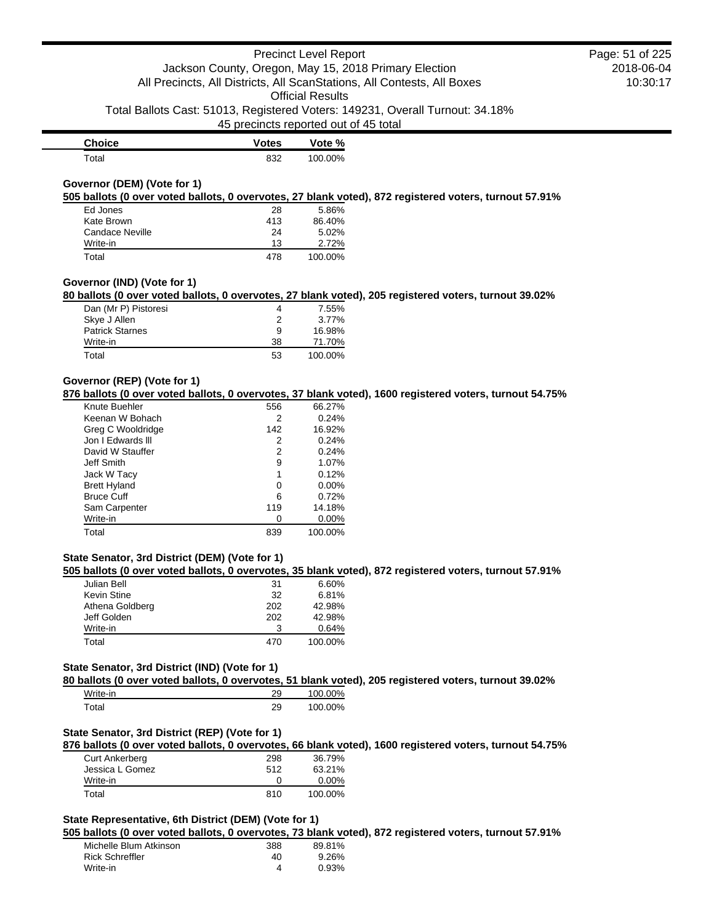45 precincts reported out of 45 total

| <b>Choice</b> | <b>Votes</b> | Vote %  |
|---------------|--------------|---------|
| Total         | 832          | 100.00% |

### **Governor (DEM) (Vote for 1)**

**505 ballots (0 over voted ballots, 0 overvotes, 27 blank voted), 872 registered voters, turnout 57.91%**

| Ed Jones        | 28  | 5.86%   |
|-----------------|-----|---------|
| Kate Brown      | 413 | 86.40%  |
| Candace Neville | 24  | 5.02%   |
| Write-in        | 13  | 2.72%   |
| Total           | 478 | 100.00% |

### **Governor (IND) (Vote for 1)**

**80 ballots (0 over voted ballots, 0 overvotes, 27 blank voted), 205 registered voters, turnout 39.02%**

| Dan (Mr P) Pistoresi   | 4  | 7.55%   |
|------------------------|----|---------|
| Skye J Allen           | 2  | 3.77%   |
| <b>Patrick Starnes</b> | 9  | 16.98%  |
| Write-in               | 38 | 71.70%  |
| Total                  | 53 | 100.00% |

#### **Governor (REP) (Vote for 1)**

**876 ballots (0 over voted ballots, 0 overvotes, 37 blank voted), 1600 registered voters, turnout 54.75%**

| Knute Buehler       | 556 | 66.27%   |
|---------------------|-----|----------|
| Keenan W Bohach     | 2   | 0.24%    |
| Greg C Wooldridge   | 142 | 16.92%   |
| Jon I Edwards III   | 2   | 0.24%    |
| David W Stauffer    | 2   | 0.24%    |
| Jeff Smith          | 9   | 1.07%    |
| Jack W Tacy         | 1   | 0.12%    |
| <b>Brett Hyland</b> | Ω   | $0.00\%$ |
| <b>Bruce Cuff</b>   | 6   | 0.72%    |
| Sam Carpenter       | 119 | 14.18%   |
| Write-in            | 0   | $0.00\%$ |
| Total               | 839 | 100.00%  |

## **State Senator, 3rd District (DEM) (Vote for 1)**

**505 ballots (0 over voted ballots, 0 overvotes, 35 blank voted), 872 registered voters, turnout 57.91%**

| Julian Bell     | 31  | 6.60%   |
|-----------------|-----|---------|
| Kevin Stine     | 32  | 6.81%   |
| Athena Goldberg | 202 | 42.98%  |
| Jeff Golden     | 202 | 42.98%  |
| Write-in        | З   | 0.64%   |
| Total           | 470 | 100.00% |

## **State Senator, 3rd District (IND) (Vote for 1)**

**80 ballots (0 over voted ballots, 0 overvotes, 51 blank voted), 205 registered voters, turnout 39.02%**

| Write-in    | 29 | 100.00% |
|-------------|----|---------|
| $\tau$ otal | 29 | 100.00% |

## **State Senator, 3rd District (REP) (Vote for 1)**

**876 ballots (0 over voted ballots, 0 overvotes, 66 blank voted), 1600 registered voters, turnout 54.75%**

| <b>Curt Ankerberg</b> | 298 | 36.79%   |
|-----------------------|-----|----------|
| Jessica L Gomez       | 512 | 63.21%   |
| Write-in              |     | $0.00\%$ |
| Total                 | 810 | 100.00%  |

## **State Representative, 6th District (DEM) (Vote for 1)**

**505 ballots (0 over voted ballots, 0 overvotes, 73 blank voted), 872 registered voters, turnout 57.91%**

| Michelle Blum Atkinson | 388 | 89.81% |
|------------------------|-----|--------|
| Rick Schreffler        | 40  | 9.26%  |
| Write-in               | 4   | 0.93%  |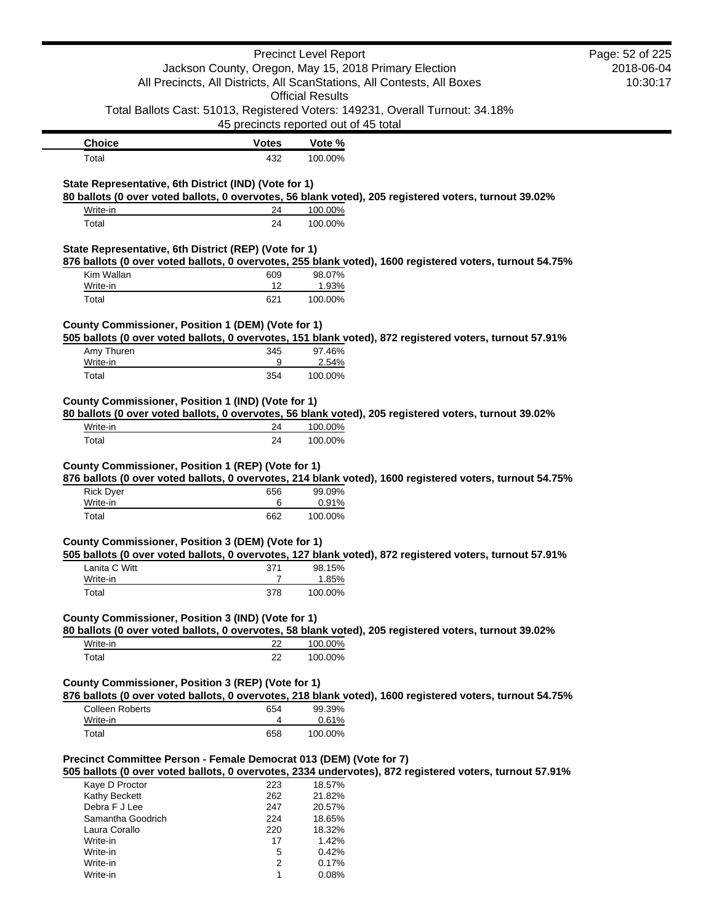|                                                                                                                                  |                                       | <b>Precinct Level Report</b> |                                                                                                          | Page: 52 of 225 |
|----------------------------------------------------------------------------------------------------------------------------------|---------------------------------------|------------------------------|----------------------------------------------------------------------------------------------------------|-----------------|
|                                                                                                                                  |                                       |                              |                                                                                                          | 2018-06-04      |
| Jackson County, Oregon, May 15, 2018 Primary Election<br>All Precincts, All Districts, All ScanStations, All Contests, All Boxes |                                       | 10:30:17                     |                                                                                                          |                 |
|                                                                                                                                  |                                       | <b>Official Results</b>      |                                                                                                          |                 |
|                                                                                                                                  |                                       |                              | Total Ballots Cast: 51013, Registered Voters: 149231, Overall Turnout: 34.18%                            |                 |
|                                                                                                                                  | 45 precincts reported out of 45 total |                              |                                                                                                          |                 |
|                                                                                                                                  |                                       |                              |                                                                                                          |                 |
| <b>Choice</b><br>Total                                                                                                           | <b>Votes</b><br>432                   | Vote %<br>100.00%            |                                                                                                          |                 |
|                                                                                                                                  |                                       |                              |                                                                                                          |                 |
| State Representative, 6th District (IND) (Vote for 1)                                                                            |                                       |                              |                                                                                                          |                 |
| Write-in                                                                                                                         | 24                                    | 100.00%                      | 80 ballots (0 over voted ballots, 0 overvotes, 56 blank voted), 205 registered voters, turnout 39.02%    |                 |
| Total                                                                                                                            | 24                                    | 100.00%                      |                                                                                                          |                 |
|                                                                                                                                  |                                       |                              |                                                                                                          |                 |
| State Representative, 6th District (REP) (Vote for 1)                                                                            |                                       |                              |                                                                                                          |                 |
| Kim Wallan                                                                                                                       | 609                                   | 98.07%                       | 876 ballots (0 over voted ballots, 0 overvotes, 255 blank voted), 1600 registered voters, turnout 54.75% |                 |
| Write-in                                                                                                                         | 12                                    | 1.93%                        |                                                                                                          |                 |
| Total                                                                                                                            | 621                                   | 100.00%                      |                                                                                                          |                 |
|                                                                                                                                  |                                       |                              |                                                                                                          |                 |
| County Commissioner, Position 1 (DEM) (Vote for 1)                                                                               |                                       |                              | 505 ballots (0 over voted ballots, 0 overvotes, 151 blank voted), 872 registered voters, turnout 57.91%  |                 |
| Amy Thuren                                                                                                                       | 345                                   | 97.46%                       |                                                                                                          |                 |
| Write-in                                                                                                                         | 9                                     | 2.54%                        |                                                                                                          |                 |
| Total                                                                                                                            | 354                                   | 100.00%                      |                                                                                                          |                 |
|                                                                                                                                  |                                       |                              |                                                                                                          |                 |
| County Commissioner, Position 1 (IND) (Vote for 1)                                                                               |                                       |                              | 80 ballots (0 over voted ballots, 0 overvotes, 56 blank voted), 205 registered voters, turnout 39.02%    |                 |
| Write-in                                                                                                                         | 24                                    | 100.00%                      |                                                                                                          |                 |
| Total                                                                                                                            | 24                                    | 100.00%                      |                                                                                                          |                 |
| <b>Rick Dyer</b>                                                                                                                 | 656                                   | 99.09%<br>0.91%              | 876 ballots (0 over voted ballots, 0 overvotes, 214 blank voted), 1600 registered voters, turnout 54.75% |                 |
| Write-in<br>Total                                                                                                                | 6<br>662                              | 100.00%                      |                                                                                                          |                 |
|                                                                                                                                  |                                       |                              |                                                                                                          |                 |
| County Commissioner, Position 3 (DEM) (Vote for 1)                                                                               |                                       |                              |                                                                                                          |                 |
|                                                                                                                                  |                                       |                              | 505 ballots (0 over voted ballots, 0 overvotes, 127 blank voted), 872 registered voters, turnout 57.91%  |                 |
| Lanita C Witt<br>Write-in                                                                                                        | 371<br>$\overline{7}$                 | 98.15%<br>1.85%              |                                                                                                          |                 |
| Total                                                                                                                            | 378                                   | 100.00%                      |                                                                                                          |                 |
|                                                                                                                                  |                                       |                              |                                                                                                          |                 |
| County Commissioner, Position 3 (IND) (Vote for 1)                                                                               |                                       |                              |                                                                                                          |                 |
|                                                                                                                                  |                                       |                              | 80 ballots (0 over voted ballots, 0 overvotes, 58 blank voted), 205 registered voters, turnout 39.02%    |                 |
| Write-in                                                                                                                         | 22                                    | 100.00%                      |                                                                                                          |                 |
| Total                                                                                                                            | 22                                    | 100.00%                      |                                                                                                          |                 |
| County Commissioner, Position 3 (REP) (Vote for 1)                                                                               |                                       |                              |                                                                                                          |                 |
|                                                                                                                                  |                                       |                              | 876 ballots (0 over voted ballots, 0 overvotes, 218 blank voted), 1600 registered voters, turnout 54.75% |                 |
| <b>Colleen Roberts</b>                                                                                                           | 654                                   | 99.39%                       |                                                                                                          |                 |
| Write-in                                                                                                                         | 4                                     | 0.61%                        |                                                                                                          |                 |
| Total                                                                                                                            | 658                                   | 100.00%                      |                                                                                                          |                 |
|                                                                                                                                  |                                       |                              |                                                                                                          |                 |
| Precinct Committee Person - Female Democrat 013 (DEM) (Vote for 7)                                                               |                                       |                              |                                                                                                          |                 |
|                                                                                                                                  |                                       |                              | 505 ballots (0 over voted ballots, 0 overvotes, 2334 undervotes), 872 registered voters, turnout 57.91%  |                 |
| Kaye D Proctor<br>Kathy Beckett                                                                                                  | 223<br>262                            | 18.57%<br>21.82%             |                                                                                                          |                 |
| Debra F J Lee                                                                                                                    | 247                                   | 20.57%                       |                                                                                                          |                 |
| Samantha Goodrich                                                                                                                | 224                                   | 18.65%                       |                                                                                                          |                 |
| Laura Corallo                                                                                                                    | 220                                   | 18.32%                       |                                                                                                          |                 |
| Write-in                                                                                                                         | 17                                    | 1.42%                        |                                                                                                          |                 |
| Write-in                                                                                                                         | 5                                     | 0.42%                        |                                                                                                          |                 |
| Write-in<br>Write-in                                                                                                             | $\overline{2}$<br>1                   | 0.17%<br>0.08%               |                                                                                                          |                 |
|                                                                                                                                  |                                       |                              |                                                                                                          |                 |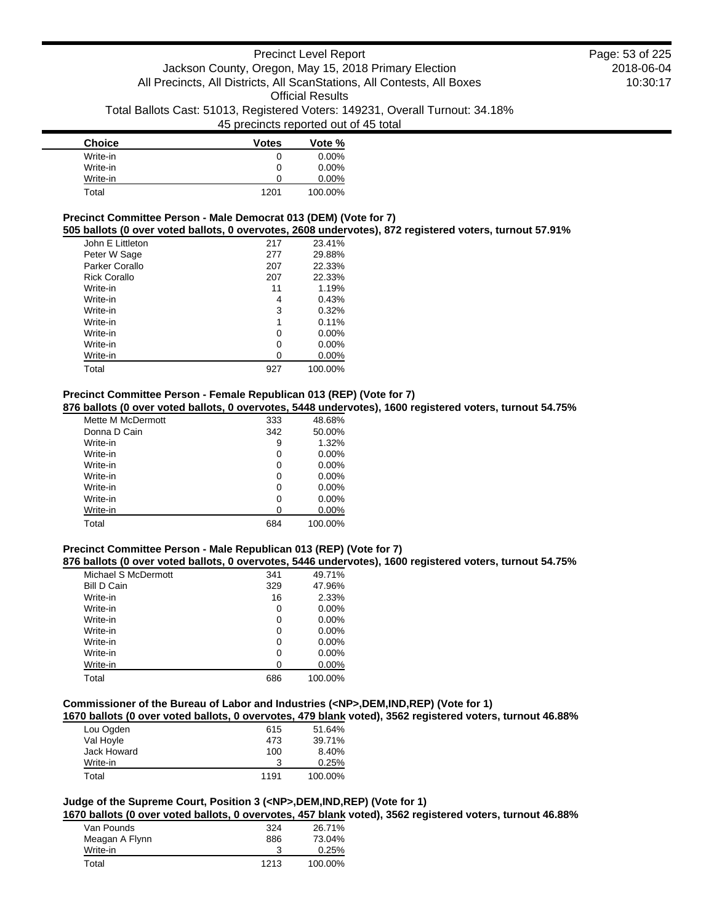| <b>Choice</b> | <b>Votes</b> | Vote %   |
|---------------|--------------|----------|
| Write-in      | 0            | $0.00\%$ |
| Write-in      | 0            | $0.00\%$ |
| Write-in      | U            | $0.00\%$ |
| Total         | 1201         | 100.00%  |

## **Precinct Committee Person - Male Democrat 013 (DEM) (Vote for 7)**

**505 ballots (0 over voted ballots, 0 overvotes, 2608 undervotes), 872 registered voters, turnout 57.91%**

| John E Littleton    | 217 | 23.41%   |
|---------------------|-----|----------|
| Peter W Sage        | 277 | 29.88%   |
| Parker Corallo      | 207 | 22.33%   |
| <b>Rick Corallo</b> | 207 | 22.33%   |
| Write-in            | 11  | 1.19%    |
| Write-in            | 4   | 0.43%    |
| Write-in            | 3   | 0.32%    |
| Write-in            | 1   | 0.11%    |
| Write-in            | 0   | $0.00\%$ |
| Write-in            | 0   | 0.00%    |
| Write-in            | 0   | $0.00\%$ |
| Total               | 927 | 100.00%  |

### **Precinct Committee Person - Female Republican 013 (REP) (Vote for 7)**

**876 ballots (0 over voted ballots, 0 overvotes, 5448 undervotes), 1600 registered voters, turnout 54.75%**

| Mette M McDermott | 333 | 48.68%   |
|-------------------|-----|----------|
| Donna D Cain      | 342 | 50.00%   |
| Write-in          | 9   | 1.32%    |
| Write-in          | 0   | $0.00\%$ |
| Write-in          | 0   | $0.00\%$ |
| Write-in          | 0   | $0.00\%$ |
| Write-in          | 0   | $0.00\%$ |
| Write-in          | 0   | $0.00\%$ |
| Write-in          | ი   | $0.00\%$ |
| Total             | 684 | 100.00%  |

#### **Precinct Committee Person - Male Republican 013 (REP) (Vote for 7)**

**876 ballots (0 over voted ballots, 0 overvotes, 5446 undervotes), 1600 registered voters, turnout 54.75%**

| Michael S McDermott | 341 | 49.71%   |
|---------------------|-----|----------|
| <b>Bill D Cain</b>  | 329 | 47.96%   |
| Write-in            | 16  | 2.33%    |
| Write-in            | 0   | $0.00\%$ |
| Write-in            | 0   | $0.00\%$ |
| Write-in            | 0   | $0.00\%$ |
| Write-in            | 0   | $0.00\%$ |
| Write-in            | 0   | $0.00\%$ |
| Write-in            | 0   | 0.00%    |
| Total               | 686 | 100.00%  |

### **Commissioner of the Bureau of Labor and Industries (<NP>,DEM,IND,REP) (Vote for 1)**

**1670 ballots (0 over voted ballots, 0 overvotes, 479 blank voted), 3562 registered voters, turnout 46.88%**

| Lou Ogden   | 615  | 51.64%  |
|-------------|------|---------|
| Val Hoyle   | 473  | 39.71%  |
| Jack Howard | 100  | 8.40%   |
| Write-in    | 3    | 0.25%   |
| Total       | 1191 | 100.00% |

# **Judge of the Supreme Court, Position 3 (<NP>,DEM,IND,REP) (Vote for 1)**

**1670 ballots (0 over voted ballots, 0 overvotes, 457 blank voted), 3562 registered voters, turnout 46.88%**

| Van Pounds     | 324  | 26.71%  |
|----------------|------|---------|
| Meagan A Flynn | 886  | 73.04%  |
| Write-in       |      | 0.25%   |
| Total          | 1213 | 100.00% |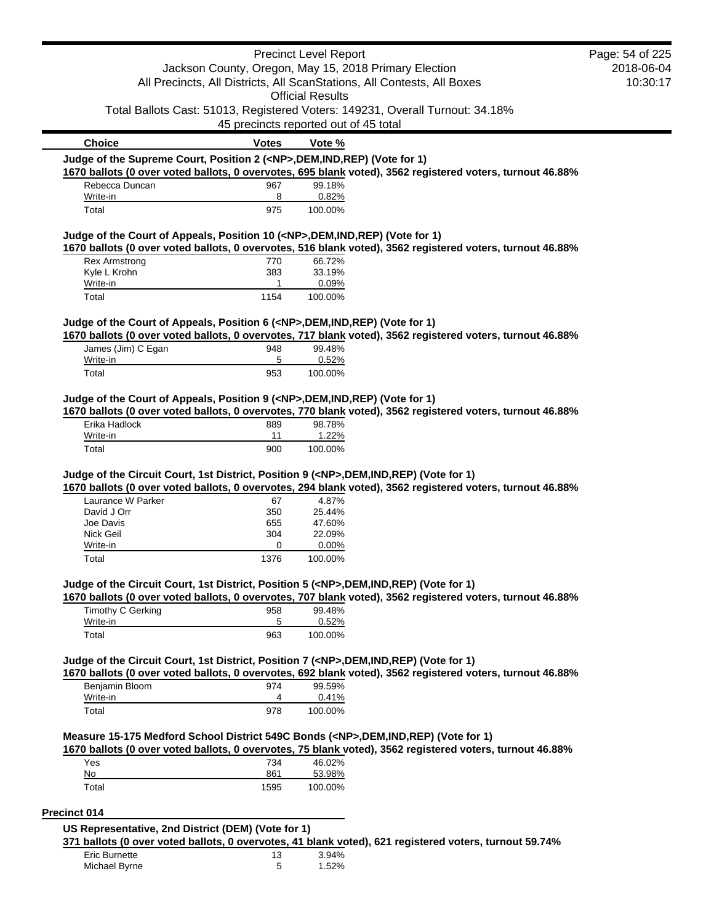|                                                                                            |                                                    | <b>Precinct Level Report</b> |                                                                                                           | Page: 54 of 225 |
|--------------------------------------------------------------------------------------------|----------------------------------------------------|------------------------------|-----------------------------------------------------------------------------------------------------------|-----------------|
|                                                                                            |                                                    |                              | Jackson County, Oregon, May 15, 2018 Primary Election                                                     | 2018-06-04      |
|                                                                                            |                                                    |                              | All Precincts, All Districts, All ScanStations, All Contests, All Boxes                                   | 10:30:17        |
|                                                                                            |                                                    | <b>Official Results</b>      |                                                                                                           |                 |
|                                                                                            | 45 precincts reported out of 45 total              |                              | Total Ballots Cast: 51013, Registered Voters: 149231, Overall Turnout: 34.18%                             |                 |
| <b>Choice</b>                                                                              | <b>Votes</b>                                       | Vote %                       |                                                                                                           |                 |
| Judge of the Supreme Court, Position 2 ( <np>,DEM,IND,REP) (Vote for 1)</np>               |                                                    |                              |                                                                                                           |                 |
|                                                                                            |                                                    |                              | 1670 ballots (0 over voted ballots, 0 overvotes, 695 blank voted), 3562 registered voters, turnout 46.88% |                 |
| Rebecca Duncan                                                                             | 967                                                | 99.18%                       |                                                                                                           |                 |
| Write-in                                                                                   | 8                                                  | 0.82%                        |                                                                                                           |                 |
| Total                                                                                      | 975                                                | 100.00%                      |                                                                                                           |                 |
| Judge of the Court of Appeals, Position 10 ( <np>,DEM,IND,REP) (Vote for 1)</np>           |                                                    |                              |                                                                                                           |                 |
|                                                                                            |                                                    |                              | 1670 ballots (0 over voted ballots, 0 overvotes, 516 blank voted), 3562 registered voters, turnout 46.88% |                 |
| <b>Rex Armstrong</b>                                                                       | 770                                                | 66.72%                       |                                                                                                           |                 |
| Kyle L Krohn                                                                               | 383                                                | 33.19%                       |                                                                                                           |                 |
| Write-in<br>Total                                                                          | 1<br>1154                                          | 0.09%<br>100.00%             |                                                                                                           |                 |
|                                                                                            |                                                    |                              |                                                                                                           |                 |
| Judge of the Court of Appeals, Position 6 ( <np>,DEM,IND,REP) (Vote for 1)</np>            |                                                    |                              |                                                                                                           |                 |
|                                                                                            |                                                    |                              | 1670 ballots (0 over voted ballots, 0 overvotes, 717 blank voted), 3562 registered voters, turnout 46.88% |                 |
| James (Jim) C Egan                                                                         | 948                                                | 99.48%                       |                                                                                                           |                 |
| Write-in                                                                                   | 5                                                  | 0.52%                        |                                                                                                           |                 |
| Total                                                                                      | 953                                                | 100.00%                      |                                                                                                           |                 |
| Judge of the Court of Appeals, Position 9 ( <np>,DEM,IND,REP) (Vote for 1)</np>            |                                                    |                              |                                                                                                           |                 |
|                                                                                            |                                                    |                              | 1670 ballots (0 over voted ballots, 0 overvotes, 770 blank voted), 3562 registered voters, turnout 46.88% |                 |
| Erika Hadlock                                                                              | 889                                                | 98.78%                       |                                                                                                           |                 |
| Write-in                                                                                   | 11                                                 | 1.22%                        |                                                                                                           |                 |
| Total                                                                                      | 900                                                | 100.00%                      |                                                                                                           |                 |
| Judge of the Circuit Court, 1st District, Position 9 ( <np>,DEM,IND,REP) (Vote for 1)</np> |                                                    |                              |                                                                                                           |                 |
|                                                                                            |                                                    |                              | 1670 ballots (0 over voted ballots, 0 overvotes, 294 blank voted), 3562 registered voters, turnout 46.88% |                 |
| Laurance W Parker                                                                          | 67                                                 | 4.87%                        |                                                                                                           |                 |
| David J Orr                                                                                | 350                                                | 25.44%                       |                                                                                                           |                 |
| Joe Davis<br>Nick Geil                                                                     | 655<br>304                                         | 47.60%<br>22.09%             |                                                                                                           |                 |
| Write-in                                                                                   | 0                                                  | 0.00%                        |                                                                                                           |                 |
| Total                                                                                      | 1376                                               | 100.00%                      |                                                                                                           |                 |
|                                                                                            |                                                    |                              |                                                                                                           |                 |
| Judge of the Circuit Court, 1st District, Position 5 ( <np>,DEM,IND,REP) (Vote for 1)</np> |                                                    |                              |                                                                                                           |                 |
|                                                                                            |                                                    |                              | 1670 ballots (0 over voted ballots, 0 overvotes, 707 blank voted), 3562 registered voters, turnout 46.88% |                 |
| Timothy C Gerking<br>Write-in                                                              | 958<br>5                                           | 99.48%<br>0.52%              |                                                                                                           |                 |
| Total                                                                                      | 963                                                | 100.00%                      |                                                                                                           |                 |
|                                                                                            |                                                    |                              |                                                                                                           |                 |
| Judge of the Circuit Court, 1st District, Position 7 ( <np>,DEM,IND,REP) (Vote for 1)</np> |                                                    |                              |                                                                                                           |                 |
|                                                                                            |                                                    |                              | 1670 ballots (0 over voted ballots, 0 overvotes, 692 blank voted), 3562 registered voters, turnout 46.88% |                 |
| Benjamin Bloom                                                                             | 974                                                | 99.59%                       |                                                                                                           |                 |
| Write-in                                                                                   | 4<br>978                                           | 0.41%                        |                                                                                                           |                 |
| Total                                                                                      |                                                    | 100.00%                      |                                                                                                           |                 |
| Measure 15-175 Medford School District 549C Bonds ( <np>,DEM,IND,REP) (Vote for 1)</np>    |                                                    |                              |                                                                                                           |                 |
|                                                                                            |                                                    |                              | 1670 ballots (0 over voted ballots, 0 overvotes, 75 blank voted), 3562 registered voters, turnout 46.88%  |                 |
| Yes                                                                                        | 734                                                | 46.02%                       |                                                                                                           |                 |
| No                                                                                         | 861                                                | 53.98%                       |                                                                                                           |                 |
| Total                                                                                      | 1595                                               | 100.00%                      |                                                                                                           |                 |
| Precinct 014                                                                               |                                                    |                              |                                                                                                           |                 |
|                                                                                            |                                                    |                              |                                                                                                           |                 |
|                                                                                            |                                                    |                              |                                                                                                           |                 |
|                                                                                            | US Representative, 2nd District (DEM) (Vote for 1) |                              |                                                                                                           |                 |
|                                                                                            |                                                    |                              | 371 ballots (0 over voted ballots, 0 overvotes, 41 blank voted), 621 registered voters, turnout 59.74%    |                 |
| Eric Burnette<br>Michael Byrne                                                             | 13<br>5                                            | 3.94%<br>1.52%               |                                                                                                           |                 |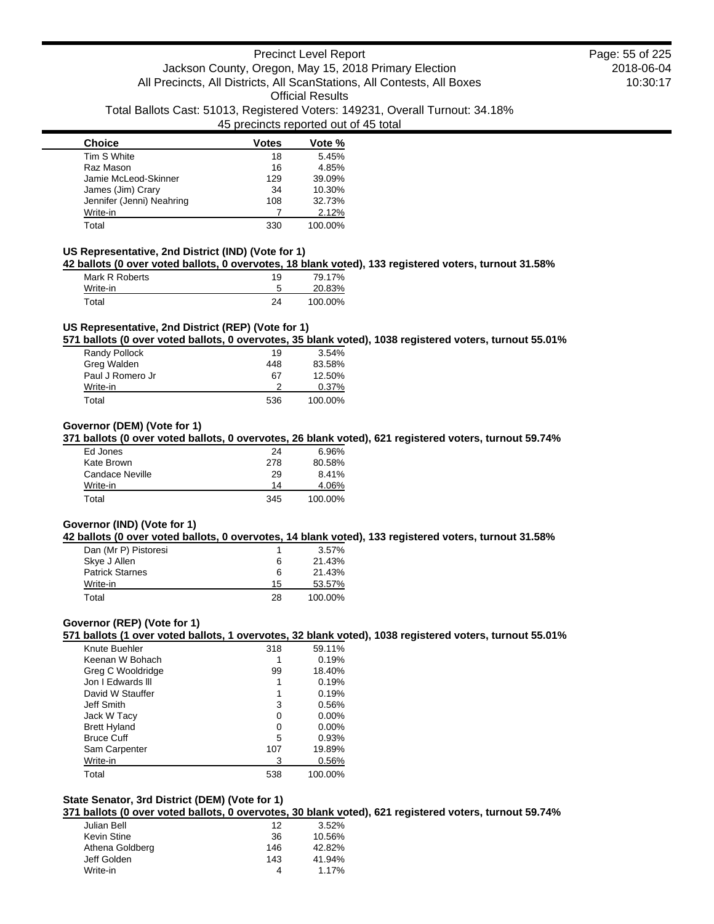| <b>Choice</b>             | <b>Votes</b> | Vote %  |
|---------------------------|--------------|---------|
| Tim S White               | 18           | 5.45%   |
| Raz Mason                 | 16           | 4.85%   |
| Jamie McLeod-Skinner      | 129          | 39.09%  |
| James (Jim) Crary         | 34           | 10.30%  |
| Jennifer (Jenni) Neahring | 108          | 32.73%  |
| Write-in                  |              | 2.12%   |
| Total                     | 330          | 100.00% |

## **US Representative, 2nd District (IND) (Vote for 1)**

**42 ballots (0 over voted ballots, 0 overvotes, 18 blank voted), 133 registered voters, turnout 31.58%**

| Mark R Roberts | 19 | 79.17%  |
|----------------|----|---------|
| Write-in       |    | 20.83%  |
| Total          | 24 | 100.00% |

## **US Representative, 2nd District (REP) (Vote for 1)**

**571 ballots (0 over voted ballots, 0 overvotes, 35 blank voted), 1038 registered voters, turnout 55.01%**

| Randy Pollock    | 19  | 3.54%    |
|------------------|-----|----------|
| Greg Walden      | 448 | 83.58%   |
| Paul J Romero Jr | 67  | 12.50%   |
| Write-in         |     | $0.37\%$ |
| Total            | 536 | 100.00%  |

## **Governor (DEM) (Vote for 1)**

**371 ballots (0 over voted ballots, 0 overvotes, 26 blank voted), 621 registered voters, turnout 59.74%**

| Ed Jones        | 24  | 6.96%   |
|-----------------|-----|---------|
| Kate Brown      | 278 | 80.58%  |
| Candace Neville | 29  | 8.41%   |
| Write-in        | 14  | 4.06%   |
| Total           | 345 | 100.00% |

## **Governor (IND) (Vote for 1)**

#### **42 ballots (0 over voted ballots, 0 overvotes, 14 blank voted), 133 registered voters, turnout 31.58%**

| Dan (Mr P) Pistoresi   |    | $3.57\%$ |
|------------------------|----|----------|
| Skye J Allen           | 6  | 21.43%   |
| <b>Patrick Starnes</b> | 6  | 21.43%   |
| Write-in               | 15 | 53.57%   |
| Total                  | 28 | 100.00%  |

## **Governor (REP) (Vote for 1)**

**571 ballots (1 over voted ballots, 1 overvotes, 32 blank voted), 1038 registered voters, turnout 55.01%**

| Knute Buehler       | 318 | 59.11%   |
|---------------------|-----|----------|
| Keenan W Bohach     |     | 0.19%    |
| Greg C Wooldridge   | 99  | 18.40%   |
| Jon I Fdwards III   |     | 0.19%    |
| David W Stauffer    |     | 0.19%    |
| Jeff Smith          | 3   | 0.56%    |
| Jack W Tacy         | ი   | $0.00\%$ |
| <b>Brett Hyland</b> | ი   | $0.00\%$ |
| <b>Bruce Cuff</b>   | 5   | 0.93%    |
| Sam Carpenter       | 107 | 19.89%   |
| Write-in            | 3   | 0.56%    |
| Total               | 538 | 100.00%  |

## **State Senator, 3rd District (DEM) (Vote for 1)**

**371 ballots (0 over voted ballots, 0 overvotes, 30 blank voted), 621 registered voters, turnout 59.74%**

| Julian Bell     | 12  | 3.52%  |
|-----------------|-----|--------|
| Kevin Stine     | 36  | 10.56% |
| Athena Goldberg | 146 | 42.82% |
| Jeff Golden     | 143 | 41.94% |
| Write-in        | 4   | 1.17%  |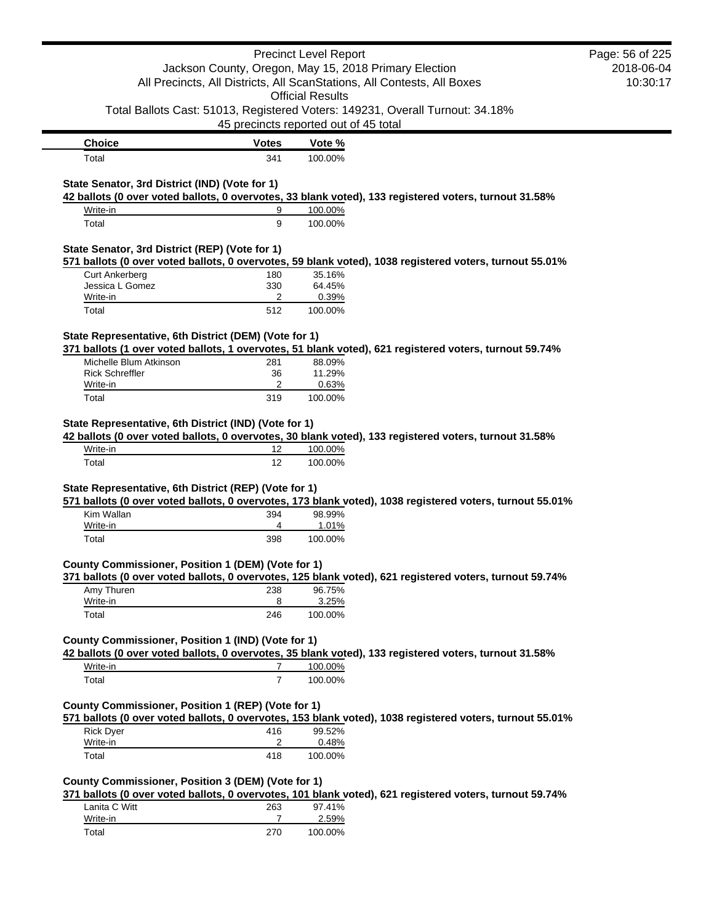|                                                                         |                                       | <b>Precinct Level Report</b> |                                                                                                          | Page: 56 of 225 |
|-------------------------------------------------------------------------|---------------------------------------|------------------------------|----------------------------------------------------------------------------------------------------------|-----------------|
| Jackson County, Oregon, May 15, 2018 Primary Election                   |                                       | 2018-06-04                   |                                                                                                          |                 |
| All Precincts, All Districts, All ScanStations, All Contests, All Boxes |                                       | 10:30:17                     |                                                                                                          |                 |
|                                                                         |                                       | <b>Official Results</b>      |                                                                                                          |                 |
|                                                                         |                                       |                              | Total Ballots Cast: 51013, Registered Voters: 149231, Overall Turnout: 34.18%                            |                 |
|                                                                         | 45 precincts reported out of 45 total |                              |                                                                                                          |                 |
| <b>Choice</b>                                                           | <b>Votes</b>                          | Vote %                       |                                                                                                          |                 |
| Total                                                                   | 341                                   | 100.00%                      |                                                                                                          |                 |
|                                                                         |                                       |                              |                                                                                                          |                 |
| State Senator, 3rd District (IND) (Vote for 1)                          |                                       |                              |                                                                                                          |                 |
|                                                                         |                                       |                              | 42 ballots (0 over voted ballots, 0 overvotes, 33 blank voted), 133 registered voters, turnout 31.58%    |                 |
| Write-in<br>Total                                                       | 9<br>9                                | 100.00%<br>100.00%           |                                                                                                          |                 |
|                                                                         |                                       |                              |                                                                                                          |                 |
| State Senator, 3rd District (REP) (Vote for 1)                          |                                       |                              |                                                                                                          |                 |
|                                                                         |                                       |                              | 571 ballots (0 over voted ballots, 0 overvotes, 59 blank voted), 1038 registered voters, turnout 55.01%  |                 |
| <b>Curt Ankerberg</b>                                                   | 180                                   | 35.16%                       |                                                                                                          |                 |
| Jessica L Gomez                                                         | 330                                   | 64.45%                       |                                                                                                          |                 |
| Write-in                                                                | 2                                     | 0.39%                        |                                                                                                          |                 |
| Total                                                                   | 512                                   | 100.00%                      |                                                                                                          |                 |
|                                                                         |                                       |                              |                                                                                                          |                 |
| State Representative, 6th District (DEM) (Vote for 1)                   |                                       |                              | 371 ballots (1 over voted ballots, 1 overvotes, 51 blank voted), 621 registered voters, turnout 59.74%   |                 |
| Michelle Blum Atkinson                                                  | 281                                   | 88.09%                       |                                                                                                          |                 |
| <b>Rick Schreffler</b>                                                  | 36                                    | 11.29%                       |                                                                                                          |                 |
| Write-in                                                                | 2                                     | 0.63%                        |                                                                                                          |                 |
| Total                                                                   | 319                                   | 100.00%                      |                                                                                                          |                 |
| Write-in                                                                | 12                                    | 100.00%                      | 42 ballots (0 over voted ballots, 0 overvotes, 30 blank voted), 133 registered voters, turnout 31.58%    |                 |
| Total                                                                   | 12                                    | 100.00%                      |                                                                                                          |                 |
| State Representative, 6th District (REP) (Vote for 1)                   |                                       |                              |                                                                                                          |                 |
|                                                                         |                                       |                              | 571 ballots (0 over voted ballots, 0 overvotes, 173 blank voted), 1038 registered voters, turnout 55.01% |                 |
| Kim Wallan                                                              | 394                                   | 98.99%                       |                                                                                                          |                 |
| Write-in                                                                | 4                                     | 1.01%                        |                                                                                                          |                 |
| Total                                                                   | 398                                   | 100.00%                      |                                                                                                          |                 |
|                                                                         |                                       |                              |                                                                                                          |                 |
| County Commissioner, Position 1 (DEM) (Vote for 1)                      |                                       |                              |                                                                                                          |                 |
|                                                                         |                                       |                              | 371 ballots (0 over voted ballots, 0 overvotes, 125 blank voted), 621 registered voters, turnout 59.74%  |                 |
| Amy Thuren                                                              | 238<br>8                              | 96.75%                       |                                                                                                          |                 |
| Write-in<br>Total                                                       | 246                                   | 3.25%<br>100.00%             |                                                                                                          |                 |
|                                                                         |                                       |                              |                                                                                                          |                 |
| County Commissioner, Position 1 (IND) (Vote for 1)                      |                                       |                              |                                                                                                          |                 |
|                                                                         |                                       |                              | 42 ballots (0 over voted ballots, 0 overvotes, 35 blank voted), 133 registered voters, turnout 31.58%    |                 |
| Write-in                                                                | $\overline{7}$                        | 100.00%                      |                                                                                                          |                 |
| Total                                                                   | $\overline{7}$                        | 100.00%                      |                                                                                                          |                 |
|                                                                         |                                       |                              |                                                                                                          |                 |
| County Commissioner, Position 1 (REP) (Vote for 1)                      |                                       |                              |                                                                                                          |                 |
|                                                                         |                                       |                              | 571 ballots (0 over voted ballots, 0 overvotes, 153 blank voted), 1038 registered voters, turnout 55.01% |                 |
| <b>Rick Dyer</b>                                                        | 416                                   | 99.52%                       |                                                                                                          |                 |
| Write-in                                                                | 2                                     | 0.48%                        |                                                                                                          |                 |
| Total                                                                   | 418                                   | 100.00%                      |                                                                                                          |                 |
|                                                                         |                                       |                              |                                                                                                          |                 |
| County Commissioner, Position 3 (DEM) (Vote for 1)                      |                                       |                              |                                                                                                          |                 |
|                                                                         |                                       |                              | 371 ballots (0 over voted ballots, 0 overvotes, 101 blank voted), 621 registered voters, turnout 59.74%  |                 |
| Lanita C Witt<br>$M = 10$                                               | 263                                   | 97.41%<br>2.500              |                                                                                                          |                 |

| Lanita C Witt | 263 | 97.41%  |
|---------------|-----|---------|
| Write-in      |     | 2.59%   |
| Total         | 270 | 100.00% |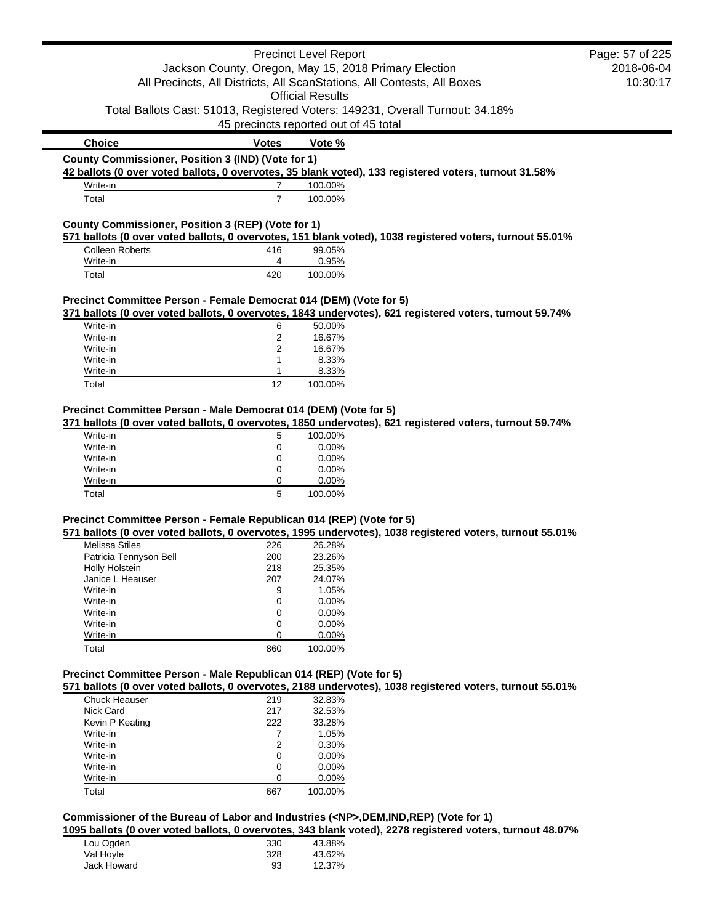|                                                                                          |                                       | <b>Precinct Level Report</b>                |                                                                                                           | Page: 57 of 225 |
|------------------------------------------------------------------------------------------|---------------------------------------|---------------------------------------------|-----------------------------------------------------------------------------------------------------------|-----------------|
|                                                                                          |                                       |                                             | Jackson County, Oregon, May 15, 2018 Primary Election                                                     | 2018-06-04      |
|                                                                                          |                                       |                                             | All Precincts, All Districts, All ScanStations, All Contests, All Boxes                                   | 10:30:17        |
|                                                                                          |                                       | <b>Official Results</b>                     |                                                                                                           |                 |
|                                                                                          |                                       |                                             | Total Ballots Cast: 51013, Registered Voters: 149231, Overall Turnout: 34.18%                             |                 |
|                                                                                          | 45 precincts reported out of 45 total |                                             |                                                                                                           |                 |
| <b>Choice</b>                                                                            | <b>Votes</b>                          | Vote %                                      |                                                                                                           |                 |
| County Commissioner, Position 3 (IND) (Vote for 1)                                       |                                       |                                             |                                                                                                           |                 |
|                                                                                          |                                       |                                             | 42 ballots (0 over voted ballots, 0 overvotes, 35 blank voted), 133 registered voters, turnout 31.58%     |                 |
| Write-in                                                                                 | $\overline{7}$                        | 100.00%                                     |                                                                                                           |                 |
| Total                                                                                    | $\overline{7}$                        | 100.00%                                     |                                                                                                           |                 |
|                                                                                          |                                       |                                             |                                                                                                           |                 |
| County Commissioner, Position 3 (REP) (Vote for 1)                                       |                                       |                                             |                                                                                                           |                 |
|                                                                                          |                                       |                                             | 571 ballots (0 over voted ballots, 0 overvotes, 151 blank voted), 1038 registered voters, turnout 55.01%  |                 |
| <b>Colleen Roberts</b>                                                                   | 416                                   | 99.05%                                      |                                                                                                           |                 |
| Write-in                                                                                 | 4                                     | 0.95%                                       |                                                                                                           |                 |
| Total                                                                                    | 420                                   | 100.00%                                     |                                                                                                           |                 |
|                                                                                          |                                       |                                             |                                                                                                           |                 |
| Precinct Committee Person - Female Democrat 014 (DEM) (Vote for 5)                       |                                       |                                             |                                                                                                           |                 |
|                                                                                          |                                       |                                             | 371 ballots (0 over voted ballots, 0 overvotes, 1843 undervotes), 621 registered voters, turnout 59.74%   |                 |
| Write-in                                                                                 | 6                                     | 50.00%                                      |                                                                                                           |                 |
| Write-in<br>Write-in                                                                     | 2<br>2                                | 16.67%<br>16.67%                            |                                                                                                           |                 |
| Write-in                                                                                 | 1                                     | 8.33%                                       |                                                                                                           |                 |
| Write-in                                                                                 | 1                                     | 8.33%                                       |                                                                                                           |                 |
| Total                                                                                    | 12                                    | 100.00%                                     |                                                                                                           |                 |
|                                                                                          |                                       |                                             |                                                                                                           |                 |
| Write-in<br>Write-in<br>Write-in<br>Write-in<br>Total                                    | 0<br>0<br>0<br>0<br>5                 | 0.00%<br>0.00%<br>0.00%<br>0.00%<br>100.00% |                                                                                                           |                 |
| Precinct Committee Person - Female Republican 014 (REP) (Vote for 5)                     |                                       |                                             |                                                                                                           |                 |
|                                                                                          |                                       |                                             | 571 ballots (0 over voted ballots, 0 overvotes, 1995 undervotes), 1038 registered voters, turnout 55.01%  |                 |
| <b>Melissa Stiles</b>                                                                    | 226                                   | 26.28%                                      |                                                                                                           |                 |
| Patricia Tennyson Bell                                                                   | 200                                   | 23.26%                                      |                                                                                                           |                 |
| Holly Holstein                                                                           | 218                                   | 25.35%                                      |                                                                                                           |                 |
| Janice L Heauser                                                                         | 207                                   | 24.07%                                      |                                                                                                           |                 |
| Write-in                                                                                 | 9                                     | 1.05%                                       |                                                                                                           |                 |
| Write-in                                                                                 | 0                                     | 0.00%                                       |                                                                                                           |                 |
| Write-in<br>Write-in                                                                     | 0                                     | 0.00%                                       |                                                                                                           |                 |
| Write-in                                                                                 | 0<br>0                                | 0.00%<br>0.00%                              |                                                                                                           |                 |
| Total                                                                                    | 860                                   | 100.00%                                     |                                                                                                           |                 |
|                                                                                          |                                       |                                             |                                                                                                           |                 |
| Precinct Committee Person - Male Republican 014 (REP) (Vote for 5)                       |                                       |                                             |                                                                                                           |                 |
|                                                                                          |                                       |                                             | 571 ballots (0 over voted ballots, 0 overvotes, 2188 undervotes), 1038 registered voters, turnout 55.01%  |                 |
| Chuck Heauser                                                                            | 219                                   | 32.83%                                      |                                                                                                           |                 |
| Nick Card                                                                                | 217                                   | 32.53%                                      |                                                                                                           |                 |
| Kevin P Keating                                                                          | 222                                   | 33.28%                                      |                                                                                                           |                 |
| Write-in                                                                                 | 7                                     | 1.05%                                       |                                                                                                           |                 |
| Write-in                                                                                 | 2                                     | 0.30%                                       |                                                                                                           |                 |
| Write-in                                                                                 | 0                                     | 0.00%                                       |                                                                                                           |                 |
| Write-in                                                                                 | 0                                     | 0.00%                                       |                                                                                                           |                 |
| Write-in                                                                                 | 0                                     | 0.00%                                       |                                                                                                           |                 |
| Total                                                                                    | 667                                   | 100.00%                                     |                                                                                                           |                 |
|                                                                                          |                                       |                                             |                                                                                                           |                 |
| Commissioner of the Bureau of Labor and Industries ( <np>,DEM,IND,REP) (Vote for 1)</np> |                                       |                                             |                                                                                                           |                 |
|                                                                                          |                                       |                                             | 1095 ballots (0 over voted ballots, 0 overvotes, 343 blank voted), 2278 registered voters, turnout 48.07% |                 |
| Lou Ogden                                                                                | 330                                   | 43.88%                                      |                                                                                                           |                 |
| Val Hoyle                                                                                | 328<br>93                             | 43.62%                                      |                                                                                                           |                 |
| Jack Howard                                                                              |                                       | 12.37%                                      |                                                                                                           |                 |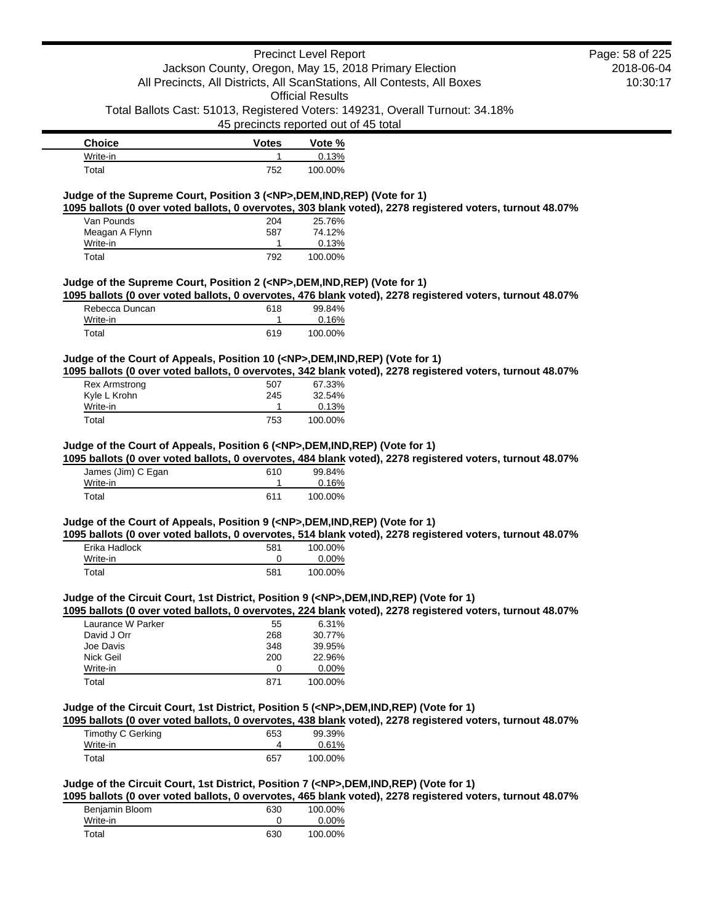## Precinct Level Report Jackson County, Oregon, May 15, 2018 Primary Election

2018-06-04 10:30:17 Page: 58 of 225

All Precincts, All Districts, All ScanStations, All Contests, All Boxes Official Results

Total Ballots Cast: 51013, Registered Voters: 149231, Overall Turnout: 34.18%

45 precincts reported out of 45 total

| <b>Choice</b> | <b>Votes</b> | Vote %  |
|---------------|--------------|---------|
| Write-in      |              | 0.13%   |
| $\tau$ otal   | 752          | 100.00% |

## **Judge of the Supreme Court, Position 3 (<NP>,DEM,IND,REP) (Vote for 1)**

**1095 ballots (0 over voted ballots, 0 overvotes, 303 blank voted), 2278 registered voters, turnout 48.07%**

| Van Pounds     | 204 | 25.76%  |
|----------------|-----|---------|
| Meagan A Flynn | 587 | 74.12%  |
| Write-in       |     | 0.13%   |
| Total          | 792 | 100.00% |

### **Judge of the Supreme Court, Position 2 (<NP>,DEM,IND,REP) (Vote for 1)**

**1095 ballots (0 over voted ballots, 0 overvotes, 476 blank voted), 2278 registered voters, turnout 48.07%**

| Rebecca Duncan | 618 | 99.84%  |
|----------------|-----|---------|
| Write-in       |     | 0.16%   |
| Total          | 619 | 100.00% |

## **Judge of the Court of Appeals, Position 10 (<NP>,DEM,IND,REP) (Vote for 1)**

**1095 ballots (0 over voted ballots, 0 overvotes, 342 blank voted), 2278 registered voters, turnout 48.07%**

| Rex Armstrong | 507 | 67.33%  |
|---------------|-----|---------|
| Kyle L Krohn  | 245 | 32.54%  |
| Write-in      |     | 0.13%   |
| Total         | 753 | 100.00% |

#### **Judge of the Court of Appeals, Position 6 (<NP>,DEM,IND,REP) (Vote for 1)**

**1095 ballots (0 over voted ballots, 0 overvotes, 484 blank voted), 2278 registered voters, turnout 48.07%**

| James (Jim) C Egan | 610 | 99.84%   |
|--------------------|-----|----------|
| Write-in           |     | $0.16\%$ |
| Total              | 611 | 100.00%  |

### **Judge of the Court of Appeals, Position 9 (<NP>,DEM,IND,REP) (Vote for 1)**

**1095 ballots (0 over voted ballots, 0 overvotes, 514 blank voted), 2278 registered voters, turnout 48.07%** Erika Hadlock 581 100.00% Write-in 0 0.00% Total 581 100.00%

## **Judge of the Circuit Court, 1st District, Position 9 (<NP>,DEM,IND,REP) (Vote for 1)**

**1095 ballots (0 over voted ballots, 0 overvotes, 224 blank voted), 2278 registered voters, turnout 48.07%**

| Laurance W Parker | 55  | $6.31\%$ |
|-------------------|-----|----------|
| David J Orr       | 268 | 30.77%   |
| Joe Davis         | 348 | 39.95%   |
| Nick Geil         | 200 | 22.96%   |
| Write-in          |     | $0.00\%$ |
| Total             | 871 | 100.00%  |

#### **Judge of the Circuit Court, 1st District, Position 5 (<NP>,DEM,IND,REP) (Vote for 1)**

**1095 ballots (0 over voted ballots, 0 overvotes, 438 blank voted), 2278 registered voters, turnout 48.07%**

| Timothy C Gerking | 653 | 99.39%  |
|-------------------|-----|---------|
| Write-in          |     | 0.61%   |
| Total             | 657 | 100.00% |

## **Judge of the Circuit Court, 1st District, Position 7 (<NP>,DEM,IND,REP) (Vote for 1)**

**1095 ballots (0 over voted ballots, 0 overvotes, 465 blank voted), 2278 registered voters, turnout 48.07%**

| Benjamin Bloom | 630 | 100.00%  |
|----------------|-----|----------|
| Write-in       |     | $0.00\%$ |
| Total          | 630 | 100.00%  |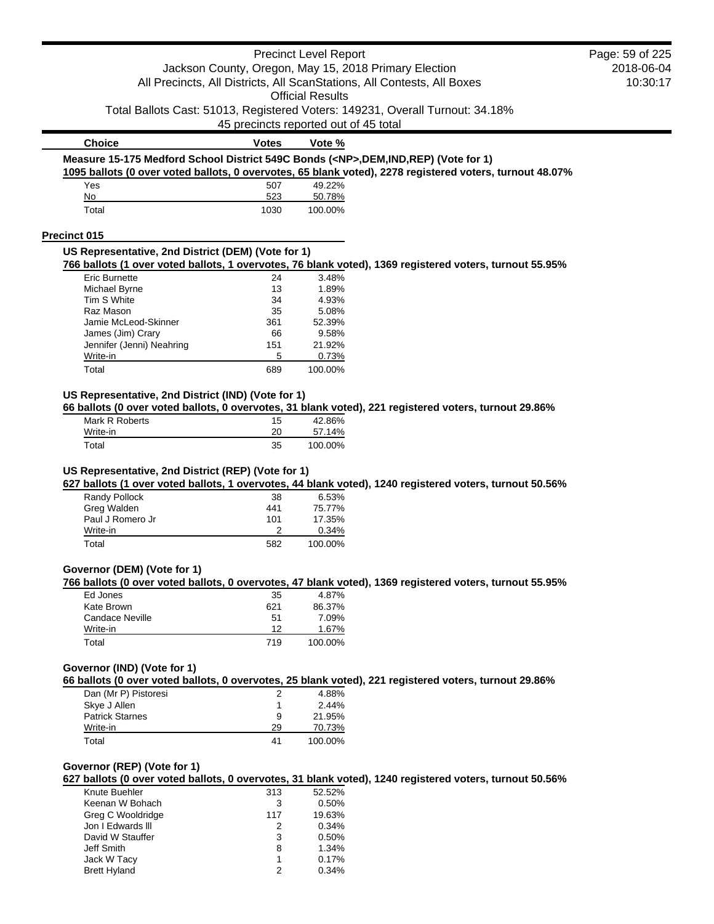|                                                                                                                                                                |                                       | <b>Precinct Level Report</b> |                                                                                                          | Page: 59 of 225 |
|----------------------------------------------------------------------------------------------------------------------------------------------------------------|---------------------------------------|------------------------------|----------------------------------------------------------------------------------------------------------|-----------------|
|                                                                                                                                                                |                                       |                              | Jackson County, Oregon, May 15, 2018 Primary Election                                                    | 2018-06-04      |
|                                                                                                                                                                |                                       |                              | All Precincts, All Districts, All ScanStations, All Contests, All Boxes                                  | 10:30:17        |
|                                                                                                                                                                |                                       | <b>Official Results</b>      |                                                                                                          |                 |
|                                                                                                                                                                | 45 precincts reported out of 45 total |                              | Total Ballots Cast: 51013, Registered Voters: 149231, Overall Turnout: 34.18%                            |                 |
| <b>Choice</b>                                                                                                                                                  | <b>Votes</b>                          | Vote %                       |                                                                                                          |                 |
|                                                                                                                                                                |                                       |                              | Measure 15-175 Medford School District 549C Bonds ( <np>,DEM,IND,REP) (Vote for 1)</np>                  |                 |
|                                                                                                                                                                |                                       |                              | 1095 ballots (0 over voted ballots, 0 overvotes, 65 blank voted), 2278 registered voters, turnout 48.07% |                 |
| Yes                                                                                                                                                            | 507                                   | 49.22%                       |                                                                                                          |                 |
| No                                                                                                                                                             | 523                                   | 50.78%                       |                                                                                                          |                 |
| Total                                                                                                                                                          | 1030                                  | 100.00%                      |                                                                                                          |                 |
| Precinct 015                                                                                                                                                   |                                       |                              |                                                                                                          |                 |
| US Representative, 2nd District (DEM) (Vote for 1)                                                                                                             |                                       |                              | 766 ballots (1 over voted ballots, 1 overvotes, 76 blank voted), 1369 registered voters, turnout 55.95%  |                 |
| Eric Burnette                                                                                                                                                  | 24                                    | 3.48%                        |                                                                                                          |                 |
| Michael Byrne                                                                                                                                                  | 13                                    | 1.89%                        |                                                                                                          |                 |
| Tim S White                                                                                                                                                    | 34                                    | 4.93%                        |                                                                                                          |                 |
| Raz Mason<br>Jamie McLeod-Skinner                                                                                                                              | 35                                    | 5.08%<br>52.39%              |                                                                                                          |                 |
| James (Jim) Crary                                                                                                                                              | 361<br>66                             | 9.58%                        |                                                                                                          |                 |
| Jennifer (Jenni) Neahring                                                                                                                                      | 151                                   | 21.92%                       |                                                                                                          |                 |
| Write-in                                                                                                                                                       | 5                                     | 0.73%                        |                                                                                                          |                 |
| Total                                                                                                                                                          | 689                                   | 100.00%                      |                                                                                                          |                 |
| US Representative, 2nd District (IND) (Vote for 1)                                                                                                             |                                       |                              |                                                                                                          |                 |
|                                                                                                                                                                |                                       |                              | 66 ballots (0 over voted ballots, 0 overvotes, 31 blank voted), 221 registered voters, turnout 29.86%    |                 |
| Mark R Roberts                                                                                                                                                 | 15                                    | 42.86%                       |                                                                                                          |                 |
|                                                                                                                                                                |                                       |                              |                                                                                                          |                 |
| Write-in<br>Total                                                                                                                                              | 20<br>35                              | 57.14%<br>100.00%            | 627 ballots (1 over voted ballots, 1 overvotes, 44 blank voted), 1240 registered voters, turnout 50.56%  |                 |
| Randy Pollock<br>Greg Walden                                                                                                                                   | 38<br>441                             | 6.53%<br>75.77%              |                                                                                                          |                 |
| Paul J Romero Jr<br>Write-in                                                                                                                                   | 101<br>2                              | 17.35%<br>0.34%              |                                                                                                          |                 |
| Total                                                                                                                                                          | 582                                   | 100.00%                      |                                                                                                          |                 |
|                                                                                                                                                                |                                       |                              |                                                                                                          |                 |
|                                                                                                                                                                |                                       |                              | 766 ballots (0 over voted ballots, 0 overvotes, 47 blank voted), 1369 registered voters, turnout 55.95%  |                 |
| Ed Jones                                                                                                                                                       | 35                                    | 4.87%                        |                                                                                                          |                 |
| Kate Brown                                                                                                                                                     | 621                                   | 86.37%                       |                                                                                                          |                 |
| <b>Candace Neville</b><br>Write-in                                                                                                                             | 51<br>12                              | 7.09%<br>1.67%               |                                                                                                          |                 |
| Total                                                                                                                                                          | 719                                   | 100.00%                      |                                                                                                          |                 |
|                                                                                                                                                                |                                       |                              |                                                                                                          |                 |
|                                                                                                                                                                |                                       |                              | 66 ballots (0 over voted ballots, 0 overvotes, 25 blank voted), 221 registered voters, turnout 29.86%    |                 |
| Dan (Mr P) Pistoresi                                                                                                                                           | 2                                     | 4.88%                        |                                                                                                          |                 |
| Skye J Allen                                                                                                                                                   | 1                                     | 2.44%                        |                                                                                                          |                 |
| <b>Patrick Starnes</b><br>Write-in                                                                                                                             | 9                                     | 21.95%                       |                                                                                                          |                 |
| Total                                                                                                                                                          | 29<br>41                              | 70.73%<br>100.00%            |                                                                                                          |                 |
|                                                                                                                                                                |                                       |                              |                                                                                                          |                 |
|                                                                                                                                                                |                                       |                              | 627 ballots (0 over voted ballots, 0 overvotes, 31 blank voted), 1240 registered voters, turnout 50.56%  |                 |
| Knute Buehler                                                                                                                                                  | 313                                   | 52.52%                       |                                                                                                          |                 |
| Keenan W Bohach                                                                                                                                                | 3                                     | 0.50%                        |                                                                                                          |                 |
| Greg C Wooldridge                                                                                                                                              | 117                                   | 19.63%                       |                                                                                                          |                 |
| Jon I Edwards III<br>David W Stauffer                                                                                                                          | 2                                     | 0.34%<br>0.50%               |                                                                                                          |                 |
| Jeff Smith                                                                                                                                                     | 3<br>8                                | 1.34%                        |                                                                                                          |                 |
| US Representative, 2nd District (REP) (Vote for 1)<br>Governor (DEM) (Vote for 1)<br>Governor (IND) (Vote for 1)<br>Governor (REP) (Vote for 1)<br>Jack W Tacy | 1                                     | 0.17%                        |                                                                                                          |                 |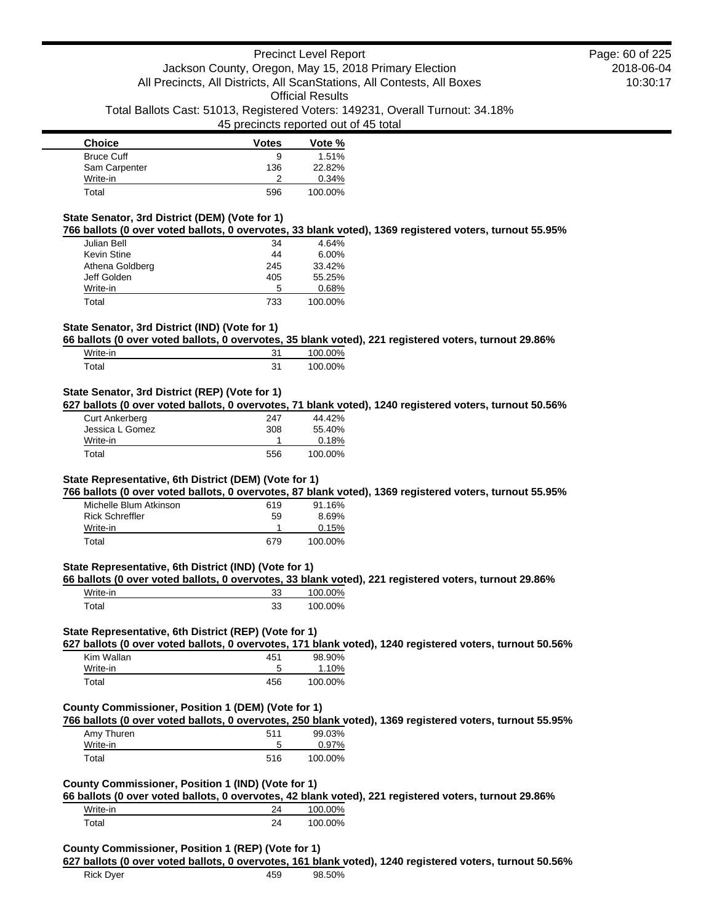| <b>Choice</b>     | <b>Votes</b> | Vote %  |
|-------------------|--------------|---------|
| <b>Bruce Cuff</b> | 9            | 1.51%   |
| Sam Carpenter     | 136          | 22.82%  |
| Write-in          | າ            | 0.34%   |
| Total             | 596          | 100.00% |

#### **State Senator, 3rd District (DEM) (Vote for 1)**

**766 ballots (0 over voted ballots, 0 overvotes, 33 blank voted), 1369 registered voters, turnout 55.95%**

| Julian Bell     | 34  | 4.64%    |
|-----------------|-----|----------|
| Kevin Stine     | 44  | $6.00\%$ |
| Athena Goldberg | 245 | 33.42%   |
| Jeff Golden     | 405 | 55.25%   |
| Write-in        | 5   | 0.68%    |
| Total           | 733 | 100.00%  |

## **State Senator, 3rd District (IND) (Vote for 1)**

**66 ballots (0 over voted ballots, 0 overvotes, 35 blank voted), 221 registered voters, turnout 29.86%**

| Write-in | 21<br>ر | 100.00% |
|----------|---------|---------|
| ™otal    | 31      | 100.00% |

## **State Senator, 3rd District (REP) (Vote for 1)**

**627 ballots (0 over voted ballots, 0 overvotes, 71 blank voted), 1240 registered voters, turnout 50.56%**

| <b>Curt Ankerberg</b> | 247 | 44.42%  |
|-----------------------|-----|---------|
| Jessica L Gomez       | 308 | 55.40%  |
| Write-in              |     | 0.18%   |
| Total                 | 556 | 100.00% |

## **State Representative, 6th District (DEM) (Vote for 1)**

**766 ballots (0 over voted ballots, 0 overvotes, 87 blank voted), 1369 registered voters, turnout 55.95%**

| Michelle Blum Atkinson | 619 | 91.16%  |
|------------------------|-----|---------|
| <b>Rick Schreffler</b> | 59  | 8.69%   |
| Write-in               |     | 0.15%   |
| Total                  | 679 | 100.00% |

## **State Representative, 6th District (IND) (Vote for 1)**

**66 ballots (0 over voted ballots, 0 overvotes, 33 blank voted), 221 registered voters, turnout 29.86%**

| Write-in | 33 | 100.00% |
|----------|----|---------|
| Total    | 33 | 100.00% |

## **State Representative, 6th District (REP) (Vote for 1)**

**627 ballots (0 over voted ballots, 0 overvotes, 171 blank voted), 1240 registered voters, turnout 50.56%**

| Kim Wallan | 451 | 98.90%  |
|------------|-----|---------|
| Write-in   | ≎   | 1.10%   |
| Total      | 456 | 100.00% |

#### **County Commissioner, Position 1 (DEM) (Vote for 1)**

**766 ballots (0 over voted ballots, 0 overvotes, 250 blank voted), 1369 registered voters, turnout 55.95%**

| Amy Thuren | 511 | 99.03%  |
|------------|-----|---------|
| Write-in   | 5   | 0.97%   |
| Total      | 516 | 100.00% |

## **County Commissioner, Position 1 (IND) (Vote for 1)**

**66 ballots (0 over voted ballots, 0 overvotes, 42 blank voted), 221 registered voters, turnout 29.86%**

| Write-in | 24 | 100.00% |
|----------|----|---------|
| Total    | 24 | 100.00% |

#### **County Commissioner, Position 1 (REP) (Vote for 1)**

**627 ballots (0 over voted ballots, 0 overvotes, 161 blank voted), 1240 registered voters, turnout 50.56%**

2018-06-04 10:30:17 Page: 60 of 225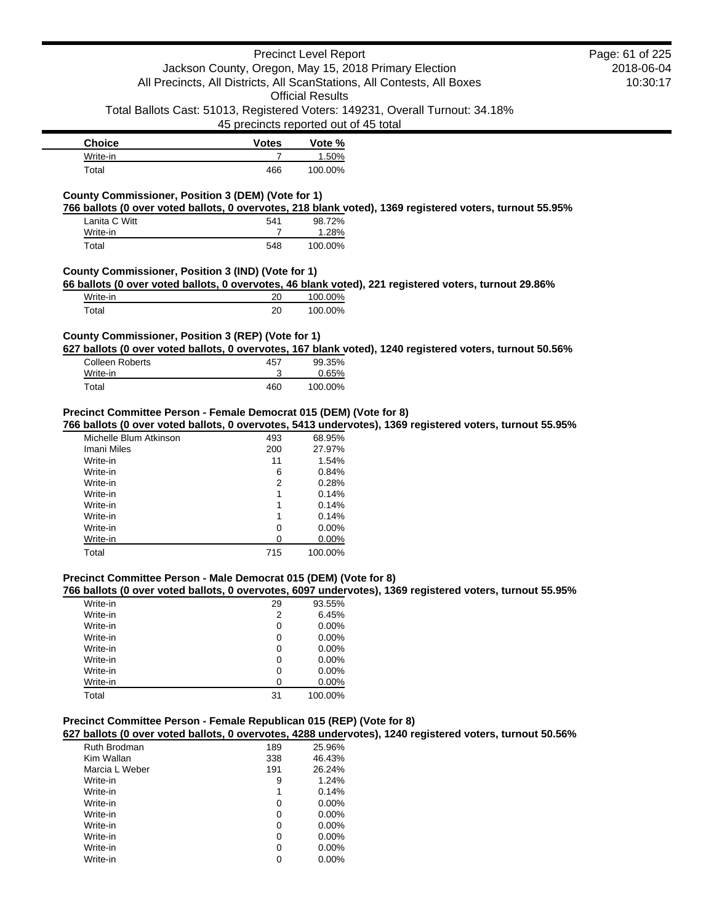## Precinct Level Report

# Jackson County, Oregon, May 15, 2018 Primary Election All Precincts, All Districts, All ScanStations, All Contests, All Boxes

Official Results

Total Ballots Cast: 51013, Registered Voters: 149231, Overall Turnout: 34.18%

45 precincts reported out of 45 total

| <b>Choice</b> | <b>Votes</b> | Vote %  |
|---------------|--------------|---------|
| Write-in      |              | 1.50%   |
| Total         | 466          | 100.00% |

## **County Commissioner, Position 3 (DEM) (Vote for 1)**

**766 ballots (0 over voted ballots, 0 overvotes, 218 blank voted), 1369 registered voters, turnout 55.95%**

| Lanita C Witt | 541 | 98.72%  |
|---------------|-----|---------|
| Write-in      |     | 1.28%   |
| Total         | 548 | 100.00% |

## **County Commissioner, Position 3 (IND) (Vote for 1)**

**66 ballots (0 over voted ballots, 0 overvotes, 46 blank voted), 221 registered voters, turnout 29.86%**

| Write-in    | 20 | 100.00% |
|-------------|----|---------|
| $\tau$ otal | 20 | 100.00% |

## **County Commissioner, Position 3 (REP) (Vote for 1)**

**627 ballots (0 over voted ballots, 0 overvotes, 167 blank voted), 1240 registered voters, turnout 50.56%**

| Colleen Roberts | 457 | 99.35%  |
|-----------------|-----|---------|
| Write-in        |     | 0.65%   |
| Total           | 460 | 100.00% |

### **Precinct Committee Person - Female Democrat 015 (DEM) (Vote for 8)**

**766 ballots (0 over voted ballots, 0 overvotes, 5413 undervotes), 1369 registered voters, turnout 55.95%**

| Michelle Blum Atkinson | 493 | 68.95%   |
|------------------------|-----|----------|
| Imani Miles            | 200 | 27.97%   |
| Write-in               | 11  | 1.54%    |
| Write-in               | 6   | 0.84%    |
| Write-in               | 2   | 0.28%    |
| Write-in               | 1   | 0.14%    |
| Write-in               | 1   | 0.14%    |
| Write-in               | 1   | 0.14%    |
| Write-in               | 0   | $0.00\%$ |
| Write-in               | 0   | $0.00\%$ |
| Total                  | 715 | 100.00%  |

#### **Precinct Committee Person - Male Democrat 015 (DEM) (Vote for 8)**

**766 ballots (0 over voted ballots, 0 overvotes, 6097 undervotes), 1369 registered voters, turnout 55.95%**

| Write-in | 29 | 93.55%   |
|----------|----|----------|
| Write-in | 2  | 6.45%    |
| Write-in | 0  | 0.00%    |
| Write-in | 0  | 0.00%    |
| Write-in | 0  | 0.00%    |
| Write-in | 0  | $0.00\%$ |
| Write-in | 0  | $0.00\%$ |
| Write-in | ი  | 0.00%    |
| Total    | 31 | 100.00%  |

### **Precinct Committee Person - Female Republican 015 (REP) (Vote for 8)**

**627 ballots (0 over voted ballots, 0 overvotes, 4288 undervotes), 1240 registered voters, turnout 50.56%**

| Ruth Brodman   | 189 | 25.96%   |
|----------------|-----|----------|
| Kim Wallan     | 338 | 46.43%   |
| Marcia L Weber | 191 | 26.24%   |
| Write-in       | 9   | 1.24%    |
| Write-in       | 1   | 0.14%    |
| Write-in       | 0   | $0.00\%$ |
| Write-in       | 0   | $0.00\%$ |
| Write-in       | 0   | $0.00\%$ |
| Write-in       | 0   | $0.00\%$ |
| Write-in       | 0   | $0.00\%$ |
| Write-in       | 0   | $0.00\%$ |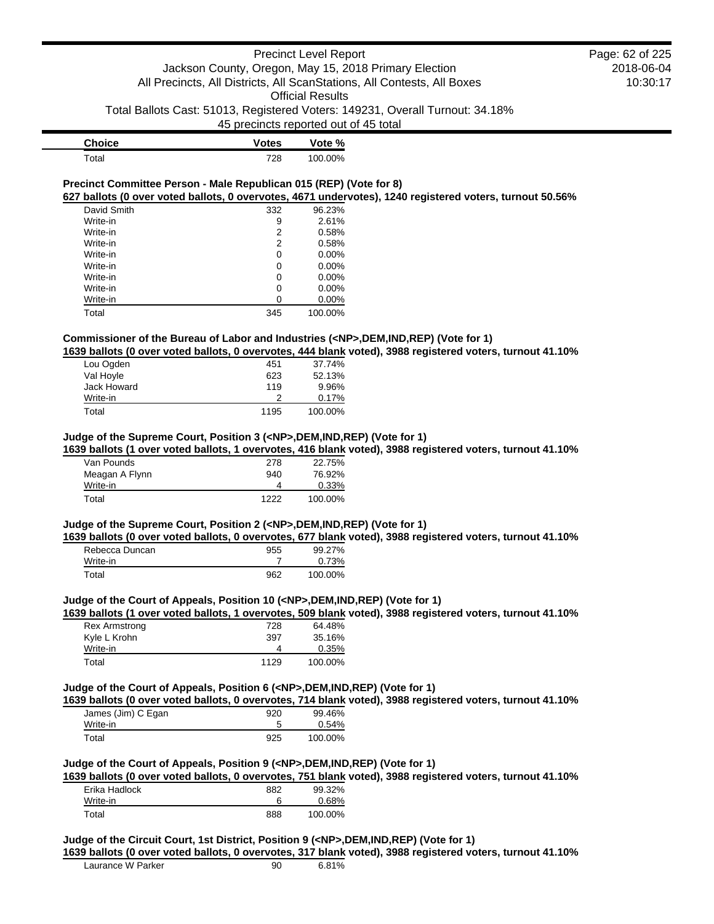| <b>Choice</b> | <b>Votes</b> | Vote %  |
|---------------|--------------|---------|
| $\tau$ otal   | 728          | 100.00% |

### **Precinct Committee Person - Male Republican 015 (REP) (Vote for 8) 627 ballots (0 over voted ballots, 0 overvotes, 4671 undervotes), 1240 registered voters, turnout 50.56%**

| David Smith | 332 | 96.23%   |
|-------------|-----|----------|
| Write-in    | 9   | 2.61%    |
| Write-in    | 2   | 0.58%    |
| Write-in    | 2   | 0.58%    |
| Write-in    | 0   | $0.00\%$ |
| Write-in    | 0   | 0.00%    |
| Write-in    | 0   | $0.00\%$ |
| Write-in    | 0   | 0.00%    |
| Write-in    | 0   | 0.00%    |
| Total       | 345 | 100.00%  |

## **Commissioner of the Bureau of Labor and Industries (<NP>,DEM,IND,REP) (Vote for 1)**

**1639 ballots (0 over voted ballots, 0 overvotes, 444 blank voted), 3988 registered voters, turnout 41.10%**

| Lou Ogden   | 451  | 37.74%  |
|-------------|------|---------|
| Val Hoyle   | 623  | 52.13%  |
| Jack Howard | 119  | 9.96%   |
| Write-in    |      | 0.17%   |
| Total       | 1195 | 100.00% |

### **Judge of the Supreme Court, Position 3 (<NP>,DEM,IND,REP) (Vote for 1)**

**1639 ballots (1 over voted ballots, 1 overvotes, 416 blank voted), 3988 registered voters, turnout 41.10%**

| Van Pounds     | 278  | 22.75%  |
|----------------|------|---------|
| Meagan A Flynn | 940  | 76.92%  |
| Write-in       |      | 0.33%   |
| Total          | 1222 | 100.00% |

## **Judge of the Supreme Court, Position 2 (<NP>,DEM,IND,REP) (Vote for 1)**

**1639 ballots (0 over voted ballots, 0 overvotes, 677 blank voted), 3988 registered voters, turnout 41.10%**

| Rebecca Duncan | 955 | 99.27%  |
|----------------|-----|---------|
| Write-in       |     | 0.73%   |
| Total          | 962 | 100.00% |

#### **Judge of the Court of Appeals, Position 10 (<NP>,DEM,IND,REP) (Vote for 1)**

**1639 ballots (1 over voted ballots, 1 overvotes, 509 blank voted), 3988 registered voters, turnout 41.10%**

| <b>Rex Armstrong</b> | 728  | 64.48%  |
|----------------------|------|---------|
| Kyle L Krohn         | 397  | 35.16%  |
| Write-in             | 4    | 0.35%   |
| Total                | 1129 | 100.00% |

### **Judge of the Court of Appeals, Position 6 (<NP>,DEM,IND,REP) (Vote for 1)**

**1639 ballots (0 over voted ballots, 0 overvotes, 714 blank voted), 3988 registered voters, turnout 41.10%**

| James (Jim) C Egan | 920 | 99.46%  |
|--------------------|-----|---------|
| Write-in           |     | 0.54%   |
| Total              | 925 | 100.00% |

### **Judge of the Court of Appeals, Position 9 (<NP>,DEM,IND,REP) (Vote for 1)**

**1639 ballots (0 over voted ballots, 0 overvotes, 751 blank voted), 3988 registered voters, turnout 41.10%**

| Erika Hadlock | 882 | 99.32%   |
|---------------|-----|----------|
| Write-in      |     | $0.68\%$ |
| Total         | 888 | 100.00%  |

### **Judge of the Circuit Court, 1st District, Position 9 (<NP>,DEM,IND,REP) (Vote for 1)**

**1639 ballots (0 over voted ballots, 0 overvotes, 317 blank voted), 3988 registered voters, turnout 41.10%**

| Laurance W Parker | 90 | 6.81% |
|-------------------|----|-------|
|                   |    |       |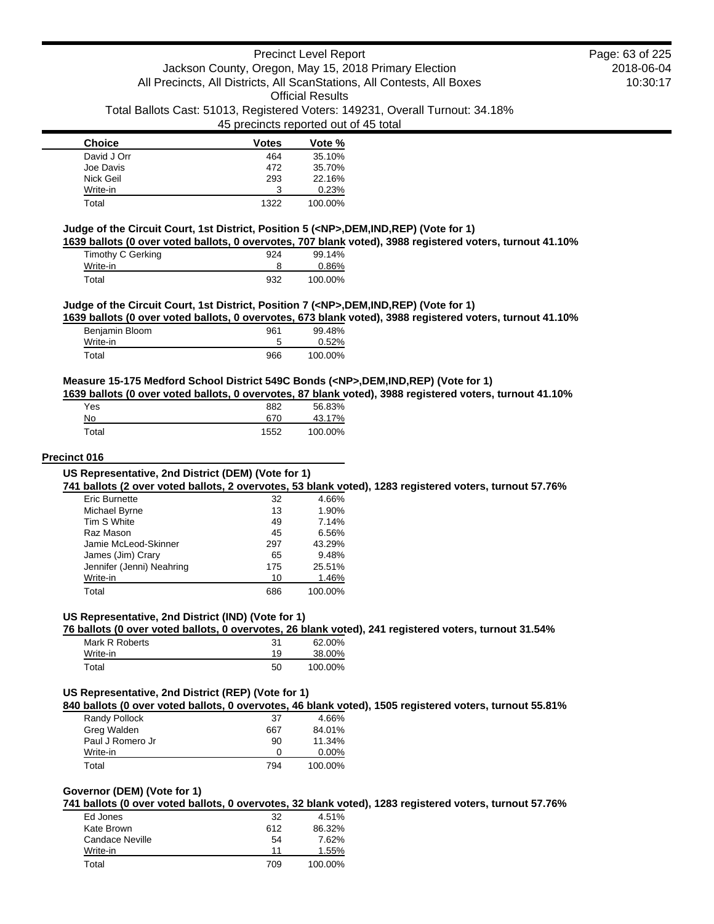| <b>Choice</b> | <b>Votes</b> | Vote %  |
|---------------|--------------|---------|
| David J Orr   | 464          | 35.10%  |
| Joe Davis     | 472          | 35.70%  |
| Nick Geil     | 293          | 22.16%  |
| Write-in      | 3            | 0.23%   |
| Total         | 1322         | 100.00% |

### **Judge of the Circuit Court, 1st District, Position 5 (<NP>,DEM,IND,REP) (Vote for 1)**

**1639 ballots (0 over voted ballots, 0 overvotes, 707 blank voted), 3988 registered voters, turnout 41.10%**

| Timothy C Gerking | 924 | 99.14%  |
|-------------------|-----|---------|
| Write-in          |     | 0.86%   |
| Total             | 932 | 100.00% |

### **Judge of the Circuit Court, 1st District, Position 7 (<NP>,DEM,IND,REP) (Vote for 1)**

**1639 ballots (0 over voted ballots, 0 overvotes, 673 blank voted), 3988 registered voters, turnout 41.10%**

| Benjamin Bloom | 961 | 99.48%  |
|----------------|-----|---------|
| Write-in       |     | 0.52%   |
| Total          | 966 | 100.00% |

#### **Measure 15-175 Medford School District 549C Bonds (<NP>,DEM,IND,REP) (Vote for 1)**

**1639 ballots (0 over voted ballots, 0 overvotes, 87 blank voted), 3988 registered voters, turnout 41.10%**

| Yes   | 882  | 56.83%  |
|-------|------|---------|
| No    | 670  | 43.17%  |
| Total | 1552 | 100.00% |

#### **Precinct 016**

**741 ballots (2 over voted ballots, 2 overvotes, 53 blank voted), 1283 registered voters, turnout 57.76%**

| Eric Burnette             | 32  | 4.66%   |
|---------------------------|-----|---------|
| Michael Byrne             | 13  | 1.90%   |
| Tim S White               | 49  | 7.14%   |
| Raz Mason                 | 45  | 6.56%   |
| Jamie McLeod-Skinner      | 297 | 43.29%  |
| James (Jim) Crary         | 65  | 9.48%   |
| Jennifer (Jenni) Neahring | 175 | 25.51%  |
| Write-in                  | 10  | 1.46%   |
| Total                     | 686 | 100.00% |

## **US Representative, 2nd District (IND) (Vote for 1)**

**76 ballots (0 over voted ballots, 0 overvotes, 26 blank voted), 241 registered voters, turnout 31.54%**

| Mark R Roberts | 31 | 62.00%  |
|----------------|----|---------|
| Write-in       | 19 | 38.00%  |
| Total          | 50 | 100.00% |

## **US Representative, 2nd District (REP) (Vote for 1)**

**840 ballots (0 over voted ballots, 0 overvotes, 46 blank voted), 1505 registered voters, turnout 55.81%**

| Randy Pollock    | 37  | 4.66%    |
|------------------|-----|----------|
| Greg Walden      | 667 | 84.01%   |
| Paul J Romero Jr | 90  | 11.34%   |
| Write-in         | Ω   | $0.00\%$ |
| Total            | 794 | 100.00%  |

## **Governor (DEM) (Vote for 1)**

**741 ballots (0 over voted ballots, 0 overvotes, 32 blank voted), 1283 registered voters, turnout 57.76%**

| Ed Jones        | 32  | 4.51%    |
|-----------------|-----|----------|
| Kate Brown      | 612 | 86.32%   |
| Candace Neville | 54  | 7.62%    |
| Write-in        | 11  | $1.55\%$ |
| Total           | 709 | 100.00%  |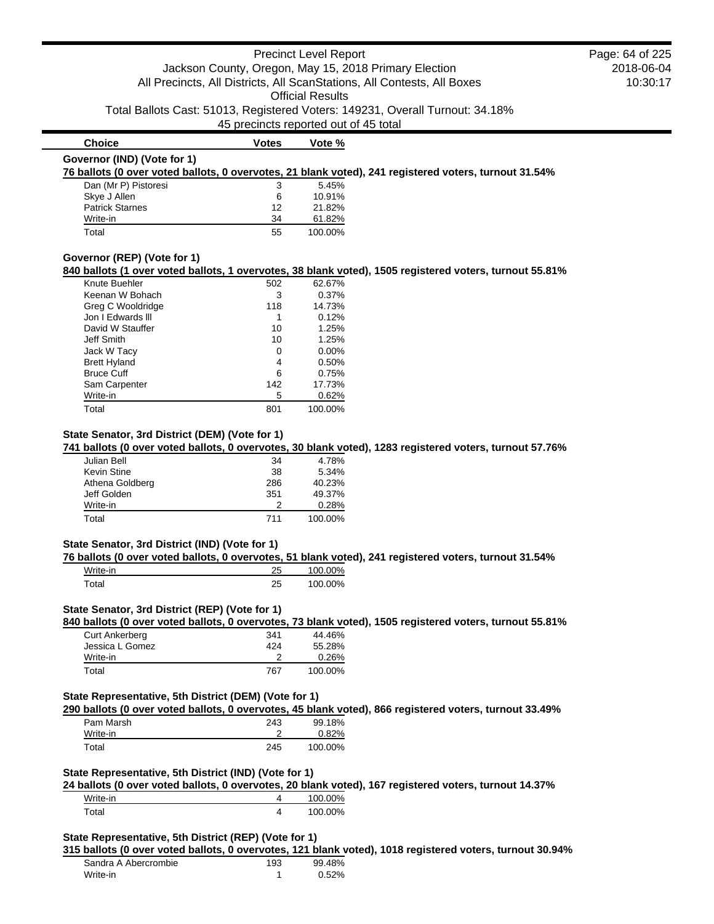### Precinct Level Report Jackson County, Oregon, May 15, 2018 Primary Election All Precincts, All Districts, All ScanStations, All Contests, All Boxes Official Results Total Ballots Cast: 51013, Registered Voters: 149231, Overall Turnout: 34.18% 45 precincts reported out of 45 total 2018-06-04 10:30:17 **Choice Votes Votes Vote % Governor (IND) (Vote for 1) 76 ballots (0 over voted ballots, 0 overvotes, 21 blank voted), 241 registered voters, turnout 31.54%** Dan (Mr P) Pistoresi 3 5.45% Skye J Allen 6 10.91% Patrick Starnes 12 21.82% Write-in 2018 34 61.82% Total 55 100.00% **Governor (REP) (Vote for 1)** Page: 64 of 225

### **840 ballots (1 over voted ballots, 1 overvotes, 38 blank voted), 1505 registered voters, turnout 55.81%**

| Knute Buehler       | 502 | 62.67%  |
|---------------------|-----|---------|
| Keenan W Bohach     | 3   | 0.37%   |
| Greg C Wooldridge   | 118 | 14.73%  |
| Jon I Edwards III   | 1   | 0.12%   |
| David W Stauffer    | 10  | 1.25%   |
| Jeff Smith          | 10  | 1.25%   |
| Jack W Tacy         | 0   | 0.00%   |
| <b>Brett Hyland</b> | 4   | 0.50%   |
| <b>Bruce Cuff</b>   | 6   | 0.75%   |
| Sam Carpenter       | 142 | 17.73%  |
| Write-in            | 5   | 0.62%   |
| Total               | 801 | 100.00% |

## **State Senator, 3rd District (DEM) (Vote for 1)**

#### **741 ballots (0 over voted ballots, 0 overvotes, 30 blank voted), 1283 registered voters, turnout 57.76%**

| Julian Bell     | 34  | 4.78%   |
|-----------------|-----|---------|
| Kevin Stine     | 38  | 5.34%   |
| Athena Goldberg | 286 | 40.23%  |
| Jeff Golden     | 351 | 49.37%  |
| Write-in        |     | 0.28%   |
| Total           | 711 | 100.00% |

### **State Senator, 3rd District (IND) (Vote for 1)**

#### **76 ballots (0 over voted ballots, 0 overvotes, 51 blank voted), 241 registered voters, turnout 31.54%**

| Write-in | ∠ ∪      | 100.00% |
|----------|----------|---------|
| Total    | つら<br>20 | 100.00% |

## **State Senator, 3rd District (REP) (Vote for 1)**

**840 ballots (0 over voted ballots, 0 overvotes, 73 blank voted), 1505 registered voters, turnout 55.81%**

| <b>Curt Ankerberg</b> | 341 | 44.46%  |
|-----------------------|-----|---------|
| Jessica L Gomez       | 424 | 55.28%  |
| Write-in              |     | 0.26%   |
| Total                 | 767 | 100.00% |

### **State Representative, 5th District (DEM) (Vote for 1)**

**290 ballots (0 over voted ballots, 0 overvotes, 45 blank voted), 866 registered voters, turnout 33.49%**

| Pam Marsh | 243 | 99.18%  |
|-----------|-----|---------|
| Write-in  |     | 0.82%   |
| Total     | 245 | 100.00% |

## **State Representative, 5th District (IND) (Vote for 1)**

**24 ballots (0 over voted ballots, 0 overvotes, 20 blank voted), 167 registered voters, turnout 14.37%** Write-in 4 100.00%

| Total | 100.00% |
|-------|---------|
|       |         |

#### **State Representative, 5th District (REP) (Vote for 1)**

#### **315 ballots (0 over voted ballots, 0 overvotes, 121 blank voted), 1018 registered voters, turnout 30.94%**

| Sandra A Abercrombie | 193 | 99.48% |
|----------------------|-----|--------|
| Write-in             |     | 0.52%  |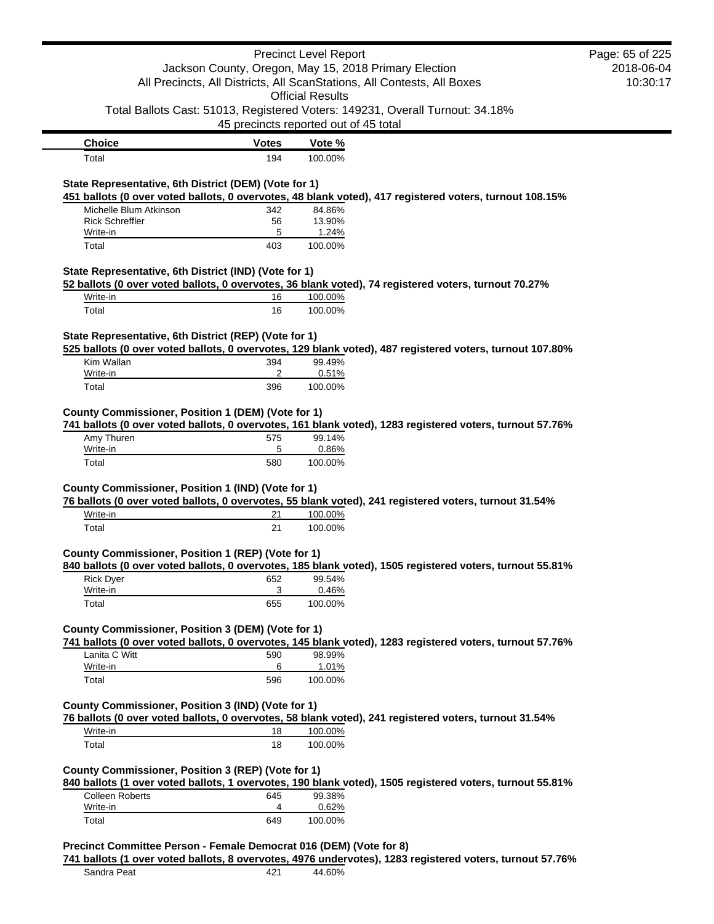|                                                                                                    |                                                       | <b>Precinct Level Report</b> |                                                                                                          | Page: 65 of 225 |
|----------------------------------------------------------------------------------------------------|-------------------------------------------------------|------------------------------|----------------------------------------------------------------------------------------------------------|-----------------|
|                                                                                                    | Jackson County, Oregon, May 15, 2018 Primary Election |                              |                                                                                                          | 2018-06-04      |
| All Precincts, All Districts, All ScanStations, All Contests, All Boxes<br><b>Official Results</b> |                                                       |                              | 10:30:17                                                                                                 |                 |
|                                                                                                    |                                                       |                              | Total Ballots Cast: 51013, Registered Voters: 149231, Overall Turnout: 34.18%                            |                 |
|                                                                                                    | 45 precincts reported out of 45 total                 |                              |                                                                                                          |                 |
| <b>Choice</b>                                                                                      | <b>Votes</b>                                          | Vote %                       |                                                                                                          |                 |
| Total                                                                                              | 194                                                   | 100.00%                      |                                                                                                          |                 |
| State Representative, 6th District (DEM) (Vote for 1)                                              |                                                       |                              |                                                                                                          |                 |
|                                                                                                    |                                                       |                              | 451 ballots (0 over voted ballots, 0 overvotes, 48 blank voted), 417 registered voters, turnout 108.15%  |                 |
| Michelle Blum Atkinson                                                                             | 342                                                   | 84.86%                       |                                                                                                          |                 |
| <b>Rick Schreffler</b>                                                                             | 56                                                    | 13.90%                       |                                                                                                          |                 |
| Write-in<br>Total                                                                                  | 5<br>403                                              | 1.24%<br>100.00%             |                                                                                                          |                 |
|                                                                                                    |                                                       |                              |                                                                                                          |                 |
| State Representative, 6th District (IND) (Vote for 1)                                              |                                                       |                              |                                                                                                          |                 |
|                                                                                                    |                                                       |                              | 52 ballots (0 over voted ballots, 0 overvotes, 36 blank voted), 74 registered voters, turnout 70.27%     |                 |
| Write-in                                                                                           | 16                                                    | 100.00%                      |                                                                                                          |                 |
| Total                                                                                              | 16                                                    | 100.00%                      |                                                                                                          |                 |
|                                                                                                    |                                                       |                              |                                                                                                          |                 |
| State Representative, 6th District (REP) (Vote for 1)                                              |                                                       |                              | 525 ballots (0 over voted ballots, 0 overvotes, 129 blank voted), 487 registered voters, turnout 107.80% |                 |
| Kim Wallan                                                                                         | 394                                                   | 99.49%                       |                                                                                                          |                 |
| Write-in                                                                                           | 2                                                     | 0.51%                        |                                                                                                          |                 |
| Total                                                                                              | 396                                                   | 100.00%                      |                                                                                                          |                 |
|                                                                                                    |                                                       |                              |                                                                                                          |                 |
| County Commissioner, Position 1 (DEM) (Vote for 1)                                                 |                                                       |                              |                                                                                                          |                 |
|                                                                                                    |                                                       |                              | 741 ballots (0 over voted ballots, 0 overvotes, 161 blank voted), 1283 registered voters, turnout 57.76% |                 |
| Amy Thuren                                                                                         | 575                                                   | 99.14%                       |                                                                                                          |                 |
| Write-in                                                                                           | 5                                                     | 0.86%                        |                                                                                                          |                 |
| Total                                                                                              | 580                                                   | 100.00%                      |                                                                                                          |                 |
|                                                                                                    |                                                       |                              |                                                                                                          |                 |
| County Commissioner, Position 1 (IND) (Vote for 1)                                                 |                                                       |                              |                                                                                                          |                 |
|                                                                                                    |                                                       |                              | 76 ballots (0 over voted ballots, 0 overvotes, 55 blank voted), 241 registered voters, turnout 31.54%    |                 |
| Write-in                                                                                           | 21                                                    | 100.00%                      |                                                                                                          |                 |
| Total                                                                                              | 21                                                    | 100.00%                      |                                                                                                          |                 |
| County Commissioner, Position 1 (REP) (Vote for 1)                                                 |                                                       |                              |                                                                                                          |                 |
|                                                                                                    |                                                       |                              | 840 ballots (0 over voted ballots, 0 overvotes, 185 blank voted), 1505 registered voters, turnout 55.81% |                 |
| <b>Rick Dyer</b>                                                                                   | 652                                                   | 99.54%                       |                                                                                                          |                 |
| Write-in                                                                                           | 3                                                     | 0.46%                        |                                                                                                          |                 |
| Total                                                                                              | 655                                                   | 100.00%                      |                                                                                                          |                 |
|                                                                                                    |                                                       |                              |                                                                                                          |                 |
| County Commissioner, Position 3 (DEM) (Vote for 1)                                                 |                                                       |                              |                                                                                                          |                 |
|                                                                                                    |                                                       |                              | 741 ballots (0 over voted ballots, 0 overvotes, 145 blank voted), 1283 registered voters, turnout 57.76% |                 |
| Lanita C Witt                                                                                      | 590                                                   | 98.99%                       |                                                                                                          |                 |
| Write-in                                                                                           | 6                                                     | 1.01%                        |                                                                                                          |                 |
| Total                                                                                              | 596                                                   | 100.00%                      |                                                                                                          |                 |
| County Commissioner, Position 3 (IND) (Vote for 1)                                                 |                                                       |                              |                                                                                                          |                 |
|                                                                                                    |                                                       |                              | 76 ballots (0 over voted ballots, 0 overvotes, 58 blank voted), 241 registered voters, turnout 31.54%    |                 |
| Write-in                                                                                           | 18                                                    | 100.00%                      |                                                                                                          |                 |
| Total                                                                                              | 18                                                    | 100.00%                      |                                                                                                          |                 |
|                                                                                                    |                                                       |                              |                                                                                                          |                 |
| County Commissioner, Position 3 (REP) (Vote for 1)                                                 |                                                       |                              |                                                                                                          |                 |
|                                                                                                    |                                                       |                              | 840 ballots (1 over voted ballots, 1 overvotes, 190 blank voted), 1505 registered voters, turnout 55.81% |                 |
| <b>Colleen Roberts</b>                                                                             | 645                                                   | 99.38%                       |                                                                                                          |                 |
| Write-in                                                                                           | 4                                                     | 0.62%                        |                                                                                                          |                 |
| Total                                                                                              | 649                                                   | 100.00%                      |                                                                                                          |                 |
|                                                                                                    |                                                       |                              |                                                                                                          |                 |
| Precinct Committee Person - Female Democrat 016 (DEM) (Vote for 8)                                 |                                                       |                              |                                                                                                          |                 |
|                                                                                                    |                                                       |                              | 741 ballots (1 over voted ballots, 8 overvotes, 4976 undervotes), 1283 registered voters, turnout 57.76% |                 |
| Sandra Peat                                                                                        | 421                                                   | 44.60%                       |                                                                                                          |                 |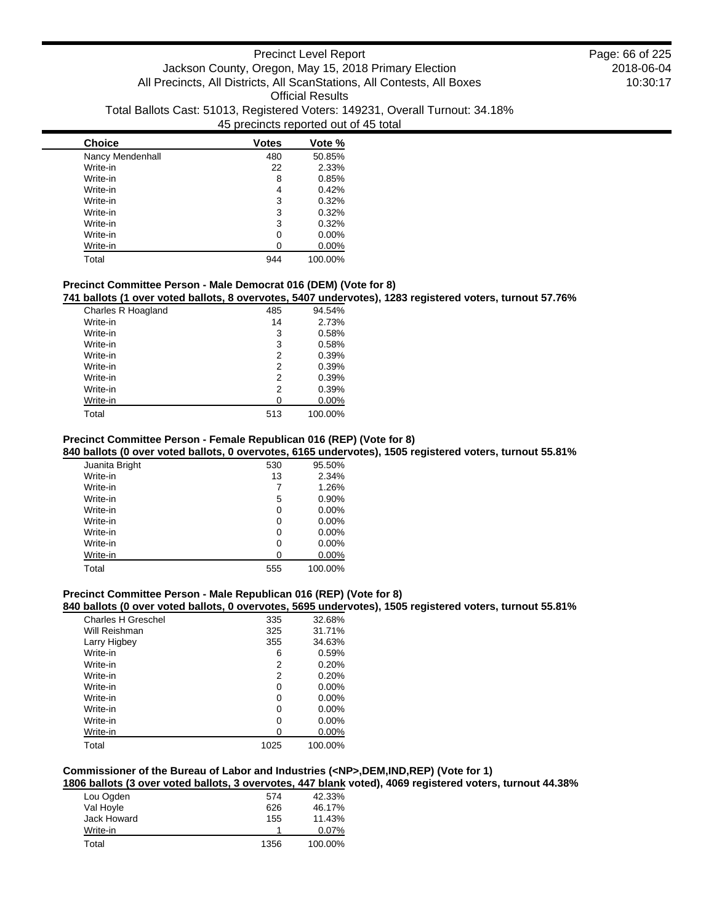| <b>Choice</b>    | <b>Votes</b> | Vote %   |
|------------------|--------------|----------|
| Nancy Mendenhall | 480          | 50.85%   |
| Write-in         | 22           | 2.33%    |
| Write-in         | 8            | 0.85%    |
| Write-in         | 4            | 0.42%    |
| Write-in         | 3            | 0.32%    |
| Write-in         | 3            | 0.32%    |
| Write-in         | 3            | 0.32%    |
| Write-in         | 0            | $0.00\%$ |
| Write-in         |              | $0.00\%$ |
| Total            | 944          | 100.00%  |

## **Precinct Committee Person - Male Democrat 016 (DEM) (Vote for 8)**

**741 ballots (1 over voted ballots, 8 overvotes, 5407 undervotes), 1283 registered voters, turnout 57.76%**

| Charles R Hoagland | 485 | 94.54%   |
|--------------------|-----|----------|
| Write-in           | 14  | 2.73%    |
| Write-in           | 3   | 0.58%    |
| Write-in           | 3   | 0.58%    |
| Write-in           | 2   | 0.39%    |
| Write-in           | 2   | 0.39%    |
| Write-in           | 2   | 0.39%    |
| Write-in           | 2   | 0.39%    |
| Write-in           | 0   | $0.00\%$ |
| Total              | 513 | 100.00%  |

## **Precinct Committee Person - Female Republican 016 (REP) (Vote for 8)**

**840 ballots (0 over voted ballots, 0 overvotes, 6165 undervotes), 1505 registered voters, turnout 55.81%**

| Juanita Bright | 530 | 95.50%   |
|----------------|-----|----------|
| Write-in       | 13  | 2.34%    |
| Write-in       | 7   | 1.26%    |
| Write-in       | 5   | 0.90%    |
| Write-in       | 0   | $0.00\%$ |
| Write-in       | 0   | 0.00%    |
| Write-in       | 0   | 0.00%    |
| Write-in       | 0   | $0.00\%$ |
| Write-in       | 0   | 0.00%    |
| Total          | 555 | 100.00%  |

### **Precinct Committee Person - Male Republican 016 (REP) (Vote for 8)**

### **840 ballots (0 over voted ballots, 0 overvotes, 5695 undervotes), 1505 registered voters, turnout 55.81%**

| Charles H Greschel | 335  | 32.68%   |
|--------------------|------|----------|
| Will Reishman      | 325  | 31.71%   |
| Larry Higbey       | 355  | 34.63%   |
| Write-in           | 6    | 0.59%    |
| Write-in           | 2    | 0.20%    |
| Write-in           | 2    | 0.20%    |
| Write-in           | 0    | $0.00\%$ |
| Write-in           | 0    | $0.00\%$ |
| Write-in           | 0    | 0.00%    |
| Write-in           | 0    | $0.00\%$ |
| Write-in           | 0    | 0.00%    |
| Total              | 1025 | 100.00%  |

## **Commissioner of the Bureau of Labor and Industries (<NP>,DEM,IND,REP) (Vote for 1)**

**1806 ballots (3 over voted ballots, 3 overvotes, 447 blank voted), 4069 registered voters, turnout 44.38%**

| Lou Ogden   | 574  | 42.33%  |
|-------------|------|---------|
| Val Hoyle   | 626  | 46.17%  |
| Jack Howard | 155  | 11.43%  |
| Write-in    |      | 0.07%   |
| Total       | 1356 | 100.00% |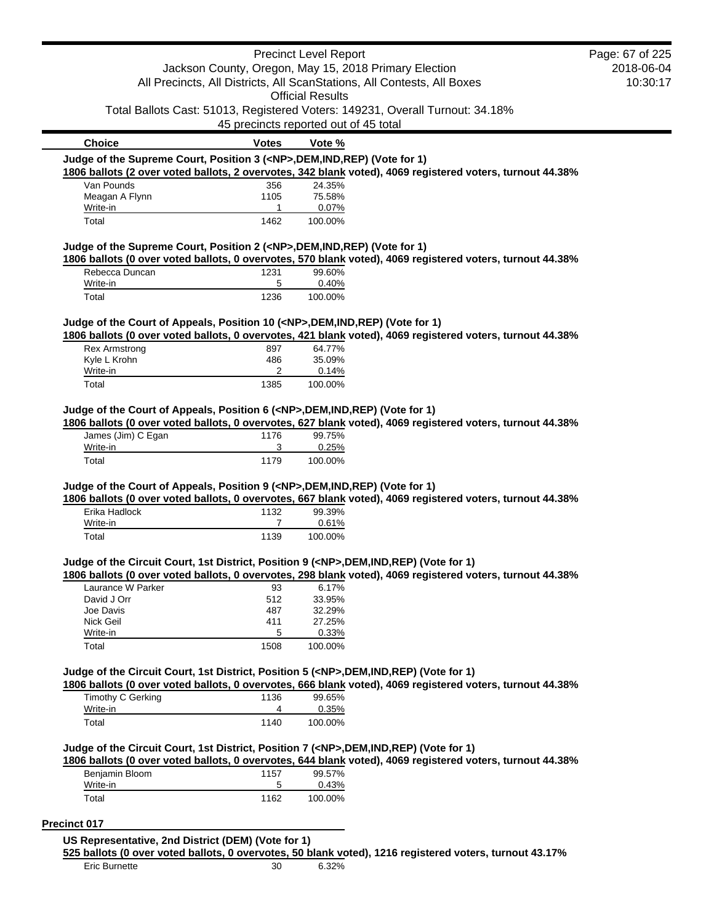| 45 precincts reported out of 45 total<br><b>Votes</b><br>Judge of the Supreme Court, Position 3 ( <np>,DEM,IND,REP) (Vote for 1)<br/>356<br/>1105<br/>1<br/>1462</np> | <b>Official Results</b><br>Vote %<br>24.35%<br>75.58%             | Jackson County, Oregon, May 15, 2018 Primary Election<br>All Precincts, All Districts, All ScanStations, All Contests, All Boxes<br>Total Ballots Cast: 51013, Registered Voters: 149231, Overall Turnout: 34.18%<br>1806 ballots (2 over voted ballots, 2 overvotes, 342 blank voted), 4069 registered voters, turnout 44.38% | 2018-06-04<br>10:30:17                                                                                                                                                                                                                                                                                                                                                                                                                                                                                                                                                                                                                                                                                                                                                                                                                                                                                                                                                                                                  |
|-----------------------------------------------------------------------------------------------------------------------------------------------------------------------|-------------------------------------------------------------------|--------------------------------------------------------------------------------------------------------------------------------------------------------------------------------------------------------------------------------------------------------------------------------------------------------------------------------|-------------------------------------------------------------------------------------------------------------------------------------------------------------------------------------------------------------------------------------------------------------------------------------------------------------------------------------------------------------------------------------------------------------------------------------------------------------------------------------------------------------------------------------------------------------------------------------------------------------------------------------------------------------------------------------------------------------------------------------------------------------------------------------------------------------------------------------------------------------------------------------------------------------------------------------------------------------------------------------------------------------------------|
|                                                                                                                                                                       |                                                                   |                                                                                                                                                                                                                                                                                                                                |                                                                                                                                                                                                                                                                                                                                                                                                                                                                                                                                                                                                                                                                                                                                                                                                                                                                                                                                                                                                                         |
|                                                                                                                                                                       |                                                                   |                                                                                                                                                                                                                                                                                                                                |                                                                                                                                                                                                                                                                                                                                                                                                                                                                                                                                                                                                                                                                                                                                                                                                                                                                                                                                                                                                                         |
|                                                                                                                                                                       |                                                                   |                                                                                                                                                                                                                                                                                                                                |                                                                                                                                                                                                                                                                                                                                                                                                                                                                                                                                                                                                                                                                                                                                                                                                                                                                                                                                                                                                                         |
|                                                                                                                                                                       |                                                                   |                                                                                                                                                                                                                                                                                                                                |                                                                                                                                                                                                                                                                                                                                                                                                                                                                                                                                                                                                                                                                                                                                                                                                                                                                                                                                                                                                                         |
|                                                                                                                                                                       |                                                                   |                                                                                                                                                                                                                                                                                                                                |                                                                                                                                                                                                                                                                                                                                                                                                                                                                                                                                                                                                                                                                                                                                                                                                                                                                                                                                                                                                                         |
|                                                                                                                                                                       |                                                                   |                                                                                                                                                                                                                                                                                                                                |                                                                                                                                                                                                                                                                                                                                                                                                                                                                                                                                                                                                                                                                                                                                                                                                                                                                                                                                                                                                                         |
|                                                                                                                                                                       |                                                                   |                                                                                                                                                                                                                                                                                                                                |                                                                                                                                                                                                                                                                                                                                                                                                                                                                                                                                                                                                                                                                                                                                                                                                                                                                                                                                                                                                                         |
|                                                                                                                                                                       |                                                                   |                                                                                                                                                                                                                                                                                                                                |                                                                                                                                                                                                                                                                                                                                                                                                                                                                                                                                                                                                                                                                                                                                                                                                                                                                                                                                                                                                                         |
|                                                                                                                                                                       |                                                                   |                                                                                                                                                                                                                                                                                                                                |                                                                                                                                                                                                                                                                                                                                                                                                                                                                                                                                                                                                                                                                                                                                                                                                                                                                                                                                                                                                                         |
|                                                                                                                                                                       |                                                                   |                                                                                                                                                                                                                                                                                                                                |                                                                                                                                                                                                                                                                                                                                                                                                                                                                                                                                                                                                                                                                                                                                                                                                                                                                                                                                                                                                                         |
|                                                                                                                                                                       | 0.07%<br>100.00%                                                  |                                                                                                                                                                                                                                                                                                                                |                                                                                                                                                                                                                                                                                                                                                                                                                                                                                                                                                                                                                                                                                                                                                                                                                                                                                                                                                                                                                         |
|                                                                                                                                                                       |                                                                   |                                                                                                                                                                                                                                                                                                                                |                                                                                                                                                                                                                                                                                                                                                                                                                                                                                                                                                                                                                                                                                                                                                                                                                                                                                                                                                                                                                         |
| Judge of the Supreme Court, Position 2 ( <np>,DEM,IND,REP) (Vote for 1)</np>                                                                                          |                                                                   |                                                                                                                                                                                                                                                                                                                                |                                                                                                                                                                                                                                                                                                                                                                                                                                                                                                                                                                                                                                                                                                                                                                                                                                                                                                                                                                                                                         |
|                                                                                                                                                                       |                                                                   |                                                                                                                                                                                                                                                                                                                                |                                                                                                                                                                                                                                                                                                                                                                                                                                                                                                                                                                                                                                                                                                                                                                                                                                                                                                                                                                                                                         |
|                                                                                                                                                                       |                                                                   |                                                                                                                                                                                                                                                                                                                                |                                                                                                                                                                                                                                                                                                                                                                                                                                                                                                                                                                                                                                                                                                                                                                                                                                                                                                                                                                                                                         |
| 1236                                                                                                                                                                  | 100.00%                                                           |                                                                                                                                                                                                                                                                                                                                |                                                                                                                                                                                                                                                                                                                                                                                                                                                                                                                                                                                                                                                                                                                                                                                                                                                                                                                                                                                                                         |
|                                                                                                                                                                       |                                                                   |                                                                                                                                                                                                                                                                                                                                |                                                                                                                                                                                                                                                                                                                                                                                                                                                                                                                                                                                                                                                                                                                                                                                                                                                                                                                                                                                                                         |
|                                                                                                                                                                       |                                                                   |                                                                                                                                                                                                                                                                                                                                |                                                                                                                                                                                                                                                                                                                                                                                                                                                                                                                                                                                                                                                                                                                                                                                                                                                                                                                                                                                                                         |
|                                                                                                                                                                       |                                                                   |                                                                                                                                                                                                                                                                                                                                |                                                                                                                                                                                                                                                                                                                                                                                                                                                                                                                                                                                                                                                                                                                                                                                                                                                                                                                                                                                                                         |
|                                                                                                                                                                       |                                                                   |                                                                                                                                                                                                                                                                                                                                |                                                                                                                                                                                                                                                                                                                                                                                                                                                                                                                                                                                                                                                                                                                                                                                                                                                                                                                                                                                                                         |
| 2                                                                                                                                                                     |                                                                   |                                                                                                                                                                                                                                                                                                                                |                                                                                                                                                                                                                                                                                                                                                                                                                                                                                                                                                                                                                                                                                                                                                                                                                                                                                                                                                                                                                         |
|                                                                                                                                                                       |                                                                   |                                                                                                                                                                                                                                                                                                                                |                                                                                                                                                                                                                                                                                                                                                                                                                                                                                                                                                                                                                                                                                                                                                                                                                                                                                                                                                                                                                         |
|                                                                                                                                                                       |                                                                   |                                                                                                                                                                                                                                                                                                                                |                                                                                                                                                                                                                                                                                                                                                                                                                                                                                                                                                                                                                                                                                                                                                                                                                                                                                                                                                                                                                         |
|                                                                                                                                                                       |                                                                   |                                                                                                                                                                                                                                                                                                                                |                                                                                                                                                                                                                                                                                                                                                                                                                                                                                                                                                                                                                                                                                                                                                                                                                                                                                                                                                                                                                         |
|                                                                                                                                                                       |                                                                   |                                                                                                                                                                                                                                                                                                                                |                                                                                                                                                                                                                                                                                                                                                                                                                                                                                                                                                                                                                                                                                                                                                                                                                                                                                                                                                                                                                         |
| 1176                                                                                                                                                                  |                                                                   |                                                                                                                                                                                                                                                                                                                                |                                                                                                                                                                                                                                                                                                                                                                                                                                                                                                                                                                                                                                                                                                                                                                                                                                                                                                                                                                                                                         |
|                                                                                                                                                                       |                                                                   |                                                                                                                                                                                                                                                                                                                                |                                                                                                                                                                                                                                                                                                                                                                                                                                                                                                                                                                                                                                                                                                                                                                                                                                                                                                                                                                                                                         |
|                                                                                                                                                                       |                                                                   |                                                                                                                                                                                                                                                                                                                                |                                                                                                                                                                                                                                                                                                                                                                                                                                                                                                                                                                                                                                                                                                                                                                                                                                                                                                                                                                                                                         |
|                                                                                                                                                                       |                                                                   |                                                                                                                                                                                                                                                                                                                                |                                                                                                                                                                                                                                                                                                                                                                                                                                                                                                                                                                                                                                                                                                                                                                                                                                                                                                                                                                                                                         |
|                                                                                                                                                                       |                                                                   |                                                                                                                                                                                                                                                                                                                                |                                                                                                                                                                                                                                                                                                                                                                                                                                                                                                                                                                                                                                                                                                                                                                                                                                                                                                                                                                                                                         |
|                                                                                                                                                                       |                                                                   |                                                                                                                                                                                                                                                                                                                                |                                                                                                                                                                                                                                                                                                                                                                                                                                                                                                                                                                                                                                                                                                                                                                                                                                                                                                                                                                                                                         |
|                                                                                                                                                                       |                                                                   |                                                                                                                                                                                                                                                                                                                                |                                                                                                                                                                                                                                                                                                                                                                                                                                                                                                                                                                                                                                                                                                                                                                                                                                                                                                                                                                                                                         |
|                                                                                                                                                                       |                                                                   |                                                                                                                                                                                                                                                                                                                                |                                                                                                                                                                                                                                                                                                                                                                                                                                                                                                                                                                                                                                                                                                                                                                                                                                                                                                                                                                                                                         |
|                                                                                                                                                                       |                                                                   |                                                                                                                                                                                                                                                                                                                                |                                                                                                                                                                                                                                                                                                                                                                                                                                                                                                                                                                                                                                                                                                                                                                                                                                                                                                                                                                                                                         |
|                                                                                                                                                                       |                                                                   |                                                                                                                                                                                                                                                                                                                                |                                                                                                                                                                                                                                                                                                                                                                                                                                                                                                                                                                                                                                                                                                                                                                                                                                                                                                                                                                                                                         |
| 93                                                                                                                                                                    | 6.17%                                                             |                                                                                                                                                                                                                                                                                                                                |                                                                                                                                                                                                                                                                                                                                                                                                                                                                                                                                                                                                                                                                                                                                                                                                                                                                                                                                                                                                                         |
| 512                                                                                                                                                                   | 33.95%                                                            |                                                                                                                                                                                                                                                                                                                                |                                                                                                                                                                                                                                                                                                                                                                                                                                                                                                                                                                                                                                                                                                                                                                                                                                                                                                                                                                                                                         |
| 487                                                                                                                                                                   | 32.29%                                                            |                                                                                                                                                                                                                                                                                                                                |                                                                                                                                                                                                                                                                                                                                                                                                                                                                                                                                                                                                                                                                                                                                                                                                                                                                                                                                                                                                                         |
| 411                                                                                                                                                                   | 27.25%                                                            |                                                                                                                                                                                                                                                                                                                                |                                                                                                                                                                                                                                                                                                                                                                                                                                                                                                                                                                                                                                                                                                                                                                                                                                                                                                                                                                                                                         |
| 5                                                                                                                                                                     | 0.33%                                                             |                                                                                                                                                                                                                                                                                                                                |                                                                                                                                                                                                                                                                                                                                                                                                                                                                                                                                                                                                                                                                                                                                                                                                                                                                                                                                                                                                                         |
| 1508                                                                                                                                                                  | 100.00%                                                           |                                                                                                                                                                                                                                                                                                                                |                                                                                                                                                                                                                                                                                                                                                                                                                                                                                                                                                                                                                                                                                                                                                                                                                                                                                                                                                                                                                         |
|                                                                                                                                                                       |                                                                   |                                                                                                                                                                                                                                                                                                                                |                                                                                                                                                                                                                                                                                                                                                                                                                                                                                                                                                                                                                                                                                                                                                                                                                                                                                                                                                                                                                         |
|                                                                                                                                                                       |                                                                   | 1806 ballots (0 over voted ballots, 0 overvotes, 666 blank voted), 4069 registered voters, turnout 44.38%                                                                                                                                                                                                                      |                                                                                                                                                                                                                                                                                                                                                                                                                                                                                                                                                                                                                                                                                                                                                                                                                                                                                                                                                                                                                         |
|                                                                                                                                                                       | 99.65%                                                            |                                                                                                                                                                                                                                                                                                                                |                                                                                                                                                                                                                                                                                                                                                                                                                                                                                                                                                                                                                                                                                                                                                                                                                                                                                                                                                                                                                         |
|                                                                                                                                                                       |                                                                   |                                                                                                                                                                                                                                                                                                                                |                                                                                                                                                                                                                                                                                                                                                                                                                                                                                                                                                                                                                                                                                                                                                                                                                                                                                                                                                                                                                         |
| 1136<br>4                                                                                                                                                             |                                                                   |                                                                                                                                                                                                                                                                                                                                |                                                                                                                                                                                                                                                                                                                                                                                                                                                                                                                                                                                                                                                                                                                                                                                                                                                                                                                                                                                                                         |
| 1140                                                                                                                                                                  | 0.35%<br>100.00%                                                  |                                                                                                                                                                                                                                                                                                                                |                                                                                                                                                                                                                                                                                                                                                                                                                                                                                                                                                                                                                                                                                                                                                                                                                                                                                                                                                                                                                         |
|                                                                                                                                                                       |                                                                   |                                                                                                                                                                                                                                                                                                                                |                                                                                                                                                                                                                                                                                                                                                                                                                                                                                                                                                                                                                                                                                                                                                                                                                                                                                                                                                                                                                         |
|                                                                                                                                                                       |                                                                   | Judge of the Circuit Court, 1st District, Position 7 ( <np>,DEM,IND,REP) (Vote for 1)</np>                                                                                                                                                                                                                                     |                                                                                                                                                                                                                                                                                                                                                                                                                                                                                                                                                                                                                                                                                                                                                                                                                                                                                                                                                                                                                         |
|                                                                                                                                                                       |                                                                   | 1806 ballots (0 over voted ballots, 0 overvotes, 644 blank voted), 4069 registered voters, turnout 44.38%                                                                                                                                                                                                                      |                                                                                                                                                                                                                                                                                                                                                                                                                                                                                                                                                                                                                                                                                                                                                                                                                                                                                                                                                                                                                         |
| 1157                                                                                                                                                                  | 99.57%                                                            |                                                                                                                                                                                                                                                                                                                                |                                                                                                                                                                                                                                                                                                                                                                                                                                                                                                                                                                                                                                                                                                                                                                                                                                                                                                                                                                                                                         |
| 5                                                                                                                                                                     | 0.43%                                                             |                                                                                                                                                                                                                                                                                                                                |                                                                                                                                                                                                                                                                                                                                                                                                                                                                                                                                                                                                                                                                                                                                                                                                                                                                                                                                                                                                                         |
| 1162                                                                                                                                                                  | 100.00%                                                           |                                                                                                                                                                                                                                                                                                                                |                                                                                                                                                                                                                                                                                                                                                                                                                                                                                                                                                                                                                                                                                                                                                                                                                                                                                                                                                                                                                         |
|                                                                                                                                                                       | 1231<br>5<br>897<br>486<br>1385<br>3<br>1179<br>1132<br>7<br>1139 | 99.60%<br>0.40%<br>64.77%<br>35.09%<br>0.14%<br>100.00%<br>99.75%<br>0.25%<br>100.00%<br>99.39%<br>0.61%<br>100.00%                                                                                                                                                                                                            | 1806 ballots (0 over voted ballots, 0 overvotes, 570 blank voted), 4069 registered voters, turnout 44.38%<br>Judge of the Court of Appeals, Position 10 ( <np>,DEM,IND,REP) (Vote for 1)<br/>1806 ballots (0 over voted ballots, 0 overvotes, 421 blank voted), 4069 registered voters, turnout 44.38%<br/>Judge of the Court of Appeals, Position 6 (<np>,DEM,IND,REP) (Vote for 1)<br/>1806 ballots (0 over voted ballots, 0 overvotes, 627 blank voted), 4069 registered voters, turnout 44.38%<br/>Judge of the Court of Appeals, Position 9 (<np>,DEM,IND,REP) (Vote for 1)<br/>1806 ballots (0 over voted ballots, 0 overvotes, 667 blank voted), 4069 registered voters, turnout 44.38%<br/>Judge of the Circuit Court, 1st District, Position 9 (<np>,DEM,IND,REP) (Vote for 1)<br/>1806 ballots (0 over voted ballots, 0 overvotes, 298 blank voted), 4069 registered voters, turnout 44.38%<br/>Judge of the Circuit Court, 1st District, Position 5 (<np>,DEM,IND,REP) (Vote for 1)</np></np></np></np></np> |

**525 ballots (0 over voted ballots, 0 overvotes, 50 blank voted), 1216 registered voters, turnout 43.17%**

Eric Burnette 30 6.32%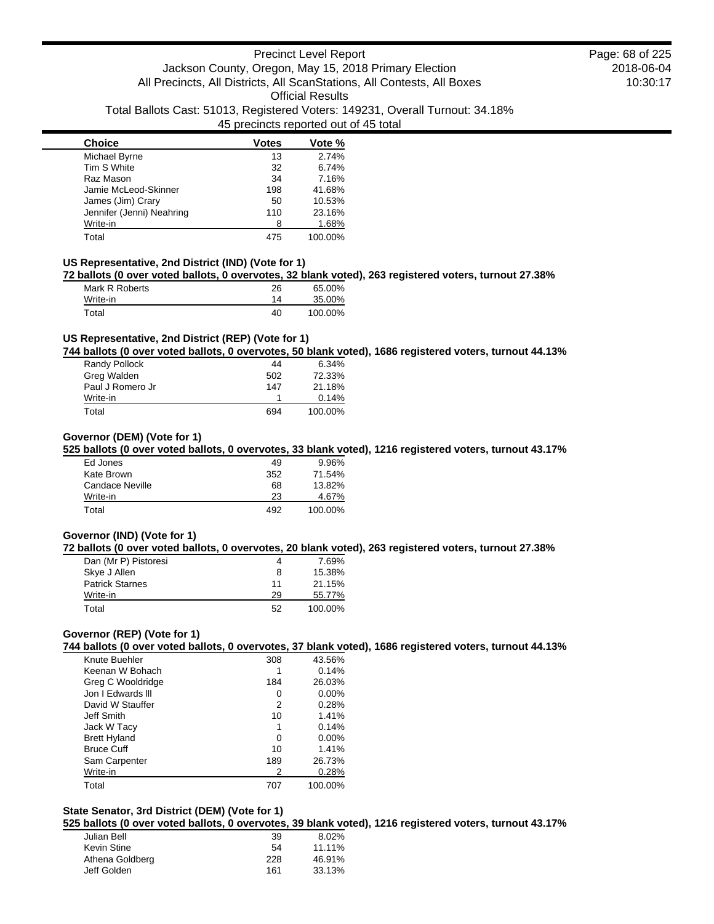| <b>Choice</b>             | <b>Votes</b> | Vote %  |
|---------------------------|--------------|---------|
| Michael Byrne             | 13           | 2.74%   |
| Tim S White               | 32           | 6.74%   |
| Raz Mason                 | 34           | 7.16%   |
| Jamie McLeod-Skinner      | 198          | 41.68%  |
| James (Jim) Crary         | 50           | 10.53%  |
| Jennifer (Jenni) Neahring | 110          | 23.16%  |
| Write-in                  | 8            | 1.68%   |
| Total                     | 475          | 100.00% |

#### **US Representative, 2nd District (IND) (Vote for 1)**

**72 ballots (0 over voted ballots, 0 overvotes, 32 blank voted), 263 registered voters, turnout 27.38%**

| Mark R Roberts | 26 | 65.00%  |
|----------------|----|---------|
| Write-in       | 14 | 35.00%  |
| Total          | 40 | 100.00% |

### **US Representative, 2nd District (REP) (Vote for 1)**

**744 ballots (0 over voted ballots, 0 overvotes, 50 blank voted), 1686 registered voters, turnout 44.13%**

| Randy Pollock    | 44  | 6.34%   |
|------------------|-----|---------|
| Greg Walden      | 502 | 72.33%  |
| Paul J Romero Jr | 147 | 21.18%  |
| Write-in         |     | 0.14%   |
| Total            | 694 | 100.00% |

### **Governor (DEM) (Vote for 1)**

**525 ballots (0 over voted ballots, 0 overvotes, 33 blank voted), 1216 registered voters, turnout 43.17%**

| Ed Jones        | 49  | 9.96%   |
|-----------------|-----|---------|
| Kate Brown      | 352 | 71.54%  |
| Candace Neville | 68  | 13.82%  |
| Write-in        | 23  | 4.67%   |
| Total           | 492 | 100.00% |

## **Governor (IND) (Vote for 1)**

**72 ballots (0 over voted ballots, 0 overvotes, 20 blank voted), 263 registered voters, turnout 27.38%**

| Dan (Mr P) Pistoresi   | 4  | 7.69%   |
|------------------------|----|---------|
| Skye J Allen           | 8  | 15.38%  |
| <b>Patrick Starnes</b> | 11 | 21.15%  |
| Write-in               | 29 | 55.77%  |
| Total                  | 52 | 100.00% |

### **Governor (REP) (Vote for 1)**

**744 ballots (0 over voted ballots, 0 overvotes, 37 blank voted), 1686 registered voters, turnout 44.13%**

| Knute Buehler       | 308 | 43.56%   |
|---------------------|-----|----------|
| Keenan W Bohach     |     | 0.14%    |
| Greg C Wooldridge   | 184 | 26.03%   |
| Jon I Edwards III   | 0   | $0.00\%$ |
| David W Stauffer    | 2   | 0.28%    |
| Jeff Smith          | 10  | 1.41%    |
| Jack W Tacy         | 1   | 0.14%    |
| <b>Brett Hyland</b> | 0   | $0.00\%$ |
| <b>Bruce Cuff</b>   | 10  | 1.41%    |
| Sam Carpenter       | 189 | 26.73%   |
| Write-in            | 2   | 0.28%    |
| Total               | 707 | 100.00%  |

## **State Senator, 3rd District (DEM) (Vote for 1)**

**525 ballots (0 over voted ballots, 0 overvotes, 39 blank voted), 1216 registered voters, turnout 43.17%**

| 39  | 8.02%  |
|-----|--------|
| 54  | 11.11% |
| 228 | 46.91% |
| 161 | 33.13% |
|     |        |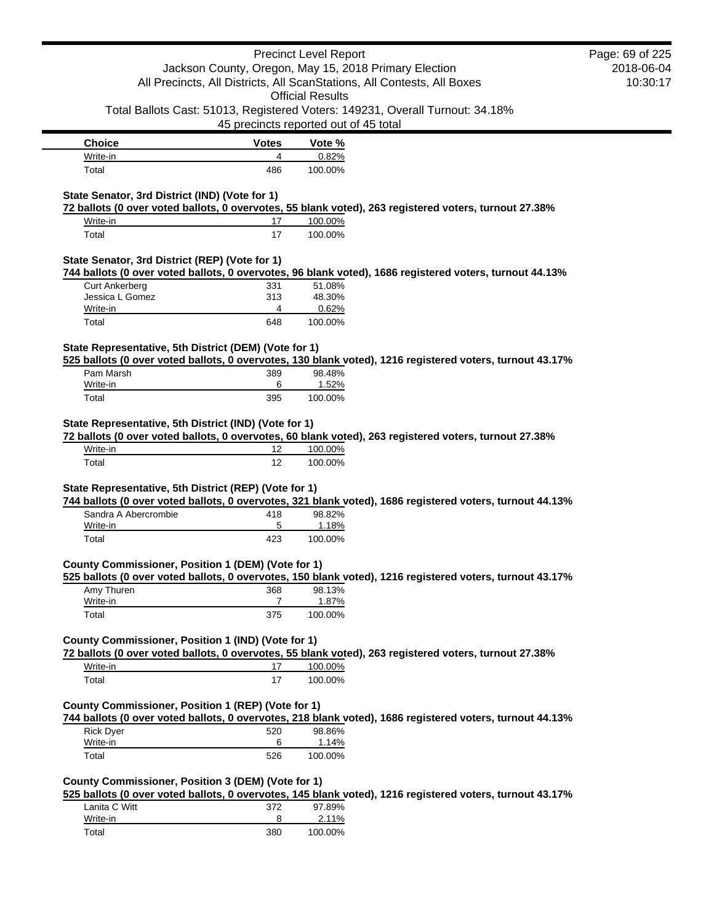|                                                       |                                       | <b>Precinct Level Report</b> |                                                                                                          | Page: 69 of 225 |
|-------------------------------------------------------|---------------------------------------|------------------------------|----------------------------------------------------------------------------------------------------------|-----------------|
|                                                       |                                       |                              | Jackson County, Oregon, May 15, 2018 Primary Election                                                    | 2018-06-04      |
|                                                       |                                       |                              | All Precincts, All Districts, All ScanStations, All Contests, All Boxes                                  | 10:30:17        |
|                                                       |                                       | <b>Official Results</b>      |                                                                                                          |                 |
|                                                       |                                       |                              | Total Ballots Cast: 51013, Registered Voters: 149231, Overall Turnout: 34.18%                            |                 |
|                                                       | 45 precincts reported out of 45 total |                              |                                                                                                          |                 |
| <b>Choice</b>                                         | <b>Votes</b>                          | Vote %                       |                                                                                                          |                 |
| Write-in                                              | 4                                     | 0.82%                        |                                                                                                          |                 |
| Total                                                 | 486                                   | 100.00%                      |                                                                                                          |                 |
|                                                       |                                       |                              |                                                                                                          |                 |
| State Senator, 3rd District (IND) (Vote for 1)        |                                       |                              |                                                                                                          |                 |
|                                                       |                                       |                              | 72 ballots (0 over voted ballots, 0 overvotes, 55 blank voted), 263 registered voters, turnout 27.38%    |                 |
| Write-in                                              | 17                                    | 100.00%                      |                                                                                                          |                 |
| Total                                                 | 17                                    | 100.00%                      |                                                                                                          |                 |
| State Senator, 3rd District (REP) (Vote for 1)        |                                       |                              |                                                                                                          |                 |
|                                                       |                                       |                              | 744 ballots (0 over voted ballots, 0 overvotes, 96 blank voted), 1686 registered voters, turnout 44.13%  |                 |
| <b>Curt Ankerberg</b>                                 | 331                                   | 51.08%                       |                                                                                                          |                 |
| Jessica L Gomez                                       | 313                                   | 48.30%                       |                                                                                                          |                 |
| Write-in                                              | 4                                     | 0.62%                        |                                                                                                          |                 |
| Total                                                 | 648                                   | 100.00%                      |                                                                                                          |                 |
|                                                       |                                       |                              |                                                                                                          |                 |
| State Representative, 5th District (DEM) (Vote for 1) |                                       |                              | 525 ballots (0 over voted ballots, 0 overvotes, 130 blank voted), 1216 registered voters, turnout 43.17% |                 |
| Pam Marsh                                             | 389                                   | 98.48%                       |                                                                                                          |                 |
| Write-in                                              | 6                                     | 1.52%                        |                                                                                                          |                 |
| Total                                                 | 395                                   | 100.00%                      |                                                                                                          |                 |
| State Representative, 5th District (IND) (Vote for 1) |                                       |                              |                                                                                                          |                 |
|                                                       |                                       |                              | 72 ballots (0 over voted ballots, 0 overvotes, 60 blank voted), 263 registered voters, turnout 27.38%    |                 |
| Write-in                                              | 12                                    | 100.00%                      |                                                                                                          |                 |
| Total                                                 | 12                                    | 100.00%                      |                                                                                                          |                 |
|                                                       |                                       |                              |                                                                                                          |                 |
| State Representative, 5th District (REP) (Vote for 1) |                                       |                              | 744 ballots (0 over voted ballots, 0 overvotes, 321 blank voted), 1686 registered voters, turnout 44.13% |                 |
| Sandra A Abercrombie                                  | 418                                   | 98.82%                       |                                                                                                          |                 |
| Write-in                                              | 5                                     | 1.18%                        |                                                                                                          |                 |
| Total                                                 | 423                                   | 100.00%                      |                                                                                                          |                 |
|                                                       |                                       |                              |                                                                                                          |                 |
| County Commissioner, Position 1 (DEM) (Vote for 1)    |                                       |                              |                                                                                                          |                 |
|                                                       |                                       |                              | 525 ballots (0 over voted ballots, 0 overvotes, 150 blank voted), 1216 registered voters, turnout 43.17% |                 |
| Amy Thuren                                            | 368                                   | 98.13%                       |                                                                                                          |                 |
| Write-in                                              | 7                                     | 1.87%                        |                                                                                                          |                 |
| Total                                                 | 375                                   | 100.00%                      |                                                                                                          |                 |
| County Commissioner, Position 1 (IND) (Vote for 1)    |                                       |                              |                                                                                                          |                 |
|                                                       |                                       |                              | 72 ballots (0 over voted ballots, 0 overvotes, 55 blank voted), 263 registered voters, turnout 27.38%    |                 |
| Write-in                                              | 17                                    | 100.00%                      |                                                                                                          |                 |
| Total                                                 | 17                                    | 100.00%                      |                                                                                                          |                 |
|                                                       |                                       |                              |                                                                                                          |                 |
| County Commissioner, Position 1 (REP) (Vote for 1)    |                                       |                              |                                                                                                          |                 |
|                                                       |                                       |                              | 744 ballots (0 over voted ballots, 0 overvotes, 218 blank voted), 1686 registered voters, turnout 44.13% |                 |
| <b>Rick Dyer</b>                                      | 520                                   | 98.86%                       |                                                                                                          |                 |
| Write-in                                              | 6                                     | 1.14%                        |                                                                                                          |                 |
| Total                                                 | 526                                   | 100.00%                      |                                                                                                          |                 |
|                                                       |                                       |                              |                                                                                                          |                 |
| County Commissioner, Position 3 (DEM) (Vote for 1)    |                                       |                              |                                                                                                          |                 |
|                                                       |                                       |                              | 525 ballots (0 over voted ballots, 0 overvotes, 145 blank voted), 1216 registered voters, turnout 43.17% |                 |
| Lanita C Witt                                         | 372                                   | 97.89%                       |                                                                                                          |                 |

| Lanita C Witt | 372 | 97.89%  |
|---------------|-----|---------|
| Write-in      |     | 2.11%   |
| Total         | 380 | 100.00% |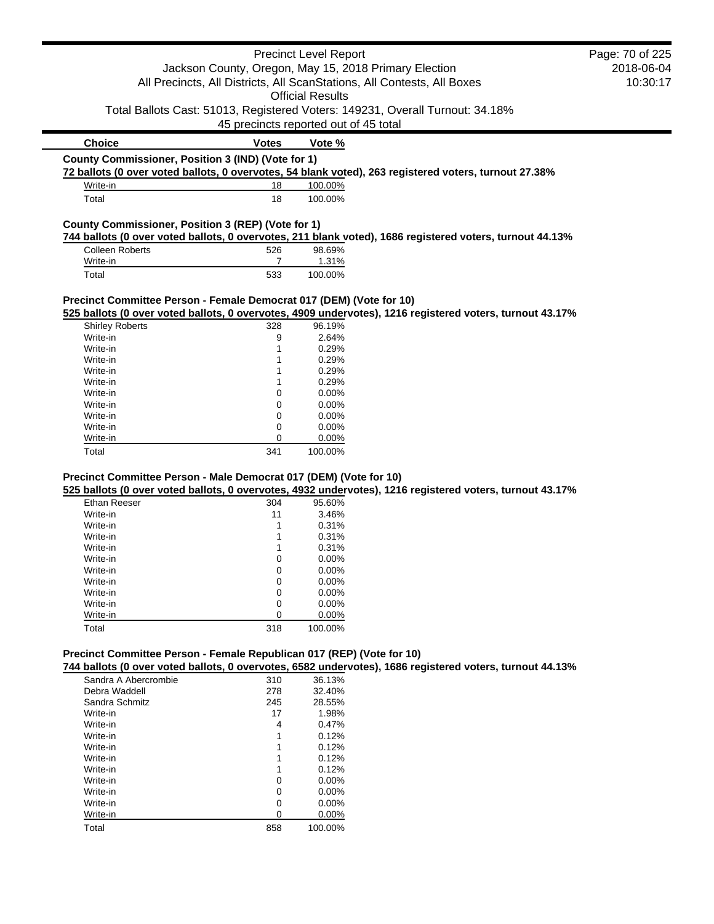|                                                                         |                                                       | <b>Precinct Level Report</b> |                                                                                                          | Page: 70 of 225 |
|-------------------------------------------------------------------------|-------------------------------------------------------|------------------------------|----------------------------------------------------------------------------------------------------------|-----------------|
|                                                                         | Jackson County, Oregon, May 15, 2018 Primary Election |                              | 2018-06-04                                                                                               |                 |
| All Precincts, All Districts, All ScanStations, All Contests, All Boxes |                                                       | 10:30:17                     |                                                                                                          |                 |
|                                                                         |                                                       | <b>Official Results</b>      |                                                                                                          |                 |
|                                                                         |                                                       |                              |                                                                                                          |                 |
|                                                                         |                                                       |                              | Total Ballots Cast: 51013, Registered Voters: 149231, Overall Turnout: 34.18%                            |                 |
|                                                                         | 45 precincts reported out of 45 total                 |                              |                                                                                                          |                 |
| <b>Choice</b>                                                           | <b>Votes</b>                                          | Vote %                       |                                                                                                          |                 |
| County Commissioner, Position 3 (IND) (Vote for 1)                      |                                                       |                              |                                                                                                          |                 |
|                                                                         |                                                       |                              | 72 ballots (0 over voted ballots, 0 overvotes, 54 blank voted), 263 registered voters, turnout 27.38%    |                 |
| Write-in                                                                | 18                                                    | 100.00%                      |                                                                                                          |                 |
| Total                                                                   | 18                                                    | 100.00%                      |                                                                                                          |                 |
| County Commissioner, Position 3 (REP) (Vote for 1)                      |                                                       |                              |                                                                                                          |                 |
|                                                                         |                                                       |                              | 744 ballots (0 over voted ballots, 0 overvotes, 211 blank voted), 1686 registered voters, turnout 44.13% |                 |
| <b>Colleen Roberts</b>                                                  | 526                                                   | 98.69%                       |                                                                                                          |                 |
| Write-in                                                                | $\overline{7}$                                        | 1.31%                        |                                                                                                          |                 |
| Total                                                                   | 533                                                   | 100.00%                      |                                                                                                          |                 |
|                                                                         |                                                       |                              |                                                                                                          |                 |
| Precinct Committee Person - Female Democrat 017 (DEM) (Vote for 10)     |                                                       |                              |                                                                                                          |                 |
|                                                                         |                                                       |                              | 525 ballots (0 over voted ballots, 0 overvotes, 4909 undervotes), 1216 registered voters, turnout 43.17% |                 |
| <b>Shirley Roberts</b>                                                  | 328                                                   | 96.19%                       |                                                                                                          |                 |
| Write-in                                                                | 9                                                     | 2.64%                        |                                                                                                          |                 |
| Write-in                                                                | 1                                                     | 0.29%                        |                                                                                                          |                 |
| Write-in                                                                | 1                                                     | 0.29%                        |                                                                                                          |                 |
| Write-in                                                                | 1                                                     | 0.29%                        |                                                                                                          |                 |
| Write-in                                                                | 1                                                     | 0.29%                        |                                                                                                          |                 |
| Write-in                                                                | 0                                                     | 0.00%                        |                                                                                                          |                 |
| Write-in                                                                | 0                                                     | 0.00%                        |                                                                                                          |                 |
| Write-in                                                                | 0                                                     | 0.00%                        |                                                                                                          |                 |
| Write-in                                                                | 0                                                     | 0.00%                        |                                                                                                          |                 |
| Write-in                                                                | 0                                                     | 0.00%                        |                                                                                                          |                 |
| Total                                                                   | 341                                                   | 100.00%                      |                                                                                                          |                 |
|                                                                         |                                                       |                              |                                                                                                          |                 |
| Precinct Committee Person - Male Democrat 017 (DEM) (Vote for 10)       |                                                       |                              |                                                                                                          |                 |
|                                                                         |                                                       |                              | 525 ballots (0 over voted ballots, 0 overvotes, 4932 undervotes), 1216 registered voters, turnout 43.17% |                 |
| Ethan Reeser                                                            | 304                                                   | 95.60%                       |                                                                                                          |                 |
| Write-in                                                                | 11                                                    | 3.46%                        |                                                                                                          |                 |
| Write-in                                                                | 1                                                     | 0.31%                        |                                                                                                          |                 |
| Write-in                                                                | 1                                                     | 0.31%                        |                                                                                                          |                 |
| Write-in                                                                | 1                                                     | 0.31%                        |                                                                                                          |                 |
| Write-in                                                                | $\mathbf 0$                                           | 0.00%                        |                                                                                                          |                 |
| Write-in                                                                | $\mathbf 0$                                           | 0.00%                        |                                                                                                          |                 |
| Write-in                                                                | $\mathbf 0$                                           | 0.00%                        |                                                                                                          |                 |
| Write-in                                                                | 0                                                     | 0.00%                        |                                                                                                          |                 |
| Write-in                                                                | $\Omega$                                              | 0.00%                        |                                                                                                          |                 |

#### **Precinct Committee Person - Female Republican 017 (REP) (Vote for 10)**

**744 ballots (0 over voted ballots, 0 overvotes, 6582 undervotes), 1686 registered voters, turnout 44.13%**

| Sandra A Abercrombie | 310 | 36.13%   |
|----------------------|-----|----------|
| Debra Waddell        | 278 | 32.40%   |
| Sandra Schmitz       | 245 | 28.55%   |
| Write-in             | 17  | 1.98%    |
| Write-in             | 4   | 0.47%    |
| Write-in             | 1   | 0.12%    |
| Write-in             | 1   | 0.12%    |
| Write-in             | 1   | 0.12%    |
| Write-in             | 1   | 0.12%    |
| Write-in             | ი   | $0.00\%$ |
| Write-in             | ი   | $0.00\%$ |
| Write-in             | 0   | $0.00\%$ |
| Write-in             | O   | $0.00\%$ |
| Total                | 858 | 100.00%  |

Write-in 0 0.00% Total 318 100.00%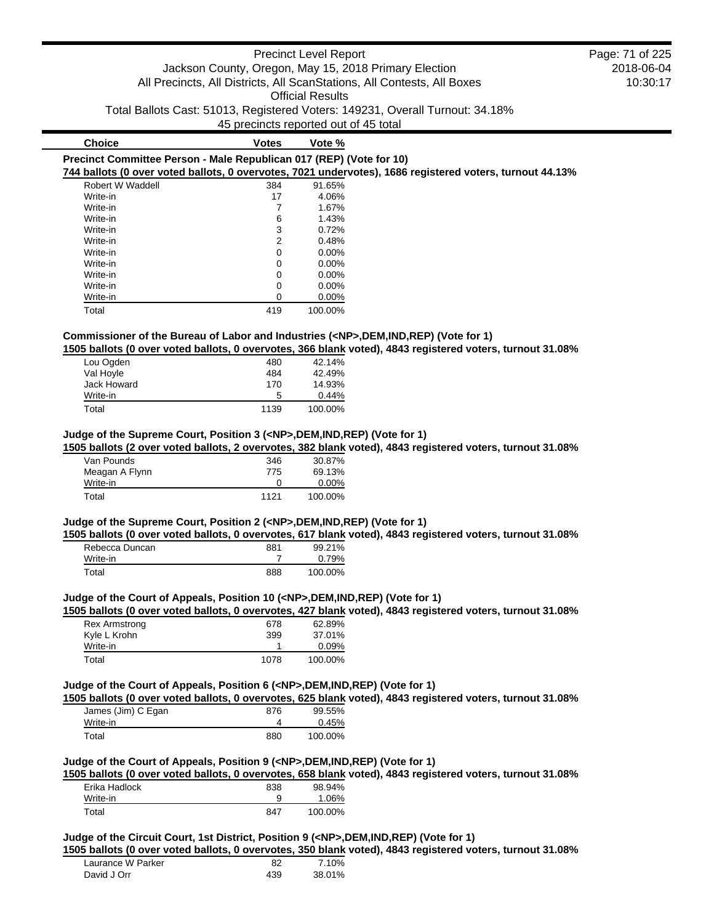|                                                                     |              | <b>Precinct Level Report</b><br><b>Official Results</b> | Jackson County, Oregon, May 15, 2018 Primary Election<br>All Precincts, All Districts, All ScanStations, All Contests, All Boxes<br>Total Ballots Cast: 51013, Registered Voters: 149231, Overall Turnout: 34.18% | Page: 71 of 225<br>2018-06-04<br>10:30:17 |
|---------------------------------------------------------------------|--------------|---------------------------------------------------------|-------------------------------------------------------------------------------------------------------------------------------------------------------------------------------------------------------------------|-------------------------------------------|
|                                                                     |              | 45 precincts reported out of 45 total                   |                                                                                                                                                                                                                   |                                           |
| <b>Choice</b>                                                       | <b>Votes</b> | Vote %                                                  |                                                                                                                                                                                                                   |                                           |
| Precinct Committee Person - Male Republican 017 (REP) (Vote for 10) |              |                                                         | 744 ballots (0 over voted ballots, 0 overvotes, 7021 undervotes), 1686 registered voters, turnout 44.13%                                                                                                          |                                           |
| Robert W Waddell                                                    | 384          | 91.65%                                                  |                                                                                                                                                                                                                   |                                           |

|          | ◡◡┭ |          |
|----------|-----|----------|
| Write-in | 17  | 4.06%    |
| Write-in |     | 1.67%    |
| Write-in | 6   | 1.43%    |
| Write-in | 3   | 0.72%    |
| Write-in | 2   | 0.48%    |
| Write-in | 0   | 0.00%    |
| Write-in | 0   | $0.00\%$ |
| Write-in | 0   | 0.00%    |
| Write-in | 0   | $0.00\%$ |
| Write-in | 0   | $0.00\%$ |
| Total    | 419 | 100.00%  |
|          |     |          |

# **Commissioner of the Bureau of Labor and Industries (<NP>,DEM,IND,REP) (Vote for 1)**

**1505 ballots (0 over voted ballots, 0 overvotes, 366 blank voted), 4843 registered voters, turnout 31.08%**

| Lou Ogden   | 480  | 42.14%   |
|-------------|------|----------|
| Val Hoyle   | 484  | 42.49%   |
| Jack Howard | 170  | 14.93%   |
| Write-in    | 5    | $0.44\%$ |
| Total       | 1139 | 100.00%  |

### **Judge of the Supreme Court, Position 3 (<NP>,DEM,IND,REP) (Vote for 1)**

**1505 ballots (2 over voted ballots, 2 overvotes, 382 blank voted), 4843 registered voters, turnout 31.08%**

| Van Pounds     | 346          | 30.87%   |
|----------------|--------------|----------|
| Meagan A Flynn | 775          | 69.13%   |
| Write-in       | $\mathbf{I}$ | $0.00\%$ |
| Total          | 1121         | 100.00%  |

## **Judge of the Supreme Court, Position 2 (<NP>,DEM,IND,REP) (Vote for 1)**

**1505 ballots (0 over voted ballots, 0 overvotes, 617 blank voted), 4843 registered voters, turnout 31.08%**

| Rebecca Duncan | 881 | 99.21%  |
|----------------|-----|---------|
| Write-in       |     | 0.79%   |
| Total          | 888 | 100.00% |

## **Judge of the Court of Appeals, Position 10 (<NP>,DEM,IND,REP) (Vote for 1)**

**1505 ballots (0 over voted ballots, 0 overvotes, 427 blank voted), 4843 registered voters, turnout 31.08%**

| Rex Armstrong | 678  | 62.89%  |
|---------------|------|---------|
| Kyle L Krohn  | 399  | 37.01%  |
| Write-in      |      | 0.09%   |
| Total         | 1078 | 100.00% |

## **Judge of the Court of Appeals, Position 6 (<NP>,DEM,IND,REP) (Vote for 1)**

**1505 ballots (0 over voted ballots, 0 overvotes, 625 blank voted), 4843 registered voters, turnout 31.08%**

| James (Jim) C Egan | 876 | 99.55%  |
|--------------------|-----|---------|
| Write-in           |     | 0.45%   |
| Total              | 880 | 100.00% |

### **Judge of the Court of Appeals, Position 9 (<NP>,DEM,IND,REP) (Vote for 1)**

**1505 ballots (0 over voted ballots, 0 overvotes, 658 blank voted), 4843 registered voters, turnout 31.08%**

| Erika Hadlock | 838 | 98.94%  |
|---------------|-----|---------|
| Write-in      | 9   | 1.06%   |
| Total         | 847 | 100.00% |

#### **Judge of the Circuit Court, 1st District, Position 9 (<NP>,DEM,IND,REP) (Vote for 1)**

**1505 ballots (0 over voted ballots, 0 overvotes, 350 blank voted), 4843 registered voters, turnout 31.08%**

| Laurance W Parker | 82  | 7.10%  |
|-------------------|-----|--------|
| David J Orr       | 439 | 38.01% |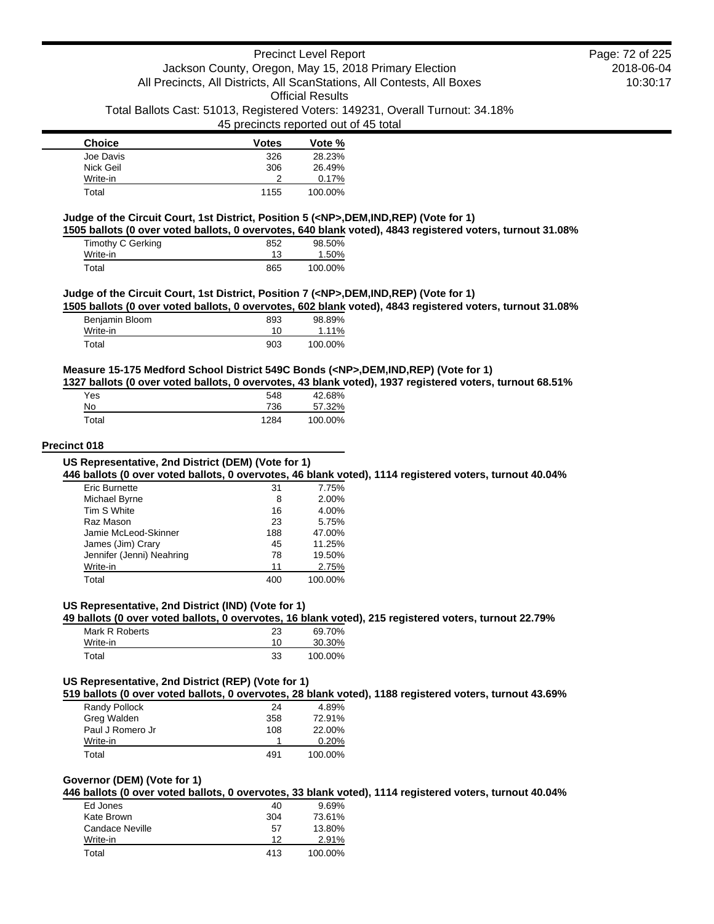| <b>Choice</b> | <b>Votes</b> | Vote %  |
|---------------|--------------|---------|
| Joe Davis     | 326          | 28.23%  |
| Nick Geil     | 306          | 26.49%  |
| Write-in      | າ            | 0.17%   |
| Total         | 1155         | 100.00% |

## **Judge of the Circuit Court, 1st District, Position 5 (<NP>,DEM,IND,REP) (Vote for 1)**

**1505 ballots (0 over voted ballots, 0 overvotes, 640 blank voted), 4843 registered voters, turnout 31.08%**

| Timothy C Gerking | 852 | 98.50%  |
|-------------------|-----|---------|
| Write-in          | 13  | 1.50%   |
| Total             | 865 | 100.00% |

#### **Judge of the Circuit Court, 1st District, Position 7 (<NP>,DEM,IND,REP) (Vote for 1)**

**1505 ballots (0 over voted ballots, 0 overvotes, 602 blank voted), 4843 registered voters, turnout 31.08%**

| Benjamin Bloom | 893 | 98.89%  |
|----------------|-----|---------|
| Write-in       | 10  | 1.11%   |
| Total          | 903 | 100.00% |

## **Measure 15-175 Medford School District 549C Bonds (<NP>,DEM,IND,REP) (Vote for 1)**

**1327 ballots (0 over voted ballots, 0 overvotes, 43 blank voted), 1937 registered voters, turnout 68.51%**

| Yes   | 548  | 42.68%  |
|-------|------|---------|
| No    | 736  | 57.32%  |
| Total | 1284 | 100.00% |

#### **Precinct 018**

## **US Representative, 2nd District (DEM) (Vote for 1)**

**446 ballots (0 over voted ballots, 0 overvotes, 46 blank voted), 1114 registered voters, turnout 40.04%**

| <b>Eric Burnette</b>      | 31  | 7.75%   |
|---------------------------|-----|---------|
| Michael Byrne             | 8   | 2.00%   |
| Tim S White               | 16  | 4.00%   |
| Raz Mason                 | 23  | 5.75%   |
| Jamie McLeod-Skinner      | 188 | 47.00%  |
| James (Jim) Crary         | 45  | 11.25%  |
| Jennifer (Jenni) Neahring | 78  | 19.50%  |
| Write-in                  | 11  | 2.75%   |
| Total                     | 400 | 100.00% |

#### **US Representative, 2nd District (IND) (Vote for 1)**

**49 ballots (0 over voted ballots, 0 overvotes, 16 blank voted), 215 registered voters, turnout 22.79%**

| Mark R Roberts | 23 | 69.70%  |
|----------------|----|---------|
| Write-in       | 10 | 30.30%  |
| Total          | 33 | 100.00% |

## **US Representative, 2nd District (REP) (Vote for 1)**

**519 ballots (0 over voted ballots, 0 overvotes, 28 blank voted), 1188 registered voters, turnout 43.69%**

| Randy Pollock    | 24  | 4.89%   |
|------------------|-----|---------|
| Greg Walden      | 358 | 72.91%  |
| Paul J Romero Jr | 108 | 22.00%  |
| Write-in         |     | 0.20%   |
| Total            | 491 | 100.00% |

#### **Governor (DEM) (Vote for 1)**

**446 ballots (0 over voted ballots, 0 overvotes, 33 blank voted), 1114 registered voters, turnout 40.04%**

| Ed Jones        | 40  | $9.69\%$ |
|-----------------|-----|----------|
| Kate Brown      | 304 | 73.61%   |
| Candace Neville | 57  | 13.80%   |
| Write-in        | 12  | 2.91%    |
| Total           | 413 | 100.00%  |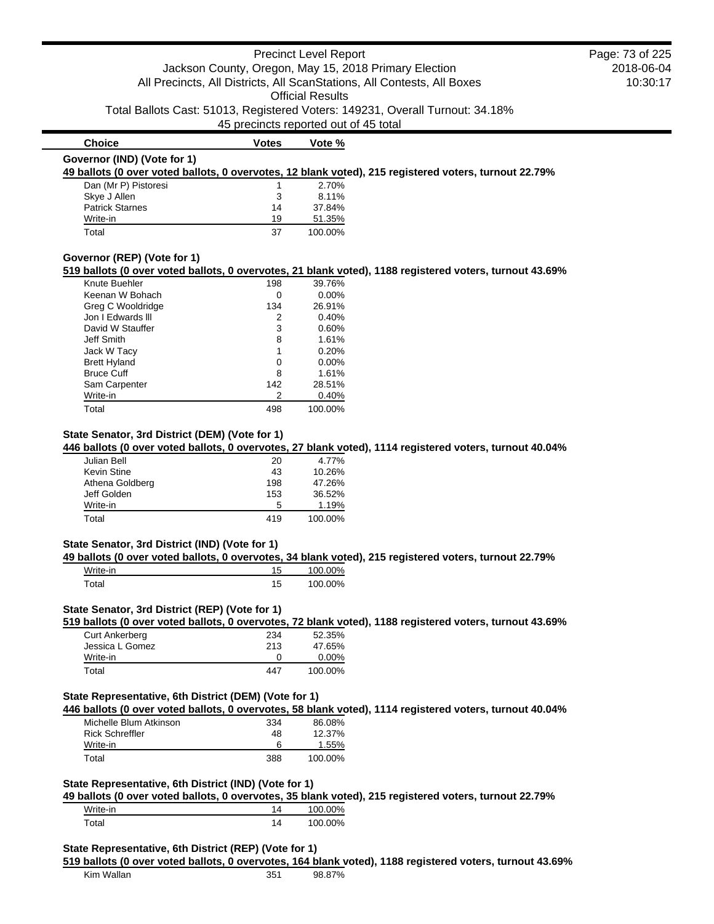### Precinct Level Report Jackson County, Oregon, May 15, 2018 Primary Election All Precincts, All Districts, All ScanStations, All Contests, All Boxes Official Results Total Ballots Cast: 51013, Registered Voters: 149231, Overall Turnout: 34.18% 45 precincts reported out of 45 total 2018-06-04 10:30:17 **Choice Votes Vote % Governor (IND) (Vote for 1) 49 ballots (0 over voted ballots, 0 overvotes, 12 blank voted), 215 registered voters, turnout 22.79%** Dan (Mr P) Pistoresi 1 2.70% Skye J Allen 3 8.11% Patrick Starnes 14 37.84% Write-in 19 51.35% Total 37 100.00% **Governor (REP) (Vote for 1) 519 ballots (0 over voted ballots, 0 overvotes, 21 blank voted), 1188 registered voters, turnout 43.69%** Knute Buehler 198 39.76% Keenan W Bohach 0 0.00% Greg C Wooldridge 134 26.91% Jon I Edwards III 2 0.40% David W Stauffer 3 0.60% Jeff Smith 8 1.61% Jack W Tacy 1 0.20% Brett Hyland 0 0.00% Bruce Cuff 8 1.61% Page: 73 of 225

### **State Senator, 3rd District (DEM) (Vote for 1)**

**446 ballots (0 over voted ballots, 0 overvotes, 27 blank voted), 1114 registered voters, turnout 40.04%**

| Julian Bell     | 20  | 4.77%   |
|-----------------|-----|---------|
| Kevin Stine     | 43  | 10.26%  |
| Athena Goldberg | 198 | 47.26%  |
| Jeff Golden     | 153 | 36.52%  |
| Write-in        | 5   | 1.19%   |
| Total           | 419 | 100.00% |

Sam Carpenter 142 28.51% Write-in 2 0.40% Total 498 100.00%

## **State Senator, 3rd District (IND) (Vote for 1)**

**49 ballots (0 over voted ballots, 0 overvotes, 34 blank voted), 215 registered voters, turnout 22.79%**

| Write-in |    | 100.00% |
|----------|----|---------|
| Total    | 15 | 100.00% |

## **State Senator, 3rd District (REP) (Vote for 1)**

**519 ballots (0 over voted ballots, 0 overvotes, 72 blank voted), 1188 registered voters, turnout 43.69%**

| <b>Curt Ankerberg</b> | 234 | 52.35%   |
|-----------------------|-----|----------|
| Jessica L Gomez       | 213 | 47.65%   |
| Write-in              |     | $0.00\%$ |
| Total                 | 447 | 100.00%  |

### **State Representative, 6th District (DEM) (Vote for 1)**

**446 ballots (0 over voted ballots, 0 overvotes, 58 blank voted), 1114 registered voters, turnout 40.04%**

| Michelle Blum Atkinson | 334 | 86.08%  |
|------------------------|-----|---------|
| <b>Rick Schreffler</b> | 48  | 12.37%  |
| Write-in               | 6   | 1.55%   |
| Total                  | 388 | 100.00% |

# **State Representative, 6th District (IND) (Vote for 1)**

**49 ballots (0 over voted ballots, 0 overvotes, 35 blank voted), 215 registered voters, turnout 22.79%**

| Write-in | 100.00% |
|----------|---------|
| Total    | 100.00% |

#### **State Representative, 6th District (REP) (Vote for 1)**

**519 ballots (0 over voted ballots, 0 overvotes, 164 blank voted), 1188 registered voters, turnout 43.69%**

Kim Wallan 351 98.87%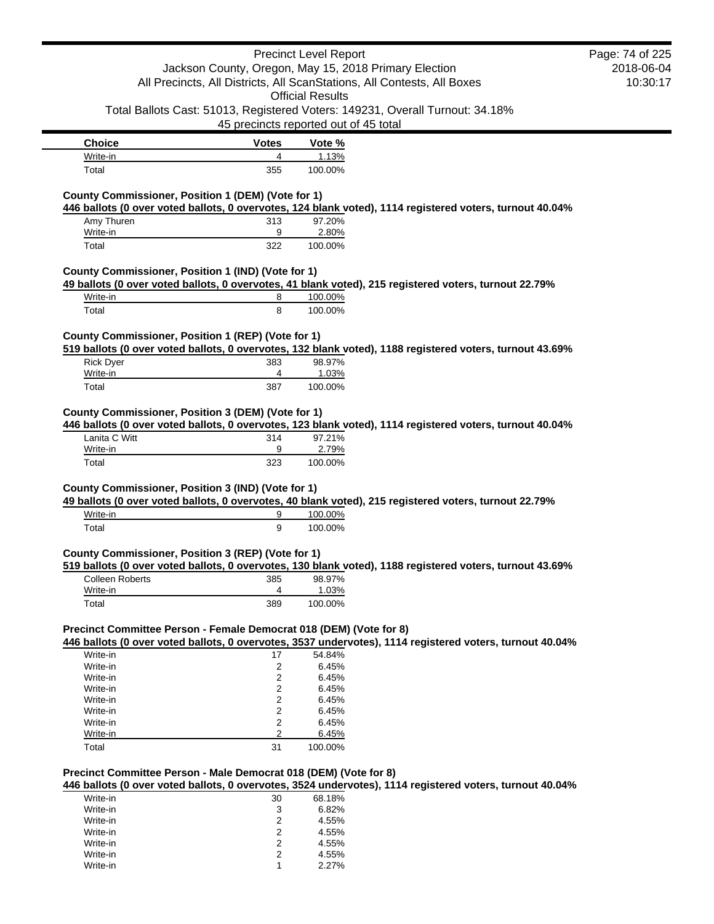|                                                                    |                                                       | <b>Precinct Level Report</b> |                                                                                                          | Page: 74 of 225 |
|--------------------------------------------------------------------|-------------------------------------------------------|------------------------------|----------------------------------------------------------------------------------------------------------|-----------------|
|                                                                    | Jackson County, Oregon, May 15, 2018 Primary Election |                              |                                                                                                          | 2018-06-04      |
|                                                                    |                                                       |                              | All Precincts, All Districts, All ScanStations, All Contests, All Boxes                                  | 10:30:17        |
|                                                                    |                                                       | <b>Official Results</b>      |                                                                                                          |                 |
|                                                                    |                                                       |                              | Total Ballots Cast: 51013, Registered Voters: 149231, Overall Turnout: 34.18%                            |                 |
|                                                                    | 45 precincts reported out of 45 total                 |                              |                                                                                                          |                 |
| <b>Choice</b>                                                      | <b>Votes</b>                                          | Vote %                       |                                                                                                          |                 |
| Write-in                                                           | 4                                                     | 1.13%                        |                                                                                                          |                 |
| Total                                                              | 355                                                   | 100.00%                      |                                                                                                          |                 |
|                                                                    |                                                       |                              |                                                                                                          |                 |
| County Commissioner, Position 1 (DEM) (Vote for 1)                 |                                                       |                              |                                                                                                          |                 |
|                                                                    |                                                       |                              | 446 ballots (0 over voted ballots, 0 overvotes, 124 blank voted), 1114 registered voters, turnout 40.04% |                 |
| Amy Thuren                                                         | 313                                                   | 97.20%                       |                                                                                                          |                 |
| Write-in                                                           | 9                                                     | 2.80%                        |                                                                                                          |                 |
| Total                                                              | 322                                                   | 100.00%                      |                                                                                                          |                 |
|                                                                    |                                                       |                              |                                                                                                          |                 |
| County Commissioner, Position 1 (IND) (Vote for 1)                 |                                                       |                              |                                                                                                          |                 |
|                                                                    |                                                       |                              | 49 ballots (0 over voted ballots, 0 overvotes, 41 blank voted), 215 registered voters, turnout 22.79%    |                 |
| Write-in                                                           | 8                                                     | 100.00%                      |                                                                                                          |                 |
| Total                                                              | 8                                                     | 100.00%                      |                                                                                                          |                 |
|                                                                    |                                                       |                              |                                                                                                          |                 |
| County Commissioner, Position 1 (REP) (Vote for 1)                 |                                                       |                              |                                                                                                          |                 |
|                                                                    |                                                       |                              | 519 ballots (0 over voted ballots, 0 overvotes, 132 blank voted), 1188 registered voters, turnout 43.69% |                 |
| <b>Rick Dyer</b>                                                   | 383                                                   | 98.97%                       |                                                                                                          |                 |
| Write-in                                                           | 4                                                     | 1.03%                        |                                                                                                          |                 |
| Total                                                              | 387                                                   | 100.00%                      |                                                                                                          |                 |
| Lanita C Witt<br>Write-in                                          | 314<br>9                                              | 97.21%<br>2.79%              | 446 ballots (0 over voted ballots, 0 overvotes, 123 blank voted), 1114 registered voters, turnout 40.04% |                 |
| Total                                                              | 323                                                   | 100.00%                      |                                                                                                          |                 |
|                                                                    |                                                       |                              |                                                                                                          |                 |
| County Commissioner, Position 3 (IND) (Vote for 1)                 |                                                       |                              |                                                                                                          |                 |
|                                                                    |                                                       |                              | 49 ballots (0 over voted ballots, 0 overvotes, 40 blank voted), 215 registered voters, turnout 22.79%    |                 |
| Write-in                                                           | 9                                                     | 100.00%                      |                                                                                                          |                 |
| Total                                                              | 9                                                     | 100.00%                      |                                                                                                          |                 |
|                                                                    |                                                       |                              |                                                                                                          |                 |
| County Commissioner, Position 3 (REP) (Vote for 1)                 |                                                       |                              |                                                                                                          |                 |
|                                                                    |                                                       |                              | 519 ballots (0 over voted ballots, 0 overvotes, 130 blank voted), 1188 registered voters, turnout 43.69% |                 |
| <b>Colleen Roberts</b>                                             | 385                                                   | 98.97%                       |                                                                                                          |                 |
| Write-in                                                           | 4                                                     | 1.03%                        |                                                                                                          |                 |
| Total                                                              | 389                                                   | 100.00%                      |                                                                                                          |                 |
|                                                                    |                                                       |                              |                                                                                                          |                 |
| Precinct Committee Person - Female Democrat 018 (DEM) (Vote for 8) |                                                       |                              |                                                                                                          |                 |
|                                                                    |                                                       |                              | 446 ballots (0 over voted ballots, 0 overvotes, 3537 undervotes), 1114 registered voters, turnout 40.04% |                 |
| Write-in                                                           | 17                                                    | 54.84%                       |                                                                                                          |                 |
| Write-in                                                           | 2                                                     | 6.45%                        |                                                                                                          |                 |
| Write-in                                                           | 2                                                     | 6.45%                        |                                                                                                          |                 |
| Write-in                                                           | 2                                                     | 6.45%                        |                                                                                                          |                 |
| Write-in                                                           | 2                                                     | 6.45%                        |                                                                                                          |                 |
| Write-in                                                           | 2                                                     | 6.45%                        |                                                                                                          |                 |
| Write-in                                                           | 2                                                     | 6.45%                        |                                                                                                          |                 |
| Write-in                                                           | 2                                                     | 6.45%                        |                                                                                                          |                 |
| Total                                                              | 31                                                    | 100.00%                      |                                                                                                          |                 |
|                                                                    |                                                       |                              |                                                                                                          |                 |

#### **Precinct Committee Person - Male Democrat 018 (DEM) (Vote for 8)**

**446 ballots (0 over voted ballots, 0 overvotes, 3524 undervotes), 1114 registered voters, turnout 40.04%**

| Write-in | 30 | 68.18% |
|----------|----|--------|
| Write-in | 3  | 6.82%  |
| Write-in | 2  | 4.55%  |
| Write-in | 2  | 4.55%  |
| Write-in | 2  | 4.55%  |
| Write-in | 2  | 4.55%  |
| Write-in |    | 2.27%  |

 $\blacksquare$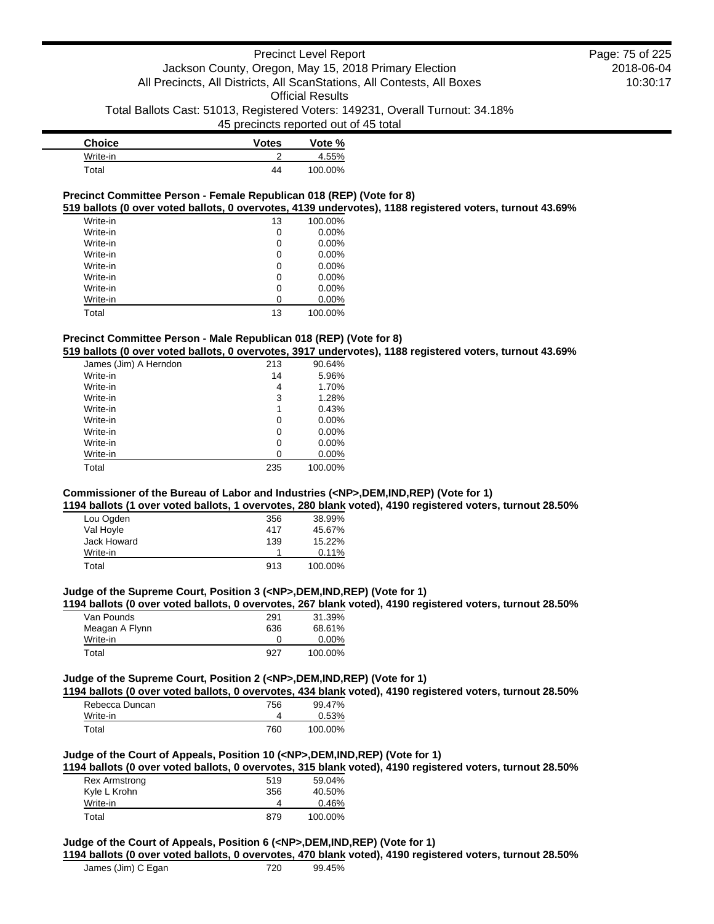| Choice   | <b>Votes</b> | Vote %  |
|----------|--------------|---------|
| Write-in |              | 4.55%   |
| Total    | 44           | 100.00% |

## **Precinct Committee Person - Female Republican 018 (REP) (Vote for 8)**

**519 ballots (0 over voted ballots, 0 overvotes, 4139 undervotes), 1188 registered voters, turnout 43.69%**

| Write-in | 13 | 100.00%  |
|----------|----|----------|
| Write-in | 0  | 0.00%    |
| Write-in | 0  | 0.00%    |
| Write-in | 0  | 0.00%    |
| Write-in | 0  | 0.00%    |
| Write-in | 0  | 0.00%    |
| Write-in | 0  | 0.00%    |
| Write-in | ი  | $0.00\%$ |
| Total    | 13 | 100.00%  |

## **Precinct Committee Person - Male Republican 018 (REP) (Vote for 8)**

**519 ballots (0 over voted ballots, 0 overvotes, 3917 undervotes), 1188 registered voters, turnout 43.69%**

| James (Jim) A Herndon | 213 | 90.64%   |
|-----------------------|-----|----------|
| Write-in              | 14  | 5.96%    |
| Write-in              | 4   | 1.70%    |
| Write-in              | 3   | 1.28%    |
| Write-in              | 1   | 0.43%    |
| Write-in              | 0   | $0.00\%$ |
| Write-in              | 0   | $0.00\%$ |
| Write-in              | 0   | $0.00\%$ |
| Write-in              | ი   | 0.00%    |
| Total                 | 235 | 100.00%  |

# **Commissioner of the Bureau of Labor and Industries (<NP>,DEM,IND,REP) (Vote for 1)**

**1194 ballots (1 over voted ballots, 1 overvotes, 280 blank voted), 4190 registered voters, turnout 28.50%**

| Lou Ogden   | 356 | 38.99%  |
|-------------|-----|---------|
| Val Hoyle   | 417 | 45.67%  |
| Jack Howard | 139 | 15.22%  |
| Write-in    |     | 0.11%   |
| Total       | 913 | 100.00% |

## **Judge of the Supreme Court, Position 3 (<NP>,DEM,IND,REP) (Vote for 1)**

**1194 ballots (0 over voted ballots, 0 overvotes, 267 blank voted), 4190 registered voters, turnout 28.50%**

| Van Pounds     | 291 | 31.39%  |
|----------------|-----|---------|
| Meagan A Flynn | 636 | 68.61%  |
| Write-in       |     | 0.00%   |
| Total          | 927 | 100.00% |

## **Judge of the Supreme Court, Position 2 (<NP>,DEM,IND,REP) (Vote for 1)**

**1194 ballots (0 over voted ballots, 0 overvotes, 434 blank voted), 4190 registered voters, turnout 28.50%**

| Rebecca Duncan | 756 | 99.47%  |
|----------------|-----|---------|
| Write-in       |     | 0.53%   |
| Total          | 760 | 100.00% |

## **Judge of the Court of Appeals, Position 10 (<NP>,DEM,IND,REP) (Vote for 1)**

**1194 ballots (0 over voted ballots, 0 overvotes, 315 blank voted), 4190 registered voters, turnout 28.50%**

| Rex Armstrong | 519 | 59.04%  |
|---------------|-----|---------|
| Kyle L Krohn  | 356 | 40.50%  |
| Write-in      | 4   | 0.46%   |
| Total         | 879 | 100.00% |

### **Judge of the Court of Appeals, Position 6 (<NP>,DEM,IND,REP) (Vote for 1)**

**1194 ballots (0 over voted ballots, 0 overvotes, 470 blank voted), 4190 registered voters, turnout 28.50%**

| James (Jim) C Egan | 720 | 99.45% |
|--------------------|-----|--------|
|--------------------|-----|--------|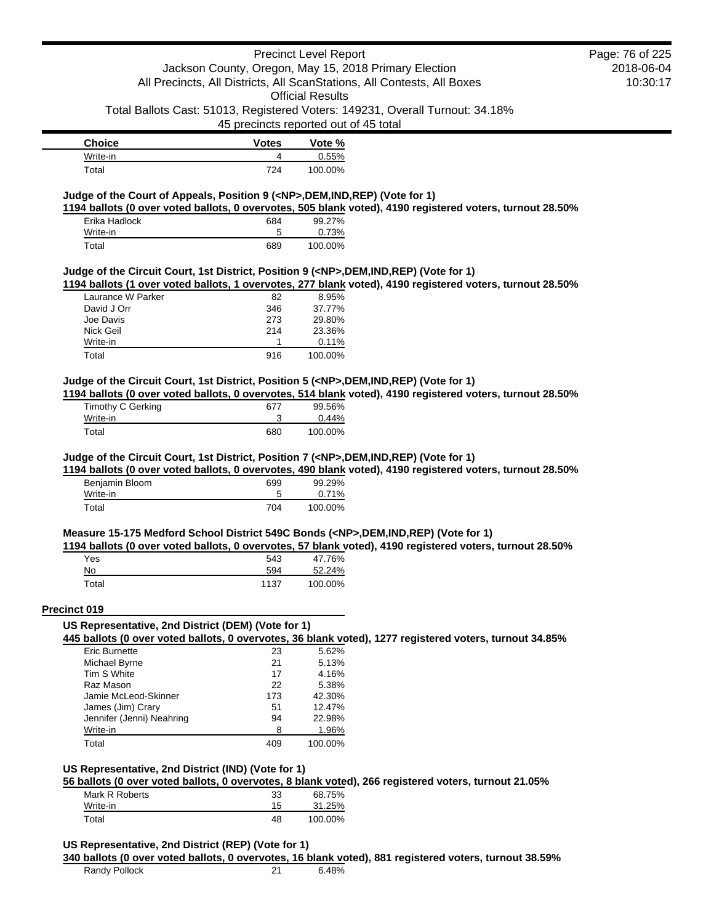# Precinct Level Report Jackson County, Oregon, May 15, 2018 Primary Election All Precincts, All Districts, All ScanStations, All Contests, All Boxes

Official Results

Total Ballots Cast: 51013, Registered Voters: 149231, Overall Turnout: 34.18%

45 precincts reported out of 45 total

| <b>Choice</b> | <b>Votes</b> | Vote %  |
|---------------|--------------|---------|
| Write-in      |              | 0.55%   |
| Total         | 724          | 100.00% |

## **Judge of the Court of Appeals, Position 9 (<NP>,DEM,IND,REP) (Vote for 1)**

**1194 ballots (0 over voted ballots, 0 overvotes, 505 blank voted), 4190 registered voters, turnout 28.50%**

| Erika Hadlock | 684 | 99.27%  |
|---------------|-----|---------|
| Write-in      | 5   | 0.73%   |
| Total         | 689 | 100.00% |

### **Judge of the Circuit Court, 1st District, Position 9 (<NP>,DEM,IND,REP) (Vote for 1)**

**1194 ballots (1 over voted ballots, 1 overvotes, 277 blank voted), 4190 registered voters, turnout 28.50%**

| Laurance W Parker | 82  | $8.95\%$ |
|-------------------|-----|----------|
| David J Orr       | 346 | 37.77%   |
| Joe Davis         | 273 | 29.80%   |
| Nick Geil         | 214 | 23.36%   |
| Write-in          |     | 0.11%    |
| Total             | 916 | 100.00%  |

### **Judge of the Circuit Court, 1st District, Position 5 (<NP>,DEM,IND,REP) (Vote for 1)**

**1194 ballots (0 over voted ballots, 0 overvotes, 514 blank voted), 4190 registered voters, turnout 28.50%**

| Timothy C Gerking | 677 | 99.56%  |
|-------------------|-----|---------|
| Write-in          |     | 0.44%   |
| Total             | 680 | 100.00% |

#### **Judge of the Circuit Court, 1st District, Position 7 (<NP>,DEM,IND,REP) (Vote for 1)**

**1194 ballots (0 over voted ballots, 0 overvotes, 490 blank voted), 4190 registered voters, turnout 28.50%**

| Benjamin Bloom | 699 | 99.29%  |
|----------------|-----|---------|
| Write-in       |     | 0.71%   |
| Total          | 704 | 100.00% |

#### **Measure 15-175 Medford School District 549C Bonds (<NP>,DEM,IND,REP) (Vote for 1)**

**1194 ballots (0 over voted ballots, 0 overvotes, 57 blank voted), 4190 registered voters, turnout 28.50%**

| Yes   | 543  | 47.76%  |
|-------|------|---------|
| No    | 594  | 52.24%  |
| Total | 1137 | 100.00% |

### **Precinct 019**

#### **US Representative, 2nd District (DEM) (Vote for 1)**

**445 ballots (0 over voted ballots, 0 overvotes, 36 blank voted), 1277 registered voters, turnout 34.85%**

| <b>Eric Burnette</b>      | 23  | 5.62%   |
|---------------------------|-----|---------|
| Michael Byrne             | 21  | 5.13%   |
| Tim S White               | 17  | 4.16%   |
| Raz Mason                 | 22  | 5.38%   |
| Jamie McLeod-Skinner      | 173 | 42.30%  |
| James (Jim) Crary         | 51  | 12.47%  |
| Jennifer (Jenni) Neahring | 94  | 22.98%  |
| Write-in                  | я   | 1.96%   |
| Total                     | 409 | 100.00% |

## **US Representative, 2nd District (IND) (Vote for 1)**

**56 ballots (0 over voted ballots, 0 overvotes, 8 blank voted), 266 registered voters, turnout 21.05%**

| Mark R Roberts | 33 | 68.75%  |
|----------------|----|---------|
| Write-in       | 15 | 31.25%  |
| Total          | 48 | 100.00% |

**US Representative, 2nd District (REP) (Vote for 1)**

#### **340 ballots (0 over voted ballots, 0 overvotes, 16 blank voted), 881 registered voters, turnout 38.59%**

Randy Pollock 21 6.48%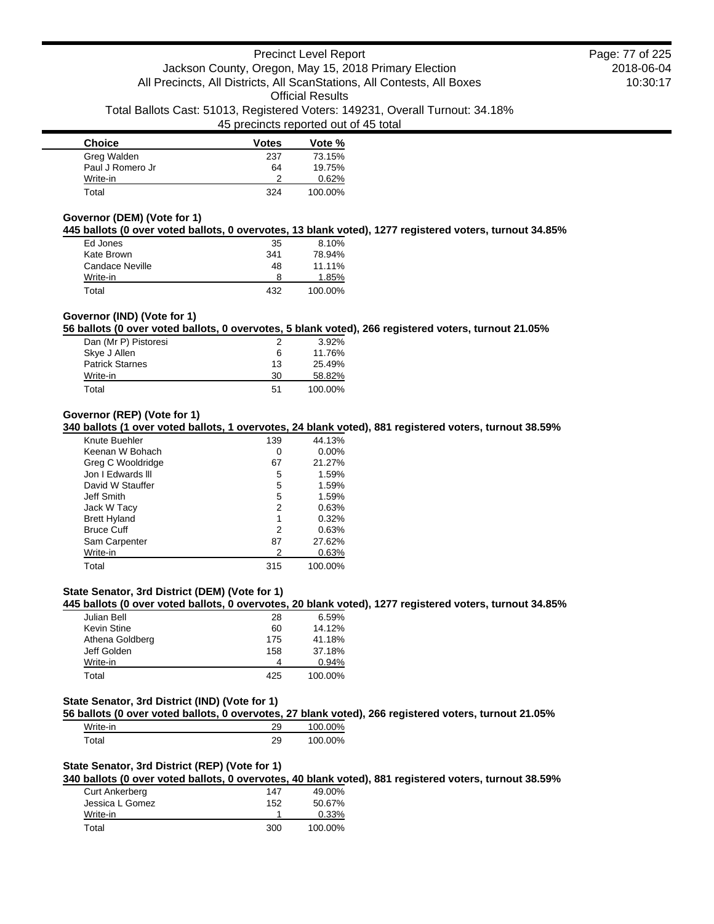| <b>Choice</b>    | <b>Votes</b> | Vote %  |
|------------------|--------------|---------|
| Greg Walden      | 237          | 73.15%  |
| Paul J Romero Jr | 64           | 19.75%  |
| Write-in         | າ            | 0.62%   |
| Total            | 324          | 100.00% |

## **Governor (DEM) (Vote for 1)**

**445 ballots (0 over voted ballots, 0 overvotes, 13 blank voted), 1277 registered voters, turnout 34.85%**

| Ed Jones        | 35  | 8.10%   |
|-----------------|-----|---------|
| Kate Brown      | 341 | 78.94%  |
| Candace Neville | 48  | 11.11%  |
| Write-in        | 8   | 1.85%   |
| Total           | 432 | 100.00% |

# **Governor (IND) (Vote for 1)**

**56 ballots (0 over voted ballots, 0 overvotes, 5 blank voted), 266 registered voters, turnout 21.05%**

| Dan (Mr P) Pistoresi   | 2  | $3.92\%$ |
|------------------------|----|----------|
| Skye J Allen           | 6  | 11.76%   |
| <b>Patrick Starnes</b> | 13 | 25.49%   |
| Write-in               | 30 | 58.82%   |
| Total                  | 51 | 100.00%  |

## **Governor (REP) (Vote for 1)**

**340 ballots (1 over voted ballots, 1 overvotes, 24 blank voted), 881 registered voters, turnout 38.59%**

| Knute Buehler       | 139 | 44.13%   |
|---------------------|-----|----------|
| Keenan W Bohach     | 0   | $0.00\%$ |
| Greg C Wooldridge   | 67  | 21.27%   |
| Jon I Edwards III   | 5   | 1.59%    |
| David W Stauffer    | 5   | 1.59%    |
| Jeff Smith          | 5   | 1.59%    |
| Jack W Tacy         | 2   | 0.63%    |
| <b>Brett Hyland</b> | 1   | 0.32%    |
| <b>Bruce Cuff</b>   | 2   | 0.63%    |
| Sam Carpenter       | 87  | 27.62%   |
| Write-in            | 2   | 0.63%    |
| Total               | 315 | 100.00%  |

# **State Senator, 3rd District (DEM) (Vote for 1)**

**445 ballots (0 over voted ballots, 0 overvotes, 20 blank voted), 1277 registered voters, turnout 34.85%**

| Julian Bell     | 28  | 6.59%   |
|-----------------|-----|---------|
| Kevin Stine     | 60  | 14.12%  |
| Athena Goldberg | 175 | 41.18%  |
| Jeff Golden     | 158 | 37.18%  |
| Write-in        | 4   | 0.94%   |
| Total           | 425 | 100.00% |

# **State Senator, 3rd District (IND) (Vote for 1)**

**56 ballots (0 over voted ballots, 0 overvotes, 27 blank voted), 266 registered voters, turnout 21.05%**

| Write-in | 29 | 100.00% |
|----------|----|---------|
| Total    | 29 | 100.00% |

#### **State Senator, 3rd District (REP) (Vote for 1)**

**340 ballots (0 over voted ballots, 0 overvotes, 40 blank voted), 881 registered voters, turnout 38.59%**

| Curt Ankerberg  | 147 | 49.00%   |
|-----------------|-----|----------|
| Jessica L Gomez | 152 | 50.67%   |
| Write-in        |     | $0.33\%$ |
| Total           | 300 | 100.00%  |

2018-06-04 10:30:17 Page: 77 of 225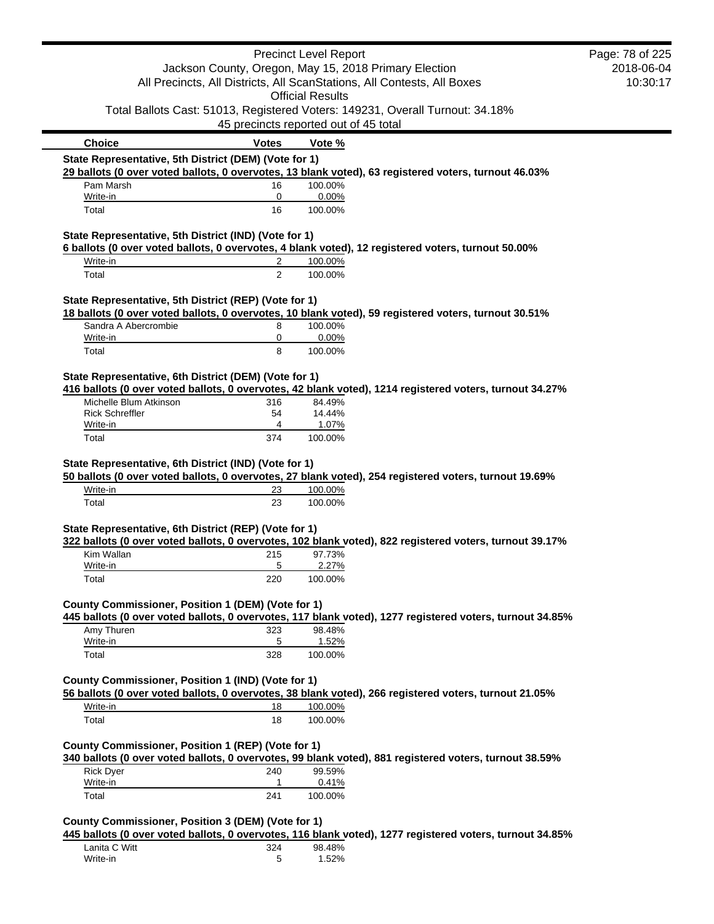|                                                                     |              | <b>Precinct Level Report</b>                                                                                       | Page: 78 of 225 |
|---------------------------------------------------------------------|--------------|--------------------------------------------------------------------------------------------------------------------|-----------------|
|                                                                     |              | Jackson County, Oregon, May 15, 2018 Primary Election                                                              | 2018-06-04      |
|                                                                     |              | All Precincts, All Districts, All ScanStations, All Contests, All Boxes                                            | 10:30:17        |
|                                                                     |              | <b>Official Results</b><br>Total Ballots Cast: 51013, Registered Voters: 149231, Overall Turnout: 34.18%           |                 |
|                                                                     |              | 45 precincts reported out of 45 total                                                                              |                 |
|                                                                     |              |                                                                                                                    |                 |
| <b>Choice</b>                                                       | <b>Votes</b> | Vote %                                                                                                             |                 |
| State Representative, 5th District (DEM) (Vote for 1)               |              | 29 ballots (0 over voted ballots, 0 overvotes, 13 blank voted), 63 registered voters, turnout 46.03%               |                 |
| Pam Marsh<br>Write-in                                               | 16<br>0      | 100.00%<br>0.00%                                                                                                   |                 |
| Total                                                               | 16           | 100.00%                                                                                                            |                 |
| State Representative, 5th District (IND) (Vote for 1)               |              |                                                                                                                    |                 |
| Write-in                                                            |              | 6 ballots (0 over voted ballots, 0 overvotes, 4 blank voted), 12 registered voters, turnout 50.00%                 |                 |
| Total                                                               | 2<br>2       | 100.00%<br>100.00%                                                                                                 |                 |
|                                                                     |              |                                                                                                                    |                 |
| State Representative, 5th District (REP) (Vote for 1)               |              | 18 ballots (0 over voted ballots, 0 overvotes, 10 blank voted), 59 registered voters, turnout 30.51%               |                 |
| Sandra A Abercrombie<br>Write-in                                    | 8<br>0       | 100.00%<br>0.00%                                                                                                   |                 |
| Total                                                               | 8            | 100.00%                                                                                                            |                 |
|                                                                     |              |                                                                                                                    |                 |
| State Representative, 6th District (DEM) (Vote for 1)               |              | 416 ballots (0 over voted ballots, 0 overvotes, 42 blank voted), 1214 registered voters, turnout 34.27%            |                 |
| Michelle Blum Atkinson                                              | 316          | 84.49%                                                                                                             |                 |
| <b>Rick Schreffler</b><br>Write-in                                  | 54<br>4      | 14.44%<br>1.07%                                                                                                    |                 |
| Total                                                               | 374          | 100.00%                                                                                                            |                 |
| Write-in                                                            | 23           | 50 ballots (0 over voted ballots, 0 overvotes, 27 blank voted), 254 registered voters, turnout 19.69%<br>100.00%   |                 |
| Total                                                               | 23           | 100.00%                                                                                                            |                 |
| State Representative, 6th District (REP) (Vote for 1)               |              | 322 ballots (0 over voted ballots, 0 overvotes, 102 blank voted), 822 registered voters, turnout 39.17%            |                 |
| Kim Wallan                                                          | 215          | 97.73%                                                                                                             |                 |
| Write-in                                                            | 5            | 2.27%                                                                                                              |                 |
| Total                                                               | 220          | 100.00%                                                                                                            |                 |
| County Commissioner, Position 1 (DEM) (Vote for 1)                  |              |                                                                                                                    |                 |
|                                                                     |              | 445 ballots (0 over voted ballots, 0 overvotes, 117 blank voted), 1277 registered voters, turnout 34.85%           |                 |
| Amy Thuren<br>Write-in                                              | 323<br>5     | 98.48%<br>1.52%                                                                                                    |                 |
| Total                                                               | 328          | 100.00%                                                                                                            |                 |
| County Commissioner, Position 1 (IND) (Vote for 1)                  |              |                                                                                                                    |                 |
|                                                                     |              | 56 ballots (0 over voted ballots, 0 overvotes, 38 blank voted), 266 registered voters, turnout 21.05%              |                 |
| Write-in                                                            | 18           | 100.00%                                                                                                            |                 |
| Total                                                               | 18           | 100.00%                                                                                                            |                 |
| County Commissioner, Position 1 (REP) (Vote for 1)                  |              | 340 ballots (0 over voted ballots, 0 overvotes, 99 blank voted), 881 registered voters, turnout 38.59%             |                 |
| <b>Rick Dyer</b>                                                    | 240          | 99.59%                                                                                                             |                 |
| Write-in                                                            | 1            | 0.41%                                                                                                              |                 |
| Total                                                               | 241          | 100.00%                                                                                                            |                 |
|                                                                     |              |                                                                                                                    |                 |
|                                                                     |              |                                                                                                                    |                 |
| County Commissioner, Position 3 (DEM) (Vote for 1)<br>Lanita C Witt | 324          | 445 ballots (0 over voted ballots, 0 overvotes, 116 blank voted), 1277 registered voters, turnout 34.85%<br>98.48% |                 |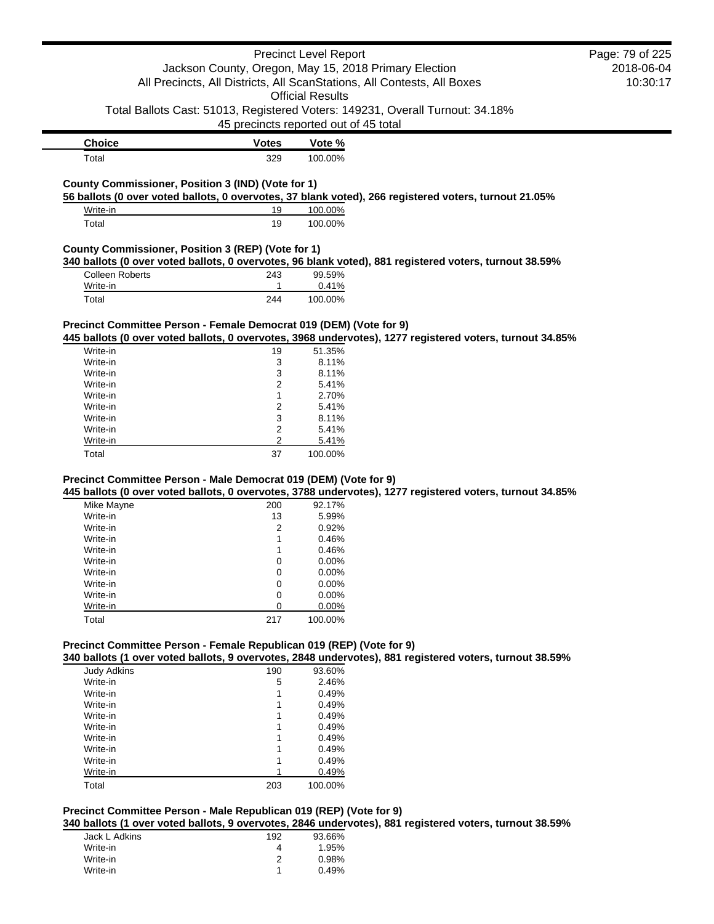|                                                                                |                  | <b>Precinct Level Report</b>                                                                                     | Page: 79 of 225 |
|--------------------------------------------------------------------------------|------------------|------------------------------------------------------------------------------------------------------------------|-----------------|
|                                                                                |                  | Jackson County, Oregon, May 15, 2018 Primary Election                                                            | 2018-06-04      |
|                                                                                |                  | All Precincts, All Districts, All ScanStations, All Contests, All Boxes                                          | 10:30:17        |
|                                                                                |                  | <b>Official Results</b>                                                                                          |                 |
|                                                                                |                  | Total Ballots Cast: 51013, Registered Voters: 149231, Overall Turnout: 34.18%                                    |                 |
|                                                                                |                  | 45 precincts reported out of 45 total                                                                            |                 |
| <b>Choice</b>                                                                  | <b>Votes</b>     | Vote %                                                                                                           |                 |
| Total                                                                          | 329              | 100.00%                                                                                                          |                 |
|                                                                                |                  |                                                                                                                  |                 |
| County Commissioner, Position 3 (IND) (Vote for 1)                             |                  |                                                                                                                  |                 |
|                                                                                |                  | 56 ballots (0 over voted ballots, 0 overvotes, 37 blank voted), 266 registered voters, turnout 21.05%            |                 |
| Write-in<br>Total                                                              | 19<br>19         | 100.00%<br>100.00%                                                                                               |                 |
|                                                                                |                  |                                                                                                                  |                 |
| County Commissioner, Position 3 (REP) (Vote for 1)                             |                  |                                                                                                                  |                 |
| <b>Colleen Roberts</b>                                                         | 243              | 340 ballots (0 over voted ballots, 0 overvotes, 96 blank voted), 881 registered voters, turnout 38.59%<br>99.59% |                 |
| Write-in                                                                       | 1                | 0.41%                                                                                                            |                 |
| Total                                                                          | 244              | 100.00%                                                                                                          |                 |
|                                                                                |                  |                                                                                                                  |                 |
| Precinct Committee Person - Female Democrat 019 (DEM) (Vote for 9)             |                  |                                                                                                                  |                 |
|                                                                                |                  | 445 ballots (0 over voted ballots, 0 overvotes, 3968 undervotes), 1277 registered voters, turnout 34.85%         |                 |
| Write-in                                                                       | 19               | 51.35%                                                                                                           |                 |
| Write-in                                                                       | 3                | 8.11%                                                                                                            |                 |
| Write-in                                                                       | 3                | 8.11%                                                                                                            |                 |
| Write-in                                                                       | 2                | 5.41%                                                                                                            |                 |
| Write-in                                                                       | 1                | 2.70%                                                                                                            |                 |
| Write-in                                                                       | $\overline{2}$   | 5.41%                                                                                                            |                 |
|                                                                                |                  |                                                                                                                  |                 |
| Write-in                                                                       | 3                | 8.11%                                                                                                            |                 |
| Write-in                                                                       | $\boldsymbol{2}$ | 5.41%                                                                                                            |                 |
| Write-in                                                                       | 2                | 5.41%                                                                                                            |                 |
| Total                                                                          | 37               | 100.00%                                                                                                          |                 |
|                                                                                |                  |                                                                                                                  |                 |
|                                                                                |                  |                                                                                                                  |                 |
|                                                                                |                  | 445 ballots (0 over voted ballots, 0 overvotes, 3788 undervotes), 1277 registered voters, turnout 34.85%         |                 |
| Precinct Committee Person - Male Democrat 019 (DEM) (Vote for 9)<br>Mike Mayne | 200              | 92.17%                                                                                                           |                 |
| Write-in                                                                       | 13               | 5.99%                                                                                                            |                 |
| Write-in                                                                       | 2                | 0.92%                                                                                                            |                 |
| Write-in                                                                       | 1                | 0.46%                                                                                                            |                 |
| Write-in                                                                       | 1                | 0.46%                                                                                                            |                 |
| Write-in                                                                       | 0                | 0.00%                                                                                                            |                 |
| Write-in                                                                       | 0                | $0.00\%$                                                                                                         |                 |
| Write-in                                                                       | 0                | 0.00%                                                                                                            |                 |
| Write-in                                                                       | 0                | 0.00%                                                                                                            |                 |
| Write-in                                                                       | 0                | 0.00%                                                                                                            |                 |
| Total                                                                          | 217              | 100.00%                                                                                                          |                 |
|                                                                                |                  |                                                                                                                  |                 |
|                                                                                |                  | 340 ballots (1 over voted ballots, 9 overvotes, 2848 undervotes), 881 registered voters, turnout 38.59%          |                 |
| <b>Judy Adkins</b>                                                             | 190              | 93.60%                                                                                                           |                 |
| Write-in                                                                       | 5                | 2.46%                                                                                                            |                 |
| Write-in                                                                       | 1                | 0.49%                                                                                                            |                 |
| Write-in                                                                       | 1                | 0.49%                                                                                                            |                 |
| Write-in                                                                       |                  | 0.49%                                                                                                            |                 |
| Write-in                                                                       |                  | 0.49%                                                                                                            |                 |
| Write-in                                                                       |                  | 0.49%                                                                                                            |                 |
| Write-in                                                                       | 1                | 0.49%                                                                                                            |                 |
| Write-in                                                                       | 1                | 0.49%                                                                                                            |                 |
| Write-in                                                                       |                  | 0.49%                                                                                                            |                 |
| Precinct Committee Person - Female Republican 019 (REP) (Vote for 9)<br>Total  | 203              | 100.00%                                                                                                          |                 |

| Jack L Adkins | 192 | 93.66% |
|---------------|-----|--------|
| Write-in      | 4   | 1.95%  |
| Write-in      | っ   | 0.98%  |
| Write-in      |     | 0.49%  |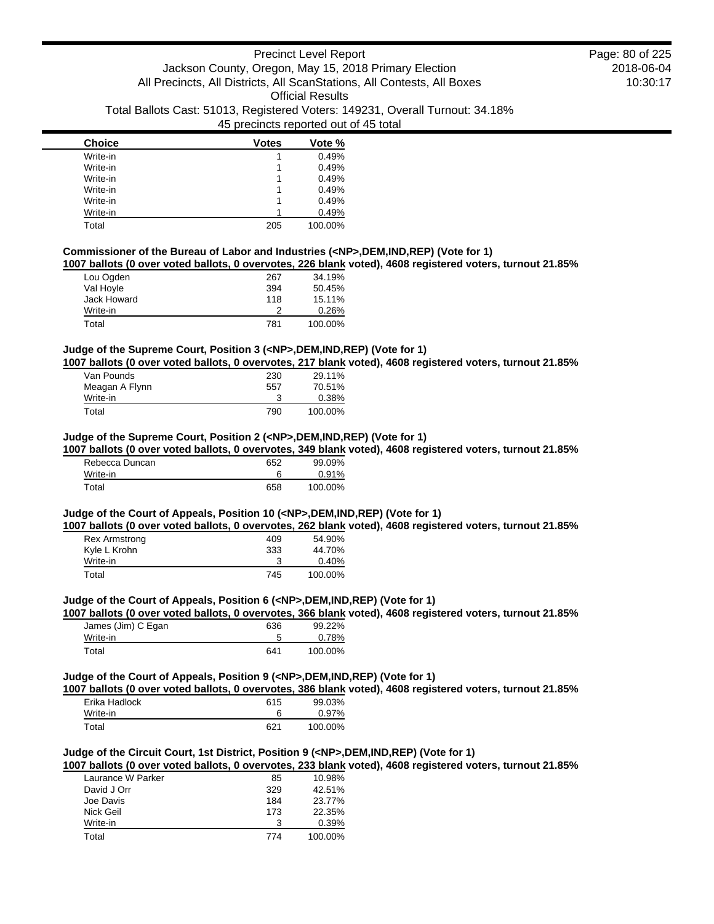| <b>Choice</b> | <b>Votes</b> | Vote %  |
|---------------|--------------|---------|
| Write-in      |              | 0.49%   |
| Write-in      |              | 0.49%   |
| Write-in      |              | 0.49%   |
| Write-in      |              | 0.49%   |
| Write-in      |              | 0.49%   |
| Write-in      |              | 0.49%   |
| Total         | 205          | 100.00% |

# **Commissioner of the Bureau of Labor and Industries (<NP>,DEM,IND,REP) (Vote for 1)**

**1007 ballots (0 over voted ballots, 0 overvotes, 226 blank voted), 4608 registered voters, turnout 21.85%**

| Lou Ogden   | 267 | 34.19%  |
|-------------|-----|---------|
| Val Hoyle   | 394 | 50.45%  |
| Jack Howard | 118 | 15.11%  |
| Write-in    |     | 0.26%   |
| Total       | 781 | 100.00% |

### **Judge of the Supreme Court, Position 3 (<NP>,DEM,IND,REP) (Vote for 1)**

**1007 ballots (0 over voted ballots, 0 overvotes, 217 blank voted), 4608 registered voters, turnout 21.85%**

| Van Pounds     | 230 | 29.11%  |
|----------------|-----|---------|
| Meagan A Flynn | 557 | 70.51%  |
| Write-in       |     | 0.38%   |
| Total          | 790 | 100.00% |

## **Judge of the Supreme Court, Position 2 (<NP>,DEM,IND,REP) (Vote for 1)**

**1007 ballots (0 over voted ballots, 0 overvotes, 349 blank voted), 4608 registered voters, turnout 21.85%**

| Rebecca Duncan | 652 | 99.09%  |
|----------------|-----|---------|
| Write-in       |     | 0.91%   |
| Total          | 658 | 100.00% |

## **Judge of the Court of Appeals, Position 10 (<NP>,DEM,IND,REP) (Vote for 1)**

**1007 ballots (0 over voted ballots, 0 overvotes, 262 blank voted), 4608 registered voters, turnout 21.85%**

| Rex Armstrong | 409 | 54.90%   |
|---------------|-----|----------|
| Kyle L Krohn  | 333 | 44.70%   |
| Write-in      |     | $0.40\%$ |
| Total         | 745 | 100.00%  |

#### **Judge of the Court of Appeals, Position 6 (<NP>,DEM,IND,REP) (Vote for 1)**

**1007 ballots (0 over voted ballots, 0 overvotes, 366 blank voted), 4608 registered voters, turnout 21.85%**

| James (Jim) C Egan | 636 | 99.22%  |
|--------------------|-----|---------|
| Write-in           |     | 0.78%   |
| Total              | 641 | 100.00% |

#### **Judge of the Court of Appeals, Position 9 (<NP>,DEM,IND,REP) (Vote for 1)**

**1007 ballots (0 over voted ballots, 0 overvotes, 386 blank voted), 4608 registered voters, turnout 21.85%**

| Erika Hadlock | 615 | 99.03%   |
|---------------|-----|----------|
| Write-in      |     | $0.97\%$ |
| Total         | 621 | 100.00%  |

## **Judge of the Circuit Court, 1st District, Position 9 (<NP>,DEM,IND,REP) (Vote for 1)**

**1007 ballots (0 over voted ballots, 0 overvotes, 233 blank voted), 4608 registered voters, turnout 21.85%**

| Laurance W Parker | 85  | 10.98%  |
|-------------------|-----|---------|
| David J Orr       | 329 | 42.51%  |
| Joe Davis         | 184 | 23.77%  |
| Nick Geil         | 173 | 22.35%  |
| Write-in          | 3   | 0.39%   |
| Total             | 774 | 100.00% |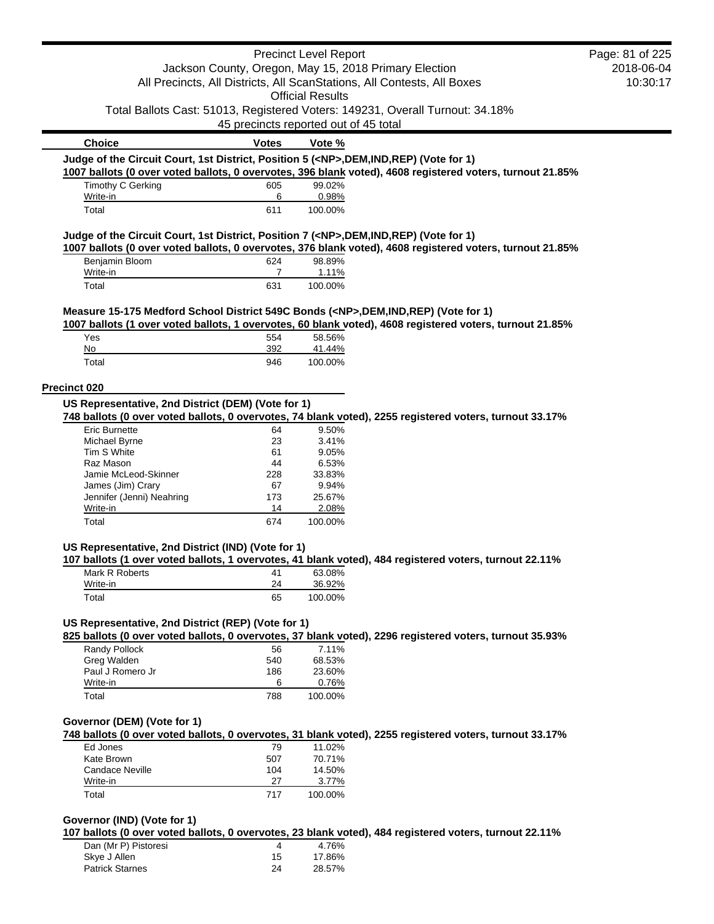|                                                                                            |                                       | <b>Precinct Level Report</b> |                                                                                                           | Page: 81 of 225 |
|--------------------------------------------------------------------------------------------|---------------------------------------|------------------------------|-----------------------------------------------------------------------------------------------------------|-----------------|
|                                                                                            |                                       |                              | Jackson County, Oregon, May 15, 2018 Primary Election                                                     | 2018-06-04      |
|                                                                                            |                                       |                              | All Precincts, All Districts, All ScanStations, All Contests, All Boxes                                   | 10:30:17        |
|                                                                                            |                                       | <b>Official Results</b>      |                                                                                                           |                 |
|                                                                                            |                                       |                              | Total Ballots Cast: 51013, Registered Voters: 149231, Overall Turnout: 34.18%                             |                 |
|                                                                                            | 45 precincts reported out of 45 total |                              |                                                                                                           |                 |
| <b>Choice</b>                                                                              | <b>Votes</b>                          | Vote %                       |                                                                                                           |                 |
| Judge of the Circuit Court, 1st District, Position 5 ( <np>,DEM,IND,REP) (Vote for 1)</np> |                                       |                              |                                                                                                           |                 |
|                                                                                            |                                       |                              | 1007 ballots (0 over voted ballots, 0 overvotes, 396 blank voted), 4608 registered voters, turnout 21.85% |                 |
| Timothy C Gerking                                                                          | 605                                   | 99.02%                       |                                                                                                           |                 |
| Write-in                                                                                   | 6                                     | 0.98%                        |                                                                                                           |                 |
| Total                                                                                      | 611                                   | 100.00%                      |                                                                                                           |                 |
| Judge of the Circuit Court, 1st District, Position 7 ( <np>,DEM,IND,REP) (Vote for 1)</np> |                                       |                              |                                                                                                           |                 |
|                                                                                            |                                       |                              | 1007 ballots (0 over voted ballots, 0 overvotes, 376 blank voted), 4608 registered voters, turnout 21.85% |                 |
| Benjamin Bloom                                                                             | 624                                   | 98.89%                       |                                                                                                           |                 |
| Write-in                                                                                   | $\overline{7}$                        | 1.11%                        |                                                                                                           |                 |
| Total                                                                                      | 631                                   | 100.00%                      |                                                                                                           |                 |
| Measure 15-175 Medford School District 549C Bonds ( <np>,DEM,IND,REP) (Vote for 1)</np>    |                                       |                              |                                                                                                           |                 |
|                                                                                            |                                       |                              | 1007 ballots (1 over voted ballots, 1 overvotes, 60 blank voted), 4608 registered voters, turnout 21.85%  |                 |
| Yes                                                                                        | 554                                   | 58.56%                       |                                                                                                           |                 |
| No                                                                                         | 392                                   | 41.44%                       |                                                                                                           |                 |
| Total                                                                                      | 946                                   | 100.00%                      |                                                                                                           |                 |
|                                                                                            |                                       |                              |                                                                                                           |                 |
| Precinct 020                                                                               |                                       |                              |                                                                                                           |                 |
| US Representative, 2nd District (DEM) (Vote for 1)                                         |                                       |                              |                                                                                                           |                 |
|                                                                                            |                                       |                              | 748 ballots (0 over voted ballots, 0 overvotes, 74 blank voted), 2255 registered voters, turnout 33.17%   |                 |
| <b>Eric Burnette</b>                                                                       | 64                                    | 9.50%                        |                                                                                                           |                 |
| Michael Byrne                                                                              | 23                                    | 3.41%                        |                                                                                                           |                 |
| Tim S White<br>Raz Mason                                                                   | 61<br>44                              | 9.05%<br>6.53%               |                                                                                                           |                 |
| Jamie McLeod-Skinner                                                                       | 228                                   | 33.83%                       |                                                                                                           |                 |
| James (Jim) Crary                                                                          | 67                                    | 9.94%                        |                                                                                                           |                 |
| Jennifer (Jenni) Neahring                                                                  | 173                                   | 25.67%                       |                                                                                                           |                 |
| Write-in                                                                                   | 14                                    | 2.08%                        |                                                                                                           |                 |
| Total                                                                                      | 674                                   | 100.00%                      |                                                                                                           |                 |
|                                                                                            |                                       |                              |                                                                                                           |                 |
| US Representative, 2nd District (IND) (Vote for 1)                                         |                                       |                              | 107 ballots (1 over voted ballots, 1 overvotes, 41 blank voted), 484 registered voters, turnout 22.11%    |                 |
| Mark R Roberts 41                                                                          |                                       | 63.08%                       |                                                                                                           |                 |
| Write-in                                                                                   | 24                                    | 36.92%                       |                                                                                                           |                 |
| Total                                                                                      | 65                                    | 100.00%                      |                                                                                                           |                 |
|                                                                                            |                                       |                              |                                                                                                           |                 |
| US Representative, 2nd District (REP) (Vote for 1)                                         |                                       |                              |                                                                                                           |                 |
|                                                                                            |                                       |                              | 825 ballots (0 over voted ballots, 0 overvotes, 37 blank voted), 2296 registered voters, turnout 35.93%   |                 |
| Randy Pollock                                                                              | 56                                    | 7.11%                        |                                                                                                           |                 |
| Greg Walden                                                                                | 540                                   | 68.53%                       |                                                                                                           |                 |
| Paul J Romero Jr                                                                           | 186                                   | 23.60%                       |                                                                                                           |                 |
| Write-in                                                                                   | 6                                     | 0.76%                        |                                                                                                           |                 |
| Total                                                                                      | 788                                   | 100.00%                      |                                                                                                           |                 |
|                                                                                            |                                       |                              |                                                                                                           |                 |
| Governor (DEM) (Vote for 1)                                                                |                                       |                              |                                                                                                           |                 |
|                                                                                            |                                       |                              | 748 ballots (0 over voted ballots, 0 overvotes, 31 blank voted), 2255 registered voters, turnout 33.17%   |                 |
| Ed Jones<br>Kate Brown                                                                     | 79<br>507                             | 11.02%<br>70.71%             |                                                                                                           |                 |
| <b>Candace Neville</b>                                                                     | 104                                   | 14.50%                       |                                                                                                           |                 |
| Write-in                                                                                   | 27                                    | 3.77%                        |                                                                                                           |                 |
| Total                                                                                      | 717                                   | 100.00%                      |                                                                                                           |                 |
|                                                                                            |                                       |                              |                                                                                                           |                 |
| Governor (IND) (Vote for 1)                                                                |                                       |                              |                                                                                                           |                 |
|                                                                                            |                                       |                              | 107 ballots (0 over voted ballots, 0 overvotes, 23 blank voted), 484 registered voters, turnout 22.11%    |                 |
| Dan (Mr P) Pistoresi                                                                       | 4                                     | 4.76%                        |                                                                                                           |                 |
| Skye J Allen                                                                               | 15                                    | 17.86%                       |                                                                                                           |                 |
| <b>Patrick Starnes</b>                                                                     | 24                                    | 28.57%                       |                                                                                                           |                 |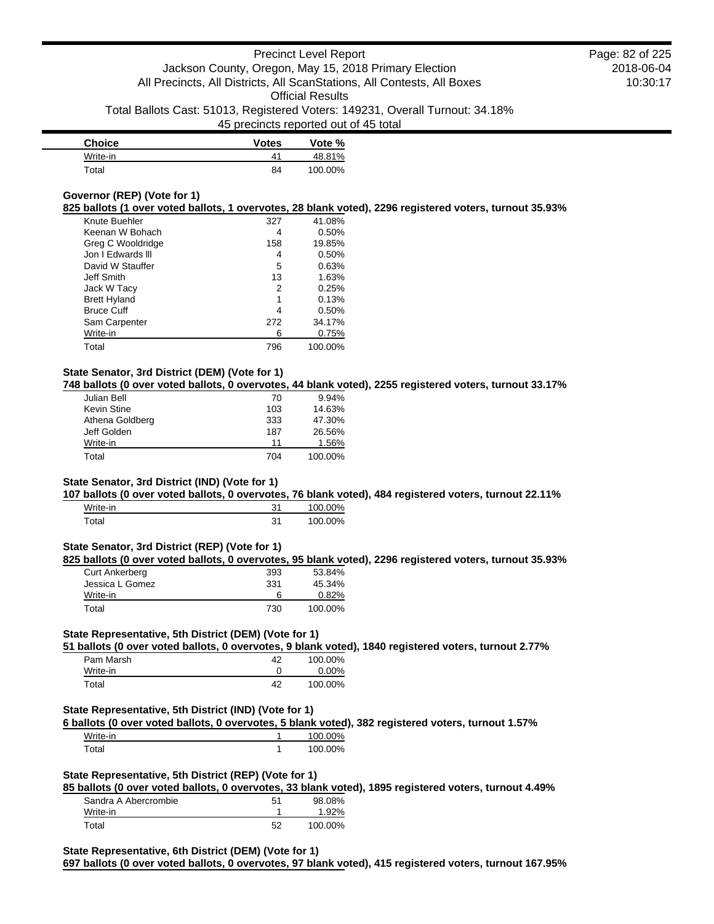| <b>Choice</b> | <b>Votes</b>   | Vote %  |
|---------------|----------------|---------|
| Write-in      | 4 <sup>1</sup> | 48.81%  |
| Total         | 84             | 100.00% |

## **Governor (REP) (Vote for 1)**

**825 ballots (1 over voted ballots, 1 overvotes, 28 blank voted), 2296 registered voters, turnout 35.93%**

| Knute Buehler       | 327 | 41.08%  |
|---------------------|-----|---------|
| Keenan W Bohach     | 4   | 0.50%   |
| Greg C Wooldridge   | 158 | 19.85%  |
| Jon I Fdwards III   | 4   | 0.50%   |
| David W Stauffer    | 5   | 0.63%   |
| Jeff Smith          | 13  | 1.63%   |
| Jack W Tacy         | 2   | 0.25%   |
| <b>Brett Hyland</b> | 1   | 0.13%   |
| <b>Bruce Cuff</b>   | 4   | 0.50%   |
| Sam Carpenter       | 272 | 34.17%  |
| Write-in            | 6   | 0.75%   |
| Total               | 796 | 100.00% |

# **State Senator, 3rd District (DEM) (Vote for 1)**

**748 ballots (0 over voted ballots, 0 overvotes, 44 blank voted), 2255 registered voters, turnout 33.17%**

| Julian Bell     | 70  | 9.94%   |
|-----------------|-----|---------|
| Kevin Stine     | 103 | 14.63%  |
| Athena Goldberg | 333 | 47.30%  |
| Jeff Golden     | 187 | 26.56%  |
| Write-in        | 11  | 1.56%   |
| Total           | 704 | 100.00% |

## **State Senator, 3rd District (IND) (Vote for 1)**

**107 ballots (0 over voted ballots, 0 overvotes, 76 blank voted), 484 registered voters, turnout 22.11%**

| Write-in | 31 | 100.00% |
|----------|----|---------|
| Гоtal    | 31 | 100.00% |

## **State Senator, 3rd District (REP) (Vote for 1)**

**825 ballots (0 over voted ballots, 0 overvotes, 95 blank voted), 2296 registered voters, turnout 35.93%**

| <b>Curt Ankerberg</b> | 393 | 53.84%   |
|-----------------------|-----|----------|
| Jessica L Gomez       | 331 | 45.34%   |
| Write-in              | 6   | $0.82\%$ |
| Total                 | 730 | 100.00%  |

## **State Representative, 5th District (DEM) (Vote for 1)**

**51 ballots (0 over voted ballots, 0 overvotes, 9 blank voted), 1840 registered voters, turnout 2.77%**

| Pam Marsh | 42 | 100.00% |
|-----------|----|---------|
| Write-in  |    | 0.00%   |
| Total     | 42 | 100.00% |

## **State Representative, 5th District (IND) (Vote for 1)**

**6 ballots (0 over voted ballots, 0 overvotes, 5 blank voted), 382 registered voters, turnout 1.57%**

| Write-in | 100.00% |
|----------|---------|
| Total    | 100.00% |

## **State Representative, 5th District (REP) (Vote for 1)**

**85 ballots (0 over voted ballots, 0 overvotes, 33 blank voted), 1895 registered voters, turnout 4.49%** Sandra A Abercrombie 51 98.08%

| Write-in |    | 92%     |
|----------|----|---------|
| ™otal    | 52 | 100.00% |

### **State Representative, 6th District (DEM) (Vote for 1)**

**697 ballots (0 over voted ballots, 0 overvotes, 97 blank voted), 415 registered voters, turnout 167.95%**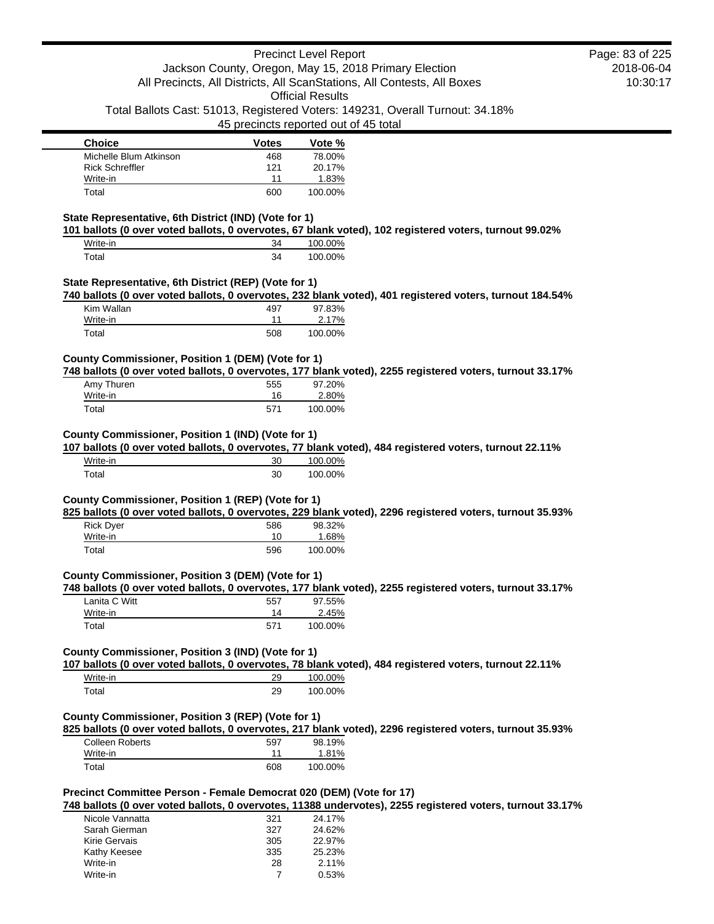|                                                                                                                                                                                    |                | <b>Precinct Level Report</b>                                                                             | Page: 83 of 225 |
|------------------------------------------------------------------------------------------------------------------------------------------------------------------------------------|----------------|----------------------------------------------------------------------------------------------------------|-----------------|
|                                                                                                                                                                                    |                | Jackson County, Oregon, May 15, 2018 Primary Election                                                    | 2018-06-04      |
|                                                                                                                                                                                    |                | All Precincts, All Districts, All ScanStations, All Contests, All Boxes                                  | 10:30:17        |
|                                                                                                                                                                                    |                | <b>Official Results</b><br>Total Ballots Cast: 51013, Registered Voters: 149231, Overall Turnout: 34.18% |                 |
|                                                                                                                                                                                    |                | 45 precincts reported out of 45 total                                                                    |                 |
| <b>Choice</b>                                                                                                                                                                      | <b>Votes</b>   | Vote %                                                                                                   |                 |
| Michelle Blum Atkinson                                                                                                                                                             | 468            | 78.00%                                                                                                   |                 |
| <b>Rick Schreffler</b>                                                                                                                                                             | 121            | 20.17%                                                                                                   |                 |
| Write-in                                                                                                                                                                           | 11             | 1.83%                                                                                                    |                 |
| Total                                                                                                                                                                              | 600            | 100.00%                                                                                                  |                 |
| State Representative, 6th District (IND) (Vote for 1)<br>101 ballots (0 over voted ballots, 0 overvotes, 67 blank voted), 102 registered voters, turnout 99.02%                    |                |                                                                                                          |                 |
| Write-in                                                                                                                                                                           | 34             | 100.00%                                                                                                  |                 |
| Total                                                                                                                                                                              | 34             | 100.00%                                                                                                  |                 |
| State Representative, 6th District (REP) (Vote for 1)                                                                                                                              |                |                                                                                                          |                 |
| 740 ballots (0 over voted ballots, 0 overvotes, 232 blank voted), 401 registered voters, turnout 184.54%                                                                           |                |                                                                                                          |                 |
| Kim Wallan                                                                                                                                                                         | 497            | 97.83%                                                                                                   |                 |
| Write-in                                                                                                                                                                           | 11             | 2.17%                                                                                                    |                 |
| Total                                                                                                                                                                              | 508            | 100.00%                                                                                                  |                 |
| County Commissioner, Position 1 (DEM) (Vote for 1)                                                                                                                                 |                |                                                                                                          |                 |
| 748 ballots (0 over voted ballots, 0 overvotes, 177 blank voted), 2255 registered voters, turnout 33.17%                                                                           |                |                                                                                                          |                 |
| Amy Thuren<br>Write-in                                                                                                                                                             | 555<br>16      | 97.20%<br>2.80%                                                                                          |                 |
| Total                                                                                                                                                                              | 571            | 100.00%                                                                                                  |                 |
|                                                                                                                                                                                    |                |                                                                                                          |                 |
| County Commissioner, Position 1 (IND) (Vote for 1)<br>107 ballots (0 over voted ballots, 0 overvotes, 77 blank voted), 484 registered voters, turnout 22.11%                       |                |                                                                                                          |                 |
| Write-in                                                                                                                                                                           | 30             | 100.00%                                                                                                  |                 |
| Total                                                                                                                                                                              | 30             | 100.00%                                                                                                  |                 |
| County Commissioner, Position 1 (REP) (Vote for 1)<br>825 ballots (0 over voted ballots, 0 overvotes, 229 blank voted), 2296 registered voters, turnout 35.93%<br><b>Rick Dyer</b> | 586            | 98.32%                                                                                                   |                 |
| Write-in                                                                                                                                                                           | 10             | 1.68%                                                                                                    |                 |
| Total                                                                                                                                                                              | 596            | 100.00%                                                                                                  |                 |
| County Commissioner, Position 3 (DEM) (Vote for 1)                                                                                                                                 |                |                                                                                                          |                 |
| 748 ballots (0 over voted ballots, 0 overvotes, 177 blank voted), 2255 registered voters, turnout 33.17%                                                                           |                |                                                                                                          |                 |
| Lanita C Witt                                                                                                                                                                      | 557            | 97.55%                                                                                                   |                 |
| Write-in                                                                                                                                                                           | 14             | 2.45%                                                                                                    |                 |
| Total                                                                                                                                                                              | 571            | 100.00%                                                                                                  |                 |
| County Commissioner, Position 3 (IND) (Vote for 1)                                                                                                                                 |                |                                                                                                          |                 |
| 107 ballots (0 over voted ballots, 0 overvotes, 78 blank voted), 484 registered voters, turnout 22.11%<br>Write-in                                                                 | 29             | 100.00%                                                                                                  |                 |
| Total                                                                                                                                                                              | 29             | 100.00%                                                                                                  |                 |
|                                                                                                                                                                                    |                |                                                                                                          |                 |
| County Commissioner, Position 3 (REP) (Vote for 1)<br>825 ballots (0 over voted ballots, 0 overvotes, 217 blank voted), 2296 registered voters, turnout 35.93%                     |                |                                                                                                          |                 |
| <b>Colleen Roberts</b>                                                                                                                                                             | 597            | 98.19%                                                                                                   |                 |
| Write-in                                                                                                                                                                           | 11             | 1.81%                                                                                                    |                 |
| Total                                                                                                                                                                              | 608            | 100.00%                                                                                                  |                 |
|                                                                                                                                                                                    |                |                                                                                                          |                 |
| Precinct Committee Person - Female Democrat 020 (DEM) (Vote for 17)<br>748 ballots (0 over voted ballots, 0 overvotes, 11388 undervotes), 2255 registered voters, turnout 33.17%   |                |                                                                                                          |                 |
| Nicole Vannatta                                                                                                                                                                    | 321            | 24.17%                                                                                                   |                 |
| Sarah Gierman                                                                                                                                                                      | 327            | 24.62%                                                                                                   |                 |
| Kirie Gervais                                                                                                                                                                      | 305            | 22.97%                                                                                                   |                 |
| Kathy Keesee                                                                                                                                                                       | 335            | 25.23%                                                                                                   |                 |
| Write-in                                                                                                                                                                           | 28             | 2.11%                                                                                                    |                 |
| Write-in                                                                                                                                                                           | $\overline{7}$ | 0.53%                                                                                                    |                 |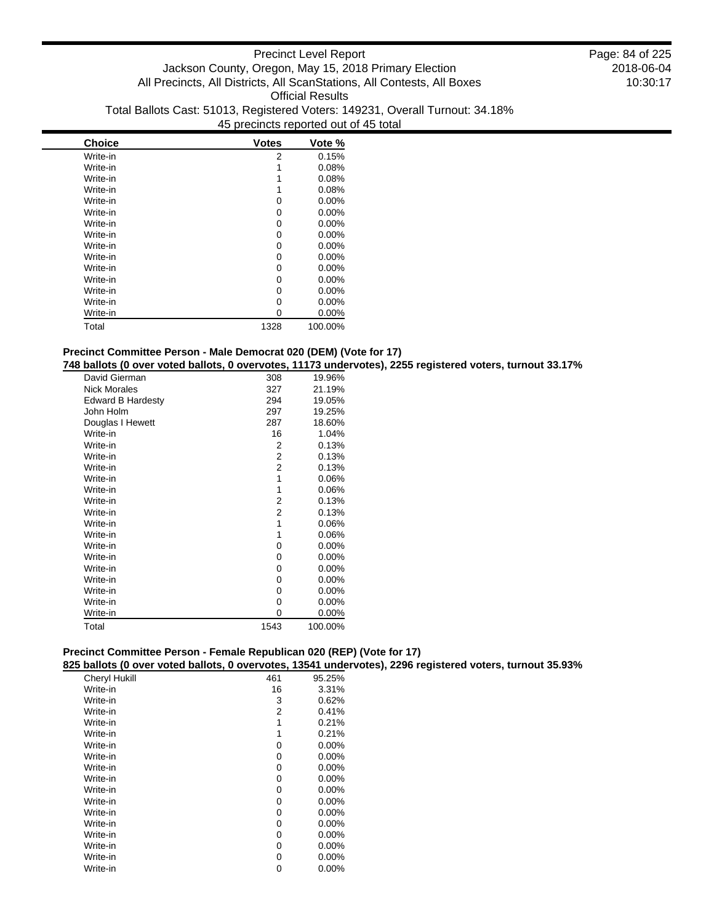| <b>Choice</b> | <b>Votes</b> | Vote %   |
|---------------|--------------|----------|
| Write-in      | 2            | 0.15%    |
| Write-in      | 1            | 0.08%    |
| Write-in      |              | 0.08%    |
| Write-in      |              | 0.08%    |
| Write-in      | 0            | $0.00\%$ |
| Write-in      | 0            | 0.00%    |
| Write-in      | 0            | $0.00\%$ |
| Write-in      | 0            | 0.00%    |
| Write-in      | 0            | 0.00%    |
| Write-in      | 0            | 0.00%    |
| Write-in      | 0            | $0.00\%$ |
| Write-in      | 0            | $0.00\%$ |
| Write-in      | 0            | $0.00\%$ |
| Write-in      | 0            | 0.00%    |
| Write-in      | 0            | 0.00%    |
| Total         | 1328         | 100.00%  |

# **Precinct Committee Person - Male Democrat 020 (DEM) (Vote for 17)**

**748 ballots (0 over voted ballots, 0 overvotes, 11173 undervotes), 2255 registered voters, turnout 33.17%**

| 308            | 19.96%   |
|----------------|----------|
| 327            | 21.19%   |
| 294            | 19.05%   |
| 297            | 19.25%   |
| 287            | 18.60%   |
| 16             | 1.04%    |
| 2              | 0.13%    |
| 2              | 0.13%    |
| $\overline{2}$ | 0.13%    |
| 1              | 0.06%    |
| 1              | 0.06%    |
| 2              | 0.13%    |
| 2              | 0.13%    |
| 1              | 0.06%    |
| 1              | 0.06%    |
| 0              | 0.00%    |
| 0              | 0.00%    |
| 0              | 0.00%    |
| 0              | 0.00%    |
| 0              | $0.00\%$ |
| 0              | 0.00%    |
| 0              | 0.00%    |
| 1543           | 100.00%  |
|                |          |

# **Precinct Committee Person - Female Republican 020 (REP) (Vote for 17)**

**825 ballots (0 over voted ballots, 0 overvotes, 13541 undervotes), 2296 registered voters, turnout 35.93%**

| <b>Cheryl Hukill</b> | 461 | 95.25%   |
|----------------------|-----|----------|
| Write-in             | 16  | 3.31%    |
| Write-in             | 3   | 0.62%    |
| Write-in             | 2   | 0.41%    |
| Write-in             | 1   | 0.21%    |
| Write-in             | 1   | 0.21%    |
| Write-in             | 0   | $0.00\%$ |
| Write-in             | 0   | $0.00\%$ |
| Write-in             | 0   | 0.00%    |
| Write-in             | 0   | $0.00\%$ |
| Write-in             | 0   | 0.00%    |
| Write-in             | 0   | $0.00\%$ |
| Write-in             | 0   | 0.00%    |
| Write-in             | 0   | $0.00\%$ |
| Write-in             | 0   | $0.00\%$ |
| Write-in             | 0   | $0.00\%$ |
| Write-in             | 0   | $0.00\%$ |
| Write-in             | 0   | 0.00%    |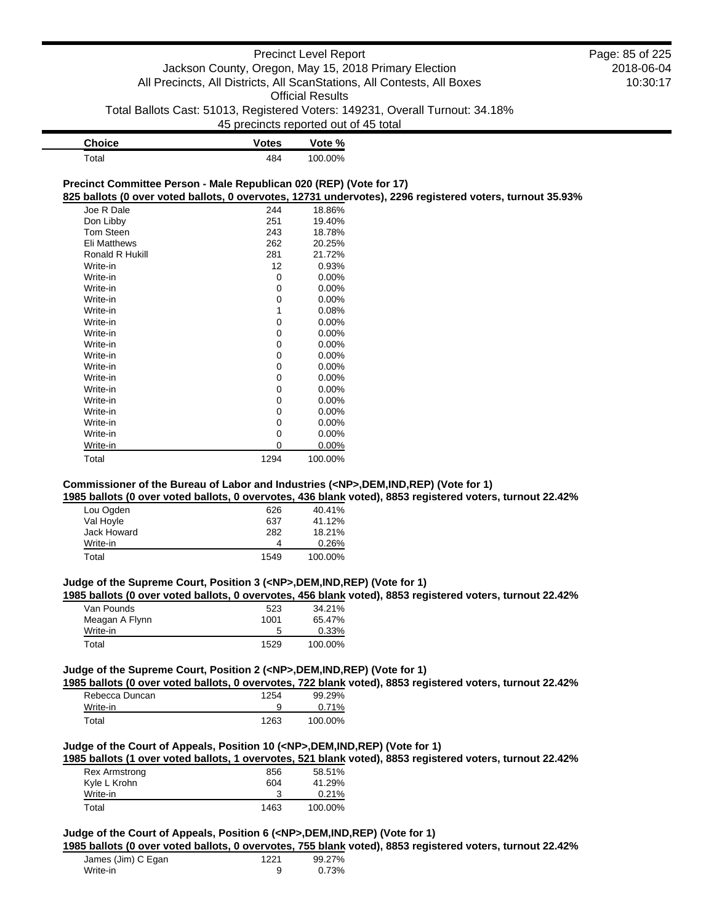| <b>Choice</b>                                                       | <b>Votes</b> | Vote %                                                                                                    |  |
|---------------------------------------------------------------------|--------------|-----------------------------------------------------------------------------------------------------------|--|
| Total                                                               | 484          | 100.00%                                                                                                   |  |
| Precinct Committee Person - Male Republican 020 (REP) (Vote for 17) |              |                                                                                                           |  |
|                                                                     |              | 825 ballots (0 over voted ballots, 0 overvotes, 12731 undervotes), 2296 registered voters, turnout 35.93% |  |
| Joe R Dale                                                          | 244          | 18.86%                                                                                                    |  |
| Don Libby                                                           | 251          | 19.40%                                                                                                    |  |
| Tom Steen                                                           | 243          | 18.78%                                                                                                    |  |
| <b>Eli Matthews</b>                                                 | 262          | 20.25%                                                                                                    |  |
| Ronald R Hukill                                                     | 281          | 21.72%                                                                                                    |  |
| Write-in                                                            | 12           | 0.93%                                                                                                     |  |
| Write-in                                                            | 0            | $0.00\%$                                                                                                  |  |
| Write-in                                                            | 0            | $0.00\%$                                                                                                  |  |
| Write-in                                                            | 0            | $0.00\%$                                                                                                  |  |
| Write-in                                                            |              | 0.08%                                                                                                     |  |
| Write-in                                                            | 0            | $0.00\%$                                                                                                  |  |
| Write-in                                                            | 0            | $0.00\%$                                                                                                  |  |
| Write-in                                                            | 0            | $0.00\%$                                                                                                  |  |
| Write-in                                                            | 0            | $0.00\%$                                                                                                  |  |
| Write-in                                                            | 0            | $0.00\%$                                                                                                  |  |
| Write-in                                                            | 0            | $0.00\%$                                                                                                  |  |
| Write-in                                                            | 0            | $0.00\%$                                                                                                  |  |

Write-in 0 0.00% Total 1294 100.00% **Commissioner of the Bureau of Labor and Industries (<NP>,DEM,IND,REP) (Vote for 1) 1985 ballots (0 over voted ballots, 0 overvotes, 436 blank voted), 8853 registered voters, turnout 22.42%**

Write-in 0 0.00% Write-in 0 0.00%<br>Write-in 0 0.00%

Write-in 0 0.00%

Write-in

| Lou Ogden   | 626  | 40.41%  |
|-------------|------|---------|
| Val Hoyle   | 637  | 41.12%  |
| Jack Howard | 282  | 18.21%  |
| Write-in    | 4    | 0.26%   |
| Total       | 1549 | 100.00% |

### **Judge of the Supreme Court, Position 3 (<NP>,DEM,IND,REP) (Vote for 1)**

**1985 ballots (0 over voted ballots, 0 overvotes, 456 blank voted), 8853 registered voters, turnout 22.42%**

| Van Pounds     | 523  | 34.21%  |
|----------------|------|---------|
| Meagan A Flynn | 1001 | 65.47%  |
| Write-in       |      | 0.33%   |
| Total          | 1529 | 100.00% |

#### **Judge of the Supreme Court, Position 2 (<NP>,DEM,IND,REP) (Vote for 1)**

**1985 ballots (0 over voted ballots, 0 overvotes, 722 blank voted), 8853 registered voters, turnout 22.42%**

| Rebecca Duncan | 1254 | 99.29%  |
|----------------|------|---------|
| Write-in       | 9    | 0.71%   |
| Total          | 1263 | 100.00% |

## **Judge of the Court of Appeals, Position 10 (<NP>,DEM,IND,REP) (Vote for 1)**

**1985 ballots (1 over voted ballots, 1 overvotes, 521 blank voted), 8853 registered voters, turnout 22.42%**

| Rex Armstrong | 856  | 58.51%  |
|---------------|------|---------|
| Kyle L Krohn  | 604  | 41.29%  |
| Write-in      |      | 0.21%   |
| Total         | 1463 | 100.00% |

## **Judge of the Court of Appeals, Position 6 (<NP>,DEM,IND,REP) (Vote for 1)**

**1985 ballots (0 over voted ballots, 0 overvotes, 755 blank voted), 8853 registered voters, turnout 22.42%**

| James (Jim) C Egan | 1221 | 99.27% |
|--------------------|------|--------|
| Write-in           |      | 0.73%  |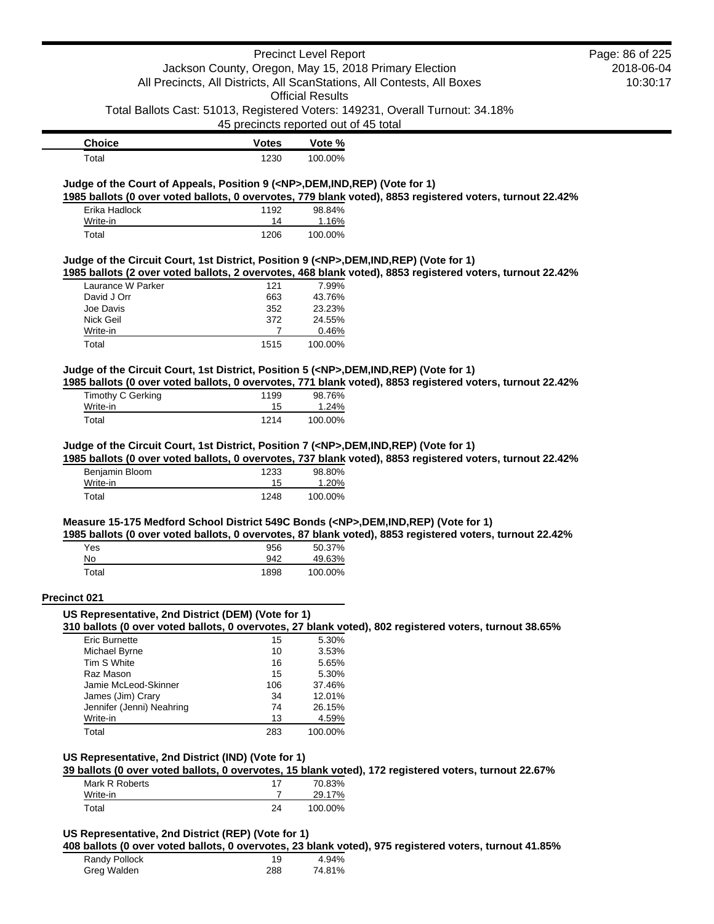|                                                                                            |                                       | <b>Precinct Level Report</b> | Jackson County, Oregon, May 15, 2018 Primary Election                                                     | Page: 86 of 225<br>2018-06-04 |
|--------------------------------------------------------------------------------------------|---------------------------------------|------------------------------|-----------------------------------------------------------------------------------------------------------|-------------------------------|
|                                                                                            |                                       |                              | All Precincts, All Districts, All ScanStations, All Contests, All Boxes                                   | 10:30:17                      |
|                                                                                            |                                       | <b>Official Results</b>      |                                                                                                           |                               |
|                                                                                            |                                       |                              | Total Ballots Cast: 51013, Registered Voters: 149231, Overall Turnout: 34.18%                             |                               |
|                                                                                            | 45 precincts reported out of 45 total |                              |                                                                                                           |                               |
| <b>Choice</b>                                                                              | <b>Votes</b>                          | Vote %                       |                                                                                                           |                               |
| Total                                                                                      | 1230                                  | 100.00%                      |                                                                                                           |                               |
|                                                                                            |                                       |                              |                                                                                                           |                               |
| Judge of the Court of Appeals, Position 9 ( <np>,DEM,IND,REP) (Vote for 1)</np>            |                                       |                              | 1985 ballots (0 over voted ballots, 0 overvotes, 779 blank voted), 8853 registered voters, turnout 22.42% |                               |
| Erika Hadlock                                                                              | 1192                                  | 98.84%                       |                                                                                                           |                               |
| Write-in                                                                                   | 14                                    | 1.16%                        |                                                                                                           |                               |
| Total                                                                                      | 1206                                  | 100.00%                      |                                                                                                           |                               |
| Judge of the Circuit Court, 1st District, Position 9 ( <np>,DEM,IND,REP) (Vote for 1)</np> |                                       |                              |                                                                                                           |                               |
|                                                                                            |                                       |                              | 1985 ballots (2 over voted ballots, 2 overvotes, 468 blank voted), 8853 registered voters, turnout 22.42% |                               |
| Laurance W Parker                                                                          | 121                                   | 7.99%                        |                                                                                                           |                               |
| David J Orr<br>Joe Davis                                                                   | 663<br>352                            | 43.76%<br>23.23%             |                                                                                                           |                               |
| Nick Geil                                                                                  | 372                                   | 24.55%                       |                                                                                                           |                               |
| Write-in                                                                                   | 7                                     | 0.46%                        |                                                                                                           |                               |
| Total                                                                                      | 1515                                  | 100.00%                      |                                                                                                           |                               |
|                                                                                            |                                       |                              |                                                                                                           |                               |
| Judge of the Circuit Court, 1st District, Position 5 ( <np>,DEM,IND,REP) (Vote for 1)</np> |                                       |                              | 1985 ballots (0 over voted ballots, 0 overvotes, 771 blank voted), 8853 registered voters, turnout 22.42% |                               |
| Timothy C Gerking                                                                          | 1199                                  | 98.76%                       |                                                                                                           |                               |
| Write-in                                                                                   | 15                                    | 1.24%                        |                                                                                                           |                               |
| Total                                                                                      | 1214                                  | 100.00%                      |                                                                                                           |                               |
| Write-in<br>Total                                                                          | 15<br>1248                            | 1.20%<br>100.00%             |                                                                                                           |                               |
|                                                                                            |                                       |                              |                                                                                                           |                               |
| Measure 15-175 Medford School District 549C Bonds ( <np>,DEM,IND,REP) (Vote for 1)</np>    |                                       |                              |                                                                                                           |                               |
|                                                                                            |                                       |                              | 1985 ballots (0 over voted ballots, 0 overvotes, 87 blank voted), 8853 registered voters, turnout 22.42%  |                               |
| Yes<br>No                                                                                  | 956<br>942                            | 50.37%<br>49.63%             |                                                                                                           |                               |
| Total                                                                                      | 1898                                  | 100.00%                      |                                                                                                           |                               |
|                                                                                            |                                       |                              |                                                                                                           |                               |
| Precinct 021<br>US Representative, 2nd District (DEM) (Vote for 1)                         |                                       |                              |                                                                                                           |                               |
|                                                                                            |                                       |                              | 310 ballots (0 over voted ballots, 0 overvotes, 27 blank voted), 802 registered voters, turnout 38.65%    |                               |
| <b>Eric Burnette</b>                                                                       | 15                                    | 5.30%                        |                                                                                                           |                               |
| Michael Byrne                                                                              | 10                                    | 3.53%                        |                                                                                                           |                               |
| Tim S White                                                                                | 16                                    | 5.65%                        |                                                                                                           |                               |
| Raz Mason<br>Jamie McLeod-Skinner                                                          | 15<br>106                             | 5.30%<br>37.46%              |                                                                                                           |                               |
| James (Jim) Crary                                                                          | 34                                    | 12.01%                       |                                                                                                           |                               |
| Jennifer (Jenni) Neahring                                                                  | 74                                    | 26.15%                       |                                                                                                           |                               |
| Write-in                                                                                   | 13                                    | 4.59%                        |                                                                                                           |                               |
| Total                                                                                      | 283                                   | 100.00%                      |                                                                                                           |                               |
|                                                                                            |                                       |                              |                                                                                                           |                               |
| US Representative, 2nd District (IND) (Vote for 1)                                         |                                       |                              | 39 ballots (0 over voted ballots, 0 overvotes, 15 blank voted), 172 registered voters, turnout 22.67%     |                               |
| Mark R Roberts                                                                             | 17                                    | 70.83%                       |                                                                                                           |                               |
| Write-in                                                                                   | 7                                     | 29.17%                       |                                                                                                           |                               |
| Total                                                                                      | 24                                    | 100.00%                      |                                                                                                           |                               |
|                                                                                            |                                       |                              |                                                                                                           |                               |
| US Representative, 2nd District (REP) (Vote for 1)                                         |                                       |                              |                                                                                                           |                               |
| Randy Pollock                                                                              |                                       |                              | 408 ballots (0 over voted ballots, 0 overvotes, 23 blank voted), 975 registered voters, turnout 41.85%    |                               |
|                                                                                            |                                       |                              |                                                                                                           |                               |
| Greg Walden                                                                                | 19<br>288                             | 4.94%<br>74.81%              |                                                                                                           |                               |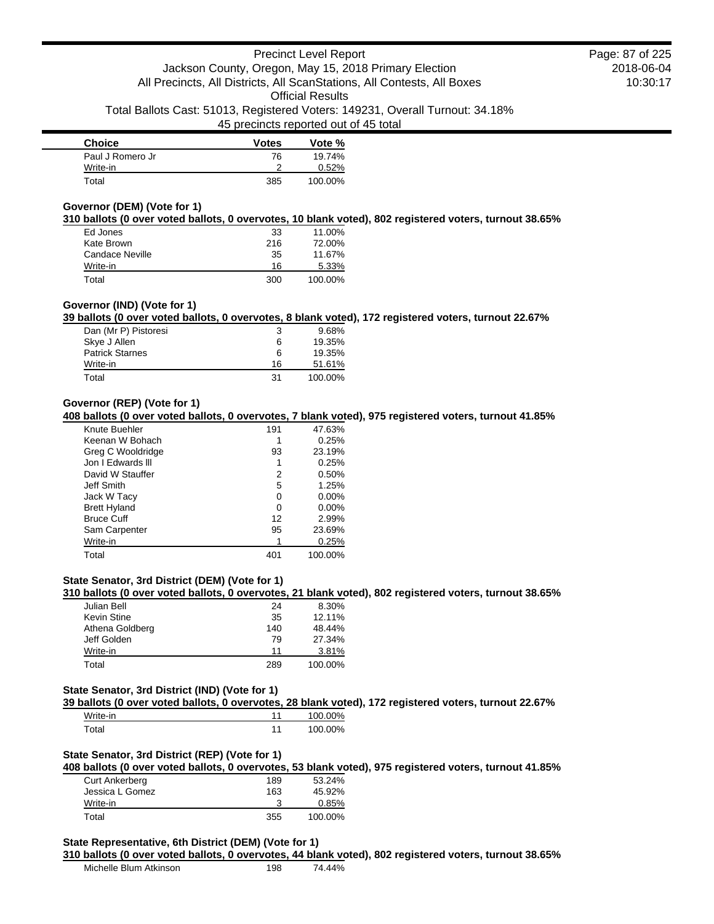| <b>Choice</b>    | <b>Votes</b> | Vote %  |
|------------------|--------------|---------|
| Paul J Romero Jr | 76           | 19.74%  |
| Write-in         |              | 0.52%   |
| Total            | 385          | 100.00% |

## **Governor (DEM) (Vote for 1)**

**310 ballots (0 over voted ballots, 0 overvotes, 10 blank voted), 802 registered voters, turnout 38.65%**

| Ed Jones        | 33  | 11.00%  |
|-----------------|-----|---------|
| Kate Brown      | 216 | 72.00%  |
| Candace Neville | 35  | 11.67%  |
| Write-in        | 16  | 5.33%   |
| Total           | 300 | 100.00% |

### **Governor (IND) (Vote for 1)**

**39 ballots (0 over voted ballots, 0 overvotes, 8 blank voted), 172 registered voters, turnout 22.67%**

| Dan (Mr P) Pistoresi   | 3  | $9.68\%$ |
|------------------------|----|----------|
| Skye J Allen           | 6  | 19.35%   |
| <b>Patrick Starnes</b> | 6  | 19.35%   |
| Write-in               | 16 | 51.61%   |
| Total                  | 31 | 100.00%  |

### **Governor (REP) (Vote for 1)**

**408 ballots (0 over voted ballots, 0 overvotes, 7 blank voted), 975 registered voters, turnout 41.85%**

| Knute Buehler       | 191 | 47.63%   |
|---------------------|-----|----------|
| Keenan W Bohach     |     | 0.25%    |
| Greg C Wooldridge   | 93  | 23.19%   |
| Jon I Edwards III   |     | 0.25%    |
| David W Stauffer    | 2   | 0.50%    |
| Jeff Smith          | 5   | 1.25%    |
| Jack W Tacy         | 0   | 0.00%    |
| <b>Brett Hyland</b> | 0   | $0.00\%$ |
| <b>Bruce Cuff</b>   | 12  | 2.99%    |
| Sam Carpenter       | 95  | 23.69%   |
| Write-in            |     | 0.25%    |
| Total               | 401 | 100.00%  |

## **State Senator, 3rd District (DEM) (Vote for 1)**

**310 ballots (0 over voted ballots, 0 overvotes, 21 blank voted), 802 registered voters, turnout 38.65%**

| Julian Bell     | 24  | 8.30%   |
|-----------------|-----|---------|
| Kevin Stine     | 35  | 12.11%  |
| Athena Goldberg | 140 | 48.44%  |
| Jeff Golden     | 79  | 27.34%  |
| Write-in        | 11  | 3.81%   |
| Total           | 289 | 100.00% |

#### **State Senator, 3rd District (IND) (Vote for 1)**

**39 ballots (0 over voted ballots, 0 overvotes, 28 blank voted), 172 registered voters, turnout 22.67%**

| Write-in         | 100.00% |
|------------------|---------|
| $\mathsf{Total}$ | 100.00% |

## **State Senator, 3rd District (REP) (Vote for 1)**

**408 ballots (0 over voted ballots, 0 overvotes, 53 blank voted), 975 registered voters, turnout 41.85%**

| Curt Ankerberg  | 189 | 53.24%  |
|-----------------|-----|---------|
| Jessica L Gomez | 163 | 45.92%  |
| Write-in        |     | 0.85%   |
| Total           | 355 | 100.00% |

#### **State Representative, 6th District (DEM) (Vote for 1)**

#### **310 ballots (0 over voted ballots, 0 overvotes, 44 blank voted), 802 registered voters, turnout 38.65%**

| Michelle Blum Atkinson | 198 | 74.44% |
|------------------------|-----|--------|
|                        |     |        |

2018-06-04 10:30:17 Page: 87 of 225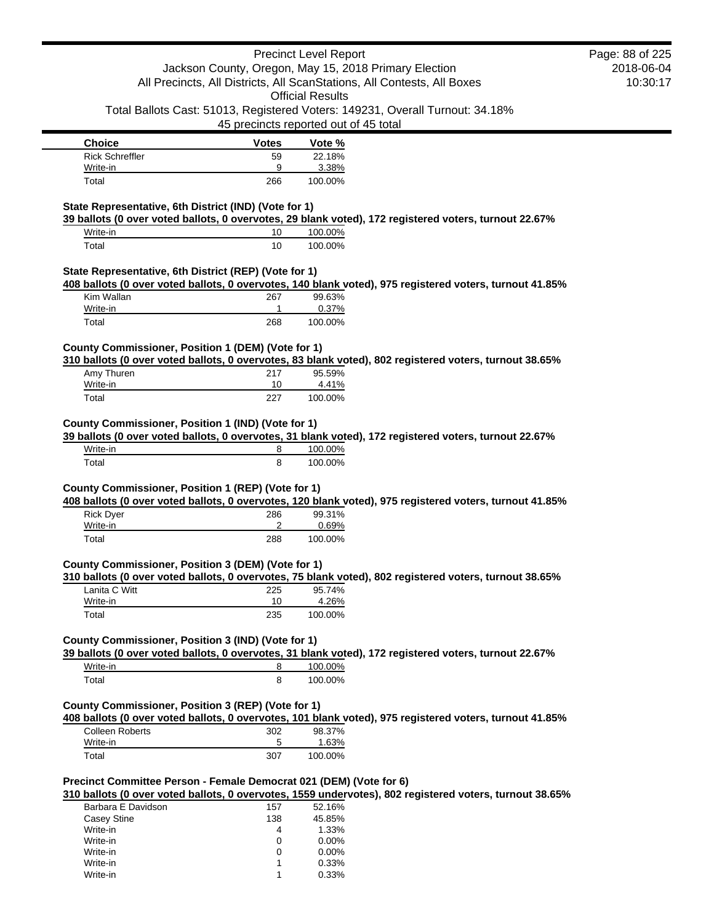| <b>Precinct Level Report</b>                                                                                                                                               |                                                                         |                                                                               |  | Page: 88 of 225 |
|----------------------------------------------------------------------------------------------------------------------------------------------------------------------------|-------------------------------------------------------------------------|-------------------------------------------------------------------------------|--|-----------------|
|                                                                                                                                                                            | Jackson County, Oregon, May 15, 2018 Primary Election                   |                                                                               |  | 2018-06-04      |
|                                                                                                                                                                            | All Precincts, All Districts, All ScanStations, All Contests, All Boxes |                                                                               |  | 10:30:17        |
|                                                                                                                                                                            |                                                                         | <b>Official Results</b>                                                       |  |                 |
|                                                                                                                                                                            |                                                                         | Total Ballots Cast: 51013, Registered Voters: 149231, Overall Turnout: 34.18% |  |                 |
|                                                                                                                                                                            |                                                                         | 45 precincts reported out of 45 total                                         |  |                 |
|                                                                                                                                                                            |                                                                         |                                                                               |  |                 |
| <b>Choice</b>                                                                                                                                                              | <b>Votes</b>                                                            | Vote %                                                                        |  |                 |
| <b>Rick Schreffler</b>                                                                                                                                                     | 59                                                                      | 22.18%                                                                        |  |                 |
|                                                                                                                                                                            |                                                                         |                                                                               |  |                 |
| Write-in                                                                                                                                                                   | 9                                                                       | 3.38%                                                                         |  |                 |
| Total                                                                                                                                                                      | 266                                                                     | 100.00%                                                                       |  |                 |
|                                                                                                                                                                            |                                                                         |                                                                               |  |                 |
|                                                                                                                                                                            |                                                                         |                                                                               |  |                 |
| State Representative, 6th District (IND) (Vote for 1)<br>39 ballots (0 over voted ballots, 0 overvotes, 29 blank voted), 172 registered voters, turnout 22.67%<br>Write-in | 10                                                                      | 100.00%                                                                       |  |                 |
| Total                                                                                                                                                                      | 10                                                                      | 100.00%                                                                       |  |                 |
| State Representative, 6th District (REP) (Vote for 1)                                                                                                                      |                                                                         |                                                                               |  |                 |
| 408 ballots (0 over voted ballots, 0 overvotes, 140 blank voted), 975 registered voters, turnout 41.85%                                                                    |                                                                         |                                                                               |  |                 |
| Kim Wallan                                                                                                                                                                 | 267                                                                     | 99.63%                                                                        |  |                 |
| Write-in                                                                                                                                                                   |                                                                         | 0.37%                                                                         |  |                 |

**310 ballots (0 over voted ballots, 0 overvotes, 83 blank voted), 802 registered voters, turnout 38.65%**

| Amy Thuren | 217 | 95.59%  |
|------------|-----|---------|
| Write-in   | 10  | 4.41%   |
| Total      | 227 | 100.00% |

## **County Commissioner, Position 1 (IND) (Vote for 1)**

**39 ballots (0 over voted ballots, 0 overvotes, 31 blank voted), 172 registered voters, turnout 22.67%**

| Write-in | o | 100.00% |
|----------|---|---------|
| ⊺otal    | 8 | 100.00% |

## **County Commissioner, Position 1 (REP) (Vote for 1)**

**408 ballots (0 over voted ballots, 0 overvotes, 120 blank voted), 975 registered voters, turnout 41.85%**

| <b>Rick Dyer</b> | 286 | 99.31%  |
|------------------|-----|---------|
| Write-in         |     | 0.69%   |
| Total            | 288 | 100.00% |

## **County Commissioner, Position 3 (DEM) (Vote for 1)**

**310 ballots (0 over voted ballots, 0 overvotes, 75 blank voted), 802 registered voters, turnout 38.65%**

| Lanita C Witt | 225 | 95.74%  |
|---------------|-----|---------|
| Write-in      | 10  | 4.26%   |
| Total         | 235 | 100.00% |

## **County Commissioner, Position 3 (IND) (Vote for 1)**

**39 ballots (0 over voted ballots, 0 overvotes, 31 blank voted), 172 registered voters, turnout 22.67%**

| Write-in | 100.00% |
|----------|---------|
| Гоtal    | 100.00% |

## **County Commissioner, Position 3 (REP) (Vote for 1)**

**408 ballots (0 over voted ballots, 0 overvotes, 101 blank voted), 975 registered voters, turnout 41.85%**

| Colleen Roberts | 302 | 98.37%  |
|-----------------|-----|---------|
| Write-in        |     | 1.63%   |
| Total           | 307 | 100.00% |

## **Precinct Committee Person - Female Democrat 021 (DEM) (Vote for 6)**

**310 ballots (0 over voted ballots, 0 overvotes, 1559 undervotes), 802 registered voters, turnout 38.65%**

| Barbara E Davidson | 157 | 52.16%   |
|--------------------|-----|----------|
| Casey Stine        | 138 | 45.85%   |
| Write-in           |     | 1.33%    |
| Write-in           | 0   | $0.00\%$ |
| Write-in           | O   | $0.00\%$ |
| Write-in           |     | 0.33%    |
| Write-in           |     | 0.33%    |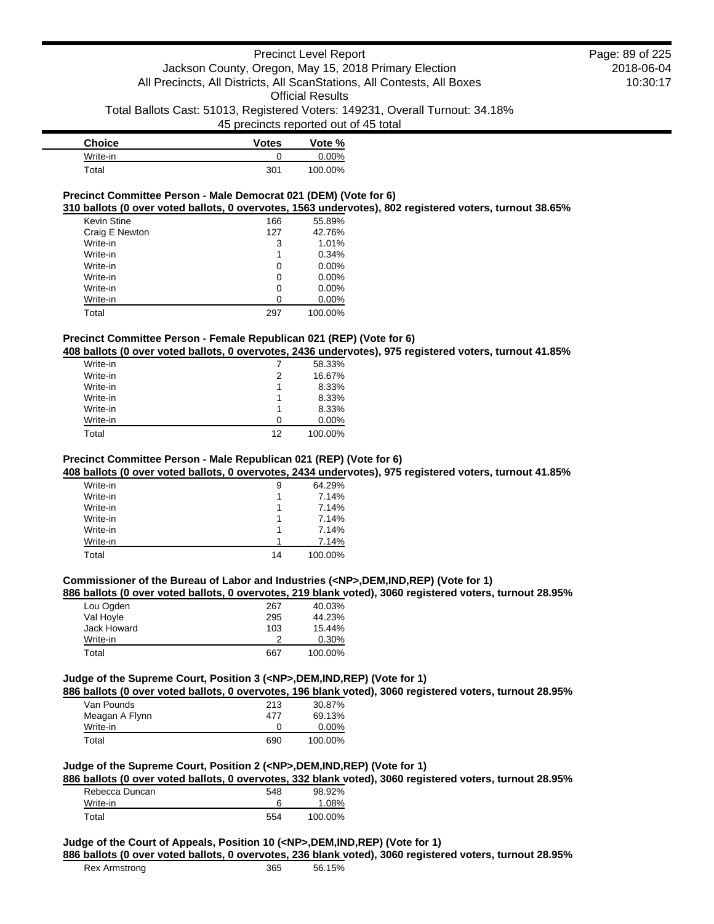| <b>Choice</b> | <b>Votes</b> | Vote %   |
|---------------|--------------|----------|
| Write-in      |              | $0.00\%$ |
| Total         | 301          | 100.00%  |

## **Precinct Committee Person - Male Democrat 021 (DEM) (Vote for 6)**

**310 ballots (0 over voted ballots, 0 overvotes, 1563 undervotes), 802 registered voters, turnout 38.65%**

| <b>Kevin Stine</b> | 166 | 55.89%   |
|--------------------|-----|----------|
| Craig E Newton     | 127 | 42.76%   |
| Write-in           | 3   | 1.01%    |
| Write-in           | 1   | 0.34%    |
| Write-in           | 0   | $0.00\%$ |
| Write-in           | 0   | 0.00%    |
| Write-in           | 0   | 0.00%    |
| Write-in           | 0   | 0.00%    |
| Total              | 297 | 100.00%  |

## **Precinct Committee Person - Female Republican 021 (REP) (Vote for 6)**

**408 ballots (0 over voted ballots, 0 overvotes, 2436 undervotes), 975 registered voters, turnout 41.85%**

| Write-in |    | 58.33%   |
|----------|----|----------|
| Write-in | 2  | 16.67%   |
| Write-in | 1  | 8.33%    |
| Write-in |    | 8.33%    |
| Write-in |    | 8.33%    |
| Write-in | O  | $0.00\%$ |
| Total    | 12 | 100.00%  |

## **Precinct Committee Person - Male Republican 021 (REP) (Vote for 6)**

**408 ballots (0 over voted ballots, 0 overvotes, 2434 undervotes), 975 registered voters, turnout 41.85%**

| Write-in | 9  | 64.29%  |
|----------|----|---------|
| Write-in |    | 7.14%   |
| Write-in |    | 7.14%   |
| Write-in |    | 7.14%   |
| Write-in |    | 7.14%   |
| Write-in | 1  | 7.14%   |
| Total    | 14 | 100.00% |

## **Commissioner of the Bureau of Labor and Industries (<NP>,DEM,IND,REP) (Vote for 1)**

#### **886 ballots (0 over voted ballots, 0 overvotes, 219 blank voted), 3060 registered voters, turnout 28.95%**

| Lou Ogden   | 267 | 40.03%  |
|-------------|-----|---------|
| Val Hoyle   | 295 | 44.23%  |
| Jack Howard | 103 | 15.44%  |
| Write-in    | າ   | 0.30%   |
| Total       | 667 | 100.00% |

## **Judge of the Supreme Court, Position 3 (<NP>,DEM,IND,REP) (Vote for 1)**

**886 ballots (0 over voted ballots, 0 overvotes, 196 blank voted), 3060 registered voters, turnout 28.95%**

| Van Pounds     | 213 | 30.87%   |
|----------------|-----|----------|
| Meagan A Flynn | 477 | 69.13%   |
| Write-in       |     | $0.00\%$ |
| Total          | 690 | 100.00%  |

## **Judge of the Supreme Court, Position 2 (<NP>,DEM,IND,REP) (Vote for 1)**

**886 ballots (0 over voted ballots, 0 overvotes, 332 blank voted), 3060 registered voters, turnout 28.95%**

| Rebecca Duncan | 548 | 98.92%  |
|----------------|-----|---------|
| Write-in       |     | 1.08%   |
| Total          | 554 | 100.00% |

## **Judge of the Court of Appeals, Position 10 (<NP>,DEM,IND,REP) (Vote for 1)**

**886 ballots (0 over voted ballots, 0 overvotes, 236 blank voted), 3060 registered voters, turnout 28.95%**

56.15%

| Rex Armstrong | 365 |
|---------------|-----|
|---------------|-----|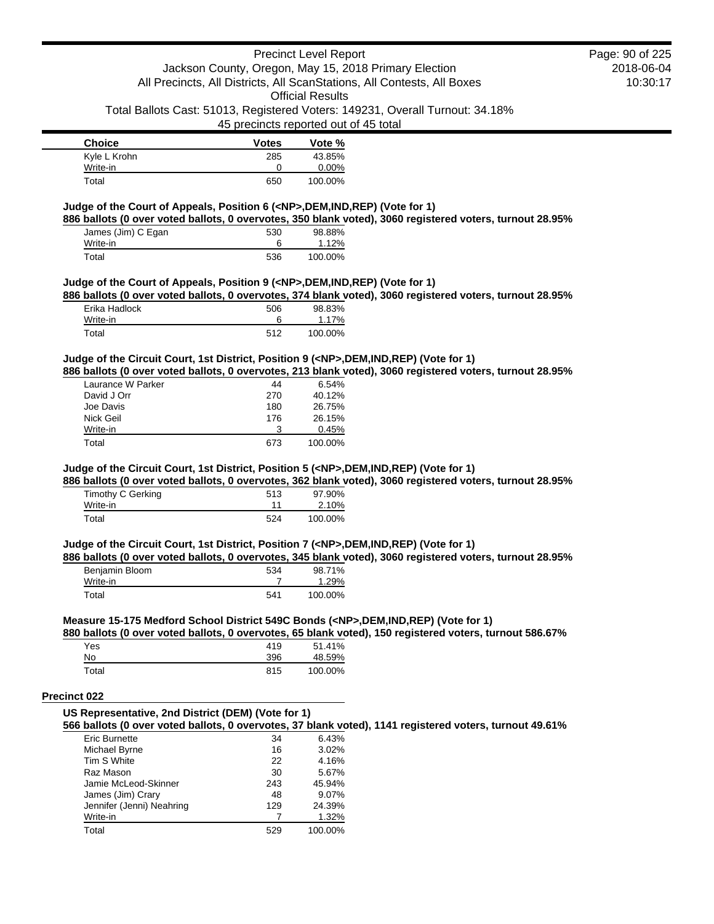45 precincts reported out of 45 total

| <b>Choice</b> | <b>Votes</b> | Vote %   |
|---------------|--------------|----------|
| Kyle L Krohn  | 285          | 43.85%   |
| Write-in      |              | $0.00\%$ |
| Total         | 650          | 100.00%  |

## **Judge of the Court of Appeals, Position 6 (<NP>,DEM,IND,REP) (Vote for 1)**

**886 ballots (0 over voted ballots, 0 overvotes, 350 blank voted), 3060 registered voters, turnout 28.95%**

| James (Jim) C Egan | 530 | 98.88%  |
|--------------------|-----|---------|
| Write-in           |     | 1.12%   |
| Total              | 536 | 100.00% |

## **Judge of the Court of Appeals, Position 9 (<NP>,DEM,IND,REP) (Vote for 1)**

**886 ballots (0 over voted ballots, 0 overvotes, 374 blank voted), 3060 registered voters, turnout 28.95%**

| Erika Hadlock | 506 | 98.83%  |
|---------------|-----|---------|
| Write-in      |     | 1.17%   |
| Total         | 512 | 100.00% |

## **Judge of the Circuit Court, 1st District, Position 9 (<NP>,DEM,IND,REP) (Vote for 1)**

**886 ballots (0 over voted ballots, 0 overvotes, 213 blank voted), 3060 registered voters, turnout 28.95%**

| Laurance W Parker | 44  | 6.54%   |
|-------------------|-----|---------|
| David J Orr       | 270 | 40.12%  |
| Joe Davis         | 180 | 26.75%  |
| Nick Geil         | 176 | 26.15%  |
| Write-in          | 3   | 0.45%   |
| Total             | 673 | 100.00% |

## **Judge of the Circuit Court, 1st District, Position 5 (<NP>,DEM,IND,REP) (Vote for 1)**

**886 ballots (0 over voted ballots, 0 overvotes, 362 blank voted), 3060 registered voters, turnout 28.95%**

| Timothy C Gerking | 513 | 97.90%  |
|-------------------|-----|---------|
| Write-in          |     | 2.10%   |
| Total             | 524 | 100.00% |

#### **Judge of the Circuit Court, 1st District, Position 7 (<NP>,DEM,IND,REP) (Vote for 1)**

**886 ballots (0 over voted ballots, 0 overvotes, 345 blank voted), 3060 registered voters, turnout 28.95%**

| Benjamin Bloom | 534 | 98.71%  |
|----------------|-----|---------|
| Write-in       |     | 1.29%   |
| Total          | 541 | 100.00% |

#### **Measure 15-175 Medford School District 549C Bonds (<NP>,DEM,IND,REP) (Vote for 1)**

**880 ballots (0 over voted ballots, 0 overvotes, 65 blank voted), 150 registered voters, turnout 586.67%**

| <b>Yes</b> | 419 | 51.41%  |
|------------|-----|---------|
| No.        | 396 | 48.59%  |
| Total      | 815 | 100.00% |

## **Precinct 022**

## **US Representative, 2nd District (DEM) (Vote for 1)**

**566 ballots (0 over voted ballots, 0 overvotes, 37 blank voted), 1141 registered voters, turnout 49.61%**

| Eric Burnette             | 34  | 6.43%   |
|---------------------------|-----|---------|
| Michael Byrne             | 16  | 3.02%   |
| Tim S White               | 22  | 4.16%   |
| Raz Mason                 | 30  | 5.67%   |
| Jamie McLeod-Skinner      | 243 | 45.94%  |
| James (Jim) Crary         | 48  | 9.07%   |
| Jennifer (Jenni) Neahring | 129 | 24.39%  |
| Write-in                  |     | 1.32%   |
| Total                     | 529 | 100.00% |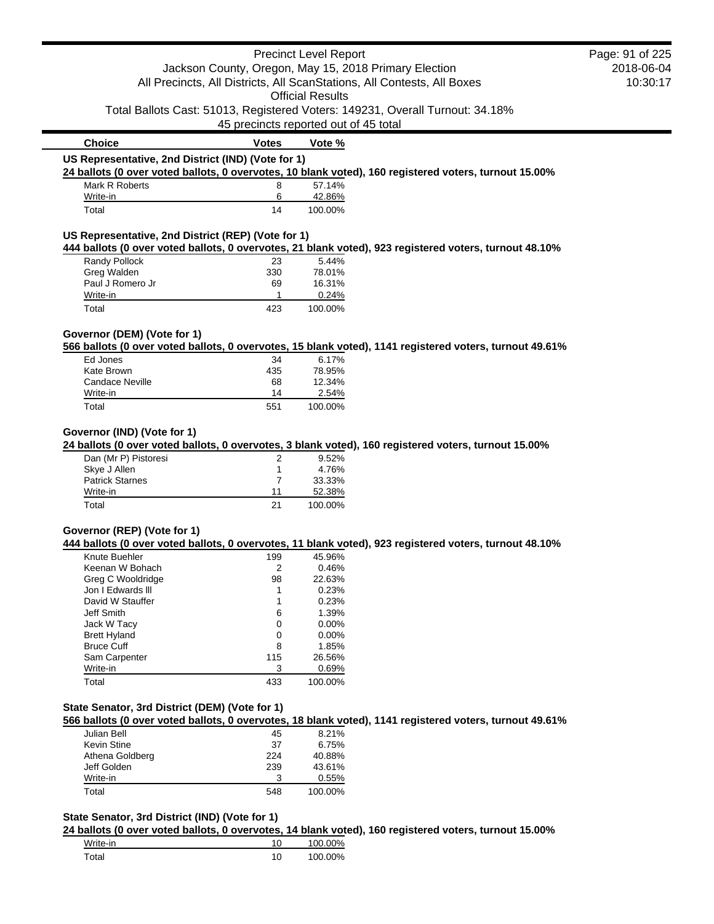|                                                    |                                       | <b>Precinct Level Report</b> |                                                                                                         | Page: 91 of 225 |
|----------------------------------------------------|---------------------------------------|------------------------------|---------------------------------------------------------------------------------------------------------|-----------------|
|                                                    |                                       |                              | Jackson County, Oregon, May 15, 2018 Primary Election                                                   | 2018-06-04      |
|                                                    |                                       |                              | All Precincts, All Districts, All ScanStations, All Contests, All Boxes                                 | 10:30:17        |
|                                                    |                                       | <b>Official Results</b>      |                                                                                                         |                 |
|                                                    |                                       |                              | Total Ballots Cast: 51013, Registered Voters: 149231, Overall Turnout: 34.18%                           |                 |
|                                                    | 45 precincts reported out of 45 total |                              |                                                                                                         |                 |
| <b>Choice</b>                                      | <b>Votes</b>                          | Vote %                       |                                                                                                         |                 |
| US Representative, 2nd District (IND) (Vote for 1) |                                       |                              |                                                                                                         |                 |
|                                                    |                                       |                              | 24 ballots (0 over voted ballots, 0 overvotes, 10 blank voted), 160 registered voters, turnout 15.00%   |                 |
| Mark R Roberts                                     | 8                                     | 57.14%                       |                                                                                                         |                 |
| Write-in                                           | 6                                     | 42.86%                       |                                                                                                         |                 |
| Total                                              | 14                                    | 100.00%                      |                                                                                                         |                 |
|                                                    |                                       |                              |                                                                                                         |                 |
| US Representative, 2nd District (REP) (Vote for 1) |                                       |                              | 444 ballots (0 over voted ballots, 0 overvotes, 21 blank voted), 923 registered voters, turnout 48.10%  |                 |
| Randy Pollock                                      | 23                                    | 5.44%                        |                                                                                                         |                 |
| Greg Walden                                        | 330                                   | 78.01%                       |                                                                                                         |                 |
| Paul J Romero Jr                                   | 69                                    | 16.31%                       |                                                                                                         |                 |
| Write-in                                           | 1                                     | 0.24%                        |                                                                                                         |                 |
| Total                                              | 423                                   | 100.00%                      |                                                                                                         |                 |
|                                                    |                                       |                              |                                                                                                         |                 |
| Governor (DEM) (Vote for 1)                        |                                       |                              |                                                                                                         |                 |
| Ed Jones                                           | 34                                    | 6.17%                        | 566 ballots (0 over voted ballots, 0 overvotes, 15 blank voted), 1141 registered voters, turnout 49.61% |                 |
| Kate Brown                                         | 435                                   | 78.95%                       |                                                                                                         |                 |
| <b>Candace Neville</b>                             | 68                                    | 12.34%                       |                                                                                                         |                 |
| Write-in                                           | 14                                    | 2.54%                        |                                                                                                         |                 |
| Total                                              | 551                                   | 100.00%                      |                                                                                                         |                 |
|                                                    |                                       |                              | 24 ballots (0 over voted ballots, 0 overvotes, 3 blank voted), 160 registered voters, turnout 15.00%    |                 |
| Dan (Mr P) Pistoresi                               | 2                                     | 9.52%                        |                                                                                                         |                 |
| Skye J Allen<br><b>Patrick Starnes</b>             | 1<br>$\overline{7}$                   | 4.76%<br>33.33%              |                                                                                                         |                 |
|                                                    |                                       |                              |                                                                                                         |                 |
| Write-in                                           | 11                                    | 52.38%                       |                                                                                                         |                 |
| Total                                              | 21                                    | 100.00%                      |                                                                                                         |                 |
| Governor (REP) (Vote for 1)                        |                                       |                              |                                                                                                         |                 |
|                                                    |                                       |                              | 444 ballots (0 over voted ballots, 0 overvotes, 11 blank voted), 923 registered voters, turnout 48.10%  |                 |
| Knute Buehler                                      | 199                                   | 45.96%                       |                                                                                                         |                 |
| Keenan W Bohach                                    | 2                                     | 0.46%                        |                                                                                                         |                 |
| Greg C Wooldridge                                  | 98                                    | 22.63%                       |                                                                                                         |                 |
| Jon I Edwards III                                  | 1                                     | 0.23%                        |                                                                                                         |                 |
| David W Stauffer                                   | 1                                     | 0.23%                        |                                                                                                         |                 |
| <b>Jeff Smith</b>                                  | 6                                     | 1.39%                        |                                                                                                         |                 |
| Jack W Tacy                                        | 0                                     | 0.00%                        |                                                                                                         |                 |
| <b>Brett Hyland</b><br><b>Bruce Cuff</b>           | 0                                     | 0.00%                        |                                                                                                         |                 |
| Sam Carpenter                                      | 8<br>115                              | 1.85%<br>26.56%              |                                                                                                         |                 |
| Write-in                                           | 3                                     | 0.69%                        |                                                                                                         |                 |
| Total                                              | 433                                   | 100.00%                      |                                                                                                         |                 |
|                                                    |                                       |                              |                                                                                                         |                 |
| State Senator, 3rd District (DEM) (Vote for 1)     |                                       |                              |                                                                                                         |                 |
|                                                    |                                       |                              | 566 ballots (0 over voted ballots, 0 overvotes, 18 blank voted), 1141 registered voters, turnout 49.61% |                 |
| Julian Bell                                        | 45                                    | 8.21%                        |                                                                                                         |                 |
| Kevin Stine                                        |                                       |                              |                                                                                                         |                 |
|                                                    | 37                                    | 6.75%                        |                                                                                                         |                 |
| Athena Goldberg                                    | 224                                   | 40.88%                       |                                                                                                         |                 |
| Jeff Golden<br>Write-in                            | 239<br>3                              | 43.61%<br>0.55%              |                                                                                                         |                 |

# **State Senator, 3rd District (IND) (Vote for 1)**

**24 ballots (0 over voted ballots, 0 overvotes, 14 blank voted), 160 registered voters, turnout 15.00%**

| Write-in    | 10 | 100.00% |
|-------------|----|---------|
| $\tau$ otal | 10 | 100.00% |

Total 548 100.00%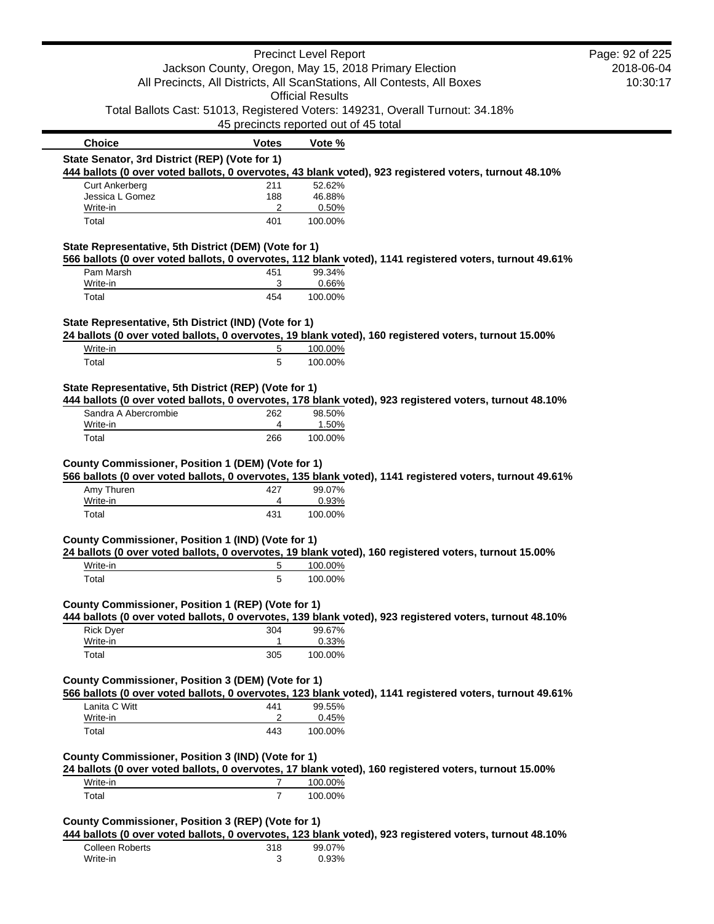| <b>Precinct Level Report</b>                                                                       |                | Page: 92 of 225                                                               |                                                                                                          |  |
|----------------------------------------------------------------------------------------------------|----------------|-------------------------------------------------------------------------------|----------------------------------------------------------------------------------------------------------|--|
| Jackson County, Oregon, May 15, 2018 Primary Election                                              |                | 2018-06-04                                                                    |                                                                                                          |  |
| All Precincts, All Districts, All ScanStations, All Contests, All Boxes<br><b>Official Results</b> |                |                                                                               | 10:30:17                                                                                                 |  |
|                                                                                                    |                | Total Ballots Cast: 51013, Registered Voters: 149231, Overall Turnout: 34.18% |                                                                                                          |  |
|                                                                                                    |                | 45 precincts reported out of 45 total                                         |                                                                                                          |  |
| <b>Choice</b>                                                                                      | <b>Votes</b>   | Vote %                                                                        |                                                                                                          |  |
| State Senator, 3rd District (REP) (Vote for 1)                                                     |                |                                                                               |                                                                                                          |  |
|                                                                                                    |                |                                                                               | 444 ballots (0 over voted ballots, 0 overvotes, 43 blank voted), 923 registered voters, turnout 48.10%   |  |
| <b>Curt Ankerberg</b><br>Jessica L Gomez                                                           | 211<br>188     | 52.62%<br>46.88%                                                              |                                                                                                          |  |
| Write-in                                                                                           | 2              | 0.50%                                                                         |                                                                                                          |  |
| Total                                                                                              | 401            | 100.00%                                                                       |                                                                                                          |  |
| State Representative, 5th District (DEM) (Vote for 1)                                              |                |                                                                               |                                                                                                          |  |
| Pam Marsh                                                                                          |                |                                                                               | 566 ballots (0 over voted ballots, 0 overvotes, 112 blank voted), 1141 registered voters, turnout 49.61% |  |
| Write-in                                                                                           | 451<br>3       | 99.34%<br>0.66%                                                               |                                                                                                          |  |
| Total                                                                                              | 454            | 100.00%                                                                       |                                                                                                          |  |
| State Representative, 5th District (IND) (Vote for 1)                                              |                |                                                                               |                                                                                                          |  |
|                                                                                                    |                |                                                                               | 24 ballots (0 over voted ballots, 0 overvotes, 19 blank voted), 160 registered voters, turnout 15.00%    |  |
| Write-in                                                                                           | 5              | 100.00%                                                                       |                                                                                                          |  |
| Total                                                                                              | 5              | 100.00%                                                                       |                                                                                                          |  |
| State Representative, 5th District (REP) (Vote for 1)                                              |                |                                                                               |                                                                                                          |  |
|                                                                                                    |                |                                                                               | 444 ballots (0 over voted ballots, 0 overvotes, 178 blank voted), 923 registered voters, turnout 48.10%  |  |
| Sandra A Abercrombie                                                                               | 262            | 98.50%                                                                        |                                                                                                          |  |
| Write-in<br>Total                                                                                  | 4<br>266       | 1.50%<br>100.00%                                                              |                                                                                                          |  |
| County Commissioner, Position 1 (DEM) (Vote for 1)                                                 |                |                                                                               | 566 ballots (0 over voted ballots, 0 overvotes, 135 blank voted), 1141 registered voters, turnout 49.61% |  |
| Amy Thuren<br>Write-in                                                                             | 427<br>4       | 99.07%<br>0.93%                                                               |                                                                                                          |  |
| Total                                                                                              | 431            | 100.00%                                                                       |                                                                                                          |  |
|                                                                                                    |                |                                                                               |                                                                                                          |  |
| County Commissioner, Position 1 (IND) (Vote for 1)                                                 |                |                                                                               | 24 ballots (0 over voted ballots, 0 overvotes, 19 blank voted), 160 registered voters, turnout 15.00%    |  |
| Write-in                                                                                           | 5              | 100.00%                                                                       |                                                                                                          |  |
| Total                                                                                              | 5              | 100.00%                                                                       |                                                                                                          |  |
|                                                                                                    |                |                                                                               |                                                                                                          |  |
| County Commissioner, Position 1 (REP) (Vote for 1)                                                 |                |                                                                               | 444 ballots (0 over voted ballots, 0 overvotes, 139 blank voted), 923 registered voters, turnout 48.10%  |  |
| <b>Rick Dyer</b>                                                                                   | 304            | 99.67%                                                                        |                                                                                                          |  |
| Write-in                                                                                           | $\mathbf{1}$   | 0.33%                                                                         |                                                                                                          |  |
| Total                                                                                              | 305            | 100.00%                                                                       |                                                                                                          |  |
|                                                                                                    |                |                                                                               |                                                                                                          |  |
| County Commissioner, Position 3 (DEM) (Vote for 1)                                                 |                |                                                                               | 566 ballots (0 over voted ballots, 0 overvotes, 123 blank voted), 1141 registered voters, turnout 49.61% |  |
| Lanita C Witt                                                                                      | 441            | 99.55%                                                                        |                                                                                                          |  |
| Write-in                                                                                           | $\overline{c}$ | 0.45%                                                                         |                                                                                                          |  |
| Total                                                                                              | 443            | 100.00%                                                                       |                                                                                                          |  |
| County Commissioner, Position 3 (IND) (Vote for 1)                                                 |                |                                                                               |                                                                                                          |  |
| Write-in                                                                                           | 7              | 100.00%                                                                       | 24 ballots (0 over voted ballots, 0 overvotes, 17 blank voted), 160 registered voters, turnout 15.00%    |  |
| Total                                                                                              | $\overline{7}$ | 100.00%                                                                       |                                                                                                          |  |
|                                                                                                    |                |                                                                               |                                                                                                          |  |
| County Commissioner, Position 3 (REP) (Vote for 1)                                                 |                |                                                                               |                                                                                                          |  |
|                                                                                                    |                |                                                                               | 444 ballots (0 over voted ballots, 0 overvotes, 123 blank voted), 923 registered voters, turnout 48.10%  |  |
| <b>Colleen Roberts</b><br>Write-in                                                                 | 318<br>3       | 99.07%<br>0.93%                                                               |                                                                                                          |  |
|                                                                                                    |                |                                                                               |                                                                                                          |  |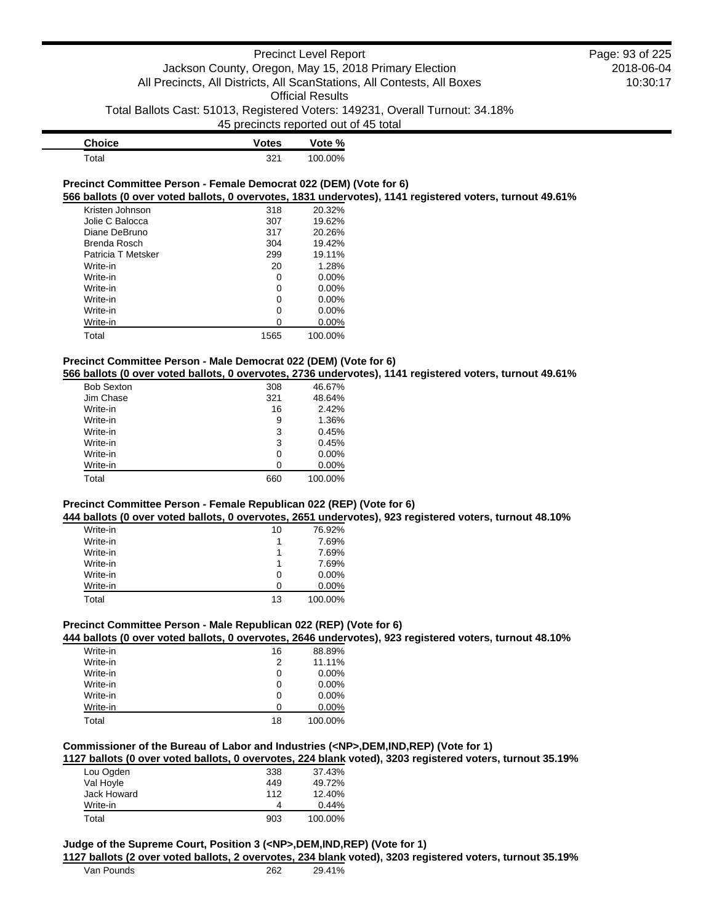| <b>Choice</b> | <b>Votes</b> | Vote %  |
|---------------|--------------|---------|
| ⊤otal         | 221          | 100.00% |

### **Precinct Committee Person - Female Democrat 022 (DEM) (Vote for 6) 566 ballots (0 over voted ballots, 0 overvotes, 1831 undervotes), 1141 registered voters, turnout 49.61%**

| Kristen Johnson    | 318  | 20.32%   |
|--------------------|------|----------|
| Jolie C Balocca    | 307  | 19.62%   |
| Diane DeBruno      | 317  | 20.26%   |
| Brenda Rosch       | 304  | 19.42%   |
| Patricia T Metsker | 299  | 19.11%   |
| Write-in           | 20   | 1.28%    |
| Write-in           | 0    | $0.00\%$ |
| Write-in           | 0    | $0.00\%$ |
| Write-in           | 0    | $0.00\%$ |
| Write-in           | 0    | $0.00\%$ |
| Write-in           |      | 0.00%    |
| Total              | 1565 | 100.00%  |

## **Precinct Committee Person - Male Democrat 022 (DEM) (Vote for 6)**

**566 ballots (0 over voted ballots, 0 overvotes, 2736 undervotes), 1141 registered voters, turnout 49.61%**

| <b>Bob Sexton</b> | 308 | 46.67%   |
|-------------------|-----|----------|
| Jim Chase         | 321 | 48.64%   |
| Write-in          | 16  | 2.42%    |
| Write-in          | 9   | 1.36%    |
| Write-in          | 3   | 0.45%    |
| Write-in          | 3   | 0.45%    |
| Write-in          | 0   | $0.00\%$ |
| Write-in          | ი   | $0.00\%$ |
| Total             | 660 | 100.00%  |

## **Precinct Committee Person - Female Republican 022 (REP) (Vote for 6)**

**444 ballots (0 over voted ballots, 0 overvotes, 2651 undervotes), 923 registered voters, turnout 48.10%**

| Write-in | 10 | 76.92%   |
|----------|----|----------|
| Write-in |    | 7.69%    |
| Write-in |    | 7.69%    |
| Write-in |    | 7.69%    |
| Write-in | 0  | $0.00\%$ |
| Write-in | Ω  | $0.00\%$ |
| Total    | 13 | 100.00%  |

# **Precinct Committee Person - Male Republican 022 (REP) (Vote for 6)**

## **444 ballots (0 over voted ballots, 0 overvotes, 2646 undervotes), 923 registered voters, turnout 48.10%**

| Write-in | 16 | 88.89%   |
|----------|----|----------|
| Write-in | 2  | 11.11%   |
| Write-in | 0  | $0.00\%$ |
| Write-in | 0  | $0.00\%$ |
| Write-in | 0  | $0.00\%$ |
| Write-in | O  | $0.00\%$ |
| Total    | 18 | 100.00%  |

## **Commissioner of the Bureau of Labor and Industries (<NP>,DEM,IND,REP) (Vote for 1)**

## **1127 ballots (0 over voted ballots, 0 overvotes, 224 blank voted), 3203 registered voters, turnout 35.19%**

| Lou Ogden   | 338 | 37.43%  |
|-------------|-----|---------|
| Val Hoyle   | 449 | 49.72%  |
| Jack Howard | 112 | 12.40%  |
| Write-in    | 4   | 0.44%   |
| Total       | 903 | 100.00% |

#### **Judge of the Supreme Court, Position 3 (<NP>,DEM,IND,REP) (Vote for 1)**

**1127 ballots (2 over voted ballots, 2 overvotes, 234 blank voted), 3203 registered voters, turnout 35.19%**

| Van Pounds | 262 | 29.41% |
|------------|-----|--------|
|            |     |        |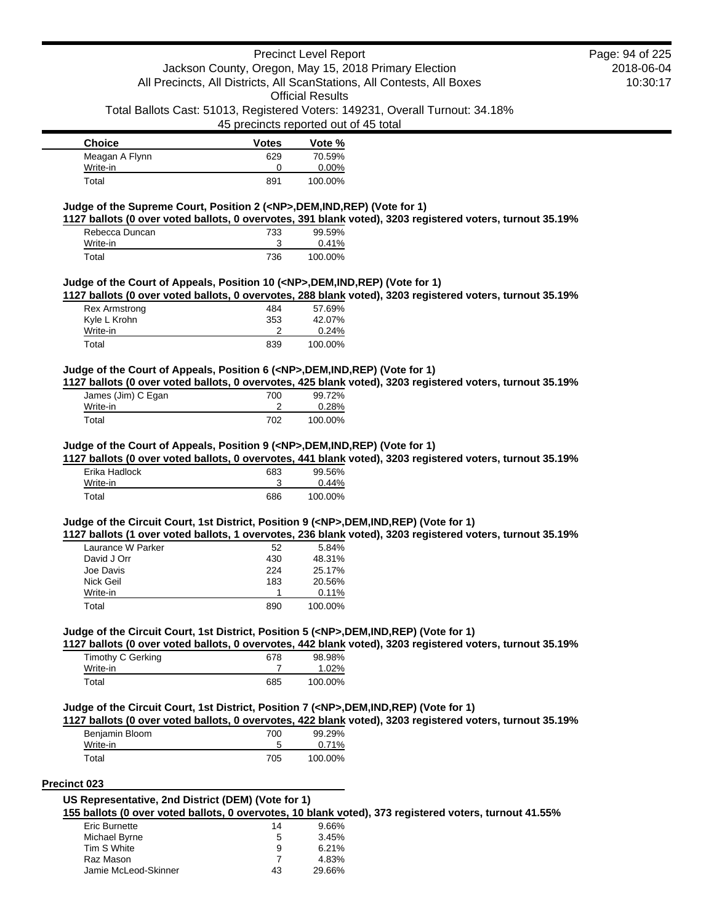45 precincts reported out of 45 total

| <b>Choice</b>  | <b>Votes</b> | Vote %   |
|----------------|--------------|----------|
| Meagan A Flynn | 629          | 70.59%   |
| Write-in       |              | $0.00\%$ |
| Total          | 891          | 100.00%  |

### **Judge of the Supreme Court, Position 2 (<NP>,DEM,IND,REP) (Vote for 1)**

**1127 ballots (0 over voted ballots, 0 overvotes, 391 blank voted), 3203 registered voters, turnout 35.19%**

| Rebecca Duncan | 733 | 99.59%   |
|----------------|-----|----------|
| Write-in       |     | $0.41\%$ |
| Total          | 736 | 100.00%  |

#### **Judge of the Court of Appeals, Position 10 (<NP>,DEM,IND,REP) (Vote for 1)**

**1127 ballots (0 over voted ballots, 0 overvotes, 288 blank voted), 3203 registered voters, turnout 35.19%**

| Rex Armstrong | 484 | 57.69%  |
|---------------|-----|---------|
| Kyle L Krohn  | 353 | 42.07%  |
| Write-in      |     | 0.24%   |
| Total         | 839 | 100.00% |

## **Judge of the Court of Appeals, Position 6 (<NP>,DEM,IND,REP) (Vote for 1)**

**1127 ballots (0 over voted ballots, 0 overvotes, 425 blank voted), 3203 registered voters, turnout 35.19%**

| James (Jim) C Egan | 700 | 99.72%  |
|--------------------|-----|---------|
| Write-in           |     | 0.28%   |
| Total              | 702 | 100.00% |

### **Judge of the Court of Appeals, Position 9 (<NP>,DEM,IND,REP) (Vote for 1)**

**1127 ballots (0 over voted ballots, 0 overvotes, 441 blank voted), 3203 registered voters, turnout 35.19%**

| Erika Hadlock | 683 | 99.56%  |
|---------------|-----|---------|
| Write-in      |     | 0.44%   |
| Total         | 686 | 100.00% |

#### **Judge of the Circuit Court, 1st District, Position 9 (<NP>,DEM,IND,REP) (Vote for 1)**

**1127 ballots (1 over voted ballots, 1 overvotes, 236 blank voted), 3203 registered voters, turnout 35.19%**

| Laurance W Parker | 52  | 5.84%   |
|-------------------|-----|---------|
| David J Orr       | 430 | 48.31%  |
| Joe Davis         | 224 | 25.17%  |
| Nick Geil         | 183 | 20.56%  |
| Write-in          |     | 0.11%   |
| Total             | 890 | 100.00% |
|                   |     |         |

### **Judge of the Circuit Court, 1st District, Position 5 (<NP>,DEM,IND,REP) (Vote for 1)**

**1127 ballots (0 over voted ballots, 0 overvotes, 442 blank voted), 3203 registered voters, turnout 35.19%**

| Timothy C Gerking | 678 | 98.98%  |
|-------------------|-----|---------|
| Write-in          |     | 1.02%   |
| Total             | 685 | 100.00% |

#### **Judge of the Circuit Court, 1st District, Position 7 (<NP>,DEM,IND,REP) (Vote for 1)**

**1127 ballots (0 over voted ballots, 0 overvotes, 422 blank voted), 3203 registered voters, turnout 35.19%**

| Benjamin Bloom | 700 | 99.29%  |
|----------------|-----|---------|
| Write-in       |     | 0.71%   |
| Total          | 705 | 100.00% |

#### **Precinct 023**

| US Representative, 2nd District (DEM) (Vote for 1) |                                                                                                        |  |
|----------------------------------------------------|--------------------------------------------------------------------------------------------------------|--|
|                                                    | 155 ballots (0 over voted ballots, 0 overvotes, 10 blank voted), 373 registered voters, turnout 41.55% |  |

| Eric Burnette        | 14 | 9.66%  |
|----------------------|----|--------|
| Michael Byrne        | 5  | 3.45%  |
| Tim S White          | 9  | 6.21%  |
| Raz Mason            |    | 4.83%  |
| Jamie McLeod-Skinner | 43 | 29.66% |
|                      |    |        |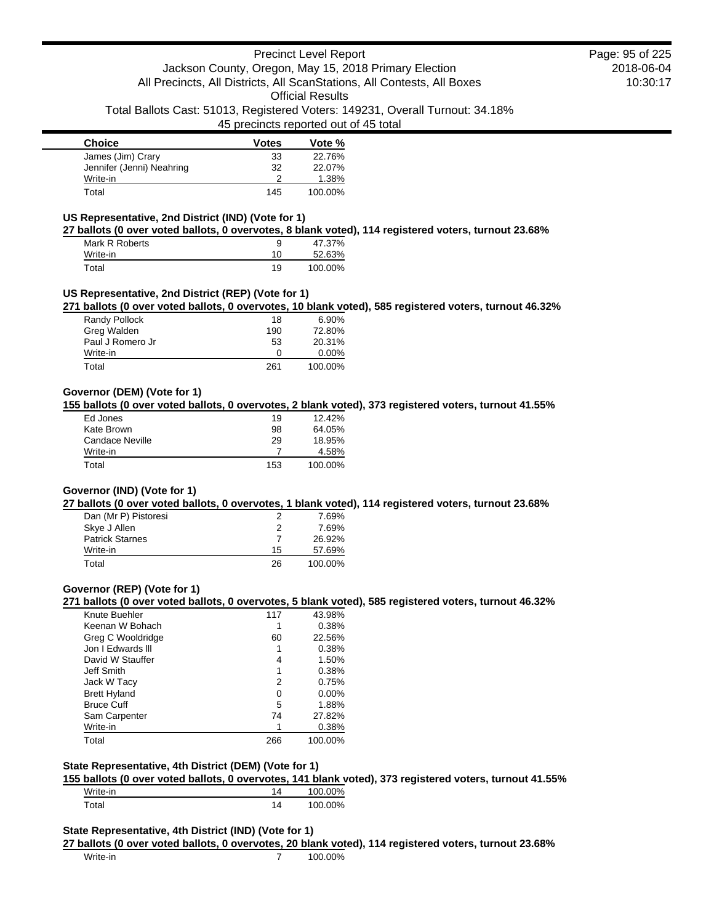## 45 precincts reported out of 45 total

| <b>Choice</b>             | <b>Votes</b> | Vote %  |
|---------------------------|--------------|---------|
| James (Jim) Crary         | 33           | 22.76%  |
| Jennifer (Jenni) Neahring | 32           | 22.07%  |
| Write-in                  |              | 1.38%   |
| Total                     | 145          | 100.00% |

## **US Representative, 2nd District (IND) (Vote for 1)**

**27 ballots (0 over voted ballots, 0 overvotes, 8 blank voted), 114 registered voters, turnout 23.68%**

| Mark R Roberts | 9  | 47.37%  |
|----------------|----|---------|
| Write-in       | 10 | 52.63%  |
| Total          | 19 | 100.00% |

## **US Representative, 2nd District (REP) (Vote for 1)**

**271 ballots (0 over voted ballots, 0 overvotes, 10 blank voted), 585 registered voters, turnout 46.32%**

| Randy Pollock    | 18  | 6.90%    |
|------------------|-----|----------|
| Greg Walden      | 190 | 72.80%   |
| Paul J Romero Jr | 53  | 20.31%   |
| Write-in         | O   | $0.00\%$ |
| Total            | 261 | 100.00%  |

# **Governor (DEM) (Vote for 1)**

**155 ballots (0 over voted ballots, 0 overvotes, 2 blank voted), 373 registered voters, turnout 41.55%**

| Ed Jones        | 19  | $12.42\%$ |
|-----------------|-----|-----------|
| Kate Brown      | 98  | 64.05%    |
| Candace Neville | 29  | 18.95%    |
| Write-in        |     | 4.58%     |
| Total           | 153 | 100.00%   |

#### **Governor (IND) (Vote for 1)**

**27 ballots (0 over voted ballots, 0 overvotes, 1 blank voted), 114 registered voters, turnout 23.68%**

| Dan (Mr P) Pistoresi   |    | 7.69%   |
|------------------------|----|---------|
| Skye J Allen           | 2  | 7.69%   |
| <b>Patrick Starnes</b> |    | 26.92%  |
| Write-in               | 15 | 57.69%  |
| Total                  | 26 | 100.00% |

## **Governor (REP) (Vote for 1)**

**271 ballots (0 over voted ballots, 0 overvotes, 5 blank voted), 585 registered voters, turnout 46.32%**

| Knute Buehler       | 117 | 43.98%   |
|---------------------|-----|----------|
| Keenan W Bohach     |     | 0.38%    |
| Greg C Wooldridge   | 60  | 22.56%   |
| Jon I Edwards III   |     | 0.38%    |
| David W Stauffer    | 4   | 1.50%    |
| Jeff Smith          | 1   | 0.38%    |
| Jack W Tacy         | 2   | 0.75%    |
| <b>Brett Hyland</b> | 0   | $0.00\%$ |
| <b>Bruce Cuff</b>   | 5   | 1.88%    |
| Sam Carpenter       | 74  | 27.82%   |
| Write-in            |     | 0.38%    |
| Total               | 266 | 100.00%  |
|                     |     |          |

## **State Representative, 4th District (DEM) (Vote for 1)**

**155 ballots (0 over voted ballots, 0 overvotes, 141 blank voted), 373 registered voters, turnout 41.55%**

| Write-in          | 14 | 100.00% |
|-------------------|----|---------|
| <sup>-</sup> otal | 14 | 100.00% |

### **State Representative, 4th District (IND) (Vote for 1)**

**27 ballots (0 over voted ballots, 0 overvotes, 20 blank voted), 114 registered voters, turnout 23.68%**

Write-in 200.00%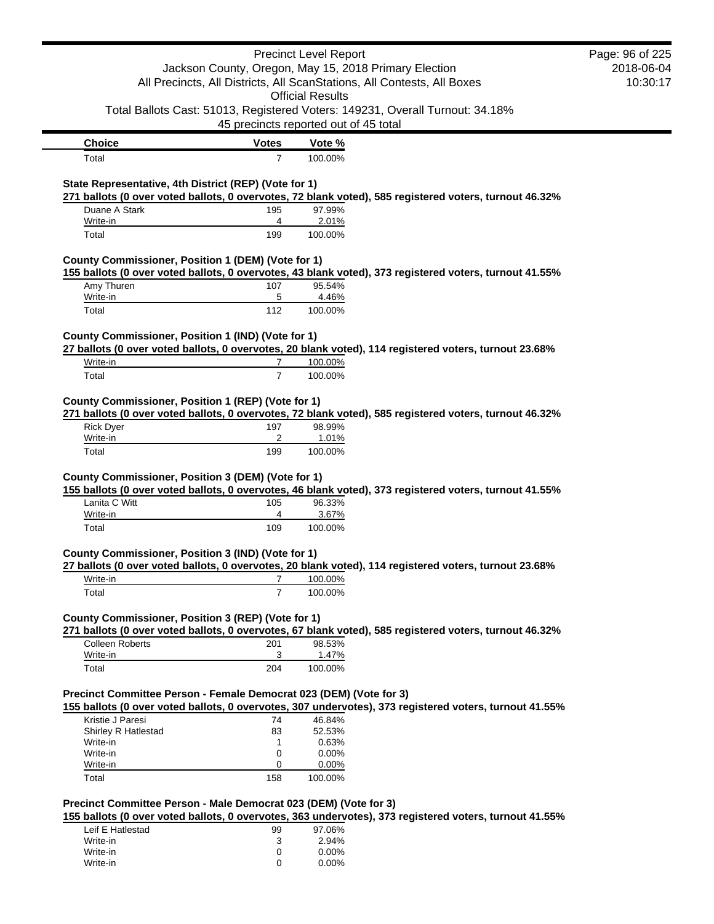|                                                                                                                                  |                | <b>Precinct Level Report</b>                                                                                     | Page: 96 of 225 |
|----------------------------------------------------------------------------------------------------------------------------------|----------------|------------------------------------------------------------------------------------------------------------------|-----------------|
| Jackson County, Oregon, May 15, 2018 Primary Election<br>All Precincts, All Districts, All ScanStations, All Contests, All Boxes |                | 2018-06-04                                                                                                       |                 |
|                                                                                                                                  |                | 10:30:17                                                                                                         |                 |
|                                                                                                                                  |                | <b>Official Results</b>                                                                                          |                 |
|                                                                                                                                  |                | Total Ballots Cast: 51013, Registered Voters: 149231, Overall Turnout: 34.18%                                    |                 |
|                                                                                                                                  |                | 45 precincts reported out of 45 total                                                                            |                 |
| <b>Choice</b>                                                                                                                    | <b>Votes</b>   | Vote %                                                                                                           |                 |
| Total                                                                                                                            | $\overline{7}$ | 100.00%                                                                                                          |                 |
|                                                                                                                                  |                |                                                                                                                  |                 |
| State Representative, 4th District (REP) (Vote for 1)                                                                            |                | 271 ballots (0 over voted ballots, 0 overvotes, 72 blank voted), 585 registered voters, turnout 46.32%           |                 |
| Duane A Stark                                                                                                                    | 195            | 97.99%                                                                                                           |                 |
| Write-in                                                                                                                         | 4              | 2.01%                                                                                                            |                 |
| Total                                                                                                                            | 199            | 100.00%                                                                                                          |                 |
| County Commissioner, Position 1 (DEM) (Vote for 1)                                                                               |                |                                                                                                                  |                 |
|                                                                                                                                  |                | 155 ballots (0 over voted ballots, 0 overvotes, 43 blank voted), 373 registered voters, turnout 41.55%           |                 |
| Amy Thuren                                                                                                                       | 107            | 95.54%                                                                                                           |                 |
| Write-in                                                                                                                         | 5              | 4.46%                                                                                                            |                 |
| Total                                                                                                                            | 112            | 100.00%                                                                                                          |                 |
| County Commissioner, Position 1 (IND) (Vote for 1)                                                                               |                |                                                                                                                  |                 |
|                                                                                                                                  |                | 27 ballots (0 over voted ballots, 0 overvotes, 20 blank voted), 114 registered voters, turnout 23.68%            |                 |
| Write-in                                                                                                                         | 7              | 100.00%                                                                                                          |                 |
| Total                                                                                                                            | $\overline{7}$ | 100.00%                                                                                                          |                 |
|                                                                                                                                  |                |                                                                                                                  |                 |
| County Commissioner, Position 1 (REP) (Vote for 1)                                                                               |                |                                                                                                                  |                 |
|                                                                                                                                  |                | 271 ballots (0 over voted ballots, 0 overvotes, 72 blank voted), 585 registered voters, turnout 46.32%           |                 |
| <b>Rick Dyer</b>                                                                                                                 | 197            | 98.99%                                                                                                           |                 |
| Write-in                                                                                                                         | 2              | 1.01%                                                                                                            |                 |
| Total                                                                                                                            | 199            | 100.00%                                                                                                          |                 |
| County Commissioner, Position 3 (DEM) (Vote for 1)                                                                               |                |                                                                                                                  |                 |
|                                                                                                                                  |                | 155 ballots (0 over voted ballots, 0 overvotes, 46 blank voted), 373 registered voters, turnout 41.55%           |                 |
| Lanita C Witt                                                                                                                    | 105            | 96.33%                                                                                                           |                 |
| Write-in                                                                                                                         | 4              | 3.67%                                                                                                            |                 |
| Total                                                                                                                            | 109            | 100.00%                                                                                                          |                 |
|                                                                                                                                  |                |                                                                                                                  |                 |
| County Commissioner, Position 3 (IND) (Vote for 1)                                                                               |                |                                                                                                                  |                 |
| Write-in                                                                                                                         | 7              | 27 ballots (0 over voted ballots, 0 overvotes, 20 blank voted), 114 registered voters, turnout 23.68%<br>100.00% |                 |
| Total                                                                                                                            | $\overline{7}$ | 100.00%                                                                                                          |                 |
|                                                                                                                                  |                |                                                                                                                  |                 |
| County Commissioner, Position 3 (REP) (Vote for 1)                                                                               |                |                                                                                                                  |                 |
|                                                                                                                                  |                | 271 ballots (0 over voted ballots, 0 overvotes, 67 blank voted), 585 registered voters, turnout 46.32%           |                 |
| <b>Colleen Roberts</b>                                                                                                           | 201            | 98.53%                                                                                                           |                 |
| Write-in                                                                                                                         | 3              | 1.47%                                                                                                            |                 |
| Total                                                                                                                            | 204            | 100.00%                                                                                                          |                 |
|                                                                                                                                  |                |                                                                                                                  |                 |
| Precinct Committee Person - Female Democrat 023 (DEM) (Vote for 3)                                                               |                |                                                                                                                  |                 |
|                                                                                                                                  |                | 155 ballots (0 over voted ballots, 0 overvotes, 307 undervotes), 373 registered voters, turnout 41.55%           |                 |
| Kristie J Paresi                                                                                                                 | 74             | 46.84%                                                                                                           |                 |
| Shirley R Hatlestad                                                                                                              | 83             | 52.53%                                                                                                           |                 |
| Write-in<br>Write-in                                                                                                             | 1<br>0         | 0.63%<br>0.00%                                                                                                   |                 |
| Write-in                                                                                                                         | 0              | 0.00%                                                                                                            |                 |
| Total                                                                                                                            | 158            | 100.00%                                                                                                          |                 |
|                                                                                                                                  |                |                                                                                                                  |                 |
| Precinct Committee Person - Male Democrat 023 (DEM) (Vote for 3)                                                                 |                |                                                                                                                  |                 |
|                                                                                                                                  |                | 155 ballots (0 over voted ballots, 0 overvotes, 363 undervotes), 373 registered voters, turnout 41.55%           |                 |
| Leif E Hatlestad                                                                                                                 | 99             | 97.06%                                                                                                           |                 |
| Write-in                                                                                                                         | 3              | 2.94%                                                                                                            |                 |
| Write-in<br>Write-in                                                                                                             | 0<br>0         | 0.00%<br>$0.00\%$                                                                                                |                 |
|                                                                                                                                  |                |                                                                                                                  |                 |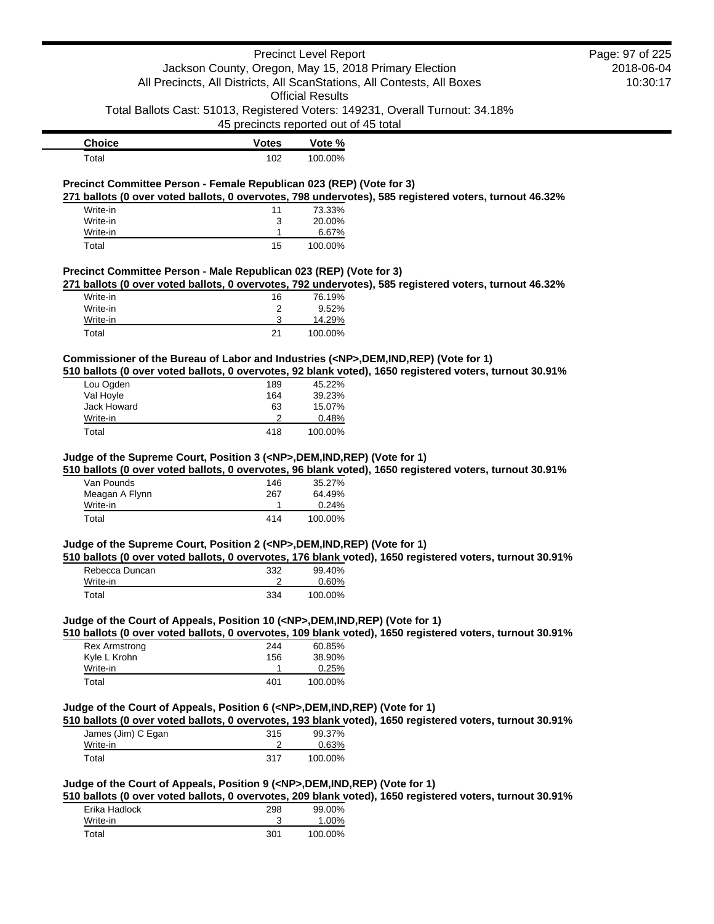|                                                                                             |                   | <b>Precinct Level Report</b>                                            |                                                                                                          | Page: 97 of 225 |
|---------------------------------------------------------------------------------------------|-------------------|-------------------------------------------------------------------------|----------------------------------------------------------------------------------------------------------|-----------------|
|                                                                                             |                   | Jackson County, Oregon, May 15, 2018 Primary Election                   |                                                                                                          | 2018-06-04      |
|                                                                                             |                   | All Precincts, All Districts, All ScanStations, All Contests, All Boxes |                                                                                                          | 10:30:17        |
|                                                                                             |                   | <b>Official Results</b>                                                 |                                                                                                          |                 |
|                                                                                             |                   |                                                                         | Total Ballots Cast: 51013, Registered Voters: 149231, Overall Turnout: 34.18%                            |                 |
|                                                                                             |                   | 45 precincts reported out of 45 total                                   |                                                                                                          |                 |
| <b>Choice</b>                                                                               | <b>Votes</b>      | Vote %                                                                  |                                                                                                          |                 |
| Total                                                                                       | 102               | 100.00%                                                                 |                                                                                                          |                 |
| Precinct Committee Person - Female Republican 023 (REP) (Vote for 3)                        |                   |                                                                         |                                                                                                          |                 |
|                                                                                             |                   |                                                                         | 271 ballots (0 over voted ballots, 0 overvotes, 798 undervotes), 585 registered voters, turnout 46.32%   |                 |
| Write-in                                                                                    | 11                | 73.33%                                                                  |                                                                                                          |                 |
| Write-in                                                                                    | 3<br>$\mathbf{1}$ | 20.00%                                                                  |                                                                                                          |                 |
| Write-in<br>Total                                                                           | 15                | 6.67%<br>100.00%                                                        |                                                                                                          |                 |
|                                                                                             |                   |                                                                         |                                                                                                          |                 |
| Precinct Committee Person - Male Republican 023 (REP) (Vote for 3)                          |                   |                                                                         | 271 ballots (0 over voted ballots, 0 overvotes, 792 undervotes), 585 registered voters, turnout 46.32%   |                 |
| Write-in                                                                                    | 16                | 76.19%                                                                  |                                                                                                          |                 |
| Write-in                                                                                    | 2                 | 9.52%                                                                   |                                                                                                          |                 |
| Write-in                                                                                    | 3                 | 14.29%                                                                  |                                                                                                          |                 |
| Total                                                                                       | 21                | 100.00%                                                                 |                                                                                                          |                 |
| Commissioner of the Bureau of Labor and Industries ( <np>,DEM,IND,REP) (Vote for 1)</np>    |                   |                                                                         |                                                                                                          |                 |
|                                                                                             |                   |                                                                         | 510 ballots (0 over voted ballots, 0 overvotes, 92 blank voted), 1650 registered voters, turnout 30.91%  |                 |
| Lou Ogden                                                                                   | 189               | 45.22%                                                                  |                                                                                                          |                 |
| Val Hoyle                                                                                   | 164               | 39.23%                                                                  |                                                                                                          |                 |
| Jack Howard                                                                                 | 63                | 15.07%                                                                  |                                                                                                          |                 |
|                                                                                             |                   |                                                                         |                                                                                                          |                 |
| Write-in                                                                                    | 2                 | 0.48%                                                                   |                                                                                                          |                 |
| Total                                                                                       | 418               | 100.00%                                                                 |                                                                                                          |                 |
| Judge of the Supreme Court, Position 3 ( <np>,DEM,IND,REP) (Vote for 1)<br/>Van Pounds</np> | 146               | 35.27%                                                                  | 510 ballots (0 over voted ballots, 0 overvotes, 96 blank voted), 1650 registered voters, turnout 30.91%  |                 |
| Meagan A Flynn                                                                              | 267               | 64.49%                                                                  |                                                                                                          |                 |
| Write-in                                                                                    | 1                 | 0.24%                                                                   |                                                                                                          |                 |
| Total                                                                                       | 414               | 100.00%                                                                 |                                                                                                          |                 |
| Judge of the Supreme Court, Position 2 ( <np>,DEM,IND,REP) (Vote for 1)</np>                |                   |                                                                         |                                                                                                          |                 |
|                                                                                             |                   |                                                                         | 510 ballots (0 over voted ballots, 0 overvotes, 176 blank voted), 1650 registered voters, turnout 30.91% |                 |
| Rebecca Duncan<br>Write-in                                                                  | 332<br>2          | 99.40%<br>0.60%                                                         |                                                                                                          |                 |
| Total                                                                                       | 334               | 100.00%                                                                 |                                                                                                          |                 |
|                                                                                             |                   |                                                                         |                                                                                                          |                 |
| Judge of the Court of Appeals, Position 10 ( <np>, DEM, IND, REP) (Vote for 1)</np>         |                   |                                                                         | 510 ballots (0 over voted ballots, 0 overvotes, 109 blank voted), 1650 registered voters, turnout 30.91% |                 |
| <b>Rex Armstrong</b>                                                                        | 244               | 60.85%                                                                  |                                                                                                          |                 |
| Kyle L Krohn                                                                                | 156               | 38.90%                                                                  |                                                                                                          |                 |
| Write-in<br>Total                                                                           | 1<br>401          | 0.25%<br>100.00%                                                        |                                                                                                          |                 |
|                                                                                             |                   |                                                                         |                                                                                                          |                 |
| Judge of the Court of Appeals, Position 6 ( <np>,DEM,IND,REP) (Vote for 1)</np>             |                   |                                                                         | 510 ballots (0 over voted ballots, 0 overvotes, 193 blank voted), 1650 registered voters, turnout 30.91% |                 |
| James (Jim) C Egan                                                                          | 315               | 99.37%                                                                  |                                                                                                          |                 |
| Write-in                                                                                    | 2                 | 0.63%                                                                   |                                                                                                          |                 |
| Total                                                                                       | 317               | 100.00%                                                                 |                                                                                                          |                 |
| Judge of the Court of Appeals, Position 9 ( <np>,DEM,IND,REP) (Vote for 1)</np>             |                   |                                                                         |                                                                                                          |                 |
| Erika Hadlock                                                                               | 298               | 99.00%                                                                  | 510 ballots (0 over voted ballots, 0 overvotes, 209 blank voted), 1650 registered voters, turnout 30.91% |                 |
| Write-in                                                                                    | 3                 | 1.00%                                                                   |                                                                                                          |                 |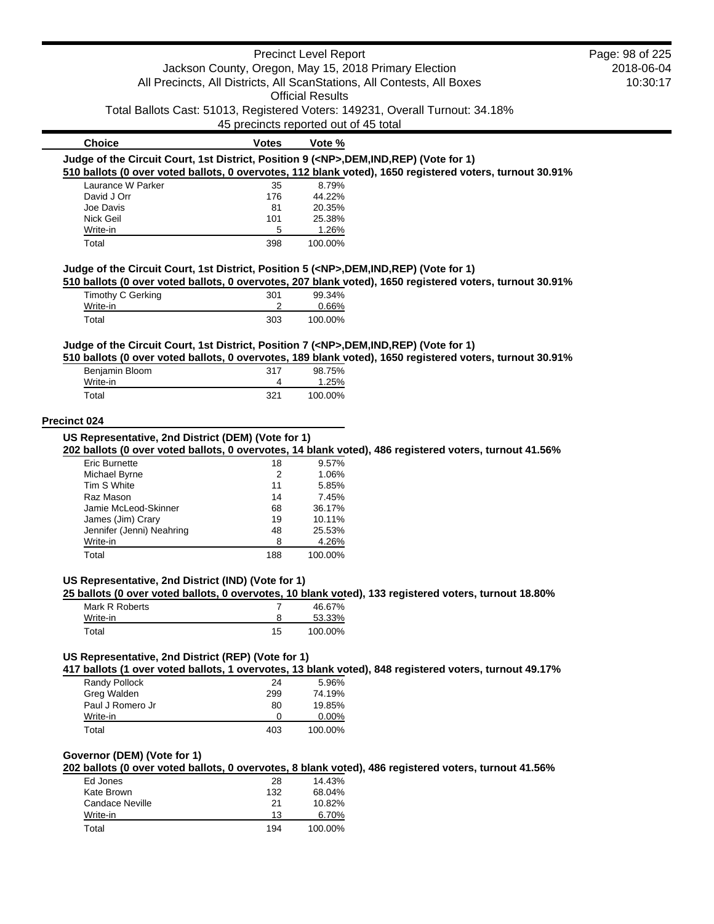|                                                                                            |                                       | <b>Precinct Level Report</b> |                                                                                                          | Page: 98 of 225 |
|--------------------------------------------------------------------------------------------|---------------------------------------|------------------------------|----------------------------------------------------------------------------------------------------------|-----------------|
|                                                                                            |                                       |                              | Jackson County, Oregon, May 15, 2018 Primary Election                                                    | 2018-06-04      |
|                                                                                            |                                       |                              | All Precincts, All Districts, All ScanStations, All Contests, All Boxes                                  | 10:30:17        |
|                                                                                            |                                       | <b>Official Results</b>      |                                                                                                          |                 |
|                                                                                            |                                       |                              |                                                                                                          |                 |
|                                                                                            |                                       |                              | Total Ballots Cast: 51013, Registered Voters: 149231, Overall Turnout: 34.18%                            |                 |
|                                                                                            | 45 precincts reported out of 45 total |                              |                                                                                                          |                 |
| <b>Choice</b>                                                                              | <b>Votes</b>                          | Vote %                       |                                                                                                          |                 |
| Judge of the Circuit Court, 1st District, Position 9 ( <np>,DEM,IND,REP) (Vote for 1)</np> |                                       |                              |                                                                                                          |                 |
|                                                                                            |                                       |                              | 510 ballots (0 over voted ballots, 0 overvotes, 112 blank voted), 1650 registered voters, turnout 30.91% |                 |
| Laurance W Parker                                                                          | 35                                    | 8.79%                        |                                                                                                          |                 |
| David J Orr                                                                                | 176                                   | 44.22%                       |                                                                                                          |                 |
| Joe Davis                                                                                  | 81                                    | 20.35%                       |                                                                                                          |                 |
| Nick Geil                                                                                  | 101                                   | 25.38%                       |                                                                                                          |                 |
| Write-in                                                                                   | 5                                     | 1.26%                        |                                                                                                          |                 |
| Total                                                                                      | 398                                   | 100.00%                      |                                                                                                          |                 |
| Judge of the Circuit Court, 1st District, Position 5 ( <np>,DEM,IND,REP) (Vote for 1)</np> |                                       |                              |                                                                                                          |                 |
|                                                                                            |                                       |                              | 510 ballots (0 over voted ballots, 0 overvotes, 207 blank voted), 1650 registered voters, turnout 30.91% |                 |
| <b>Timothy C Gerking</b>                                                                   | 301                                   | 99.34%                       |                                                                                                          |                 |
| Write-in                                                                                   | 2                                     | 0.66%                        |                                                                                                          |                 |
| Total                                                                                      | 303                                   | 100.00%                      |                                                                                                          |                 |
| Judge of the Circuit Court, 1st District, Position 7 ( <np>,DEM,IND,REP) (Vote for 1)</np> |                                       |                              |                                                                                                          |                 |
|                                                                                            |                                       |                              | 510 ballots (0 over voted ballots, 0 overvotes, 189 blank voted), 1650 registered voters, turnout 30.91% |                 |
| Benjamin Bloom                                                                             | 317                                   | 98.75%                       |                                                                                                          |                 |
| Write-in                                                                                   | 4                                     | 1.25%                        |                                                                                                          |                 |
| Total                                                                                      | 321                                   | 100.00%                      |                                                                                                          |                 |
|                                                                                            |                                       |                              |                                                                                                          |                 |
| Precinct 024                                                                               |                                       |                              |                                                                                                          |                 |
| US Representative, 2nd District (DEM) (Vote for 1)                                         |                                       |                              |                                                                                                          |                 |
|                                                                                            |                                       |                              | 202 ballots (0 over voted ballots, 0 overvotes, 14 blank voted), 486 registered voters, turnout 41.56%   |                 |
| <b>Eric Burnette</b>                                                                       | 18                                    | 9.57%                        |                                                                                                          |                 |
| Michael Byrne                                                                              | $\overline{c}$                        | 1.06%                        |                                                                                                          |                 |
| Tim S White                                                                                | 11                                    | 5.85%                        |                                                                                                          |                 |
| Raz Mason                                                                                  | 14                                    | 7.45%                        |                                                                                                          |                 |
| Jamie McLeod-Skinner                                                                       | 68                                    | 36.17%                       |                                                                                                          |                 |
| James (Jim) Crary                                                                          | 19                                    | 10.11%                       |                                                                                                          |                 |
| Jennifer (Jenni) Neahring                                                                  | 48                                    | 25.53%                       |                                                                                                          |                 |
| Write-in                                                                                   | 8                                     | 4.26%                        |                                                                                                          |                 |
| Total                                                                                      | 188                                   | 100.00%                      |                                                                                                          |                 |
|                                                                                            |                                       |                              |                                                                                                          |                 |
| US Representative, 2nd District (IND) (Vote for 1)                                         |                                       |                              |                                                                                                          |                 |
| Mark R Roberts                                                                             | $\overline{7}$                        | 46.67%                       | 25 ballots (0 over voted ballots, 0 overvotes, 10 blank voted), 133 registered voters, turnout 18.80%    |                 |
| Write-in                                                                                   | 8                                     | 53.33%                       |                                                                                                          |                 |
| Total                                                                                      | 15                                    | 100.00%                      |                                                                                                          |                 |
|                                                                                            |                                       |                              |                                                                                                          |                 |
| US Representative, 2nd District (REP) (Vote for 1)                                         |                                       |                              |                                                                                                          |                 |
|                                                                                            |                                       |                              | 417 ballots (1 over voted ballots, 1 overvotes, 13 blank voted), 848 registered voters, turnout 49.17%   |                 |
| Randy Pollock                                                                              | 24                                    | 5.96%                        |                                                                                                          |                 |
| Greg Walden                                                                                | 299                                   | 74.19%                       |                                                                                                          |                 |
| Paul J Romero Jr                                                                           | 80                                    | 19.85%                       |                                                                                                          |                 |
| Write-in                                                                                   | 0                                     | 0.00%                        |                                                                                                          |                 |
| Total                                                                                      | 403                                   | 100.00%                      |                                                                                                          |                 |
|                                                                                            |                                       |                              |                                                                                                          |                 |
| Governor (DEM) (Vote for 1)                                                                |                                       |                              |                                                                                                          |                 |
|                                                                                            |                                       |                              | 202 ballots (0 over voted ballots, 0 overvotes, 8 blank voted), 486 registered voters, turnout 41.56%    |                 |
| Ed Jones                                                                                   | 28                                    | 14.43%                       |                                                                                                          |                 |
| Kate Brown                                                                                 | 132                                   | 68.04%                       |                                                                                                          |                 |
| <b>Candace Neville</b>                                                                     | 21                                    | 10.82%                       |                                                                                                          |                 |
| Write-in                                                                                   | 13                                    | 6.70%                        |                                                                                                          |                 |
| Total                                                                                      | 194                                   | 100.00%                      |                                                                                                          |                 |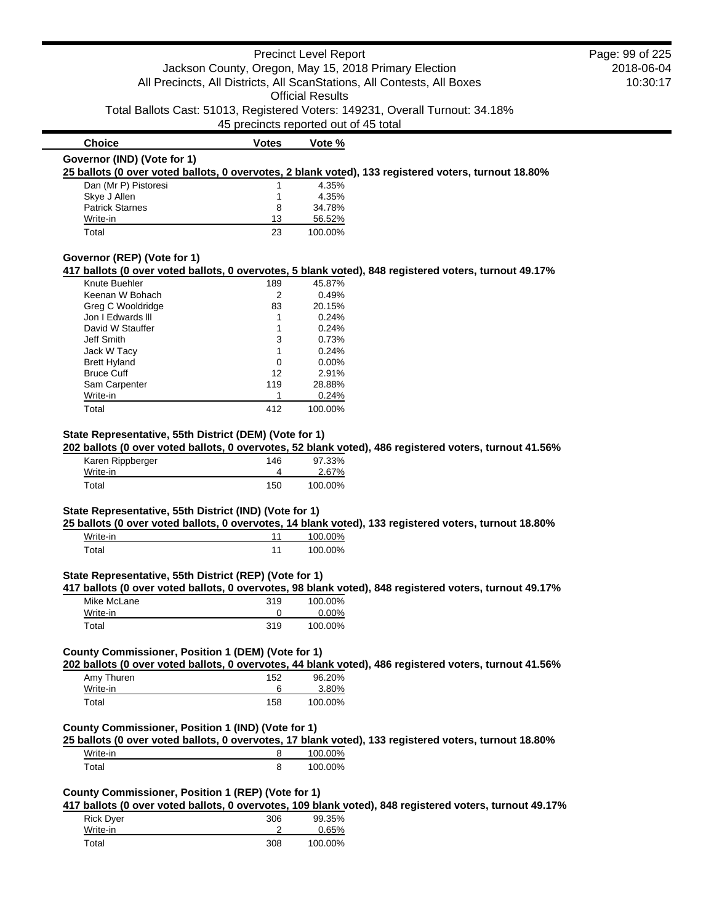# Precinct Level Report Jackson County, Oregon, May 15, 2018 Primary Election All Precincts, All Districts, All ScanStations, All Contests, All Boxes Official Results

Total Ballots Cast: 51013, Registered Voters: 149231, Overall Turnout: 34.18%

#### 45 precincts reported out of 45 total

# **Choice Votes Votes Vote %**

#### **25 ballots (0 over voted ballots, 0 overvotes, 2 blank voted), 133 registered voters, turnout 18.80%**

| Dan (Mr P) Pistoresi   |    | 4.35%   |
|------------------------|----|---------|
| Skye J Allen           |    | 4.35%   |
| <b>Patrick Starnes</b> | 8  | 34.78%  |
| Write-in               | 13 | 56.52%  |
| Total                  | 23 | 100.00% |

## **Governor (REP) (Vote for 1)**

#### **417 ballots (0 over voted ballots, 0 overvotes, 5 blank voted), 848 registered voters, turnout 49.17%**

| Knute Buehler       | 189 | 45.87%   |
|---------------------|-----|----------|
| Keenan W Bohach     | 2   | 0.49%    |
| Greg C Wooldridge   | 83  | 20.15%   |
| Jon I Edwards III   |     | 0.24%    |
| David W Stauffer    |     | 0.24%    |
| Jeff Smith          | 3   | 0.73%    |
| Jack W Tacy         | 1   | 0.24%    |
| <b>Brett Hyland</b> | 0   | $0.00\%$ |
| <b>Bruce Cuff</b>   | 12  | 2.91%    |
| Sam Carpenter       | 119 | 28.88%   |
| Write-in            |     | 0.24%    |
| Total               | 412 | 100.00%  |

### **State Representative, 55th District (DEM) (Vote for 1)**

### **202 ballots (0 over voted ballots, 0 overvotes, 52 blank voted), 486 registered voters, turnout 41.56%**

| Karen Rippberger | 146 | 97.33%  |
|------------------|-----|---------|
| Write-in         |     | 2.67%   |
| Total            | 150 | 100.00% |

#### **State Representative, 55th District (IND) (Vote for 1)**

### **25 ballots (0 over voted ballots, 0 overvotes, 14 blank voted), 133 registered voters, turnout 18.80%**

| Write-in | 100.00% |
|----------|---------|
| Total    | 100.00% |

## **State Representative, 55th District (REP) (Vote for 1)**

# **417 ballots (0 over voted ballots, 0 overvotes, 98 blank voted), 848 registered voters, turnout 49.17%**

| Mike McLane | 319 | 100.00% |
|-------------|-----|---------|
| Write-in    |     | 0.00%   |
| Total       | 319 | 100.00% |

### **County Commissioner, Position 1 (DEM) (Vote for 1)**

## **202 ballots (0 over voted ballots, 0 overvotes, 44 blank voted), 486 registered voters, turnout 41.56%**

| Amy Thuren | 152 | 96.20%  |
|------------|-----|---------|
| Write-in   |     | 3.80%   |
| Total      | 158 | 100.00% |

## **County Commissioner, Position 1 (IND) (Vote for 1)**

## **25 ballots (0 over voted ballots, 0 overvotes, 17 blank voted), 133 registered voters, turnout 18.80%**

| Write-in | 100.00% |
|----------|---------|
| Total    | 100.00% |

### **County Commissioner, Position 1 (REP) (Vote for 1)**

**417 ballots (0 over voted ballots, 0 overvotes, 109 blank voted), 848 registered voters, turnout 49.17%**

| <b>Rick Dyer</b> | 306 | 99.35%  |
|------------------|-----|---------|
| Write-in         |     | 0.65%   |
| Total            | 308 | 100.00% |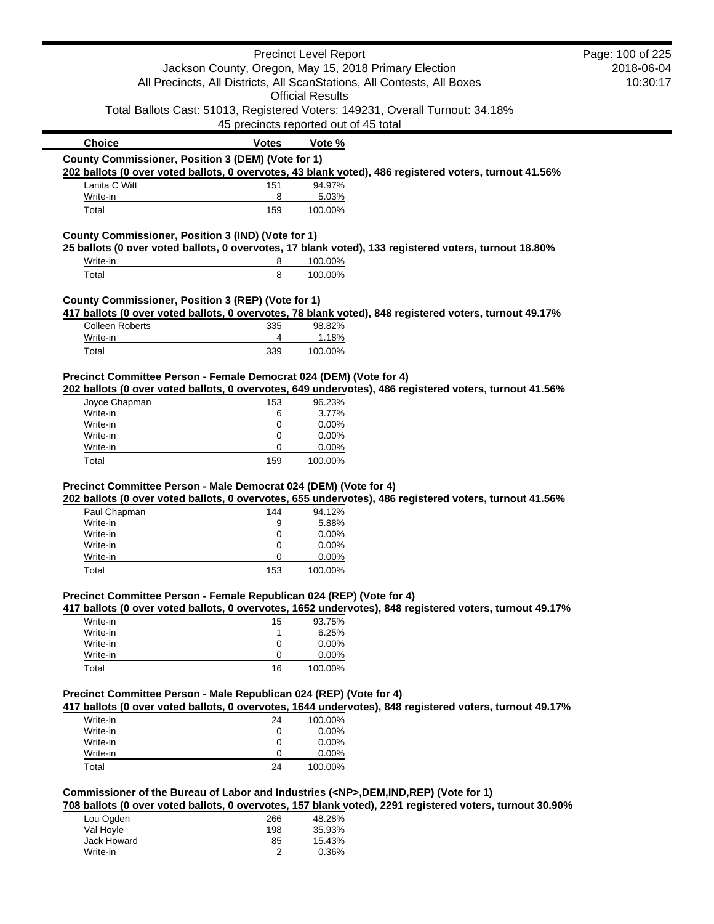|                                                                                          |                                                       | <b>Precinct Level Report</b> |                                                                                                          | Page: 100 of 225 |
|------------------------------------------------------------------------------------------|-------------------------------------------------------|------------------------------|----------------------------------------------------------------------------------------------------------|------------------|
|                                                                                          | Jackson County, Oregon, May 15, 2018 Primary Election |                              | 2018-06-04                                                                                               |                  |
|                                                                                          |                                                       |                              | All Precincts, All Districts, All ScanStations, All Contests, All Boxes                                  | 10:30:17         |
|                                                                                          |                                                       | <b>Official Results</b>      |                                                                                                          |                  |
| Total Ballots Cast: 51013, Registered Voters: 149231, Overall Turnout: 34.18%            |                                                       |                              |                                                                                                          |                  |
|                                                                                          | 45 precincts reported out of 45 total                 |                              |                                                                                                          |                  |
| <b>Choice</b>                                                                            | <b>Votes</b>                                          | Vote %                       |                                                                                                          |                  |
| County Commissioner, Position 3 (DEM) (Vote for 1)                                       |                                                       |                              |                                                                                                          |                  |
|                                                                                          |                                                       |                              | 202 ballots (0 over voted ballots, 0 overvotes, 43 blank voted), 486 registered voters, turnout 41.56%   |                  |
| Lanita C Witt                                                                            | 151                                                   | 94.97%                       |                                                                                                          |                  |
| Write-in                                                                                 | 8                                                     | 5.03%                        |                                                                                                          |                  |
| Total                                                                                    | 159                                                   | 100.00%                      |                                                                                                          |                  |
| County Commissioner, Position 3 (IND) (Vote for 1)                                       |                                                       |                              |                                                                                                          |                  |
|                                                                                          |                                                       |                              | 25 ballots (0 over voted ballots, 0 overvotes, 17 blank voted), 133 registered voters, turnout 18.80%    |                  |
| Write-in                                                                                 | 8                                                     | 100.00%                      |                                                                                                          |                  |
| Total                                                                                    | 8                                                     | 100.00%                      |                                                                                                          |                  |
|                                                                                          |                                                       |                              |                                                                                                          |                  |
| County Commissioner, Position 3 (REP) (Vote for 1)                                       |                                                       |                              |                                                                                                          |                  |
| <b>Colleen Roberts</b>                                                                   | 335                                                   | 98.82%                       | 417 ballots (0 over voted ballots, 0 overvotes, 78 blank voted), 848 registered voters, turnout 49.17%   |                  |
| Write-in                                                                                 | 4                                                     | 1.18%                        |                                                                                                          |                  |
| Total                                                                                    | 339                                                   | 100.00%                      |                                                                                                          |                  |
|                                                                                          |                                                       |                              |                                                                                                          |                  |
| Precinct Committee Person - Female Democrat 024 (DEM) (Vote for 4)                       |                                                       |                              |                                                                                                          |                  |
|                                                                                          |                                                       |                              | 202 ballots (0 over voted ballots, 0 overvotes, 649 undervotes), 486 registered voters, turnout 41.56%   |                  |
| Joyce Chapman                                                                            | 153                                                   | 96.23%                       |                                                                                                          |                  |
| Write-in                                                                                 | 6                                                     | 3.77%                        |                                                                                                          |                  |
| Write-in                                                                                 | 0                                                     | 0.00%                        |                                                                                                          |                  |
| Write-in                                                                                 | 0                                                     | 0.00%                        |                                                                                                          |                  |
| Write-in                                                                                 | 0                                                     | 0.00%                        |                                                                                                          |                  |
| Total                                                                                    | 159                                                   | 100.00%                      |                                                                                                          |                  |
| Precinct Committee Person - Male Democrat 024 (DEM) (Vote for 4)                         |                                                       |                              |                                                                                                          |                  |
|                                                                                          |                                                       |                              | 202 ballots (0 over voted ballots, 0 overvotes, 655 undervotes), 486 registered voters, turnout 41.56%   |                  |
| Paul Chapman                                                                             | 144                                                   | 94.12%                       |                                                                                                          |                  |
| Write-in                                                                                 | 9                                                     | 5.88%                        |                                                                                                          |                  |
| Write-in                                                                                 | 0                                                     | 0.00%                        |                                                                                                          |                  |
| Write-in                                                                                 | 0                                                     | 0.00%                        |                                                                                                          |                  |
| Write-in                                                                                 | 0                                                     | 0.00%                        |                                                                                                          |                  |
| Total                                                                                    | 153                                                   | 100.00%                      |                                                                                                          |                  |
| Precinct Committee Person - Female Republican 024 (REP) (Vote for 4)                     |                                                       |                              |                                                                                                          |                  |
|                                                                                          |                                                       |                              | 417 ballots (0 over voted ballots, 0 overvotes, 1652 undervotes), 848 registered voters, turnout 49.17%  |                  |
| Write-in                                                                                 | 15                                                    | 93.75%                       |                                                                                                          |                  |
| Write-in                                                                                 | 1                                                     | 6.25%                        |                                                                                                          |                  |
| Write-in                                                                                 | 0                                                     | 0.00%                        |                                                                                                          |                  |
| Write-in                                                                                 | 0                                                     | 0.00%                        |                                                                                                          |                  |
| Total                                                                                    | 16                                                    | 100.00%                      |                                                                                                          |                  |
|                                                                                          |                                                       |                              |                                                                                                          |                  |
| Precinct Committee Person - Male Republican 024 (REP) (Vote for 4)                       |                                                       |                              | 417 ballots (0 over voted ballots, 0 overvotes, 1644 undervotes), 848 registered voters, turnout 49.17%  |                  |
| Write-in                                                                                 | 24                                                    | 100.00%                      |                                                                                                          |                  |
| Write-in                                                                                 | 0                                                     | 0.00%                        |                                                                                                          |                  |
| Write-in                                                                                 | 0                                                     | 0.00%                        |                                                                                                          |                  |
| Write-in                                                                                 | 0                                                     | 0.00%                        |                                                                                                          |                  |
| Total                                                                                    | 24                                                    | 100.00%                      |                                                                                                          |                  |
|                                                                                          |                                                       |                              |                                                                                                          |                  |
| Commissioner of the Bureau of Labor and Industries ( <np>,DEM,IND,REP) (Vote for 1)</np> |                                                       |                              |                                                                                                          |                  |
|                                                                                          |                                                       |                              | 708 ballots (0 over voted ballots, 0 overvotes, 157 blank voted), 2291 registered voters, turnout 30.90% |                  |
| Lou Ogden                                                                                | 266                                                   | 48.28%                       |                                                                                                          |                  |
| Val Hoyle                                                                                | 198                                                   | 35.93%                       |                                                                                                          |                  |
| Jack Howard                                                                              | 85                                                    | 15.43%                       |                                                                                                          |                  |
| Write-in                                                                                 | 2                                                     | 0.36%                        |                                                                                                          |                  |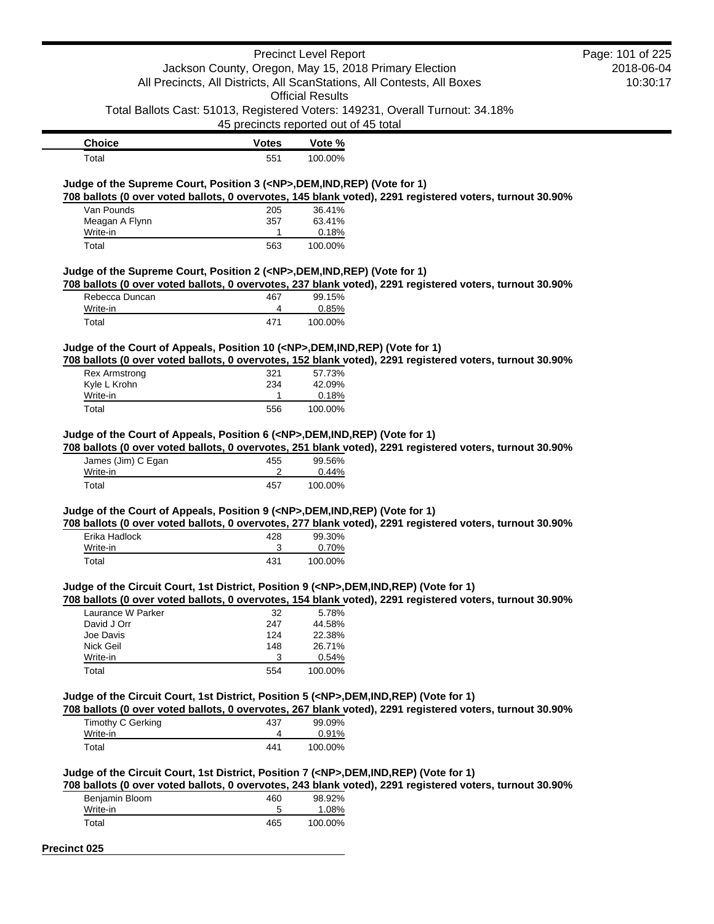|                                                                                            |                                       | <b>Precinct Level Report</b> |                                                                                                          | Page: 101 of 225 |
|--------------------------------------------------------------------------------------------|---------------------------------------|------------------------------|----------------------------------------------------------------------------------------------------------|------------------|
|                                                                                            |                                       |                              | Jackson County, Oregon, May 15, 2018 Primary Election                                                    | 2018-06-04       |
|                                                                                            |                                       |                              | All Precincts, All Districts, All ScanStations, All Contests, All Boxes                                  | 10:30:17         |
|                                                                                            |                                       | <b>Official Results</b>      |                                                                                                          |                  |
|                                                                                            |                                       |                              | Total Ballots Cast: 51013, Registered Voters: 149231, Overall Turnout: 34.18%                            |                  |
|                                                                                            | 45 precincts reported out of 45 total |                              |                                                                                                          |                  |
|                                                                                            |                                       |                              |                                                                                                          |                  |
| <b>Choice</b>                                                                              | <b>Votes</b>                          | Vote %                       |                                                                                                          |                  |
| Total                                                                                      | 551                                   | 100.00%                      |                                                                                                          |                  |
| Judge of the Supreme Court, Position 3 ( <np>,DEM,IND,REP) (Vote for 1)</np>               |                                       |                              |                                                                                                          |                  |
|                                                                                            |                                       |                              | 708 ballots (0 over voted ballots, 0 overvotes, 145 blank voted), 2291 registered voters, turnout 30.90% |                  |
| Van Pounds                                                                                 | 205                                   | 36.41%                       |                                                                                                          |                  |
| Meagan A Flynn                                                                             | 357                                   | 63.41%                       |                                                                                                          |                  |
| Write-in                                                                                   | 1                                     | 0.18%                        |                                                                                                          |                  |
| Total                                                                                      | 563                                   | 100.00%                      |                                                                                                          |                  |
| Judge of the Supreme Court, Position 2 ( <np>,DEM,IND,REP) (Vote for 1)</np>               |                                       |                              |                                                                                                          |                  |
|                                                                                            |                                       |                              | 708 ballots (0 over voted ballots, 0 overvotes, 237 blank voted), 2291 registered voters, turnout 30.90% |                  |
| Rebecca Duncan                                                                             | 467                                   | 99.15%                       |                                                                                                          |                  |
| Write-in                                                                                   | 4                                     | 0.85%                        |                                                                                                          |                  |
| Total                                                                                      | 471                                   | 100.00%                      |                                                                                                          |                  |
|                                                                                            |                                       |                              |                                                                                                          |                  |
| Judge of the Court of Appeals, Position 10 ( <np>,DEM,IND,REP) (Vote for 1)</np>           |                                       |                              |                                                                                                          |                  |
|                                                                                            |                                       |                              | 708 ballots (0 over voted ballots, 0 overvotes, 152 blank voted), 2291 registered voters, turnout 30.90% |                  |
| <b>Rex Armstrong</b><br>Kyle L Krohn                                                       | 321<br>234                            | 57.73%<br>42.09%             |                                                                                                          |                  |
| Write-in                                                                                   | 1                                     | 0.18%                        |                                                                                                          |                  |
| Total                                                                                      | 556                                   | 100.00%                      |                                                                                                          |                  |
|                                                                                            |                                       |                              |                                                                                                          |                  |
| Judge of the Court of Appeals, Position 6 ( <np>,DEM,IND,REP) (Vote for 1)</np>            |                                       |                              |                                                                                                          |                  |
|                                                                                            |                                       |                              | 708 ballots (0 over voted ballots, 0 overvotes, 251 blank voted), 2291 registered voters, turnout 30.90% |                  |
| James (Jim) C Egan                                                                         | 455                                   | 99.56%                       |                                                                                                          |                  |
| Write-in                                                                                   | 2                                     | 0.44%                        |                                                                                                          |                  |
| Total                                                                                      | 457                                   | 100.00%                      |                                                                                                          |                  |
|                                                                                            |                                       |                              |                                                                                                          |                  |
| Judge of the Court of Appeals, Position 9 ( <np>,DEM,IND,REP) (Vote for 1)</np>            |                                       |                              | 708 ballots (0 over voted ballots, 0 overvotes, 277 blank voted), 2291 registered voters, turnout 30.90% |                  |
| Erika Hadlock                                                                              | 428                                   | 99.30%                       |                                                                                                          |                  |
| Write-in                                                                                   | 3                                     | 0.70%                        |                                                                                                          |                  |
| Total                                                                                      | 431                                   | 100.00%                      |                                                                                                          |                  |
|                                                                                            |                                       |                              |                                                                                                          |                  |
| Judge of the Circuit Court, 1st District, Position 9 ( <np>,DEM,IND,REP) (Vote for 1)</np> |                                       |                              |                                                                                                          |                  |
|                                                                                            |                                       |                              | 708 ballots (0 over voted ballots, 0 overvotes, 154 blank voted), 2291 registered voters, turnout 30.90% |                  |
| Laurance W Parker                                                                          | 32                                    | 5.78%                        |                                                                                                          |                  |
| David J Orr                                                                                | 247                                   | 44.58%                       |                                                                                                          |                  |
| Joe Davis                                                                                  | 124                                   | 22.38%                       |                                                                                                          |                  |
| Nick Geil                                                                                  | 148                                   | 26.71%                       |                                                                                                          |                  |
| Write-in                                                                                   | 3                                     | 0.54%                        |                                                                                                          |                  |
| Total                                                                                      | 554                                   | 100.00%                      |                                                                                                          |                  |
|                                                                                            |                                       |                              |                                                                                                          |                  |
| Judge of the Circuit Court, 1st District, Position 5 ( <np>,DEM,IND,REP) (Vote for 1)</np> |                                       |                              | 708 ballots (0 over voted ballots, 0 overvotes, 267 blank voted), 2291 registered voters, turnout 30.90% |                  |
| Timothy C Gerking                                                                          | 437                                   | 99.09%                       |                                                                                                          |                  |
| Write-in                                                                                   | 4                                     | 0.91%                        |                                                                                                          |                  |
| Total                                                                                      | 441                                   | 100.00%                      |                                                                                                          |                  |
|                                                                                            |                                       |                              |                                                                                                          |                  |
| Judge of the Circuit Court, 1st District, Position 7 ( <np>,DEM,IND,REP) (Vote for 1)</np> |                                       |                              |                                                                                                          |                  |
|                                                                                            |                                       |                              | 708 ballots (0 over voted ballots, 0 overvotes, 243 blank voted), 2291 registered voters, turnout 30.90% |                  |
| Benjamin Bloom                                                                             | 460                                   | 98.92%                       |                                                                                                          |                  |
| Write-in                                                                                   | 5                                     | 1.08%                        |                                                                                                          |                  |
| Total                                                                                      | 465                                   | 100.00%                      |                                                                                                          |                  |

**Precinct 025**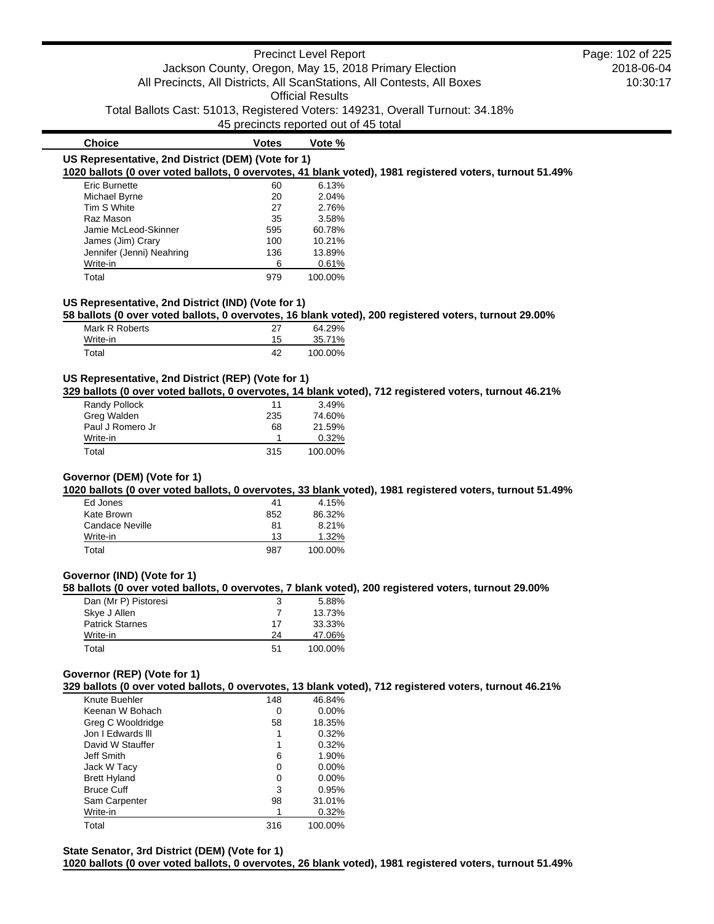# Precinct Level Report Jackson County, Oregon, May 15, 2018 Primary Election All Precincts, All Districts, All ScanStations, All Contests, All Boxes Official Results

Total Ballots Cast: 51013, Registered Voters: 149231, Overall Turnout: 34.18%

45 precincts reported out of 45 total

| <b>Choice</b>                                      | Votes | Vote %                                                                                                   |
|----------------------------------------------------|-------|----------------------------------------------------------------------------------------------------------|
| US Representative, 2nd District (DEM) (Vote for 1) |       | 1020 ballots (0 over voted ballots, 0 overvotes, 41 blank voted), 1981 registered voters, turnout 51.49% |
|                                                    |       |                                                                                                          |
| Eric Burnette                                      | 60    | 6.13%                                                                                                    |
| Michael Byrne                                      | 20    | 2.04%                                                                                                    |
| Tim S White                                        | 27    | 2.76%                                                                                                    |
| Raz Mason                                          | 35    | 3.58%                                                                                                    |
| Jamie McLeod-Skinner                               | 595   | 60.78%                                                                                                   |
| James (Jim) Crary                                  | 100   | 10.21%                                                                                                   |
| Jennifer (Jenni) Neahring                          | 136   | 13.89%                                                                                                   |
| Write-in                                           | 6     | 0.61%                                                                                                    |

Total 979 100.00%

## **US Representative, 2nd District (IND) (Vote for 1)**

**58 ballots (0 over voted ballots, 0 overvotes, 16 blank voted), 200 registered voters, turnout 29.00%**

| Mark R Roberts | 27 | 64.29%  |
|----------------|----|---------|
| Write-in       | 15 | 35.71%  |
| Total          | 42 | 100.00% |

#### **US Representative, 2nd District (REP) (Vote for 1)**

**329 ballots (0 over voted ballots, 0 overvotes, 14 blank voted), 712 registered voters, turnout 46.21%**

| Randy Pollock    | 11  | 3.49%   |
|------------------|-----|---------|
| Greg Walden      | 235 | 74.60%  |
| Paul J Romero Jr | 68  | 21.59%  |
| Write-in         |     | 0.32%   |
| Total            | 315 | 100.00% |

## **Governor (DEM) (Vote for 1)**

**1020 ballots (0 over voted ballots, 0 overvotes, 33 blank voted), 1981 registered voters, turnout 51.49%**

| Ed Jones        | 41  | 4.15%   |
|-----------------|-----|---------|
| Kate Brown      | 852 | 86.32%  |
| Candace Neville | 81  | 8.21%   |
| Write-in        | 13  | 1.32%   |
| Total           | 987 | 100.00% |

#### **Governor (IND) (Vote for 1)**

**58 ballots (0 over voted ballots, 0 overvotes, 7 blank voted), 200 registered voters, turnout 29.00%**

| Dan (Mr P) Pistoresi   | 3  | 5.88%   |
|------------------------|----|---------|
| Skye J Allen           |    | 13.73%  |
| <b>Patrick Starnes</b> | 17 | 33.33%  |
| Write-in               | 24 | 47.06%  |
| Total                  | 51 | 100.00% |

## **Governor (REP) (Vote for 1)**

**329 ballots (0 over voted ballots, 0 overvotes, 13 blank voted), 712 registered voters, turnout 46.21%**

| Knute Buehler       | 148 | 46.84%   |
|---------------------|-----|----------|
| Keenan W Bohach     | O   | $0.00\%$ |
| Greg C Wooldridge   | 58  | 18.35%   |
| Jon I Edwards III   |     | 0.32%    |
| David W Stauffer    |     | 0.32%    |
| Jeff Smith          | 6   | 1.90%    |
| Jack W Tacy         | 0   | $0.00\%$ |
| <b>Brett Hyland</b> | O   | $0.00\%$ |
| <b>Bruce Cuff</b>   | 3   | 0.95%    |
| Sam Carpenter       | 98  | 31.01%   |
| Write-in            |     | 0.32%    |
| Total               | 316 | 100.00%  |

**State Senator, 3rd District (DEM) (Vote for 1)**

**1020 ballots (0 over voted ballots, 0 overvotes, 26 blank voted), 1981 registered voters, turnout 51.49%**

# 2018-06-04 10:30:17 Page: 102 of 225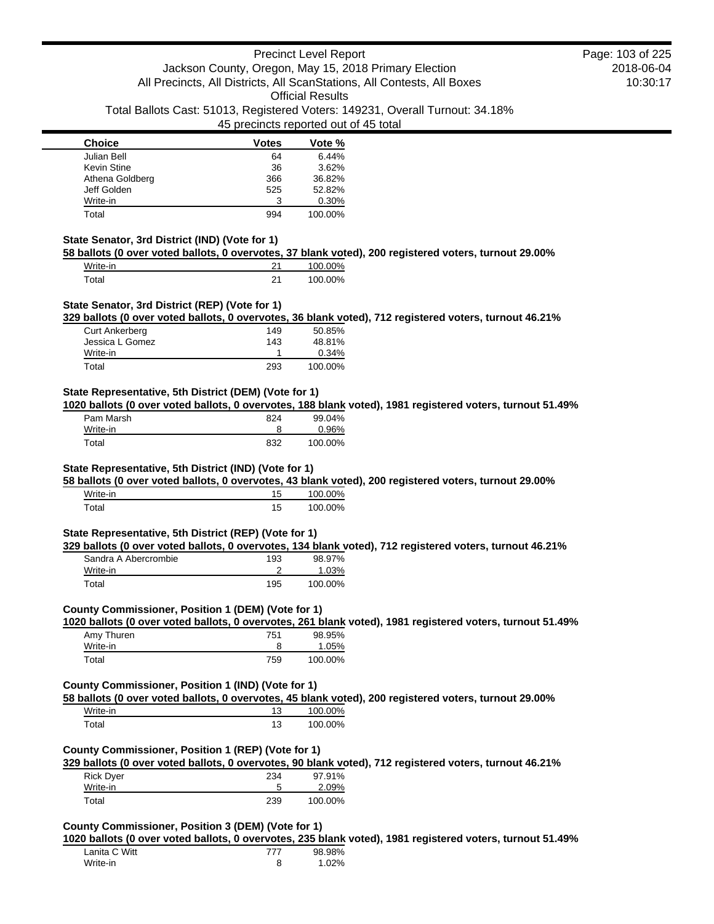| <b>Choice</b>   | <b>Votes</b> | Vote %  |
|-----------------|--------------|---------|
| Julian Bell     | 64           | 6.44%   |
| Kevin Stine     | 36           | 3.62%   |
| Athena Goldberg | 366          | 36.82%  |
| Jeff Golden     | 525          | 52.82%  |
| Write-in        | 3            | 0.30%   |
| Total           | 994          | 100.00% |

#### **State Senator, 3rd District (IND) (Vote for 1)**

**58 ballots (0 over voted ballots, 0 overvotes, 37 blank voted), 200 registered voters, turnout 29.00%**

| Write-in | 100.00% |
|----------|---------|
| Total    | 100.00% |

#### **State Senator, 3rd District (REP) (Vote for 1)**

**329 ballots (0 over voted ballots, 0 overvotes, 36 blank voted), 712 registered voters, turnout 46.21%**

| Curt Ankerberg  | 149 | 50.85%  |
|-----------------|-----|---------|
| Jessica L Gomez | 143 | 48.81%  |
| Write-in        |     | 0.34%   |
| Total           | 293 | 100.00% |

## **State Representative, 5th District (DEM) (Vote for 1)**

**1020 ballots (0 over voted ballots, 0 overvotes, 188 blank voted), 1981 registered voters, turnout 51.49%**

| Pam Marsh | 824 | 99.04%   |
|-----------|-----|----------|
| Write-in  |     | $0.96\%$ |
| Total     | 832 | 100.00%  |

## **State Representative, 5th District (IND) (Vote for 1)**

**58 ballots (0 over voted ballots, 0 overvotes, 43 blank voted), 200 registered voters, turnout 29.00%**

| Write-in    | 100.00% |
|-------------|---------|
| $\tau$ otal | 100.00% |

#### **State Representative, 5th District (REP) (Vote for 1)**

**329 ballots (0 over voted ballots, 0 overvotes, 134 blank voted), 712 registered voters, turnout 46.21%**

| Sandra A Abercrombie | 193 | 98.97%  |
|----------------------|-----|---------|
| Write-in             |     | 1.03%   |
| Total                | 195 | 100.00% |

# **County Commissioner, Position 1 (DEM) (Vote for 1)**

**1020 ballots (0 over voted ballots, 0 overvotes, 261 blank voted), 1981 registered voters, turnout 51.49%**

| Amy Thuren | 751 | 98.95%  |
|------------|-----|---------|
| Write-in   |     | 1.05%   |
| Total      | 759 | 100.00% |

#### **County Commissioner, Position 1 (IND) (Vote for 1)**

**58 ballots (0 over voted ballots, 0 overvotes, 45 blank voted), 200 registered voters, turnout 29.00%**

| Write-in |    | 100.00% |
|----------|----|---------|
| Total    | 13 | 100.00% |

### **County Commissioner, Position 1 (REP) (Vote for 1)**

**329 ballots (0 over voted ballots, 0 overvotes, 90 blank voted), 712 registered voters, turnout 46.21%**

| <b>Rick Dyer</b> | 234 | 97.91%  |
|------------------|-----|---------|
| Write-in         |     | 2.09%   |
| Total            | 239 | 100.00% |

### **County Commissioner, Position 3 (DEM) (Vote for 1)**

**1020 ballots (0 over voted ballots, 0 overvotes, 235 blank voted), 1981 registered voters, turnout 51.49%**

| Lanita C Witt | 777 | 98.98% |
|---------------|-----|--------|
| Write-in      |     | 1.02%  |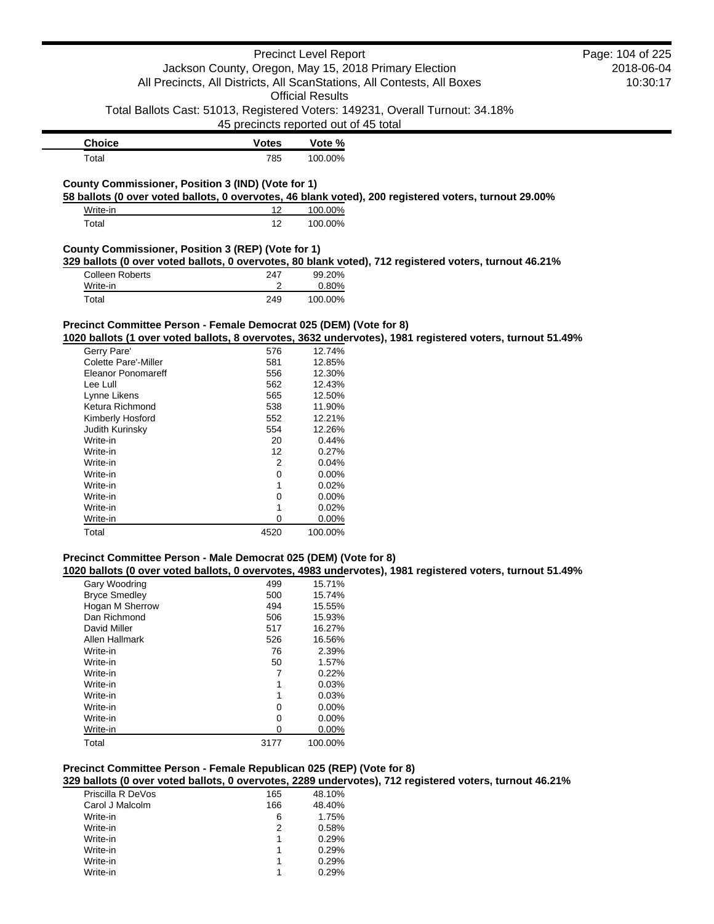|                                                                      |                                       | <b>Precinct Level Report</b> |                                                                                                           | Page: 104 of 225 |
|----------------------------------------------------------------------|---------------------------------------|------------------------------|-----------------------------------------------------------------------------------------------------------|------------------|
|                                                                      |                                       |                              | Jackson County, Oregon, May 15, 2018 Primary Election                                                     | 2018-06-04       |
|                                                                      |                                       |                              | All Precincts, All Districts, All ScanStations, All Contests, All Boxes                                   | 10:30:17         |
|                                                                      |                                       | <b>Official Results</b>      |                                                                                                           |                  |
|                                                                      |                                       |                              |                                                                                                           |                  |
|                                                                      |                                       |                              | Total Ballots Cast: 51013, Registered Voters: 149231, Overall Turnout: 34.18%                             |                  |
|                                                                      | 45 precincts reported out of 45 total |                              |                                                                                                           |                  |
| <b>Choice</b>                                                        | <b>Votes</b>                          | Vote %                       |                                                                                                           |                  |
| Total                                                                | 785                                   | 100.00%                      |                                                                                                           |                  |
|                                                                      |                                       |                              |                                                                                                           |                  |
| County Commissioner, Position 3 (IND) (Vote for 1)                   |                                       |                              | 58 ballots (0 over voted ballots, 0 overvotes, 46 blank voted), 200 registered voters, turnout 29.00%     |                  |
| Write-in                                                             | 12                                    | 100.00%                      |                                                                                                           |                  |
| Total                                                                | 12                                    | 100.00%                      |                                                                                                           |                  |
| County Commissioner, Position 3 (REP) (Vote for 1)                   |                                       |                              |                                                                                                           |                  |
|                                                                      |                                       |                              | 329 ballots (0 over voted ballots, 0 overvotes, 80 blank voted), 712 registered voters, turnout 46.21%    |                  |
| <b>Colleen Roberts</b>                                               | 247                                   | 99.20%                       |                                                                                                           |                  |
| Write-in                                                             | 2                                     | 0.80%                        |                                                                                                           |                  |
| Total                                                                | 249                                   | 100.00%                      |                                                                                                           |                  |
|                                                                      |                                       |                              |                                                                                                           |                  |
| Precinct Committee Person - Female Democrat 025 (DEM) (Vote for 8)   |                                       |                              |                                                                                                           |                  |
|                                                                      |                                       |                              | 1020 ballots (1 over voted ballots, 8 overvotes, 3632 undervotes), 1981 registered voters, turnout 51.49% |                  |
| Gerry Pare'                                                          | 576                                   | 12.74%                       |                                                                                                           |                  |
| <b>Colette Pare'-Miller</b>                                          | 581                                   | 12.85%                       |                                                                                                           |                  |
| <b>Eleanor Ponomareff</b>                                            | 556                                   | 12.30%                       |                                                                                                           |                  |
| Lee Lull                                                             | 562                                   | 12.43%                       |                                                                                                           |                  |
| Lynne Likens                                                         | 565                                   | 12.50%                       |                                                                                                           |                  |
| Ketura Richmond                                                      | 538                                   | 11.90%                       |                                                                                                           |                  |
| Kimberly Hosford                                                     | 552                                   | 12.21%                       |                                                                                                           |                  |
| Judith Kurinsky                                                      | 554                                   | 12.26%                       |                                                                                                           |                  |
| Write-in                                                             | 20                                    | 0.44%                        |                                                                                                           |                  |
| Write-in                                                             | 12                                    | 0.27%                        |                                                                                                           |                  |
| Write-in                                                             | 2                                     | 0.04%                        |                                                                                                           |                  |
| Write-in                                                             | 0                                     | 0.00%                        |                                                                                                           |                  |
| Write-in                                                             | 1                                     | 0.02%                        |                                                                                                           |                  |
| Write-in                                                             | 0                                     | 0.00%                        |                                                                                                           |                  |
| Write-in                                                             | 1                                     | 0.02%                        |                                                                                                           |                  |
| Write-in                                                             | 0                                     | 0.00%                        |                                                                                                           |                  |
| Total                                                                | 4520                                  | 100.00%                      |                                                                                                           |                  |
|                                                                      |                                       |                              |                                                                                                           |                  |
| Precinct Committee Person - Male Democrat 025 (DEM) (Vote for 8)     |                                       |                              | 1020 ballots (0 over voted ballots, 0 overvotes, 4983 undervotes), 1981 registered voters, turnout 51.49% |                  |
| Gary Woodring                                                        | 499                                   | 15.71%                       |                                                                                                           |                  |
| <b>Bryce Smedley</b>                                                 | 500                                   | 15.74%                       |                                                                                                           |                  |
| Hogan M Sherrow                                                      | 494                                   | 15.55%                       |                                                                                                           |                  |
| Dan Richmond                                                         | 506                                   | 15.93%                       |                                                                                                           |                  |
| David Miller                                                         | 517                                   | 16.27%                       |                                                                                                           |                  |
| Allen Hallmark                                                       | 526                                   | 16.56%                       |                                                                                                           |                  |
| Write-in                                                             | 76                                    | 2.39%                        |                                                                                                           |                  |
| Write-in                                                             | 50                                    | 1.57%                        |                                                                                                           |                  |
| Write-in                                                             | 7                                     | 0.22%                        |                                                                                                           |                  |
| Write-in                                                             | 1                                     | 0.03%                        |                                                                                                           |                  |
| Write-in                                                             | 1                                     | 0.03%                        |                                                                                                           |                  |
| Write-in                                                             | 0                                     | 0.00%                        |                                                                                                           |                  |
| Write-in                                                             | 0                                     | 0.00%                        |                                                                                                           |                  |
| Write-in                                                             | 0                                     | 0.00%                        |                                                                                                           |                  |
| Total                                                                | 3177                                  | 100.00%                      |                                                                                                           |                  |
| Precinct Committee Person - Female Republican 025 (REP) (Vote for 8) |                                       |                              |                                                                                                           |                  |
|                                                                      |                                       |                              | 329 ballots (0 over voted ballots, 0 overvotes, 2289 undervotes), 712 registered voters, turnout 46.21%   |                  |
| Priscilla R DeVos                                                    | 165                                   | 48.10%                       |                                                                                                           |                  |
| Carol J Malcolm                                                      | 166                                   | 48.40%                       |                                                                                                           |                  |
| Write-in                                                             | 6                                     | 1.75%                        |                                                                                                           |                  |
| Write-in                                                             | 2                                     | 0.58%                        |                                                                                                           |                  |

Write-in 1 0.29% Write-in 1 0.29%<br>Write-in 1 0.29%<br>Write-in 1 0.29%<br>1 0.29% Write-in 1 0.29%<br>Write-in 1 0.29%

Write-in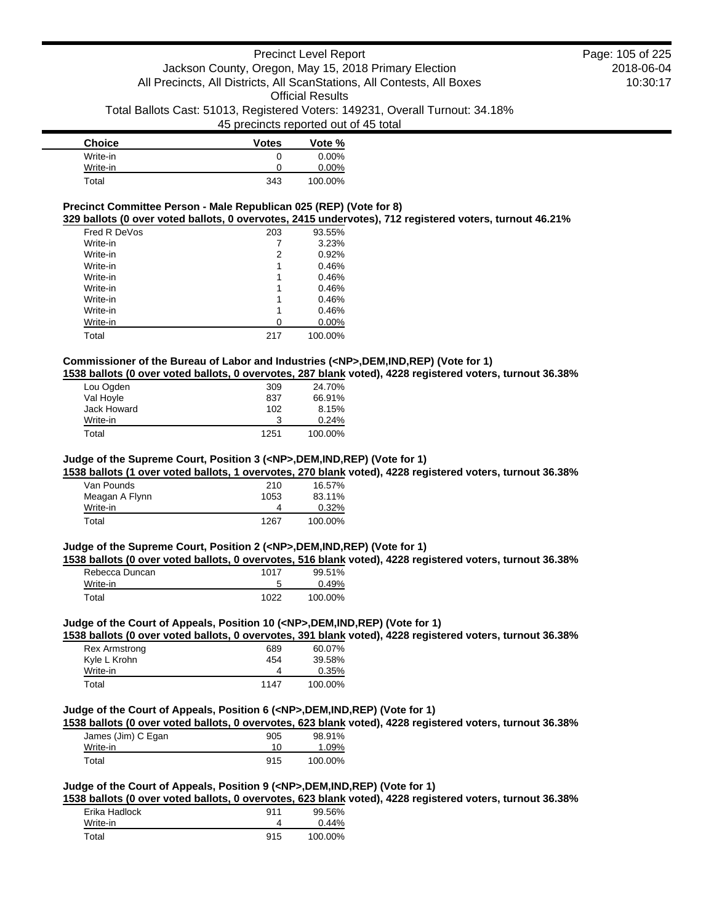| <b>Choice</b> | <b>Votes</b> | Vote %   |
|---------------|--------------|----------|
| Write-in      | 0            | $0.00\%$ |
| Write-in      | 0            | 0.00%    |
| Total         | 343          | 100.00%  |

# **Precinct Committee Person - Male Republican 025 (REP) (Vote for 8)**

**329 ballots (0 over voted ballots, 0 overvotes, 2415 undervotes), 712 registered voters, turnout 46.21%**

| Fred R DeVos | 203 | 93.55%  |
|--------------|-----|---------|
| Write-in     |     | 3.23%   |
| Write-in     | 2   | 0.92%   |
| Write-in     | 1   | 0.46%   |
| Write-in     | 1   | 0.46%   |
| Write-in     | 1   | 0.46%   |
| Write-in     | 1   | 0.46%   |
| Write-in     | 1   | 0.46%   |
| Write-in     | 0   | 0.00%   |
| Total        | 217 | 100.00% |

### **Commissioner of the Bureau of Labor and Industries (<NP>,DEM,IND,REP) (Vote for 1)**

**1538 ballots (0 over voted ballots, 0 overvotes, 287 blank voted), 4228 registered voters, turnout 36.38%**

| Lou Ogden   | 309  | 24.70%  |
|-------------|------|---------|
| Val Hoyle   | 837  | 66.91%  |
| Jack Howard | 102  | 8.15%   |
| Write-in    | 3    | 0.24%   |
| Total       | 1251 | 100.00% |

#### **Judge of the Supreme Court, Position 3 (<NP>,DEM,IND,REP) (Vote for 1)**

**1538 ballots (1 over voted ballots, 1 overvotes, 270 blank voted), 4228 registered voters, turnout 36.38%**

| Van Pounds     | 210  | 16.57%  |
|----------------|------|---------|
| Meagan A Flynn | 1053 | 83.11%  |
| Write-in       |      | 0.32%   |
| Total          | 1267 | 100.00% |

## **Judge of the Supreme Court, Position 2 (<NP>,DEM,IND,REP) (Vote for 1)**

**1538 ballots (0 over voted ballots, 0 overvotes, 516 blank voted), 4228 registered voters, turnout 36.38%**

| Rebecca Duncan | 1017 | 99.51%  |
|----------------|------|---------|
| Write-in       | 5    | 0.49%   |
| Total          | 1022 | 100.00% |

### **Judge of the Court of Appeals, Position 10 (<NP>,DEM,IND,REP) (Vote for 1)**

**1538 ballots (0 over voted ballots, 0 overvotes, 391 blank voted), 4228 registered voters, turnout 36.38%**

| Rex Armstrong | 689  | 60.07%  |
|---------------|------|---------|
| Kyle L Krohn  | 454  | 39.58%  |
| Write-in      |      | 0.35%   |
| Total         | 1147 | 100.00% |

### **Judge of the Court of Appeals, Position 6 (<NP>,DEM,IND,REP) (Vote for 1)**

**1538 ballots (0 over voted ballots, 0 overvotes, 623 blank voted), 4228 registered voters, turnout 36.38%**

| James (Jim) C Egan | 905 | 98.91%  |
|--------------------|-----|---------|
| Write-in           | 10  | 1.09%   |
| Total              | 915 | 100.00% |

## **Judge of the Court of Appeals, Position 9 (<NP>,DEM,IND,REP) (Vote for 1)**

**1538 ballots (0 over voted ballots, 0 overvotes, 623 blank voted), 4228 registered voters, turnout 36.38%**

| Erika Hadlock | 911 | 99.56%  |
|---------------|-----|---------|
| Write-in      |     | 0.44%   |
| Total         | 915 | 100.00% |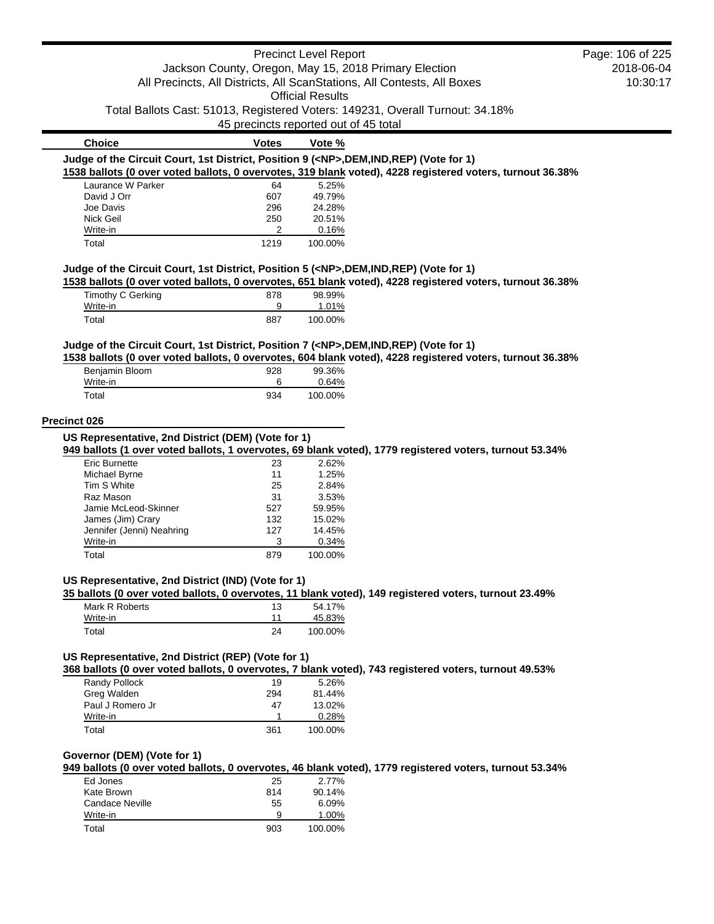|                                                                                            |                                       | <b>Precinct Level Report</b> |                                                                                                           | Page: 106 of 225 |
|--------------------------------------------------------------------------------------------|---------------------------------------|------------------------------|-----------------------------------------------------------------------------------------------------------|------------------|
|                                                                                            |                                       |                              | Jackson County, Oregon, May 15, 2018 Primary Election                                                     | 2018-06-04       |
|                                                                                            |                                       |                              | All Precincts, All Districts, All ScanStations, All Contests, All Boxes                                   | 10:30:17         |
|                                                                                            |                                       | <b>Official Results</b>      |                                                                                                           |                  |
|                                                                                            |                                       |                              | Total Ballots Cast: 51013, Registered Voters: 149231, Overall Turnout: 34.18%                             |                  |
|                                                                                            | 45 precincts reported out of 45 total |                              |                                                                                                           |                  |
|                                                                                            |                                       |                              |                                                                                                           |                  |
| <b>Choice</b>                                                                              | <b>Votes</b>                          | Vote %                       |                                                                                                           |                  |
| Judge of the Circuit Court, 1st District, Position 9 ( <np>,DEM,IND,REP) (Vote for 1)</np> |                                       |                              |                                                                                                           |                  |
|                                                                                            |                                       |                              | 1538 ballots (0 over voted ballots, 0 overvotes, 319 blank voted), 4228 registered voters, turnout 36.38% |                  |
| Laurance W Parker                                                                          | 64                                    | 5.25%                        |                                                                                                           |                  |
| David J Orr<br>Joe Davis                                                                   | 607<br>296                            | 49.79%<br>24.28%             |                                                                                                           |                  |
| Nick Geil                                                                                  | 250                                   | 20.51%                       |                                                                                                           |                  |
| Write-in                                                                                   | 2                                     | 0.16%                        |                                                                                                           |                  |
| Total                                                                                      | 1219                                  | 100.00%                      |                                                                                                           |                  |
| Judge of the Circuit Court, 1st District, Position 5 ( <np>,DEM,IND,REP) (Vote for 1)</np> |                                       |                              |                                                                                                           |                  |
|                                                                                            |                                       |                              | 1538 ballots (0 over voted ballots, 0 overvotes, 651 blank voted), 4228 registered voters, turnout 36.38% |                  |
| Timothy C Gerking                                                                          | 878                                   | 98.99%                       |                                                                                                           |                  |
| Write-in<br>Total                                                                          | 9<br>887                              | 1.01%<br>100.00%             |                                                                                                           |                  |
|                                                                                            |                                       |                              |                                                                                                           |                  |
| Judge of the Circuit Court, 1st District, Position 7 ( <np>,DEM,IND,REP) (Vote for 1)</np> |                                       |                              | 1538 ballots (0 over voted ballots, 0 overvotes, 604 blank voted), 4228 registered voters, turnout 36.38% |                  |
| Benjamin Bloom                                                                             | 928                                   | 99.36%                       |                                                                                                           |                  |
| Write-in                                                                                   | 6                                     | 0.64%                        |                                                                                                           |                  |
| Total                                                                                      | 934                                   | 100.00%                      |                                                                                                           |                  |
|                                                                                            |                                       |                              |                                                                                                           |                  |
| <b>Precinct 026</b>                                                                        |                                       |                              |                                                                                                           |                  |
| US Representative, 2nd District (DEM) (Vote for 1)                                         |                                       |                              |                                                                                                           |                  |
|                                                                                            |                                       |                              | 949 ballots (1 over voted ballots, 1 overvotes, 69 blank voted), 1779 registered voters, turnout 53.34%   |                  |
| <b>Eric Burnette</b>                                                                       | 23                                    | 2.62%                        |                                                                                                           |                  |
| Michael Byrne                                                                              | 11                                    | 1.25%                        |                                                                                                           |                  |
| Tim S White                                                                                | 25                                    | 2.84%                        |                                                                                                           |                  |
| Raz Mason                                                                                  | 31                                    | 3.53%                        |                                                                                                           |                  |
| Jamie McLeod-Skinner                                                                       | 527                                   | 59.95%                       |                                                                                                           |                  |
| James (Jim) Crary                                                                          | 132                                   | 15.02%                       |                                                                                                           |                  |
| Jennifer (Jenni) Neahring<br>Write-in                                                      | 127<br>3                              | 14.45%<br>0.34%              |                                                                                                           |                  |
| Total                                                                                      | 879                                   | 100.00%                      |                                                                                                           |                  |
|                                                                                            |                                       |                              |                                                                                                           |                  |
| US Representative, 2nd District (IND) (Vote for 1)                                         |                                       |                              | 35 ballots (0 over voted ballots, 0 overvotes, 11 blank voted), 149 registered voters, turnout 23.49%     |                  |
| Mark R Roberts                                                                             | 13                                    | 54.17%                       |                                                                                                           |                  |
| Write-in                                                                                   | 11                                    | 45.83%                       |                                                                                                           |                  |
| Total                                                                                      | 24                                    | 100.00%                      |                                                                                                           |                  |
|                                                                                            |                                       |                              |                                                                                                           |                  |
| US Representative, 2nd District (REP) (Vote for 1)                                         |                                       |                              | 368 ballots (0 over voted ballots, 0 overvotes, 7 blank voted), 743 registered voters, turnout 49.53%     |                  |
| Randy Pollock                                                                              | 19                                    | 5.26%                        |                                                                                                           |                  |
| Greg Walden                                                                                | 294                                   | 81.44%                       |                                                                                                           |                  |
| Paul J Romero Jr                                                                           | 47                                    | 13.02%                       |                                                                                                           |                  |
| Write-in                                                                                   | 1                                     | 0.28%                        |                                                                                                           |                  |
| Total                                                                                      | 361                                   | 100.00%                      |                                                                                                           |                  |
| Governor (DEM) (Vote for 1)                                                                |                                       |                              |                                                                                                           |                  |
|                                                                                            |                                       |                              | 949 ballots (0 over voted ballots, 0 overvotes, 46 blank voted), 1779 registered voters, turnout 53.34%   |                  |
| Ed Jones                                                                                   | 25                                    | 2.77%                        |                                                                                                           |                  |
| Kate Brown                                                                                 | 814                                   | 90.14%                       |                                                                                                           |                  |
| <b>Candace Neville</b>                                                                     | 55                                    | 6.09%                        |                                                                                                           |                  |
| Write-in                                                                                   | 9                                     | 1.00%                        |                                                                                                           |                  |
| Total                                                                                      | 903                                   | 100.00%                      |                                                                                                           |                  |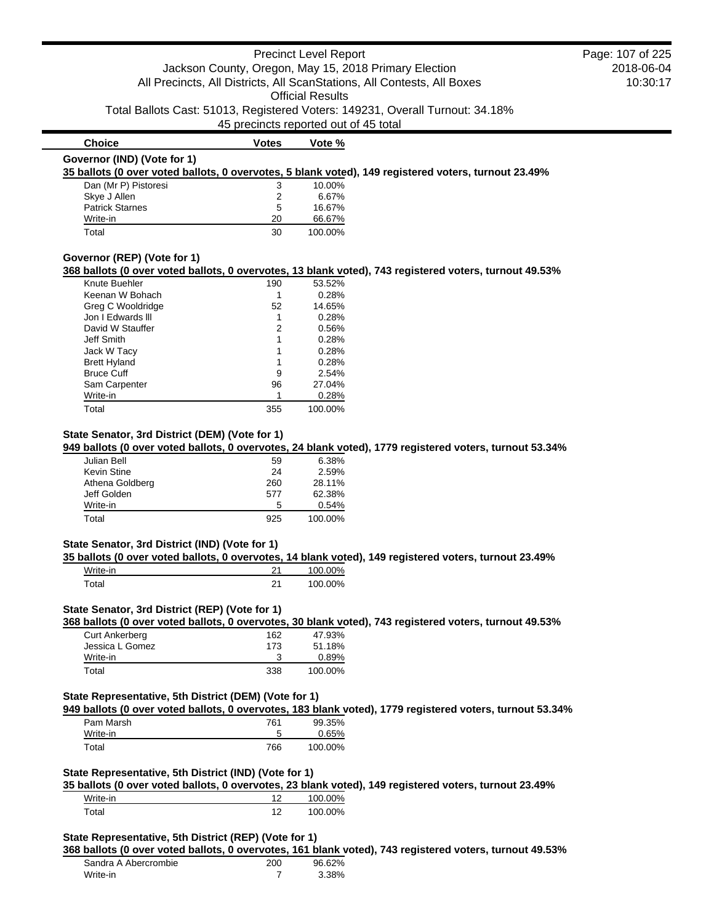#### Precinct Level Report Jackson County, Oregon, May 15, 2018 Primary Election All Precincts, All Districts, All ScanStations, All Contests, All Boxes Official Results Total Ballots Cast: 51013, Registered Voters: 149231, Overall Turnout: 34.18% 45 precincts reported out of 45 total 2018-06-04 10:30:17 **Choice Votes Votes Vote % Governor (IND) (Vote for 1) 35 ballots (0 over voted ballots, 0 overvotes, 5 blank voted), 149 registered voters, turnout 23.49%** Page: 107 of 225

| Dan (Mr P) Pistoresi   | 3  | 10.00%  |
|------------------------|----|---------|
| Skye J Allen           |    | 6.67%   |
| <b>Patrick Starnes</b> | 5  | 16.67%  |
| Write-in               | 20 | 66.67%  |
| Total                  | 30 | 100.00% |

#### **Governor (REP) (Vote for 1)**

#### **368 ballots (0 over voted ballots, 0 overvotes, 13 blank voted), 743 registered voters, turnout 49.53%**

| Knute Buehler       | 190 | 53.52%  |
|---------------------|-----|---------|
| Keenan W Bohach     | 1   | 0.28%   |
| Greg C Wooldridge   | 52  | 14.65%  |
| Jon I Edwards III   | 1   | 0.28%   |
| David W Stauffer    | 2   | 0.56%   |
| Jeff Smith          | 1   | 0.28%   |
| Jack W Tacy         | 1   | 0.28%   |
| <b>Brett Hyland</b> | 1   | 0.28%   |
| <b>Bruce Cuff</b>   | 9   | 2.54%   |
| Sam Carpenter       | 96  | 27.04%  |
| Write-in            |     | 0.28%   |
| Total               | 355 | 100.00% |

## **State Senator, 3rd District (DEM) (Vote for 1)**

### **949 ballots (0 over voted ballots, 0 overvotes, 24 blank voted), 1779 registered voters, turnout 53.34%**

| Julian Bell     | 59  | 6.38%   |
|-----------------|-----|---------|
| Kevin Stine     | 24  | 2.59%   |
| Athena Goldberg | 260 | 28.11%  |
| Jeff Golden     | 577 | 62.38%  |
| Write-in        | 5   | 0.54%   |
| Total           | 925 | 100.00% |

### **State Senator, 3rd District (IND) (Vote for 1)**

#### **35 ballots (0 over voted ballots, 0 overvotes, 14 blank voted), 149 registered voters, turnout 23.49%**

| Write-in | າາ | 100.00% |
|----------|----|---------|
| Total    | າ1 | 100.00% |

### **State Senator, 3rd District (REP) (Vote for 1)**

**368 ballots (0 over voted ballots, 0 overvotes, 30 blank voted), 743 registered voters, turnout 49.53%**

| <b>Curt Ankerberg</b> | 162 | 47.93%  |
|-----------------------|-----|---------|
| Jessica L Gomez       | 173 | 51.18%  |
| Write-in              |     | 0.89%   |
| Total                 | 338 | 100.00% |

## **State Representative, 5th District (DEM) (Vote for 1)**

**949 ballots (0 over voted ballots, 0 overvotes, 183 blank voted), 1779 registered voters, turnout 53.34%** Pam Marsh 761 99.35%

| . u.     | .   | <u>,,,,,,,,,</u> |
|----------|-----|------------------|
| Write-in |     | 0.65%            |
| Total    | 766 | 100.00%          |
|          |     |                  |

## **State Representative, 5th District (IND) (Vote for 1)**

**35 ballots (0 over voted ballots, 0 overvotes, 23 blank voted), 149 registered voters, turnout 23.49%**

| Write-in          | າດ | 00%<br>100 C |
|-------------------|----|--------------|
| T <sub>of21</sub> | 10 | 100.00%      |

## **State Representative, 5th District (REP) (Vote for 1)**

#### **368 ballots (0 over voted ballots, 0 overvotes, 161 blank voted), 743 registered voters, turnout 49.53%**

| Sandra A Abercrombie | 200 | 96.62% |
|----------------------|-----|--------|
| Write-in             |     | 3.38%  |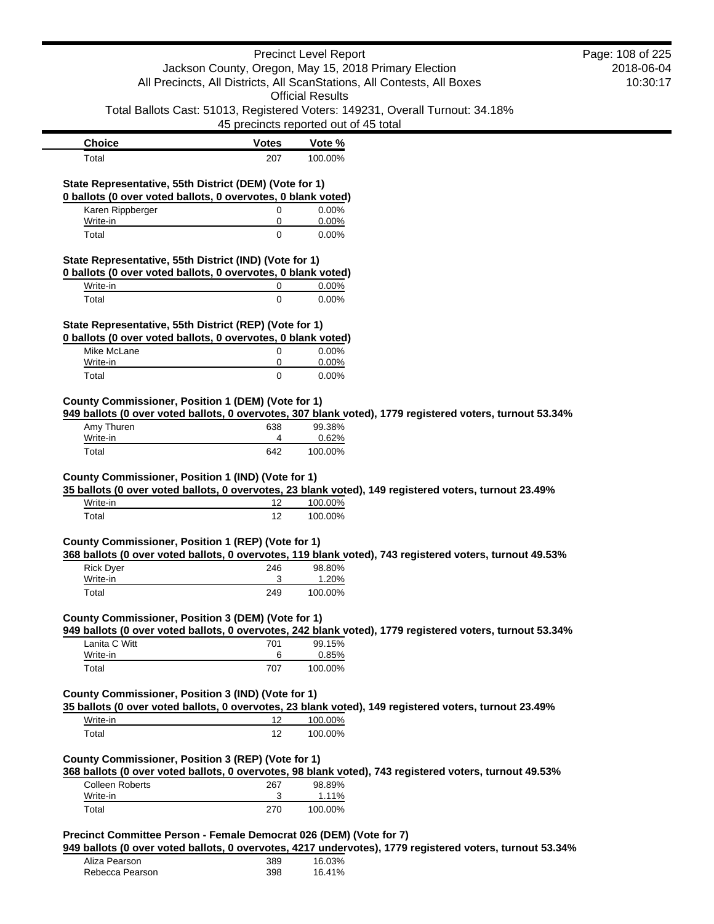|                                                                                                                        |                                                    | <b>Precinct Level Report</b>                                                                                           | Page: 108 of 225 |
|------------------------------------------------------------------------------------------------------------------------|----------------------------------------------------|------------------------------------------------------------------------------------------------------------------------|------------------|
|                                                                                                                        |                                                    | Jackson County, Oregon, May 15, 2018 Primary Election                                                                  | 2018-06-04       |
|                                                                                                                        |                                                    | All Precincts, All Districts, All ScanStations, All Contests, All Boxes                                                | 10:30:17         |
|                                                                                                                        |                                                    | <b>Official Results</b>                                                                                                |                  |
|                                                                                                                        |                                                    | Total Ballots Cast: 51013, Registered Voters: 149231, Overall Turnout: 34.18%<br>45 precincts reported out of 45 total |                  |
| <b>Choice</b>                                                                                                          | <b>Votes</b>                                       | Vote %                                                                                                                 |                  |
| Total                                                                                                                  | 207                                                | 100.00%                                                                                                                |                  |
|                                                                                                                        |                                                    |                                                                                                                        |                  |
| State Representative, 55th District (DEM) (Vote for 1)<br>0 ballots (0 over voted ballots, 0 overvotes, 0 blank voted) |                                                    |                                                                                                                        |                  |
| Karen Rippberger                                                                                                       | 0                                                  | 0.00%                                                                                                                  |                  |
| Write-in                                                                                                               | 0                                                  | 0.00%                                                                                                                  |                  |
| Total                                                                                                                  | $\Omega$                                           | 0.00%                                                                                                                  |                  |
| State Representative, 55th District (IND) (Vote for 1)                                                                 |                                                    |                                                                                                                        |                  |
| 0 ballots (0 over voted ballots, 0 overvotes, 0 blank voted)                                                           |                                                    |                                                                                                                        |                  |
| Write-in                                                                                                               | 0                                                  | 0.00%                                                                                                                  |                  |
| Total                                                                                                                  | $\mathbf 0$                                        | 0.00%                                                                                                                  |                  |
| State Representative, 55th District (REP) (Vote for 1)                                                                 |                                                    |                                                                                                                        |                  |
| 0 ballots (0 over voted ballots, 0 overvotes, 0 blank voted)                                                           |                                                    |                                                                                                                        |                  |
| Mike McLane                                                                                                            | 0                                                  | 0.00%                                                                                                                  |                  |
| Write-in                                                                                                               | 0<br>$\Omega$                                      | 0.00%                                                                                                                  |                  |
| Total                                                                                                                  |                                                    | 0.00%                                                                                                                  |                  |
|                                                                                                                        | County Commissioner, Position 1 (DEM) (Vote for 1) |                                                                                                                        |                  |
|                                                                                                                        |                                                    |                                                                                                                        |                  |
|                                                                                                                        |                                                    | 949 ballots (0 over voted ballots, 0 overvotes, 307 blank voted), 1779 registered voters, turnout 53.34%               |                  |
| Amy Thuren                                                                                                             | 638                                                | 99.38%                                                                                                                 |                  |
| Write-in                                                                                                               | 4                                                  | 0.62%                                                                                                                  |                  |
| Total                                                                                                                  | 642                                                | 100.00%                                                                                                                |                  |
| County Commissioner, Position 1 (IND) (Vote for 1)                                                                     |                                                    |                                                                                                                        |                  |
|                                                                                                                        |                                                    | 35 ballots (0 over voted ballots, 0 overvotes, 23 blank voted), 149 registered voters, turnout 23.49%                  |                  |
| Write-in                                                                                                               | 12                                                 | 100.00%                                                                                                                |                  |
| Total                                                                                                                  | 12                                                 | 100.00%                                                                                                                |                  |
|                                                                                                                        |                                                    |                                                                                                                        |                  |
| County Commissioner, Position 1 (REP) (Vote for 1)                                                                     |                                                    | 368 ballots (0 over voted ballots, 0 overvotes, 119 blank voted), 743 registered voters, turnout 49.53%                |                  |
| Rick Dyer                                                                                                              | 246                                                | 98.80%                                                                                                                 |                  |
| Write-in                                                                                                               | 3                                                  | 1.20%                                                                                                                  |                  |
| Total                                                                                                                  | 249                                                | 100.00%                                                                                                                |                  |
| County Commissioner, Position 3 (DEM) (Vote for 1)                                                                     |                                                    |                                                                                                                        |                  |
|                                                                                                                        |                                                    | 949 ballots (0 over voted ballots, 0 overvotes, 242 blank voted), 1779 registered voters, turnout 53.34%               |                  |
| Lanita C Witt                                                                                                          | 701                                                | 99.15%                                                                                                                 |                  |
| Write-in                                                                                                               | 6                                                  | 0.85%                                                                                                                  |                  |
| Total                                                                                                                  | 707                                                | 100.00%                                                                                                                |                  |
| County Commissioner, Position 3 (IND) (Vote for 1)                                                                     |                                                    |                                                                                                                        |                  |
|                                                                                                                        |                                                    | 35 ballots (0 over voted ballots, 0 overvotes, 23 blank voted), 149 registered voters, turnout 23.49%                  |                  |
| Write-in                                                                                                               | 12                                                 | 100.00%                                                                                                                |                  |
| Total                                                                                                                  | 12                                                 | 100.00%                                                                                                                |                  |
|                                                                                                                        |                                                    |                                                                                                                        |                  |
| County Commissioner, Position 3 (REP) (Vote for 1)                                                                     |                                                    | 368 ballots (0 over voted ballots, 0 overvotes, 98 blank voted), 743 registered voters, turnout 49.53%                 |                  |
| <b>Colleen Roberts</b>                                                                                                 | 267                                                | 98.89%                                                                                                                 |                  |
| Write-in<br>Total                                                                                                      | 3<br>270                                           | 1.11%<br>100.00%                                                                                                       |                  |

Aliza Pearson 389 16.03%<br>Rebecca Pearson 398 16.41% Rebecca Pearson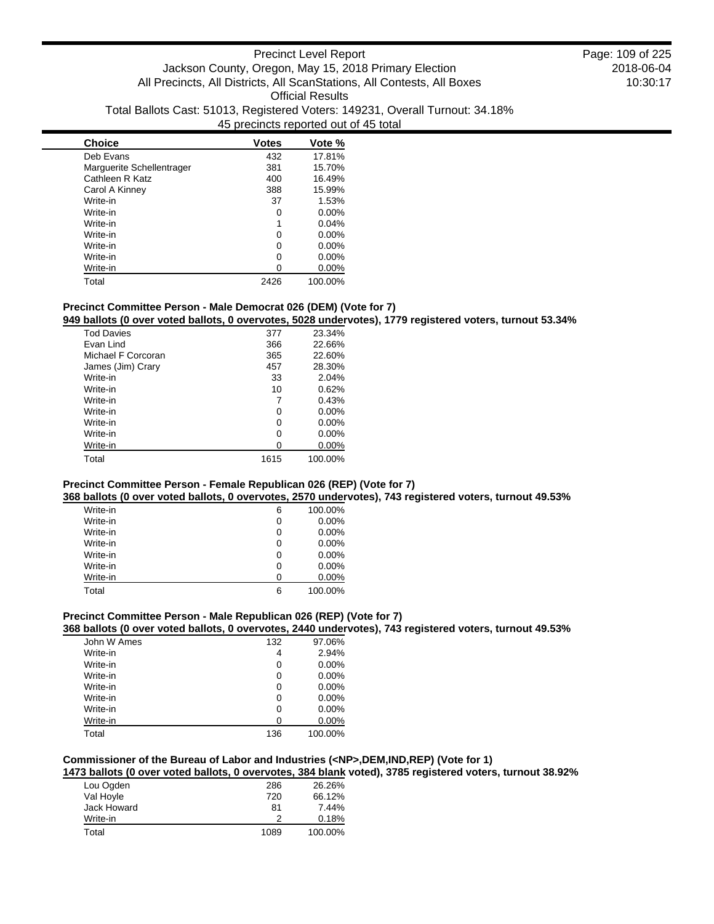| <b>Choice</b>             | <b>Votes</b> | Vote %   |
|---------------------------|--------------|----------|
| Deb Evans                 | 432          | 17.81%   |
| Marguerite Schellentrager | 381          | 15.70%   |
| Cathleen R Katz           | 400          | 16.49%   |
| Carol A Kinney            | 388          | 15.99%   |
| Write-in                  | 37           | 1.53%    |
| Write-in                  | 0            | $0.00\%$ |
| Write-in                  | 1            | 0.04%    |
| Write-in                  | 0            | $0.00\%$ |
| Write-in                  | ŋ            | $0.00\%$ |
| Write-in                  | 0            | $0.00\%$ |
| Write-in                  | 0            | 0.00%    |
| Total                     | 2426         | 100.00%  |

# **Precinct Committee Person - Male Democrat 026 (DEM) (Vote for 7)**

**949 ballots (0 over voted ballots, 0 overvotes, 5028 undervotes), 1779 registered voters, turnout 53.34%**

| <b>Tod Davies</b>  | 377  | 23.34%   |
|--------------------|------|----------|
| Fvan Lind          | 366  | 22.66%   |
| Michael F Corcoran | 365  | 22.60%   |
| James (Jim) Crary  | 457  | 28.30%   |
| Write-in           | 33   | 2.04%    |
| Write-in           | 10   | 0.62%    |
| Write-in           |      | 0.43%    |
| Write-in           | 0    | $0.00\%$ |
| Write-in           | 0    | $0.00\%$ |
| Write-in           | ი    | $0.00\%$ |
| Write-in           | O    | $0.00\%$ |
| Total              | 1615 | 100.00%  |

### **Precinct Committee Person - Female Republican 026 (REP) (Vote for 7)**

**368 ballots (0 over voted ballots, 0 overvotes, 2570 undervotes), 743 registered voters, turnout 49.53%**

| Write-in | 6 | 100.00%  |
|----------|---|----------|
| Write-in | 0 | $0.00\%$ |
| Write-in | 0 | $0.00\%$ |
| Write-in | 0 | $0.00\%$ |
| Write-in | 0 | 0.00%    |
| Write-in | 0 | $0.00\%$ |
| Write-in | 0 | $0.00\%$ |
| Total    | 6 | 100.00%  |

### **Precinct Committee Person - Male Republican 026 (REP) (Vote for 7)**

### **368 ballots (0 over voted ballots, 0 overvotes, 2440 undervotes), 743 registered voters, turnout 49.53%**

| John W Ames | 132 | 97.06%  |
|-------------|-----|---------|
| Write-in    | 4   | 2.94%   |
| Write-in    | 0   | 0.00%   |
| Write-in    | 0   | 0.00%   |
| Write-in    | 0   | 0.00%   |
| Write-in    | 0   | 0.00%   |
| Write-in    | 0   | 0.00%   |
| Write-in    | 0   | 0.00%   |
| Total       | 136 | 100.00% |

### **Commissioner of the Bureau of Labor and Industries (<NP>,DEM,IND,REP) (Vote for 1)**

**1473 ballots (0 over voted ballots, 0 overvotes, 384 blank voted), 3785 registered voters, turnout 38.92%**

| Lou Ogden   | 286  | 26.26%  |
|-------------|------|---------|
| Val Hoyle   | 720  | 66.12%  |
| Jack Howard | 81   | 7.44%   |
| Write-in    | 2    | 0.18%   |
| Total       | 1089 | 100.00% |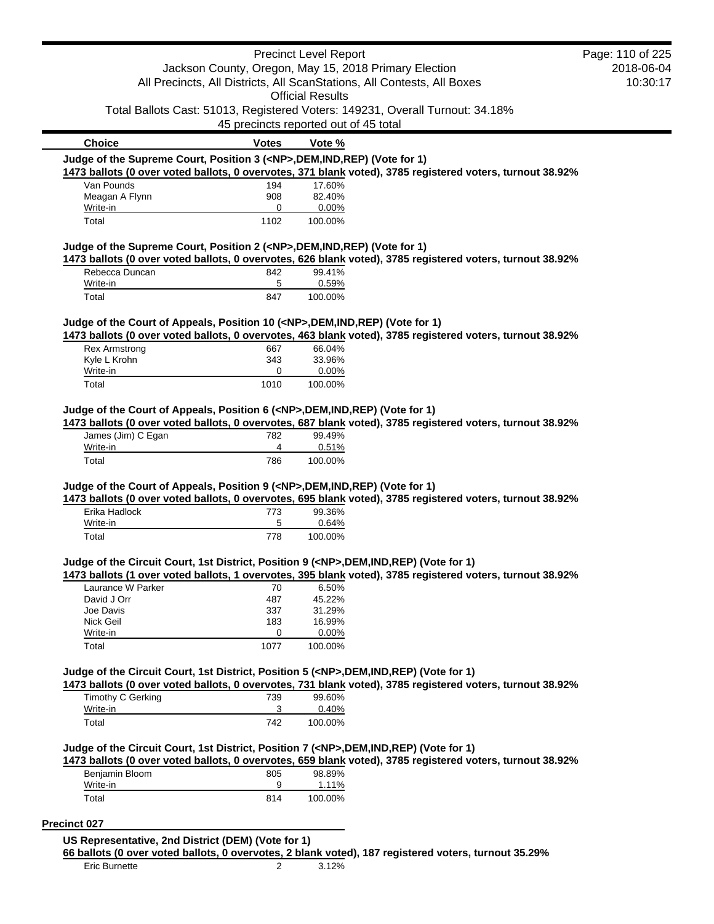|                                                                                            |                                       | <b>Precinct Level Report</b> |                                                                                                           | Page: 110 of 225 |
|--------------------------------------------------------------------------------------------|---------------------------------------|------------------------------|-----------------------------------------------------------------------------------------------------------|------------------|
|                                                                                            |                                       |                              | Jackson County, Oregon, May 15, 2018 Primary Election                                                     | 2018-06-04       |
|                                                                                            |                                       |                              | All Precincts, All Districts, All ScanStations, All Contests, All Boxes                                   | 10:30:17         |
|                                                                                            |                                       | <b>Official Results</b>      |                                                                                                           |                  |
|                                                                                            |                                       |                              | Total Ballots Cast: 51013, Registered Voters: 149231, Overall Turnout: 34.18%                             |                  |
|                                                                                            | 45 precincts reported out of 45 total |                              |                                                                                                           |                  |
| <b>Choice</b>                                                                              | <b>Votes</b>                          | Vote %                       |                                                                                                           |                  |
| Judge of the Supreme Court, Position 3 ( <np>,DEM,IND,REP) (Vote for 1)</np>               |                                       |                              |                                                                                                           |                  |
|                                                                                            |                                       |                              | 1473 ballots (0 over voted ballots, 0 overvotes, 371 blank voted), 3785 registered voters, turnout 38.92% |                  |
| Van Pounds                                                                                 | 194                                   | 17.60%                       |                                                                                                           |                  |
| Meagan A Flynn<br>Write-in                                                                 | 908<br>0                              | 82.40%<br>0.00%              |                                                                                                           |                  |
| Total                                                                                      | 1102                                  | 100.00%                      |                                                                                                           |                  |
| Judge of the Supreme Court, Position 2 ( <np>,DEM,IND,REP) (Vote for 1)</np>               |                                       |                              |                                                                                                           |                  |
|                                                                                            |                                       |                              | 1473 ballots (0 over voted ballots, 0 overvotes, 626 blank voted), 3785 registered voters, turnout 38.92% |                  |
| Rebecca Duncan                                                                             | 842                                   | 99.41%                       |                                                                                                           |                  |
| Write-in                                                                                   | 5                                     | 0.59%                        |                                                                                                           |                  |
| Total                                                                                      | 847                                   | 100.00%                      |                                                                                                           |                  |
| Judge of the Court of Appeals, Position 10 ( <np>,DEM,IND,REP) (Vote for 1)</np>           |                                       |                              |                                                                                                           |                  |
|                                                                                            |                                       |                              | 1473 ballots (0 over voted ballots, 0 overvotes, 463 blank voted), 3785 registered voters, turnout 38.92% |                  |
| <b>Rex Armstrong</b>                                                                       | 667                                   | 66.04%                       |                                                                                                           |                  |
| Kyle L Krohn                                                                               | 343                                   | 33.96%                       |                                                                                                           |                  |
| Write-in                                                                                   | 0                                     | 0.00%                        |                                                                                                           |                  |
| Total                                                                                      | 1010                                  | 100.00%                      |                                                                                                           |                  |
| Judge of the Court of Appeals, Position 6 ( <np>,DEM,IND,REP) (Vote for 1)</np>            |                                       |                              |                                                                                                           |                  |
|                                                                                            |                                       |                              | 1473 ballots (0 over voted ballots, 0 overvotes, 687 blank voted), 3785 registered voters, turnout 38.92% |                  |
| James (Jim) C Egan<br>Write-in                                                             | 782<br>4                              | 99.49%<br>0.51%              |                                                                                                           |                  |
| Total                                                                                      | 786                                   | 100.00%                      |                                                                                                           |                  |
|                                                                                            |                                       |                              |                                                                                                           |                  |
| Judge of the Court of Appeals, Position 9 ( <np>,DEM,IND,REP) (Vote for 1)</np>            |                                       |                              | 1473 ballots (0 over voted ballots, 0 overvotes, 695 blank voted), 3785 registered voters, turnout 38.92% |                  |
| Erika Hadlock                                                                              | 773                                   | 99.36%                       |                                                                                                           |                  |
| Write-in                                                                                   | 5                                     | 0.64%                        |                                                                                                           |                  |
| Total                                                                                      | 778                                   | 100.00%                      |                                                                                                           |                  |
|                                                                                            |                                       |                              |                                                                                                           |                  |
| Judge of the Circuit Court, 1st District, Position 9 ( <np>,DEM,IND,REP) (Vote for 1)</np> |                                       |                              |                                                                                                           |                  |
|                                                                                            |                                       |                              | 1473 ballots (1 over voted ballots, 1 overvotes, 395 blank voted), 3785 registered voters, turnout 38.92% |                  |
| Laurance W Parker<br>David J Orr                                                           | 70<br>487                             | 6.50%<br>45.22%              |                                                                                                           |                  |
| Joe Davis                                                                                  | 337                                   | 31.29%                       |                                                                                                           |                  |
| Nick Geil                                                                                  | 183                                   | 16.99%                       |                                                                                                           |                  |
| Write-in                                                                                   | 0                                     | 0.00%                        |                                                                                                           |                  |
| Total                                                                                      | 1077                                  | 100.00%                      |                                                                                                           |                  |
| Judge of the Circuit Court, 1st District, Position 5 ( <np>,DEM,IND,REP) (Vote for 1)</np> |                                       |                              |                                                                                                           |                  |
|                                                                                            |                                       |                              | 1473 ballots (0 over voted ballots, 0 overvotes, 731 blank voted), 3785 registered voters, turnout 38.92% |                  |
| Timothy C Gerking                                                                          | 739                                   | 99.60%                       |                                                                                                           |                  |
| Write-in                                                                                   | 3                                     | 0.40%                        |                                                                                                           |                  |
| Total                                                                                      | 742                                   | 100.00%                      |                                                                                                           |                  |
| Judge of the Circuit Court, 1st District, Position 7 ( <np>,DEM,IND,REP) (Vote for 1)</np> |                                       |                              |                                                                                                           |                  |
|                                                                                            |                                       |                              | 1473 ballots (0 over voted ballots, 0 overvotes, 659 blank voted), 3785 registered voters, turnout 38.92% |                  |
| Benjamin Bloom                                                                             | 805                                   | 98.89%                       |                                                                                                           |                  |
| Write-in                                                                                   | 9                                     | 1.11%                        |                                                                                                           |                  |
| Total                                                                                      | 814                                   | 100.00%                      |                                                                                                           |                  |
|                                                                                            |                                       |                              |                                                                                                           |                  |
| <b>Precinct 027</b>                                                                        |                                       |                              |                                                                                                           |                  |
| US Representative, 2nd District (DEM) (Vote for 1)                                         |                                       |                              |                                                                                                           |                  |

**66 ballots (0 over voted ballots, 0 overvotes, 2 blank voted), 187 registered voters, turnout 35.29%** Eric Burnette 2 3.12%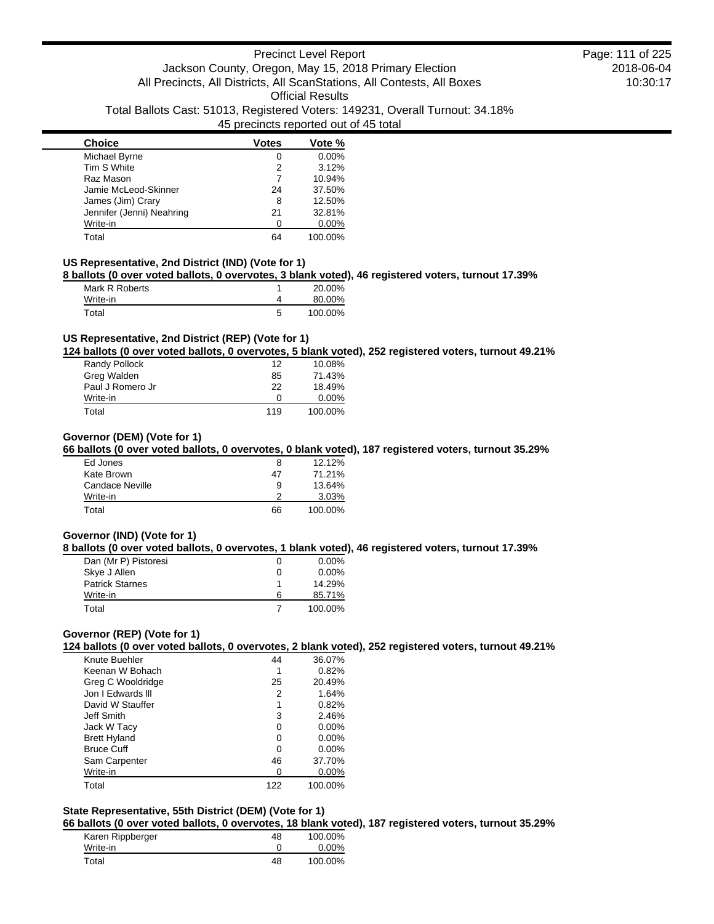| <b>Choice</b>             | <b>Votes</b> | Vote %   |
|---------------------------|--------------|----------|
| Michael Byrne             | 0            | 0.00%    |
| Tim S White               | 2            | 3.12%    |
| Raz Mason                 |              | 10.94%   |
| Jamie McLeod-Skinner      | 24           | 37.50%   |
| James (Jim) Crary         | 8            | 12.50%   |
| Jennifer (Jenni) Neahring | 21           | 32.81%   |
| Write-in                  | n            | $0.00\%$ |
| Total                     | 64           | 100.00%  |

#### **US Representative, 2nd District (IND) (Vote for 1)**

**8 ballots (0 over voted ballots, 0 overvotes, 3 blank voted), 46 registered voters, turnout 17.39%**

| Mark R Roberts |   | 20.00%  |
|----------------|---|---------|
| Write-in       |   | 80.00%  |
| Total          | 5 | 100.00% |

#### **US Representative, 2nd District (REP) (Vote for 1)**

**124 ballots (0 over voted ballots, 0 overvotes, 5 blank voted), 252 registered voters, turnout 49.21%**

| Randy Pollock    | 12  | 10.08%   |
|------------------|-----|----------|
| Greg Walden      | 85  | 71.43%   |
| Paul J Romero Jr | 22  | 18.49%   |
| Write-in         | O   | $0.00\%$ |
| Total            | 119 | 100.00%  |

### **Governor (DEM) (Vote for 1)**

**66 ballots (0 over voted ballots, 0 overvotes, 0 blank voted), 187 registered voters, turnout 35.29%**

| Ed Jones        | 8  | 12.12%  |
|-----------------|----|---------|
| Kate Brown      | 47 | 71.21%  |
| Candace Neville | 9  | 13.64%  |
| Write-in        |    | 3.03%   |
| Total           | 66 | 100.00% |

### **Governor (IND) (Vote for 1)**

**8 ballots (0 over voted ballots, 0 overvotes, 1 blank voted), 46 registered voters, turnout 17.39%**

| Dan (Mr P) Pistoresi   | 0 | $0.00\%$ |
|------------------------|---|----------|
| Skye J Allen           | 0 | $0.00\%$ |
| <b>Patrick Starnes</b> |   | 14.29%   |
| Write-in               | 6 | 85.71%   |
| Total                  |   | 100.00%  |

### **Governor (REP) (Vote for 1)**

**124 ballots (0 over voted ballots, 0 overvotes, 2 blank voted), 252 registered voters, turnout 49.21%**

| Knute Buehler       | 44  | 36.07%   |
|---------------------|-----|----------|
| Keenan W Bohach     | 1   | 0.82%    |
| Greg C Wooldridge   | 25  | 20.49%   |
| Jon I Edwards III   | 2   | 1.64%    |
| David W Stauffer    | 1   | 0.82%    |
| Jeff Smith          | 3   | 2.46%    |
| Jack W Tacy         | 0   | $0.00\%$ |
| <b>Brett Hyland</b> | 0   | $0.00\%$ |
| <b>Bruce Cuff</b>   | 0   | $0.00\%$ |
| Sam Carpenter       | 46  | 37.70%   |
| Write-in            | O   | $0.00\%$ |
| Total               | 122 | 100.00%  |

# **State Representative, 55th District (DEM) (Vote for 1)**

**66 ballots (0 over voted ballots, 0 overvotes, 18 blank voted), 187 registered voters, turnout 35.29%**

| Karen Rippberger | 48 | 100.00% |
|------------------|----|---------|
| Write-in         |    | 0.00%   |
| Total            | 48 | 100.00% |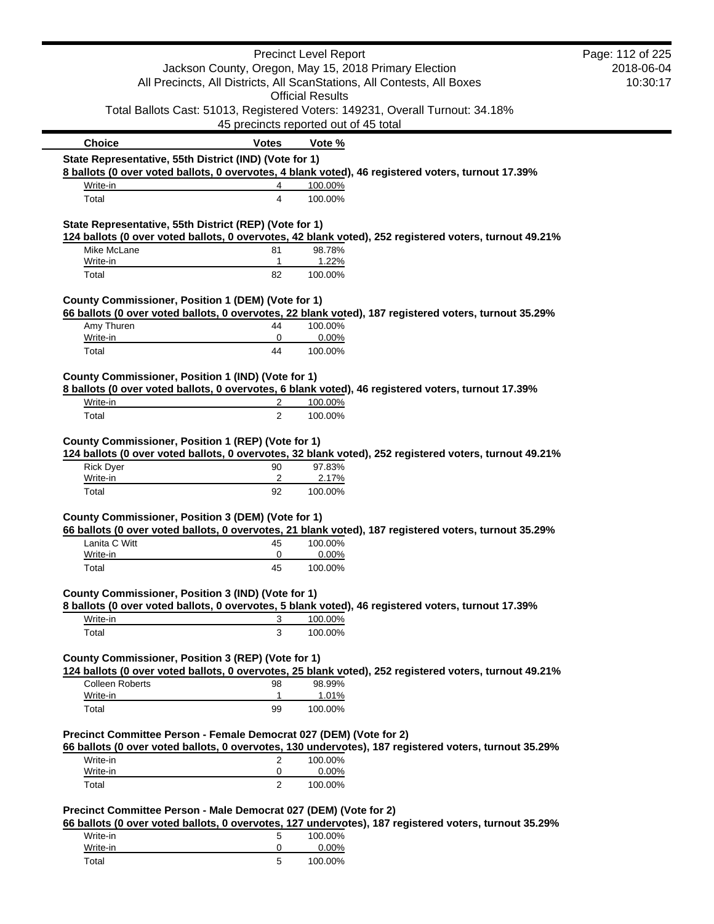|                                                                    |                | <b>Precinct Level Report</b>                                                                                                     | Page: 112 of 225       |
|--------------------------------------------------------------------|----------------|----------------------------------------------------------------------------------------------------------------------------------|------------------------|
|                                                                    |                | Jackson County, Oregon, May 15, 2018 Primary Election<br>All Precincts, All Districts, All ScanStations, All Contests, All Boxes | 2018-06-04<br>10:30:17 |
|                                                                    |                | <b>Official Results</b><br>Total Ballots Cast: 51013, Registered Voters: 149231, Overall Turnout: 34.18%                         |                        |
|                                                                    |                | 45 precincts reported out of 45 total                                                                                            |                        |
| <b>Choice</b>                                                      | <b>Votes</b>   | Vote %                                                                                                                           |                        |
| State Representative, 55th District (IND) (Vote for 1)             |                |                                                                                                                                  |                        |
| Write-in                                                           | 4              | 8 ballots (0 over voted ballots, 0 overvotes, 4 blank voted), 46 registered voters, turnout 17.39%<br>100.00%                    |                        |
| Total                                                              | 4              | 100.00%                                                                                                                          |                        |
|                                                                    |                |                                                                                                                                  |                        |
| State Representative, 55th District (REP) (Vote for 1)             |                | 124 ballots (0 over voted ballots, 0 overvotes, 42 blank voted), 252 registered voters, turnout 49.21%                           |                        |
| Mike McLane                                                        | 81             | 98.78%                                                                                                                           |                        |
| Write-in                                                           | $\mathbf{1}$   | 1.22%                                                                                                                            |                        |
| Total                                                              | 82             | 100.00%                                                                                                                          |                        |
| County Commissioner, Position 1 (DEM) (Vote for 1)                 |                |                                                                                                                                  |                        |
|                                                                    |                | 66 ballots (0 over voted ballots, 0 overvotes, 22 blank voted), 187 registered voters, turnout 35.29%                            |                        |
| Amy Thuren                                                         | 44             | 100.00%                                                                                                                          |                        |
| Write-in                                                           | 0              | 0.00%                                                                                                                            |                        |
| Total                                                              | 44             | 100.00%                                                                                                                          |                        |
| County Commissioner, Position 1 (IND) (Vote for 1)                 |                |                                                                                                                                  |                        |
|                                                                    |                | 8 ballots (0 over voted ballots, 0 overvotes, 6 blank voted), 46 registered voters, turnout 17.39%                               |                        |
| Write-in                                                           | 2              | 100.00%                                                                                                                          |                        |
| Total                                                              | $\overline{2}$ | 100.00%                                                                                                                          |                        |
| County Commissioner, Position 1 (REP) (Vote for 1)                 |                | 124 ballots (0 over voted ballots, 0 overvotes, 32 blank voted), 252 registered voters, turnout 49.21%                           |                        |
| <b>Rick Dyer</b>                                                   | 90<br>2        | 97.83%                                                                                                                           |                        |
| Write-in<br>Total                                                  | 92             | 2.17%<br>100.00%                                                                                                                 |                        |
|                                                                    |                |                                                                                                                                  |                        |
| County Commissioner, Position 3 (DEM) (Vote for 1)                 |                |                                                                                                                                  |                        |
|                                                                    |                | 66 ballots (0 over voted ballots, 0 overvotes, 21 blank voted), 187 registered voters, turnout 35.29%                            |                        |
| Lanita C Witt                                                      | 45             | 100.00%                                                                                                                          |                        |
| Write-in<br>Total                                                  | 0<br>45        | 0.00%<br>100.00%                                                                                                                 |                        |
|                                                                    |                |                                                                                                                                  |                        |
| County Commissioner, Position 3 (IND) (Vote for 1)                 |                |                                                                                                                                  |                        |
|                                                                    |                | 8 ballots (0 over voted ballots, 0 overvotes, 5 blank voted), 46 registered voters, turnout 17.39%                               |                        |
| Write-in                                                           | 3              | 100.00%                                                                                                                          |                        |
| Total                                                              | 3              | 100.00%                                                                                                                          |                        |
| County Commissioner, Position 3 (REP) (Vote for 1)                 |                |                                                                                                                                  |                        |
|                                                                    |                | 124 ballots (0 over voted ballots, 0 overvotes, 25 blank voted), 252 registered voters, turnout 49.21%                           |                        |
| <b>Colleen Roberts</b>                                             | 98             | 98.99%                                                                                                                           |                        |
| Write-in                                                           | 1              | 1.01%                                                                                                                            |                        |
| Total                                                              | 99             | 100.00%                                                                                                                          |                        |
|                                                                    |                |                                                                                                                                  |                        |
| Precinct Committee Person - Female Democrat 027 (DEM) (Vote for 2) |                | 66 ballots (0 over voted ballots, 0 overvotes, 130 undervotes), 187 registered voters, turnout 35.29%                            |                        |
| Write-in                                                           | 2              | 100.00%                                                                                                                          |                        |
| Write-in                                                           | 0              | 0.00%                                                                                                                            |                        |
| Total                                                              | 2              | 100.00%                                                                                                                          |                        |
| Precinct Committee Person - Male Democrat 027 (DEM) (Vote for 2)   |                |                                                                                                                                  |                        |
|                                                                    |                | 66 ballots (0 over voted ballots, 0 overvotes, 127 undervotes), 187 registered voters, turnout 35.29%                            |                        |
| Write-in                                                           | 5              | 100.00%                                                                                                                          |                        |
| Write-in<br>Total                                                  | 0<br>5         | 0.00%<br>100.00%                                                                                                                 |                        |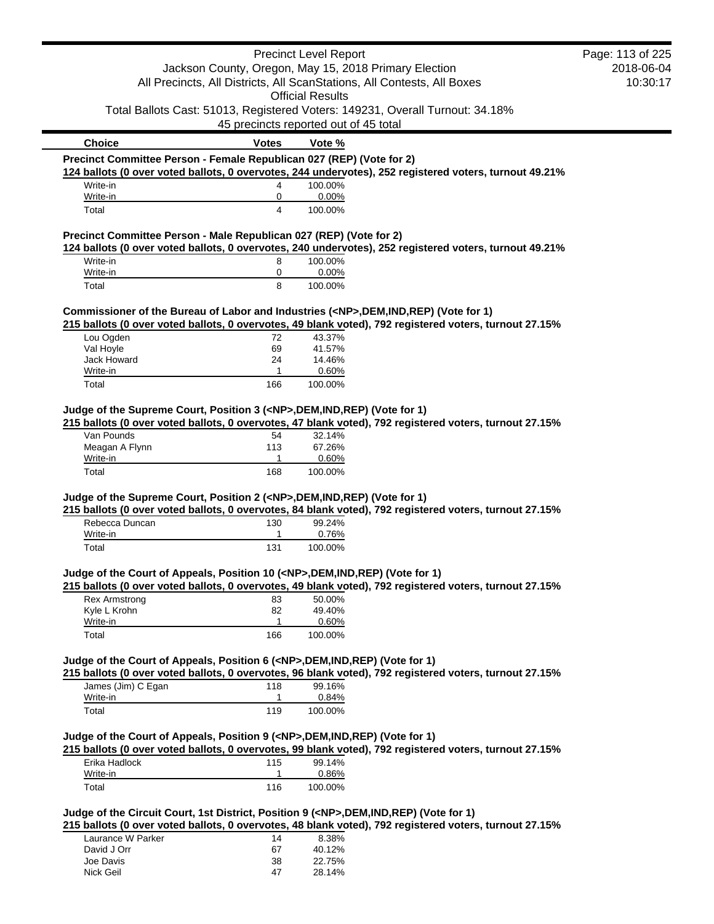|                                                                                            |                                                                         | <b>Precinct Level Report</b> |                                                                                                        | Page: 113 of 225 |
|--------------------------------------------------------------------------------------------|-------------------------------------------------------------------------|------------------------------|--------------------------------------------------------------------------------------------------------|------------------|
|                                                                                            | Jackson County, Oregon, May 15, 2018 Primary Election                   |                              |                                                                                                        | 2018-06-04       |
|                                                                                            | All Precincts, All Districts, All ScanStations, All Contests, All Boxes |                              | 10:30:17                                                                                               |                  |
|                                                                                            |                                                                         | <b>Official Results</b>      |                                                                                                        |                  |
|                                                                                            |                                                                         |                              | Total Ballots Cast: 51013, Registered Voters: 149231, Overall Turnout: 34.18%                          |                  |
|                                                                                            | 45 precincts reported out of 45 total                                   |                              |                                                                                                        |                  |
| <b>Choice</b>                                                                              | <b>Votes</b>                                                            | Vote %                       |                                                                                                        |                  |
| Precinct Committee Person - Female Republican 027 (REP) (Vote for 2)                       |                                                                         |                              |                                                                                                        |                  |
|                                                                                            |                                                                         |                              | 124 ballots (0 over voted ballots, 0 overvotes, 244 undervotes), 252 registered voters, turnout 49.21% |                  |
| Write-in                                                                                   | 4                                                                       | 100.00%                      |                                                                                                        |                  |
| Write-in                                                                                   | 0                                                                       | 0.00%                        |                                                                                                        |                  |
| Total                                                                                      | $\overline{4}$                                                          | 100.00%                      |                                                                                                        |                  |
| Precinct Committee Person - Male Republican 027 (REP) (Vote for 2)                         |                                                                         |                              |                                                                                                        |                  |
|                                                                                            |                                                                         |                              | 124 ballots (0 over voted ballots, 0 overvotes, 240 undervotes), 252 registered voters, turnout 49.21% |                  |
| Write-in                                                                                   | 8                                                                       | 100.00%                      |                                                                                                        |                  |
| Write-in                                                                                   | 0                                                                       | 0.00%                        |                                                                                                        |                  |
| Total                                                                                      | 8                                                                       | 100.00%                      |                                                                                                        |                  |
| Commissioner of the Bureau of Labor and Industries ( <np>,DEM,IND,REP) (Vote for 1)</np>   |                                                                         |                              |                                                                                                        |                  |
|                                                                                            |                                                                         |                              | 215 ballots (0 over voted ballots, 0 overvotes, 49 blank voted), 792 registered voters, turnout 27.15% |                  |
| Lou Ogden                                                                                  | 72                                                                      | 43.37%                       |                                                                                                        |                  |
| Val Hoyle                                                                                  | 69                                                                      | 41.57%                       |                                                                                                        |                  |
| Jack Howard                                                                                | 24                                                                      | 14.46%                       |                                                                                                        |                  |
| Write-in                                                                                   | 1                                                                       | 0.60%                        |                                                                                                        |                  |
| Total                                                                                      | 166                                                                     | 100.00%                      |                                                                                                        |                  |
|                                                                                            |                                                                         |                              |                                                                                                        |                  |
| Judge of the Supreme Court, Position 3 ( <np>,DEM,IND,REP) (Vote for 1)</np>               |                                                                         |                              |                                                                                                        |                  |
|                                                                                            |                                                                         |                              | 215 ballots (0 over voted ballots, 0 overvotes, 47 blank voted), 792 registered voters, turnout 27.15% |                  |
| Van Pounds                                                                                 | 54                                                                      | 32.14%                       |                                                                                                        |                  |
| Meagan A Flynn                                                                             | 113                                                                     | 67.26%                       |                                                                                                        |                  |
| Write-in                                                                                   | 1                                                                       | 0.60%                        |                                                                                                        |                  |
| Total                                                                                      | 168                                                                     | 100.00%                      |                                                                                                        |                  |
| Judge of the Supreme Court, Position 2 ( <np>,DEM,IND,REP) (Vote for 1)</np>               |                                                                         |                              |                                                                                                        |                  |
|                                                                                            |                                                                         |                              | 215 ballots (0 over voted ballots, 0 overvotes, 84 blank voted), 792 registered voters, turnout 27.15% |                  |
| Rebecca Duncan                                                                             | 130                                                                     | 99.24%                       |                                                                                                        |                  |
| Write-in                                                                                   | 1                                                                       | 0.76%                        |                                                                                                        |                  |
| Total                                                                                      | 131                                                                     | 100.00%                      |                                                                                                        |                  |
|                                                                                            |                                                                         |                              |                                                                                                        |                  |
| Judge of the Court of Appeals, Position 10 ( <np>,DEM,IND,REP) (Vote for 1)</np>           |                                                                         |                              |                                                                                                        |                  |
|                                                                                            |                                                                         |                              | 215 ballots (0 over voted ballots, 0 overvotes, 49 blank voted), 792 registered voters, turnout 27.15% |                  |
| Rex Armstrong                                                                              | 83                                                                      | 50.00%                       |                                                                                                        |                  |
| Kyle L Krohn                                                                               | 82                                                                      | 49.40%                       |                                                                                                        |                  |
| Write-in                                                                                   | 1                                                                       | 0.60%                        |                                                                                                        |                  |
| Total                                                                                      | 166                                                                     | 100.00%                      |                                                                                                        |                  |
|                                                                                            |                                                                         |                              |                                                                                                        |                  |
| Judge of the Court of Appeals, Position 6 ( <np>,DEM,IND,REP) (Vote for 1)</np>            |                                                                         |                              |                                                                                                        |                  |
|                                                                                            |                                                                         |                              | 215 ballots (0 over voted ballots, 0 overvotes, 96 blank voted), 792 registered voters, turnout 27.15% |                  |
| James (Jim) C Egan                                                                         | 118                                                                     | 99.16%                       |                                                                                                        |                  |
| Write-in                                                                                   | 1                                                                       | 0.84%                        |                                                                                                        |                  |
| Total                                                                                      | 119                                                                     | 100.00%                      |                                                                                                        |                  |
| Judge of the Court of Appeals, Position 9 ( <np>,DEM,IND,REP) (Vote for 1)</np>            |                                                                         |                              |                                                                                                        |                  |
|                                                                                            |                                                                         |                              | 215 ballots (0 over voted ballots, 0 overvotes, 99 blank voted), 792 registered voters, turnout 27.15% |                  |
| Erika Hadlock                                                                              |                                                                         | 99.14%                       |                                                                                                        |                  |
| Write-in                                                                                   | 115<br>$\mathbf{1}$                                                     | 0.86%                        |                                                                                                        |                  |
| Total                                                                                      | 116                                                                     | 100.00%                      |                                                                                                        |                  |
|                                                                                            |                                                                         |                              |                                                                                                        |                  |
| Judge of the Circuit Court, 1st District, Position 9 ( <np>,DEM,IND,REP) (Vote for 1)</np> |                                                                         |                              |                                                                                                        |                  |
|                                                                                            |                                                                         |                              | 215 ballots (0 over voted ballots, 0 overvotes, 48 blank voted), 792 registered voters, turnout 27.15% |                  |
| Laurance W Parker                                                                          | 14                                                                      | 8.38%                        |                                                                                                        |                  |
|                                                                                            |                                                                         |                              |                                                                                                        |                  |

| Laurance W Parker | 14  | 8.38%  |
|-------------------|-----|--------|
| David J Orr       | 67  | 40.12% |
| Joe Davis         | 38. | 22.75% |
| Nick Geil         | 47  | 28.14% |
|                   |     |        |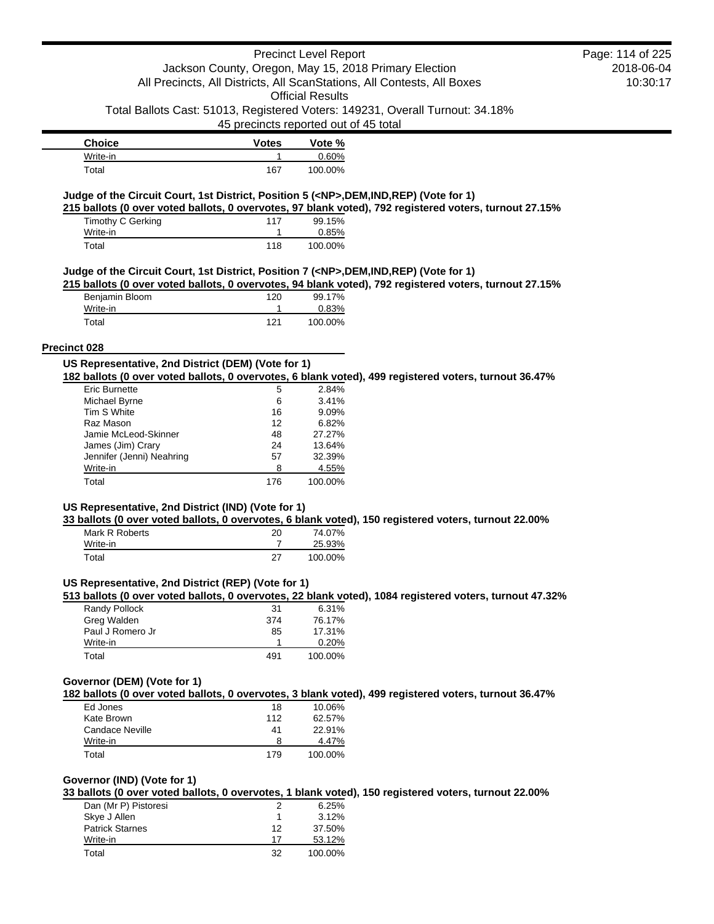### Precinct Level Report Jackson County, Oregon, May 15, 2018 Primary Election

Official Results Total Ballots Cast: 51013, Registered Voters: 149231, Overall Turnout: 34.18%

All Precincts, All Districts, All ScanStations, All Contests, All Boxes

45 precincts reported out of 45 total

| <b>Choice</b> | <b>Votes</b> | Vote %  |
|---------------|--------------|---------|
| Write-in      |              | 0.60%   |
| Total         | 167          | 100.00% |

### **Judge of the Circuit Court, 1st District, Position 5 (<NP>,DEM,IND,REP) (Vote for 1)**

**215 ballots (0 over voted ballots, 0 overvotes, 97 blank voted), 792 registered voters, turnout 27.15%**

| Timothy C Gerking | 117 | 99.15%   |
|-------------------|-----|----------|
| Write-in          |     | $0.85\%$ |
| Total             | 118 | 100.00%  |

### **Judge of the Circuit Court, 1st District, Position 7 (<NP>,DEM,IND,REP) (Vote for 1)**

**215 ballots (0 over voted ballots, 0 overvotes, 94 blank voted), 792 registered voters, turnout 27.15%**

| Benjamin Bloom | 120 | 99.17%  |
|----------------|-----|---------|
| Write-in       |     | 0.83%   |
| Total          | 121 | 100.00% |

#### **Precinct 028**

| US Representative, 2nd District (DEM) (Vote for 1)                                                    |  |  |
|-------------------------------------------------------------------------------------------------------|--|--|
| 182 ballots (0 over voted ballots, 0 overvotes, 6 blank voted), 499 registered voters, turnout 36.47% |  |  |

| <b>Eric Burnette</b>      | 5   | 2.84%   |
|---------------------------|-----|---------|
| Michael Byrne             | 6   | 3.41%   |
| Tim S White               | 16  | 9.09%   |
| Raz Mason                 | 12  | 6.82%   |
| Jamie McLeod-Skinner      | 48  | 27.27%  |
| James (Jim) Crary         | 24  | 13.64%  |
| Jennifer (Jenni) Neahring | 57  | 32.39%  |
| Write-in                  | 8   | 4.55%   |
| Total                     | 176 | 100.00% |

# **US Representative, 2nd District (IND) (Vote for 1)**

**33 ballots (0 over voted ballots, 0 overvotes, 6 blank voted), 150 registered voters, turnout 22.00%**

| Mark R Roberts | 20 | 74.07%  |
|----------------|----|---------|
| Write-in       |    | 25.93%  |
| Total          | 27 | 100.00% |

### **US Representative, 2nd District (REP) (Vote for 1)**

**513 ballots (0 over voted ballots, 0 overvotes, 22 blank voted), 1084 registered voters, turnout 47.32%**

| Randy Pollock    | 31  | 6.31%   |
|------------------|-----|---------|
| Greg Walden      | 374 | 76.17%  |
| Paul J Romero Jr | 85  | 17.31%  |
| Write-in         |     | 0.20%   |
| Total            | 491 | 100.00% |

### **Governor (DEM) (Vote for 1)**

**182 ballots (0 over voted ballots, 0 overvotes, 3 blank voted), 499 registered voters, turnout 36.47%**

| Ed Jones        | 18  | 10.06%  |
|-----------------|-----|---------|
| Kate Brown      | 112 | 62.57%  |
| Candace Neville | 41  | 22.91%  |
| Write-in        | 8   | 4.47%   |
| Total           | 179 | 100.00% |

# **Governor (IND) (Vote for 1)**

**33 ballots (0 over voted ballots, 0 overvotes, 1 blank voted), 150 registered voters, turnout 22.00%**

| Dan (Mr P) Pistoresi   | 2  | 6.25%   |
|------------------------|----|---------|
| Skye J Allen           |    | 3.12%   |
| <b>Patrick Starnes</b> | 12 | 37.50%  |
| Write-in               | 17 | 53.12%  |
| Total                  | 32 | 100.00% |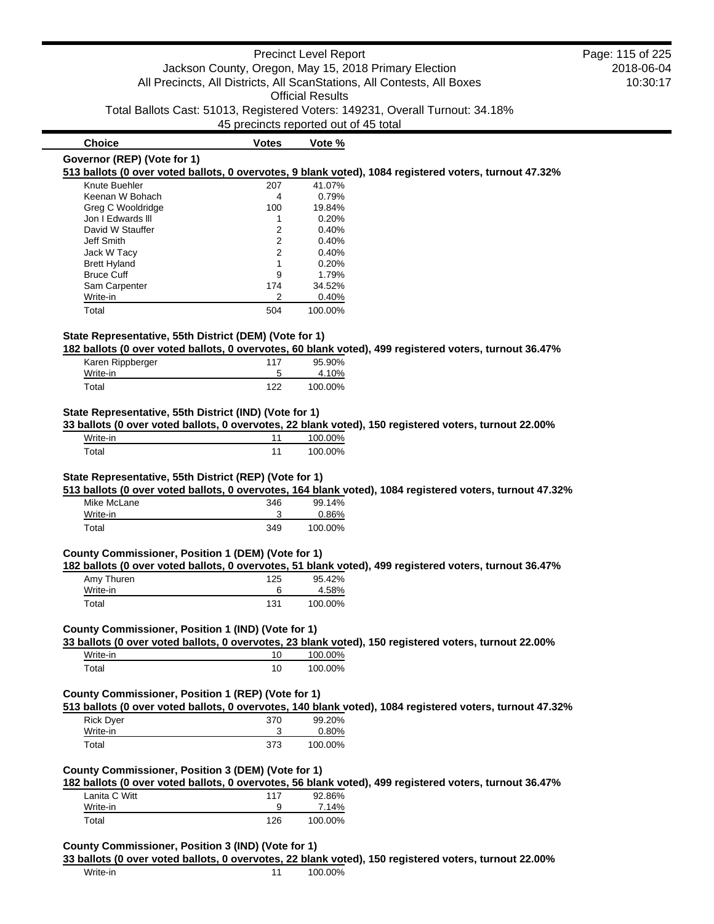# Precinct Level Report Jackson County, Oregon, May 15, 2018 Primary Election All Precincts, All Districts, All ScanStations, All Contests, All Boxes Official Results Total Ballots Cast: 51013, Registered Voters: 149231, Overall Turnout: 34.18% 45 precincts reported out of 45 total 2018-06-04 10:30:17 **Choice Votes Vote % Governor (REP) (Vote for 1) 513 ballots (0 over voted ballots, 0 overvotes, 9 blank voted), 1084 registered voters, turnout 47.32%** Knute Buehler 207 41.07% Keenan W Bohach 1988 100 10.79%<br>Greg C Wooldridge 100 19.84% Greg C Wooldridge 100 19.84% Jon I Edwards III and 1 0.20% David W Stauffer 2 0.40% Jeff Smith 2 0.40% Jack W Tacy 2 0.40% Brett Hyland 1 0.20% Bruce Cuff 9 1.79% Sam Carpenter 174 34.52% Write-in 2 0.40% Total 504 100.00% **State Representative, 55th District (DEM) (Vote for 1) 182 ballots (0 over voted ballots, 0 overvotes, 60 blank voted), 499 registered voters, turnout 36.47%** Karen Rippberger 117 95.90% Write-in 5 4.10% Total 122 100.00% **State Representative, 55th District (IND) (Vote for 1) 33 ballots (0 over voted ballots, 0 overvotes, 22 blank voted), 150 registered voters, turnout 22.00%** Write-in 11 100.00% Total 100.00% **State Representative, 55th District (REP) (Vote for 1) 513 ballots (0 over voted ballots, 0 overvotes, 164 blank voted), 1084 registered voters, turnout 47.32%** Mike McLane 346 99.14% Write-in 3 0.86% Total 349 100.00% **County Commissioner, Position 1 (DEM) (Vote for 1) 182 ballots (0 over voted ballots, 0 overvotes, 51 blank voted), 499 registered voters, turnout 36.47%** Amy Thuren 2008 2012 125 125 125 125 125 125 126 127 128 129 129 129 129 129 129 120 121 121 121 121 121 121 1 Write-in 6 4.58% Total 100.00% **County Commissioner, Position 1 (IND) (Vote for 1) 33 ballots (0 over voted ballots, 0 overvotes, 23 blank voted), 150 registered voters, turnout 22.00%** Write-in 10 100.00% Total 100.00% **County Commissioner, Position 1 (REP) (Vote for 1) 513 ballots (0 over voted ballots, 0 overvotes, 140 blank voted), 1084 registered voters, turnout 47.32%** Rick Dyer 370 99.20% Write-in 3 0.80% Total 373 100.00% **County Commissioner, Position 3 (DEM) (Vote for 1) 182 ballots (0 over voted ballots, 0 overvotes, 56 blank voted), 499 registered voters, turnout 36.47%** Lanita C Witt **117** 92.86% Write-in 9 7.14% Total 126 100.00% **County Commissioner, Position 3 (IND) (Vote for 1) 33 ballots (0 over voted ballots, 0 overvotes, 22 blank voted), 150 registered voters, turnout 22.00%** Write-in 100.00% Page: 115 of 225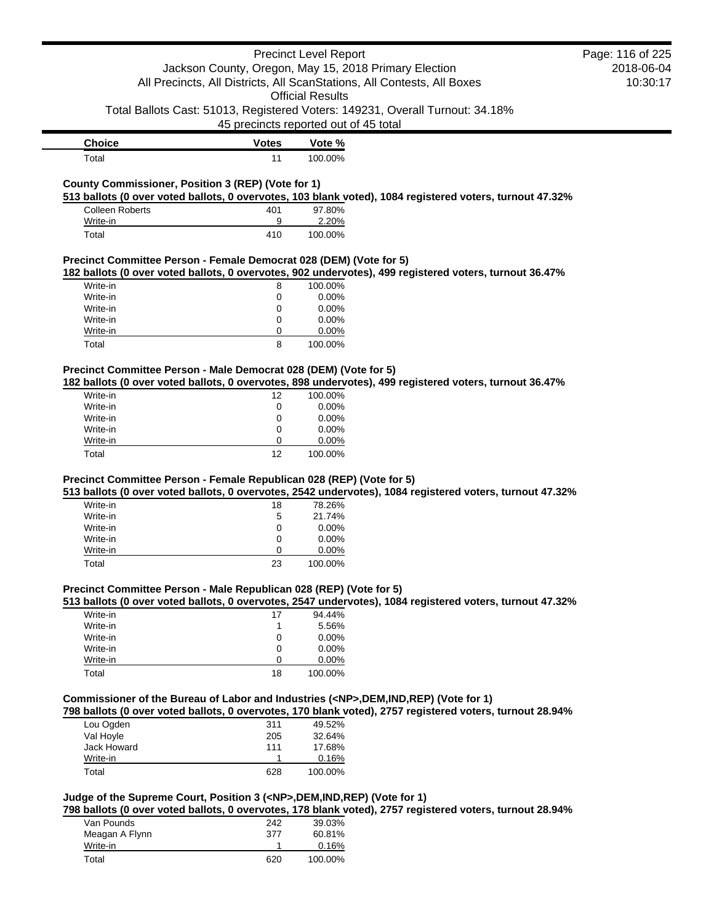|                                                                              |              | <b>Precinct Level Report</b>                                                                                                                                                                          | Page: 116 of 225 |
|------------------------------------------------------------------------------|--------------|-------------------------------------------------------------------------------------------------------------------------------------------------------------------------------------------------------|------------------|
|                                                                              |              | Jackson County, Oregon, May 15, 2018 Primary Election                                                                                                                                                 | 2018-06-04       |
|                                                                              |              | All Precincts, All Districts, All ScanStations, All Contests, All Boxes                                                                                                                               | 10:30:17         |
|                                                                              |              | <b>Official Results</b>                                                                                                                                                                               |                  |
|                                                                              |              | Total Ballots Cast: 51013, Registered Voters: 149231, Overall Turnout: 34.18%                                                                                                                         |                  |
|                                                                              |              | 45 precincts reported out of 45 total                                                                                                                                                                 |                  |
| <b>Choice</b>                                                                | <b>Votes</b> | Vote %                                                                                                                                                                                                |                  |
| Total                                                                        | 11           | 100.00%                                                                                                                                                                                               |                  |
|                                                                              |              |                                                                                                                                                                                                       |                  |
| County Commissioner, Position 3 (REP) (Vote for 1)                           |              |                                                                                                                                                                                                       |                  |
| <b>Colleen Roberts</b>                                                       | 401          | 513 ballots (0 over voted ballots, 0 overvotes, 103 blank voted), 1084 registered voters, turnout 47.32%<br>97.80%                                                                                    |                  |
| Write-in                                                                     | 9            | 2.20%                                                                                                                                                                                                 |                  |
| Total                                                                        | 410          | 100.00%                                                                                                                                                                                               |                  |
|                                                                              |              |                                                                                                                                                                                                       |                  |
| Precinct Committee Person - Female Democrat 028 (DEM) (Vote for 5)           |              |                                                                                                                                                                                                       |                  |
|                                                                              |              | 182 ballots (0 over voted ballots, 0 overvotes, 902 undervotes), 499 registered voters, turnout 36.47%                                                                                                |                  |
| Write-in                                                                     | 8            | 100.00%                                                                                                                                                                                               |                  |
| Write-in                                                                     | 0            | 0.00%                                                                                                                                                                                                 |                  |
| Write-in                                                                     | 0            | 0.00%                                                                                                                                                                                                 |                  |
| Write-in                                                                     | 0            | 0.00%                                                                                                                                                                                                 |                  |
| Write-in                                                                     | 0            | 0.00%                                                                                                                                                                                                 |                  |
| Total                                                                        | 8            | 100.00%                                                                                                                                                                                               |                  |
| Precinct Committee Person - Male Democrat 028 (DEM) (Vote for 5)             |              |                                                                                                                                                                                                       |                  |
|                                                                              |              | 182 ballots (0 over voted ballots, 0 overvotes, 898 undervotes), 499 registered voters, turnout 36.47%                                                                                                |                  |
| Write-in                                                                     | 12           | 100.00%                                                                                                                                                                                               |                  |
| Write-in                                                                     | 0            | 0.00%                                                                                                                                                                                                 |                  |
| Write-in                                                                     | 0            | 0.00%                                                                                                                                                                                                 |                  |
| Write-in                                                                     | 0            | 0.00%                                                                                                                                                                                                 |                  |
| Write-in                                                                     | 0            | 0.00%                                                                                                                                                                                                 |                  |
| Total                                                                        | 12           | 100.00%                                                                                                                                                                                               |                  |
|                                                                              |              |                                                                                                                                                                                                       |                  |
| Precinct Committee Person - Female Republican 028 (REP) (Vote for 5)         |              |                                                                                                                                                                                                       |                  |
|                                                                              |              | 513 ballots (0 over voted ballots, 0 overvotes, 2542 undervotes), 1084 registered voters, turnout 47.32%                                                                                              |                  |
| Write-in                                                                     | 18           | 78.26%                                                                                                                                                                                                |                  |
| Write-in<br>Write-in                                                         | 5<br>0       | 21.74%<br>0.00%                                                                                                                                                                                       |                  |
| Write-in                                                                     | 0            | 0.00%                                                                                                                                                                                                 |                  |
| Write-in                                                                     | 0            | 0.00%                                                                                                                                                                                                 |                  |
| Total                                                                        | 23           | 100.00%                                                                                                                                                                                               |                  |
|                                                                              |              |                                                                                                                                                                                                       |                  |
| Precinct Committee Person - Male Republican 028 (REP) (Vote for 5)           |              |                                                                                                                                                                                                       |                  |
|                                                                              |              | 513 ballots (0 over voted ballots, 0 overvotes, 2547 undervotes), 1084 registered voters, turnout 47.32%                                                                                              |                  |
| Write-in                                                                     | 17           | 94.44%                                                                                                                                                                                                |                  |
| Write-in                                                                     | 1            | 5.56%                                                                                                                                                                                                 |                  |
| Write-in                                                                     | 0            | 0.00%                                                                                                                                                                                                 |                  |
| Write-in                                                                     | 0            | 0.00%                                                                                                                                                                                                 |                  |
| Write-in                                                                     | 0            | 0.00%                                                                                                                                                                                                 |                  |
| Total                                                                        | 18           | 100.00%                                                                                                                                                                                               |                  |
|                                                                              |              |                                                                                                                                                                                                       |                  |
|                                                                              |              | Commissioner of the Bureau of Labor and Industries ( <np>,DEM,IND,REP) (Vote for 1)<br/>798 ballots (0 over voted ballots, 0 overvotes, 170 blank voted), 2757 registered voters, turnout 28.94%</np> |                  |
| Lou Ogden                                                                    | 311          | 49.52%                                                                                                                                                                                                |                  |
| Val Hoyle                                                                    | 205          | 32.64%                                                                                                                                                                                                |                  |
| Jack Howard                                                                  | 111          | 17.68%                                                                                                                                                                                                |                  |
| Write-in                                                                     | $\mathbf{1}$ | 0.16%                                                                                                                                                                                                 |                  |
| Total                                                                        | 628          | 100.00%                                                                                                                                                                                               |                  |
|                                                                              |              |                                                                                                                                                                                                       |                  |
| Judge of the Supreme Court, Position 3 ( <np>,DEM,IND,REP) (Vote for 1)</np> |              |                                                                                                                                                                                                       |                  |
|                                                                              |              | 798 ballots (0 over voted ballots, 0 overvotes, 178 blank voted), 2757 registered voters, turnout 28.94%                                                                                              |                  |
| Van Pounds                                                                   | 242          | 39.03%                                                                                                                                                                                                |                  |
| Meagan A Flynn                                                               | 377          | 60 81%                                                                                                                                                                                                |                  |

| Meagan A Flynn | 377 | 60.81%  |
|----------------|-----|---------|
| Write-in       |     | 0.16%   |
| Total          | 620 | 100.00% |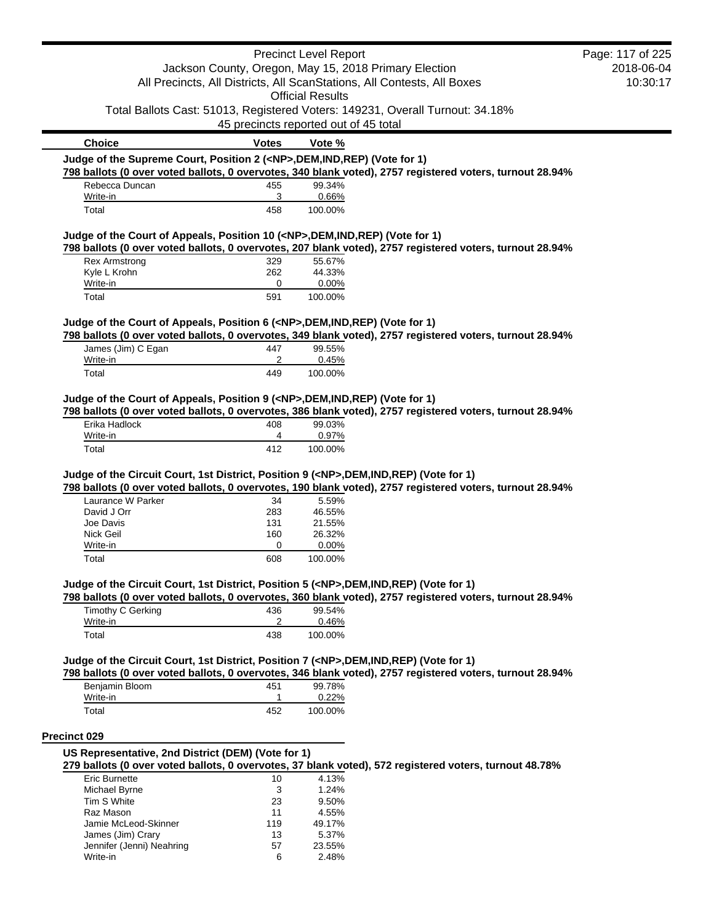|                                                                                                                  |                                                       | <b>Precinct Level Report</b>          |                                                                                                          | Page: 117 of 225 |
|------------------------------------------------------------------------------------------------------------------|-------------------------------------------------------|---------------------------------------|----------------------------------------------------------------------------------------------------------|------------------|
|                                                                                                                  | Jackson County, Oregon, May 15, 2018 Primary Election |                                       |                                                                                                          | 2018-06-04       |
|                                                                                                                  |                                                       | <b>Official Results</b>               | All Precincts, All Districts, All ScanStations, All Contests, All Boxes                                  | 10:30:17         |
|                                                                                                                  |                                                       | 45 precincts reported out of 45 total | Total Ballots Cast: 51013, Registered Voters: 149231, Overall Turnout: 34.18%                            |                  |
| <b>Choice</b>                                                                                                    | <b>Votes</b>                                          | Vote %                                |                                                                                                          |                  |
| Judge of the Supreme Court, Position 2 ( <np>,DEM,IND,REP) (Vote for 1)</np>                                     |                                                       |                                       |                                                                                                          |                  |
|                                                                                                                  |                                                       |                                       | 798 ballots (0 over voted ballots, 0 overvotes, 340 blank voted), 2757 registered voters, turnout 28.94% |                  |
| Rebecca Duncan                                                                                                   | 455                                                   | 99.34%                                |                                                                                                          |                  |
| Write-in<br>Total                                                                                                | 3<br>458                                              | 0.66%<br>100.00%                      |                                                                                                          |                  |
|                                                                                                                  |                                                       |                                       |                                                                                                          |                  |
| Judge of the Court of Appeals, Position 10 ( <np>, DEM, IND, REP) (Vote for 1)</np>                              |                                                       |                                       | 798 ballots (0 over voted ballots, 0 overvotes, 207 blank voted), 2757 registered voters, turnout 28.94% |                  |
| <b>Rex Armstrong</b>                                                                                             | 329                                                   | 55.67%                                |                                                                                                          |                  |
| Kyle L Krohn                                                                                                     | 262                                                   | 44.33%                                |                                                                                                          |                  |
| Write-in<br>Total                                                                                                | 0<br>591                                              | 0.00%<br>100.00%                      |                                                                                                          |                  |
|                                                                                                                  |                                                       |                                       |                                                                                                          |                  |
| Judge of the Court of Appeals, Position 6 ( <np>,DEM,IND,REP) (Vote for 1)</np>                                  |                                                       |                                       | 798 ballots (0 over voted ballots, 0 overvotes, 349 blank voted), 2757 registered voters, turnout 28.94% |                  |
| James (Jim) C Egan                                                                                               | 447                                                   | 99.55%                                |                                                                                                          |                  |
| Write-in                                                                                                         | 2                                                     | 0.45%                                 |                                                                                                          |                  |
| Total                                                                                                            | 449                                                   | 100.00%                               |                                                                                                          |                  |
| Judge of the Court of Appeals, Position 9 ( <np>,DEM,IND,REP) (Vote for 1)<br/>Erika Hadlock</np>                | 408                                                   | 99.03%                                | 798 ballots (0 over voted ballots, 0 overvotes, 386 blank voted), 2757 registered voters, turnout 28.94% |                  |
| Write-in                                                                                                         | 4                                                     | 0.97%                                 |                                                                                                          |                  |
| Total                                                                                                            | 412                                                   | 100.00%                               |                                                                                                          |                  |
| Judge of the Circuit Court, 1st District, Position 9 ( <np>,DEM,IND,REP) (Vote for 1)<br/>Laurance W Parker</np> | 34                                                    | 5.59%                                 | 798 ballots (0 over voted ballots, 0 overvotes, 190 blank voted), 2757 registered voters, turnout 28.94% |                  |
| David J Orr                                                                                                      | 283                                                   | 46.55%                                |                                                                                                          |                  |
| Joe Davis                                                                                                        | 131                                                   | 21.55%                                |                                                                                                          |                  |
| Nick Geil                                                                                                        | 160                                                   | 26.32%                                |                                                                                                          |                  |
| Write-in                                                                                                         | 0                                                     | 0.00%                                 |                                                                                                          |                  |
| Total                                                                                                            | 608                                                   | 100.00%                               |                                                                                                          |                  |
| Judge of the Circuit Court, 1st District, Position 5 ( <np>,DEM,IND,REP) (Vote for 1)</np>                       |                                                       |                                       | 798 ballots (0 over voted ballots, 0 overvotes, 360 blank voted), 2757 registered voters, turnout 28.94% |                  |
| <b>Timothy C Gerking</b>                                                                                         | 436                                                   | 99.54%                                |                                                                                                          |                  |
| Write-in                                                                                                         | 2                                                     | 0.46%                                 |                                                                                                          |                  |
| Total                                                                                                            | 438                                                   | 100.00%                               |                                                                                                          |                  |
| Judge of the Circuit Court, 1st District, Position 7 ( <np>,DEM,IND,REP) (Vote for 1)</np>                       |                                                       |                                       |                                                                                                          |                  |
| Benjamin Bloom                                                                                                   | 451                                                   | 99.78%                                | 798 ballots (0 over voted ballots, 0 overvotes, 346 blank voted), 2757 registered voters, turnout 28.94% |                  |
| Write-in                                                                                                         | 1                                                     | 0.22%                                 |                                                                                                          |                  |
| Total                                                                                                            | 452                                                   | 100.00%                               |                                                                                                          |                  |
| Precinct 029                                                                                                     |                                                       |                                       |                                                                                                          |                  |
| US Representative, 2nd District (DEM) (Vote for 1)                                                               |                                                       |                                       |                                                                                                          |                  |
|                                                                                                                  |                                                       |                                       | 279 ballots (0 over voted ballots, 0 overvotes, 37 blank voted), 572 registered voters, turnout 48.78%   |                  |
| <b>Eric Burnette</b><br>Michael Byrne                                                                            | 10<br>3                                               | 4.13%<br>1.24%                        |                                                                                                          |                  |
| Tim S White                                                                                                      | 23                                                    | 9.50%                                 |                                                                                                          |                  |
| Raz Mason                                                                                                        | 11                                                    | 4.55%                                 |                                                                                                          |                  |
| Jamie McLeod-Skinner                                                                                             | 119                                                   | 49.17%                                |                                                                                                          |                  |
| James (Jim) Crary                                                                                                | 13                                                    | 5.37%                                 |                                                                                                          |                  |
| Jennifer (Jenni) Neahring                                                                                        | 57                                                    | 23.55%                                |                                                                                                          |                  |
| Write-in                                                                                                         | 6                                                     | 2.48%                                 |                                                                                                          |                  |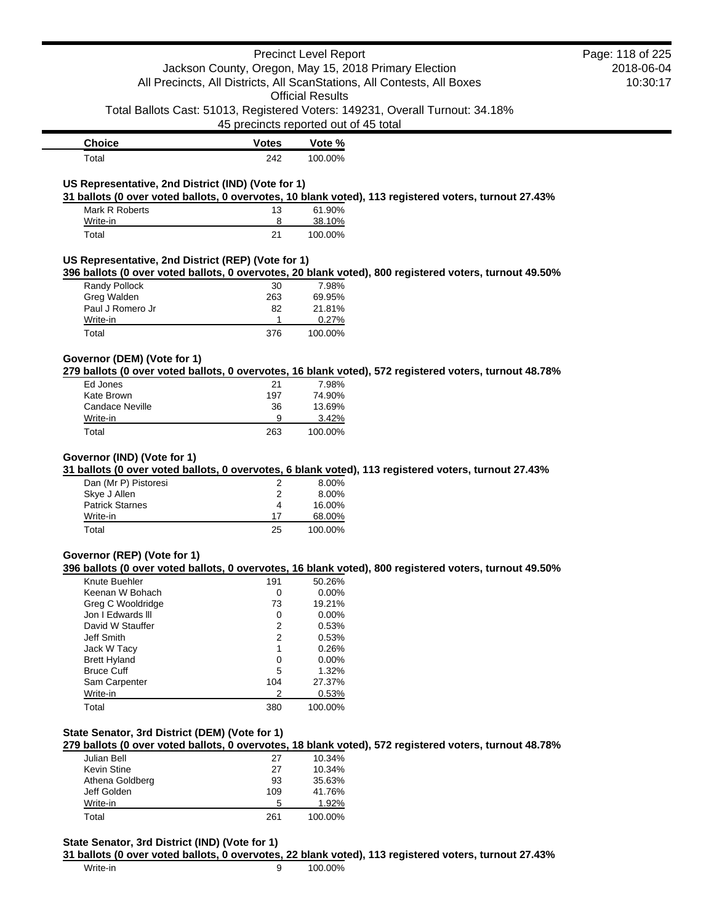|                                                                                               |                                       | <b>Precinct Level Report</b> | Jackson County, Oregon, May 15, 2018 Primary Election                                                  | Page: 118 of 225<br>2018-06-04 |
|-----------------------------------------------------------------------------------------------|---------------------------------------|------------------------------|--------------------------------------------------------------------------------------------------------|--------------------------------|
|                                                                                               |                                       | <b>Official Results</b>      | All Precincts, All Districts, All ScanStations, All Contests, All Boxes                                | 10:30:17                       |
|                                                                                               | 45 precincts reported out of 45 total |                              | Total Ballots Cast: 51013, Registered Voters: 149231, Overall Turnout: 34.18%                          |                                |
| <b>Choice</b>                                                                                 | <b>Votes</b>                          | Vote %                       |                                                                                                        |                                |
| Total                                                                                         | 242                                   | 100.00%                      |                                                                                                        |                                |
| US Representative, 2nd District (IND) (Vote for 1)                                            |                                       |                              | 31 ballots (0 over voted ballots, 0 overvotes, 10 blank voted), 113 registered voters, turnout 27.43%  |                                |
| Mark R Roberts                                                                                | 13                                    | 61.90%                       |                                                                                                        |                                |
| Write-in<br>Total                                                                             | 8<br>21                               | 38.10%<br>100.00%            |                                                                                                        |                                |
| US Representative, 2nd District (REP) (Vote for 1)                                            |                                       |                              |                                                                                                        |                                |
|                                                                                               |                                       |                              | 396 ballots (0 over voted ballots, 0 overvotes, 20 blank voted), 800 registered voters, turnout 49.50% |                                |
| Randy Pollock                                                                                 | 30                                    | 7.98%                        |                                                                                                        |                                |
| Greg Walden                                                                                   | 263                                   | 69.95%                       |                                                                                                        |                                |
| Paul J Romero Jr                                                                              | 82                                    | 21.81%                       |                                                                                                        |                                |
| Write-in<br>Total                                                                             | 1<br>376                              | 0.27%<br>100.00%             |                                                                                                        |                                |
|                                                                                               |                                       |                              |                                                                                                        |                                |
| Governor (DEM) (Vote for 1)                                                                   |                                       |                              | 279 ballots (0 over voted ballots, 0 overvotes, 16 blank voted), 572 registered voters, turnout 48.78% |                                |
| Ed Jones                                                                                      | 21                                    | 7.98%                        |                                                                                                        |                                |
| Kate Brown                                                                                    | 197                                   | 74.90%                       |                                                                                                        |                                |
| <b>Candace Neville</b>                                                                        | 36                                    | 13.69%                       |                                                                                                        |                                |
| Write-in                                                                                      | 9                                     | 3.42%                        |                                                                                                        |                                |
| Total                                                                                         | 263                                   | 100.00%                      |                                                                                                        |                                |
| Governor (IND) (Vote for 1)<br>Dan (Mr P) Pistoresi<br>Skye J Allen<br><b>Patrick Starnes</b> | 2<br>2<br>4                           | 8.00%<br>8.00%<br>16.00%     | 31 ballots (0 over voted ballots, 0 overvotes, 6 blank voted), 113 registered voters, turnout 27.43%   |                                |
| Write-in                                                                                      | 17                                    | 68.00%                       |                                                                                                        |                                |
| Total                                                                                         | 25                                    | 100.00%                      |                                                                                                        |                                |
| Governor (REP) (Vote for 1)                                                                   |                                       |                              |                                                                                                        |                                |
|                                                                                               |                                       |                              | 396 ballots (0 over voted ballots, 0 overvotes, 16 blank voted), 800 registered voters, turnout 49.50% |                                |
| Knute Buehler                                                                                 | 191                                   | 50.26%                       |                                                                                                        |                                |
| Keenan W Bohach                                                                               | 0                                     | 0.00%                        |                                                                                                        |                                |
| Greg C Wooldridge<br>Jon I Edwards III                                                        | 73                                    | 19.21%<br>0.00%              |                                                                                                        |                                |
| David W Stauffer                                                                              | 0<br>2                                | 0.53%                        |                                                                                                        |                                |
| Jeff Smith                                                                                    | 2                                     | 0.53%                        |                                                                                                        |                                |
| Jack W Tacy                                                                                   | 1                                     | 0.26%                        |                                                                                                        |                                |
| <b>Brett Hyland</b>                                                                           | $\mathbf 0$                           | 0.00%                        |                                                                                                        |                                |
| <b>Bruce Cuff</b>                                                                             | 5                                     | 1.32%                        |                                                                                                        |                                |
| Sam Carpenter                                                                                 | 104                                   | 27.37%                       |                                                                                                        |                                |
| Write-in                                                                                      | 2                                     | 0.53%                        |                                                                                                        |                                |
| Total                                                                                         | 380                                   | 100.00%                      |                                                                                                        |                                |
| State Senator, 3rd District (DEM) (Vote for 1)                                                |                                       |                              |                                                                                                        |                                |
|                                                                                               |                                       |                              | 279 ballots (0 over voted ballots, 0 overvotes, 18 blank voted), 572 registered voters, turnout 48.78% |                                |
| Julian Bell                                                                                   | 27                                    | 10.34%                       |                                                                                                        |                                |
| <b>Kevin Stine</b>                                                                            | 27                                    | 10.34%                       |                                                                                                        |                                |
| Athena Goldberg<br>Jeff Golden                                                                | 93<br>109                             | 35.63%<br>41.76%             |                                                                                                        |                                |
| Write-in                                                                                      | 5                                     | 1.92%                        |                                                                                                        |                                |
| Total                                                                                         | 261                                   | 100.00%                      |                                                                                                        |                                |
| State Senator, 3rd District (IND) (Vote for 1)                                                |                                       |                              |                                                                                                        |                                |
|                                                                                               |                                       |                              | 31 ballots (0 over voted ballots, 0 overvotes, 22 blank voted), 113 registered voters, turnout 27.43%  |                                |
| Write-in                                                                                      | 9                                     | 100.00%                      |                                                                                                        |                                |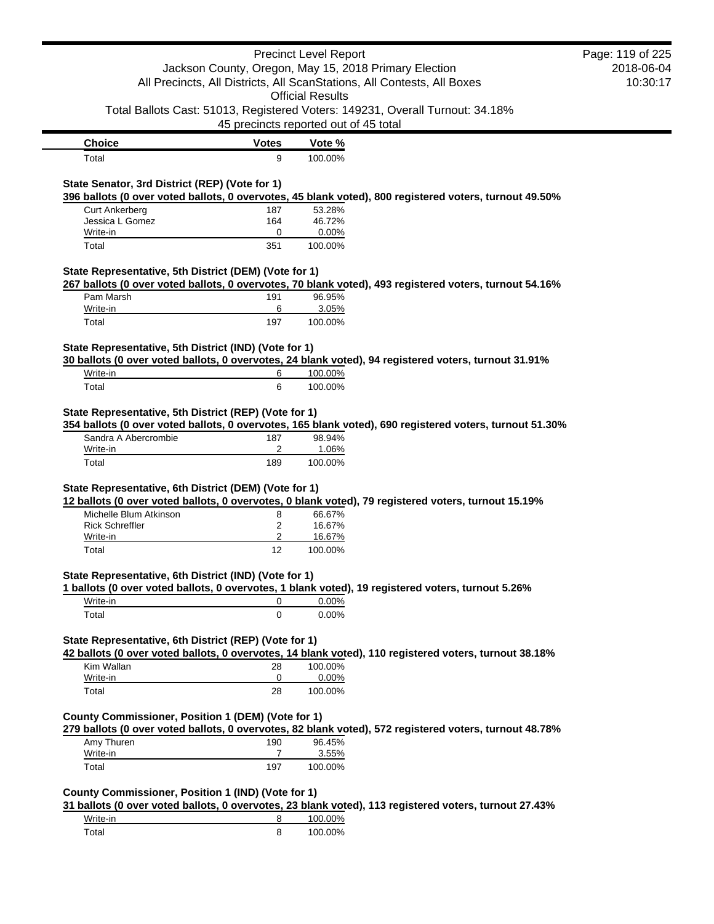|                                                       |                                       | <b>Precinct Level Report</b> |                                                                                                         | Page: 119 of 225 |
|-------------------------------------------------------|---------------------------------------|------------------------------|---------------------------------------------------------------------------------------------------------|------------------|
|                                                       |                                       |                              | Jackson County, Oregon, May 15, 2018 Primary Election                                                   | 2018-06-04       |
|                                                       |                                       |                              | All Precincts, All Districts, All ScanStations, All Contests, All Boxes                                 | 10:30:17         |
|                                                       |                                       | <b>Official Results</b>      |                                                                                                         |                  |
|                                                       | 45 precincts reported out of 45 total |                              | Total Ballots Cast: 51013, Registered Voters: 149231, Overall Turnout: 34.18%                           |                  |
|                                                       |                                       |                              |                                                                                                         |                  |
| <b>Choice</b>                                         | <b>Votes</b>                          | Vote %                       |                                                                                                         |                  |
| Total                                                 | 9                                     | 100.00%                      |                                                                                                         |                  |
| State Senator, 3rd District (REP) (Vote for 1)        |                                       |                              |                                                                                                         |                  |
|                                                       |                                       |                              | 396 ballots (0 over voted ballots, 0 overvotes, 45 blank voted), 800 registered voters, turnout 49.50%  |                  |
| <b>Curt Ankerberg</b>                                 | 187                                   | 53.28%                       |                                                                                                         |                  |
| Jessica L Gomez                                       | 164                                   | 46.72%                       |                                                                                                         |                  |
| Write-in<br>Total                                     | 0<br>351                              | 0.00%<br>100.00%             |                                                                                                         |                  |
|                                                       |                                       |                              |                                                                                                         |                  |
| State Representative, 5th District (DEM) (Vote for 1) |                                       |                              |                                                                                                         |                  |
|                                                       |                                       |                              | 267 ballots (0 over voted ballots, 0 overvotes, 70 blank voted), 493 registered voters, turnout 54.16%  |                  |
| Pam Marsh<br>Write-in                                 | 191<br>6                              | 96.95%<br>3.05%              |                                                                                                         |                  |
| Total                                                 | 197                                   | 100.00%                      |                                                                                                         |                  |
|                                                       |                                       |                              |                                                                                                         |                  |
| State Representative, 5th District (IND) (Vote for 1) |                                       |                              |                                                                                                         |                  |
|                                                       |                                       |                              | 30 ballots (0 over voted ballots, 0 overvotes, 24 blank voted), 94 registered voters, turnout 31.91%    |                  |
| Write-in                                              | 6                                     | 100.00%                      |                                                                                                         |                  |
| Total                                                 | 6                                     | 100.00%                      |                                                                                                         |                  |
| State Representative, 5th District (REP) (Vote for 1) |                                       |                              |                                                                                                         |                  |
|                                                       |                                       |                              | 354 ballots (0 over voted ballots, 0 overvotes, 165 blank voted), 690 registered voters, turnout 51.30% |                  |
| Sandra A Abercrombie                                  | 187                                   | 98.94%                       |                                                                                                         |                  |
| Write-in                                              | 2                                     | 1.06%                        |                                                                                                         |                  |
| Total                                                 | 189                                   | 100.00%                      |                                                                                                         |                  |
|                                                       |                                       |                              |                                                                                                         |                  |
| State Representative, 6th District (DEM) (Vote for 1) |                                       |                              | 12 ballots (0 over voted ballots, 0 overvotes, 0 blank voted), 79 registered voters, turnout 15.19%     |                  |
| Michelle Blum Atkinson                                | 8                                     | 66.67%                       |                                                                                                         |                  |
| <b>Rick Schreffler</b>                                | 2                                     | 16.67%                       |                                                                                                         |                  |
| Write-in                                              | 2                                     | 16.67%                       |                                                                                                         |                  |
| Total                                                 | 12                                    | 100.00%                      |                                                                                                         |                  |
|                                                       |                                       |                              |                                                                                                         |                  |
| State Representative, 6th District (IND) (Vote for 1) |                                       |                              |                                                                                                         |                  |
| Write-in                                              | 0                                     | 0.00%                        | 1 ballots (0 over voted ballots, 0 overvotes, 1 blank voted), 19 registered voters, turnout 5.26%       |                  |
|                                                       | $\mathbf 0$                           | 0.00%                        |                                                                                                         |                  |
| Total                                                 |                                       |                              |                                                                                                         |                  |
| State Representative, 6th District (REP) (Vote for 1) |                                       |                              |                                                                                                         |                  |
|                                                       |                                       |                              | 42 ballots (0 over voted ballots, 0 overvotes, 14 blank voted), 110 registered voters, turnout 38.18%   |                  |
| Kim Wallan                                            | 28                                    | 100.00%                      |                                                                                                         |                  |
| Write-in                                              | 0                                     | 0.00%                        |                                                                                                         |                  |
| Total                                                 | 28                                    | 100.00%                      |                                                                                                         |                  |
| County Commissioner, Position 1 (DEM) (Vote for 1)    |                                       |                              |                                                                                                         |                  |
|                                                       |                                       |                              | 279 ballots (0 over voted ballots, 0 overvotes, 82 blank voted), 572 registered voters, turnout 48.78%  |                  |
| Amy Thuren                                            | 190                                   | 96.45%                       |                                                                                                         |                  |
| Write-in                                              | 7                                     | 3.55%                        |                                                                                                         |                  |
| Total                                                 | 197                                   | 100.00%                      |                                                                                                         |                  |
|                                                       |                                       |                              |                                                                                                         |                  |
| County Commissioner, Position 1 (IND) (Vote for 1)    |                                       |                              |                                                                                                         |                  |
|                                                       |                                       |                              | 31 ballots (0 over voted ballots, 0 overvotes, 23 blank voted), 113 registered voters, turnout 27.43%   |                  |
| Write-in                                              | 8                                     | 100.00%                      |                                                                                                         |                  |
| Total                                                 | 8                                     | 100.00%                      |                                                                                                         |                  |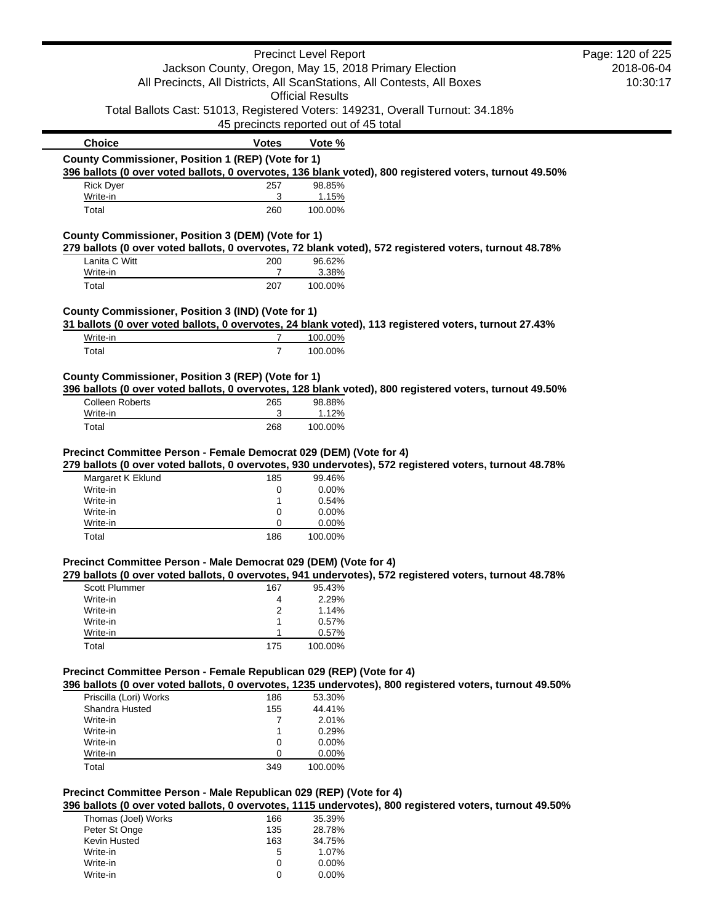|                                                                         |                                       | <b>Precinct Level Report</b> |                                                                                                         | Page: 120 of 225 |
|-------------------------------------------------------------------------|---------------------------------------|------------------------------|---------------------------------------------------------------------------------------------------------|------------------|
|                                                                         |                                       |                              | Jackson County, Oregon, May 15, 2018 Primary Election                                                   | 2018-06-04       |
| All Precincts, All Districts, All ScanStations, All Contests, All Boxes |                                       | 10:30:17                     |                                                                                                         |                  |
|                                                                         |                                       | <b>Official Results</b>      |                                                                                                         |                  |
|                                                                         |                                       |                              | Total Ballots Cast: 51013, Registered Voters: 149231, Overall Turnout: 34.18%                           |                  |
|                                                                         | 45 precincts reported out of 45 total |                              |                                                                                                         |                  |
| <b>Choice</b>                                                           | <b>Votes</b>                          | Vote %                       |                                                                                                         |                  |
| County Commissioner, Position 1 (REP) (Vote for 1)                      |                                       |                              |                                                                                                         |                  |
|                                                                         |                                       |                              | 396 ballots (0 over voted ballots, 0 overvotes, 136 blank voted), 800 registered voters, turnout 49.50% |                  |
| <b>Rick Dyer</b>                                                        | 257                                   | 98.85%                       |                                                                                                         |                  |
| Write-in                                                                | 3                                     | 1.15%                        |                                                                                                         |                  |
| Total                                                                   | 260                                   | 100.00%                      |                                                                                                         |                  |
| County Commissioner, Position 3 (DEM) (Vote for 1)                      |                                       |                              |                                                                                                         |                  |
|                                                                         |                                       |                              | 279 ballots (0 over voted ballots, 0 overvotes, 72 blank voted), 572 registered voters, turnout 48.78%  |                  |
| Lanita C Witt                                                           | 200                                   | 96.62%                       |                                                                                                         |                  |
| Write-in                                                                | 7                                     | 3.38%                        |                                                                                                         |                  |
| Total                                                                   | 207                                   | 100.00%                      |                                                                                                         |                  |
| County Commissioner, Position 3 (IND) (Vote for 1)                      |                                       |                              |                                                                                                         |                  |
|                                                                         |                                       |                              | 31 ballots (0 over voted ballots, 0 overvotes, 24 blank voted), 113 registered voters, turnout 27.43%   |                  |
| Write-in                                                                | $\overline{7}$                        | 100.00%                      |                                                                                                         |                  |
| Total                                                                   | $\overline{7}$                        | 100.00%                      |                                                                                                         |                  |
|                                                                         |                                       |                              |                                                                                                         |                  |
| County Commissioner, Position 3 (REP) (Vote for 1)                      |                                       |                              | 396 ballots (0 over voted ballots, 0 overvotes, 128 blank voted), 800 registered voters, turnout 49.50% |                  |
| <b>Colleen Roberts</b>                                                  | 265                                   | 98.88%                       |                                                                                                         |                  |
| Write-in                                                                | 3                                     | 1.12%                        |                                                                                                         |                  |
| Total                                                                   | 268                                   | 100.00%                      |                                                                                                         |                  |
| Margaret K Eklund<br>Write-in                                           | 185<br>0                              | 99.46%<br>0.00%              | 279 ballots (0 over voted ballots, 0 overvotes, 930 undervotes), 572 registered voters, turnout 48.78%  |                  |
| Write-in                                                                | 1                                     | 0.54%                        |                                                                                                         |                  |
| Write-in                                                                | 0                                     | 0.00%                        |                                                                                                         |                  |
| Write-in                                                                | 0                                     | 0.00%                        |                                                                                                         |                  |
| Total                                                                   | 186                                   | 100.00%                      |                                                                                                         |                  |
|                                                                         |                                       |                              |                                                                                                         |                  |
| Precinct Committee Person - Male Democrat 029 (DEM) (Vote for 4)        |                                       |                              | 279 ballots (0 over voted ballots, 0 overvotes, 941 undervotes), 572 registered voters, turnout 48.78%  |                  |
| <b>Scott Plummer</b>                                                    | 167                                   | 95.43%                       |                                                                                                         |                  |
| Write-in                                                                | 4                                     | 2.29%                        |                                                                                                         |                  |
| Write-in                                                                | 2                                     | 1.14%                        |                                                                                                         |                  |
| Write-in                                                                | 1                                     | 0.57%                        |                                                                                                         |                  |
| Write-in                                                                | 1                                     | 0.57%                        |                                                                                                         |                  |
| Total                                                                   | 175                                   | 100.00%                      |                                                                                                         |                  |
| Precinct Committee Person - Female Republican 029 (REP) (Vote for 4)    |                                       |                              |                                                                                                         |                  |
|                                                                         |                                       |                              | 396 ballots (0 over voted ballots, 0 overvotes, 1235 undervotes), 800 registered voters, turnout 49.50% |                  |
| Priscilla (Lori) Works                                                  | 186                                   | 53.30%                       |                                                                                                         |                  |
| Shandra Husted                                                          | 155                                   | 44.41%                       |                                                                                                         |                  |
| Write-in                                                                | 7                                     | 2.01%                        |                                                                                                         |                  |
| Write-in                                                                | 1                                     | 0.29%                        |                                                                                                         |                  |
| Write-in                                                                | 0                                     | 0.00%                        |                                                                                                         |                  |
| Write-in<br>Total                                                       | 0<br>349                              | 0.00%<br>100.00%             |                                                                                                         |                  |
|                                                                         |                                       |                              |                                                                                                         |                  |
| Precinct Committee Person - Male Republican 029 (REP) (Vote for 4)      |                                       |                              |                                                                                                         |                  |
|                                                                         |                                       |                              | 396 ballots (0 over voted ballots, 0 overvotes, 1115 undervotes), 800 registered voters, turnout 49.50% |                  |
| Thomas (Joel) Works                                                     | 166                                   | 35.39%                       |                                                                                                         |                  |
| Peter St Onge                                                           | 135                                   | 28.78%                       |                                                                                                         |                  |
| Kevin Husted<br>Write-in                                                | 163<br>5                              | 34.75%<br>1.07%              |                                                                                                         |                  |
|                                                                         |                                       |                              |                                                                                                         |                  |

Write-in 0 0.00% Write-in 0 0.00%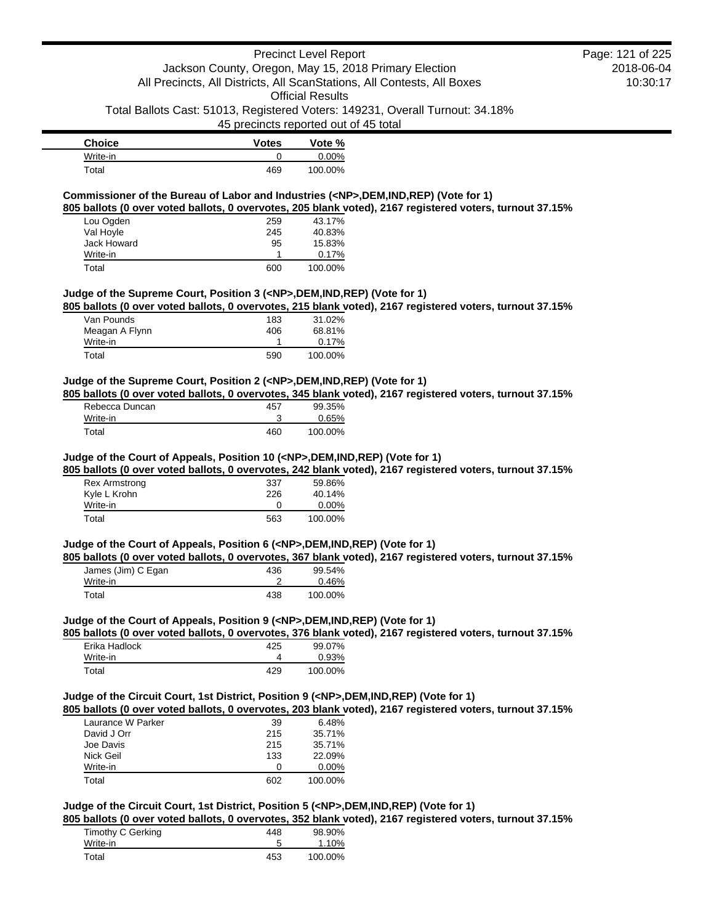**Choice Votes Vote %** Write-in 0 0.00% Total 469 100.00%

### **Commissioner of the Bureau of Labor and Industries (<NP>,DEM,IND,REP) (Vote for 1)**

**805 ballots (0 over voted ballots, 0 overvotes, 205 blank voted), 2167 registered voters, turnout 37.15%**

| Lou Ogden   | 259 | 43.17%  |
|-------------|-----|---------|
| Val Hoyle   | 245 | 40.83%  |
| Jack Howard | 95  | 15.83%  |
| Write-in    |     | 0.17%   |
| Total       | 600 | 100.00% |

#### **Judge of the Supreme Court, Position 3 (<NP>,DEM,IND,REP) (Vote for 1)**

**805 ballots (0 over voted ballots, 0 overvotes, 215 blank voted), 2167 registered voters, turnout 37.15%**

| Van Pounds     | 183 | 31.02%  |
|----------------|-----|---------|
| Meagan A Flynn | 406 | 68.81%  |
| Write-in       |     | 0.17%   |
| Total          | 590 | 100.00% |

### **Judge of the Supreme Court, Position 2 (<NP>,DEM,IND,REP) (Vote for 1)**

**805 ballots (0 over voted ballots, 0 overvotes, 345 blank voted), 2167 registered voters, turnout 37.15%**

| Rebecca Duncan | 457 | 99.35%  |
|----------------|-----|---------|
| Write-in       |     | 0.65%   |
| Total          | 460 | 100.00% |

#### **Judge of the Court of Appeals, Position 10 (<NP>,DEM,IND,REP) (Vote for 1)**

**805 ballots (0 over voted ballots, 0 overvotes, 242 blank voted), 2167 registered voters, turnout 37.15%**

| Rex Armstrong | 337 | 59.86%   |
|---------------|-----|----------|
| Kyle L Krohn  | 226 | 40.14%   |
| Write-in      |     | $0.00\%$ |
| Total         | 563 | 100.00%  |

#### **Judge of the Court of Appeals, Position 6 (<NP>,DEM,IND,REP) (Vote for 1)**

**805 ballots (0 over voted ballots, 0 overvotes, 367 blank voted), 2167 registered voters, turnout 37.15%**

| James (Jim) C Egan | 436 | 99.54%  |
|--------------------|-----|---------|
| Write-in           |     | 0.46%   |
| Total              | 438 | 100.00% |

#### **Judge of the Court of Appeals, Position 9 (<NP>,DEM,IND,REP) (Vote for 1)**

**805 ballots (0 over voted ballots, 0 overvotes, 376 blank voted), 2167 registered voters, turnout 37.15%**

| Erika Hadlock | 425 | 99.07%   |
|---------------|-----|----------|
| Write-in      |     | $0.93\%$ |
| Total         | 429 | 100.00%  |

### **Judge of the Circuit Court, 1st District, Position 9 (<NP>,DEM,IND,REP) (Vote for 1)**

**805 ballots (0 over voted ballots, 0 overvotes, 203 blank voted), 2167 registered voters, turnout 37.15%**

| Laurance W Parker | 39  | 6.48%    |
|-------------------|-----|----------|
| David J Orr       | 215 | 35.71%   |
| Joe Davis         | 215 | 35.71%   |
| Nick Geil         | 133 | 22.09%   |
| Write-in          | O   | $0.00\%$ |
| Total             | 602 | 100.00%  |

## **Judge of the Circuit Court, 1st District, Position 5 (<NP>,DEM,IND,REP) (Vote for 1)**

**805 ballots (0 over voted ballots, 0 overvotes, 352 blank voted), 2167 registered voters, turnout 37.15%**

| Timothy C Gerking | 448 | 98.90%  |
|-------------------|-----|---------|
| Write-in          |     | 1.10%   |
| Total             | 453 | 100.00% |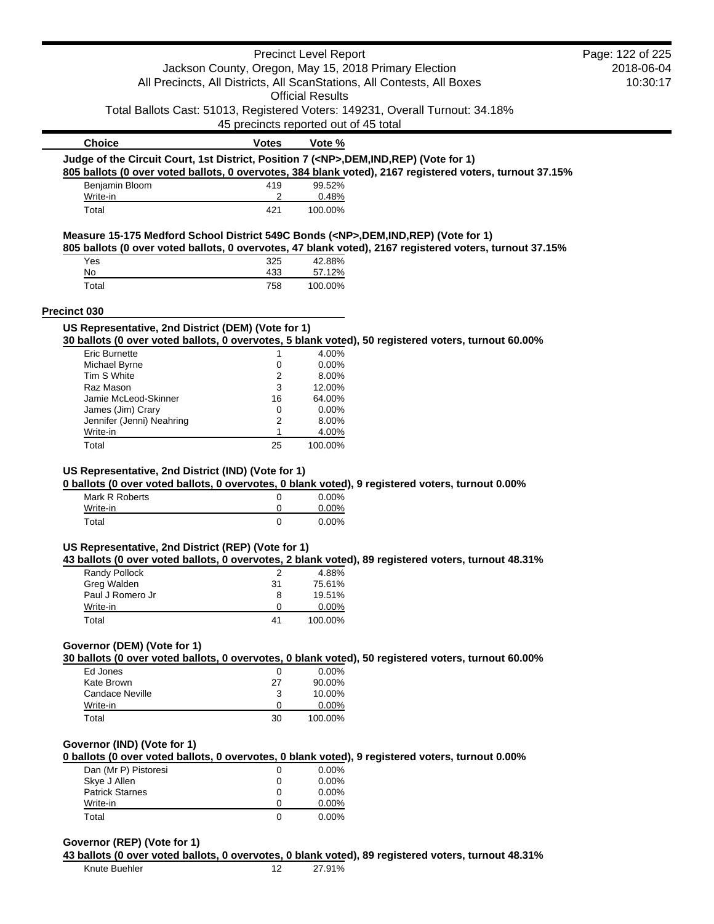|                                                                                            |                                       | <b>Precinct Level Report</b> |                                                                                                          | Page: 122 of 225 |
|--------------------------------------------------------------------------------------------|---------------------------------------|------------------------------|----------------------------------------------------------------------------------------------------------|------------------|
|                                                                                            |                                       |                              | Jackson County, Oregon, May 15, 2018 Primary Election                                                    | 2018-06-04       |
|                                                                                            |                                       |                              | All Precincts, All Districts, All ScanStations, All Contests, All Boxes                                  | 10:30:17         |
|                                                                                            |                                       | <b>Official Results</b>      |                                                                                                          |                  |
|                                                                                            |                                       |                              | Total Ballots Cast: 51013, Registered Voters: 149231, Overall Turnout: 34.18%                            |                  |
|                                                                                            | 45 precincts reported out of 45 total |                              |                                                                                                          |                  |
| <b>Choice</b>                                                                              | <b>Votes</b>                          | Vote %                       |                                                                                                          |                  |
| Judge of the Circuit Court, 1st District, Position 7 ( <np>,DEM,IND,REP) (Vote for 1)</np> |                                       |                              |                                                                                                          |                  |
|                                                                                            |                                       |                              | 805 ballots (0 over voted ballots, 0 overvotes, 384 blank voted), 2167 registered voters, turnout 37.15% |                  |
| Benjamin Bloom                                                                             | 419                                   | 99.52%                       |                                                                                                          |                  |
| Write-in                                                                                   | 2<br>421                              | 0.48%                        |                                                                                                          |                  |
| Total                                                                                      |                                       | 100.00%                      |                                                                                                          |                  |
| Measure 15-175 Medford School District 549C Bonds ( <np>,DEM,IND,REP) (Vote for 1)</np>    |                                       |                              |                                                                                                          |                  |
|                                                                                            |                                       |                              | 805 ballots (0 over voted ballots, 0 overvotes, 47 blank voted), 2167 registered voters, turnout 37.15%  |                  |
| Yes<br>No                                                                                  | 325<br>433                            | 42.88%<br>57.12%             |                                                                                                          |                  |
| Total                                                                                      | 758                                   | 100.00%                      |                                                                                                          |                  |
|                                                                                            |                                       |                              |                                                                                                          |                  |
| Precinct 030                                                                               |                                       |                              |                                                                                                          |                  |
| US Representative, 2nd District (DEM) (Vote for 1)                                         |                                       |                              |                                                                                                          |                  |
|                                                                                            |                                       |                              | 30 ballots (0 over voted ballots, 0 overvotes, 5 blank voted), 50 registered voters, turnout 60.00%      |                  |
| <b>Eric Burnette</b><br>Michael Byrne                                                      | 1<br>0                                | 4.00%<br>0.00%               |                                                                                                          |                  |
| Tim S White                                                                                | 2                                     | 8.00%                        |                                                                                                          |                  |
| Raz Mason                                                                                  | 3                                     | 12.00%                       |                                                                                                          |                  |
| Jamie McLeod-Skinner                                                                       | 16                                    | 64.00%                       |                                                                                                          |                  |
| James (Jim) Crary                                                                          | 0                                     | 0.00%                        |                                                                                                          |                  |
| Jennifer (Jenni) Neahring                                                                  | 2                                     | 8.00%                        |                                                                                                          |                  |
| Write-in                                                                                   | 1                                     | 4.00%                        |                                                                                                          |                  |
| Total                                                                                      | 25                                    | 100.00%                      |                                                                                                          |                  |
| Mark R Roberts<br>Write-in                                                                 | 0<br>0                                | 0.00%<br>0.00%               | 0 ballots (0 over voted ballots, 0 overvotes, 0 blank voted), 9 registered voters, turnout 0.00%         |                  |
| Total                                                                                      | $\mathbf 0$                           | 0.00%                        |                                                                                                          |                  |
|                                                                                            |                                       |                              |                                                                                                          |                  |
| US Representative, 2nd District (REP) (Vote for 1)                                         |                                       |                              |                                                                                                          |                  |
|                                                                                            |                                       |                              | 43 ballots (0 over voted ballots, 0 overvotes, 2 blank voted), 89 registered voters, turnout 48.31%      |                  |
| Randy Pollock                                                                              | $\overline{c}$                        | 4.88%                        |                                                                                                          |                  |
| Greg Walden                                                                                | 31                                    | 75.61%                       |                                                                                                          |                  |
| Paul J Romero Jr<br>Write-in                                                               | 8<br>0                                | 19.51%<br>0.00%              |                                                                                                          |                  |
| Total                                                                                      | 41                                    | 100.00%                      |                                                                                                          |                  |
|                                                                                            |                                       |                              |                                                                                                          |                  |
| Governor (DEM) (Vote for 1)                                                                |                                       |                              |                                                                                                          |                  |
|                                                                                            |                                       |                              | 30 ballots (0 over voted ballots, 0 overvotes, 0 blank voted), 50 registered voters, turnout 60.00%      |                  |
| Ed Jones                                                                                   | 0                                     | $0.00\%$                     |                                                                                                          |                  |
| Kate Brown                                                                                 | 27                                    | 90.00%                       |                                                                                                          |                  |
| Candace Neville                                                                            | 3                                     | 10.00%                       |                                                                                                          |                  |
| Write-in                                                                                   | 0                                     | 0.00%                        |                                                                                                          |                  |
| Total                                                                                      | 30                                    | 100.00%                      |                                                                                                          |                  |
| Governor (IND) (Vote for 1)                                                                |                                       |                              |                                                                                                          |                  |
|                                                                                            |                                       |                              | 0 ballots (0 over voted ballots, 0 overvotes, 0 blank voted), 9 registered voters, turnout 0.00%         |                  |
| Dan (Mr P) Pistoresi                                                                       | 0                                     | $0.00\%$                     |                                                                                                          |                  |
| Skye J Allen                                                                               | 0                                     | 0.00%                        |                                                                                                          |                  |
| <b>Patrick Starnes</b>                                                                     | 0                                     | 0.00%                        |                                                                                                          |                  |
| Write-in                                                                                   | 0                                     | 0.00%                        |                                                                                                          |                  |
| Total                                                                                      | $\Omega$                              | 0.00%                        |                                                                                                          |                  |
|                                                                                            |                                       |                              |                                                                                                          |                  |
| Governor (REP) (Vote for 1)                                                                |                                       |                              |                                                                                                          |                  |
|                                                                                            |                                       |                              | 43 ballots (0 over voted ballots, 0 overvotes, 0 blank voted), 89 registered voters, turnout 48.31%      |                  |
| Knute Buehler                                                                              | 12                                    | 27.91%                       |                                                                                                          |                  |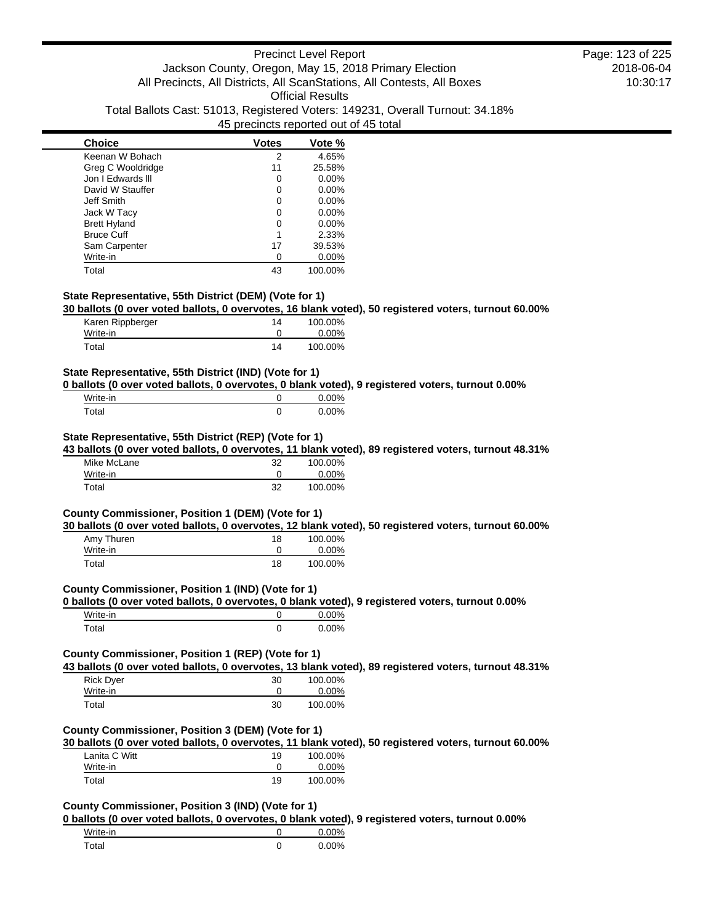| <b>Choice</b>       | <b>Votes</b> | Vote %   |
|---------------------|--------------|----------|
| Keenan W Bohach     | 2            | 4.65%    |
| Greg C Wooldridge   | 11           | 25.58%   |
| Jon I Edwards III   | O            | $0.00\%$ |
| David W Stauffer    | ი            | $0.00\%$ |
| Jeff Smith          | 0            | $0.00\%$ |
| Jack W Tacy         | O            | $0.00\%$ |
| <b>Brett Hyland</b> | ი            | $0.00\%$ |
| <b>Bruce Cuff</b>   | 1            | 2.33%    |
| Sam Carpenter       | 17           | 39.53%   |
| Write-in            |              | $0.00\%$ |
| Total               | 43           | 100.00%  |

### **State Representative, 55th District (DEM) (Vote for 1)**

**30 ballots (0 over voted ballots, 0 overvotes, 16 blank voted), 50 registered voters, turnout 60.00%**

| Karen Rippberger | 14 | 100.00%  |
|------------------|----|----------|
| Write-in         |    | $0.00\%$ |
| Total            | 14 | 100.00%  |

### **State Representative, 55th District (IND) (Vote for 1)**

**0 ballots (0 over voted ballots, 0 overvotes, 0 blank voted), 9 registered voters, turnout 0.00%**

| Write-in | $0.00\%$ |
|----------|----------|
| ™otal    | 0.00%    |

### **State Representative, 55th District (REP) (Vote for 1)**

**43 ballots (0 over voted ballots, 0 overvotes, 11 blank voted), 89 registered voters, turnout 48.31%**

| Mike McLane | 32 | 100.00%  |
|-------------|----|----------|
| Write-in    |    | $0.00\%$ |
| Total       | 32 | 100.00%  |

#### **County Commissioner, Position 1 (DEM) (Vote for 1)**

**30 ballots (0 over voted ballots, 0 overvotes, 12 blank voted), 50 registered voters, turnout 60.00%**

| Amy Thuren | 18 | 100.00%  |
|------------|----|----------|
| Write-in   |    | $0.00\%$ |
| Total      | 18 | 100.00%  |

### **County Commissioner, Position 1 (IND) (Vote for 1)**

**0 ballots (0 over voted ballots, 0 overvotes, 0 blank voted), 9 registered voters, turnout 0.00%**

| Write-in | $0.00\%$ |
|----------|----------|
| Total    | $0.00\%$ |

# **County Commissioner, Position 1 (REP) (Vote for 1)**

**43 ballots (0 over voted ballots, 0 overvotes, 13 blank voted), 89 registered voters, turnout 48.31%**

| <b>Rick Dyer</b> | 30 | 100.00%  |
|------------------|----|----------|
| Write-in         |    | $0.00\%$ |
| Total            | 30 | 100.00%  |

# **County Commissioner, Position 3 (DEM) (Vote for 1)**

**30 ballots (0 over voted ballots, 0 overvotes, 11 blank voted), 50 registered voters, turnout 60.00%**

| Lanita C Witt | 19 | 100.00%  |
|---------------|----|----------|
| Write-in      |    | $0.00\%$ |
| Total         | 19 | 100.00%  |

# **County Commissioner, Position 3 (IND) (Vote for 1)**

**0 ballots (0 over voted ballots, 0 overvotes, 0 blank voted), 9 registered voters, turnout 0.00%**

| Write-in | $0.00\%$ |
|----------|----------|
| Total    | 0.00%    |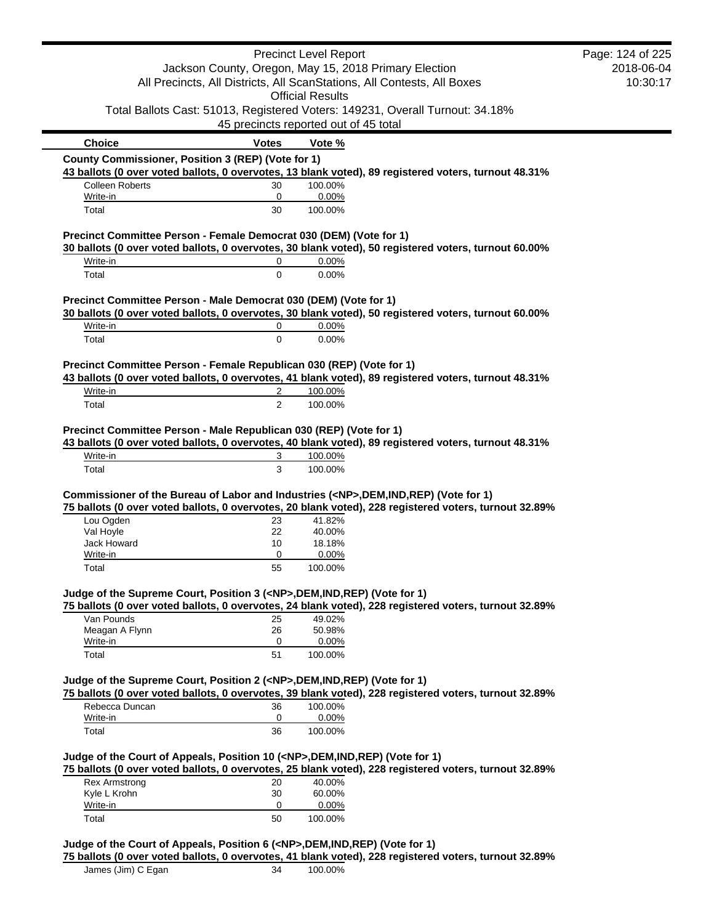|                                                                                                                                                                                                                                                                                                                                                                                                                                     |                | <b>Precinct Level Report</b>          |                                                                                                       | Page: 124 of 225 |
|-------------------------------------------------------------------------------------------------------------------------------------------------------------------------------------------------------------------------------------------------------------------------------------------------------------------------------------------------------------------------------------------------------------------------------------|----------------|---------------------------------------|-------------------------------------------------------------------------------------------------------|------------------|
| Jackson County, Oregon, May 15, 2018 Primary Election                                                                                                                                                                                                                                                                                                                                                                               |                | 2018-06-04                            |                                                                                                       |                  |
| All Precincts, All Districts, All ScanStations, All Contests, All Boxes                                                                                                                                                                                                                                                                                                                                                             |                |                                       | 10:30:17                                                                                              |                  |
|                                                                                                                                                                                                                                                                                                                                                                                                                                     |                | <b>Official Results</b>               |                                                                                                       |                  |
|                                                                                                                                                                                                                                                                                                                                                                                                                                     |                |                                       | Total Ballots Cast: 51013, Registered Voters: 149231, Overall Turnout: 34.18%                         |                  |
|                                                                                                                                                                                                                                                                                                                                                                                                                                     |                | 45 precincts reported out of 45 total |                                                                                                       |                  |
| <b>Choice</b>                                                                                                                                                                                                                                                                                                                                                                                                                       | <b>Votes</b>   | Vote %                                |                                                                                                       |                  |
| County Commissioner, Position 3 (REP) (Vote for 1)                                                                                                                                                                                                                                                                                                                                                                                  |                |                                       |                                                                                                       |                  |
|                                                                                                                                                                                                                                                                                                                                                                                                                                     |                |                                       | 43 ballots (0 over voted ballots, 0 overvotes, 13 blank voted), 89 registered voters, turnout 48.31%  |                  |
| <b>Colleen Roberts</b>                                                                                                                                                                                                                                                                                                                                                                                                              | 30             | 100.00%                               |                                                                                                       |                  |
| Write-in<br>Total                                                                                                                                                                                                                                                                                                                                                                                                                   | 0<br>30        | 0.00%<br>100.00%                      |                                                                                                       |                  |
|                                                                                                                                                                                                                                                                                                                                                                                                                                     |                |                                       |                                                                                                       |                  |
| Precinct Committee Person - Female Democrat 030 (DEM) (Vote for 1)                                                                                                                                                                                                                                                                                                                                                                  |                |                                       | 30 ballots (0 over voted ballots, 0 overvotes, 30 blank voted), 50 registered voters, turnout 60.00%  |                  |
| Write-in                                                                                                                                                                                                                                                                                                                                                                                                                            | 0              | 0.00%                                 |                                                                                                       |                  |
| Total                                                                                                                                                                                                                                                                                                                                                                                                                               | $\mathbf 0$    | 0.00%                                 |                                                                                                       |                  |
|                                                                                                                                                                                                                                                                                                                                                                                                                                     |                |                                       |                                                                                                       |                  |
| Precinct Committee Person - Male Democrat 030 (DEM) (Vote for 1)                                                                                                                                                                                                                                                                                                                                                                    |                |                                       | 30 ballots (0 over voted ballots, 0 overvotes, 30 blank voted), 50 registered voters, turnout 60.00%  |                  |
| Write-in                                                                                                                                                                                                                                                                                                                                                                                                                            | 0              | 0.00%                                 |                                                                                                       |                  |
| Total                                                                                                                                                                                                                                                                                                                                                                                                                               | $\mathbf 0$    | 0.00%                                 |                                                                                                       |                  |
|                                                                                                                                                                                                                                                                                                                                                                                                                                     |                |                                       |                                                                                                       |                  |
| Precinct Committee Person - Female Republican 030 (REP) (Vote for 1)                                                                                                                                                                                                                                                                                                                                                                |                |                                       |                                                                                                       |                  |
|                                                                                                                                                                                                                                                                                                                                                                                                                                     |                |                                       | 43 ballots (0 over voted ballots, 0 overvotes, 41 blank voted), 89 registered voters, turnout 48.31%  |                  |
| Write-in                                                                                                                                                                                                                                                                                                                                                                                                                            | 2              | 100.00%                               |                                                                                                       |                  |
| Total                                                                                                                                                                                                                                                                                                                                                                                                                               | $\overline{2}$ | 100.00%                               |                                                                                                       |                  |
| Write-in                                                                                                                                                                                                                                                                                                                                                                                                                            | 3              | 100.00%                               | 43 ballots (0 over voted ballots, 0 overvotes, 40 blank voted), 89 registered voters, turnout 48.31%  |                  |
| Total                                                                                                                                                                                                                                                                                                                                                                                                                               | 3              | 100.00%                               |                                                                                                       |                  |
|                                                                                                                                                                                                                                                                                                                                                                                                                                     |                |                                       |                                                                                                       |                  |
| Lou Ogden                                                                                                                                                                                                                                                                                                                                                                                                                           | 23             | 41.82%                                | 75 ballots (0 over voted ballots, 0 overvotes, 20 blank voted), 228 registered voters, turnout 32.89% |                  |
| Val Hoyle                                                                                                                                                                                                                                                                                                                                                                                                                           | 22             | 40.00%                                |                                                                                                       |                  |
| Jack Howard                                                                                                                                                                                                                                                                                                                                                                                                                         | 10             | 18.18%                                |                                                                                                       |                  |
| Write-in                                                                                                                                                                                                                                                                                                                                                                                                                            | 0              | $0.00\%$                              |                                                                                                       |                  |
| Total                                                                                                                                                                                                                                                                                                                                                                                                                               | 55             | 100.00%                               |                                                                                                       |                  |
|                                                                                                                                                                                                                                                                                                                                                                                                                                     |                |                                       |                                                                                                       |                  |
|                                                                                                                                                                                                                                                                                                                                                                                                                                     |                |                                       | 75 ballots (0 over voted ballots, 0 overvotes, 24 blank voted), 228 registered voters, turnout 32.89% |                  |
| Van Pounds                                                                                                                                                                                                                                                                                                                                                                                                                          | 25             | 49.02%                                |                                                                                                       |                  |
| Meagan A Flynn                                                                                                                                                                                                                                                                                                                                                                                                                      | 26             | 50.98%                                |                                                                                                       |                  |
| Write-in<br>Total                                                                                                                                                                                                                                                                                                                                                                                                                   | 0<br>51        | 0.00%<br>100.00%                      |                                                                                                       |                  |
|                                                                                                                                                                                                                                                                                                                                                                                                                                     |                |                                       |                                                                                                       |                  |
|                                                                                                                                                                                                                                                                                                                                                                                                                                     |                |                                       |                                                                                                       |                  |
|                                                                                                                                                                                                                                                                                                                                                                                                                                     |                |                                       | 75 ballots (0 over voted ballots, 0 overvotes, 39 blank voted), 228 registered voters, turnout 32.89% |                  |
| Rebecca Duncan                                                                                                                                                                                                                                                                                                                                                                                                                      | 36             | 100.00%                               |                                                                                                       |                  |
| Write-in<br>Total                                                                                                                                                                                                                                                                                                                                                                                                                   | 0<br>36        | 0.00%<br>100.00%                      |                                                                                                       |                  |
|                                                                                                                                                                                                                                                                                                                                                                                                                                     |                |                                       |                                                                                                       |                  |
|                                                                                                                                                                                                                                                                                                                                                                                                                                     |                |                                       |                                                                                                       |                  |
| <b>Rex Armstrong</b>                                                                                                                                                                                                                                                                                                                                                                                                                | 20             | 40.00%                                | 75 ballots (0 over voted ballots, 0 overvotes, 25 blank voted), 228 registered voters, turnout 32.89% |                  |
| Precinct Committee Person - Male Republican 030 (REP) (Vote for 1)<br>Commissioner of the Bureau of Labor and Industries ( <np>,DEM,IND,REP) (Vote for 1)<br/>Judge of the Supreme Court, Position 3 (<np>,DEM,IND,REP) (Vote for 1)<br/>Judge of the Supreme Court, Position 2 (<np>,DEM,IND,REP) (Vote for 1)<br/>Judge of the Court of Appeals, Position 10 (<np>,DEM,IND,REP) (Vote for 1)<br/>Kyle L Krohn</np></np></np></np> | 30             | 60.00%                                |                                                                                                       |                  |
| Write-in                                                                                                                                                                                                                                                                                                                                                                                                                            | 0              | 0.00%                                 |                                                                                                       |                  |

**75 ballots (0 over voted ballots, 0 overvotes, 41 blank voted), 228 registered voters, turnout 32.89%**

James (Jim) C Egan 34 100.00%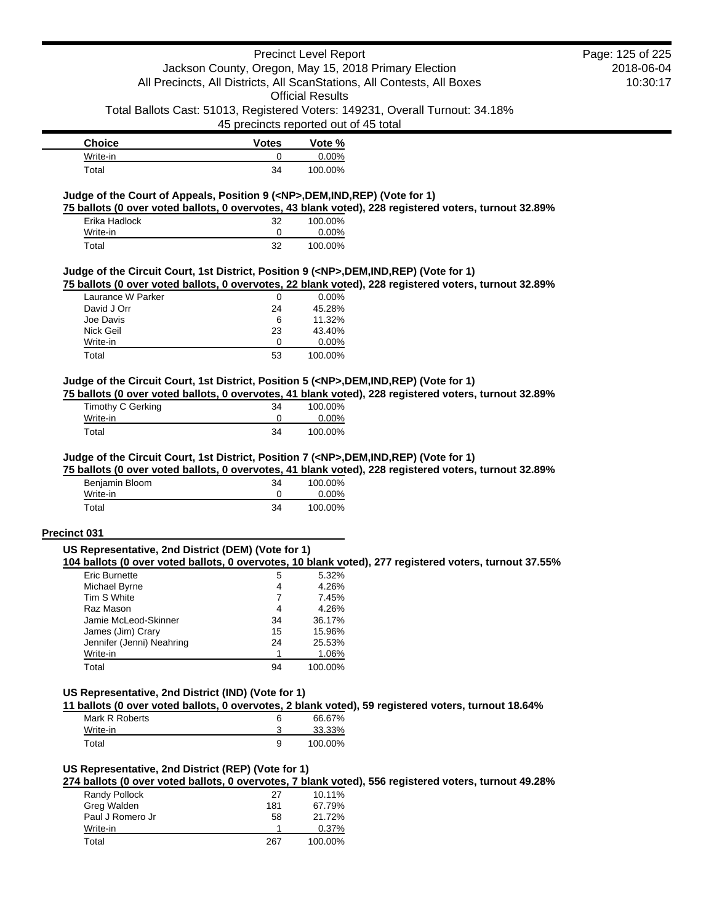### Precinct Level Report Jackson County, Oregon, May 15, 2018 Primary Election All Precincts, All Districts, All ScanStations, All Contests, All Boxes

Official Results

Total Ballots Cast: 51013, Registered Voters: 149231, Overall Turnout: 34.18%

45 precincts reported out of 45 total

| <b>Choice</b> | <b>Votes</b> | Vote %  |
|---------------|--------------|---------|
| Write-in      |              | 0.00%   |
| Total         | 34           | 100.00% |

### **Judge of the Court of Appeals, Position 9 (<NP>,DEM,IND,REP) (Vote for 1)**

**75 ballots (0 over voted ballots, 0 overvotes, 43 blank voted), 228 registered voters, turnout 32.89%**

| Erika Hadlock | 32 | 100.00%  |
|---------------|----|----------|
| Write-in      |    | $0.00\%$ |
| Total         | 32 | 100.00%  |

#### **Judge of the Circuit Court, 1st District, Position 9 (<NP>,DEM,IND,REP) (Vote for 1)**

**75 ballots (0 over voted ballots, 0 overvotes, 22 blank voted), 228 registered voters, turnout 32.89%**

| Laurance W Parker | 0  | $0.00\%$ |
|-------------------|----|----------|
| David J Orr       | 24 | 45.28%   |
| Joe Davis         | 6  | 11.32%   |
| Nick Geil         | 23 | 43.40%   |
| Write-in          | O  | $0.00\%$ |
| Total             | 53 | 100.00%  |

#### **Judge of the Circuit Court, 1st District, Position 5 (<NP>,DEM,IND,REP) (Vote for 1)**

**75 ballots (0 over voted ballots, 0 overvotes, 41 blank voted), 228 registered voters, turnout 32.89%**

| Timothy C Gerking | 34 | 100.00% |
|-------------------|----|---------|
| Write-in          |    | 0.00%   |
| Total             | 34 | 100.00% |

#### **Judge of the Circuit Court, 1st District, Position 7 (<NP>,DEM,IND,REP) (Vote for 1)**

**75 ballots (0 over voted ballots, 0 overvotes, 41 blank voted), 228 registered voters, turnout 32.89%**

| Benjamin Bloom | 34 | 100.00%  |
|----------------|----|----------|
| Write-in       |    | $0.00\%$ |
| Total          | 34 | 100.00%  |

#### **Precinct 031**

#### **US Representative, 2nd District (DEM) (Vote for 1)**

**104 ballots (0 over voted ballots, 0 overvotes, 10 blank voted), 277 registered voters, turnout 37.55%**

| <b>Eric Burnette</b>      | 5  | 5.32%   |
|---------------------------|----|---------|
| Michael Byrne             | 4  | 4.26%   |
| Tim S White               | 7  | 7.45%   |
| Raz Mason                 | 4  | 4.26%   |
| Jamie McLeod-Skinner      | 34 | 36.17%  |
| James (Jim) Crary         | 15 | 15.96%  |
| Jennifer (Jenni) Neahring | 24 | 25.53%  |
| Write-in                  |    | 1.06%   |
| Total                     | 94 | 100.00% |

### **US Representative, 2nd District (IND) (Vote for 1)**

**11 ballots (0 over voted ballots, 0 overvotes, 2 blank voted), 59 registered voters, turnout 18.64%**

| Mark R Roberts |   | 66.67%  |
|----------------|---|---------|
| Write-in       |   | 33.33%  |
| Total          | 9 | 100.00% |

# **US Representative, 2nd District (REP) (Vote for 1)**

**274 ballots (0 over voted ballots, 0 overvotes, 7 blank voted), 556 registered voters, turnout 49.28%**

| Randy Pollock    | 27  | 10.11%  |
|------------------|-----|---------|
| Greg Walden      | 181 | 67.79%  |
| Paul J Romero Jr | 58  | 21.72%  |
| Write-in         |     | 0.37%   |
| Total            | 267 | 100.00% |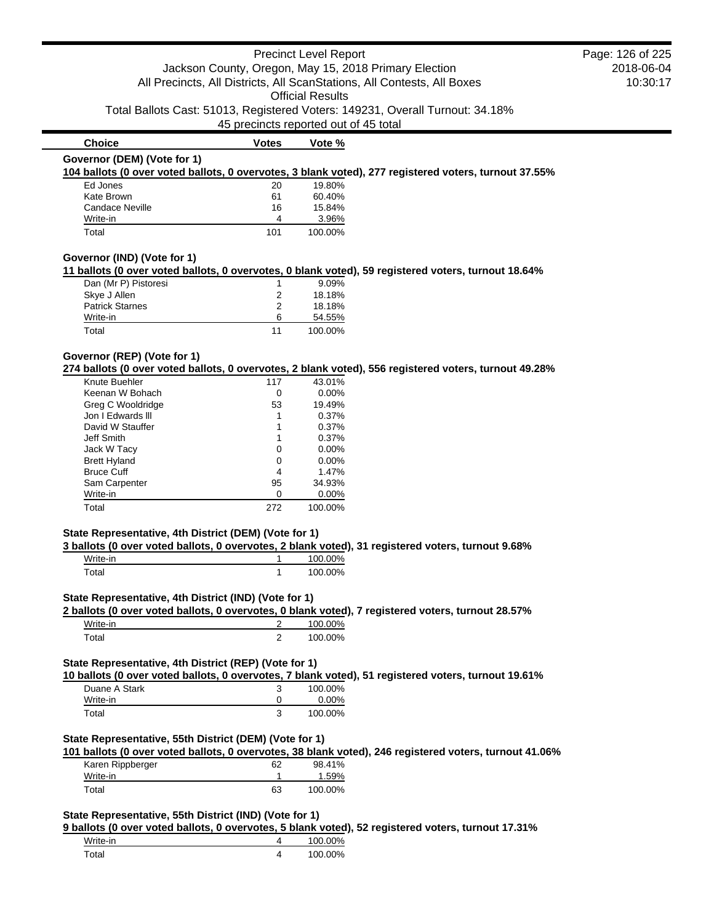|                                                       |                | <b>Precinct Level Report</b>                                                                          | Page: 126 of 225 |
|-------------------------------------------------------|----------------|-------------------------------------------------------------------------------------------------------|------------------|
|                                                       |                | Jackson County, Oregon, May 15, 2018 Primary Election                                                 | 2018-06-04       |
|                                                       |                | All Precincts, All Districts, All ScanStations, All Contests, All Boxes                               | 10:30:17         |
|                                                       |                | <b>Official Results</b>                                                                               |                  |
|                                                       |                | Total Ballots Cast: 51013, Registered Voters: 149231, Overall Turnout: 34.18%                         |                  |
|                                                       |                | 45 precincts reported out of 45 total                                                                 |                  |
| <b>Choice</b>                                         | <b>Votes</b>   | Vote %                                                                                                |                  |
| Governor (DEM) (Vote for 1)                           |                |                                                                                                       |                  |
|                                                       |                | 104 ballots (0 over voted ballots, 0 overvotes, 3 blank voted), 277 registered voters, turnout 37.55% |                  |
| Ed Jones                                              | 20             | 19.80%                                                                                                |                  |
| Kate Brown                                            | 61             | 60.40%                                                                                                |                  |
| <b>Candace Neville</b>                                | 16             | 15.84%                                                                                                |                  |
| Write-in                                              | 4              | 3.96%                                                                                                 |                  |
| Total                                                 | 101            | 100.00%                                                                                               |                  |
| Governor (IND) (Vote for 1)                           |                | 11 ballots (0 over voted ballots, 0 overvotes, 0 blank voted), 59 registered voters, turnout 18.64%   |                  |
| Dan (Mr P) Pistoresi                                  | 1              | 9.09%                                                                                                 |                  |
| Skye J Allen                                          | 2              | 18.18%                                                                                                |                  |
| <b>Patrick Starnes</b>                                | 2              | 18.18%                                                                                                |                  |
| Write-in                                              | 6              | 54.55%                                                                                                |                  |
| Total                                                 | 11             | 100.00%                                                                                               |                  |
|                                                       |                |                                                                                                       |                  |
| Governor (REP) (Vote for 1)                           |                | 274 ballots (0 over voted ballots, 0 overvotes, 2 blank voted), 556 registered voters, turnout 49.28% |                  |
| Knute Buehler                                         | 117            | 43.01%                                                                                                |                  |
| Keenan W Bohach                                       | 0              | 0.00%                                                                                                 |                  |
| Greg C Wooldridge                                     | 53             | 19.49%                                                                                                |                  |
| Jon I Edwards III                                     | 1              | 0.37%                                                                                                 |                  |
| David W Stauffer                                      | 1              | 0.37%                                                                                                 |                  |
| <b>Jeff Smith</b>                                     | 1              | 0.37%                                                                                                 |                  |
| Jack W Tacy                                           | 0              | 0.00%                                                                                                 |                  |
| <b>Brett Hyland</b>                                   | 0              | 0.00%                                                                                                 |                  |
| <b>Bruce Cuff</b>                                     | 4              | 1.47%                                                                                                 |                  |
| Sam Carpenter                                         | 95             | 34.93%                                                                                                |                  |
| Write-in                                              | 0              | 0.00%                                                                                                 |                  |
| Total                                                 | 272            | 100.00%                                                                                               |                  |
| State Representative, 4th District (DEM) (Vote for 1) |                |                                                                                                       |                  |
|                                                       |                | 3 ballots (0 over voted ballots, 0 overvotes, 2 blank voted), 31 registered voters, turnout 9.68%     |                  |
| Write-in                                              | 1              | 100.00%                                                                                               |                  |
| Total                                                 | 1              | 100.00%                                                                                               |                  |
| State Representative, 4th District (IND) (Vote for 1) |                | 2 ballots (0 over voted ballots, 0 overvotes, 0 blank voted), 7 registered voters, turnout 28.57%     |                  |
| Write-in                                              | $\overline{2}$ | 100.00%                                                                                               |                  |
| Total                                                 | $\overline{2}$ | 100.00%                                                                                               |                  |
|                                                       |                |                                                                                                       |                  |
| State Representative, 4th District (REP) (Vote for 1) |                | 10 ballots (0 over voted ballots, 0 overvotes, 7 blank voted), 51 registered voters, turnout 19.61%   |                  |
| Duane A Stark                                         | 3              | 100.00%                                                                                               |                  |
|                                                       | 0              | 0.00%                                                                                                 |                  |
|                                                       |                |                                                                                                       |                  |
| Write-in<br>Total                                     | 3              | 100.00%                                                                                               |                  |

# **State Representative, 55th District (DEM) (Vote for 1)**

| 101 ballots (0 over voted ballots, 0 overvotes, 38 blank voted), 246 registered voters, turnout 41.06% |    |         |  |
|--------------------------------------------------------------------------------------------------------|----|---------|--|
| Karen Rippberger                                                                                       | 62 | 98.41%  |  |
| Write-in                                                                                               |    | 1.59%   |  |
| Total                                                                                                  | 63 | 100.00% |  |

# **State Representative, 55th District (IND) (Vote for 1)**

**9 ballots (0 over voted ballots, 0 overvotes, 5 blank voted), 52 registered voters, turnout 17.31%**

| Write-in          | 100.00% |
|-------------------|---------|
| <sup>-</sup> otal | 100.00% |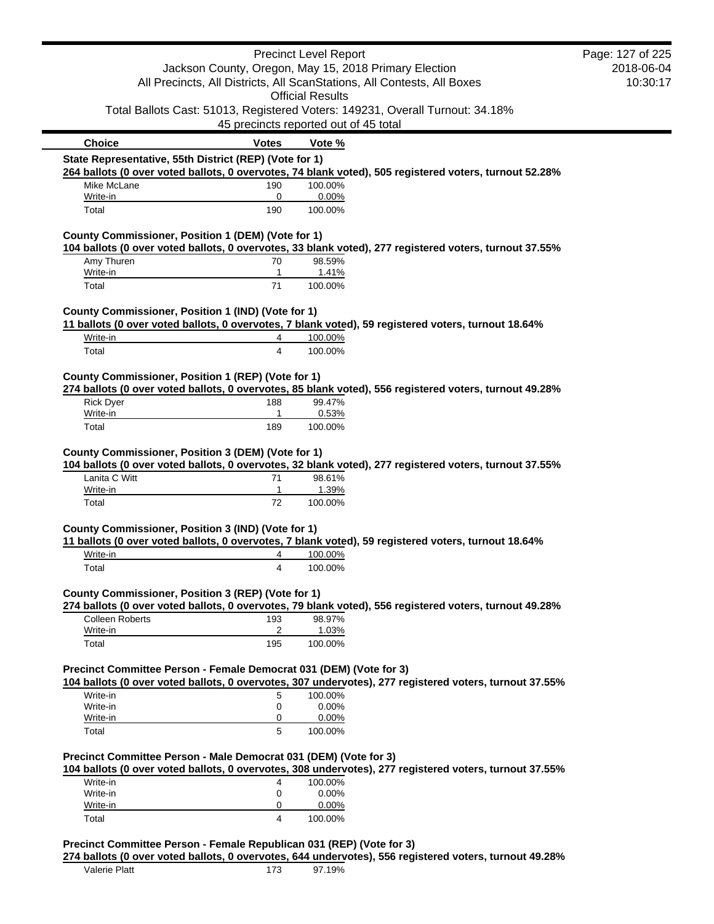|                                                                    |                                                       | <b>Precinct Level Report</b> |                                                                                                        | Page: 127 of 225<br>2018-06-04 |
|--------------------------------------------------------------------|-------------------------------------------------------|------------------------------|--------------------------------------------------------------------------------------------------------|--------------------------------|
|                                                                    | Jackson County, Oregon, May 15, 2018 Primary Election |                              | All Precincts, All Districts, All ScanStations, All Contests, All Boxes                                | 10:30:17                       |
|                                                                    |                                                       | <b>Official Results</b>      |                                                                                                        |                                |
|                                                                    |                                                       |                              | Total Ballots Cast: 51013, Registered Voters: 149231, Overall Turnout: 34.18%                          |                                |
|                                                                    | 45 precincts reported out of 45 total                 |                              |                                                                                                        |                                |
| <b>Choice</b>                                                      | <b>Votes</b>                                          | Vote %                       |                                                                                                        |                                |
| State Representative, 55th District (REP) (Vote for 1)             |                                                       |                              |                                                                                                        |                                |
|                                                                    |                                                       |                              | 264 ballots (0 over voted ballots, 0 overvotes, 74 blank voted), 505 registered voters, turnout 52.28% |                                |
| Mike McLane<br>Write-in                                            | 190<br>0                                              | 100.00%<br>0.00%             |                                                                                                        |                                |
| Total                                                              | 190                                                   | 100.00%                      |                                                                                                        |                                |
| County Commissioner, Position 1 (DEM) (Vote for 1)                 |                                                       |                              |                                                                                                        |                                |
|                                                                    |                                                       |                              | 104 ballots (0 over voted ballots, 0 overvotes, 33 blank voted), 277 registered voters, turnout 37.55% |                                |
| Amy Thuren<br>Write-in                                             | 70<br>1                                               | 98.59%<br>1.41%              |                                                                                                        |                                |
| Total                                                              | 71                                                    | 100.00%                      |                                                                                                        |                                |
| County Commissioner, Position 1 (IND) (Vote for 1)                 |                                                       |                              |                                                                                                        |                                |
|                                                                    |                                                       |                              | 11 ballots (0 over voted ballots, 0 overvotes, 7 blank voted), 59 registered voters, turnout 18.64%    |                                |
| Write-in                                                           | 4                                                     | 100.00%                      |                                                                                                        |                                |
| Total                                                              | 4                                                     | 100.00%                      |                                                                                                        |                                |
| County Commissioner, Position 1 (REP) (Vote for 1)                 |                                                       |                              | 274 ballots (0 over voted ballots, 0 overvotes, 85 blank voted), 556 registered voters, turnout 49.28% |                                |
| <b>Rick Dyer</b>                                                   | 188                                                   | 99.47%                       |                                                                                                        |                                |
| Write-in                                                           | $\mathbf{1}$                                          | 0.53%                        |                                                                                                        |                                |
| Total                                                              | 189                                                   | 100.00%                      |                                                                                                        |                                |
| County Commissioner, Position 3 (DEM) (Vote for 1)                 |                                                       |                              | 104 ballots (0 over voted ballots, 0 overvotes, 32 blank voted), 277 registered voters, turnout 37.55% |                                |
| Lanita C Witt                                                      | 71                                                    | 98.61%                       |                                                                                                        |                                |
| Write-in                                                           | 1                                                     | 1.39%                        |                                                                                                        |                                |
| Total                                                              | 72                                                    | 100.00%                      |                                                                                                        |                                |
|                                                                    |                                                       |                              |                                                                                                        |                                |
| County Commissioner, Position 3 (IND) (Vote for 1)                 |                                                       |                              |                                                                                                        |                                |
|                                                                    |                                                       |                              | 11 ballots (0 over voted ballots, 0 overvotes, 7 blank voted), 59 registered voters, turnout 18.64%    |                                |
| Write-in                                                           | 4                                                     | 100.00%                      |                                                                                                        |                                |
| Total                                                              | 4                                                     | 100.00%                      |                                                                                                        |                                |
| County Commissioner, Position 3 (REP) (Vote for 1)                 |                                                       |                              |                                                                                                        |                                |
|                                                                    |                                                       |                              | 274 ballots (0 over voted ballots, 0 overvotes, 79 blank voted), 556 registered voters, turnout 49.28% |                                |
| <b>Colleen Roberts</b><br>Write-in                                 | 193<br>2                                              | 98.97%<br>1.03%              |                                                                                                        |                                |
| Total                                                              | 195                                                   | 100.00%                      |                                                                                                        |                                |
|                                                                    |                                                       |                              |                                                                                                        |                                |
| Precinct Committee Person - Female Democrat 031 (DEM) (Vote for 3) |                                                       |                              | 104 ballots (0 over voted ballots, 0 overvotes, 307 undervotes), 277 registered voters, turnout 37.55% |                                |
| Write-in                                                           | 5                                                     | 100.00%                      |                                                                                                        |                                |
| Write-in                                                           | 0                                                     | 0.00%                        |                                                                                                        |                                |
| Write-in                                                           | 0                                                     | 0.00%                        |                                                                                                        |                                |
| Total                                                              | 5                                                     | 100.00%                      |                                                                                                        |                                |
| Precinct Committee Person - Male Democrat 031 (DEM) (Vote for 3)   |                                                       |                              |                                                                                                        |                                |
| Write-in                                                           | 4                                                     | 100.00%                      | 104 ballots (0 over voted ballots, 0 overvotes, 308 undervotes), 277 registered voters, turnout 37.55% |                                |
| Write-in                                                           | 0                                                     | 0.00%                        |                                                                                                        |                                |
| Write-in<br>Total                                                  | 0<br>4                                                | 0.00%<br>100.00%             |                                                                                                        |                                |

**274 ballots (0 over voted ballots, 0 overvotes, 644 undervotes), 556 registered voters, turnout 49.28%**

Valerie Platt 173 97.19%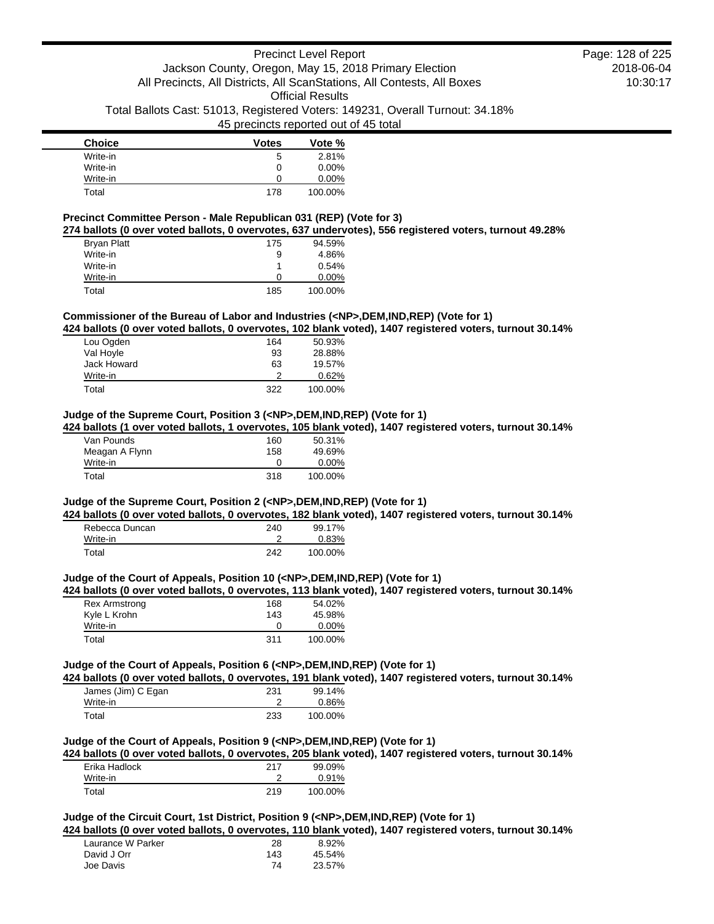| <b>Choice</b> | <b>Votes</b> | Vote %   |
|---------------|--------------|----------|
| Write-in      | 5            | 2.81%    |
| Write-in      | 0            | $0.00\%$ |
| Write-in      | O            | $0.00\%$ |
| Total         | 178          | 100.00%  |

#### **Precinct Committee Person - Male Republican 031 (REP) (Vote for 3)**

**274 ballots (0 over voted ballots, 0 overvotes, 637 undervotes), 556 registered voters, turnout 49.28%**

| <b>Bryan Platt</b> | 175 | 94.59%   |
|--------------------|-----|----------|
| Write-in           | 9   | 4.86%    |
| Write-in           |     | 0.54%    |
| Write-in           | O   | $0.00\%$ |
| Total              | 185 | 100.00%  |

### **Commissioner of the Bureau of Labor and Industries (<NP>,DEM,IND,REP) (Vote for 1)**

**424 ballots (0 over voted ballots, 0 overvotes, 102 blank voted), 1407 registered voters, turnout 30.14%**

| Lou Ogden   | 164 | 50.93%  |
|-------------|-----|---------|
| Val Hoyle   | 93  | 28.88%  |
| Jack Howard | 63  | 19.57%  |
| Write-in    | 2   | 0.62%   |
| Total       | 322 | 100.00% |

#### **Judge of the Supreme Court, Position 3 (<NP>,DEM,IND,REP) (Vote for 1)**

**424 ballots (1 over voted ballots, 1 overvotes, 105 blank voted), 1407 registered voters, turnout 30.14%**

| Van Pounds     | 160 | 50.31%   |
|----------------|-----|----------|
| Meagan A Flynn | 158 | 49.69%   |
| Write-in       | 0   | $0.00\%$ |
| Total          | 318 | 100.00%  |

#### **Judge of the Supreme Court, Position 2 (<NP>,DEM,IND,REP) (Vote for 1)**

**424 ballots (0 over voted ballots, 0 overvotes, 182 blank voted), 1407 registered voters, turnout 30.14%**

| Rebecca Duncan | 240 | 99.17%  |
|----------------|-----|---------|
| Write-in       |     | 0.83%   |
| Total          | 242 | 100.00% |

#### **Judge of the Court of Appeals, Position 10 (<NP>,DEM,IND,REP) (Vote for 1)**

**424 ballots (0 over voted ballots, 0 overvotes, 113 blank voted), 1407 registered voters, turnout 30.14%**

| <b>Rex Armstrong</b> | 168 | 54.02%   |
|----------------------|-----|----------|
| Kyle L Krohn         | 143 | 45.98%   |
| Write-in             |     | $0.00\%$ |
| Total                | 311 | 100.00%  |

### **Judge of the Court of Appeals, Position 6 (<NP>,DEM,IND,REP) (Vote for 1)**

**424 ballots (0 over voted ballots, 0 overvotes, 191 blank voted), 1407 registered voters, turnout 30.14%**

| James (Jim) C Egan | 231 | 99.14%  |
|--------------------|-----|---------|
| Write-in           |     | 0.86%   |
| Total              | 233 | 100.00% |

# **Judge of the Court of Appeals, Position 9 (<NP>,DEM,IND,REP) (Vote for 1)**

**424 ballots (0 over voted ballots, 0 overvotes, 205 blank voted), 1407 registered voters, turnout 30.14%**

| Erika Hadlock | 217 | 99.09%   |
|---------------|-----|----------|
| Write-in      |     | $0.91\%$ |
| Total         | 219 | 100.00%  |

# **Judge of the Circuit Court, 1st District, Position 9 (<NP>,DEM,IND,REP) (Vote for 1)**

**424 ballots (0 over voted ballots, 0 overvotes, 110 blank voted), 1407 registered voters, turnout 30.14%**

| 28  | 8.92%  |
|-----|--------|
| 143 | 45.54% |
| 74  | 23.57% |
|     |        |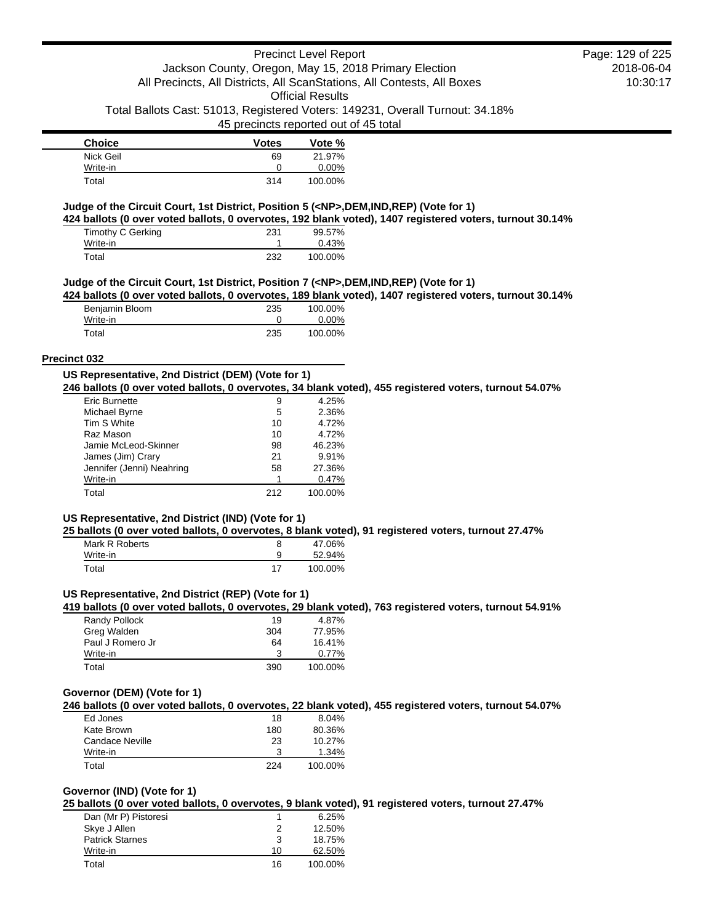| <b>Choice</b> | <b>Votes</b> | Vote %   |
|---------------|--------------|----------|
| Nick Geil     | 69           | 21.97%   |
| Write-in      |              | $0.00\%$ |
| Total         | 314          | 100.00%  |

#### **Judge of the Circuit Court, 1st District, Position 5 (<NP>,DEM,IND,REP) (Vote for 1)**

**424 ballots (0 over voted ballots, 0 overvotes, 192 blank voted), 1407 registered voters, turnout 30.14%**

| Timothy C Gerking | 231 | 99.57%  |
|-------------------|-----|---------|
| Write-in          |     | 0.43%   |
| Total             | 232 | 100.00% |

#### **Judge of the Circuit Court, 1st District, Position 7 (<NP>,DEM,IND,REP) (Vote for 1)**

**424 ballots (0 over voted ballots, 0 overvotes, 189 blank voted), 1407 registered voters, turnout 30.14%**

| Benjamin Bloom | 235 | 100.00%  |
|----------------|-----|----------|
| Write-in       |     | $0.00\%$ |
| Total          | 235 | 100.00%  |

### **Precinct 032**

#### **US Representative, 2nd District (DEM) (Vote for 1) 246 ballots (0 over voted ballots, 0 overvotes, 34 blank voted), 455 registered voters, turnout 54.07%**

| Eric Burnette             | 9   | 4.25%   |
|---------------------------|-----|---------|
| Michael Byrne             | 5   | 2.36%   |
| Tim S White               | 10  | 4.72%   |
| Raz Mason                 | 10  | 4.72%   |
| Jamie McLeod-Skinner      | 98  | 46.23%  |
| James (Jim) Crary         | 21  | 9.91%   |
| Jennifer (Jenni) Neahring | 58  | 27.36%  |
| Write-in                  |     | 0.47%   |
| Total                     | 212 | 100.00% |

## **US Representative, 2nd District (IND) (Vote for 1)**

**25 ballots (0 over voted ballots, 0 overvotes, 8 blank voted), 91 registered voters, turnout 27.47%**

| Mark R Roberts |    | 47.06%  |
|----------------|----|---------|
| Write-in       | a  | 52.94%  |
| Total          | 17 | 100.00% |

### **US Representative, 2nd District (REP) (Vote for 1)**

**419 ballots (0 over voted ballots, 0 overvotes, 29 blank voted), 763 registered voters, turnout 54.91%**

| Randy Pollock    | 19  | 4.87%   |
|------------------|-----|---------|
| Greg Walden      | 304 | 77.95%  |
| Paul J Romero Jr | 64  | 16.41%  |
| Write-in         | 3   | 0.77%   |
| Total            | 390 | 100.00% |

#### **Governor (DEM) (Vote for 1)**

**246 ballots (0 over voted ballots, 0 overvotes, 22 blank voted), 455 registered voters, turnout 54.07%**

| Ed Jones        | 18  | 8.04%   |
|-----------------|-----|---------|
| Kate Brown      | 180 | 80.36%  |
| Candace Neville | 23  | 10.27%  |
| Write-in        | ર   | 1.34%   |
| Total           | 224 | 100.00% |

### **Governor (IND) (Vote for 1)**

**25 ballots (0 over voted ballots, 0 overvotes, 9 blank voted), 91 registered voters, turnout 27.47%**

| Dan (Mr P) Pistoresi   |    | 6.25%   |
|------------------------|----|---------|
| Skye J Allen           | 2  | 12.50%  |
| <b>Patrick Starnes</b> | 3  | 18.75%  |
| Write-in               | 10 | 62.50%  |
| Total                  | 16 | 100.00% |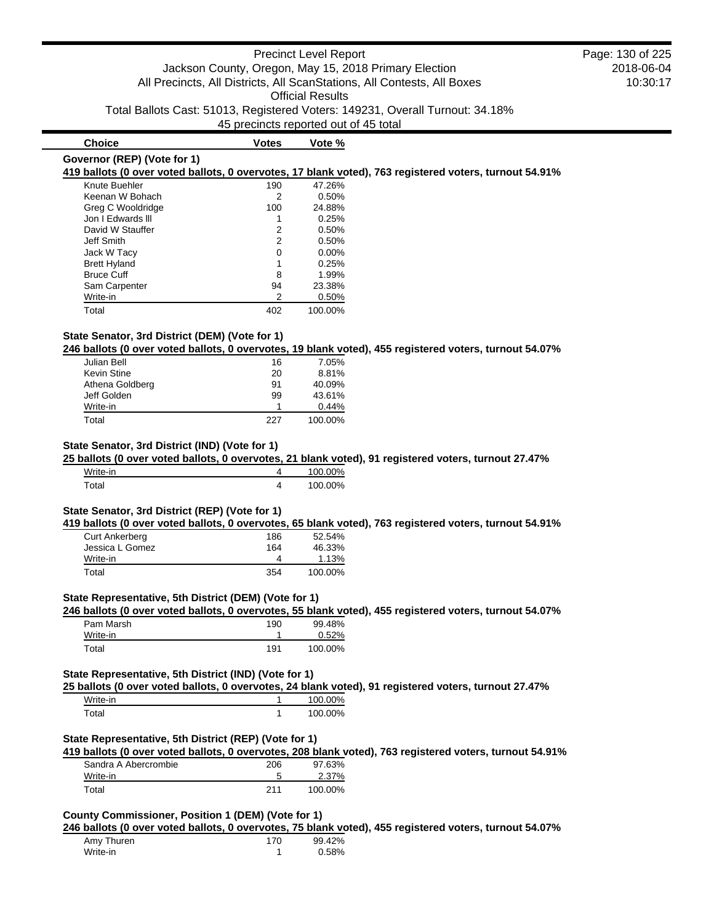# **Governor (REP) (Vote for 1)**

**419 ballots (0 over voted ballots, 0 overvotes, 17 blank voted), 763 registered voters, turnout 54.91%**

| 190 | 47.26%  |
|-----|---------|
| 2   | 0.50%   |
| 100 | 24.88%  |
|     | 0.25%   |
| 2   | 0.50%   |
| 2   | 0.50%   |
| 0   | 0.00%   |
|     | 0.25%   |
| 8   | 1.99%   |
| 94  | 23.38%  |
| 2   | 0.50%   |
| 402 | 100.00% |
|     |         |

**Choice Votes Votes Vote %** 

### **State Senator, 3rd District (DEM) (Vote for 1)**

**246 ballots (0 over voted ballots, 0 overvotes, 19 blank voted), 455 registered voters, turnout 54.07%**

| Julian Bell        | 16  | 7.05%   |
|--------------------|-----|---------|
| <b>Kevin Stine</b> | 20  | 8.81%   |
| Athena Goldberg    | 91  | 40.09%  |
| Jeff Golden        | 99  | 43.61%  |
| Write-in           |     | 0.44%   |
| Total              | 227 | 100.00% |

#### **State Senator, 3rd District (IND) (Vote for 1)**

**25 ballots (0 over voted ballots, 0 overvotes, 21 blank voted), 91 registered voters, turnout 27.47%**

| Write-in | 100.00% |
|----------|---------|
| ⊤ืาtai   | 100.00% |

#### **State Senator, 3rd District (REP) (Vote for 1)**

**419 ballots (0 over voted ballots, 0 overvotes, 65 blank voted), 763 registered voters, turnout 54.91%**

| <b>Curt Ankerberg</b> | 186 | 52.54%  |
|-----------------------|-----|---------|
| Jessica L Gomez       | 164 | 46.33%  |
| Write-in              |     | 1.13%   |
| Total                 | 354 | 100.00% |

#### **State Representative, 5th District (DEM) (Vote for 1)**

**246 ballots (0 over voted ballots, 0 overvotes, 55 blank voted), 455 registered voters, turnout 54.07%**

| Pam Marsh | 190 | 99.48%  |
|-----------|-----|---------|
| Write-in  |     | 0.52%   |
| Total     | 191 | 100.00% |

#### **State Representative, 5th District (IND) (Vote for 1)**

**25 ballots (0 over voted ballots, 0 overvotes, 24 blank voted), 91 registered voters, turnout 27.47%**

| Write-in | ነበ%<br>1 <i>I</i> II I |
|----------|------------------------|
| ™otai    | ን0%<br>100 .           |

# **State Representative, 5th District (REP) (Vote for 1)**

**419 ballots (0 over voted ballots, 0 overvotes, 208 blank voted), 763 registered voters, turnout 54.91%**

| Sandra A Abercrombie | 206 | 97.63%  |
|----------------------|-----|---------|
| Write-in             |     | 2.37%   |
| Total                | 211 | 100.00% |

# **County Commissioner, Position 1 (DEM) (Vote for 1)**

**246 ballots (0 over voted ballots, 0 overvotes, 75 blank voted), 455 registered voters, turnout 54.07%**

| Amy Thuren | 170 | 99.42% |
|------------|-----|--------|
| Write-in   |     | 0.58%  |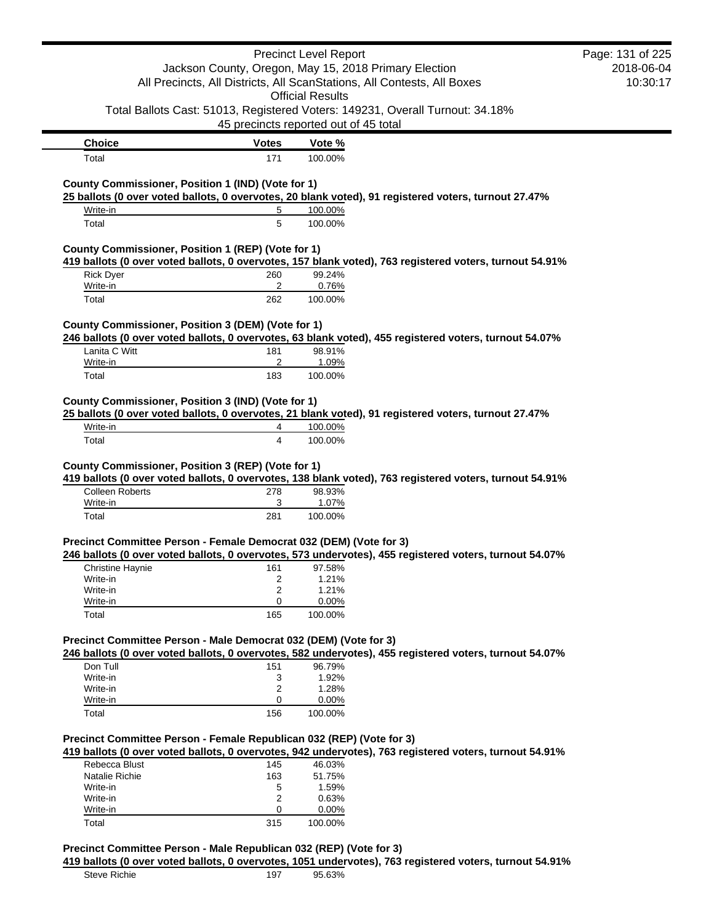|                                                                                                                          |                                                       | <b>Precinct Level Report</b>          |                                                                                                         | Page: 131 of 225 |
|--------------------------------------------------------------------------------------------------------------------------|-------------------------------------------------------|---------------------------------------|---------------------------------------------------------------------------------------------------------|------------------|
|                                                                                                                          | Jackson County, Oregon, May 15, 2018 Primary Election |                                       |                                                                                                         | 2018-06-04       |
|                                                                                                                          |                                                       |                                       | All Precincts, All Districts, All ScanStations, All Contests, All Boxes                                 | 10:30:17         |
|                                                                                                                          |                                                       | <b>Official Results</b>               |                                                                                                         |                  |
|                                                                                                                          |                                                       |                                       | Total Ballots Cast: 51013, Registered Voters: 149231, Overall Turnout: 34.18%                           |                  |
|                                                                                                                          |                                                       |                                       |                                                                                                         |                  |
|                                                                                                                          |                                                       | 45 precincts reported out of 45 total |                                                                                                         |                  |
| <b>Choice</b>                                                                                                            | <b>Votes</b>                                          | Vote %                                |                                                                                                         |                  |
| Total                                                                                                                    | 171                                                   | 100.00%                               |                                                                                                         |                  |
|                                                                                                                          |                                                       |                                       |                                                                                                         |                  |
| County Commissioner, Position 1 (IND) (Vote for 1)                                                                       |                                                       |                                       |                                                                                                         |                  |
|                                                                                                                          |                                                       |                                       | 25 ballots (0 over voted ballots, 0 overvotes, 20 blank voted), 91 registered voters, turnout 27.47%    |                  |
| Write-in                                                                                                                 | 5                                                     | 100.00%                               |                                                                                                         |                  |
| Total                                                                                                                    | 5                                                     | 100.00%                               |                                                                                                         |                  |
| County Commissioner, Position 1 (REP) (Vote for 1)                                                                       |                                                       |                                       |                                                                                                         |                  |
|                                                                                                                          |                                                       |                                       | 419 ballots (0 over voted ballots, 0 overvotes, 157 blank voted), 763 registered voters, turnout 54.91% |                  |
| <b>Rick Dyer</b>                                                                                                         | 260                                                   | 99.24%                                |                                                                                                         |                  |
| Write-in                                                                                                                 | 2                                                     | 0.76%                                 |                                                                                                         |                  |
| Total                                                                                                                    | 262                                                   | 100.00%                               |                                                                                                         |                  |
|                                                                                                                          |                                                       |                                       |                                                                                                         |                  |
| County Commissioner, Position 3 (DEM) (Vote for 1)                                                                       |                                                       |                                       |                                                                                                         |                  |
|                                                                                                                          |                                                       |                                       | 246 ballots (0 over voted ballots, 0 overvotes, 63 blank voted), 455 registered voters, turnout 54.07%  |                  |
| Lanita C Witt                                                                                                            | 181                                                   | 98.91%                                |                                                                                                         |                  |
| Write-in                                                                                                                 | $\overline{2}$                                        | 1.09%                                 |                                                                                                         |                  |
| Total                                                                                                                    | 183                                                   | 100.00%                               |                                                                                                         |                  |
|                                                                                                                          |                                                       |                                       |                                                                                                         |                  |
|                                                                                                                          |                                                       |                                       |                                                                                                         |                  |
|                                                                                                                          |                                                       |                                       |                                                                                                         |                  |
|                                                                                                                          |                                                       |                                       | 25 ballots (0 over voted ballots, 0 overvotes, 21 blank voted), 91 registered voters, turnout 27.47%    |                  |
| Write-in                                                                                                                 | 4                                                     | 100.00%                               |                                                                                                         |                  |
| County Commissioner, Position 3 (IND) (Vote for 1)<br>Total                                                              | $\overline{4}$                                        | 100.00%                               |                                                                                                         |                  |
|                                                                                                                          |                                                       |                                       |                                                                                                         |                  |
|                                                                                                                          |                                                       |                                       |                                                                                                         |                  |
|                                                                                                                          |                                                       |                                       | 419 ballots (0 over voted ballots, 0 overvotes, 138 blank voted), 763 registered voters, turnout 54.91% |                  |
| <b>Colleen Roberts</b>                                                                                                   | 278                                                   | 98.93%                                |                                                                                                         |                  |
| Write-in                                                                                                                 | 3                                                     | 1.07%                                 |                                                                                                         |                  |
| Total                                                                                                                    | 281                                                   | 100.00%                               |                                                                                                         |                  |
|                                                                                                                          |                                                       |                                       |                                                                                                         |                  |
|                                                                                                                          |                                                       |                                       |                                                                                                         |                  |
|                                                                                                                          |                                                       |                                       | 246 ballots (0 over voted ballots, 0 overvotes, 573 undervotes), 455 registered voters, turnout 54.07%  |                  |
| <b>Christine Haynie</b>                                                                                                  | 161                                                   | 97.58%                                |                                                                                                         |                  |
| Write-in<br>Write-in                                                                                                     | 2<br>2                                                | 1.21%<br>1.21%                        |                                                                                                         |                  |
| Write-in                                                                                                                 | 0                                                     | 0.00%                                 |                                                                                                         |                  |
| Total                                                                                                                    | 165                                                   | 100.00%                               |                                                                                                         |                  |
| County Commissioner, Position 3 (REP) (Vote for 1)<br>Precinct Committee Person - Female Democrat 032 (DEM) (Vote for 3) |                                                       |                                       |                                                                                                         |                  |
|                                                                                                                          |                                                       |                                       |                                                                                                         |                  |
|                                                                                                                          |                                                       |                                       | 246 ballots (0 over voted ballots, 0 overvotes, 582 undervotes), 455 registered voters, turnout 54.07%  |                  |
| Don Tull                                                                                                                 | 151                                                   | 96.79%                                |                                                                                                         |                  |
| Precinct Committee Person - Male Democrat 032 (DEM) (Vote for 3)<br>Write-in                                             | 3                                                     | 1.92%                                 |                                                                                                         |                  |
| Write-in                                                                                                                 | 2                                                     | 1.28%                                 |                                                                                                         |                  |
| Write-in                                                                                                                 | 0                                                     | 0.00%                                 |                                                                                                         |                  |
| Total                                                                                                                    | 156                                                   | 100.00%                               |                                                                                                         |                  |
|                                                                                                                          |                                                       |                                       |                                                                                                         |                  |
|                                                                                                                          |                                                       |                                       |                                                                                                         |                  |
|                                                                                                                          |                                                       |                                       | 419 ballots (0 over voted ballots, 0 overvotes, 942 undervotes), 763 registered voters, turnout 54.91%  |                  |
| Rebecca Blust                                                                                                            | 145                                                   | 46.03%                                |                                                                                                         |                  |
| Natalie Richie                                                                                                           | 163                                                   | 51.75%                                |                                                                                                         |                  |
| Write-in                                                                                                                 | 5                                                     | 1.59%                                 |                                                                                                         |                  |
| Precinct Committee Person - Female Republican 032 (REP) (Vote for 3)<br>Write-in                                         | $\overline{2}$                                        | 0.63%                                 |                                                                                                         |                  |
| Write-in<br>Total                                                                                                        | 0<br>315                                              | 0.00%<br>100.00%                      |                                                                                                         |                  |

# **Precinct Committee Person - Male Republican 032 (REP) (Vote for 3)**

**419 ballots (0 over voted ballots, 0 overvotes, 1051 undervotes), 763 registered voters, turnout 54.91%** Steve Richie 197 95.63%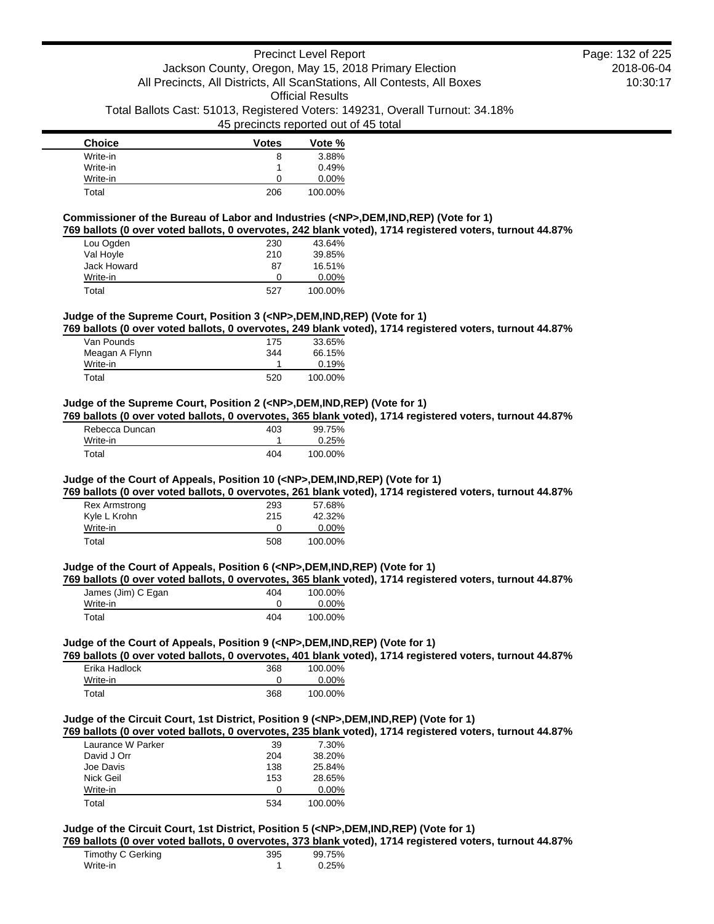| <b>Choice</b> | <b>Votes</b> | Vote %  |
|---------------|--------------|---------|
| Write-in      | 8            | 3.88%   |
| Write-in      |              | 0.49%   |
| Write-in      | O            | 0.00%   |
| Total         | 206          | 100.00% |

**Commissioner of the Bureau of Labor and Industries (<NP>,DEM,IND,REP) (Vote for 1) 769 ballots (0 over voted ballots, 0 overvotes, 242 blank voted), 1714 registered voters, turnout 44.87%**

| Lou Ogden   | 230 | 43.64%   |
|-------------|-----|----------|
| Val Hoyle   | 210 | 39.85%   |
| Jack Howard | 87  | 16.51%   |
| Write-in    | O   | $0.00\%$ |
| Total       | 527 | 100.00%  |

#### **Judge of the Supreme Court, Position 3 (<NP>,DEM,IND,REP) (Vote for 1)**

**769 ballots (0 over voted ballots, 0 overvotes, 249 blank voted), 1714 registered voters, turnout 44.87%**

| Van Pounds     | 175 | 33.65%  |
|----------------|-----|---------|
| Meagan A Flynn | 344 | 66.15%  |
| Write-in       |     | 0.19%   |
| Total          | 520 | 100.00% |

### **Judge of the Supreme Court, Position 2 (<NP>,DEM,IND,REP) (Vote for 1)**

**769 ballots (0 over voted ballots, 0 overvotes, 365 blank voted), 1714 registered voters, turnout 44.87%**

| Rebecca Duncan | 403 | 99.75%  |
|----------------|-----|---------|
| Write-in       |     | 0.25%   |
| Total          | 404 | 100.00% |

#### **Judge of the Court of Appeals, Position 10 (<NP>,DEM,IND,REP) (Vote for 1)**

**769 ballots (0 over voted ballots, 0 overvotes, 261 blank voted), 1714 registered voters, turnout 44.87%**

| <b>Rex Armstrong</b><br>Kyle L Krohn | 293<br>215 | 57.68%<br>42.32% |
|--------------------------------------|------------|------------------|
| Write-in                             |            | $0.00\%$         |
| Total                                | 508        | 100.00%          |

### **Judge of the Court of Appeals, Position 6 (<NP>,DEM,IND,REP) (Vote for 1)**

**769 ballots (0 over voted ballots, 0 overvotes, 365 blank voted), 1714 registered voters, turnout 44.87%**

| James (Jim) C Egan | 404 | 100.00%  |
|--------------------|-----|----------|
| Write-in           |     | $0.00\%$ |
| Total              | 404 | 100.00%  |

#### **Judge of the Court of Appeals, Position 9 (<NP>,DEM,IND,REP) (Vote for 1)**

**769 ballots (0 over voted ballots, 0 overvotes, 401 blank voted), 1714 registered voters, turnout 44.87%**

| Erika Hadlock | 368 | 100.00%  |
|---------------|-----|----------|
| Write-in      |     | $0.00\%$ |
| Total         | 368 | 100.00%  |

#### **Judge of the Circuit Court, 1st District, Position 9 (<NP>,DEM,IND,REP) (Vote for 1)**

**769 ballots (0 over voted ballots, 0 overvotes, 235 blank voted), 1714 registered voters, turnout 44.87%**

| Laurance W Parker | 39  | 7.30%    |
|-------------------|-----|----------|
| David J Orr       | 204 | 38.20%   |
| Joe Davis         | 138 | 25.84%   |
| Nick Geil         | 153 | 28.65%   |
| Write-in          | O   | $0.00\%$ |
| Total             | 534 | 100.00%  |

### **Judge of the Circuit Court, 1st District, Position 5 (<NP>,DEM,IND,REP) (Vote for 1)**

**769 ballots (0 over voted ballots, 0 overvotes, 373 blank voted), 1714 registered voters, turnout 44.87%**

| Timothy C Gerking | 395 | 99.75% |
|-------------------|-----|--------|
| Write-in          |     | 0.25%  |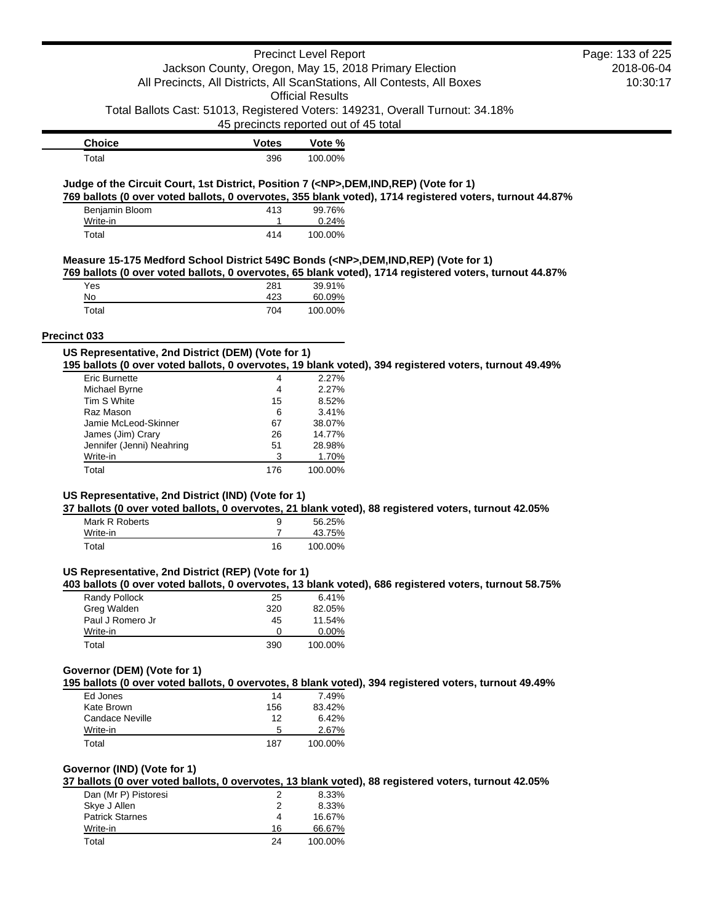|                                                                                            |                                       | <b>Precinct Level Report</b> |                                                                                                          | Page: 133 of 225 |
|--------------------------------------------------------------------------------------------|---------------------------------------|------------------------------|----------------------------------------------------------------------------------------------------------|------------------|
|                                                                                            |                                       |                              | Jackson County, Oregon, May 15, 2018 Primary Election                                                    | 2018-06-04       |
|                                                                                            |                                       |                              | All Precincts, All Districts, All ScanStations, All Contests, All Boxes                                  | 10:30:17         |
|                                                                                            |                                       | <b>Official Results</b>      |                                                                                                          |                  |
|                                                                                            |                                       |                              | Total Ballots Cast: 51013, Registered Voters: 149231, Overall Turnout: 34.18%                            |                  |
|                                                                                            | 45 precincts reported out of 45 total |                              |                                                                                                          |                  |
|                                                                                            |                                       |                              |                                                                                                          |                  |
| <b>Choice</b>                                                                              | <b>Votes</b>                          | Vote %                       |                                                                                                          |                  |
| Total                                                                                      | 396                                   | 100.00%                      |                                                                                                          |                  |
| Judge of the Circuit Court, 1st District, Position 7 ( <np>,DEM,IND,REP) (Vote for 1)</np> |                                       |                              |                                                                                                          |                  |
|                                                                                            |                                       |                              | 769 ballots (0 over voted ballots, 0 overvotes, 355 blank voted), 1714 registered voters, turnout 44.87% |                  |
| Benjamin Bloom                                                                             | 413                                   | 99.76%                       |                                                                                                          |                  |
| Write-in                                                                                   | 1                                     | 0.24%                        |                                                                                                          |                  |
| Total                                                                                      | 414                                   | 100.00%                      |                                                                                                          |                  |
|                                                                                            |                                       |                              |                                                                                                          |                  |
| Measure 15-175 Medford School District 549C Bonds ( <np>,DEM,IND,REP) (Vote for 1)</np>    |                                       |                              |                                                                                                          |                  |
|                                                                                            |                                       |                              | 769 ballots (0 over voted ballots, 0 overvotes, 65 blank voted), 1714 registered voters, turnout 44.87%  |                  |
| Yes<br>No                                                                                  | 281<br>423                            | 39.91%<br>60.09%             |                                                                                                          |                  |
| Total                                                                                      | 704                                   | 100.00%                      |                                                                                                          |                  |
|                                                                                            |                                       |                              |                                                                                                          |                  |
| Precinct 033                                                                               |                                       |                              |                                                                                                          |                  |
| US Representative, 2nd District (DEM) (Vote for 1)                                         |                                       |                              |                                                                                                          |                  |
|                                                                                            |                                       |                              | 195 ballots (0 over voted ballots, 0 overvotes, 19 blank voted), 394 registered voters, turnout 49.49%   |                  |
| <b>Eric Burnette</b>                                                                       | 4                                     | 2.27%                        |                                                                                                          |                  |
| Michael Byrne                                                                              | 4                                     | 2.27%                        |                                                                                                          |                  |
| Tim S White                                                                                | 15                                    | 8.52%                        |                                                                                                          |                  |
| Raz Mason                                                                                  | 6                                     | 3.41%                        |                                                                                                          |                  |
| Jamie McLeod-Skinner                                                                       | 67                                    | 38.07%                       |                                                                                                          |                  |
| James (Jim) Crary                                                                          | 26                                    | 14.77%                       |                                                                                                          |                  |
| Jennifer (Jenni) Neahring                                                                  | 51                                    | 28.98%                       |                                                                                                          |                  |
| Write-in                                                                                   | 3                                     | 1.70%                        |                                                                                                          |                  |
| Total                                                                                      | 176                                   | 100.00%                      |                                                                                                          |                  |
|                                                                                            |                                       |                              |                                                                                                          |                  |
| US Representative, 2nd District (IND) (Vote for 1)                                         |                                       |                              | 37 ballots (0 over voted ballots, 0 overvotes, 21 blank voted), 88 registered voters, turnout 42.05%     |                  |
| Mark R Roberts                                                                             | 9                                     | 56.25%                       |                                                                                                          |                  |
| Write-in                                                                                   | $\overline{7}$                        | 43.75%                       |                                                                                                          |                  |
| Total                                                                                      | 16                                    | 100.00%                      |                                                                                                          |                  |
|                                                                                            |                                       |                              |                                                                                                          |                  |
| US Representative, 2nd District (REP) (Vote for 1)                                         |                                       |                              |                                                                                                          |                  |
|                                                                                            |                                       |                              | 403 ballots (0 over voted ballots, 0 overvotes, 13 blank voted), 686 registered voters, turnout 58.75%   |                  |
| Randy Pollock                                                                              | 25                                    | 6.41%                        |                                                                                                          |                  |
| Greg Walden                                                                                | 320                                   | 82.05%                       |                                                                                                          |                  |
| Paul J Romero Jr                                                                           | 45                                    | 11.54%                       |                                                                                                          |                  |
| Write-in                                                                                   | 0                                     | $0.00\%$                     |                                                                                                          |                  |
| Total                                                                                      | 390                                   | 100.00%                      |                                                                                                          |                  |
|                                                                                            |                                       |                              |                                                                                                          |                  |
| Governor (DEM) (Vote for 1)                                                                |                                       |                              |                                                                                                          |                  |
|                                                                                            |                                       |                              | 195 ballots (0 over voted ballots, 0 overvotes, 8 blank voted), 394 registered voters, turnout 49.49%    |                  |
| Ed Jones                                                                                   | 14                                    | 7.49%                        |                                                                                                          |                  |
| Kate Brown                                                                                 | 156                                   | 83.42%                       |                                                                                                          |                  |
| <b>Candace Neville</b>                                                                     | 12                                    | 6.42%                        |                                                                                                          |                  |
| Write-in                                                                                   | 5                                     | 2.67%                        |                                                                                                          |                  |
| Total                                                                                      | 187                                   | 100.00%                      |                                                                                                          |                  |
|                                                                                            |                                       |                              |                                                                                                          |                  |
| Governor (IND) (Vote for 1)                                                                |                                       |                              |                                                                                                          |                  |
|                                                                                            |                                       |                              | 37 ballots (0 over voted ballots, 0 overvotes, 13 blank voted), 88 registered voters, turnout 42.05%     |                  |
| Dan (Mr P) Pistoresi                                                                       | 2                                     | 8.33%                        |                                                                                                          |                  |
| Skye J Allen                                                                               | 2                                     | 8.33%                        |                                                                                                          |                  |
| <b>Patrick Starnes</b>                                                                     | 4                                     | 16.67%                       |                                                                                                          |                  |
| Write-in                                                                                   | 16                                    | 66.67%                       |                                                                                                          |                  |
| Total                                                                                      | 24                                    | 100.00%                      |                                                                                                          |                  |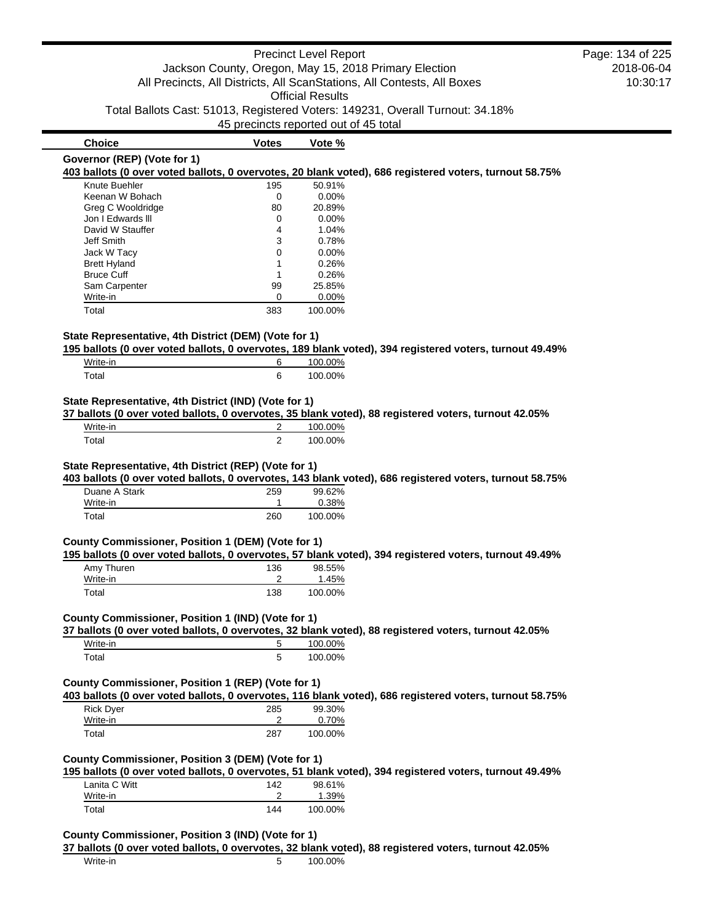|                                                       |                                       | <b>Precinct Level Report</b> |                                                                                                         | Page: 134 of 225 |
|-------------------------------------------------------|---------------------------------------|------------------------------|---------------------------------------------------------------------------------------------------------|------------------|
|                                                       |                                       |                              | Jackson County, Oregon, May 15, 2018 Primary Election                                                   | 2018-06-04       |
|                                                       |                                       |                              | All Precincts, All Districts, All ScanStations, All Contests, All Boxes                                 | 10:30:17         |
|                                                       |                                       | <b>Official Results</b>      |                                                                                                         |                  |
|                                                       |                                       |                              |                                                                                                         |                  |
|                                                       |                                       |                              | Total Ballots Cast: 51013, Registered Voters: 149231, Overall Turnout: 34.18%                           |                  |
|                                                       | 45 precincts reported out of 45 total |                              |                                                                                                         |                  |
| <b>Choice</b>                                         | <b>Votes</b>                          | Vote %                       |                                                                                                         |                  |
| Governor (REP) (Vote for 1)                           |                                       |                              |                                                                                                         |                  |
|                                                       |                                       |                              | 403 ballots (0 over voted ballots, 0 overvotes, 20 blank voted), 686 registered voters, turnout 58.75%  |                  |
| Knute Buehler                                         | 195                                   | 50.91%                       |                                                                                                         |                  |
| Keenan W Bohach                                       | 0                                     | 0.00%                        |                                                                                                         |                  |
| Greg C Wooldridge                                     | 80                                    | 20.89%                       |                                                                                                         |                  |
| Jon I Edwards III                                     | 0                                     | 0.00%                        |                                                                                                         |                  |
| David W Stauffer<br>Jeff Smith                        | 4<br>3                                | 1.04%<br>0.78%               |                                                                                                         |                  |
| Jack W Tacy                                           | 0                                     | $0.00\%$                     |                                                                                                         |                  |
| <b>Brett Hyland</b>                                   | 1                                     | 0.26%                        |                                                                                                         |                  |
| <b>Bruce Cuff</b>                                     | 1                                     | 0.26%                        |                                                                                                         |                  |
| Sam Carpenter                                         | 99                                    | 25.85%                       |                                                                                                         |                  |
| Write-in                                              | 0                                     | 0.00%                        |                                                                                                         |                  |
| Total                                                 | 383                                   | 100.00%                      |                                                                                                         |                  |
|                                                       |                                       |                              |                                                                                                         |                  |
| State Representative, 4th District (DEM) (Vote for 1) |                                       |                              |                                                                                                         |                  |
|                                                       |                                       |                              | 195 ballots (0 over voted ballots, 0 overvotes, 189 blank voted), 394 registered voters, turnout 49.49% |                  |
| Write-in                                              | 6                                     | 100.00%                      |                                                                                                         |                  |
| Total                                                 | 6                                     | 100.00%                      |                                                                                                         |                  |
|                                                       |                                       |                              |                                                                                                         |                  |
| State Representative, 4th District (IND) (Vote for 1) |                                       |                              |                                                                                                         |                  |
|                                                       |                                       |                              | 37 ballots (0 over voted ballots, 0 overvotes, 35 blank voted), 88 registered voters, turnout 42.05%    |                  |
| Write-in                                              | 2                                     | 100.00%                      |                                                                                                         |                  |
| Total                                                 | $\overline{2}$                        | 100.00%                      |                                                                                                         |                  |
|                                                       |                                       |                              |                                                                                                         |                  |
| State Representative, 4th District (REP) (Vote for 1) |                                       |                              |                                                                                                         |                  |
|                                                       |                                       |                              | 403 ballots (0 over voted ballots, 0 overvotes, 143 blank voted), 686 registered voters, turnout 58.75% |                  |
| Duane A Stark                                         | 259                                   | 99.62%                       |                                                                                                         |                  |
| Write-in                                              | 1                                     | 0.38%                        |                                                                                                         |                  |
| Total                                                 | 260                                   | 100.00%                      |                                                                                                         |                  |
|                                                       |                                       |                              |                                                                                                         |                  |
| County Commissioner, Position 1 (DEM) (Vote for 1)    |                                       |                              |                                                                                                         |                  |
|                                                       |                                       |                              | 195 ballots (0 over voted ballots, 0 overvotes, 57 blank voted), 394 registered voters, turnout 49.49%  |                  |
| Amy Thuren<br>Write-in                                | 136<br>2                              | 98.55%<br>1.45%              |                                                                                                         |                  |
|                                                       | 138                                   |                              |                                                                                                         |                  |
| Total                                                 |                                       | 100.00%                      |                                                                                                         |                  |
| County Commissioner, Position 1 (IND) (Vote for 1)    |                                       |                              |                                                                                                         |                  |
|                                                       |                                       |                              | 37 ballots (0 over voted ballots, 0 overvotes, 32 blank voted), 88 registered voters, turnout 42.05%    |                  |
| Write-in                                              | 5                                     | 100.00%                      |                                                                                                         |                  |
| Total                                                 | 5                                     | 100.00%                      |                                                                                                         |                  |
|                                                       |                                       |                              |                                                                                                         |                  |
| County Commissioner, Position 1 (REP) (Vote for 1)    |                                       |                              |                                                                                                         |                  |
|                                                       |                                       |                              | 403 ballots (0 over voted ballots, 0 overvotes, 116 blank voted), 686 registered voters, turnout 58.75% |                  |
|                                                       |                                       | 99.30%                       |                                                                                                         |                  |
| <b>Rick Dyer</b><br>Write-in                          | 285<br>2                              | 0.70%                        |                                                                                                         |                  |
| Total                                                 | 287                                   | 100.00%                      |                                                                                                         |                  |
|                                                       |                                       |                              |                                                                                                         |                  |
| County Commissioner, Position 3 (DEM) (Vote for 1)    |                                       |                              |                                                                                                         |                  |
|                                                       |                                       |                              | 195 ballots (0 over voted ballots, 0 overvotes, 51 blank voted), 394 registered voters, turnout 49.49%  |                  |
| Lanita C Witt                                         | 142                                   | 98.61%                       |                                                                                                         |                  |
| Write-in                                              | 2                                     | 1.39%                        |                                                                                                         |                  |
| Total                                                 | 144                                   | 100.00%                      |                                                                                                         |                  |
|                                                       |                                       |                              |                                                                                                         |                  |
|                                                       | Desition 2 (INID) (Hote for           |                              |                                                                                                         |                  |

# **County Commissioner, Position 3 (IND) (Vote for 1)**

**37 ballots (0 over voted ballots, 0 overvotes, 32 blank voted), 88 registered voters, turnout 42.05%**

Write-in 5 100.00%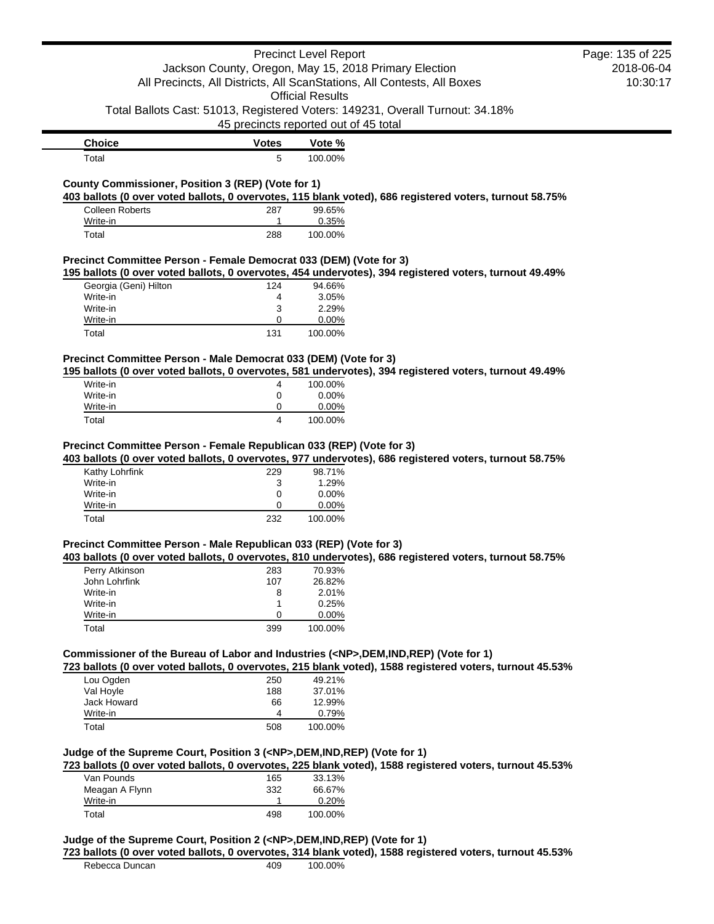|                                                                                                    |                                       | <b>Precinct Level Report</b> |                                                                                                          | Page: 135 of 225 |
|----------------------------------------------------------------------------------------------------|---------------------------------------|------------------------------|----------------------------------------------------------------------------------------------------------|------------------|
|                                                                                                    |                                       |                              | Jackson County, Oregon, May 15, 2018 Primary Election                                                    | 2018-06-04       |
|                                                                                                    |                                       |                              | All Precincts, All Districts, All ScanStations, All Contests, All Boxes                                  | 10:30:17         |
|                                                                                                    |                                       | <b>Official Results</b>      |                                                                                                          |                  |
|                                                                                                    |                                       |                              | Total Ballots Cast: 51013, Registered Voters: 149231, Overall Turnout: 34.18%                            |                  |
|                                                                                                    | 45 precincts reported out of 45 total |                              |                                                                                                          |                  |
| <b>Choice</b>                                                                                      | <b>Votes</b>                          | Vote %                       |                                                                                                          |                  |
| Total                                                                                              | 5                                     | 100.00%                      |                                                                                                          |                  |
| County Commissioner, Position 3 (REP) (Vote for 1)                                                 |                                       |                              |                                                                                                          |                  |
|                                                                                                    |                                       |                              | 403 ballots (0 over voted ballots, 0 overvotes, 115 blank voted), 686 registered voters, turnout 58.75%  |                  |
| <b>Colleen Roberts</b><br>Write-in                                                                 | 287<br>1                              | 99.65%<br>0.35%              |                                                                                                          |                  |
| Total                                                                                              | 288                                   | 100.00%                      |                                                                                                          |                  |
| Precinct Committee Person - Female Democrat 033 (DEM) (Vote for 3)                                 |                                       |                              |                                                                                                          |                  |
|                                                                                                    |                                       |                              | 195 ballots (0 over voted ballots, 0 overvotes, 454 undervotes), 394 registered voters, turnout 49.49%   |                  |
| Georgia (Geni) Hilton                                                                              | 124                                   | 94.66%                       |                                                                                                          |                  |
| Write-in                                                                                           | 4                                     | 3.05%                        |                                                                                                          |                  |
| Write-in                                                                                           | 3                                     | 2.29%                        |                                                                                                          |                  |
| Write-in                                                                                           | 0                                     | 0.00%                        |                                                                                                          |                  |
| Total                                                                                              | 131                                   | 100.00%                      |                                                                                                          |                  |
| Precinct Committee Person - Male Democrat 033 (DEM) (Vote for 3)                                   |                                       |                              |                                                                                                          |                  |
|                                                                                                    |                                       |                              | 195 ballots (0 over voted ballots, 0 overvotes, 581 undervotes), 394 registered voters, turnout 49.49%   |                  |
| Write-in                                                                                           | 4                                     | 100.00%                      |                                                                                                          |                  |
| Write-in<br>Write-in                                                                               | 0<br>0                                | 0.00%<br>0.00%               |                                                                                                          |                  |
| Total                                                                                              | 4                                     |                              |                                                                                                          |                  |
|                                                                                                    |                                       | 100.00%                      |                                                                                                          |                  |
| Precinct Committee Person - Female Republican 033 (REP) (Vote for 3)<br>Kathy Lohrfink<br>Write-in | 229<br>3                              | 98.71%<br>1.29%              | 403 ballots (0 over voted ballots, 0 overvotes, 977 undervotes), 686 registered voters, turnout 58.75%   |                  |
|                                                                                                    |                                       |                              |                                                                                                          |                  |
| Write-in                                                                                           | 0                                     | 0.00%                        |                                                                                                          |                  |
| Write-in                                                                                           | 0                                     | 0.00%                        |                                                                                                          |                  |
| Total                                                                                              | 232                                   | 100.00%                      |                                                                                                          |                  |
|                                                                                                    |                                       |                              |                                                                                                          |                  |
|                                                                                                    |                                       |                              | 403 ballots (0 over voted ballots, 0 overvotes, 810 undervotes), 686 registered voters, turnout 58.75%   |                  |
| Perry Atkinson                                                                                     | 283                                   | 70.93%                       |                                                                                                          |                  |
| John Lohrfink                                                                                      | 107                                   | 26.82%                       |                                                                                                          |                  |
| Write-in                                                                                           | 8                                     | 2.01%                        |                                                                                                          |                  |
| Write-in                                                                                           | 1                                     | 0.25%                        |                                                                                                          |                  |
| Write-in<br>Total                                                                                  | 0<br>399                              | 0.00%<br>100.00%             |                                                                                                          |                  |
| Precinct Committee Person - Male Republican 033 (REP) (Vote for 3)                                 |                                       |                              |                                                                                                          |                  |
| Commissioner of the Bureau of Labor and Industries ( <np>,DEM,IND,REP) (Vote for 1)</np>           |                                       |                              | 723 ballots (0 over voted ballots, 0 overvotes, 215 blank voted), 1588 registered voters, turnout 45.53% |                  |
| Lou Ogden                                                                                          | 250                                   | 49.21%                       |                                                                                                          |                  |
| Val Hoyle                                                                                          | 188                                   | 37.01%                       |                                                                                                          |                  |
| Jack Howard                                                                                        | 66                                    | 12.99%                       |                                                                                                          |                  |
| Write-in                                                                                           | 4                                     | 0.79%                        |                                                                                                          |                  |
| Total                                                                                              | 508                                   | 100.00%                      |                                                                                                          |                  |
| Judge of the Supreme Court, Position 3 ( <np>,DEM,IND,REP) (Vote for 1)</np>                       |                                       |                              |                                                                                                          |                  |
|                                                                                                    |                                       |                              | 723 ballots (0 over voted ballots, 0 overvotes, 225 blank voted), 1588 registered voters, turnout 45.53% |                  |
| Van Pounds                                                                                         | 165                                   | 33.13%                       |                                                                                                          |                  |
| Meagan A Flynn                                                                                     | 332                                   | 66.67%                       |                                                                                                          |                  |
| Write-in<br>Total                                                                                  | 1<br>498                              | 0.20%<br>100.00%             |                                                                                                          |                  |

Rebecca Duncan 409 100.00%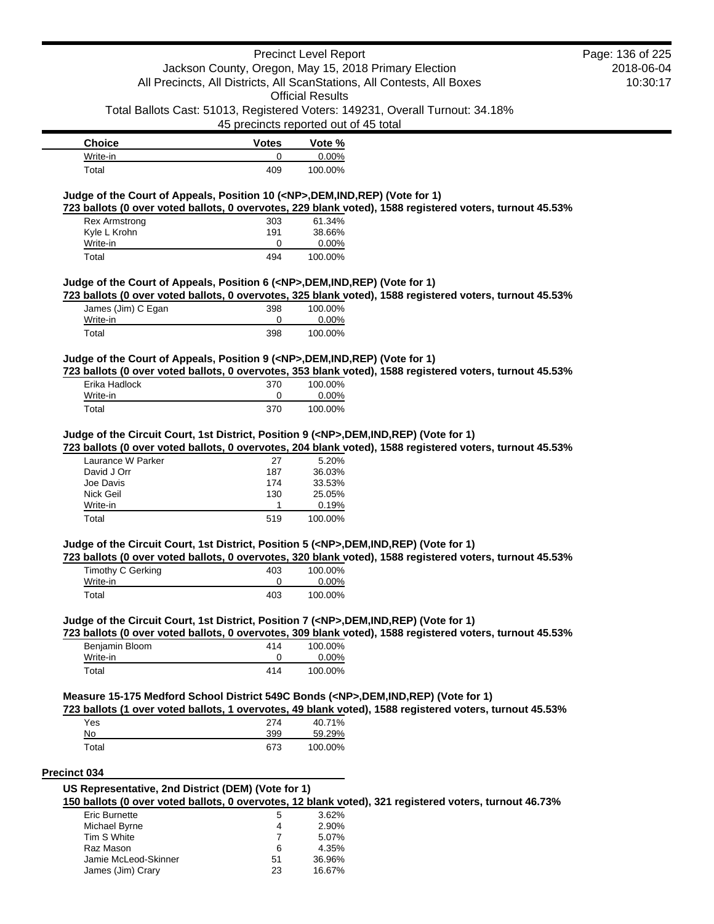|                                                                                  |                                       | <b>Precinct Level Report</b> | Page: 136 of 2                                                                                           |
|----------------------------------------------------------------------------------|---------------------------------------|------------------------------|----------------------------------------------------------------------------------------------------------|
|                                                                                  |                                       |                              | Jackson County, Oregon, May 15, 2018 Primary Election<br>2018-06-                                        |
|                                                                                  |                                       |                              | All Precincts, All Districts, All ScanStations, All Contests, All Boxes<br>10:30:                        |
|                                                                                  |                                       | <b>Official Results</b>      |                                                                                                          |
|                                                                                  |                                       |                              | Total Ballots Cast: 51013, Registered Voters: 149231, Overall Turnout: 34.18%                            |
|                                                                                  | 45 precincts reported out of 45 total |                              |                                                                                                          |
| <b>Choice</b>                                                                    | <b>Votes</b>                          | Vote %                       |                                                                                                          |
| Write-in                                                                         | 0                                     | 0.00%                        |                                                                                                          |
| Total                                                                            | 409                                   | 100.00%                      |                                                                                                          |
| Judge of the Court of Appeals, Position 10 ( <np>,DEM,IND,REP) (Vote for 1)</np> |                                       |                              |                                                                                                          |
|                                                                                  |                                       |                              | 723 ballots (0 over voted ballots, 0 overvotes, 229 blank voted), 1588 registered voters, turnout 45.53% |
| <b>Rex Armstrong</b>                                                             | 303                                   | 61.34%                       |                                                                                                          |
| Kyle L Krohn                                                                     | 191                                   | 38.66%                       |                                                                                                          |
|                                                                                  | 0                                     | $0.00\%$                     |                                                                                                          |
| Write-in                                                                         |                                       |                              |                                                                                                          |

#### **723 ballots (0 over voted ballots, 0 overvotes, 325 blank voted), 1588 registered voters, turnout 45.53%**

| James (Jim) C Egan<br>Write-in | 398 | 100.00%<br>$0.00\%$ |
|--------------------------------|-----|---------------------|
| Total                          | 398 | 100.00%             |

#### **Judge of the Court of Appeals, Position 9 (<NP>,DEM,IND,REP) (Vote for 1)**

**723 ballots (0 over voted ballots, 0 overvotes, 353 blank voted), 1588 registered voters, turnout 45.53%**

| Erika Hadlock | 370 | 100.00%  |
|---------------|-----|----------|
| Write-in      |     | $0.00\%$ |
| Total         | 370 | 100.00%  |

### **Judge of the Circuit Court, 1st District, Position 9 (<NP>,DEM,IND,REP) (Vote for 1)**

**723 ballots (0 over voted ballots, 0 overvotes, 204 blank voted), 1588 registered voters, turnout 45.53%**

| Laurance W Parker | 27  | 5.20%   |
|-------------------|-----|---------|
| David J Orr       | 187 | 36.03%  |
| Joe Davis         | 174 | 33.53%  |
| Nick Geil         | 130 | 25.05%  |
| Write-in          |     | 0.19%   |
| Total             | 519 | 100.00% |

#### **Judge of the Circuit Court, 1st District, Position 5 (<NP>,DEM,IND,REP) (Vote for 1)**

**723 ballots (0 over voted ballots, 0 overvotes, 320 blank voted), 1588 registered voters, turnout 45.53%**

| Timothy C Gerking | 403 | 100.00%  |
|-------------------|-----|----------|
| Write-in          |     | $0.00\%$ |
| Total             | 403 | 100.00%  |

#### **Judge of the Circuit Court, 1st District, Position 7 (<NP>,DEM,IND,REP) (Vote for 1)**

**723 ballots (0 over voted ballots, 0 overvotes, 309 blank voted), 1588 registered voters, turnout 45.53%**

| Benjamin Bloom | 414 | 100.00%  |
|----------------|-----|----------|
| Write-in       |     | $0.00\%$ |
| Total          | 414 | 100.00%  |

### **Measure 15-175 Medford School District 549C Bonds (<NP>,DEM,IND,REP) (Vote for 1)**

#### **723 ballots (1 over voted ballots, 1 overvotes, 49 blank voted), 1588 registered voters, turnout 45.53%**

| Yes   | 274 | 40.71%  |
|-------|-----|---------|
| No    | 399 | 59.29%  |
| Total | 673 | 100.00% |

#### **Precinct 034**

# **US Representative, 2nd District (DEM) (Vote for 1)**

**150 ballots (0 over voted ballots, 0 overvotes, 12 blank voted), 321 registered voters, turnout 46.73%**

| <b>Eric Burnette</b> | 5  | $3.62\%$ |
|----------------------|----|----------|
| Michael Byrne        | 4  | 2.90%    |
| Tim S White          |    | 5.07%    |
| Raz Mason            | 6  | 4.35%    |
| Jamie McLeod-Skinner | 51 | 36.96%   |
| James (Jim) Crary    | 23 | 16.67%   |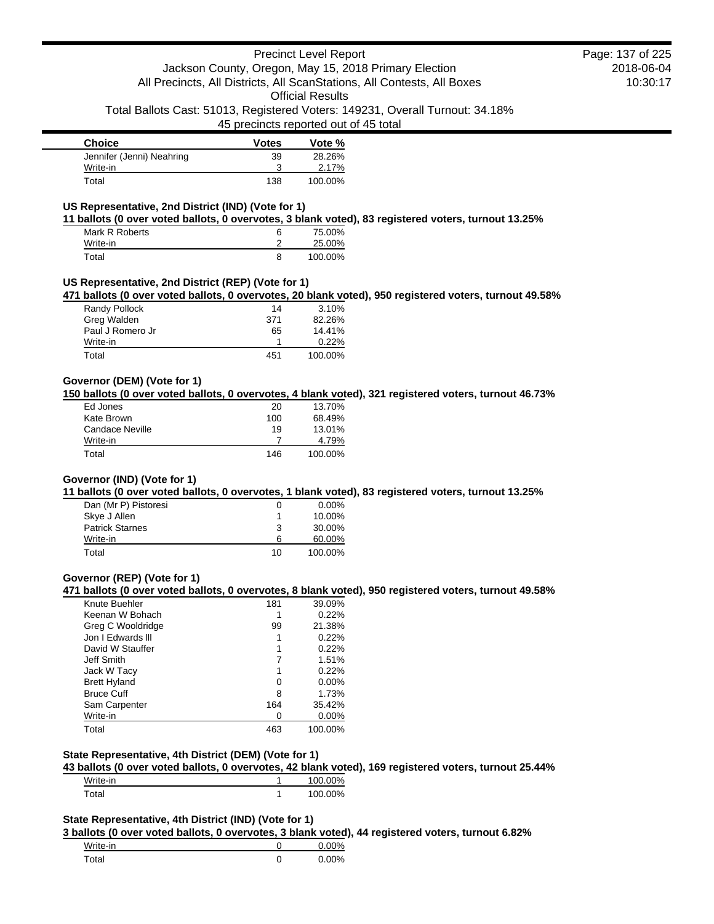# Precinct Level Report Jackson County, Oregon, May 15, 2018 Primary Election All Precincts, All Districts, All ScanStations, All Contests, All Boxes Official Results

Total Ballots Cast: 51013, Registered Voters: 149231, Overall Turnout: 34.18%

### 45 precincts reported out of 45 total

| <b>Choice</b>             | <b>Votes</b> | Vote %  |
|---------------------------|--------------|---------|
| Jennifer (Jenni) Neahring | 39           | 28.26%  |
| Write-in                  |              | 2.17%   |
| Total                     | 138          | 100.00% |

### **US Representative, 2nd District (IND) (Vote for 1)**

**11 ballots (0 over voted ballots, 0 overvotes, 3 blank voted), 83 registered voters, turnout 13.25%**

| Mark R Roberts | 6 | 75.00%  |
|----------------|---|---------|
| Write-in       |   | 25.00%  |
| Total          | 8 | 100.00% |

# **US Representative, 2nd District (REP) (Vote for 1)**

**471 ballots (0 over voted ballots, 0 overvotes, 20 blank voted), 950 registered voters, turnout 49.58%**

| Randy Pollock    | 14  | 3.10%   |
|------------------|-----|---------|
| Greg Walden      | 371 | 82.26%  |
| Paul J Romero Jr | 65  | 14.41%  |
| Write-in         |     | 0.22%   |
| Total            | 451 | 100.00% |

### **Governor (DEM) (Vote for 1)**

**150 ballots (0 over voted ballots, 0 overvotes, 4 blank voted), 321 registered voters, turnout 46.73%**

| Ed Jones        | 20  | 13.70%  |
|-----------------|-----|---------|
| Kate Brown      | 100 | 68.49%  |
| Candace Neville | 19  | 13.01%  |
| Write-in        |     | 4.79%   |
| Total           | 146 | 100.00% |

# **Governor (IND) (Vote for 1)**

**11 ballots (0 over voted ballots, 0 overvotes, 1 blank voted), 83 registered voters, turnout 13.25%**

| Dan (Mr P) Pistoresi   | O  | $0.00\%$ |
|------------------------|----|----------|
| Skye J Allen           |    | 10.00%   |
| <b>Patrick Starnes</b> | 3  | 30.00%   |
| Write-in               | 6  | 60.00%   |
| Total                  | 10 | 100.00%  |

#### **Governor (REP) (Vote for 1)**

**471 ballots (0 over voted ballots, 0 overvotes, 8 blank voted), 950 registered voters, turnout 49.58%**

| Knute Buehler       | 181 | 39.09%   |
|---------------------|-----|----------|
| Keenan W Bohach     |     | 0.22%    |
| Greg C Wooldridge   | 99  | 21.38%   |
| Jon I Edwards III   |     | 0.22%    |
| David W Stauffer    |     | 0.22%    |
| Jeff Smith          |     | 1.51%    |
| Jack W Tacy         |     | 0.22%    |
| <b>Brett Hyland</b> | 0   | $0.00\%$ |
| <b>Bruce Cuff</b>   | 8   | 1.73%    |
| Sam Carpenter       | 164 | 35.42%   |
| Write-in            | O   | $0.00\%$ |
| Total               | 463 | 100.00%  |

#### **State Representative, 4th District (DEM) (Vote for 1)**

**43 ballots (0 over voted ballots, 0 overvotes, 42 blank voted), 169 registered voters, turnout 25.44%**

| Write-in | 100.00% |
|----------|---------|
| Total    | 100.00% |

# **State Representative, 4th District (IND) (Vote for 1)**

**3 ballots (0 over voted ballots, 0 overvotes, 3 blank voted), 44 registered voters, turnout 6.82%**

| Write-in |   | $0.00\%$ |
|----------|---|----------|
| Total    | 0 | $0.00\%$ |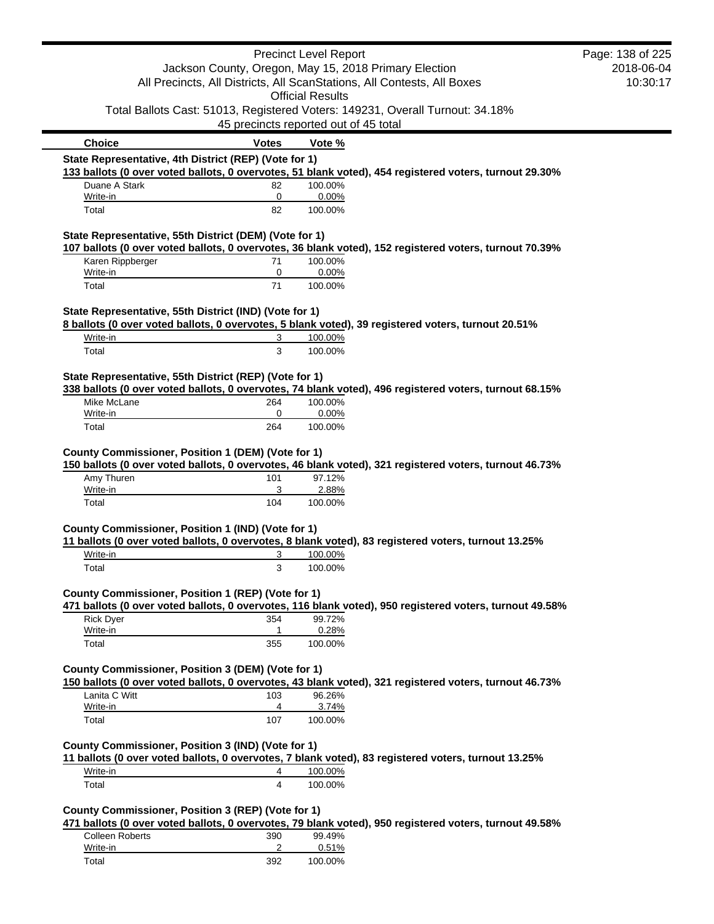|                                                        |                                       | <b>Precinct Level Report</b> |                                                                                                         | Page: 138 of 225 |
|--------------------------------------------------------|---------------------------------------|------------------------------|---------------------------------------------------------------------------------------------------------|------------------|
| Jackson County, Oregon, May 15, 2018 Primary Election  |                                       | 2018-06-04                   |                                                                                                         |                  |
|                                                        |                                       |                              | All Precincts, All Districts, All ScanStations, All Contests, All Boxes                                 | 10:30:17         |
|                                                        |                                       | <b>Official Results</b>      |                                                                                                         |                  |
|                                                        |                                       |                              | Total Ballots Cast: 51013, Registered Voters: 149231, Overall Turnout: 34.18%                           |                  |
|                                                        | 45 precincts reported out of 45 total |                              |                                                                                                         |                  |
| <b>Choice</b>                                          | <b>Votes</b>                          | Vote %                       |                                                                                                         |                  |
| State Representative, 4th District (REP) (Vote for 1)  |                                       |                              |                                                                                                         |                  |
|                                                        |                                       |                              | 133 ballots (0 over voted ballots, 0 overvotes, 51 blank voted), 454 registered voters, turnout 29.30%  |                  |
| Duane A Stark                                          | 82                                    | 100.00%                      |                                                                                                         |                  |
| Write-in<br>Total                                      | 0<br>82                               | 0.00%<br>100.00%             |                                                                                                         |                  |
| State Representative, 55th District (DEM) (Vote for 1) |                                       |                              |                                                                                                         |                  |
|                                                        |                                       |                              | 107 ballots (0 over voted ballots, 0 overvotes, 36 blank voted), 152 registered voters, turnout 70.39%  |                  |
| Karen Rippberger                                       | 71                                    | 100.00%                      |                                                                                                         |                  |
| Write-in<br>Total                                      | 0<br>71                               | 0.00%<br>100.00%             |                                                                                                         |                  |
|                                                        |                                       |                              |                                                                                                         |                  |
| State Representative, 55th District (IND) (Vote for 1) |                                       |                              |                                                                                                         |                  |
| Write-in                                               | 3                                     | 100.00%                      | 8 ballots (0 over voted ballots, 0 overvotes, 5 blank voted), 39 registered voters, turnout 20.51%      |                  |
| Total                                                  | 3                                     | 100.00%                      |                                                                                                         |                  |
|                                                        |                                       |                              |                                                                                                         |                  |
| State Representative, 55th District (REP) (Vote for 1) |                                       |                              |                                                                                                         |                  |
|                                                        |                                       |                              | 338 ballots (0 over voted ballots, 0 overvotes, 74 blank voted), 496 registered voters, turnout 68.15%  |                  |
| Mike McLane                                            | 264                                   | 100.00%                      |                                                                                                         |                  |
| Write-in<br>Total                                      | 0<br>264                              | 0.00%<br>100.00%             |                                                                                                         |                  |
| Amy Thuren<br>Write-in                                 | 101<br>3                              | 97.12%<br>2.88%              | 150 ballots (0 over voted ballots, 0 overvotes, 46 blank voted), 321 registered voters, turnout 46.73%  |                  |
| Total                                                  | 104                                   | 100.00%                      |                                                                                                         |                  |
|                                                        |                                       |                              |                                                                                                         |                  |
| County Commissioner, Position 1 (IND) (Vote for 1)     |                                       |                              |                                                                                                         |                  |
|                                                        |                                       |                              | 11 ballots (0 over voted ballots, 0 overvotes, 8 blank voted), 83 registered voters, turnout 13.25%     |                  |
| Write-in<br>Total                                      | 3<br>3                                | 100.00%<br>100.00%           |                                                                                                         |                  |
|                                                        |                                       |                              |                                                                                                         |                  |
| County Commissioner, Position 1 (REP) (Vote for 1)     |                                       |                              |                                                                                                         |                  |
|                                                        |                                       |                              | 471 ballots (0 over voted ballots, 0 overvotes, 116 blank voted), 950 registered voters, turnout 49.58% |                  |
| <b>Rick Dyer</b>                                       | 354                                   | 99.72%                       |                                                                                                         |                  |
| Write-in                                               | $\mathbf{1}$                          | 0.28%                        |                                                                                                         |                  |
| Total                                                  | 355                                   | 100.00%                      |                                                                                                         |                  |
| County Commissioner, Position 3 (DEM) (Vote for 1)     |                                       |                              |                                                                                                         |                  |
|                                                        |                                       |                              | 150 ballots (0 over voted ballots, 0 overvotes, 43 blank voted), 321 registered voters, turnout 46.73%  |                  |
| Lanita C Witt<br>Write-in                              | 103<br>4                              | 96.26%<br>3.74%              |                                                                                                         |                  |
| Total                                                  | 107                                   | 100.00%                      |                                                                                                         |                  |
|                                                        |                                       |                              |                                                                                                         |                  |
| County Commissioner, Position 3 (IND) (Vote for 1)     |                                       |                              |                                                                                                         |                  |
| Write-in                                               | 4                                     | 100.00%                      | 11 ballots (0 over voted ballots, 0 overvotes, 7 blank voted), 83 registered voters, turnout 13.25%     |                  |
| Total                                                  | 4                                     | 100.00%                      |                                                                                                         |                  |
|                                                        |                                       |                              |                                                                                                         |                  |
| County Commissioner, Position 3 (REP) (Vote for 1)     |                                       |                              |                                                                                                         |                  |
| Colleen Poberts                                        | ∩מ?                                   | QQ 1Q <sub>0</sub>           | 471 ballots (0 over voted ballots, 0 overvotes, 79 blank voted), 950 registered voters, turnout 49.58%  |                  |

| Colleen Roberts | 390 | 99.49%  |
|-----------------|-----|---------|
| Write-in        |     | 0.51%   |
| Total           | 392 | 100.00% |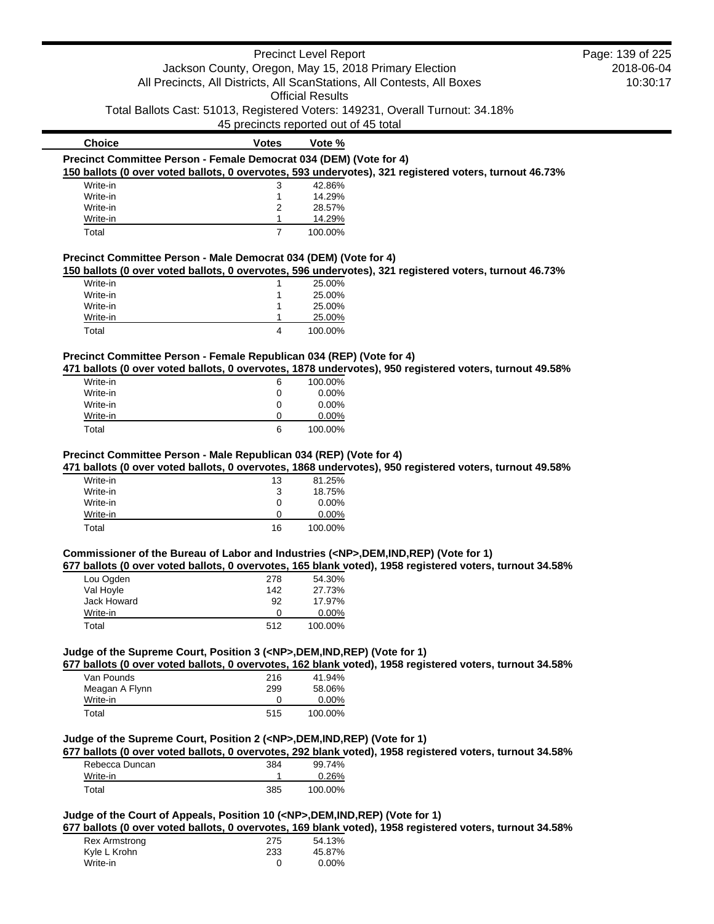|                                                                                          |                | <b>Precinct Level Report</b>                          |                                                                                                          | Page: 139 of 225 |
|------------------------------------------------------------------------------------------|----------------|-------------------------------------------------------|----------------------------------------------------------------------------------------------------------|------------------|
|                                                                                          |                | Jackson County, Oregon, May 15, 2018 Primary Election |                                                                                                          | 2018-06-04       |
| All Precincts, All Districts, All ScanStations, All Contests, All Boxes                  |                | 10:30:17                                              |                                                                                                          |                  |
|                                                                                          |                |                                                       |                                                                                                          |                  |
|                                                                                          |                | <b>Official Results</b>                               |                                                                                                          |                  |
|                                                                                          |                |                                                       | Total Ballots Cast: 51013, Registered Voters: 149231, Overall Turnout: 34.18%                            |                  |
|                                                                                          |                | 45 precincts reported out of 45 total                 |                                                                                                          |                  |
| <b>Choice</b>                                                                            | <b>Votes</b>   | Vote %                                                |                                                                                                          |                  |
| Precinct Committee Person - Female Democrat 034 (DEM) (Vote for 4)                       |                |                                                       |                                                                                                          |                  |
|                                                                                          |                |                                                       | 150 ballots (0 over voted ballots, 0 overvotes, 593 undervotes), 321 registered voters, turnout 46.73%   |                  |
| Write-in                                                                                 | 3              | 42.86%                                                |                                                                                                          |                  |
| Write-in                                                                                 | 1              | 14.29%                                                |                                                                                                          |                  |
| Write-in                                                                                 | 2              | 28.57%                                                |                                                                                                          |                  |
| Write-in                                                                                 | 1              | 14.29%                                                |                                                                                                          |                  |
| Total                                                                                    | $\overline{7}$ | 100.00%                                               |                                                                                                          |                  |
| Precinct Committee Person - Male Democrat 034 (DEM) (Vote for 4)                         |                |                                                       |                                                                                                          |                  |
|                                                                                          |                |                                                       | 150 ballots (0 over voted ballots, 0 overvotes, 596 undervotes), 321 registered voters, turnout 46.73%   |                  |
| Write-in                                                                                 | 1              | 25.00%                                                |                                                                                                          |                  |
| Write-in                                                                                 | 1              | 25.00%                                                |                                                                                                          |                  |
| Write-in                                                                                 | 1              | 25.00%                                                |                                                                                                          |                  |
| Write-in                                                                                 | 1              | 25.00%                                                |                                                                                                          |                  |
| Total                                                                                    | 4              | 100.00%                                               |                                                                                                          |                  |
|                                                                                          |                |                                                       |                                                                                                          |                  |
| Precinct Committee Person - Female Republican 034 (REP) (Vote for 4)                     |                |                                                       |                                                                                                          |                  |
|                                                                                          |                |                                                       | 471 ballots (0 over voted ballots, 0 overvotes, 1878 undervotes), 950 registered voters, turnout 49.58%  |                  |
| Write-in                                                                                 | 6              | 100.00%                                               |                                                                                                          |                  |
| Write-in                                                                                 | 0              | 0.00%                                                 |                                                                                                          |                  |
| Write-in                                                                                 | 0              | 0.00%                                                 |                                                                                                          |                  |
| Write-in<br>Total                                                                        | 0<br>6         | 0.00%<br>100.00%                                      |                                                                                                          |                  |
|                                                                                          |                |                                                       |                                                                                                          |                  |
| Write-in<br>Write-in<br>Write-in                                                         | 13<br>3<br>0   | 81.25%<br>18.75%<br>0.00%                             |                                                                                                          |                  |
| Write-in                                                                                 | 0              | 0.00%                                                 |                                                                                                          |                  |
| Total                                                                                    | 16             | 100.00%                                               |                                                                                                          |                  |
|                                                                                          |                |                                                       |                                                                                                          |                  |
| Commissioner of the Bureau of Labor and Industries ( <np>,DEM,IND,REP) (Vote for 1)</np> |                |                                                       | 677 ballots (0 over voted ballots, 0 overvotes, 165 blank voted), 1958 registered voters, turnout 34.58% |                  |
| Lou Ogden                                                                                | 278            | 54.30%                                                |                                                                                                          |                  |
| Val Hoyle                                                                                | 142            | 27.73%                                                |                                                                                                          |                  |
| Jack Howard                                                                              | 92             | 17.97%                                                |                                                                                                          |                  |
| Write-in                                                                                 | 0              |                                                       |                                                                                                          |                  |
| Total                                                                                    | 512            | 0.00%<br>100.00%                                      |                                                                                                          |                  |
|                                                                                          |                |                                                       |                                                                                                          |                  |
| Judge of the Supreme Court, Position 3 ( <np>,DEM,IND,REP) (Vote for 1)</np>             |                |                                                       |                                                                                                          |                  |
|                                                                                          |                |                                                       | 677 ballots (0 over voted ballots, 0 overvotes, 162 blank voted), 1958 registered voters, turnout 34.58% |                  |
| Van Pounds                                                                               | 216            | 41.94%                                                |                                                                                                          |                  |
| Meagan A Flynn                                                                           | 299            | 58.06%                                                |                                                                                                          |                  |
| Write-in                                                                                 | 0              | 0.00%                                                 |                                                                                                          |                  |
| Total                                                                                    | 515            | 100.00%                                               |                                                                                                          |                  |
|                                                                                          |                |                                                       |                                                                                                          |                  |
| Judge of the Supreme Court, Position 2 ( <np>,DEM,IND,REP) (Vote for 1)</np>             |                |                                                       |                                                                                                          |                  |
|                                                                                          |                |                                                       | 677 ballots (0 over voted ballots, 0 overvotes, 292 blank voted), 1958 registered voters, turnout 34.58% |                  |
| Rebecca Duncan                                                                           | 384            | 99.74%                                                |                                                                                                          |                  |
| Write-in                                                                                 | 1              | 0.26%                                                 |                                                                                                          |                  |
| Total                                                                                    | 385            | 100.00%                                               |                                                                                                          |                  |
|                                                                                          |                |                                                       |                                                                                                          |                  |
| Judge of the Court of Appeals, Position 10 ( <np>,DEM,IND,REP) (Vote for 1)</np>         |                |                                                       |                                                                                                          |                  |
|                                                                                          |                |                                                       | 677 ballots (0 over voted ballots, 0 overvotes, 169 blank voted), 1958 registered voters, turnout 34.58% |                  |
| Rex Armstrong                                                                            | 275            | 54.13%                                                |                                                                                                          |                  |
| ノ・ホーー レッヘトー                                                                              | כפה            | $AC$ 0.70.                                            |                                                                                                          |                  |

| NEX AILISTURIA | ن ا ے | 74. ان ۷ |
|----------------|-------|----------|
| Kyle L Krohn   | 233   | 45.87%   |
| Write-in       |       | $0.00\%$ |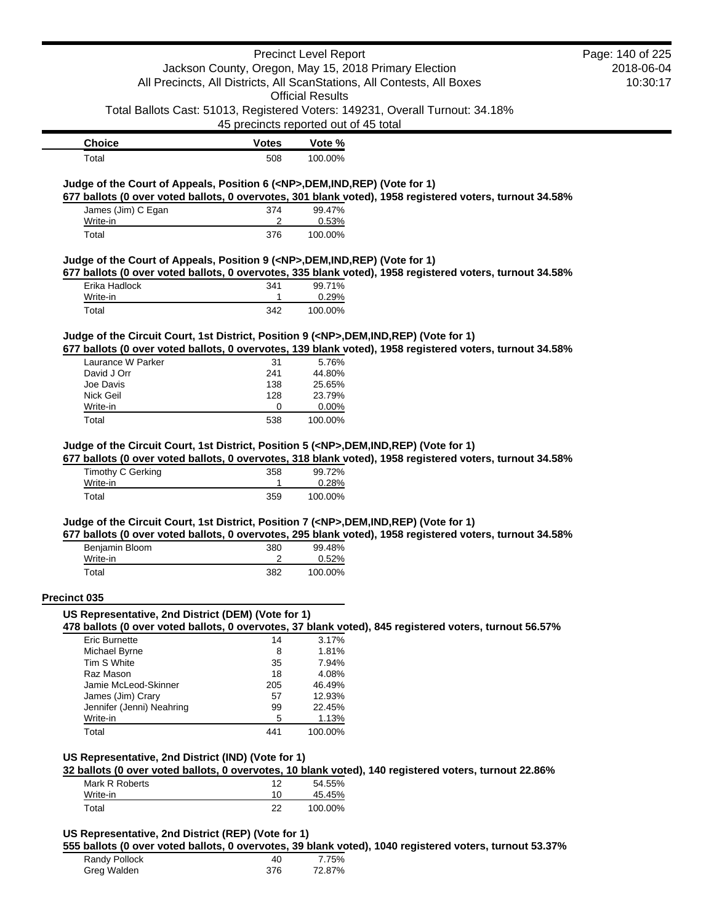|                                                                                               |                                       | <b>Precinct Level Report</b> |                                                                                                          | Page: 140 of 225 |
|-----------------------------------------------------------------------------------------------|---------------------------------------|------------------------------|----------------------------------------------------------------------------------------------------------|------------------|
|                                                                                               |                                       |                              | Jackson County, Oregon, May 15, 2018 Primary Election                                                    | 2018-06-04       |
|                                                                                               |                                       |                              | All Precincts, All Districts, All ScanStations, All Contests, All Boxes                                  | 10:30:17         |
|                                                                                               |                                       | <b>Official Results</b>      |                                                                                                          |                  |
|                                                                                               |                                       |                              | Total Ballots Cast: 51013, Registered Voters: 149231, Overall Turnout: 34.18%                            |                  |
|                                                                                               | 45 precincts reported out of 45 total |                              |                                                                                                          |                  |
| <b>Choice</b>                                                                                 | <b>Votes</b>                          | Vote %                       |                                                                                                          |                  |
| Total                                                                                         | 508                                   | 100.00%                      |                                                                                                          |                  |
| Judge of the Court of Appeals, Position 6 ( <np>, DEM, IND, REP) (Vote for 1)</np>            |                                       |                              |                                                                                                          |                  |
|                                                                                               | 374                                   | 99.47%                       | 677 ballots (0 over voted ballots, 0 overvotes, 301 blank voted), 1958 registered voters, turnout 34.58% |                  |
| James (Jim) C Egan<br>Write-in                                                                | 2                                     | 0.53%                        |                                                                                                          |                  |
| Total                                                                                         | 376                                   | 100.00%                      |                                                                                                          |                  |
| Judge of the Court of Appeals, Position 9 ( <np>,DEM,IND,REP) (Vote for 1)</np>               |                                       |                              |                                                                                                          |                  |
|                                                                                               |                                       |                              | 677 ballots (0 over voted ballots, 0 overvotes, 335 blank voted), 1958 registered voters, turnout 34.58% |                  |
| Erika Hadlock                                                                                 | 341                                   | 99.71%                       |                                                                                                          |                  |
| Write-in<br>Total                                                                             | 1<br>342                              | 0.29%<br>100.00%             |                                                                                                          |                  |
|                                                                                               |                                       |                              |                                                                                                          |                  |
| Judge of the Circuit Court, 1st District, Position 9 ( <np>,DEM,IND,REP) (Vote for 1)</np>    |                                       |                              |                                                                                                          |                  |
|                                                                                               |                                       |                              | 677 ballots (0 over voted ballots, 0 overvotes, 139 blank voted), 1958 registered voters, turnout 34.58% |                  |
| Laurance W Parker<br>David J Orr                                                              | 31<br>241                             | 5.76%<br>44.80%              |                                                                                                          |                  |
| Joe Davis                                                                                     | 138                                   | 25.65%                       |                                                                                                          |                  |
| Nick Geil                                                                                     | 128                                   | 23.79%                       |                                                                                                          |                  |
| Write-in                                                                                      | 0                                     | 0.00%                        |                                                                                                          |                  |
| Total                                                                                         | 538                                   | 100.00%                      |                                                                                                          |                  |
| Write-in                                                                                      | 1                                     | 0.28%                        |                                                                                                          |                  |
| Total                                                                                         | 359                                   | 100.00%                      |                                                                                                          |                  |
| Judge of the Circuit Court, 1st District, Position 7 ( <np>, DEM, IND, REP) (Vote for 1)</np> |                                       |                              |                                                                                                          |                  |
|                                                                                               |                                       |                              | 677 ballots (0 over voted ballots, 0 overvotes, 295 blank voted), 1958 registered voters, turnout 34.58% |                  |
| Benjamin Bloom                                                                                | 380                                   | 99.48%                       |                                                                                                          |                  |
| Write-in                                                                                      | 2                                     | 0.52%                        |                                                                                                          |                  |
| Total                                                                                         | 382                                   | 100.00%                      |                                                                                                          |                  |
| Precinct 035                                                                                  |                                       |                              |                                                                                                          |                  |
| US Representative, 2nd District (DEM) (Vote for 1)                                            |                                       |                              | 478 ballots (0 over voted ballots, 0 overvotes, 37 blank voted), 845 registered voters, turnout 56.57%   |                  |
| <b>Eric Burnette</b>                                                                          | 14                                    | 3.17%                        |                                                                                                          |                  |
| Michael Byrne                                                                                 | 8                                     | 1.81%                        |                                                                                                          |                  |
| Tim S White                                                                                   | 35                                    | 7.94%                        |                                                                                                          |                  |
| Raz Mason                                                                                     | 18                                    | 4.08%                        |                                                                                                          |                  |
| Jamie McLeod-Skinner                                                                          | 205                                   | 46.49%                       |                                                                                                          |                  |
| James (Jim) Crary                                                                             | 57                                    | 12.93%                       |                                                                                                          |                  |
| Jennifer (Jenni) Neahring                                                                     | 99                                    | 22.45%                       |                                                                                                          |                  |
| Write-in<br>Total                                                                             | 5<br>441                              | 1.13%<br>100.00%             |                                                                                                          |                  |
|                                                                                               |                                       |                              |                                                                                                          |                  |
| US Representative, 2nd District (IND) (Vote for 1)                                            |                                       |                              |                                                                                                          |                  |
|                                                                                               |                                       |                              | 32 ballots (0 over voted ballots, 0 overvotes, 10 blank voted), 140 registered voters, turnout 22.86%    |                  |
| Mark R Roberts                                                                                | $12 \overline{ }$                     | 54.55%                       |                                                                                                          |                  |
| Write-in                                                                                      | 10                                    | 45.45%                       |                                                                                                          |                  |
| Total                                                                                         | 22                                    | 100.00%                      |                                                                                                          |                  |
|                                                                                               |                                       |                              |                                                                                                          |                  |
| US Representative, 2nd District (REP) (Vote for 1)                                            |                                       |                              |                                                                                                          |                  |
|                                                                                               |                                       |                              | 555 ballots (0 over voted ballots, 0 overvotes, 39 blank voted), 1040 registered voters, turnout 53.37%  |                  |
| Randy Pollock                                                                                 | 40                                    | 7.75%<br>72.87%              |                                                                                                          |                  |
| Greg Walden                                                                                   | 376                                   |                              |                                                                                                          |                  |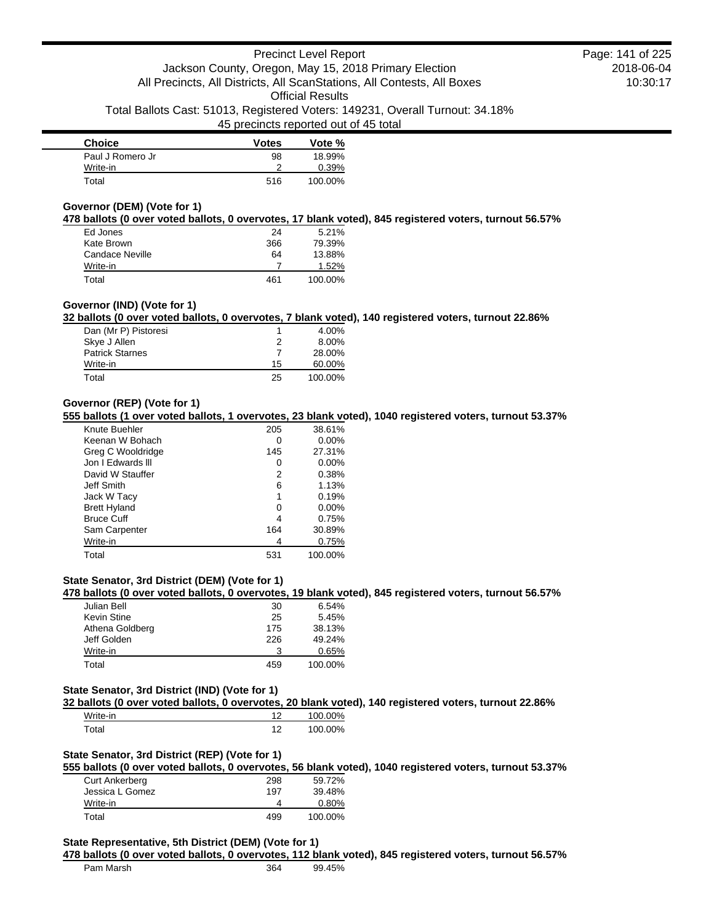| <b>Choice</b>    | <b>Votes</b> | Vote %  |
|------------------|--------------|---------|
| Paul J Romero Jr | 98           | 18.99%  |
| Write-in         |              | 0.39%   |
| Total            | 516          | 100.00% |

### **Governor (DEM) (Vote for 1)**

**478 ballots (0 over voted ballots, 0 overvotes, 17 blank voted), 845 registered voters, turnout 56.57%**

| Ed Jones        | 24  | 5.21%   |
|-----------------|-----|---------|
| Kate Brown      | 366 | 79.39%  |
| Candace Neville | 64  | 13.88%  |
| Write-in        |     | 1.52%   |
| Total           | 461 | 100.00% |

#### **Governor (IND) (Vote for 1)**

**32 ballots (0 over voted ballots, 0 overvotes, 7 blank voted), 140 registered voters, turnout 22.86%**

| Dan (Mr P) Pistoresi   |    | 4.00%   |
|------------------------|----|---------|
| Skye J Allen           | 2  | 8.00%   |
| <b>Patrick Starnes</b> |    | 28.00%  |
| Write-in               | 15 | 60.00%  |
| Total                  | 25 | 100.00% |

### **Governor (REP) (Vote for 1)**

**555 ballots (1 over voted ballots, 1 overvotes, 23 blank voted), 1040 registered voters, turnout 53.37%**

| Knute Buehler       | 205 | 38.61%   |
|---------------------|-----|----------|
| Keenan W Bohach     | 0   | $0.00\%$ |
| Greg C Wooldridge   | 145 | 27.31%   |
| Jon I Edwards III   | 0   | $0.00\%$ |
| David W Stauffer    | 2   | 0.38%    |
| Jeff Smith          | 6   | 1.13%    |
| Jack W Tacy         | 1   | 0.19%    |
| <b>Brett Hyland</b> | 0   | $0.00\%$ |
| <b>Bruce Cuff</b>   | 4   | 0.75%    |
| Sam Carpenter       | 164 | 30.89%   |
| Write-in            | 4   | 0.75%    |
| Total               | 531 | 100.00%  |

### **State Senator, 3rd District (DEM) (Vote for 1)**

**478 ballots (0 over voted ballots, 0 overvotes, 19 blank voted), 845 registered voters, turnout 56.57%**

| Julian Bell     | 30  | 6.54%   |
|-----------------|-----|---------|
| Kevin Stine     | 25  | 5.45%   |
| Athena Goldberg | 175 | 38.13%  |
| Jeff Golden     | 226 | 49.24%  |
| Write-in        | 3   | 0.65%   |
| Total           | 459 | 100.00% |

#### **State Senator, 3rd District (IND) (Vote for 1)**

**32 ballots (0 over voted ballots, 0 overvotes, 20 blank voted), 140 registered voters, turnout 22.86%**

| Write-in |    | 100.00% |
|----------|----|---------|
| ™otal    | 10 | 100.00% |

### **State Senator, 3rd District (REP) (Vote for 1)**

**555 ballots (0 over voted ballots, 0 overvotes, 56 blank voted), 1040 registered voters, turnout 53.37%**

| <b>Curt Ankerberg</b> | 298 | 59.72%  |
|-----------------------|-----|---------|
| Jessica L Gomez       | 197 | 39.48%  |
| Write-in              |     | 0.80%   |
| Total                 | 499 | 100.00% |

#### **State Representative, 5th District (DEM) (Vote for 1)**

#### **478 ballots (0 over voted ballots, 0 overvotes, 112 blank voted), 845 registered voters, turnout 56.57%**

| Pam Marsh | 364 | 99.45% |
|-----------|-----|--------|
|           |     |        |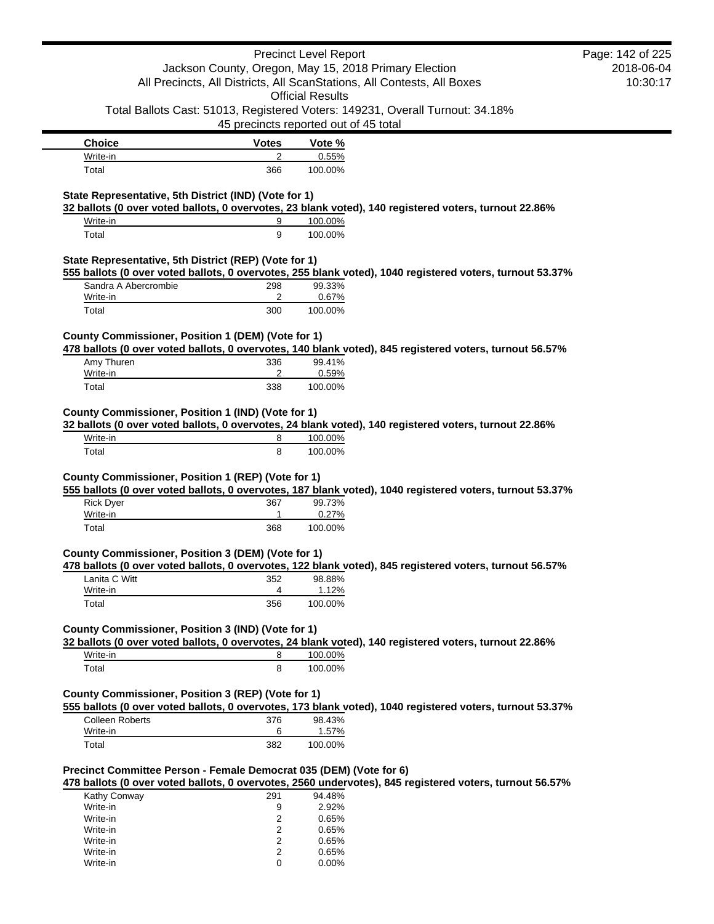|                                                                         |                | <b>Precinct Level Report</b>          |                                                                                                          | Page: 142 of 225 |
|-------------------------------------------------------------------------|----------------|---------------------------------------|----------------------------------------------------------------------------------------------------------|------------------|
|                                                                         |                |                                       | Jackson County, Oregon, May 15, 2018 Primary Election                                                    | 2018-06-04       |
| All Precincts, All Districts, All ScanStations, All Contests, All Boxes |                | 10:30:17                              |                                                                                                          |                  |
|                                                                         |                | <b>Official Results</b>               |                                                                                                          |                  |
|                                                                         |                |                                       | Total Ballots Cast: 51013, Registered Voters: 149231, Overall Turnout: 34.18%                            |                  |
|                                                                         |                | 45 precincts reported out of 45 total |                                                                                                          |                  |
| <b>Choice</b>                                                           | <b>Votes</b>   | Vote %                                |                                                                                                          |                  |
| Write-in                                                                | 2              | 0.55%                                 |                                                                                                          |                  |
| Total                                                                   | 366            | 100.00%                               |                                                                                                          |                  |
|                                                                         |                |                                       |                                                                                                          |                  |
| State Representative, 5th District (IND) (Vote for 1)                   |                |                                       |                                                                                                          |                  |
| Write-in                                                                |                |                                       | 32 ballots (0 over voted ballots, 0 overvotes, 23 blank voted), 140 registered voters, turnout 22.86%    |                  |
| Total                                                                   | 9<br>9         | 100.00%<br>100.00%                    |                                                                                                          |                  |
|                                                                         |                |                                       |                                                                                                          |                  |
| State Representative, 5th District (REP) (Vote for 1)                   |                |                                       |                                                                                                          |                  |
|                                                                         |                |                                       | 555 ballots (0 over voted ballots, 0 overvotes, 255 blank voted), 1040 registered voters, turnout 53.37% |                  |
| Sandra A Abercrombie                                                    | 298            | 99.33%                                |                                                                                                          |                  |
| Write-in                                                                | 2              | 0.67%                                 |                                                                                                          |                  |
| Total                                                                   | 300            | 100.00%                               |                                                                                                          |                  |
|                                                                         |                |                                       |                                                                                                          |                  |
| County Commissioner, Position 1 (DEM) (Vote for 1)                      |                |                                       |                                                                                                          |                  |
| Amy Thuren                                                              | 336            | 99.41%                                | 478 ballots (0 over voted ballots, 0 overvotes, 140 blank voted), 845 registered voters, turnout 56.57%  |                  |
| Write-in                                                                | 2              | 0.59%                                 |                                                                                                          |                  |
| Total                                                                   | 338            | 100.00%                               |                                                                                                          |                  |
|                                                                         |                |                                       |                                                                                                          |                  |
| County Commissioner, Position 1 (IND) (Vote for 1)                      |                |                                       |                                                                                                          |                  |
|                                                                         |                |                                       | 32 ballots (0 over voted ballots, 0 overvotes, 24 blank voted), 140 registered voters, turnout 22.86%    |                  |
| Write-in                                                                | 8              | 100.00%                               |                                                                                                          |                  |
| Total                                                                   | 8              | 100.00%                               |                                                                                                          |                  |
|                                                                         |                |                                       |                                                                                                          |                  |
| County Commissioner, Position 1 (REP) (Vote for 1)                      |                |                                       |                                                                                                          |                  |
|                                                                         |                |                                       | 555 ballots (0 over voted ballots, 0 overvotes, 187 blank voted), 1040 registered voters, turnout 53.37% |                  |
| <b>Rick Dyer</b>                                                        | 367<br>1       | 99.73%<br>0.27%                       |                                                                                                          |                  |
| Write-in<br>Total                                                       | 368            | 100.00%                               |                                                                                                          |                  |
|                                                                         |                |                                       |                                                                                                          |                  |
| County Commissioner, Position 3 (DEM) (Vote for 1)                      |                |                                       |                                                                                                          |                  |
|                                                                         |                |                                       | 478 ballots (0 over voted ballots, 0 overvotes, 122 blank voted), 845 registered voters, turnout 56.57%  |                  |
| Lanita C Witt                                                           | 352            | 98.88%                                |                                                                                                          |                  |
| Write-in                                                                | 4              | 1.12%                                 |                                                                                                          |                  |
| Total                                                                   | 356            | 100.00%                               |                                                                                                          |                  |
|                                                                         |                |                                       |                                                                                                          |                  |
| County Commissioner, Position 3 (IND) (Vote for 1)                      |                |                                       |                                                                                                          |                  |
|                                                                         |                |                                       | 32 ballots (0 over voted ballots, 0 overvotes, 24 blank voted), 140 registered voters, turnout 22.86%    |                  |
| Write-in                                                                | 8              | 100.00%                               |                                                                                                          |                  |
| Total                                                                   | 8              | 100.00%                               |                                                                                                          |                  |
| County Commissioner, Position 3 (REP) (Vote for 1)                      |                |                                       |                                                                                                          |                  |
|                                                                         |                |                                       | 555 ballots (0 over voted ballots, 0 overvotes, 173 blank voted), 1040 registered voters, turnout 53.37% |                  |
| Colleen Roberts                                                         | 376            | 98.43%                                |                                                                                                          |                  |
| Write-in                                                                | 6              | 1.57%                                 |                                                                                                          |                  |
| Total                                                                   | 382            | 100.00%                               |                                                                                                          |                  |
|                                                                         |                |                                       |                                                                                                          |                  |
| Precinct Committee Person - Female Democrat 035 (DEM) (Vote for 6)      |                |                                       |                                                                                                          |                  |
|                                                                         |                |                                       | 478 ballots (0 over voted ballots, 0 overvotes, 2560 undervotes), 845 registered voters, turnout 56.57%  |                  |
| Kathy Conway                                                            | 291            | 94.48%                                |                                                                                                          |                  |
| Write-in                                                                | 9              | 2.92%                                 |                                                                                                          |                  |
| Write-in<br>Write-in                                                    | 2<br>2         | 0.65%<br>0.65%                        |                                                                                                          |                  |
| Write-in                                                                | $\overline{2}$ | 0.65%                                 |                                                                                                          |                  |
| Write-in                                                                | $\overline{2}$ | 0.65%                                 |                                                                                                          |                  |

Write-in 0 0.00%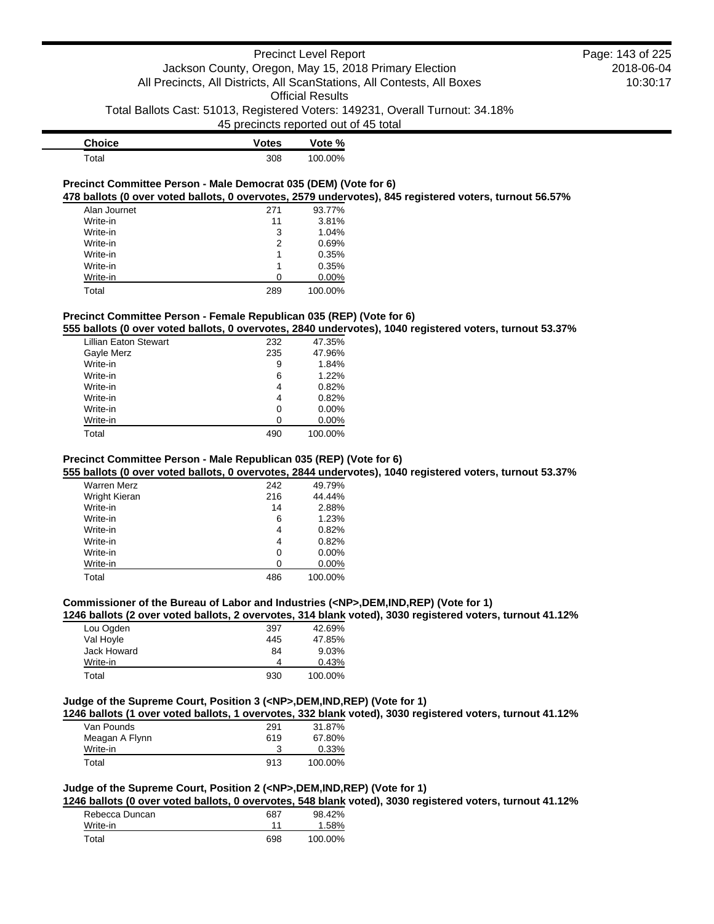| <b>Choice</b> | <b>Votes</b> | Vote %  |
|---------------|--------------|---------|
| Total         | 308          | 100.00% |

### **Precinct Committee Person - Male Democrat 035 (DEM) (Vote for 6) 478 ballots (0 over voted ballots, 0 overvotes, 2579 undervotes), 845 registered voters, turnout 56.57%**

| Alan Journet | 271 | 93.77%  |
|--------------|-----|---------|
| Write-in     | 11  | 3.81%   |
| Write-in     | 3   | 1.04%   |
| Write-in     | 2   | 0.69%   |
| Write-in     | 1   | 0.35%   |
| Write-in     | 1   | 0.35%   |
| Write-in     | O   | 0.00%   |
| Total        | 289 | 100.00% |

### **Precinct Committee Person - Female Republican 035 (REP) (Vote for 6)**

**555 ballots (0 over voted ballots, 0 overvotes, 2840 undervotes), 1040 registered voters, turnout 53.37%**

| <b>Lillian Eaton Stewart</b> | 232 | 47.35%   |
|------------------------------|-----|----------|
| Gayle Merz                   | 235 | 47.96%   |
| Write-in                     | 9   | 1.84%    |
| Write-in                     | 6   | 1.22%    |
| Write-in                     | 4   | 0.82%    |
| Write-in                     | 4   | 0.82%    |
| Write-in                     | 0   | $0.00\%$ |
| Write-in                     | ი   | $0.00\%$ |
| Total                        | 490 | 100.00%  |
|                              |     |          |

### **Precinct Committee Person - Male Republican 035 (REP) (Vote for 6)**

**555 ballots (0 over voted ballots, 0 overvotes, 2844 undervotes), 1040 registered voters, turnout 53.37%**

| Warren Merz   | 242 | 49.79%   |
|---------------|-----|----------|
| Wright Kieran | 216 | 44.44%   |
| Write-in      | 14  | 2.88%    |
| Write-in      | 6   | 1.23%    |
| Write-in      | 4   | 0.82%    |
| Write-in      | 4   | 0.82%    |
| Write-in      | 0   | $0.00\%$ |
| Write-in      | 0   | $0.00\%$ |
| Total         | 486 | 100.00%  |

### **Commissioner of the Bureau of Labor and Industries (<NP>,DEM,IND,REP) (Vote for 1)**

**1246 ballots (2 over voted ballots, 2 overvotes, 314 blank voted), 3030 registered voters, turnout 41.12%**

| Lou Ogden   | 397 | 42.69%  |
|-------------|-----|---------|
| Val Hoyle   | 445 | 47.85%  |
| Jack Howard | 84  | 9.03%   |
| Write-in    | 4   | 0.43%   |
| Total       | 930 | 100.00% |

#### **Judge of the Supreme Court, Position 3 (<NP>,DEM,IND,REP) (Vote for 1)**

**1246 ballots (1 over voted ballots, 1 overvotes, 332 blank voted), 3030 registered voters, turnout 41.12%**

| Van Pounds     | 291 | 31.87%  |
|----------------|-----|---------|
| Meagan A Flynn | 619 | 67.80%  |
| Write-in       |     | 0.33%   |
| Total          | 913 | 100.00% |

# **Judge of the Supreme Court, Position 2 (<NP>,DEM,IND,REP) (Vote for 1)**

**1246 ballots (0 over voted ballots, 0 overvotes, 548 blank voted), 3030 registered voters, turnout 41.12%**

| Rebecca Duncan | 687 | 98.42%  |
|----------------|-----|---------|
| Write-in       | 11  | 1.58%   |
| Total          | 698 | 100.00% |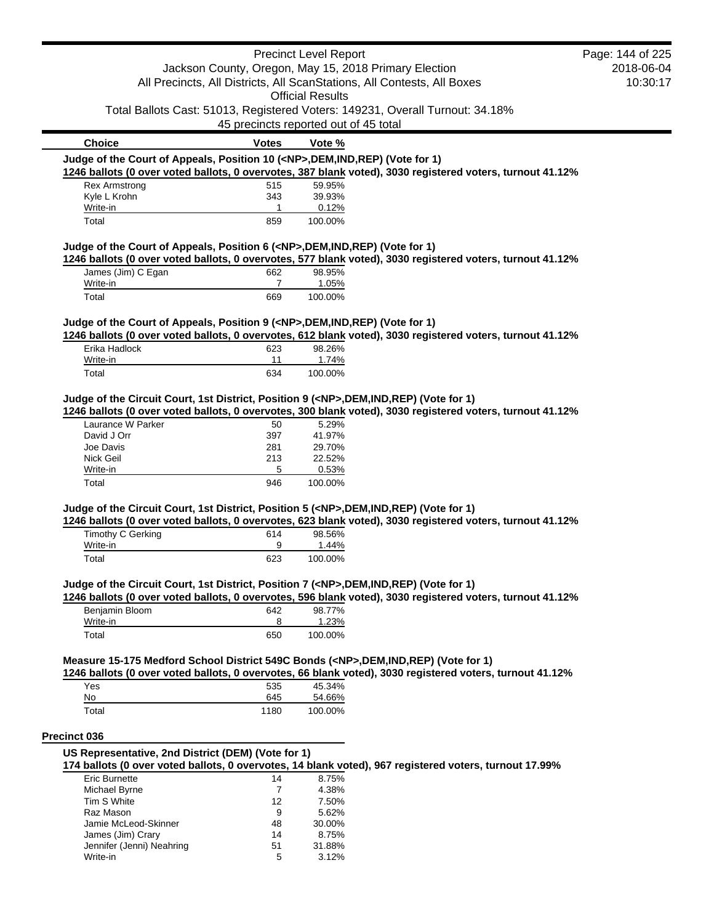|                                                                                            |                       | <b>Precinct Level Report</b>                                                  |                                                                                                           | Page: 144 of 225 |
|--------------------------------------------------------------------------------------------|-----------------------|-------------------------------------------------------------------------------|-----------------------------------------------------------------------------------------------------------|------------------|
| Jackson County, Oregon, May 15, 2018 Primary Election                                      |                       |                                                                               | 2018-06-04                                                                                                |                  |
|                                                                                            |                       | All Precincts, All Districts, All ScanStations, All Contests, All Boxes       |                                                                                                           | 10:30:17         |
|                                                                                            |                       | <b>Official Results</b>                                                       |                                                                                                           |                  |
|                                                                                            |                       | Total Ballots Cast: 51013, Registered Voters: 149231, Overall Turnout: 34.18% |                                                                                                           |                  |
|                                                                                            |                       | 45 precincts reported out of 45 total                                         |                                                                                                           |                  |
| <b>Choice</b>                                                                              | <b>Votes</b>          | Vote %                                                                        |                                                                                                           |                  |
| Judge of the Court of Appeals, Position 10 ( <np>,DEM,IND,REP) (Vote for 1)</np>           |                       |                                                                               |                                                                                                           |                  |
|                                                                                            |                       |                                                                               | 1246 ballots (0 over voted ballots, 0 overvotes, 387 blank voted), 3030 registered voters, turnout 41.12% |                  |
| <b>Rex Armstrong</b><br>Kyle L Krohn                                                       | 515<br>343            | 59.95%<br>39.93%                                                              |                                                                                                           |                  |
| Write-in                                                                                   | -1                    | 0.12%                                                                         |                                                                                                           |                  |
| Total                                                                                      | 859                   | 100.00%                                                                       |                                                                                                           |                  |
| Judge of the Court of Appeals, Position 6 ( <np>, DEM, IND, REP) (Vote for 1)</np>         |                       |                                                                               |                                                                                                           |                  |
|                                                                                            |                       |                                                                               | 1246 ballots (0 over voted ballots, 0 overvotes, 577 blank voted), 3030 registered voters, turnout 41.12% |                  |
| James (Jim) C Egan                                                                         | 662<br>$\overline{7}$ | 98.95%                                                                        |                                                                                                           |                  |
| Write-in<br>Total                                                                          | 669                   | 1.05%<br>100.00%                                                              |                                                                                                           |                  |
|                                                                                            |                       |                                                                               |                                                                                                           |                  |
| Judge of the Court of Appeals, Position 9 ( <np>,DEM,IND,REP) (Vote for 1)</np>            |                       |                                                                               | 1246 ballots (0 over voted ballots, 0 overvotes, 612 blank voted), 3030 registered voters, turnout 41.12% |                  |
| Erika Hadlock                                                                              | 623                   | 98.26%                                                                        |                                                                                                           |                  |
| Write-in                                                                                   | 11                    | 1.74%                                                                         |                                                                                                           |                  |
| Total                                                                                      | 634                   | 100.00%                                                                       |                                                                                                           |                  |
| Judge of the Circuit Court, 1st District, Position 9 ( <np>,DEM,IND,REP) (Vote for 1)</np> |                       |                                                                               | 1246 ballots (0 over voted ballots, 0 overvotes, 300 blank voted), 3030 registered voters, turnout 41.12% |                  |
| Laurance W Parker                                                                          | 50                    | 5.29%                                                                         |                                                                                                           |                  |
| David J Orr                                                                                | 397                   | 41.97%                                                                        |                                                                                                           |                  |
| Joe Davis                                                                                  | 281                   | 29.70%<br>22.52%                                                              |                                                                                                           |                  |
| Nick Geil<br>Write-in                                                                      | 213<br>5              | 0.53%                                                                         |                                                                                                           |                  |
| Total                                                                                      | 946                   | 100.00%                                                                       |                                                                                                           |                  |
|                                                                                            |                       |                                                                               |                                                                                                           |                  |
| Judge of the Circuit Court, 1st District, Position 5 ( <np>,DEM,IND,REP) (Vote for 1)</np> |                       |                                                                               | 1246 ballots (0 over voted ballots, 0 overvotes, 623 blank voted), 3030 registered voters, turnout 41.12% |                  |
| Timothy C Gerking                                                                          | 614                   | 98.56%                                                                        |                                                                                                           |                  |
| Write-in                                                                                   | 9                     | 1.44%                                                                         |                                                                                                           |                  |
| Total                                                                                      | 623                   | 100.00%                                                                       |                                                                                                           |                  |
| Judge of the Circuit Court, 1st District, Position 7 ( <np>,DEM,IND,REP) (Vote for 1)</np> |                       |                                                                               |                                                                                                           |                  |
| Benjamin Bloom                                                                             | 642                   | 98.77%                                                                        | 1246 ballots (0 over voted ballots, 0 overvotes, 596 blank voted), 3030 registered voters, turnout 41.12% |                  |
| Write-in                                                                                   | 8                     | 1.23%                                                                         |                                                                                                           |                  |
| Total                                                                                      | 650                   | 100.00%                                                                       |                                                                                                           |                  |
| Measure 15-175 Medford School District 549C Bonds ( <np>,DEM,IND,REP) (Vote for 1)</np>    |                       |                                                                               |                                                                                                           |                  |
|                                                                                            |                       |                                                                               | 1246 ballots (0 over voted ballots, 0 overvotes, 66 blank voted), 3030 registered voters, turnout 41.12%  |                  |
| Yes                                                                                        | 535                   | 45.34%                                                                        |                                                                                                           |                  |
| No<br>Total                                                                                | 645<br>1180           | 54.66%<br>100.00%                                                             |                                                                                                           |                  |
|                                                                                            |                       |                                                                               |                                                                                                           |                  |
| <b>Precinct 036</b>                                                                        |                       |                                                                               |                                                                                                           |                  |
| US Representative, 2nd District (DEM) (Vote for 1)                                         |                       |                                                                               | 174 ballots (0 over voted ballots, 0 overvotes, 14 blank voted), 967 registered voters, turnout 17.99%    |                  |
| <b>Eric Burnette</b>                                                                       | 14                    | 8.75%                                                                         |                                                                                                           |                  |
| Michael Byrne                                                                              | 7                     | 4.38%                                                                         |                                                                                                           |                  |
| Tim S White                                                                                | 12                    | 7.50%                                                                         |                                                                                                           |                  |
| Raz Mason                                                                                  | 9                     | 5.62%                                                                         |                                                                                                           |                  |
| Jamie McLeod-Skinner                                                                       | 48                    | 30.00%                                                                        |                                                                                                           |                  |
| James (Jim) Crary<br>Jennifer (Jenni) Neahring                                             | 14<br>51              | 8.75%<br>31.88%                                                               |                                                                                                           |                  |
| Write-in                                                                                   | 5                     | 3.12%                                                                         |                                                                                                           |                  |
|                                                                                            |                       |                                                                               |                                                                                                           |                  |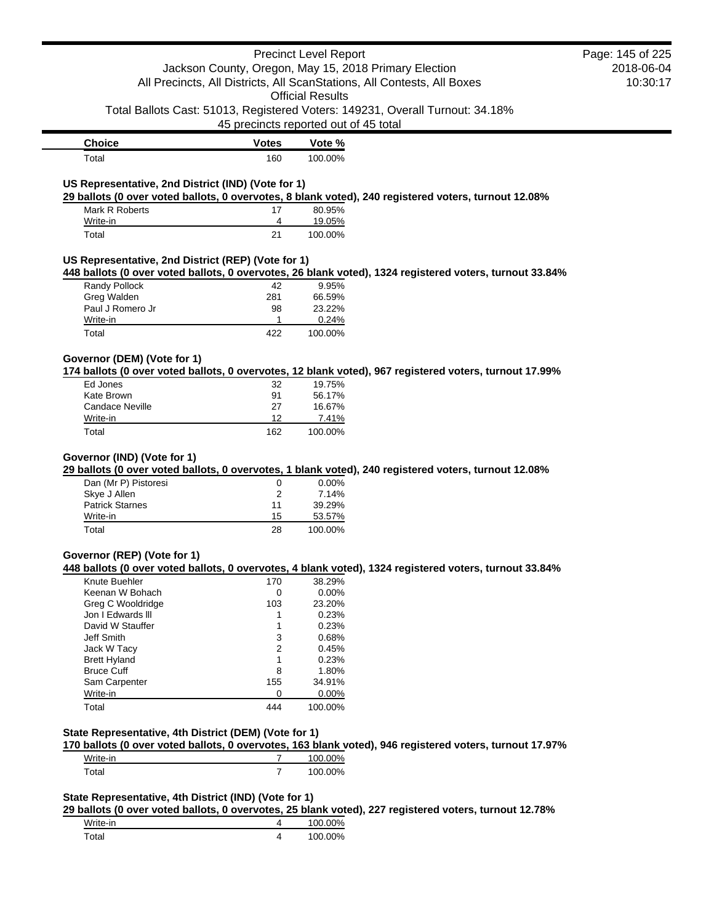|                                                                         |                | <b>Precinct Level Report</b>                          |                                                                                                         | Page: 145 of 225 |
|-------------------------------------------------------------------------|----------------|-------------------------------------------------------|---------------------------------------------------------------------------------------------------------|------------------|
|                                                                         |                | Jackson County, Oregon, May 15, 2018 Primary Election |                                                                                                         | 2018-06-04       |
| All Precincts, All Districts, All ScanStations, All Contests, All Boxes |                | 10:30:17                                              |                                                                                                         |                  |
|                                                                         |                | <b>Official Results</b>                               |                                                                                                         |                  |
|                                                                         |                |                                                       | Total Ballots Cast: 51013, Registered Voters: 149231, Overall Turnout: 34.18%                           |                  |
|                                                                         |                | 45 precincts reported out of 45 total                 |                                                                                                         |                  |
| <b>Choice</b>                                                           | <b>Votes</b>   | Vote %                                                |                                                                                                         |                  |
| Total                                                                   | 160            | 100.00%                                               |                                                                                                         |                  |
|                                                                         |                |                                                       |                                                                                                         |                  |
| US Representative, 2nd District (IND) (Vote for 1)                      |                |                                                       | 29 ballots (0 over voted ballots, 0 overvotes, 8 blank voted), 240 registered voters, turnout 12.08%    |                  |
| Mark R Roberts                                                          | 17             | 80.95%                                                |                                                                                                         |                  |
| Write-in                                                                | 4              | 19.05%                                                |                                                                                                         |                  |
| Total                                                                   | 21             | 100.00%                                               |                                                                                                         |                  |
| US Representative, 2nd District (REP) (Vote for 1)                      |                |                                                       |                                                                                                         |                  |
|                                                                         |                |                                                       | 448 ballots (0 over voted ballots, 0 overvotes, 26 blank voted), 1324 registered voters, turnout 33.84% |                  |
| Randy Pollock                                                           | 42             | 9.95%                                                 |                                                                                                         |                  |
| Greg Walden                                                             | 281            | 66.59%                                                |                                                                                                         |                  |
| Paul J Romero Jr                                                        | 98             | 23.22%                                                |                                                                                                         |                  |
| Write-in                                                                | 1              | 0.24%                                                 |                                                                                                         |                  |
| Total                                                                   | 422            | 100.00%                                               |                                                                                                         |                  |
| Governor (DEM) (Vote for 1)                                             |                |                                                       |                                                                                                         |                  |
|                                                                         |                |                                                       | 174 ballots (0 over voted ballots, 0 overvotes, 12 blank voted), 967 registered voters, turnout 17.99%  |                  |
| Ed Jones                                                                | 32             | 19.75%                                                |                                                                                                         |                  |
| Kate Brown                                                              | 91             | 56.17%                                                |                                                                                                         |                  |
| Candace Neville                                                         | 27             | 16.67%                                                |                                                                                                         |                  |
| Write-in                                                                | 12             | 7.41%                                                 |                                                                                                         |                  |
| Total                                                                   | 162            | 100.00%                                               |                                                                                                         |                  |
| Dan (Mr P) Pistoresi<br>Skye J Allen<br><b>Patrick Starnes</b>          | 0<br>2<br>11   | 0.00%<br>7.14%<br>39.29%                              |                                                                                                         |                  |
| Write-in<br>Total                                                       | 15<br>28       | 53.57%<br>100.00%                                     |                                                                                                         |                  |
|                                                                         |                |                                                       |                                                                                                         |                  |
| Governor (REP) (Vote for 1)                                             |                |                                                       |                                                                                                         |                  |
|                                                                         |                |                                                       | 448 ballots (0 over voted ballots, 0 overvotes, 4 blank voted), 1324 registered voters, turnout 33.84%  |                  |
| Knute Buehler                                                           | 170            | 38.29%                                                |                                                                                                         |                  |
| Keenan W Bohach                                                         | 0              | 0.00%                                                 |                                                                                                         |                  |
| Greg C Wooldridge                                                       | 103            | 23.20%                                                |                                                                                                         |                  |
| Jon I Edwards III                                                       | 1              | 0.23%                                                 |                                                                                                         |                  |
| David W Stauffer                                                        | 1              | 0.23%                                                 |                                                                                                         |                  |
| Jeff Smith                                                              | 3<br>2         | 0.68%<br>0.45%                                        |                                                                                                         |                  |
| Jack W Tacy<br><b>Brett Hyland</b>                                      | 1              | 0.23%                                                 |                                                                                                         |                  |
| <b>Bruce Cuff</b>                                                       | 8              | 1.80%                                                 |                                                                                                         |                  |
| Sam Carpenter                                                           | 155            | 34.91%                                                |                                                                                                         |                  |
| Write-in                                                                | 0              | 0.00%                                                 |                                                                                                         |                  |
| Total                                                                   | 444            | 100.00%                                               |                                                                                                         |                  |
|                                                                         |                |                                                       |                                                                                                         |                  |
| State Representative, 4th District (DEM) (Vote for 1)                   |                |                                                       |                                                                                                         |                  |
|                                                                         |                |                                                       | 170 ballots (0 over voted ballots, 0 overvotes, 163 blank voted), 946 registered voters, turnout 17.97% |                  |
| Write-in                                                                | $\overline{7}$ | 100.00%                                               |                                                                                                         |                  |
| Total                                                                   | $\overline{7}$ | 100.00%                                               |                                                                                                         |                  |
| State Representative, 4th District (IND) (Vote for 1)                   |                |                                                       |                                                                                                         |                  |
|                                                                         |                |                                                       | 29 ballots (0 over voted ballots, 0 overvotes, 25 blank voted), 227 registered voters, turnout 12.78%   |                  |
| Write-in                                                                | 4              | 100.00%                                               |                                                                                                         |                  |
| Total                                                                   | 4              | 100.00%                                               |                                                                                                         |                  |
|                                                                         |                |                                                       |                                                                                                         |                  |
|                                                                         |                |                                                       |                                                                                                         |                  |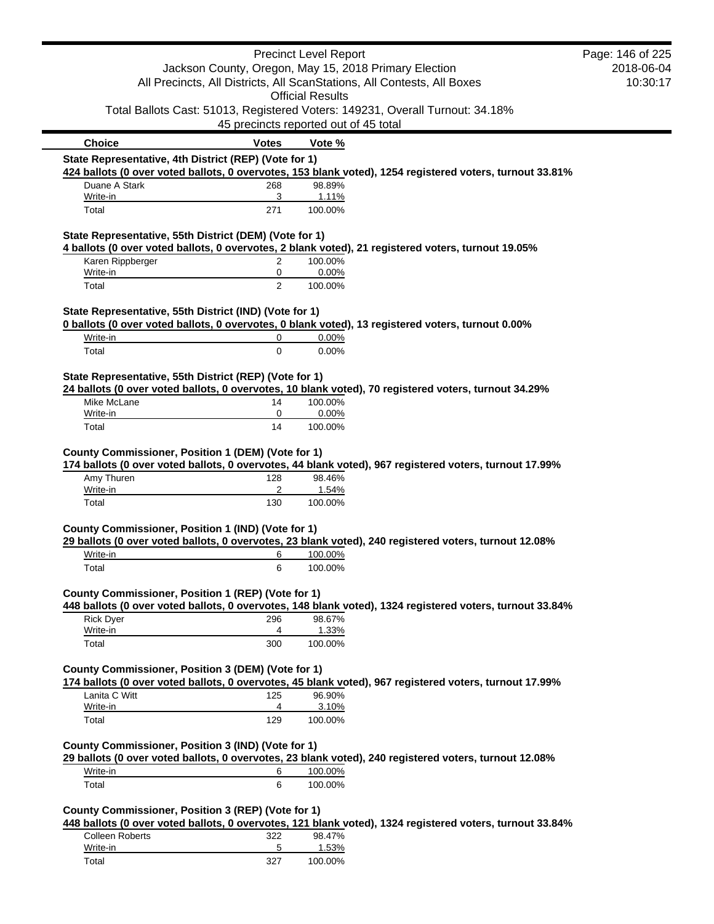|                                                                                                          |                                       | <b>Precinct Level Report</b> |                                                                                                          | Page: 146 of 225 |
|----------------------------------------------------------------------------------------------------------|---------------------------------------|------------------------------|----------------------------------------------------------------------------------------------------------|------------------|
|                                                                                                          |                                       |                              | Jackson County, Oregon, May 15, 2018 Primary Election                                                    | 2018-06-04       |
|                                                                                                          |                                       |                              | All Precincts, All Districts, All ScanStations, All Contests, All Boxes                                  | 10:30:17         |
|                                                                                                          |                                       | <b>Official Results</b>      |                                                                                                          |                  |
|                                                                                                          |                                       |                              | Total Ballots Cast: 51013, Registered Voters: 149231, Overall Turnout: 34.18%                            |                  |
|                                                                                                          | 45 precincts reported out of 45 total |                              |                                                                                                          |                  |
| <b>Choice</b>                                                                                            | <b>Votes</b>                          | Vote %                       |                                                                                                          |                  |
| State Representative, 4th District (REP) (Vote for 1)                                                    |                                       |                              |                                                                                                          |                  |
|                                                                                                          |                                       |                              | 424 ballots (0 over voted ballots, 0 overvotes, 153 blank voted), 1254 registered voters, turnout 33.81% |                  |
| Duane A Stark<br>Write-in                                                                                | 268<br>3                              | 98.89%                       |                                                                                                          |                  |
| Total                                                                                                    | 271                                   | 1.11%<br>100.00%             |                                                                                                          |                  |
| State Representative, 55th District (DEM) (Vote for 1)                                                   |                                       |                              |                                                                                                          |                  |
|                                                                                                          |                                       |                              | 4 ballots (0 over voted ballots, 0 overvotes, 2 blank voted), 21 registered voters, turnout 19.05%       |                  |
| Karen Rippberger<br>Write-in                                                                             | 2<br>0                                | 100.00%<br>0.00%             |                                                                                                          |                  |
| Total                                                                                                    | $\overline{2}$                        | 100.00%                      |                                                                                                          |                  |
|                                                                                                          |                                       |                              |                                                                                                          |                  |
| State Representative, 55th District (IND) (Vote for 1)                                                   |                                       |                              | 0 ballots (0 over voted ballots, 0 overvotes, 0 blank voted), 13 registered voters, turnout 0.00%        |                  |
| Write-in                                                                                                 | 0                                     | 0.00%                        |                                                                                                          |                  |
| Total                                                                                                    | $\mathbf 0$                           | 0.00%                        |                                                                                                          |                  |
|                                                                                                          |                                       |                              |                                                                                                          |                  |
| State Representative, 55th District (REP) (Vote for 1)                                                   |                                       |                              | 24 ballots (0 over voted ballots, 0 overvotes, 10 blank voted), 70 registered voters, turnout 34.29%     |                  |
| Mike McLane                                                                                              | 14                                    | 100.00%                      |                                                                                                          |                  |
|                                                                                                          | 0                                     | 0.00%                        |                                                                                                          |                  |
| Write-in                                                                                                 |                                       |                              |                                                                                                          |                  |
| Total                                                                                                    | 14                                    | 100.00%                      |                                                                                                          |                  |
| Amy Thuren<br>Write-in                                                                                   | 128<br>2                              | 98.46%<br>1.54%              | 174 ballots (0 over voted ballots, 0 overvotes, 44 blank voted), 967 registered voters, turnout 17.99%   |                  |
| Total                                                                                                    | 130                                   | 100.00%                      |                                                                                                          |                  |
|                                                                                                          |                                       |                              |                                                                                                          |                  |
| County Commissioner, Position 1 (DEM) (Vote for 1)<br>County Commissioner, Position 1 (IND) (Vote for 1) |                                       |                              |                                                                                                          |                  |
|                                                                                                          |                                       |                              | 29 ballots (0 over voted ballots, 0 overvotes, 23 blank voted), 240 registered voters, turnout 12.08%    |                  |
| Write-in                                                                                                 | 6<br>6                                | 100.00%                      |                                                                                                          |                  |
| Total                                                                                                    |                                       | 100.00%                      |                                                                                                          |                  |
|                                                                                                          |                                       |                              |                                                                                                          |                  |
|                                                                                                          |                                       |                              | 448 ballots (0 over voted ballots, 0 overvotes, 148 blank voted), 1324 registered voters, turnout 33.84% |                  |
| <b>Rick Dyer</b>                                                                                         | 296                                   | 98.67%                       |                                                                                                          |                  |
| Write-in<br>Total                                                                                        | 4<br>300                              | 1.33%<br>100.00%             |                                                                                                          |                  |
|                                                                                                          |                                       |                              |                                                                                                          |                  |
| County Commissioner, Position 1 (REP) (Vote for 1)<br>County Commissioner, Position 3 (DEM) (Vote for 1) |                                       |                              |                                                                                                          |                  |
|                                                                                                          |                                       |                              | 174 ballots (0 over voted ballots, 0 overvotes, 45 blank voted), 967 registered voters, turnout 17.99%   |                  |
| Lanita C Witt<br>Write-in                                                                                | 125<br>4                              | 96.90%                       |                                                                                                          |                  |
| Total                                                                                                    | 129                                   | 3.10%<br>100.00%             |                                                                                                          |                  |
|                                                                                                          |                                       |                              |                                                                                                          |                  |
| County Commissioner, Position 3 (IND) (Vote for 1)                                                       |                                       |                              |                                                                                                          |                  |
| Write-in                                                                                                 | 6                                     | 100.00%                      | 29 ballots (0 over voted ballots, 0 overvotes, 23 blank voted), 240 registered voters, turnout 12.08%    |                  |

| <b>Colleen Roberts</b> | つつつ | 98.47%  |
|------------------------|-----|---------|
| Write-in               |     | 1.53%   |
| Total                  | 327 | 100.00% |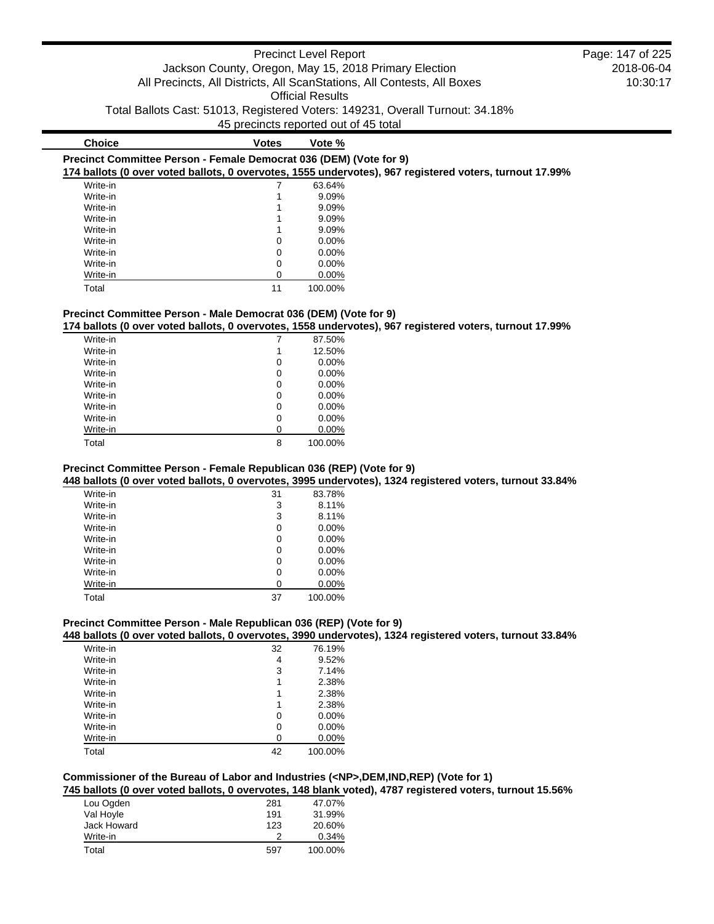| <b>Choice</b>                                                      | <b>Votes</b> | Vote %   |                                                                                                         |
|--------------------------------------------------------------------|--------------|----------|---------------------------------------------------------------------------------------------------------|
| Precinct Committee Person - Female Democrat 036 (DEM) (Vote for 9) |              |          |                                                                                                         |
|                                                                    |              |          | 174 ballots (0 over voted ballots, 0 overvotes, 1555 undervotes), 967 registered voters, turnout 17.99% |
| Write-in                                                           |              | 63.64%   |                                                                                                         |
| Write-in                                                           |              | $9.09\%$ |                                                                                                         |
| Write-in                                                           |              | $9.09\%$ |                                                                                                         |
| Write-in                                                           |              | $9.09\%$ |                                                                                                         |
| Write-in                                                           |              | 9.09%    |                                                                                                         |
| Write-in                                                           | $\Omega$     | $0.00\%$ |                                                                                                         |
| Write-in                                                           | $\Omega$     | $0.00\%$ |                                                                                                         |
| Write-in                                                           | $\Omega$     | $0.00\%$ |                                                                                                         |
| Write-in                                                           | 0            | $0.00\%$ |                                                                                                         |
| Total                                                              | 11           | 100.00%  |                                                                                                         |

# **Precinct Committee Person - Male Democrat 036 (DEM) (Vote for 9)**

**174 ballots (0 over voted ballots, 0 overvotes, 1558 undervotes), 967 registered voters, turnout 17.99%**

| Write-in |   | 87.50%   |
|----------|---|----------|
| Write-in | 1 | 12.50%   |
| Write-in | 0 | 0.00%    |
| Write-in | 0 | $0.00\%$ |
| Write-in | 0 | 0.00%    |
| Write-in | 0 | $0.00\%$ |
| Write-in | 0 | 0.00%    |
| Write-in | 0 | 0.00%    |
| Write-in | ი | 0.00%    |
| Total    | 8 | 100.00%  |

# **Precinct Committee Person - Female Republican 036 (REP) (Vote for 9)**

**448 ballots (0 over voted ballots, 0 overvotes, 3995 undervotes), 1324 registered voters, turnout 33.84%**

| Write-in | 31 | 83.78%   |
|----------|----|----------|
| Write-in | 3  | 8.11%    |
| Write-in | 3  | 8.11%    |
| Write-in | 0  | $0.00\%$ |
| Write-in | 0  | $0.00\%$ |
| Write-in | 0  | $0.00\%$ |
| Write-in | 0  | $0.00\%$ |
| Write-in | 0  | 0.00%    |
| Write-in | 0  | $0.00\%$ |
| Total    | 37 | 100.00%  |

# **Precinct Committee Person - Male Republican 036 (REP) (Vote for 9)**

**448 ballots (0 over voted ballots, 0 overvotes, 3990 undervotes), 1324 registered voters, turnout 33.84%**

| Write-in | 32 | 76.19%   |
|----------|----|----------|
| Write-in | 4  | 9.52%    |
| Write-in | 3  | 7.14%    |
| Write-in | 1  | 2.38%    |
| Write-in | 1  | 2.38%    |
| Write-in | 1  | 2.38%    |
| Write-in | 0  | $0.00\%$ |
| Write-in | 0  | $0.00\%$ |
| Write-in | O  | 0.00%    |
| Total    | 42 | 100.00%  |

# **Commissioner of the Bureau of Labor and Industries (<NP>,DEM,IND,REP) (Vote for 1)**

**745 ballots (0 over voted ballots, 0 overvotes, 148 blank voted), 4787 registered voters, turnout 15.56%**

| Lou Ogden   | 281 | 47.07%  |
|-------------|-----|---------|
| Val Hoyle   | 191 | 31.99%  |
| Jack Howard | 123 | 20.60%  |
| Write-in    |     | 0.34%   |
| Total       | 597 | 100.00% |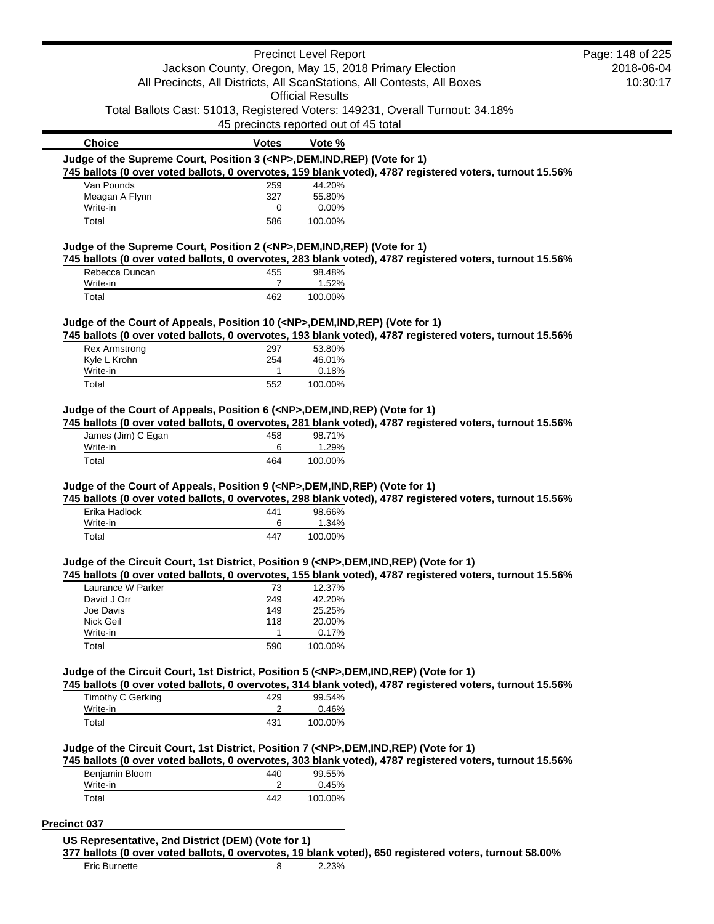|                                                                                            |                                                                         | <b>Precinct Level Report</b> |                                                                                                          | Page: 148 of 225 |
|--------------------------------------------------------------------------------------------|-------------------------------------------------------------------------|------------------------------|----------------------------------------------------------------------------------------------------------|------------------|
|                                                                                            | Jackson County, Oregon, May 15, 2018 Primary Election                   |                              | 2018-06-04                                                                                               |                  |
|                                                                                            | All Precincts, All Districts, All ScanStations, All Contests, All Boxes |                              | 10:30:17                                                                                                 |                  |
|                                                                                            |                                                                         | <b>Official Results</b>      |                                                                                                          |                  |
|                                                                                            |                                                                         |                              | Total Ballots Cast: 51013, Registered Voters: 149231, Overall Turnout: 34.18%                            |                  |
|                                                                                            | 45 precincts reported out of 45 total                                   |                              |                                                                                                          |                  |
| <b>Choice</b>                                                                              | <b>Votes</b>                                                            | Vote %                       |                                                                                                          |                  |
| Judge of the Supreme Court, Position 3 ( <np>,DEM,IND,REP) (Vote for 1)</np>               |                                                                         |                              |                                                                                                          |                  |
|                                                                                            |                                                                         |                              | 745 ballots (0 over voted ballots, 0 overvotes, 159 blank voted), 4787 registered voters, turnout 15.56% |                  |
| Van Pounds                                                                                 | 259                                                                     | 44.20%                       |                                                                                                          |                  |
| Meagan A Flynn                                                                             | 327                                                                     | 55.80%                       |                                                                                                          |                  |
| Write-in                                                                                   | 0                                                                       | 0.00%                        |                                                                                                          |                  |
| Total                                                                                      | 586                                                                     | 100.00%                      |                                                                                                          |                  |
| Judge of the Supreme Court, Position 2 ( <np>,DEM,IND,REP) (Vote for 1)</np>               |                                                                         |                              |                                                                                                          |                  |
|                                                                                            |                                                                         |                              | 745 ballots (0 over voted ballots, 0 overvotes, 283 blank voted), 4787 registered voters, turnout 15.56% |                  |
| Rebecca Duncan                                                                             | 455                                                                     | 98.48%                       |                                                                                                          |                  |
| Write-in                                                                                   | $\overline{7}$                                                          | 1.52%                        |                                                                                                          |                  |
| Total                                                                                      | 462                                                                     | 100.00%                      |                                                                                                          |                  |
|                                                                                            |                                                                         |                              |                                                                                                          |                  |
| Judge of the Court of Appeals, Position 10 ( <np>,DEM,IND,REP) (Vote for 1)</np>           |                                                                         |                              | 745 ballots (0 over voted ballots, 0 overvotes, 193 blank voted), 4787 registered voters, turnout 15.56% |                  |
| <b>Rex Armstrong</b>                                                                       | 297                                                                     | 53.80%                       |                                                                                                          |                  |
| Kyle L Krohn                                                                               | 254                                                                     | 46.01%                       |                                                                                                          |                  |
| Write-in                                                                                   | 1                                                                       | 0.18%                        |                                                                                                          |                  |
| Total                                                                                      | 552                                                                     | 100.00%                      |                                                                                                          |                  |
|                                                                                            |                                                                         |                              |                                                                                                          |                  |
| Judge of the Court of Appeals, Position 6 ( <np>,DEM,IND,REP) (Vote for 1)</np>            |                                                                         |                              |                                                                                                          |                  |
|                                                                                            |                                                                         |                              | 745 ballots (0 over voted ballots, 0 overvotes, 281 blank voted), 4787 registered voters, turnout 15.56% |                  |
| James (Jim) C Egan                                                                         | 458                                                                     | 98.71%                       |                                                                                                          |                  |
| Write-in<br>Total                                                                          | 6<br>464                                                                | 1.29%<br>100.00%             |                                                                                                          |                  |
|                                                                                            |                                                                         |                              |                                                                                                          |                  |
| Judge of the Court of Appeals, Position 9 ( <np>,DEM,IND,REP) (Vote for 1)</np>            |                                                                         |                              |                                                                                                          |                  |
|                                                                                            |                                                                         |                              | 745 ballots (0 over voted ballots, 0 overvotes, 298 blank voted), 4787 registered voters, turnout 15.56% |                  |
| Erika Hadlock                                                                              | 441                                                                     | 98.66%                       |                                                                                                          |                  |
| Write-in                                                                                   | 6                                                                       | 1.34%                        |                                                                                                          |                  |
| Total                                                                                      | 447                                                                     | 100.00%                      |                                                                                                          |                  |
|                                                                                            |                                                                         |                              |                                                                                                          |                  |
| Judge of the Circuit Court, 1st District, Position 9 ( <np>,DEM,IND,REP) (Vote for 1)</np> |                                                                         |                              |                                                                                                          |                  |
|                                                                                            |                                                                         |                              | 745 ballots (0 over voted ballots, 0 overvotes, 155 blank voted), 4787 registered voters, turnout 15.56% |                  |
| Laurance W Parker                                                                          | 73                                                                      | 12.37%                       |                                                                                                          |                  |
| David J Orr<br>Joe Davis                                                                   | 249<br>149                                                              | 42.20%<br>25.25%             |                                                                                                          |                  |
| Nick Geil                                                                                  | 118                                                                     | 20.00%                       |                                                                                                          |                  |
| Write-in                                                                                   | 1                                                                       | 0.17%                        |                                                                                                          |                  |
| Total                                                                                      | 590                                                                     | 100.00%                      |                                                                                                          |                  |
|                                                                                            |                                                                         |                              |                                                                                                          |                  |
| Judge of the Circuit Court, 1st District, Position 5 ( <np>,DEM,IND,REP) (Vote for 1)</np> |                                                                         |                              |                                                                                                          |                  |
|                                                                                            |                                                                         |                              | 745 ballots (0 over voted ballots, 0 overvotes, 314 blank voted), 4787 registered voters, turnout 15.56% |                  |
| <b>Timothy C Gerking</b>                                                                   | 429                                                                     | 99.54%                       |                                                                                                          |                  |
| Write-in                                                                                   | 2                                                                       | 0.46%                        |                                                                                                          |                  |
| Total                                                                                      | 431                                                                     | 100.00%                      |                                                                                                          |                  |
|                                                                                            |                                                                         |                              |                                                                                                          |                  |
| Judge of the Circuit Court, 1st District, Position 7 ( <np>,DEM,IND,REP) (Vote for 1)</np> |                                                                         |                              | 745 ballots (0 over voted ballots, 0 overvotes, 303 blank voted), 4787 registered voters, turnout 15.56% |                  |
| Benjamin Bloom                                                                             | 440                                                                     | 99.55%                       |                                                                                                          |                  |
| Write-in                                                                                   | 2                                                                       | 0.45%                        |                                                                                                          |                  |
| Total                                                                                      | 442                                                                     | 100.00%                      |                                                                                                          |                  |
|                                                                                            |                                                                         |                              |                                                                                                          |                  |
| <b>Precinct 037</b>                                                                        |                                                                         |                              |                                                                                                          |                  |
| US Representative, 2nd District (DEM) (Vote for 1)                                         |                                                                         |                              |                                                                                                          |                  |
|                                                                                            |                                                                         |                              |                                                                                                          |                  |

**US Representative, 2nd District (DEM) (Vote for 1)**

**377 ballots (0 over voted ballots, 0 overvotes, 19 blank voted), 650 registered voters, turnout 58.00%**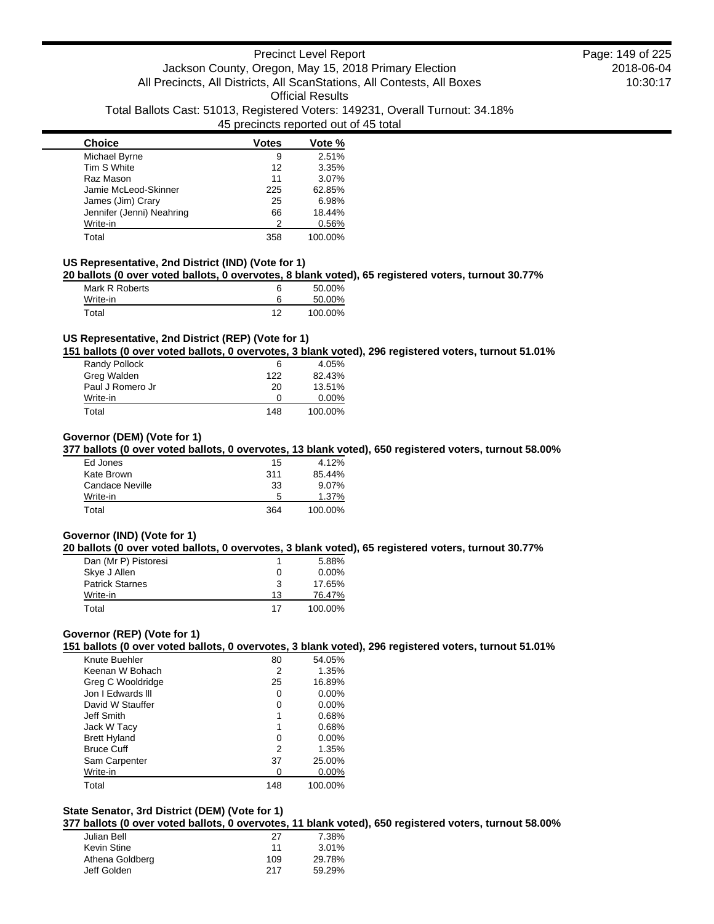| <b>Choice</b>             | <b>Votes</b> | Vote %  |
|---------------------------|--------------|---------|
| Michael Byrne             | 9            | 2.51%   |
| Tim S White               | 12           | 3.35%   |
| Raz Mason                 | 11           | 3.07%   |
| Jamie McLeod-Skinner      | 225          | 62.85%  |
| James (Jim) Crary         | 25           | 6.98%   |
| Jennifer (Jenni) Neahring | 66           | 18.44%  |
| Write-in                  | 2            | 0.56%   |
| Total                     | 358          | 100.00% |

### **US Representative, 2nd District (IND) (Vote for 1)**

**20 ballots (0 over voted ballots, 0 overvotes, 8 blank voted), 65 registered voters, turnout 30.77%**

| Mark R Roberts |    | 50.00%  |
|----------------|----|---------|
| Write-in       |    | 50.00%  |
| Total          | 12 | 100.00% |

### **US Representative, 2nd District (REP) (Vote for 1)**

**151 ballots (0 over voted ballots, 0 overvotes, 3 blank voted), 296 registered voters, turnout 51.01%**

| Randy Pollock    | 6   | 4.05%    |
|------------------|-----|----------|
| Greg Walden      | 122 | 82.43%   |
| Paul J Romero Jr | 20  | 13.51%   |
| Write-in         | O   | $0.00\%$ |
| Total            | 148 | 100.00%  |

### **Governor (DEM) (Vote for 1)**

**377 ballots (0 over voted ballots, 0 overvotes, 13 blank voted), 650 registered voters, turnout 58.00%**

| Ed Jones        | 15  | 4.12%    |
|-----------------|-----|----------|
| Kate Brown      | 311 | 85.44%   |
| Candace Neville | 33  | $9.07\%$ |
| Write-in        | 5   | 1.37%    |
| Total           | 364 | 100.00%  |

### **Governor (IND) (Vote for 1)**

**20 ballots (0 over voted ballots, 0 overvotes, 3 blank voted), 65 registered voters, turnout 30.77%**

| Dan (Mr P) Pistoresi   |    | 5.88%    |
|------------------------|----|----------|
| Skye J Allen           | 0  | $0.00\%$ |
| <b>Patrick Starnes</b> | 3  | 17.65%   |
| Write-in               | 13 | 76.47%   |
| Total                  | 17 | 100.00%  |

# **Governor (REP) (Vote for 1)**

**151 ballots (0 over voted ballots, 0 overvotes, 3 blank voted), 296 registered voters, turnout 51.01%**

| Knute Buehler       | 80  | 54.05%   |
|---------------------|-----|----------|
| Keenan W Bohach     | 2   | 1.35%    |
| Greg C Wooldridge   | 25  | 16.89%   |
| Jon I Edwards III   | 0   | $0.00\%$ |
| David W Stauffer    | Ω   | $0.00\%$ |
| Jeff Smith          |     | 0.68%    |
| Jack W Tacy         |     | 0.68%    |
| <b>Brett Hyland</b> | 0   | $0.00\%$ |
| <b>Bruce Cuff</b>   | 2   | 1.35%    |
| Sam Carpenter       | 37  | 25.00%   |
| Write-in            | 0   | $0.00\%$ |
| Total               | 148 | 100.00%  |

# **State Senator, 3rd District (DEM) (Vote for 1)**

**377 ballots (0 over voted ballots, 0 overvotes, 11 blank voted), 650 registered voters, turnout 58.00%**

| 27  | 7.38%  |
|-----|--------|
| 11  | 3.01%  |
| 109 | 29.78% |
| 217 | 59.29% |
|     |        |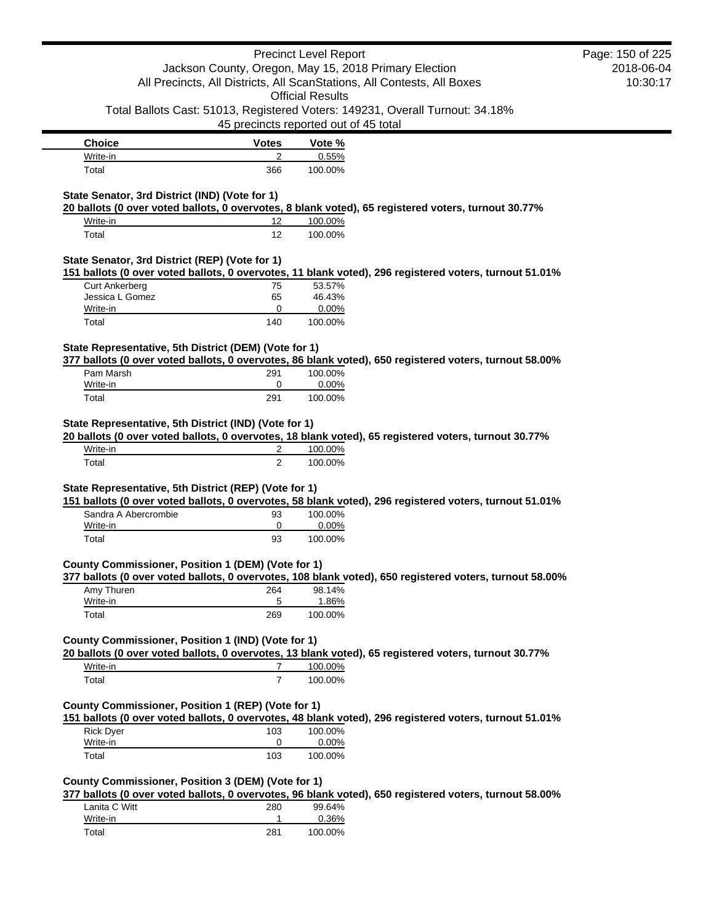|                                                       |                | <b>Precinct Level Report</b>                                                                            | Page: 150 of 225 |
|-------------------------------------------------------|----------------|---------------------------------------------------------------------------------------------------------|------------------|
|                                                       |                | Jackson County, Oregon, May 15, 2018 Primary Election                                                   | 2018-06-04       |
|                                                       |                | All Precincts, All Districts, All ScanStations, All Contests, All Boxes                                 | 10:30:17         |
|                                                       |                | <b>Official Results</b>                                                                                 |                  |
|                                                       |                | Total Ballots Cast: 51013, Registered Voters: 149231, Overall Turnout: 34.18%                           |                  |
|                                                       |                | 45 precincts reported out of 45 total                                                                   |                  |
| <b>Choice</b>                                         | <b>Votes</b>   | Vote %                                                                                                  |                  |
| Write-in                                              | 2              | 0.55%                                                                                                   |                  |
| Total                                                 | 366            | 100.00%                                                                                                 |                  |
|                                                       |                |                                                                                                         |                  |
| State Senator, 3rd District (IND) (Vote for 1)        |                |                                                                                                         |                  |
|                                                       |                | 20 ballots (0 over voted ballots, 0 overvotes, 8 blank voted), 65 registered voters, turnout 30.77%     |                  |
| Write-in                                              | 12             | 100.00%                                                                                                 |                  |
| Total                                                 | 12             | 100.00%                                                                                                 |                  |
|                                                       |                |                                                                                                         |                  |
| State Senator, 3rd District (REP) (Vote for 1)        |                | 151 ballots (0 over voted ballots, 0 overvotes, 11 blank voted), 296 registered voters, turnout 51.01%  |                  |
| <b>Curt Ankerberg</b>                                 | 75             | 53.57%                                                                                                  |                  |
| Jessica L Gomez                                       | 65             | 46.43%                                                                                                  |                  |
| Write-in                                              | 0              | 0.00%                                                                                                   |                  |
| Total                                                 | 140            | 100.00%                                                                                                 |                  |
|                                                       |                |                                                                                                         |                  |
| State Representative, 5th District (DEM) (Vote for 1) |                |                                                                                                         |                  |
|                                                       |                | 377 ballots (0 over voted ballots, 0 overvotes, 86 blank voted), 650 registered voters, turnout 58.00%  |                  |
| Pam Marsh                                             | 291            | 100.00%                                                                                                 |                  |
| Write-in                                              | 0              | 0.00%                                                                                                   |                  |
| Total                                                 | 291            | 100.00%                                                                                                 |                  |
| Write-in                                              | 2              | 100.00%                                                                                                 |                  |
|                                                       |                | 20 ballots (0 over voted ballots, 0 overvotes, 18 blank voted), 65 registered voters, turnout 30.77%    |                  |
| Total                                                 | $\overline{2}$ | 100.00%                                                                                                 |                  |
|                                                       |                |                                                                                                         |                  |
| State Representative, 5th District (REP) (Vote for 1) |                |                                                                                                         |                  |
|                                                       |                | 151 ballots (0 over voted ballots, 0 overvotes, 58 blank voted), 296 registered voters, turnout 51.01%  |                  |
| Sandra A Abercrombie                                  | 93             | 100.00%                                                                                                 |                  |
| Write-in                                              | 0              | 0.00%                                                                                                   |                  |
| Total                                                 | 93             | 100.00%                                                                                                 |                  |
|                                                       |                |                                                                                                         |                  |
| County Commissioner, Position 1 (DEM) (Vote for 1)    |                |                                                                                                         |                  |
|                                                       |                | 377 ballots (0 over voted ballots, 0 overvotes, 108 blank voted), 650 registered voters, turnout 58.00% |                  |
| Amy Thuren<br>Write-in                                | 264<br>5       | 98.14%<br>1.86%                                                                                         |                  |
| Total                                                 | 269            | 100.00%                                                                                                 |                  |
|                                                       |                |                                                                                                         |                  |
| County Commissioner, Position 1 (IND) (Vote for 1)    |                |                                                                                                         |                  |
|                                                       |                | 20 ballots (0 over voted ballots, 0 overvotes, 13 blank voted), 65 registered voters, turnout 30.77%    |                  |
| Write-in                                              | 7              | 100.00%                                                                                                 |                  |
| Total                                                 | $\overline{7}$ | 100.00%                                                                                                 |                  |
|                                                       |                |                                                                                                         |                  |
| County Commissioner, Position 1 (REP) (Vote for 1)    |                |                                                                                                         |                  |
|                                                       |                | 151 ballots (0 over voted ballots, 0 overvotes, 48 blank voted), 296 registered voters, turnout 51.01%  |                  |
| <b>Rick Dyer</b>                                      | 103            | 100.00%                                                                                                 |                  |
| Write-in                                              | 0              | 0.00%                                                                                                   |                  |
| Total                                                 | 103            | 100.00%                                                                                                 |                  |
|                                                       |                |                                                                                                         |                  |
| County Commissioner, Position 3 (DEM) (Vote for 1)    |                |                                                                                                         |                  |
|                                                       |                | 377 ballots (0 over voted ballots, 0 overvotes, 96 blank voted), 650 registered voters, turnout 58.00%  |                  |
| Lanita C Witt                                         | 280            | 99.64%                                                                                                  |                  |
| Write-in                                              | 1              | 0.36%                                                                                                   |                  |
|                                                       |                |                                                                                                         |                  |

Total 281 100.00%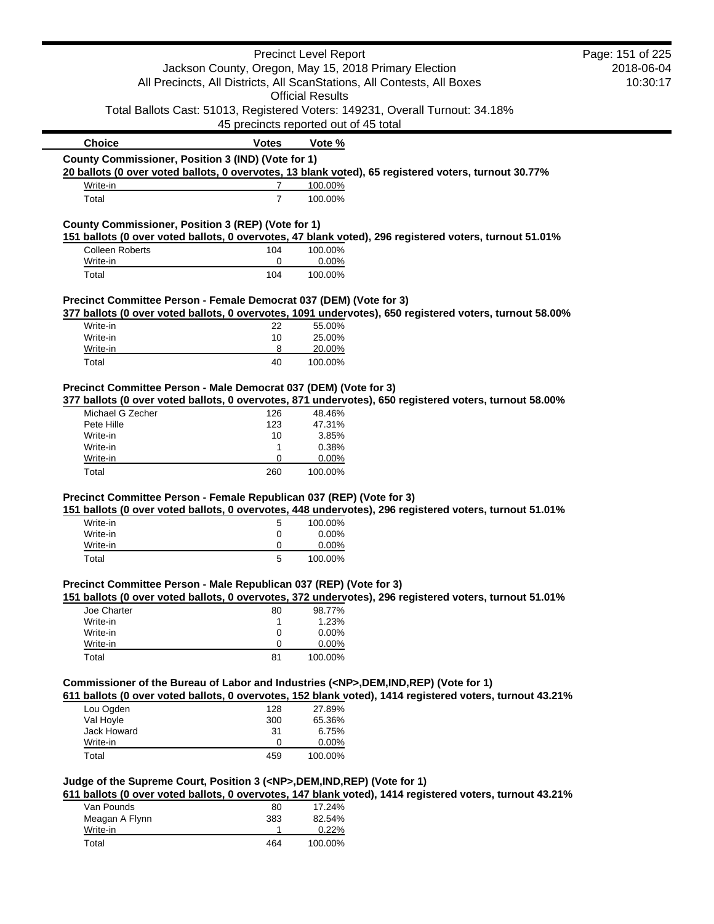|                                                                                                                                  |                | <b>Precinct Level Report</b>          |                                                                                                          | Page: 151 of 225 |
|----------------------------------------------------------------------------------------------------------------------------------|----------------|---------------------------------------|----------------------------------------------------------------------------------------------------------|------------------|
| Jackson County, Oregon, May 15, 2018 Primary Election<br>All Precincts, All Districts, All ScanStations, All Contests, All Boxes |                | 2018-06-04                            |                                                                                                          |                  |
|                                                                                                                                  |                |                                       |                                                                                                          | 10:30:17         |
|                                                                                                                                  |                | <b>Official Results</b>               |                                                                                                          |                  |
|                                                                                                                                  |                |                                       | Total Ballots Cast: 51013, Registered Voters: 149231, Overall Turnout: 34.18%                            |                  |
|                                                                                                                                  |                | 45 precincts reported out of 45 total |                                                                                                          |                  |
| <b>Choice</b>                                                                                                                    | <b>Votes</b>   | Vote %                                |                                                                                                          |                  |
| County Commissioner, Position 3 (IND) (Vote for 1)                                                                               |                |                                       |                                                                                                          |                  |
|                                                                                                                                  |                |                                       | 20 ballots (0 over voted ballots, 0 overvotes, 13 blank voted), 65 registered voters, turnout 30.77%     |                  |
| Write-in                                                                                                                         | $\overline{7}$ | 100.00%                               |                                                                                                          |                  |
| Total                                                                                                                            | $\overline{7}$ | 100.00%                               |                                                                                                          |                  |
| County Commissioner, Position 3 (REP) (Vote for 1)                                                                               |                |                                       |                                                                                                          |                  |
|                                                                                                                                  |                |                                       | 151 ballots (0 over voted ballots, 0 overvotes, 47 blank voted), 296 registered voters, turnout 51.01%   |                  |
| Colleen Roberts                                                                                                                  | 104            | 100.00%                               |                                                                                                          |                  |
| Write-in                                                                                                                         | 0              | 0.00%                                 |                                                                                                          |                  |
| Total                                                                                                                            | 104            | 100.00%                               |                                                                                                          |                  |
| Precinct Committee Person - Female Democrat 037 (DEM) (Vote for 3)                                                               |                |                                       |                                                                                                          |                  |
|                                                                                                                                  |                |                                       | 377 ballots (0 over voted ballots, 0 overvotes, 1091 undervotes), 650 registered voters, turnout 58.00%  |                  |
| Write-in                                                                                                                         | 22             | 55.00%                                |                                                                                                          |                  |
| Write-in                                                                                                                         | 10             | 25.00%                                |                                                                                                          |                  |
| Write-in                                                                                                                         | 8              | 20.00%                                |                                                                                                          |                  |
| Total                                                                                                                            | 40             | 100.00%                               |                                                                                                          |                  |
| Precinct Committee Person - Male Democrat 037 (DEM) (Vote for 3)                                                                 |                |                                       |                                                                                                          |                  |
|                                                                                                                                  |                |                                       | 377 ballots (0 over voted ballots, 0 overvotes, 871 undervotes), 650 registered voters, turnout 58.00%   |                  |
| Michael G Zecher                                                                                                                 | 126            | 48.46%                                |                                                                                                          |                  |
| Pete Hille                                                                                                                       | 123            | 47.31%                                |                                                                                                          |                  |
| Write-in                                                                                                                         | 10             | 3.85%                                 |                                                                                                          |                  |
| Write-in                                                                                                                         | 1              | 0.38%                                 |                                                                                                          |                  |
| Write-in                                                                                                                         | 0              | 0.00%                                 |                                                                                                          |                  |
| Total                                                                                                                            | 260            | 100.00%                               |                                                                                                          |                  |
|                                                                                                                                  |                |                                       |                                                                                                          |                  |
| Precinct Committee Person - Female Republican 037 (REP) (Vote for 3)                                                             |                |                                       | 151 ballots (0 over voted ballots, 0 overvotes, 448 undervotes), 296 registered voters, turnout 51.01%   |                  |
| Write-in                                                                                                                         | 5              | 100.00%                               |                                                                                                          |                  |
|                                                                                                                                  |                |                                       |                                                                                                          |                  |
| Write-in<br>Write-in                                                                                                             | 0<br>0         | 0.00%<br>0.00%                        |                                                                                                          |                  |
| Total                                                                                                                            | 5              | 100.00%                               |                                                                                                          |                  |
|                                                                                                                                  |                |                                       |                                                                                                          |                  |
| Precinct Committee Person - Male Republican 037 (REP) (Vote for 3)                                                               |                |                                       |                                                                                                          |                  |
|                                                                                                                                  |                |                                       | 151 ballots (0 over voted ballots, 0 overvotes, 372 undervotes), 296 registered voters, turnout 51.01%   |                  |
| Joe Charter                                                                                                                      | 80             | 98.77%                                |                                                                                                          |                  |
| Write-in                                                                                                                         | 1              | 1.23%                                 |                                                                                                          |                  |
| Write-in                                                                                                                         | 0              | 0.00%                                 |                                                                                                          |                  |
| Write-in                                                                                                                         | 0              | 0.00%                                 |                                                                                                          |                  |
| Total                                                                                                                            | 81             | 100.00%                               |                                                                                                          |                  |
| Commissioner of the Bureau of Labor and Industries ( <np>,DEM,IND,REP) (Vote for 1)</np>                                         |                |                                       |                                                                                                          |                  |
|                                                                                                                                  |                |                                       | 611 ballots (0 over voted ballots, 0 overvotes, 152 blank voted), 1414 registered voters, turnout 43.21% |                  |
| Lou Ogden                                                                                                                        | 128            | 27.89%                                |                                                                                                          |                  |
| Val Hoyle                                                                                                                        | 300            | 65.36%                                |                                                                                                          |                  |
| Jack Howard                                                                                                                      | 31             | 6.75%                                 |                                                                                                          |                  |
| Write-in                                                                                                                         | 0              | 0.00%                                 |                                                                                                          |                  |
| Total                                                                                                                            | 459            | 100.00%                               |                                                                                                          |                  |
| Judge of the Supreme Court, Position 3 ( <np>,DEM,IND,REP) (Vote for 1)</np>                                                     |                |                                       |                                                                                                          |                  |
|                                                                                                                                  |                |                                       | 611 ballots (0 over voted ballots, 0 overvotes, 147 blank voted), 1414 registered voters, turnout 43.21% |                  |
| Van Pounds                                                                                                                       | 80             | 17.24%                                |                                                                                                          |                  |
| Meagan A Flynn                                                                                                                   | 383            | 82.54%                                |                                                                                                          |                  |
| Write-in                                                                                                                         | 1              | 0.22%                                 |                                                                                                          |                  |
| Total                                                                                                                            | 464            | 100.00%                               |                                                                                                          |                  |
|                                                                                                                                  |                |                                       |                                                                                                          |                  |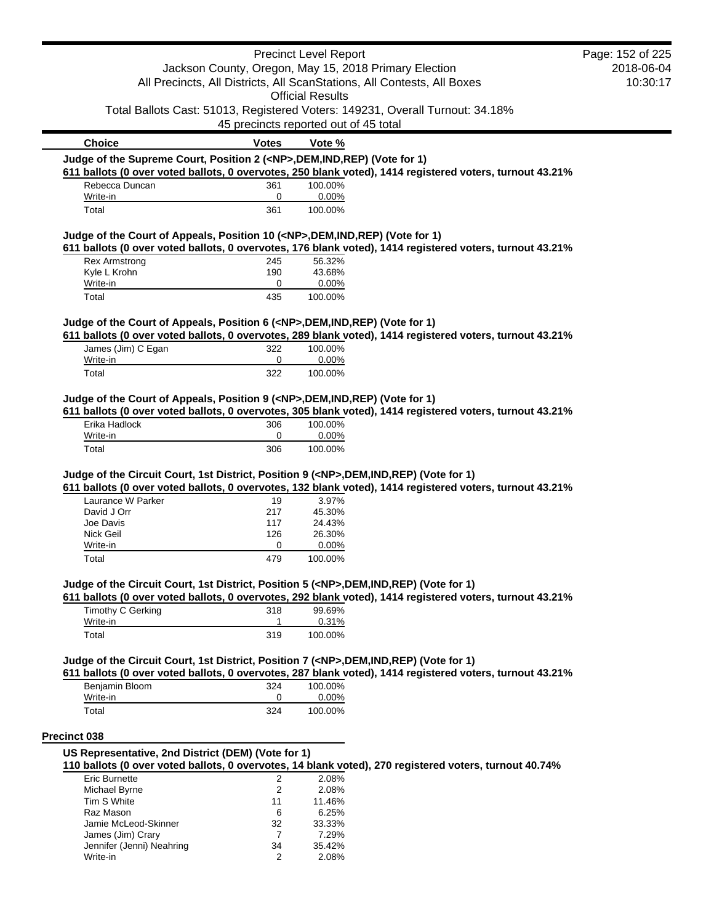|                                                                                            |                | <b>Precinct Level Report</b>                          |                                                                                                          | Page: 152 of 225 |
|--------------------------------------------------------------------------------------------|----------------|-------------------------------------------------------|----------------------------------------------------------------------------------------------------------|------------------|
|                                                                                            |                | Jackson County, Oregon, May 15, 2018 Primary Election |                                                                                                          | 2018-06-04       |
| All Precincts, All Districts, All ScanStations, All Contests, All Boxes                    |                |                                                       | 10:30:17                                                                                                 |                  |
|                                                                                            |                | <b>Official Results</b>                               |                                                                                                          |                  |
|                                                                                            |                | 45 precincts reported out of 45 total                 | Total Ballots Cast: 51013, Registered Voters: 149231, Overall Turnout: 34.18%                            |                  |
| <b>Choice</b>                                                                              | <b>Votes</b>   | Vote %                                                |                                                                                                          |                  |
| Judge of the Supreme Court, Position 2 ( <np>,DEM,IND,REP) (Vote for 1)</np>               |                |                                                       |                                                                                                          |                  |
|                                                                                            |                |                                                       | 611 ballots (0 over voted ballots, 0 overvotes, 250 blank voted), 1414 registered voters, turnout 43.21% |                  |
| Rebecca Duncan                                                                             | 361            | 100.00%                                               |                                                                                                          |                  |
| Write-in                                                                                   | 0              | 0.00%                                                 |                                                                                                          |                  |
| Total                                                                                      | 361            | 100.00%                                               |                                                                                                          |                  |
| Judge of the Court of Appeals, Position 10 ( <np>,DEM,IND,REP) (Vote for 1)</np>           |                |                                                       |                                                                                                          |                  |
|                                                                                            |                |                                                       | 611 ballots (0 over voted ballots, 0 overvotes, 176 blank voted), 1414 registered voters, turnout 43.21% |                  |
| <b>Rex Armstrong</b>                                                                       | 245            | 56.32%                                                |                                                                                                          |                  |
| Kyle L Krohn<br>Write-in                                                                   | 190<br>0       | 43.68%<br>0.00%                                       |                                                                                                          |                  |
| Total                                                                                      | 435            | 100.00%                                               |                                                                                                          |                  |
|                                                                                            |                |                                                       |                                                                                                          |                  |
| Judge of the Court of Appeals, Position 6 ( <np>,DEM,IND,REP) (Vote for 1)</np>            |                |                                                       | 611 ballots (0 over voted ballots, 0 overvotes, 289 blank voted), 1414 registered voters, turnout 43.21% |                  |
| James (Jim) C Egan                                                                         | 322            | 100.00%                                               |                                                                                                          |                  |
| Write-in                                                                                   | 0              | 0.00%                                                 |                                                                                                          |                  |
| Total                                                                                      | 322            | 100.00%                                               |                                                                                                          |                  |
|                                                                                            |                |                                                       |                                                                                                          |                  |
| Erika Hadlock<br>Write-in                                                                  | 306<br>0       | 100.00%<br>0.00%                                      |                                                                                                          |                  |
| Total                                                                                      | 306            | 100.00%                                               |                                                                                                          |                  |
| Judge of the Circuit Court, 1st District, Position 9 ( <np>,DEM,IND,REP) (Vote for 1)</np> |                |                                                       | 611 ballots (0 over voted ballots, 0 overvotes, 132 blank voted), 1414 registered voters, turnout 43.21% |                  |
| Laurance W Parker                                                                          | 19             | 3.97%                                                 |                                                                                                          |                  |
| David J Orr<br>Joe Davis                                                                   | 217            | 45.30%                                                |                                                                                                          |                  |
| Nick Geil                                                                                  | 117<br>126     | 24.43%<br>26.30%                                      |                                                                                                          |                  |
| Write-in                                                                                   | 0              | 0.00%                                                 |                                                                                                          |                  |
| Total                                                                                      | 479            | 100.00%                                               |                                                                                                          |                  |
| Judge of the Circuit Court, 1st District, Position 5 ( <np>,DEM,IND,REP) (Vote for 1)</np> |                |                                                       |                                                                                                          |                  |
|                                                                                            |                |                                                       | 611 ballots (0 over voted ballots, 0 overvotes, 292 blank voted), 1414 registered voters, turnout 43.21% |                  |
| Timothy C Gerking                                                                          | 318            | 99.69%                                                |                                                                                                          |                  |
| Write-in<br>Total                                                                          | 1<br>319       | 0.31%<br>100.00%                                      |                                                                                                          |                  |
|                                                                                            |                |                                                       |                                                                                                          |                  |
| Judge of the Circuit Court, 1st District, Position 7 ( <np>,DEM,IND,REP) (Vote for 1)</np> |                |                                                       |                                                                                                          |                  |
|                                                                                            |                |                                                       | 611 ballots (0 over voted ballots, 0 overvotes, 287 blank voted), 1414 registered voters, turnout 43.21% |                  |
| Benjamin Bloom                                                                             | 324            | 100.00%                                               |                                                                                                          |                  |
| Write-in<br>Total                                                                          | 0<br>324       | 0.00%<br>100.00%                                      |                                                                                                          |                  |
|                                                                                            |                |                                                       |                                                                                                          |                  |
| Precinct 038                                                                               |                |                                                       |                                                                                                          |                  |
| US Representative, 2nd District (DEM) (Vote for 1)                                         |                |                                                       |                                                                                                          |                  |
|                                                                                            |                |                                                       | 110 ballots (0 over voted ballots, 0 overvotes, 14 blank voted), 270 registered voters, turnout 40.74%   |                  |
| <b>Eric Burnette</b>                                                                       | $\overline{2}$ | 2.08%                                                 |                                                                                                          |                  |
| Michael Byrne                                                                              | 2              | 2.08%                                                 |                                                                                                          |                  |
| Tim S White                                                                                | 11             | 11.46%                                                |                                                                                                          |                  |
| Raz Mason                                                                                  | 6              | 6.25%                                                 |                                                                                                          |                  |
| Jamie McLeod-Skinner<br>James (Jim) Crary                                                  | 32<br>7        | 33.33%<br>7.29%                                       |                                                                                                          |                  |
| Jennifer (Jenni) Neahring                                                                  | 34             | 35.42%                                                |                                                                                                          |                  |
|                                                                                            |                |                                                       |                                                                                                          |                  |

Write-in 2 2.08%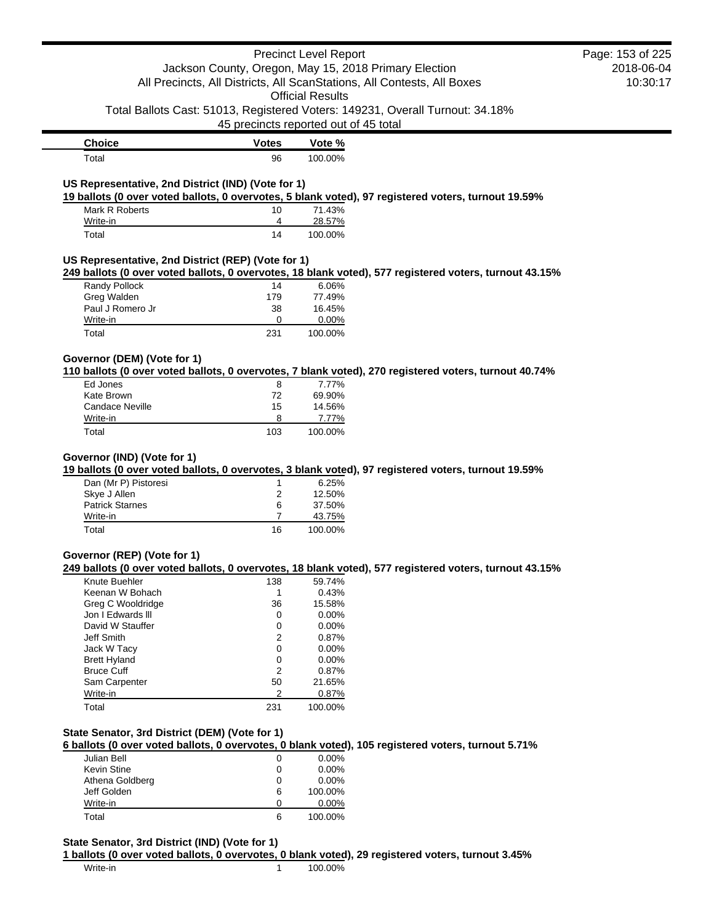|                                                                     |                                       | <b>Precinct Level Report</b> | Jackson County, Oregon, May 15, 2018 Primary Election                                                  | Page: 153 of 225<br>2018-06-04 |
|---------------------------------------------------------------------|---------------------------------------|------------------------------|--------------------------------------------------------------------------------------------------------|--------------------------------|
|                                                                     |                                       | <b>Official Results</b>      | All Precincts, All Districts, All ScanStations, All Contests, All Boxes                                | 10:30:17                       |
|                                                                     | 45 precincts reported out of 45 total |                              | Total Ballots Cast: 51013, Registered Voters: 149231, Overall Turnout: 34.18%                          |                                |
| <b>Choice</b>                                                       | <b>Votes</b>                          | Vote %                       |                                                                                                        |                                |
| Total                                                               | 96                                    | 100.00%                      |                                                                                                        |                                |
| US Representative, 2nd District (IND) (Vote for 1)                  |                                       |                              | 19 ballots (0 over voted ballots, 0 overvotes, 5 blank voted), 97 registered voters, turnout 19.59%    |                                |
| Mark R Roberts                                                      | 10                                    | 71.43%                       |                                                                                                        |                                |
| Write-in<br>Total                                                   | 4<br>14                               | 28.57%<br>100.00%            |                                                                                                        |                                |
| US Representative, 2nd District (REP) (Vote for 1)                  |                                       |                              |                                                                                                        |                                |
|                                                                     |                                       |                              | 249 ballots (0 over voted ballots, 0 overvotes, 18 blank voted), 577 registered voters, turnout 43.15% |                                |
| Randy Pollock<br>Greg Walden                                        | 14<br>179                             | 6.06%<br>77.49%              |                                                                                                        |                                |
| Paul J Romero Jr                                                    | 38                                    | 16.45%                       |                                                                                                        |                                |
| Write-in                                                            | 0                                     | 0.00%                        |                                                                                                        |                                |
| Total                                                               | 231                                   | 100.00%                      |                                                                                                        |                                |
| Governor (DEM) (Vote for 1)                                         |                                       |                              | 110 ballots (0 over voted ballots, 0 overvotes, 7 blank voted), 270 registered voters, turnout 40.74%  |                                |
| Ed Jones                                                            | 8                                     | 7.77%                        |                                                                                                        |                                |
| Kate Brown                                                          | 72                                    | 69.90%                       |                                                                                                        |                                |
| <b>Candace Neville</b>                                              | 15                                    | 14.56%                       |                                                                                                        |                                |
| Write-in                                                            | 8                                     | 7.77%                        |                                                                                                        |                                |
| Total                                                               | 103                                   | 100.00%                      |                                                                                                        |                                |
| Governor (IND) (Vote for 1)<br>Dan (Mr P) Pistoresi<br>Skye J Allen | 1<br>2                                | 6.25%<br>12.50%              | 19 ballots (0 over voted ballots, 0 overvotes, 3 blank voted), 97 registered voters, turnout 19.59%    |                                |
| <b>Patrick Starnes</b>                                              | 6                                     | 37.50%                       |                                                                                                        |                                |
| Write-in                                                            | 7                                     | 43.75%                       |                                                                                                        |                                |
| Total                                                               | 16                                    | 100.00%                      |                                                                                                        |                                |
| Governor (REP) (Vote for 1)                                         |                                       |                              | 249 ballots (0 over voted ballots, 0 overvotes, 18 blank voted), 577 registered voters, turnout 43.15% |                                |
| Knute Buehler                                                       | 138                                   | 59.74%                       |                                                                                                        |                                |
| Keenan W Bohach                                                     | 1                                     | 0.43%                        |                                                                                                        |                                |
| <b>Greg C Wooldridge</b><br>Jon I Edwards III                       | 36                                    | 15.58%                       |                                                                                                        |                                |
| David W Stauffer                                                    | 0<br>0                                | 0.00%<br>0.00%               |                                                                                                        |                                |
| Jeff Smith                                                          | 2                                     | 0.87%                        |                                                                                                        |                                |
| Jack W Tacy                                                         | 0                                     | 0.00%                        |                                                                                                        |                                |
| <b>Brett Hyland</b>                                                 | 0                                     | 0.00%                        |                                                                                                        |                                |
| <b>Bruce Cuff</b>                                                   | 2                                     | 0.87%                        |                                                                                                        |                                |
| Sam Carpenter                                                       | 50                                    | 21.65%                       |                                                                                                        |                                |
| Write-in                                                            | 2                                     | 0.87%                        |                                                                                                        |                                |
| Total                                                               | 231                                   | 100.00%                      |                                                                                                        |                                |
| State Senator, 3rd District (DEM) (Vote for 1)                      |                                       |                              | 6 ballots (0 over voted ballots, 0 overvotes, 0 blank voted), 105 registered voters, turnout 5.71%     |                                |
| Julian Bell                                                         | 0                                     | 0.00%                        |                                                                                                        |                                |
| Kevin Stine                                                         | 0                                     | 0.00%                        |                                                                                                        |                                |
| Athena Goldberg                                                     | 0                                     | 0.00%                        |                                                                                                        |                                |
| Jeff Golden                                                         | 6                                     | 100.00%                      |                                                                                                        |                                |
| Write-in<br>Total                                                   | 0<br>6                                | 0.00%<br>100.00%             |                                                                                                        |                                |
| State Senator, 3rd District (IND) (Vote for 1)                      |                                       |                              |                                                                                                        |                                |
|                                                                     |                                       |                              | 1 ballots (0 over voted ballots, 0 overvotes, 0 blank voted), 29 registered voters, turnout 3.45%      |                                |
| Write-in                                                            | 1                                     | 100.00%                      |                                                                                                        |                                |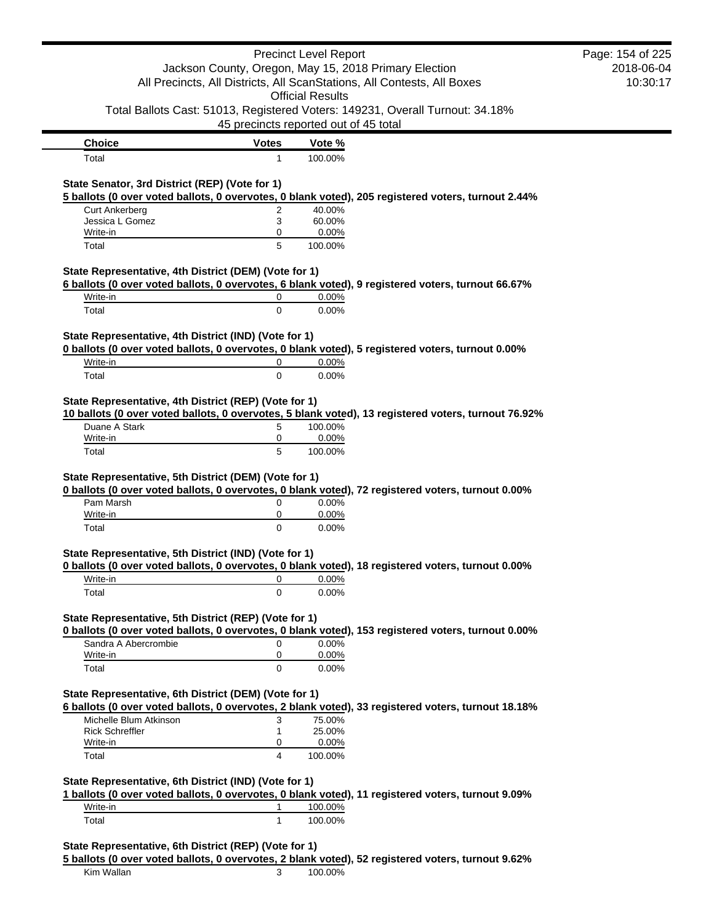|                                                       |                                       | <b>Precinct Level Report</b> |                                                                                                     | Page: 154 of 225 |
|-------------------------------------------------------|---------------------------------------|------------------------------|-----------------------------------------------------------------------------------------------------|------------------|
|                                                       |                                       |                              | Jackson County, Oregon, May 15, 2018 Primary Election                                               | 2018-06-04       |
|                                                       |                                       |                              | All Precincts, All Districts, All ScanStations, All Contests, All Boxes                             | 10:30:17         |
|                                                       |                                       | <b>Official Results</b>      |                                                                                                     |                  |
|                                                       | 45 precincts reported out of 45 total |                              | Total Ballots Cast: 51013, Registered Voters: 149231, Overall Turnout: 34.18%                       |                  |
|                                                       |                                       |                              |                                                                                                     |                  |
| <b>Choice</b><br>Total                                | <b>Votes</b>                          | Vote %<br>100.00%            |                                                                                                     |                  |
|                                                       | 1                                     |                              |                                                                                                     |                  |
| State Senator, 3rd District (REP) (Vote for 1)        |                                       |                              |                                                                                                     |                  |
|                                                       |                                       |                              | 5 ballots (0 over voted ballots, 0 overvotes, 0 blank voted), 205 registered voters, turnout 2.44%  |                  |
| <b>Curt Ankerberg</b><br>Jessica L Gomez              | $\overline{2}$<br>3                   | 40.00%<br>60.00%             |                                                                                                     |                  |
| Write-in                                              | 0                                     | 0.00%                        |                                                                                                     |                  |
| Total                                                 | 5                                     | 100.00%                      |                                                                                                     |                  |
|                                                       |                                       |                              |                                                                                                     |                  |
| State Representative, 4th District (DEM) (Vote for 1) |                                       |                              | 6 ballots (0 over voted ballots, 0 overvotes, 6 blank voted), 9 registered voters, turnout 66.67%   |                  |
| Write-in                                              | 0                                     | 0.00%                        |                                                                                                     |                  |
| Total                                                 | $\mathbf 0$                           | 0.00%                        |                                                                                                     |                  |
|                                                       |                                       |                              |                                                                                                     |                  |
| State Representative, 4th District (IND) (Vote for 1) |                                       |                              |                                                                                                     |                  |
|                                                       |                                       |                              | 0 ballots (0 over voted ballots, 0 overvotes, 0 blank voted), 5 registered voters, turnout 0.00%    |                  |
| Write-in                                              | 0                                     | 0.00%                        |                                                                                                     |                  |
| Total                                                 | 0                                     | 0.00%                        |                                                                                                     |                  |
|                                                       |                                       |                              |                                                                                                     |                  |
| State Representative, 4th District (REP) (Vote for 1) |                                       |                              | 10 ballots (0 over voted ballots, 0 overvotes, 5 blank voted), 13 registered voters, turnout 76.92% |                  |
| Duane A Stark                                         | 5                                     | 100.00%                      |                                                                                                     |                  |
| Write-in                                              | 0                                     | 0.00%                        |                                                                                                     |                  |
| Total                                                 | 5                                     | 100.00%                      |                                                                                                     |                  |
| Pam Marsh                                             | 0                                     | 0.00%                        | 0 ballots (0 over voted ballots, 0 overvotes, 0 blank voted), 72 registered voters, turnout 0.00%   |                  |
| Write-in                                              | 0                                     | 0.00%                        |                                                                                                     |                  |
| Total                                                 | $\mathbf 0$                           | 0.00%                        |                                                                                                     |                  |
| State Representative, 5th District (IND) (Vote for 1) |                                       |                              |                                                                                                     |                  |
|                                                       |                                       |                              | 0 ballots (0 over voted ballots, 0 overvotes, 0 blank voted), 18 registered voters, turnout 0.00%   |                  |
| Write-in                                              | 0                                     | 0.00%                        |                                                                                                     |                  |
| Total                                                 | 0                                     | 0.00%                        |                                                                                                     |                  |
|                                                       |                                       |                              |                                                                                                     |                  |
| State Representative, 5th District (REP) (Vote for 1) |                                       |                              |                                                                                                     |                  |
| Sandra A Abercrombie                                  | 0                                     | 0.00%                        | 0 ballots (0 over voted ballots, 0 overvotes, 0 blank voted), 153 registered voters, turnout 0.00%  |                  |
| Write-in                                              | 0                                     | 0.00%                        |                                                                                                     |                  |
| Total                                                 | $\mathbf 0$                           | 0.00%                        |                                                                                                     |                  |
|                                                       |                                       |                              |                                                                                                     |                  |
| State Representative, 6th District (DEM) (Vote for 1) |                                       |                              |                                                                                                     |                  |
|                                                       |                                       |                              | 6 ballots (0 over voted ballots, 0 overvotes, 2 blank voted), 33 registered voters, turnout 18.18%  |                  |
| Michelle Blum Atkinson<br><b>Rick Schreffler</b>      | 3<br>1                                | 75.00%<br>25.00%             |                                                                                                     |                  |
| Write-in                                              | 0                                     | 0.00%                        |                                                                                                     |                  |
| Total                                                 | 4                                     | 100.00%                      |                                                                                                     |                  |
|                                                       |                                       |                              |                                                                                                     |                  |
| State Representative, 6th District (IND) (Vote for 1) |                                       |                              |                                                                                                     |                  |
|                                                       |                                       |                              | 1 ballots (0 over voted ballots, 0 overvotes, 0 blank voted), 11 registered voters, turnout 9.09%   |                  |
| Write-in                                              | 1                                     | 100.00%                      |                                                                                                     |                  |
| Total                                                 | $\mathbf{1}$                          | 100.00%                      |                                                                                                     |                  |
| State Representative, 6th District (REP) (Vote for 1) |                                       |                              |                                                                                                     |                  |
|                                                       |                                       |                              | 5 ballots (0 over voted ballots, 0 overvotes, 2 blank voted), 52 registered voters, turnout 9.62%   |                  |
| Kim Wallan                                            | 3                                     | 100.00%                      |                                                                                                     |                  |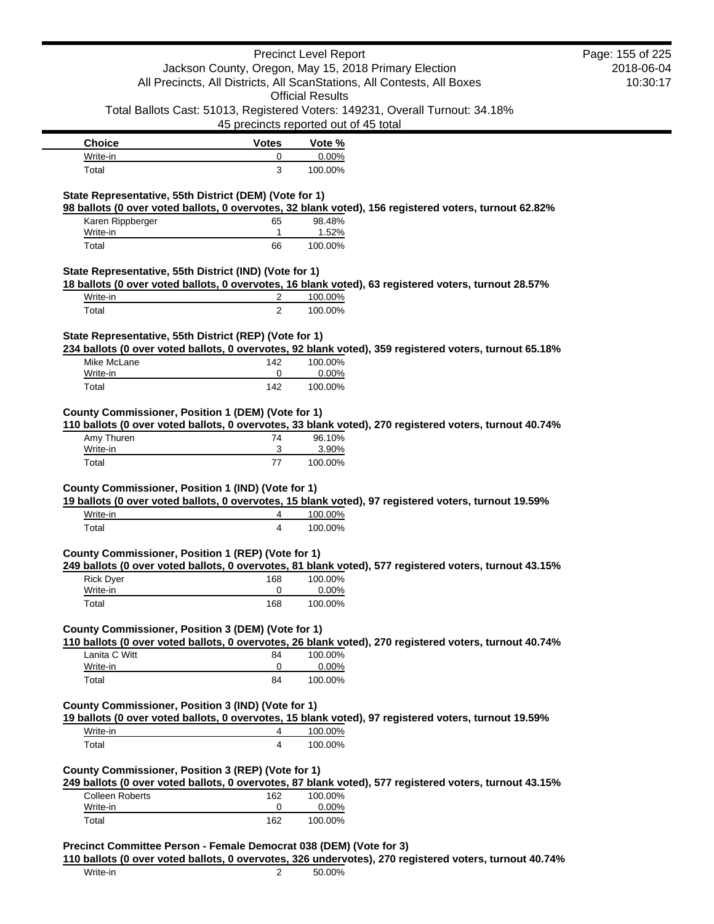|                                                        |                | <b>Precinct Level Report</b>                                                                                           | Page: 155 of 225 |
|--------------------------------------------------------|----------------|------------------------------------------------------------------------------------------------------------------------|------------------|
|                                                        |                | Jackson County, Oregon, May 15, 2018 Primary Election                                                                  | 2018-06-04       |
|                                                        |                | All Precincts, All Districts, All ScanStations, All Contests, All Boxes                                                | 10:30:17         |
|                                                        |                | <b>Official Results</b>                                                                                                |                  |
|                                                        |                | Total Ballots Cast: 51013, Registered Voters: 149231, Overall Turnout: 34.18%<br>45 precincts reported out of 45 total |                  |
| <b>Choice</b>                                          | <b>Votes</b>   | Vote %                                                                                                                 |                  |
| Write-in                                               | 0              | 0.00%                                                                                                                  |                  |
| Total                                                  | 3              | 100.00%                                                                                                                |                  |
| State Representative, 55th District (DEM) (Vote for 1) |                | 98 ballots (0 over voted ballots, 0 overvotes, 32 blank voted), 156 registered voters, turnout 62.82%                  |                  |
| Karen Rippberger                                       | 65             | 98.48%                                                                                                                 |                  |
| Write-in                                               | 1              | 1.52%                                                                                                                  |                  |
| Total                                                  | 66             | 100.00%                                                                                                                |                  |
| State Representative, 55th District (IND) (Vote for 1) |                |                                                                                                                        |                  |
|                                                        |                | 18 ballots (0 over voted ballots, 0 overvotes, 16 blank voted), 63 registered voters, turnout 28.57%                   |                  |
| Write-in                                               | 2              | 100.00%                                                                                                                |                  |
| Total                                                  | $\overline{2}$ | 100.00%                                                                                                                |                  |
|                                                        |                |                                                                                                                        |                  |
| State Representative, 55th District (REP) (Vote for 1) |                | 234 ballots (0 over voted ballots, 0 overvotes, 92 blank voted), 359 registered voters, turnout 65.18%                 |                  |
| Mike McLane                                            | 142            | 100.00%                                                                                                                |                  |
| Write-in                                               | 0              | 0.00%                                                                                                                  |                  |
| Total                                                  | 142            | 100.00%                                                                                                                |                  |
|                                                        |                |                                                                                                                        |                  |
| County Commissioner, Position 1 (DEM) (Vote for 1)     |                | 110 ballots (0 over voted ballots, 0 overvotes, 33 blank voted), 270 registered voters, turnout 40.74%                 |                  |
| Amy Thuren<br>Write-in                                 | 74<br>3        | 96.10%                                                                                                                 |                  |
| Total                                                  | 77             | 3.90%<br>100.00%                                                                                                       |                  |
|                                                        |                |                                                                                                                        |                  |
| County Commissioner, Position 1 (IND) (Vote for 1)     |                | 19 ballots (0 over voted ballots, 0 overvotes, 15 blank voted), 97 registered voters, turnout 19.59%                   |                  |
| Write-in                                               | 4              | 100.00%                                                                                                                |                  |
| Total                                                  | $\overline{4}$ | 100.00%                                                                                                                |                  |
| County Commissioner, Position 1 (REP) (Vote for 1)     |                | 249 ballots (0 over voted ballots, 0 overvotes, 81 blank voted), 577 registered voters, turnout 43.15%                 |                  |
| <b>Rick Dyer</b>                                       | 168            | 100.00%                                                                                                                |                  |
| Write-in                                               | 0              | 0.00%                                                                                                                  |                  |
| Total                                                  | 168            | 100.00%                                                                                                                |                  |
| County Commissioner, Position 3 (DEM) (Vote for 1)     |                |                                                                                                                        |                  |
|                                                        |                | 110 ballots (0 over voted ballots, 0 overvotes, 26 blank voted), 270 registered voters, turnout 40.74%                 |                  |
| Lanita C Witt                                          | 84             | 100.00%                                                                                                                |                  |
| Write-in                                               | 0              | 0.00%                                                                                                                  |                  |
| Total                                                  | 84             | 100.00%                                                                                                                |                  |
| County Commissioner, Position 3 (IND) (Vote for 1)     |                |                                                                                                                        |                  |
|                                                        |                | 19 ballots (0 over voted ballots, 0 overvotes, 15 blank voted), 97 registered voters, turnout 19.59%                   |                  |
| Write-in                                               | 4              | 100.00%                                                                                                                |                  |
|                                                        | $\overline{4}$ | 100.00%                                                                                                                |                  |
| Total                                                  |                |                                                                                                                        |                  |
| County Commissioner, Position 3 (REP) (Vote for 1)     |                |                                                                                                                        |                  |
|                                                        |                | 249 ballots (0 over voted ballots, 0 overvotes, 87 blank voted), 577 registered voters, turnout 43.15%                 |                  |
| <b>Colleen Roberts</b><br>Write-in                     | 162<br>0       | 100.00%<br>0.00%                                                                                                       |                  |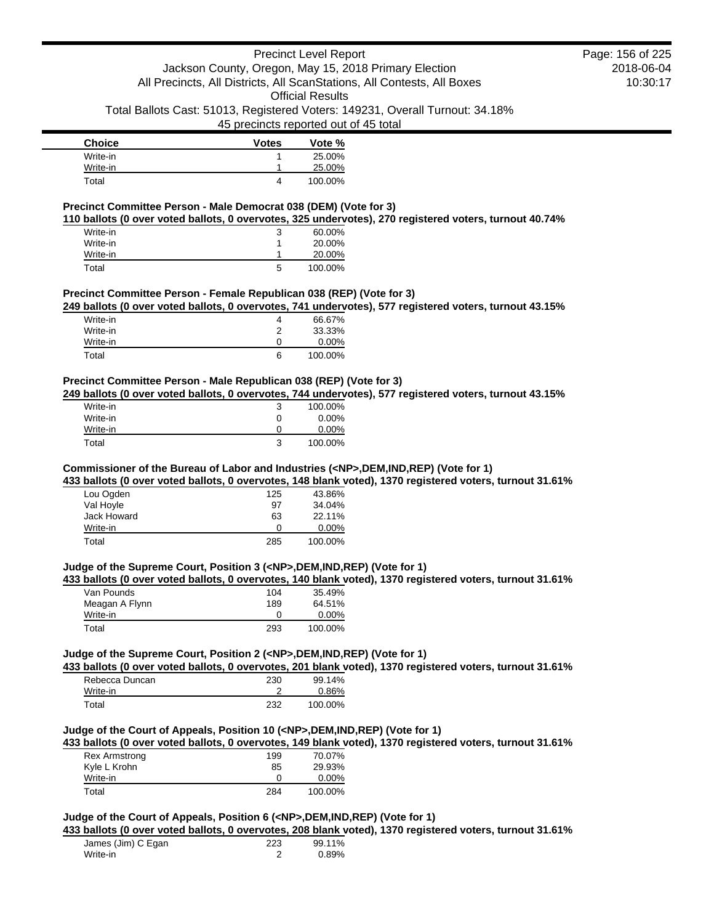# Precinct Level Report Jackson County, Oregon, May 15, 2018 Primary Election All Precincts, All Districts, All ScanStations, All Contests, All Boxes Official Results

Total Ballots Cast: 51013, Registered Voters: 149231, Overall Turnout: 34.18%

# 45 precincts reported out of 45 total

| <b>Choice</b> | <b>Votes</b> | Vote %  |
|---------------|--------------|---------|
| Write-in      |              | 25.00%  |
| Write-in      |              | 25.00%  |
| Total         | 4            | 100.00% |

### **Precinct Committee Person - Male Democrat 038 (DEM) (Vote for 3)**

**110 ballots (0 over voted ballots, 0 overvotes, 325 undervotes), 270 registered voters, turnout 40.74%**

| Write-in | 3 | 60.00%  |
|----------|---|---------|
| Write-in |   | 20.00%  |
| Write-in |   | 20.00%  |
| Total    | 5 | 100.00% |

# **Precinct Committee Person - Female Republican 038 (REP) (Vote for 3)**

**249 ballots (0 over voted ballots, 0 overvotes, 741 undervotes), 577 registered voters, turnout 43.15%**

| Write-in | 4 | 66.67%   |
|----------|---|----------|
| Write-in | ົ | 33.33%   |
| Write-in |   | $0.00\%$ |
| Total    | 6 | 100.00%  |

## **Precinct Committee Person - Male Republican 038 (REP) (Vote for 3)**

**249 ballots (0 over voted ballots, 0 overvotes, 744 undervotes), 577 registered voters, turnout 43.15%**

| Write-in | 3 | 100.00%  |
|----------|---|----------|
| Write-in | O | $0.00\%$ |
| Write-in | O | $0.00\%$ |
| Total    | 3 | 100.00%  |

## **Commissioner of the Bureau of Labor and Industries (<NP>,DEM,IND,REP) (Vote for 1)**

**433 ballots (0 over voted ballots, 0 overvotes, 148 blank voted), 1370 registered voters, turnout 31.61%**

| 125 | 43.86%   |
|-----|----------|
| 97  | 34.04%   |
| 63  | 22.11%   |
| Ω   | $0.00\%$ |
| 285 | 100.00%  |
|     |          |

### **Judge of the Supreme Court, Position 3 (<NP>,DEM,IND,REP) (Vote for 1)**

**433 ballots (0 over voted ballots, 0 overvotes, 140 blank voted), 1370 registered voters, turnout 31.61%**

| Van Pounds     | 104 | 35.49%   |
|----------------|-----|----------|
| Meagan A Flynn | 189 | 64.51%   |
| Write-in       | Ω   | $0.00\%$ |
| Total          | 293 | 100.00%  |

# **Judge of the Supreme Court, Position 2 (<NP>,DEM,IND,REP) (Vote for 1)**

**433 ballots (0 over voted ballots, 0 overvotes, 201 blank voted), 1370 registered voters, turnout 31.61%**

| Rebecca Duncan | 230 | 99.14%  |
|----------------|-----|---------|
| Write-in       |     | 0.86%   |
| Total          | 232 | 100.00% |

# **Judge of the Court of Appeals, Position 10 (<NP>,DEM,IND,REP) (Vote for 1)**

**433 ballots (0 over voted ballots, 0 overvotes, 149 blank voted), 1370 registered voters, turnout 31.61%**

| <b>Rex Armstrong</b> | 199 | 70.07%   |
|----------------------|-----|----------|
| Kyle L Krohn         | 85  | 29.93%   |
| Write-in             |     | $0.00\%$ |
| Total                | 284 | 100.00%  |

# **Judge of the Court of Appeals, Position 6 (<NP>,DEM,IND,REP) (Vote for 1)**

**433 ballots (0 over voted ballots, 0 overvotes, 208 blank voted), 1370 registered voters, turnout 31.61%**

| James (Jim) C Egan | 223 | 99.11% |
|--------------------|-----|--------|
| Write-in           |     | 0.89%  |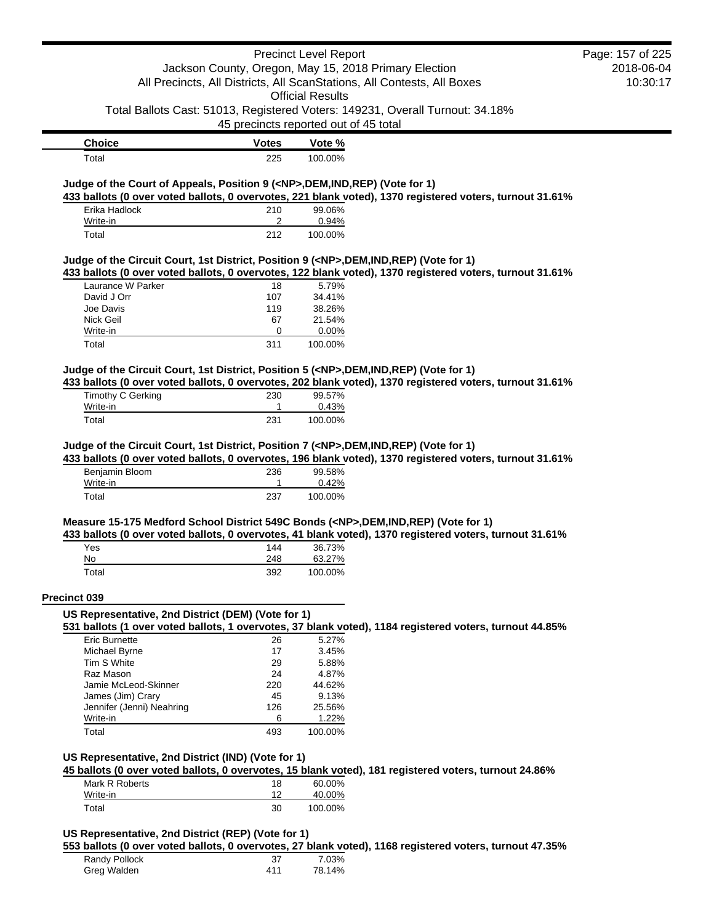| Jackson County, Oregon, May 15, 2018 Primary Election<br>All Precincts, All Districts, All ScanStations, All Contests, All Boxes<br><b>Official Results</b><br>Total Ballots Cast: 51013, Registered Voters: 149231, Overall Turnout: 34.18%<br>45 precincts reported out of 45 total<br><b>Choice</b><br><b>Votes</b><br>Vote %<br>Total<br>100.00%<br>225<br>Judge of the Court of Appeals, Position 9 ( <np>,DEM,IND,REP) (Vote for 1)<br/>433 ballots (0 over voted ballots, 0 overvotes, 221 blank voted), 1370 registered voters, turnout 31.61%<br/>Erika Hadlock<br/>99.06%<br/>210<br/>2<br/>0.94%<br/>Write-in<br/>212<br/>100.00%<br/>Total<br/>Judge of the Circuit Court, 1st District, Position 9 (<np>,DEM,IND,REP) (Vote for 1)<br/>433 ballots (0 over voted ballots, 0 overvotes, 122 blank voted), 1370 registered voters, turnout 31.61%<br/>Laurance W Parker<br/>5.79%<br/>18<br/>34.41%<br/>David J Orr<br/>107<br/>Joe Davis<br/>38.26%<br/>119<br/>Nick Geil<br/>67<br/>21.54%<br/>0<br/>Write-in<br/>0.00%<br/>100.00%<br/>Total<br/>311<br/>Judge of the Circuit Court, 1st District, Position 5 (<np>,DEM,IND,REP) (Vote for 1)<br/>433 ballots (0 over voted ballots, 0 overvotes, 202 blank voted), 1370 registered voters, turnout 31.61%<br/><b>Timothy C Gerking</b><br/>99.57%<br/>230<br/>Write-in<br/>0.43%<br/>1<br/>Total<br/>231<br/>100.00%<br/>Judge of the Circuit Court, 1st District, Position 7 (<np>,DEM,IND,REP) (Vote for 1)<br/>433 ballots (0 over voted ballots, 0 overvotes, 196 blank voted), 1370 registered voters, turnout 31.61%<br/>Benjamin Bloom<br/>99.58%<br/>236<br/>Write-in<br/>0.42%<br/>1<br/>Total<br/>237<br/>100.00%<br/>Measure 15-175 Medford School District 549C Bonds (<np>,DEM,IND,REP) (Vote for 1)<br/>433 ballots (0 over voted ballots, 0 overvotes, 41 blank voted), 1370 registered voters, turnout 31.61%<br/>Yes<br/>36.73%<br/>144<br/>No<br/>248<br/>63.27%<br/>Total<br/>392<br/>100.00%<br/>Precinct 039<br/>US Representative, 2nd District (DEM) (Vote for 1)<br/>531 ballots (1 over voted ballots, 1 overvotes, 37 blank voted), 1184 registered voters, turnout 44.85%<br/>Eric Burnette<br/>5.27%<br/>26<br/>17<br/>3.45%<br/>Michael Byrne<br/>Tim S White<br/>29<br/>5.88%<br/>Raz Mason<br/>24<br/>4.87%<br/>Jamie McLeod-Skinner<br/>44.62%<br/>220<br/>James (Jim) Crary<br/>9.13%<br/>45<br/>Jennifer (Jenni) Neahring<br/>25.56%<br/>126<br/>1.22%<br/>Write-in<br/>6<br/>Total<br/>493<br/>100.00%<br/>US Representative, 2nd District (IND) (Vote for 1)<br/>45 ballots (0 over voted ballots, 0 overvotes, 15 blank voted), 181 registered voters, turnout 24.86%<br/>Mark R Roberts<br/>18<br/>60.00%<br/>12<br/>40.00%<br/>Write-in<br/>Total<br/>30<br/>100.00%</np></np></np></np></np> |  | <b>Precinct Level Report</b> | Page: 157 of 225 |
|-----------------------------------------------------------------------------------------------------------------------------------------------------------------------------------------------------------------------------------------------------------------------------------------------------------------------------------------------------------------------------------------------------------------------------------------------------------------------------------------------------------------------------------------------------------------------------------------------------------------------------------------------------------------------------------------------------------------------------------------------------------------------------------------------------------------------------------------------------------------------------------------------------------------------------------------------------------------------------------------------------------------------------------------------------------------------------------------------------------------------------------------------------------------------------------------------------------------------------------------------------------------------------------------------------------------------------------------------------------------------------------------------------------------------------------------------------------------------------------------------------------------------------------------------------------------------------------------------------------------------------------------------------------------------------------------------------------------------------------------------------------------------------------------------------------------------------------------------------------------------------------------------------------------------------------------------------------------------------------------------------------------------------------------------------------------------------------------------------------------------------------------------------------------------------------------------------------------------------------------------------------------------------------------------------------------------------------------------------------------------------------------------------------------------------------------------------------------------------------------------------------------------------------------------------------------------------------------------------------------------------------------------------------------------------------------------------------------------------------------------------------------------------------------------------|--|------------------------------|------------------|
|                                                                                                                                                                                                                                                                                                                                                                                                                                                                                                                                                                                                                                                                                                                                                                                                                                                                                                                                                                                                                                                                                                                                                                                                                                                                                                                                                                                                                                                                                                                                                                                                                                                                                                                                                                                                                                                                                                                                                                                                                                                                                                                                                                                                                                                                                                                                                                                                                                                                                                                                                                                                                                                                                                                                                                                                     |  |                              | 2018-06-04       |
|                                                                                                                                                                                                                                                                                                                                                                                                                                                                                                                                                                                                                                                                                                                                                                                                                                                                                                                                                                                                                                                                                                                                                                                                                                                                                                                                                                                                                                                                                                                                                                                                                                                                                                                                                                                                                                                                                                                                                                                                                                                                                                                                                                                                                                                                                                                                                                                                                                                                                                                                                                                                                                                                                                                                                                                                     |  |                              | 10:30:17         |
|                                                                                                                                                                                                                                                                                                                                                                                                                                                                                                                                                                                                                                                                                                                                                                                                                                                                                                                                                                                                                                                                                                                                                                                                                                                                                                                                                                                                                                                                                                                                                                                                                                                                                                                                                                                                                                                                                                                                                                                                                                                                                                                                                                                                                                                                                                                                                                                                                                                                                                                                                                                                                                                                                                                                                                                                     |  |                              |                  |
|                                                                                                                                                                                                                                                                                                                                                                                                                                                                                                                                                                                                                                                                                                                                                                                                                                                                                                                                                                                                                                                                                                                                                                                                                                                                                                                                                                                                                                                                                                                                                                                                                                                                                                                                                                                                                                                                                                                                                                                                                                                                                                                                                                                                                                                                                                                                                                                                                                                                                                                                                                                                                                                                                                                                                                                                     |  |                              |                  |
|                                                                                                                                                                                                                                                                                                                                                                                                                                                                                                                                                                                                                                                                                                                                                                                                                                                                                                                                                                                                                                                                                                                                                                                                                                                                                                                                                                                                                                                                                                                                                                                                                                                                                                                                                                                                                                                                                                                                                                                                                                                                                                                                                                                                                                                                                                                                                                                                                                                                                                                                                                                                                                                                                                                                                                                                     |  |                              |                  |
|                                                                                                                                                                                                                                                                                                                                                                                                                                                                                                                                                                                                                                                                                                                                                                                                                                                                                                                                                                                                                                                                                                                                                                                                                                                                                                                                                                                                                                                                                                                                                                                                                                                                                                                                                                                                                                                                                                                                                                                                                                                                                                                                                                                                                                                                                                                                                                                                                                                                                                                                                                                                                                                                                                                                                                                                     |  |                              |                  |
|                                                                                                                                                                                                                                                                                                                                                                                                                                                                                                                                                                                                                                                                                                                                                                                                                                                                                                                                                                                                                                                                                                                                                                                                                                                                                                                                                                                                                                                                                                                                                                                                                                                                                                                                                                                                                                                                                                                                                                                                                                                                                                                                                                                                                                                                                                                                                                                                                                                                                                                                                                                                                                                                                                                                                                                                     |  |                              |                  |
|                                                                                                                                                                                                                                                                                                                                                                                                                                                                                                                                                                                                                                                                                                                                                                                                                                                                                                                                                                                                                                                                                                                                                                                                                                                                                                                                                                                                                                                                                                                                                                                                                                                                                                                                                                                                                                                                                                                                                                                                                                                                                                                                                                                                                                                                                                                                                                                                                                                                                                                                                                                                                                                                                                                                                                                                     |  |                              |                  |
|                                                                                                                                                                                                                                                                                                                                                                                                                                                                                                                                                                                                                                                                                                                                                                                                                                                                                                                                                                                                                                                                                                                                                                                                                                                                                                                                                                                                                                                                                                                                                                                                                                                                                                                                                                                                                                                                                                                                                                                                                                                                                                                                                                                                                                                                                                                                                                                                                                                                                                                                                                                                                                                                                                                                                                                                     |  |                              |                  |
|                                                                                                                                                                                                                                                                                                                                                                                                                                                                                                                                                                                                                                                                                                                                                                                                                                                                                                                                                                                                                                                                                                                                                                                                                                                                                                                                                                                                                                                                                                                                                                                                                                                                                                                                                                                                                                                                                                                                                                                                                                                                                                                                                                                                                                                                                                                                                                                                                                                                                                                                                                                                                                                                                                                                                                                                     |  |                              |                  |
|                                                                                                                                                                                                                                                                                                                                                                                                                                                                                                                                                                                                                                                                                                                                                                                                                                                                                                                                                                                                                                                                                                                                                                                                                                                                                                                                                                                                                                                                                                                                                                                                                                                                                                                                                                                                                                                                                                                                                                                                                                                                                                                                                                                                                                                                                                                                                                                                                                                                                                                                                                                                                                                                                                                                                                                                     |  |                              |                  |
|                                                                                                                                                                                                                                                                                                                                                                                                                                                                                                                                                                                                                                                                                                                                                                                                                                                                                                                                                                                                                                                                                                                                                                                                                                                                                                                                                                                                                                                                                                                                                                                                                                                                                                                                                                                                                                                                                                                                                                                                                                                                                                                                                                                                                                                                                                                                                                                                                                                                                                                                                                                                                                                                                                                                                                                                     |  |                              |                  |
|                                                                                                                                                                                                                                                                                                                                                                                                                                                                                                                                                                                                                                                                                                                                                                                                                                                                                                                                                                                                                                                                                                                                                                                                                                                                                                                                                                                                                                                                                                                                                                                                                                                                                                                                                                                                                                                                                                                                                                                                                                                                                                                                                                                                                                                                                                                                                                                                                                                                                                                                                                                                                                                                                                                                                                                                     |  |                              |                  |
|                                                                                                                                                                                                                                                                                                                                                                                                                                                                                                                                                                                                                                                                                                                                                                                                                                                                                                                                                                                                                                                                                                                                                                                                                                                                                                                                                                                                                                                                                                                                                                                                                                                                                                                                                                                                                                                                                                                                                                                                                                                                                                                                                                                                                                                                                                                                                                                                                                                                                                                                                                                                                                                                                                                                                                                                     |  |                              |                  |
|                                                                                                                                                                                                                                                                                                                                                                                                                                                                                                                                                                                                                                                                                                                                                                                                                                                                                                                                                                                                                                                                                                                                                                                                                                                                                                                                                                                                                                                                                                                                                                                                                                                                                                                                                                                                                                                                                                                                                                                                                                                                                                                                                                                                                                                                                                                                                                                                                                                                                                                                                                                                                                                                                                                                                                                                     |  |                              |                  |
|                                                                                                                                                                                                                                                                                                                                                                                                                                                                                                                                                                                                                                                                                                                                                                                                                                                                                                                                                                                                                                                                                                                                                                                                                                                                                                                                                                                                                                                                                                                                                                                                                                                                                                                                                                                                                                                                                                                                                                                                                                                                                                                                                                                                                                                                                                                                                                                                                                                                                                                                                                                                                                                                                                                                                                                                     |  |                              |                  |
|                                                                                                                                                                                                                                                                                                                                                                                                                                                                                                                                                                                                                                                                                                                                                                                                                                                                                                                                                                                                                                                                                                                                                                                                                                                                                                                                                                                                                                                                                                                                                                                                                                                                                                                                                                                                                                                                                                                                                                                                                                                                                                                                                                                                                                                                                                                                                                                                                                                                                                                                                                                                                                                                                                                                                                                                     |  |                              |                  |
|                                                                                                                                                                                                                                                                                                                                                                                                                                                                                                                                                                                                                                                                                                                                                                                                                                                                                                                                                                                                                                                                                                                                                                                                                                                                                                                                                                                                                                                                                                                                                                                                                                                                                                                                                                                                                                                                                                                                                                                                                                                                                                                                                                                                                                                                                                                                                                                                                                                                                                                                                                                                                                                                                                                                                                                                     |  |                              |                  |
|                                                                                                                                                                                                                                                                                                                                                                                                                                                                                                                                                                                                                                                                                                                                                                                                                                                                                                                                                                                                                                                                                                                                                                                                                                                                                                                                                                                                                                                                                                                                                                                                                                                                                                                                                                                                                                                                                                                                                                                                                                                                                                                                                                                                                                                                                                                                                                                                                                                                                                                                                                                                                                                                                                                                                                                                     |  |                              |                  |
|                                                                                                                                                                                                                                                                                                                                                                                                                                                                                                                                                                                                                                                                                                                                                                                                                                                                                                                                                                                                                                                                                                                                                                                                                                                                                                                                                                                                                                                                                                                                                                                                                                                                                                                                                                                                                                                                                                                                                                                                                                                                                                                                                                                                                                                                                                                                                                                                                                                                                                                                                                                                                                                                                                                                                                                                     |  |                              |                  |
|                                                                                                                                                                                                                                                                                                                                                                                                                                                                                                                                                                                                                                                                                                                                                                                                                                                                                                                                                                                                                                                                                                                                                                                                                                                                                                                                                                                                                                                                                                                                                                                                                                                                                                                                                                                                                                                                                                                                                                                                                                                                                                                                                                                                                                                                                                                                                                                                                                                                                                                                                                                                                                                                                                                                                                                                     |  |                              |                  |
|                                                                                                                                                                                                                                                                                                                                                                                                                                                                                                                                                                                                                                                                                                                                                                                                                                                                                                                                                                                                                                                                                                                                                                                                                                                                                                                                                                                                                                                                                                                                                                                                                                                                                                                                                                                                                                                                                                                                                                                                                                                                                                                                                                                                                                                                                                                                                                                                                                                                                                                                                                                                                                                                                                                                                                                                     |  |                              |                  |
|                                                                                                                                                                                                                                                                                                                                                                                                                                                                                                                                                                                                                                                                                                                                                                                                                                                                                                                                                                                                                                                                                                                                                                                                                                                                                                                                                                                                                                                                                                                                                                                                                                                                                                                                                                                                                                                                                                                                                                                                                                                                                                                                                                                                                                                                                                                                                                                                                                                                                                                                                                                                                                                                                                                                                                                                     |  |                              |                  |
|                                                                                                                                                                                                                                                                                                                                                                                                                                                                                                                                                                                                                                                                                                                                                                                                                                                                                                                                                                                                                                                                                                                                                                                                                                                                                                                                                                                                                                                                                                                                                                                                                                                                                                                                                                                                                                                                                                                                                                                                                                                                                                                                                                                                                                                                                                                                                                                                                                                                                                                                                                                                                                                                                                                                                                                                     |  |                              |                  |
|                                                                                                                                                                                                                                                                                                                                                                                                                                                                                                                                                                                                                                                                                                                                                                                                                                                                                                                                                                                                                                                                                                                                                                                                                                                                                                                                                                                                                                                                                                                                                                                                                                                                                                                                                                                                                                                                                                                                                                                                                                                                                                                                                                                                                                                                                                                                                                                                                                                                                                                                                                                                                                                                                                                                                                                                     |  |                              |                  |
|                                                                                                                                                                                                                                                                                                                                                                                                                                                                                                                                                                                                                                                                                                                                                                                                                                                                                                                                                                                                                                                                                                                                                                                                                                                                                                                                                                                                                                                                                                                                                                                                                                                                                                                                                                                                                                                                                                                                                                                                                                                                                                                                                                                                                                                                                                                                                                                                                                                                                                                                                                                                                                                                                                                                                                                                     |  |                              |                  |
|                                                                                                                                                                                                                                                                                                                                                                                                                                                                                                                                                                                                                                                                                                                                                                                                                                                                                                                                                                                                                                                                                                                                                                                                                                                                                                                                                                                                                                                                                                                                                                                                                                                                                                                                                                                                                                                                                                                                                                                                                                                                                                                                                                                                                                                                                                                                                                                                                                                                                                                                                                                                                                                                                                                                                                                                     |  |                              |                  |
|                                                                                                                                                                                                                                                                                                                                                                                                                                                                                                                                                                                                                                                                                                                                                                                                                                                                                                                                                                                                                                                                                                                                                                                                                                                                                                                                                                                                                                                                                                                                                                                                                                                                                                                                                                                                                                                                                                                                                                                                                                                                                                                                                                                                                                                                                                                                                                                                                                                                                                                                                                                                                                                                                                                                                                                                     |  |                              |                  |
|                                                                                                                                                                                                                                                                                                                                                                                                                                                                                                                                                                                                                                                                                                                                                                                                                                                                                                                                                                                                                                                                                                                                                                                                                                                                                                                                                                                                                                                                                                                                                                                                                                                                                                                                                                                                                                                                                                                                                                                                                                                                                                                                                                                                                                                                                                                                                                                                                                                                                                                                                                                                                                                                                                                                                                                                     |  |                              |                  |
|                                                                                                                                                                                                                                                                                                                                                                                                                                                                                                                                                                                                                                                                                                                                                                                                                                                                                                                                                                                                                                                                                                                                                                                                                                                                                                                                                                                                                                                                                                                                                                                                                                                                                                                                                                                                                                                                                                                                                                                                                                                                                                                                                                                                                                                                                                                                                                                                                                                                                                                                                                                                                                                                                                                                                                                                     |  |                              |                  |
|                                                                                                                                                                                                                                                                                                                                                                                                                                                                                                                                                                                                                                                                                                                                                                                                                                                                                                                                                                                                                                                                                                                                                                                                                                                                                                                                                                                                                                                                                                                                                                                                                                                                                                                                                                                                                                                                                                                                                                                                                                                                                                                                                                                                                                                                                                                                                                                                                                                                                                                                                                                                                                                                                                                                                                                                     |  |                              |                  |
|                                                                                                                                                                                                                                                                                                                                                                                                                                                                                                                                                                                                                                                                                                                                                                                                                                                                                                                                                                                                                                                                                                                                                                                                                                                                                                                                                                                                                                                                                                                                                                                                                                                                                                                                                                                                                                                                                                                                                                                                                                                                                                                                                                                                                                                                                                                                                                                                                                                                                                                                                                                                                                                                                                                                                                                                     |  |                              |                  |
|                                                                                                                                                                                                                                                                                                                                                                                                                                                                                                                                                                                                                                                                                                                                                                                                                                                                                                                                                                                                                                                                                                                                                                                                                                                                                                                                                                                                                                                                                                                                                                                                                                                                                                                                                                                                                                                                                                                                                                                                                                                                                                                                                                                                                                                                                                                                                                                                                                                                                                                                                                                                                                                                                                                                                                                                     |  |                              |                  |
|                                                                                                                                                                                                                                                                                                                                                                                                                                                                                                                                                                                                                                                                                                                                                                                                                                                                                                                                                                                                                                                                                                                                                                                                                                                                                                                                                                                                                                                                                                                                                                                                                                                                                                                                                                                                                                                                                                                                                                                                                                                                                                                                                                                                                                                                                                                                                                                                                                                                                                                                                                                                                                                                                                                                                                                                     |  |                              |                  |
|                                                                                                                                                                                                                                                                                                                                                                                                                                                                                                                                                                                                                                                                                                                                                                                                                                                                                                                                                                                                                                                                                                                                                                                                                                                                                                                                                                                                                                                                                                                                                                                                                                                                                                                                                                                                                                                                                                                                                                                                                                                                                                                                                                                                                                                                                                                                                                                                                                                                                                                                                                                                                                                                                                                                                                                                     |  |                              |                  |
|                                                                                                                                                                                                                                                                                                                                                                                                                                                                                                                                                                                                                                                                                                                                                                                                                                                                                                                                                                                                                                                                                                                                                                                                                                                                                                                                                                                                                                                                                                                                                                                                                                                                                                                                                                                                                                                                                                                                                                                                                                                                                                                                                                                                                                                                                                                                                                                                                                                                                                                                                                                                                                                                                                                                                                                                     |  |                              |                  |
|                                                                                                                                                                                                                                                                                                                                                                                                                                                                                                                                                                                                                                                                                                                                                                                                                                                                                                                                                                                                                                                                                                                                                                                                                                                                                                                                                                                                                                                                                                                                                                                                                                                                                                                                                                                                                                                                                                                                                                                                                                                                                                                                                                                                                                                                                                                                                                                                                                                                                                                                                                                                                                                                                                                                                                                                     |  |                              |                  |
|                                                                                                                                                                                                                                                                                                                                                                                                                                                                                                                                                                                                                                                                                                                                                                                                                                                                                                                                                                                                                                                                                                                                                                                                                                                                                                                                                                                                                                                                                                                                                                                                                                                                                                                                                                                                                                                                                                                                                                                                                                                                                                                                                                                                                                                                                                                                                                                                                                                                                                                                                                                                                                                                                                                                                                                                     |  |                              |                  |
|                                                                                                                                                                                                                                                                                                                                                                                                                                                                                                                                                                                                                                                                                                                                                                                                                                                                                                                                                                                                                                                                                                                                                                                                                                                                                                                                                                                                                                                                                                                                                                                                                                                                                                                                                                                                                                                                                                                                                                                                                                                                                                                                                                                                                                                                                                                                                                                                                                                                                                                                                                                                                                                                                                                                                                                                     |  |                              |                  |
|                                                                                                                                                                                                                                                                                                                                                                                                                                                                                                                                                                                                                                                                                                                                                                                                                                                                                                                                                                                                                                                                                                                                                                                                                                                                                                                                                                                                                                                                                                                                                                                                                                                                                                                                                                                                                                                                                                                                                                                                                                                                                                                                                                                                                                                                                                                                                                                                                                                                                                                                                                                                                                                                                                                                                                                                     |  |                              |                  |
|                                                                                                                                                                                                                                                                                                                                                                                                                                                                                                                                                                                                                                                                                                                                                                                                                                                                                                                                                                                                                                                                                                                                                                                                                                                                                                                                                                                                                                                                                                                                                                                                                                                                                                                                                                                                                                                                                                                                                                                                                                                                                                                                                                                                                                                                                                                                                                                                                                                                                                                                                                                                                                                                                                                                                                                                     |  |                              |                  |
|                                                                                                                                                                                                                                                                                                                                                                                                                                                                                                                                                                                                                                                                                                                                                                                                                                                                                                                                                                                                                                                                                                                                                                                                                                                                                                                                                                                                                                                                                                                                                                                                                                                                                                                                                                                                                                                                                                                                                                                                                                                                                                                                                                                                                                                                                                                                                                                                                                                                                                                                                                                                                                                                                                                                                                                                     |  |                              |                  |
|                                                                                                                                                                                                                                                                                                                                                                                                                                                                                                                                                                                                                                                                                                                                                                                                                                                                                                                                                                                                                                                                                                                                                                                                                                                                                                                                                                                                                                                                                                                                                                                                                                                                                                                                                                                                                                                                                                                                                                                                                                                                                                                                                                                                                                                                                                                                                                                                                                                                                                                                                                                                                                                                                                                                                                                                     |  |                              |                  |
|                                                                                                                                                                                                                                                                                                                                                                                                                                                                                                                                                                                                                                                                                                                                                                                                                                                                                                                                                                                                                                                                                                                                                                                                                                                                                                                                                                                                                                                                                                                                                                                                                                                                                                                                                                                                                                                                                                                                                                                                                                                                                                                                                                                                                                                                                                                                                                                                                                                                                                                                                                                                                                                                                                                                                                                                     |  |                              |                  |
|                                                                                                                                                                                                                                                                                                                                                                                                                                                                                                                                                                                                                                                                                                                                                                                                                                                                                                                                                                                                                                                                                                                                                                                                                                                                                                                                                                                                                                                                                                                                                                                                                                                                                                                                                                                                                                                                                                                                                                                                                                                                                                                                                                                                                                                                                                                                                                                                                                                                                                                                                                                                                                                                                                                                                                                                     |  |                              |                  |
|                                                                                                                                                                                                                                                                                                                                                                                                                                                                                                                                                                                                                                                                                                                                                                                                                                                                                                                                                                                                                                                                                                                                                                                                                                                                                                                                                                                                                                                                                                                                                                                                                                                                                                                                                                                                                                                                                                                                                                                                                                                                                                                                                                                                                                                                                                                                                                                                                                                                                                                                                                                                                                                                                                                                                                                                     |  |                              |                  |
|                                                                                                                                                                                                                                                                                                                                                                                                                                                                                                                                                                                                                                                                                                                                                                                                                                                                                                                                                                                                                                                                                                                                                                                                                                                                                                                                                                                                                                                                                                                                                                                                                                                                                                                                                                                                                                                                                                                                                                                                                                                                                                                                                                                                                                                                                                                                                                                                                                                                                                                                                                                                                                                                                                                                                                                                     |  |                              |                  |
|                                                                                                                                                                                                                                                                                                                                                                                                                                                                                                                                                                                                                                                                                                                                                                                                                                                                                                                                                                                                                                                                                                                                                                                                                                                                                                                                                                                                                                                                                                                                                                                                                                                                                                                                                                                                                                                                                                                                                                                                                                                                                                                                                                                                                                                                                                                                                                                                                                                                                                                                                                                                                                                                                                                                                                                                     |  |                              |                  |
|                                                                                                                                                                                                                                                                                                                                                                                                                                                                                                                                                                                                                                                                                                                                                                                                                                                                                                                                                                                                                                                                                                                                                                                                                                                                                                                                                                                                                                                                                                                                                                                                                                                                                                                                                                                                                                                                                                                                                                                                                                                                                                                                                                                                                                                                                                                                                                                                                                                                                                                                                                                                                                                                                                                                                                                                     |  |                              |                  |
|                                                                                                                                                                                                                                                                                                                                                                                                                                                                                                                                                                                                                                                                                                                                                                                                                                                                                                                                                                                                                                                                                                                                                                                                                                                                                                                                                                                                                                                                                                                                                                                                                                                                                                                                                                                                                                                                                                                                                                                                                                                                                                                                                                                                                                                                                                                                                                                                                                                                                                                                                                                                                                                                                                                                                                                                     |  |                              |                  |
|                                                                                                                                                                                                                                                                                                                                                                                                                                                                                                                                                                                                                                                                                                                                                                                                                                                                                                                                                                                                                                                                                                                                                                                                                                                                                                                                                                                                                                                                                                                                                                                                                                                                                                                                                                                                                                                                                                                                                                                                                                                                                                                                                                                                                                                                                                                                                                                                                                                                                                                                                                                                                                                                                                                                                                                                     |  |                              |                  |
|                                                                                                                                                                                                                                                                                                                                                                                                                                                                                                                                                                                                                                                                                                                                                                                                                                                                                                                                                                                                                                                                                                                                                                                                                                                                                                                                                                                                                                                                                                                                                                                                                                                                                                                                                                                                                                                                                                                                                                                                                                                                                                                                                                                                                                                                                                                                                                                                                                                                                                                                                                                                                                                                                                                                                                                                     |  |                              |                  |
|                                                                                                                                                                                                                                                                                                                                                                                                                                                                                                                                                                                                                                                                                                                                                                                                                                                                                                                                                                                                                                                                                                                                                                                                                                                                                                                                                                                                                                                                                                                                                                                                                                                                                                                                                                                                                                                                                                                                                                                                                                                                                                                                                                                                                                                                                                                                                                                                                                                                                                                                                                                                                                                                                                                                                                                                     |  |                              |                  |
| US Representative, 2nd District (REP) (Vote for 1)<br>553 ballots (0 over voted ballots, 0 overvotes, 27 blank voted), 1168 registered voters, turnout 47.35%                                                                                                                                                                                                                                                                                                                                                                                                                                                                                                                                                                                                                                                                                                                                                                                                                                                                                                                                                                                                                                                                                                                                                                                                                                                                                                                                                                                                                                                                                                                                                                                                                                                                                                                                                                                                                                                                                                                                                                                                                                                                                                                                                                                                                                                                                                                                                                                                                                                                                                                                                                                                                                       |  |                              |                  |
| Randy Pollock<br>7.03%<br>37                                                                                                                                                                                                                                                                                                                                                                                                                                                                                                                                                                                                                                                                                                                                                                                                                                                                                                                                                                                                                                                                                                                                                                                                                                                                                                                                                                                                                                                                                                                                                                                                                                                                                                                                                                                                                                                                                                                                                                                                                                                                                                                                                                                                                                                                                                                                                                                                                                                                                                                                                                                                                                                                                                                                                                        |  |                              |                  |

Greg Walden **68 and 78.14%** 411 411 78.14%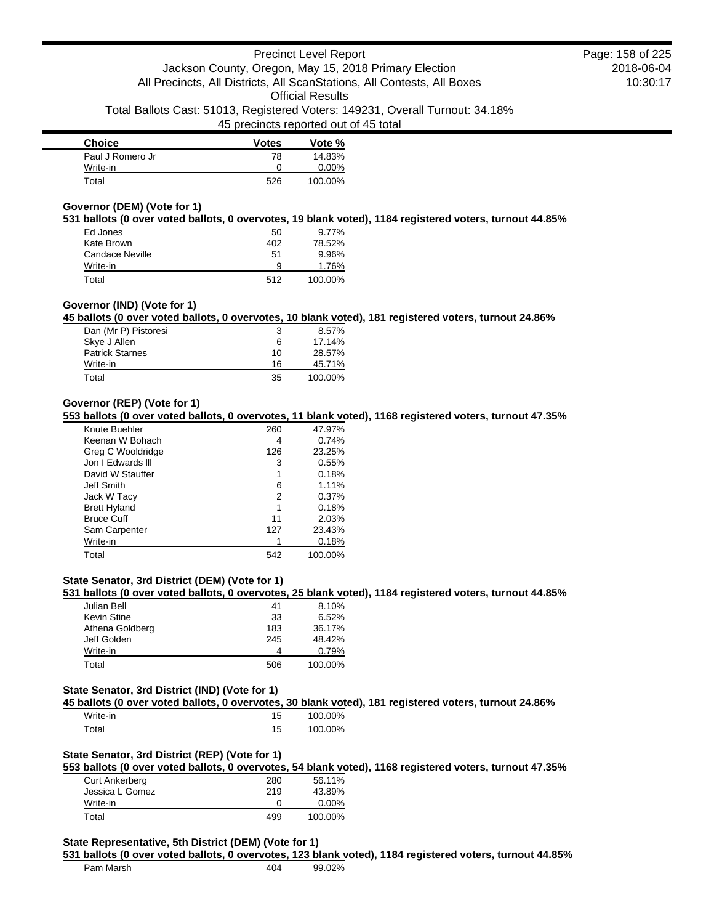| <b>Choice</b>    | <b>Votes</b> | Vote %  |
|------------------|--------------|---------|
| Paul J Romero Jr | 78           | 14.83%  |
| Write-in         | Ω            | 0.00%   |
| Total            | 526          | 100.00% |

### **Governor (DEM) (Vote for 1)**

**531 ballots (0 over voted ballots, 0 overvotes, 19 blank voted), 1184 registered voters, turnout 44.85%**

| Ed Jones        | 50  | $9.77\%$ |
|-----------------|-----|----------|
| Kate Brown      | 402 | 78.52%   |
| Candace Neville | 51  | 9.96%    |
| Write-in        | 9   | 1.76%    |
| Total           | 512 | 100.00%  |

### **Governor (IND) (Vote for 1)**

**45 ballots (0 over voted ballots, 0 overvotes, 10 blank voted), 181 registered voters, turnout 24.86%**

| Dan (Mr P) Pistoresi   | 3  | $8.57\%$ |
|------------------------|----|----------|
| Skye J Allen           | 6  | 17.14%   |
| <b>Patrick Starnes</b> | 10 | 28.57%   |
| Write-in               | 16 | 45.71%   |
| Total                  | 35 | 100.00%  |

### **Governor (REP) (Vote for 1)**

**553 ballots (0 over voted ballots, 0 overvotes, 11 blank voted), 1168 registered voters, turnout 47.35%**

| Knute Buehler       | 260 | 47.97%  |
|---------------------|-----|---------|
| Keenan W Bohach     | 4   | 0.74%   |
| Greg C Wooldridge   | 126 | 23.25%  |
| Jon I Edwards III   | 3   | 0.55%   |
| David W Stauffer    | 1   | 0.18%   |
| Jeff Smith          | 6   | 1.11%   |
| Jack W Tacy         | 2   | 0.37%   |
| <b>Brett Hyland</b> | 1   | 0.18%   |
| <b>Bruce Cuff</b>   | 11  | 2.03%   |
| Sam Carpenter       | 127 | 23.43%  |
| Write-in            |     | 0.18%   |
| Total               | 542 | 100.00% |

### **State Senator, 3rd District (DEM) (Vote for 1)**

**531 ballots (0 over voted ballots, 0 overvotes, 25 blank voted), 1184 registered voters, turnout 44.85%**

| Julian Bell     | 41  | 8.10%   |
|-----------------|-----|---------|
| Kevin Stine     | 33  | 6.52%   |
| Athena Goldberg | 183 | 36.17%  |
| Jeff Golden     | 245 | 48.42%  |
| Write-in        | 4   | 0.79%   |
| Total           | 506 | 100.00% |

#### **State Senator, 3rd District (IND) (Vote for 1)**

**45 ballots (0 over voted ballots, 0 overvotes, 30 blank voted), 181 registered voters, turnout 24.86%**

| Write-in | 15 | 100.00% |
|----------|----|---------|
| `otal    | 15 | 100.00% |

### **State Senator, 3rd District (REP) (Vote for 1)**

**553 ballots (0 over voted ballots, 0 overvotes, 54 blank voted), 1168 registered voters, turnout 47.35%**

| <b>Curt Ankerberg</b> | 280 | 56.11%   |
|-----------------------|-----|----------|
| Jessica L Gomez       | 219 | 43.89%   |
| Write-in              |     | $0.00\%$ |
| Total                 | 499 | 100.00%  |

#### **State Representative, 5th District (DEM) (Vote for 1)**

#### **531 ballots (0 over voted ballots, 0 overvotes, 123 blank voted), 1184 registered voters, turnout 44.85%**

| Pam Marsh | 404 | 99.02% |
|-----------|-----|--------|
|           |     |        |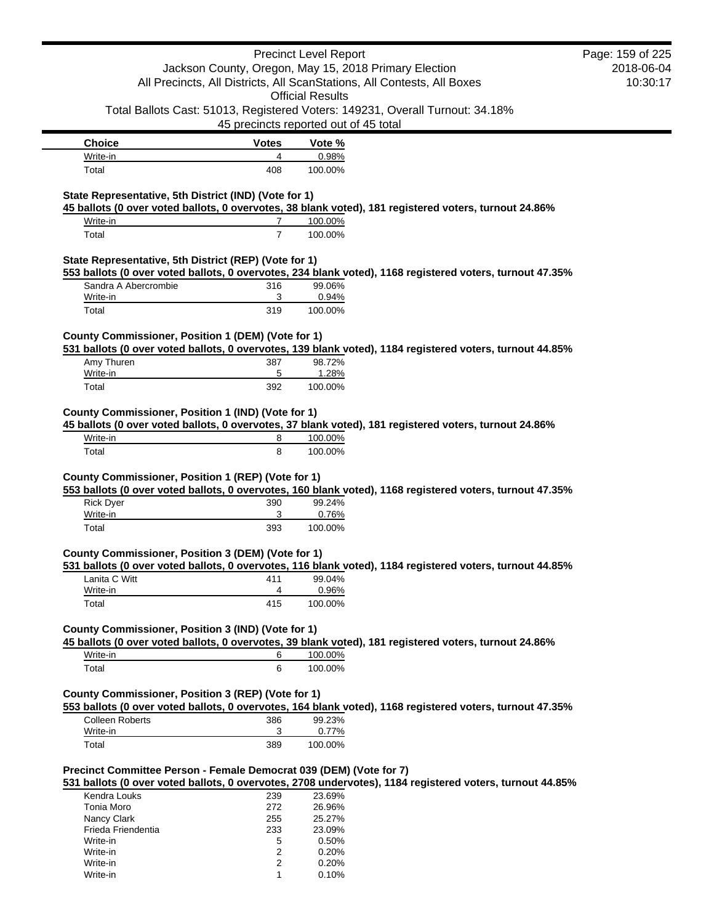|                                                                    |                | <b>Precinct Level Report</b>                                                  |                                                                                                          | Page: 159 of 225 |
|--------------------------------------------------------------------|----------------|-------------------------------------------------------------------------------|----------------------------------------------------------------------------------------------------------|------------------|
|                                                                    |                | Jackson County, Oregon, May 15, 2018 Primary Election                         |                                                                                                          | 2018-06-04       |
|                                                                    |                | All Precincts, All Districts, All ScanStations, All Contests, All Boxes       |                                                                                                          | 10:30:17         |
|                                                                    |                | <b>Official Results</b>                                                       |                                                                                                          |                  |
|                                                                    |                | Total Ballots Cast: 51013, Registered Voters: 149231, Overall Turnout: 34.18% |                                                                                                          |                  |
|                                                                    |                | 45 precincts reported out of 45 total                                         |                                                                                                          |                  |
| <b>Choice</b>                                                      | <b>Votes</b>   | Vote %                                                                        |                                                                                                          |                  |
| Write-in                                                           | 4              | 0.98%                                                                         |                                                                                                          |                  |
| Total                                                              | 408            | 100.00%                                                                       |                                                                                                          |                  |
|                                                                    |                |                                                                               |                                                                                                          |                  |
| State Representative, 5th District (IND) (Vote for 1)              |                |                                                                               | 45 ballots (0 over voted ballots, 0 overvotes, 38 blank voted), 181 registered voters, turnout 24.86%    |                  |
| Write-in                                                           | 7              | 100.00%                                                                       |                                                                                                          |                  |
| Total                                                              | $\overline{7}$ | 100.00%                                                                       |                                                                                                          |                  |
|                                                                    |                |                                                                               |                                                                                                          |                  |
| State Representative, 5th District (REP) (Vote for 1)              |                |                                                                               | 553 ballots (0 over voted ballots, 0 overvotes, 234 blank voted), 1168 registered voters, turnout 47.35% |                  |
| Sandra A Abercrombie                                               | 316            | 99.06%                                                                        |                                                                                                          |                  |
| Write-in                                                           | 3              | 0.94%                                                                         |                                                                                                          |                  |
| Total                                                              | 319            | 100.00%                                                                       |                                                                                                          |                  |
|                                                                    |                |                                                                               |                                                                                                          |                  |
| County Commissioner, Position 1 (DEM) (Vote for 1)                 |                |                                                                               |                                                                                                          |                  |
|                                                                    |                | 98.72%                                                                        | 531 ballots (0 over voted ballots, 0 overvotes, 139 blank voted), 1184 registered voters, turnout 44.85% |                  |
| Amy Thuren<br>Write-in                                             | 387<br>5       | 1.28%                                                                         |                                                                                                          |                  |
| Total                                                              | 392            | 100.00%                                                                       |                                                                                                          |                  |
|                                                                    |                |                                                                               |                                                                                                          |                  |
| County Commissioner, Position 1 (IND) (Vote for 1)                 |                |                                                                               |                                                                                                          |                  |
|                                                                    |                |                                                                               | 45 ballots (0 over voted ballots, 0 overvotes, 37 blank voted), 181 registered voters, turnout 24.86%    |                  |
| Write-in                                                           | 8              | 100.00%                                                                       |                                                                                                          |                  |
| Total                                                              | 8              | 100.00%                                                                       |                                                                                                          |                  |
| <b>Rick Dyer</b><br>Write-in                                       | 390<br>3       | 99.24%<br>0.76%                                                               | 553 ballots (0 over voted ballots, 0 overvotes, 160 blank voted), 1168 registered voters, turnout 47.35% |                  |
| Total                                                              | 393            | 100.00%                                                                       |                                                                                                          |                  |
|                                                                    |                |                                                                               |                                                                                                          |                  |
| County Commissioner, Position 3 (DEM) (Vote for 1)                 |                |                                                                               | 531 ballots (0 over voted ballots, 0 overvotes, 116 blank voted), 1184 registered voters, turnout 44.85% |                  |
| Lanita C Witt                                                      | 411            | 99.04%                                                                        |                                                                                                          |                  |
| Write-in                                                           | 4              | 0.96%                                                                         |                                                                                                          |                  |
| Total                                                              | 415            | 100.00%                                                                       |                                                                                                          |                  |
|                                                                    |                |                                                                               |                                                                                                          |                  |
| County Commissioner, Position 3 (IND) (Vote for 1)                 |                |                                                                               |                                                                                                          |                  |
| Write-in                                                           | 6              | 100.00%                                                                       | 45 ballots (0 over voted ballots, 0 overvotes, 39 blank voted), 181 registered voters, turnout 24.86%    |                  |
| Total                                                              | 6              | 100.00%                                                                       |                                                                                                          |                  |
|                                                                    |                |                                                                               |                                                                                                          |                  |
| County Commissioner, Position 3 (REP) (Vote for 1)                 |                |                                                                               |                                                                                                          |                  |
|                                                                    |                |                                                                               | 553 ballots (0 over voted ballots, 0 overvotes, 164 blank voted), 1168 registered voters, turnout 47.35% |                  |
| <b>Colleen Roberts</b>                                             | 386            | 99.23%                                                                        |                                                                                                          |                  |
| Write-in                                                           | 3              | 0.77%                                                                         |                                                                                                          |                  |
| Total                                                              | 389            | 100.00%                                                                       |                                                                                                          |                  |
| Precinct Committee Person - Female Democrat 039 (DEM) (Vote for 7) |                |                                                                               | 531 ballots (0 over voted ballots, 0 overvotes, 2708 undervotes), 1184 registered voters, turnout 44.85% |                  |
| Kendra Louks                                                       | 239            | 23.69%                                                                        |                                                                                                          |                  |
| Tonia Moro                                                         | 272            | 26.96%                                                                        |                                                                                                          |                  |
| Nancy Clark                                                        | 255            | 25.27%                                                                        |                                                                                                          |                  |
| Frieda Friendentia                                                 | 233            | 23.09%                                                                        |                                                                                                          |                  |
| Write-in                                                           | 5              | 0.50%                                                                         |                                                                                                          |                  |
| Write-in                                                           | 2              | 0.20%                                                                         |                                                                                                          |                  |
| Write-in                                                           | 2              | 0.20%                                                                         |                                                                                                          |                  |
| Write-in                                                           | 1              | 0.10%                                                                         |                                                                                                          |                  |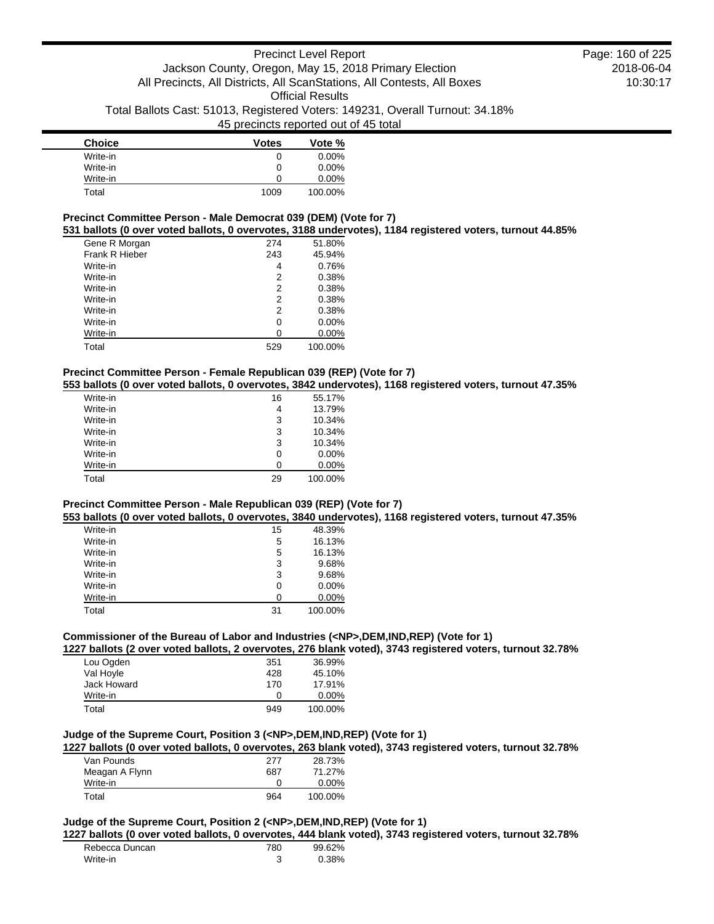| <b>Choice</b> | <b>Votes</b> | Vote %   |
|---------------|--------------|----------|
| Write-in      | 0            | $0.00\%$ |
| Write-in      | 0            | $0.00\%$ |
| Write-in      | O            | $0.00\%$ |
| Total         | 1009         | 100.00%  |

# **Precinct Committee Person - Male Democrat 039 (DEM) (Vote for 7)**

**531 ballots (0 over voted ballots, 0 overvotes, 3188 undervotes), 1184 registered voters, turnout 44.85%**

| Gene R Morgan  | 274 | 51.80%   |
|----------------|-----|----------|
| Frank R Hieber | 243 | 45.94%   |
| Write-in       | 4   | 0.76%    |
| Write-in       | 2   | 0.38%    |
| Write-in       | 2   | 0.38%    |
| Write-in       | 2   | 0.38%    |
| Write-in       | 2   | 0.38%    |
| Write-in       | 0   | $0.00\%$ |
| Write-in       | ი   | 0.00%    |
| Total          | 529 | 100.00%  |

# **Precinct Committee Person - Female Republican 039 (REP) (Vote for 7)**

**553 ballots (0 over voted ballots, 0 overvotes, 3842 undervotes), 1168 registered voters, turnout 47.35%**

| Write-in | 16 | 55.17%   |
|----------|----|----------|
| Write-in | 4  | 13.79%   |
| Write-in | 3  | 10.34%   |
| Write-in | 3  | 10.34%   |
| Write-in | 3  | 10.34%   |
| Write-in | 0  | $0.00\%$ |
| Write-in | ი  | $0.00\%$ |
| Total    | 29 | 100.00%  |

### **Precinct Committee Person - Male Republican 039 (REP) (Vote for 7)**

**553 ballots (0 over voted ballots, 0 overvotes, 3840 undervotes), 1168 registered voters, turnout 47.35%**

| Write-in | 15 | 48.39%   |
|----------|----|----------|
| Write-in | 5  | 16.13%   |
| Write-in | 5  | 16.13%   |
| Write-in | 3  | 9.68%    |
| Write-in | 3  | 9.68%    |
| Write-in | 0  | $0.00\%$ |
| Write-in | O  | $0.00\%$ |
| Total    | 31 | 100.00%  |

# **Commissioner of the Bureau of Labor and Industries (<NP>,DEM,IND,REP) (Vote for 1)**

**1227 ballots (2 over voted ballots, 2 overvotes, 276 blank voted), 3743 registered voters, turnout 32.78%**

| Lou Ogden   | 351 | 36.99%   |
|-------------|-----|----------|
| Val Hoyle   | 428 | 45.10%   |
| Jack Howard | 170 | 17.91%   |
| Write-in    | 0   | $0.00\%$ |
| Total       | 949 | 100.00%  |

# **Judge of the Supreme Court, Position 3 (<NP>,DEM,IND,REP) (Vote for 1)**

**1227 ballots (0 over voted ballots, 0 overvotes, 263 blank voted), 3743 registered voters, turnout 32.78%**

| Van Pounds     | 277 | 28.73%   |
|----------------|-----|----------|
| Meagan A Flynn | 687 | 71.27%   |
| Write-in       |     | $0.00\%$ |
| Total          | 964 | 100.00%  |

# **Judge of the Supreme Court, Position 2 (<NP>,DEM,IND,REP) (Vote for 1)**

**1227 ballots (0 over voted ballots, 0 overvotes, 444 blank voted), 3743 registered voters, turnout 32.78%**

| Rebecca Duncan | 780 | 99.62% |
|----------------|-----|--------|
| Write-in       |     | 0.38%  |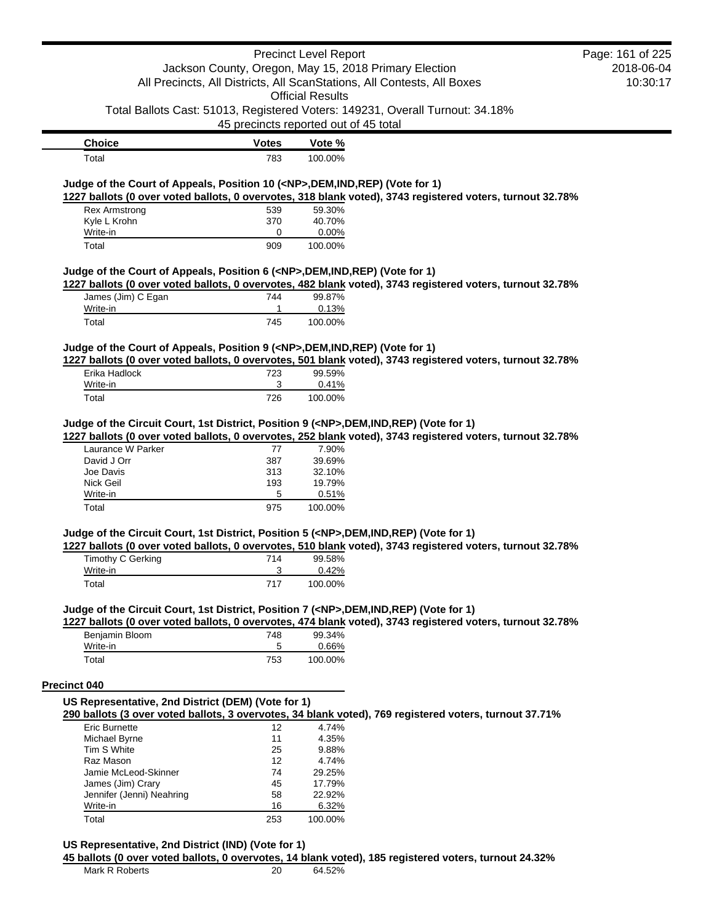|                                                                                            |                                       | <b>Precinct Level Report</b> |                                                                                                           | Page: 161 of 225 |
|--------------------------------------------------------------------------------------------|---------------------------------------|------------------------------|-----------------------------------------------------------------------------------------------------------|------------------|
|                                                                                            |                                       |                              | Jackson County, Oregon, May 15, 2018 Primary Election                                                     | 2018-06-04       |
|                                                                                            |                                       |                              | All Precincts, All Districts, All ScanStations, All Contests, All Boxes                                   | 10:30:17         |
|                                                                                            |                                       | <b>Official Results</b>      |                                                                                                           |                  |
|                                                                                            | 45 precincts reported out of 45 total |                              | Total Ballots Cast: 51013, Registered Voters: 149231, Overall Turnout: 34.18%                             |                  |
| <b>Choice</b>                                                                              | <b>Votes</b>                          | Vote %                       |                                                                                                           |                  |
| Total                                                                                      | 783                                   | 100.00%                      |                                                                                                           |                  |
|                                                                                            |                                       |                              |                                                                                                           |                  |
| Judge of the Court of Appeals, Position 10 ( <np>, DEM, IND, REP) (Vote for 1)</np>        |                                       |                              |                                                                                                           |                  |
|                                                                                            |                                       |                              | 1227 ballots (0 over voted ballots, 0 overvotes, 318 blank voted), 3743 registered voters, turnout 32.78% |                  |
| <b>Rex Armstrong</b><br>Kyle L Krohn                                                       | 539<br>370                            | 59.30%<br>40.70%             |                                                                                                           |                  |
| Write-in                                                                                   | 0                                     | 0.00%                        |                                                                                                           |                  |
| Total                                                                                      | 909                                   | 100.00%                      |                                                                                                           |                  |
|                                                                                            |                                       |                              |                                                                                                           |                  |
| Judge of the Court of Appeals, Position 6 ( <np>,DEM,IND,REP) (Vote for 1)</np>            |                                       |                              |                                                                                                           |                  |
|                                                                                            |                                       | 99.87%                       | 1227 ballots (0 over voted ballots, 0 overvotes, 482 blank voted), 3743 registered voters, turnout 32.78% |                  |
| James (Jim) C Egan<br>Write-in                                                             | 744<br>1                              | 0.13%                        |                                                                                                           |                  |
| Total                                                                                      | 745                                   | 100.00%                      |                                                                                                           |                  |
|                                                                                            |                                       |                              |                                                                                                           |                  |
| Judge of the Court of Appeals, Position 9 ( <np>,DEM,IND,REP) (Vote for 1)</np>            |                                       |                              |                                                                                                           |                  |
|                                                                                            |                                       |                              | 1227 ballots (0 over voted ballots, 0 overvotes, 501 blank voted), 3743 registered voters, turnout 32.78% |                  |
| Erika Hadlock                                                                              | 723                                   | 99.59%                       |                                                                                                           |                  |
| Write-in                                                                                   | 3                                     | 0.41%                        |                                                                                                           |                  |
| Total                                                                                      | 726                                   | 100.00%                      |                                                                                                           |                  |
|                                                                                            |                                       |                              |                                                                                                           |                  |
| Judge of the Circuit Court, 1st District, Position 9 ( <np>,DEM,IND,REP) (Vote for 1)</np> |                                       |                              |                                                                                                           |                  |
| Laurance W Parker                                                                          |                                       | 7.90%                        | 1227 ballots (0 over voted ballots, 0 overvotes, 252 blank voted), 3743 registered voters, turnout 32.78% |                  |
| David J Orr                                                                                | 77<br>387                             | 39.69%                       |                                                                                                           |                  |
| Joe Davis                                                                                  | 313                                   | 32.10%                       |                                                                                                           |                  |
| Nick Geil                                                                                  | 193                                   | 19.79%                       |                                                                                                           |                  |
| Write-in                                                                                   | 5                                     | 0.51%                        |                                                                                                           |                  |
| Total                                                                                      | 975                                   | 100.00%                      |                                                                                                           |                  |
|                                                                                            |                                       |                              |                                                                                                           |                  |
| Judge of the Circuit Court, 1st District, Position 5 ( <np>,DEM,IND,REP) (Vote for 1)</np> |                                       |                              | 1227 ballots (0 over voted ballots, 0 overvotes, 510 blank voted), 3743 registered voters, turnout 32.78% |                  |
| Timothy C Gerking                                                                          | 714                                   | 99.58%                       |                                                                                                           |                  |
| Write-in                                                                                   | 3                                     | 0.42%                        |                                                                                                           |                  |
| Total                                                                                      | 717                                   | 100.00%                      |                                                                                                           |                  |
|                                                                                            |                                       |                              |                                                                                                           |                  |
| Judge of the Circuit Court, 1st District, Position 7 ( <np>,DEM,IND,REP) (Vote for 1)</np> |                                       |                              | 1227 ballots (0 over voted ballots, 0 overvotes, 474 blank voted), 3743 registered voters, turnout 32.78% |                  |
| Benjamin Bloom                                                                             | 748                                   | 99.34%                       |                                                                                                           |                  |
| Write-in                                                                                   | 5                                     | 0.66%                        |                                                                                                           |                  |
| Total                                                                                      | 753                                   | 100.00%                      |                                                                                                           |                  |
|                                                                                            |                                       |                              |                                                                                                           |                  |
| <b>Precinct 040</b>                                                                        |                                       |                              |                                                                                                           |                  |
| US Representative, 2nd District (DEM) (Vote for 1)                                         |                                       |                              |                                                                                                           |                  |
| Eric Burnette                                                                              | 12                                    | 4.74%                        | 290 ballots (3 over voted ballots, 3 overvotes, 34 blank voted), 769 registered voters, turnout 37.71%    |                  |
|                                                                                            | 11                                    | 4.35%                        |                                                                                                           |                  |
| Michael Byrne<br>Tim S White                                                               | 25                                    | 9.88%                        |                                                                                                           |                  |
| Raz Mason                                                                                  | 12                                    | 4.74%                        |                                                                                                           |                  |
| Jamie McLeod-Skinner                                                                       | 74                                    | 29.25%                       |                                                                                                           |                  |
| James (Jim) Crary                                                                          | 45                                    | 17.79%                       |                                                                                                           |                  |
| Jennifer (Jenni) Neahring                                                                  | 58                                    | 22.92%                       |                                                                                                           |                  |
| Write-in                                                                                   | 16                                    | 6.32%                        |                                                                                                           |                  |
| Total                                                                                      | 253                                   | 100.00%                      |                                                                                                           |                  |
|                                                                                            |                                       |                              |                                                                                                           |                  |
| US Representative, 2nd District (IND) (Vote for 1)                                         |                                       |                              | 45 ballots (0 over voted ballots, 0 overvotes, 14 blank voted), 185 registered voters, turnout 24.32%     |                  |
| Mark R Roberts                                                                             | 20                                    | 64.52%                       |                                                                                                           |                  |
|                                                                                            |                                       |                              |                                                                                                           |                  |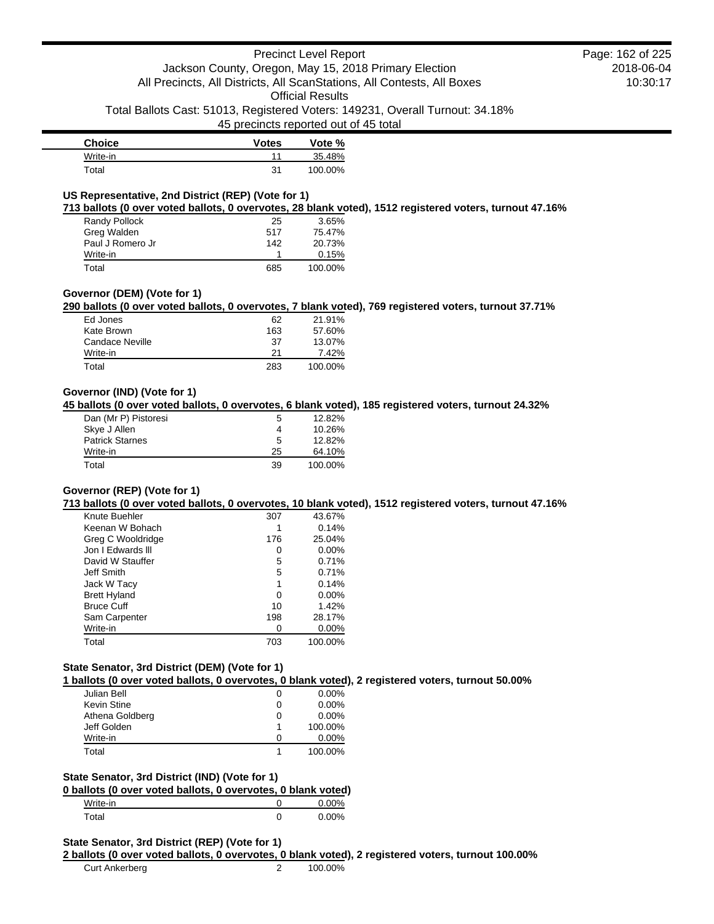# Precinct Level Report Jackson County, Oregon, May 15, 2018 Primary Election All Precincts, All Districts, All ScanStations, All Contests, All Boxes Official Results

Total Ballots Cast: 51013, Registered Voters: 149231, Overall Turnout: 34.18%

45 precincts reported out of 45 total

| <b>Choice</b>    | <b>Votes</b> | Vote %  |
|------------------|--------------|---------|
| Write-in         | 11           | 35.48%  |
| $\mathsf{Total}$ | 31           | 100.00% |

# **US Representative, 2nd District (REP) (Vote for 1)**

**713 ballots (0 over voted ballots, 0 overvotes, 28 blank voted), 1512 registered voters, turnout 47.16%**

| Randy Pollock    | 25  | 3.65%   |
|------------------|-----|---------|
| Greg Walden      | 517 | 75.47%  |
| Paul J Romero Jr | 142 | 20.73%  |
| Write-in         |     | 0.15%   |
| Total            | 685 | 100.00% |

# **Governor (DEM) (Vote for 1)**

**290 ballots (0 over voted ballots, 0 overvotes, 7 blank voted), 769 registered voters, turnout 37.71%**

| Ed Jones        | 62  | 21.91%  |
|-----------------|-----|---------|
| Kate Brown      | 163 | 57.60%  |
| Candace Neville | 37  | 13.07%  |
| Write-in        | 21  | 7.42%   |
| Total           | 283 | 100.00% |

# **Governor (IND) (Vote for 1)**

**45 ballots (0 over voted ballots, 0 overvotes, 6 blank voted), 185 registered voters, turnout 24.32%**

| Dan (Mr P) Pistoresi   | 5  | 12.82%  |
|------------------------|----|---------|
| Skye J Allen           | 4  | 10.26%  |
| <b>Patrick Starnes</b> | 5  | 12.82%  |
| Write-in               | 25 | 64.10%  |
| Total                  | 39 | 100.00% |

# **Governor (REP) (Vote for 1)**

**713 ballots (0 over voted ballots, 0 overvotes, 10 blank voted), 1512 registered voters, turnout 47.16%**

| Knute Buehler       | 307 | 43.67%   |
|---------------------|-----|----------|
| Keenan W Bohach     |     | 0.14%    |
| Greg C Wooldridge   | 176 | 25.04%   |
| Jon I Fdwards III   | 0   | $0.00\%$ |
| David W Stauffer    | 5   | 0.71%    |
| Jeff Smith          | 5   | 0.71%    |
| Jack W Tacy         | 1   | 0.14%    |
| <b>Brett Hyland</b> | 0   | $0.00\%$ |
| <b>Bruce Cuff</b>   | 10  | 1.42%    |
| Sam Carpenter       | 198 | 28.17%   |
| Write-in            |     | $0.00\%$ |
| Total               | 703 | 100.00%  |

# **State Senator, 3rd District (DEM) (Vote for 1)**

**1 ballots (0 over voted ballots, 0 overvotes, 0 blank voted), 2 registered voters, turnout 50.00%**

| Julian Bell     | O | $0.00\%$ |
|-----------------|---|----------|
| Kevin Stine     | 0 | $0.00\%$ |
| Athena Goldberg | 0 | $0.00\%$ |
| Jeff Golden     |   | 100.00%  |
| Write-in        | O | $0.00\%$ |
| Total           |   | 100.00%  |

#### **State Senator, 3rd District (IND) (Vote for 1)**

| 0 ballots (0 over voted ballots, 0 overvotes, 0 blank voted) |          |
|--------------------------------------------------------------|----------|
| Write-in                                                     | $0.00\%$ |
| Total                                                        | 0.00%    |

#### **State Senator, 3rd District (REP) (Vote for 1)**

#### **2 ballots (0 over voted ballots, 0 overvotes, 0 blank voted), 2 registered voters, turnout 100.00%**

Curt Ankerberg 2 100.00%

2018-06-04 10:30:17 Page: 162 of 225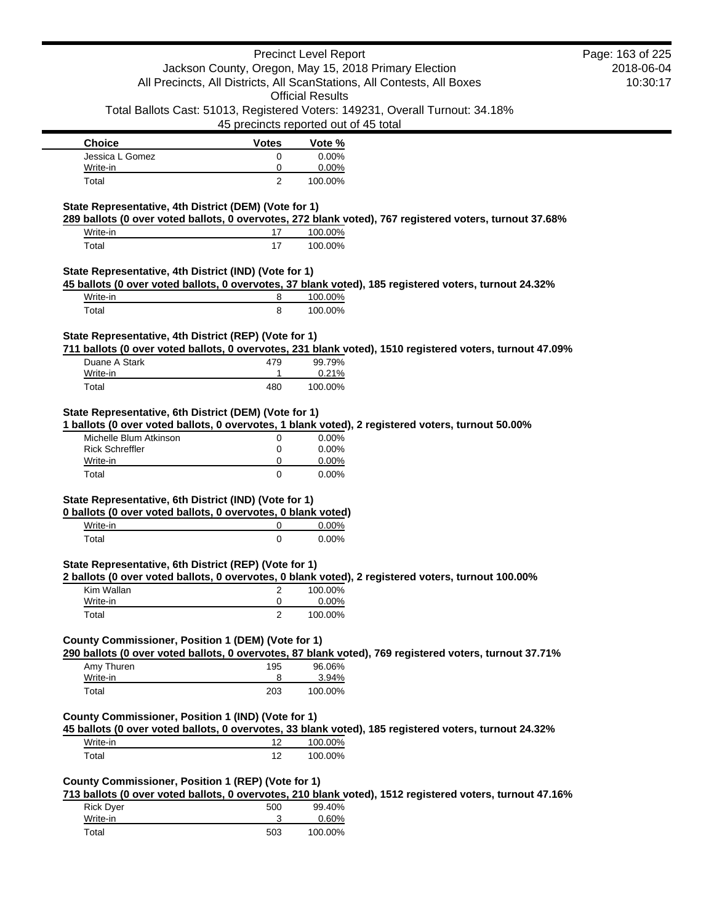|                                                                                                          |                | <b>Precinct Level Report</b>                                                  | Page: 163 of 225 |
|----------------------------------------------------------------------------------------------------------|----------------|-------------------------------------------------------------------------------|------------------|
|                                                                                                          |                | Jackson County, Oregon, May 15, 2018 Primary Election                         | 2018-06-04       |
|                                                                                                          |                | All Precincts, All Districts, All ScanStations, All Contests, All Boxes       | 10:30:17         |
|                                                                                                          |                | <b>Official Results</b>                                                       |                  |
|                                                                                                          |                | Total Ballots Cast: 51013, Registered Voters: 149231, Overall Turnout: 34.18% |                  |
|                                                                                                          |                | 45 precincts reported out of 45 total                                         |                  |
|                                                                                                          |                |                                                                               |                  |
| <b>Choice</b>                                                                                            | <b>Votes</b>   | Vote %                                                                        |                  |
| Jessica L Gomez<br>Write-in                                                                              | 0<br>0         | 0.00%<br>0.00%                                                                |                  |
| Total                                                                                                    | $\overline{2}$ | 100.00%                                                                       |                  |
|                                                                                                          |                |                                                                               |                  |
| State Representative, 4th District (DEM) (Vote for 1)                                                    |                |                                                                               |                  |
| 289 ballots (0 over voted ballots, 0 overvotes, 272 blank voted), 767 registered voters, turnout 37.68%  |                |                                                                               |                  |
| Write-in                                                                                                 | 17             | 100.00%                                                                       |                  |
| Total                                                                                                    | 17             | 100.00%                                                                       |                  |
|                                                                                                          |                |                                                                               |                  |
| State Representative, 4th District (IND) (Vote for 1)                                                    |                |                                                                               |                  |
| 45 ballots (0 over voted ballots, 0 overvotes, 37 blank voted), 185 registered voters, turnout 24.32%    |                |                                                                               |                  |
| Write-in                                                                                                 | 8              | 100.00%                                                                       |                  |
| Total                                                                                                    | 8              | 100.00%                                                                       |                  |
|                                                                                                          |                |                                                                               |                  |
| State Representative, 4th District (REP) (Vote for 1)                                                    |                |                                                                               |                  |
| 711 ballots (0 over voted ballots, 0 overvotes, 231 blank voted), 1510 registered voters, turnout 47.09% |                |                                                                               |                  |
| Duane A Stark                                                                                            | 479            | 99.79%                                                                        |                  |
| Write-in                                                                                                 | 1              | 0.21%                                                                         |                  |
| Total                                                                                                    | 480            | 100.00%                                                                       |                  |
| <b>Rick Schreffler</b><br>Write-in                                                                       | 0<br>0         | 0.00%<br>0.00%                                                                |                  |
| Total                                                                                                    | 0              | 0.00%                                                                         |                  |
| State Representative, 6th District (IND) (Vote for 1)                                                    |                |                                                                               |                  |
| 0 ballots (0 over voted ballots, 0 overvotes, 0 blank voted)                                             |                |                                                                               |                  |
| Write-in                                                                                                 | 0              | 0.00%                                                                         |                  |
| Total                                                                                                    | 0              | 0.00%                                                                         |                  |
|                                                                                                          |                |                                                                               |                  |
| State Representative, 6th District (REP) (Vote for 1)                                                    |                |                                                                               |                  |
| 2 ballots (0 over voted ballots, 0 overvotes, 0 blank voted), 2 registered voters, turnout 100.00%       |                |                                                                               |                  |
| Kim Wallan                                                                                               | $\overline{2}$ | 100.00%                                                                       |                  |
| Write-in                                                                                                 | 0              | 0.00%                                                                         |                  |
| Total                                                                                                    | $\overline{2}$ | 100.00%                                                                       |                  |
|                                                                                                          |                |                                                                               |                  |
| County Commissioner, Position 1 (DEM) (Vote for 1)                                                       |                |                                                                               |                  |
| 290 ballots (0 over voted ballots, 0 overvotes, 87 blank voted), 769 registered voters, turnout 37.71%   |                |                                                                               |                  |
| Amy Thuren                                                                                               | 195            | 96.06%                                                                        |                  |
| Write-in                                                                                                 | 8              | 3.94%                                                                         |                  |
| Total                                                                                                    | 203            | 100.00%                                                                       |                  |
|                                                                                                          |                |                                                                               |                  |
| County Commissioner, Position 1 (IND) (Vote for 1)                                                       |                |                                                                               |                  |
| 45 ballots (0 over voted ballots, 0 overvotes, 33 blank voted), 185 registered voters, turnout 24.32%    |                |                                                                               |                  |
| Write-in                                                                                                 | 12             | 100.00%                                                                       |                  |
| Total                                                                                                    | 12             | 100.00%                                                                       |                  |
|                                                                                                          |                |                                                                               |                  |
| County Commissioner, Position 1 (REP) (Vote for 1)                                                       |                |                                                                               |                  |
| 713 ballots (0 over voted ballots, 0 overvotes, 210 blank voted), 1512 registered voters, turnout 47.16% |                |                                                                               |                  |
| <b>Rick Dyer</b>                                                                                         | 500            | 99.40%                                                                        |                  |
| Write-in                                                                                                 | 3              | 0.60%                                                                         |                  |

Total 503 100.00%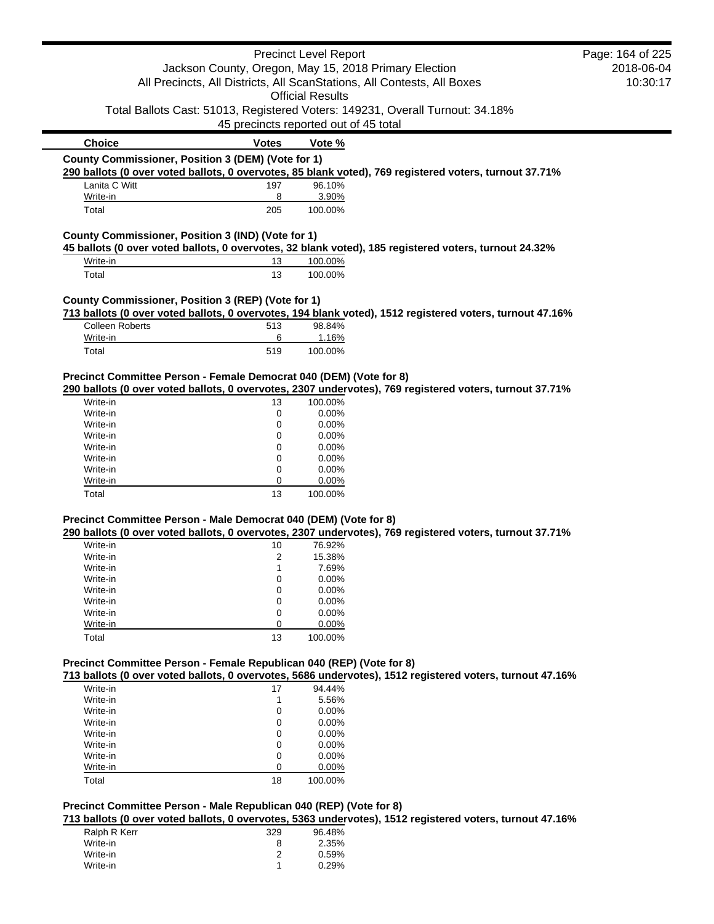|                                                                      |                                                       | <b>Precinct Level Report</b> |                                                                                                          | Page: 164 of 225 |
|----------------------------------------------------------------------|-------------------------------------------------------|------------------------------|----------------------------------------------------------------------------------------------------------|------------------|
|                                                                      | Jackson County, Oregon, May 15, 2018 Primary Election |                              |                                                                                                          | 2018-06-04       |
|                                                                      |                                                       |                              | All Precincts, All Districts, All ScanStations, All Contests, All Boxes                                  | 10:30:17         |
|                                                                      |                                                       | <b>Official Results</b>      |                                                                                                          |                  |
|                                                                      |                                                       |                              | Total Ballots Cast: 51013, Registered Voters: 149231, Overall Turnout: 34.18%                            |                  |
|                                                                      | 45 precincts reported out of 45 total                 |                              |                                                                                                          |                  |
| <b>Choice</b>                                                        |                                                       |                              |                                                                                                          |                  |
| County Commissioner, Position 3 (DEM) (Vote for 1)                   | <b>Votes</b>                                          | Vote %                       |                                                                                                          |                  |
|                                                                      |                                                       |                              | 290 ballots (0 over voted ballots, 0 overvotes, 85 blank voted), 769 registered voters, turnout 37.71%   |                  |
| Lanita C Witt                                                        | 197                                                   | 96.10%                       |                                                                                                          |                  |
| Write-in                                                             | 8                                                     | 3.90%                        |                                                                                                          |                  |
| Total                                                                | 205                                                   | 100.00%                      |                                                                                                          |                  |
| County Commissioner, Position 3 (IND) (Vote for 1)                   |                                                       |                              |                                                                                                          |                  |
|                                                                      |                                                       |                              | 45 ballots (0 over voted ballots, 0 overvotes, 32 blank voted), 185 registered voters, turnout 24.32%    |                  |
| Write-in                                                             | 13                                                    | 100.00%                      |                                                                                                          |                  |
| Total                                                                | 13                                                    | 100.00%                      |                                                                                                          |                  |
| County Commissioner, Position 3 (REP) (Vote for 1)                   |                                                       |                              |                                                                                                          |                  |
|                                                                      |                                                       |                              | 713 ballots (0 over voted ballots, 0 overvotes, 194 blank voted), 1512 registered voters, turnout 47.16% |                  |
| <b>Colleen Roberts</b>                                               | 513                                                   | 98.84%                       |                                                                                                          |                  |
| Write-in                                                             | 6                                                     | 1.16%                        |                                                                                                          |                  |
| Total                                                                | 519                                                   | 100.00%                      |                                                                                                          |                  |
| Precinct Committee Person - Female Democrat 040 (DEM) (Vote for 8)   |                                                       |                              |                                                                                                          |                  |
|                                                                      |                                                       |                              | 290 ballots (0 over voted ballots, 0 overvotes, 2307 undervotes), 769 registered voters, turnout 37.71%  |                  |
|                                                                      |                                                       |                              |                                                                                                          |                  |
| Write-in                                                             | 13                                                    | 100.00%                      |                                                                                                          |                  |
| Write-in                                                             | 0                                                     | 0.00%                        |                                                                                                          |                  |
| Write-in                                                             | 0                                                     | 0.00%                        |                                                                                                          |                  |
| Write-in                                                             | 0                                                     | 0.00%                        |                                                                                                          |                  |
| Write-in                                                             | 0                                                     | 0.00%                        |                                                                                                          |                  |
| Write-in                                                             | 0                                                     | 0.00%                        |                                                                                                          |                  |
| Write-in                                                             | 0                                                     | 0.00%                        |                                                                                                          |                  |
| Write-in                                                             | 0                                                     | 0.00%                        |                                                                                                          |                  |
| Total                                                                | 13                                                    | 100.00%                      |                                                                                                          |                  |
|                                                                      |                                                       |                              |                                                                                                          |                  |
| Precinct Committee Person - Male Democrat 040 (DEM) (Vote for 8)     |                                                       |                              | 290 ballots (0 over voted ballots, 0 overvotes, 2307 undervotes), 769 registered voters, turnout 37.71%  |                  |
| Write-in                                                             | 10                                                    | 76.92%                       |                                                                                                          |                  |
| Write-in                                                             | 2                                                     | 15.38%                       |                                                                                                          |                  |
| Write-in                                                             | 1                                                     | 7.69%                        |                                                                                                          |                  |
| Write-in                                                             | 0                                                     | 0.00%                        |                                                                                                          |                  |
| Write-in                                                             | 0                                                     | 0.00%                        |                                                                                                          |                  |
| Write-in                                                             | 0                                                     | 0.00%                        |                                                                                                          |                  |
| Write-in                                                             | 0                                                     | 0.00%                        |                                                                                                          |                  |
| Write-in                                                             | 0                                                     | 0.00%                        |                                                                                                          |                  |
| Total                                                                | 13                                                    | 100.00%                      |                                                                                                          |                  |
|                                                                      |                                                       |                              |                                                                                                          |                  |
| Precinct Committee Person - Female Republican 040 (REP) (Vote for 8) |                                                       |                              |                                                                                                          |                  |
|                                                                      |                                                       |                              | 713 ballots (0 over voted ballots, 0 overvotes, 5686 undervotes), 1512 registered voters, turnout 47.16% |                  |
| Write-in                                                             | 17                                                    | 94.44%                       |                                                                                                          |                  |
| Write-in                                                             | 1                                                     | 5.56%                        |                                                                                                          |                  |
| Write-in                                                             | 0                                                     | 0.00%                        |                                                                                                          |                  |
| Write-in                                                             | 0                                                     | 0.00%                        |                                                                                                          |                  |
| Write-in                                                             | 0                                                     | 0.00%                        |                                                                                                          |                  |
| Write-in                                                             | 0                                                     | 0.00%                        |                                                                                                          |                  |
| Write-in                                                             | 0                                                     | 0.00%                        |                                                                                                          |                  |
| Write-in<br>Total                                                    | 0<br>18                                               | 0.00%<br>100.00%             |                                                                                                          |                  |

**713 ballots (0 over voted ballots, 0 overvotes, 5363 undervotes), 1512 registered voters, turnout 47.16%**

| Ralph R Kerr | 329 | 96.48% |
|--------------|-----|--------|
| Write-in     | 8   | 2.35%  |
| Write-in     |     | 0.59%  |
| Write-in     |     | 0.29%  |
|              |     |        |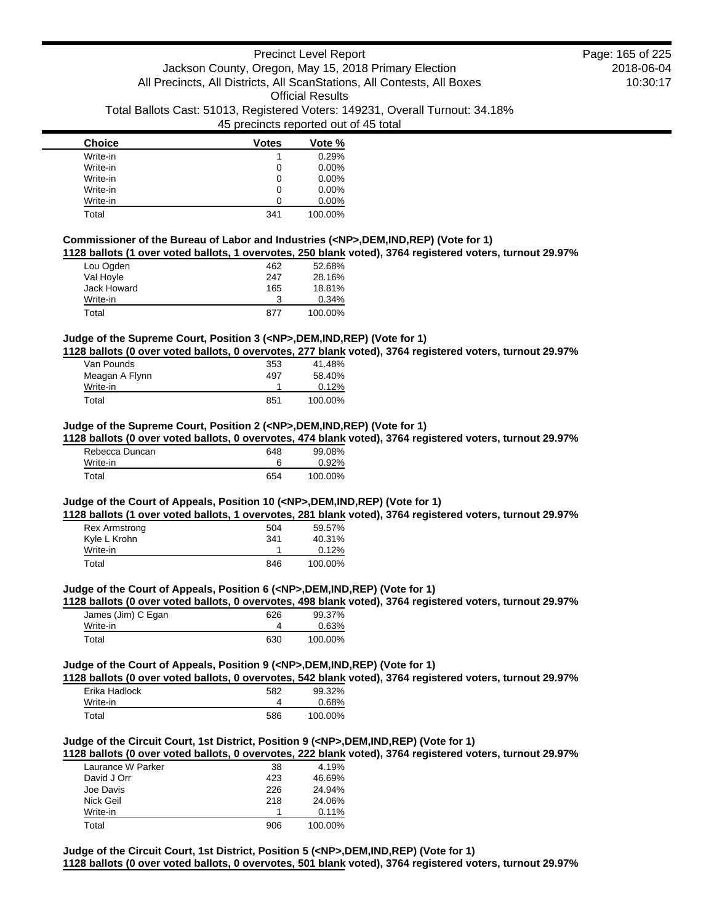| <b>Choice</b> | <b>Votes</b> | Vote %   |
|---------------|--------------|----------|
| Write-in      |              | 0.29%    |
| Write-in      | 0            | $0.00\%$ |
| Write-in      | 0            | $0.00\%$ |
| Write-in      | 0            | $0.00\%$ |
| Write-in      | O            | $0.00\%$ |
| Total         | 341          | 100.00%  |

# **Commissioner of the Bureau of Labor and Industries (<NP>,DEM,IND,REP) (Vote for 1)**

**1128 ballots (1 over voted ballots, 1 overvotes, 250 blank voted), 3764 registered voters, turnout 29.97%**

| Lou Ogden   | 462 | 52.68%  |
|-------------|-----|---------|
| Val Hoyle   | 247 | 28.16%  |
| Jack Howard | 165 | 18.81%  |
| Write-in    | З   | 0.34%   |
| Total       | 877 | 100.00% |

# **Judge of the Supreme Court, Position 3 (<NP>,DEM,IND,REP) (Vote for 1)**

**1128 ballots (0 over voted ballots, 0 overvotes, 277 blank voted), 3764 registered voters, turnout 29.97%**

| Van Pounds     | 353 | 41.48%  |
|----------------|-----|---------|
| Meagan A Flynn | 497 | 58.40%  |
| Write-in       |     | 0.12%   |
| Total          | 851 | 100.00% |

#### **Judge of the Supreme Court, Position 2 (<NP>,DEM,IND,REP) (Vote for 1)**

**1128 ballots (0 over voted ballots, 0 overvotes, 474 blank voted), 3764 registered voters, turnout 29.97%**

| Rebecca Duncan | 648 | 99.08%  |
|----------------|-----|---------|
| Write-in       |     | 0.92%   |
| Total          | 654 | 100.00% |

# **Judge of the Court of Appeals, Position 10 (<NP>,DEM,IND,REP) (Vote for 1)**

**1128 ballots (1 over voted ballots, 1 overvotes, 281 blank voted), 3764 registered voters, turnout 29.97%**

| <b>Rex Armstrong</b> | 504 | 59.57%  |
|----------------------|-----|---------|
| Kyle L Krohn         | 341 | 40.31%  |
| Write-in             |     | 0.12%   |
| Total                | 846 | 100.00% |

# **Judge of the Court of Appeals, Position 6 (<NP>,DEM,IND,REP) (Vote for 1)**

**1128 ballots (0 over voted ballots, 0 overvotes, 498 blank voted), 3764 registered voters, turnout 29.97%**

| James (Jim) C Egan | 626 | 99.37%  |
|--------------------|-----|---------|
| Write-in           |     | 0.63%   |
| Total              | 630 | 100.00% |

### **Judge of the Court of Appeals, Position 9 (<NP>,DEM,IND,REP) (Vote for 1)**

**1128 ballots (0 over voted ballots, 0 overvotes, 542 blank voted), 3764 registered voters, turnout 29.97%**

| Erika Hadlock | 582 | 99.32%  |
|---------------|-----|---------|
| Write-in      |     | 0.68%   |
| Total         | 586 | 100.00% |

# **Judge of the Circuit Court, 1st District, Position 9 (<NP>,DEM,IND,REP) (Vote for 1)**

**1128 ballots (0 over voted ballots, 0 overvotes, 222 blank voted), 3764 registered voters, turnout 29.97%**

| Laurance W Parker | 38  | 4.19%   |
|-------------------|-----|---------|
| David J Orr       | 423 | 46.69%  |
| Joe Davis         | 226 | 24.94%  |
| Nick Geil         | 218 | 24.06%  |
| Write-in          |     | 0.11%   |
| Total             | 906 | 100.00% |

**Judge of the Circuit Court, 1st District, Position 5 (<NP>,DEM,IND,REP) (Vote for 1) 1128 ballots (0 over voted ballots, 0 overvotes, 501 blank voted), 3764 registered voters, turnout 29.97%**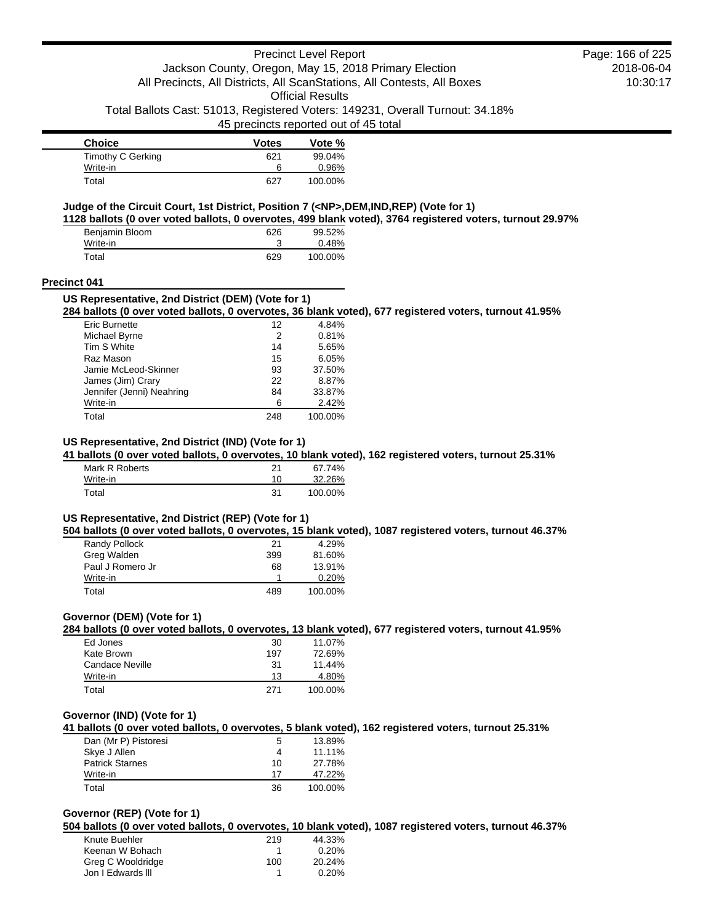| <b>Choice</b>     | <b>Votes</b> | Vote %  |
|-------------------|--------------|---------|
| Timothy C Gerking | 621          | 99.04%  |
| Write-in          |              | 0.96%   |
| Total             | 627          | 100.00% |

#### **Judge of the Circuit Court, 1st District, Position 7 (<NP>,DEM,IND,REP) (Vote for 1)**

**1128 ballots (0 over voted ballots, 0 overvotes, 499 blank voted), 3764 registered voters, turnout 29.97%**

| Benjamin Bloom | 626 | 99.52%  |
|----------------|-----|---------|
| Write-in       |     | 0.48%   |
| Total          | 629 | 100.00% |

#### **Precinct 041**

#### **US Representative, 2nd District (DEM) (Vote for 1)**

**284 ballots (0 over voted ballots, 0 overvotes, 36 blank voted), 677 registered voters, turnout 41.95%**

| Eric Burnette             | 12  | 4.84%   |
|---------------------------|-----|---------|
| Michael Byrne             | 2   | 0.81%   |
| Tim S White               | 14  | 5.65%   |
| Raz Mason                 | 15  | 6.05%   |
| Jamie McLeod-Skinner      | 93  | 37.50%  |
| James (Jim) Crary         | 22  | 8.87%   |
| Jennifer (Jenni) Neahring | 84  | 33.87%  |
| Write-in                  | 6   | 2.42%   |
| Total                     | 248 | 100.00% |

# **US Representative, 2nd District (IND) (Vote for 1)**

**41 ballots (0 over voted ballots, 0 overvotes, 10 blank voted), 162 registered voters, turnout 25.31%**

| Mark R Roberts | 21 | 67.74%  |
|----------------|----|---------|
| Write-in       | 10 | 32.26%  |
| Total          | 31 | 100.00% |

# **US Representative, 2nd District (REP) (Vote for 1)**

**504 ballots (0 over voted ballots, 0 overvotes, 15 blank voted), 1087 registered voters, turnout 46.37%**

| Randy Pollock    | 21  | 4.29%   |
|------------------|-----|---------|
| Greg Walden      | 399 | 81.60%  |
| Paul J Romero Jr | 68  | 13.91%  |
| Write-in         |     | 0.20%   |
| Total            | 489 | 100.00% |

# **Governor (DEM) (Vote for 1)**

**284 ballots (0 over voted ballots, 0 overvotes, 13 blank voted), 677 registered voters, turnout 41.95%**

| Ed Jones        | 30  | 11.07%  |
|-----------------|-----|---------|
| Kate Brown      | 197 | 72.69%  |
| Candace Neville | 31  | 11.44%  |
| Write-in        | 13  | 4.80%   |
| Total           | 271 | 100.00% |

### **Governor (IND) (Vote for 1)**

## **41 ballots (0 over voted ballots, 0 overvotes, 5 blank voted), 162 registered voters, turnout 25.31%**

| Dan (Mr P) Pistoresi   | 5  | 13.89%  |
|------------------------|----|---------|
| Skye J Allen           | 4  | 11.11%  |
| <b>Patrick Starnes</b> | 10 | 27.78%  |
| Write-in               | 17 | 47.22%  |
| Total                  | 36 | 100.00% |

# **Governor (REP) (Vote for 1)**

**504 ballots (0 over voted ballots, 0 overvotes, 10 blank voted), 1087 registered voters, turnout 46.37%**

| Knute Buehler     | 219 | 44.33% |
|-------------------|-----|--------|
| Keenan W Bohach   |     | 0.20%  |
| Greg C Wooldridge | 100 | 20.24% |
| Jon I Edwards III |     | 0.20%  |
|                   |     |        |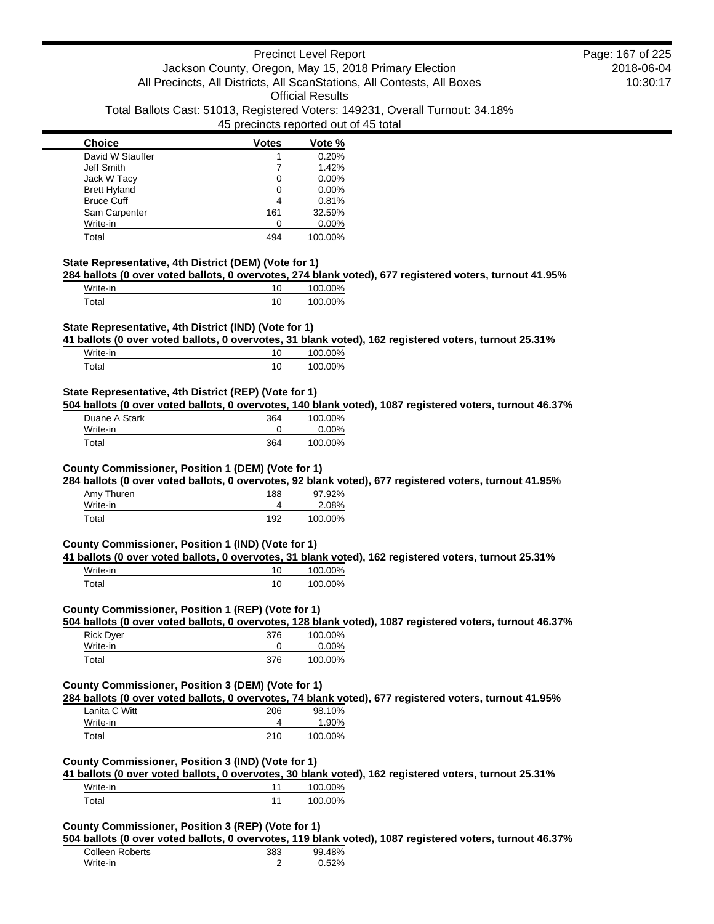| <b>Choice</b>       | <b>Votes</b> | Vote %  |
|---------------------|--------------|---------|
| David W Stauffer    |              | 0.20%   |
| Jeff Smith          |              | 1.42%   |
| Jack W Tacy         | 0            | 0.00%   |
| <b>Brett Hyland</b> | 0            | 0.00%   |
| <b>Bruce Cuff</b>   | 4            | 0.81%   |
| Sam Carpenter       | 161          | 32.59%  |
| Write-in            |              | 0.00%   |
| Total               | 494          | 100.00% |

#### **State Representative, 4th District (DEM) (Vote for 1)**

**284 ballots (0 over voted ballots, 0 overvotes, 274 blank voted), 677 registered voters, turnout 41.95%**

| Write-in                  | 100.00% |
|---------------------------|---------|
| $\mathop{\mathsf{Total}}$ | 100.00% |

# **State Representative, 4th District (IND) (Vote for 1)**

**41 ballots (0 over voted ballots, 0 overvotes, 31 blank voted), 162 registered voters, turnout 25.31%**

| Write-in    | 10 | 100.00% |
|-------------|----|---------|
| $\tau$ otal | 10 | 100.00% |

### **State Representative, 4th District (REP) (Vote for 1)**

**504 ballots (0 over voted ballots, 0 overvotes, 140 blank voted), 1087 registered voters, turnout 46.37%**

| Duane A Stark | 364 | 100.00% |
|---------------|-----|---------|
| Write-in      |     | 0.00%   |
| Total         | 364 | 100.00% |

# **County Commissioner, Position 1 (DEM) (Vote for 1)**

**284 ballots (0 over voted ballots, 0 overvotes, 92 blank voted), 677 registered voters, turnout 41.95%**

| Amy Thuren | 188 | 97.92%  |
|------------|-----|---------|
| Write-in   |     | 2.08%   |
| Total      | 192 | 100.00% |

# **County Commissioner, Position 1 (IND) (Vote for 1)**

**41 ballots (0 over voted ballots, 0 overvotes, 31 blank voted), 162 registered voters, turnout 25.31%** Write-in 100.00%

| $\tau$ otal | 10 | 100.00% |
|-------------|----|---------|
|             |    |         |

# **County Commissioner, Position 1 (REP) (Vote for 1)**

**504 ballots (0 over voted ballots, 0 overvotes, 128 blank voted), 1087 registered voters, turnout 46.37%**

| <b>Rick Dyer</b> | 376 | 100.00%  |
|------------------|-----|----------|
| Write-in         |     | $0.00\%$ |
| Total            | 376 | 100.00%  |

#### **County Commissioner, Position 3 (DEM) (Vote for 1)**

**284 ballots (0 over voted ballots, 0 overvotes, 74 blank voted), 677 registered voters, turnout 41.95%**

| Lanita C Witt | 206 | 98.10%  |
|---------------|-----|---------|
| Write-in      |     | 1.90%   |
| Total         | 210 | 100.00% |

#### **County Commissioner, Position 3 (IND) (Vote for 1)**

**41 ballots (0 over voted ballots, 0 overvotes, 30 blank voted), 162 registered voters, turnout 25.31%**

| Write-in | 100.00% |
|----------|---------|
| Total    | 100.00% |

### **County Commissioner, Position 3 (REP) (Vote for 1)**

**504 ballots (0 over voted ballots, 0 overvotes, 119 blank voted), 1087 registered voters, turnout 46.37%**

| Colleen Roberts | 383 | 99.48% |
|-----------------|-----|--------|
| Write-in        |     | 0.52%  |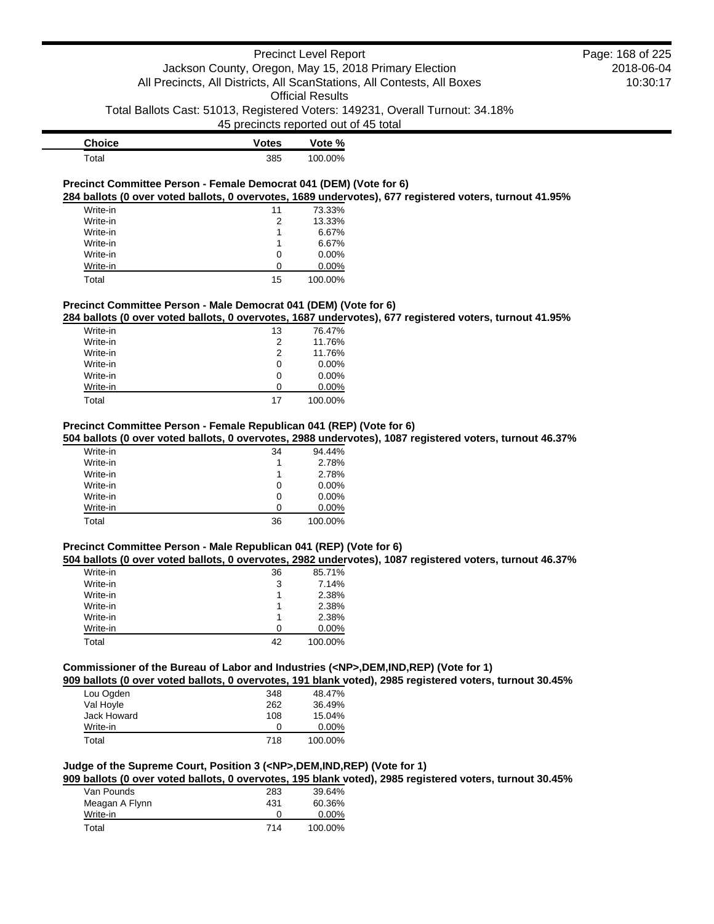# Precinct Level Report Jackson County, Oregon, May 15, 2018 Primary Election All Precincts, All Districts, All ScanStations, All Contests, All Boxes Official Results

Total Ballots Cast: 51013, Registered Voters: 149231, Overall Turnout: 34.18%

45 precincts reported out of 45 total

| <b>Choice</b> | Votes | Vote %  |
|---------------|-------|---------|
| Total         | 385   | 100.00% |

### **Precinct Committee Person - Female Democrat 041 (DEM) (Vote for 6) 284 ballots (0 over voted ballots, 0 overvotes, 1689 undervotes), 677 registered voters, turnout 41.95%**

| Write-in | 11 | 73.33%   |
|----------|----|----------|
| Write-in | 2  | 13.33%   |
| Write-in | 1  | 6.67%    |
| Write-in |    | 6.67%    |
| Write-in | 0  | $0.00\%$ |
| Write-in | ∩  | $0.00\%$ |
| Total    | 15 | 100.00%  |

## **Precinct Committee Person - Male Democrat 041 (DEM) (Vote for 6)**

**284 ballots (0 over voted ballots, 0 overvotes, 1687 undervotes), 677 registered voters, turnout 41.95%**

| Write-in | 13 | 76.47%   |
|----------|----|----------|
| Write-in | 2  | 11.76%   |
| Write-in | 2  | 11.76%   |
| Write-in | 0  | $0.00\%$ |
| Write-in | 0  | $0.00\%$ |
| Write-in | O  | $0.00\%$ |
| Total    | 17 | 100.00%  |

# **Precinct Committee Person - Female Republican 041 (REP) (Vote for 6)**

### **504 ballots (0 over voted ballots, 0 overvotes, 2988 undervotes), 1087 registered voters, turnout 46.37%**

| Write-in | 34 | 94.44%   |
|----------|----|----------|
| Write-in | 1  | 2.78%    |
| Write-in | 1  | 2.78%    |
| Write-in | 0  | $0.00\%$ |
| Write-in | 0  | $0.00\%$ |
| Write-in | O  | $0.00\%$ |
| Total    | 36 | 100.00%  |

# **Precinct Committee Person - Male Republican 041 (REP) (Vote for 6)**

#### **504 ballots (0 over voted ballots, 0 overvotes, 2982 undervotes), 1087 registered voters, turnout 46.37%**

| Write-in | 36 | 85.71%   |
|----------|----|----------|
| Write-in | 3  | 7.14%    |
| Write-in |    | 2.38%    |
| Write-in |    | 2.38%    |
| Write-in |    | 2.38%    |
| Write-in | O  | $0.00\%$ |
| Total    | 42 | 100.00%  |

## **Commissioner of the Bureau of Labor and Industries (<NP>,DEM,IND,REP) (Vote for 1)**

**909 ballots (0 over voted ballots, 0 overvotes, 191 blank voted), 2985 registered voters, turnout 30.45%**

| Lou Ogden   | 348 | 48.47%   |
|-------------|-----|----------|
| Val Hoyle   | 262 | 36.49%   |
| Jack Howard | 108 | 15.04%   |
| Write-in    | O   | $0.00\%$ |
| Total       | 718 | 100.00%  |

# **Judge of the Supreme Court, Position 3 (<NP>,DEM,IND,REP) (Vote for 1)**

**909 ballots (0 over voted ballots, 0 overvotes, 195 blank voted), 2985 registered voters, turnout 30.45%**

| Van Pounds     | 283 | 39.64%   |
|----------------|-----|----------|
| Meagan A Flynn | 431 | 60.36%   |
| Write-in       |     | $0.00\%$ |
| Total          | 714 | 100.00%  |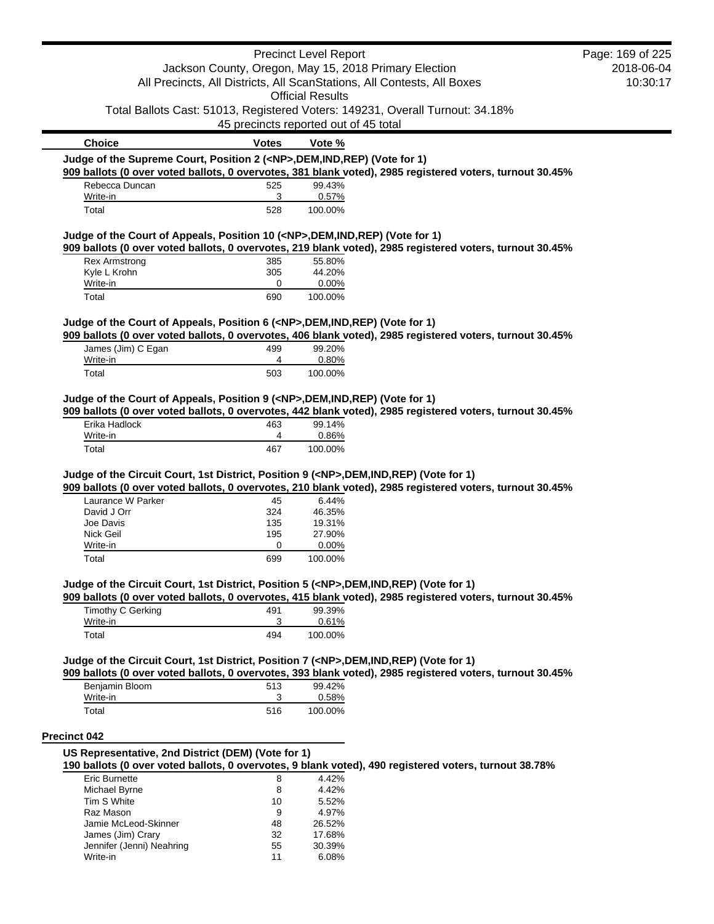|                                                                                            |                                       | <b>Precinct Level Report</b> |                                                                                                          | Page: 169 of 225 |
|--------------------------------------------------------------------------------------------|---------------------------------------|------------------------------|----------------------------------------------------------------------------------------------------------|------------------|
|                                                                                            |                                       |                              | Jackson County, Oregon, May 15, 2018 Primary Election                                                    | 2018-06-04       |
|                                                                                            |                                       |                              | All Precincts, All Districts, All ScanStations, All Contests, All Boxes                                  | 10:30:17         |
|                                                                                            |                                       | <b>Official Results</b>      |                                                                                                          |                  |
|                                                                                            | 45 precincts reported out of 45 total |                              | Total Ballots Cast: 51013, Registered Voters: 149231, Overall Turnout: 34.18%                            |                  |
| <b>Choice</b>                                                                              | <b>Votes</b>                          | Vote %                       |                                                                                                          |                  |
| Judge of the Supreme Court, Position 2 ( <np>,DEM,IND,REP) (Vote for 1)</np>               |                                       |                              |                                                                                                          |                  |
|                                                                                            |                                       |                              | 909 ballots (0 over voted ballots, 0 overvotes, 381 blank voted), 2985 registered voters, turnout 30.45% |                  |
| Rebecca Duncan                                                                             | 525<br>3                              | 99.43%                       |                                                                                                          |                  |
| Write-in<br>Total                                                                          | 528                                   | 0.57%<br>100.00%             |                                                                                                          |                  |
|                                                                                            |                                       |                              |                                                                                                          |                  |
| Judge of the Court of Appeals, Position 10 ( <np>,DEM,IND,REP) (Vote for 1)</np>           |                                       |                              | 909 ballots (0 over voted ballots, 0 overvotes, 219 blank voted), 2985 registered voters, turnout 30.45% |                  |
| <b>Rex Armstrong</b>                                                                       | 385                                   | 55.80%                       |                                                                                                          |                  |
| Kyle L Krohn                                                                               | 305                                   | 44.20%                       |                                                                                                          |                  |
| Write-in                                                                                   | 0                                     | 0.00%                        |                                                                                                          |                  |
| Total                                                                                      | 690                                   | 100.00%                      |                                                                                                          |                  |
| Judge of the Court of Appeals, Position 6 ( <np>,DEM,IND,REP) (Vote for 1)</np>            |                                       |                              |                                                                                                          |                  |
|                                                                                            |                                       |                              | 909 ballots (0 over voted ballots, 0 overvotes, 406 blank voted), 2985 registered voters, turnout 30.45% |                  |
| James (Jim) C Egan                                                                         | 499                                   | 99.20%                       |                                                                                                          |                  |
| Write-in<br>Total                                                                          | 4<br>503                              | 0.80%<br>100.00%             |                                                                                                          |                  |
|                                                                                            |                                       |                              |                                                                                                          |                  |
| Write-in<br>Total                                                                          | 4<br>467                              | 0.86%<br>100.00%             |                                                                                                          |                  |
| Judge of the Circuit Court, 1st District, Position 9 ( <np>,DEM,IND,REP) (Vote for 1)</np> |                                       |                              | 909 ballots (0 over voted ballots, 0 overvotes, 210 blank voted), 2985 registered voters, turnout 30.45% |                  |
| Laurance W Parker                                                                          | 45                                    | 6.44%                        |                                                                                                          |                  |
| David J Orr                                                                                | 324                                   | 46.35%                       |                                                                                                          |                  |
| Joe Davis                                                                                  | 135                                   | 19.31%                       |                                                                                                          |                  |
| Nick Geil                                                                                  | 195                                   | 27.90%                       |                                                                                                          |                  |
| Write-in                                                                                   | 0                                     | 0.00%                        |                                                                                                          |                  |
| Total                                                                                      | 699                                   | 100.00%                      |                                                                                                          |                  |
| Judge of the Circuit Court, 1st District, Position 5 ( <np>,DEM,IND,REP) (Vote for 1)</np> |                                       |                              | 909 ballots (0 over voted ballots, 0 overvotes, 415 blank voted), 2985 registered voters, turnout 30.45% |                  |
| <b>Timothy C Gerking</b>                                                                   | 491                                   | 99.39%                       |                                                                                                          |                  |
| Write-in                                                                                   | 3                                     | 0.61%                        |                                                                                                          |                  |
| Total                                                                                      | 494                                   | 100.00%                      |                                                                                                          |                  |
| Judge of the Circuit Court, 1st District, Position 7 ( <np>,DEM,IND,REP) (Vote for 1)</np> |                                       |                              |                                                                                                          |                  |
| Benjamin Bloom                                                                             | 513                                   | 99.42%                       | 909 ballots (0 over voted ballots, 0 overvotes, 393 blank voted), 2985 registered voters, turnout 30.45% |                  |
| Write-in                                                                                   | 3                                     | 0.58%                        |                                                                                                          |                  |
| Total                                                                                      | 516                                   | 100.00%                      |                                                                                                          |                  |
| <b>Precinct 042</b>                                                                        |                                       |                              |                                                                                                          |                  |
| US Representative, 2nd District (DEM) (Vote for 1)                                         |                                       |                              |                                                                                                          |                  |
| <b>Eric Burnette</b>                                                                       | 8                                     | 4.42%                        | 190 ballots (0 over voted ballots, 0 overvotes, 9 blank voted), 490 registered voters, turnout 38.78%    |                  |
| Michael Byrne                                                                              | 8                                     | 4.42%                        |                                                                                                          |                  |
| Tim S White                                                                                | 10                                    | 5.52%                        |                                                                                                          |                  |
| Raz Mason                                                                                  | 9                                     | 4.97%                        |                                                                                                          |                  |
| Jamie McLeod-Skinner                                                                       | 48                                    | 26.52%                       |                                                                                                          |                  |
| James (Jim) Crary                                                                          | 32                                    | 17.68%                       |                                                                                                          |                  |
| Jennifer (Jenni) Neahring                                                                  | 55                                    | 30.39%                       |                                                                                                          |                  |
| Write-in                                                                                   | 11                                    | 6.08%                        |                                                                                                          |                  |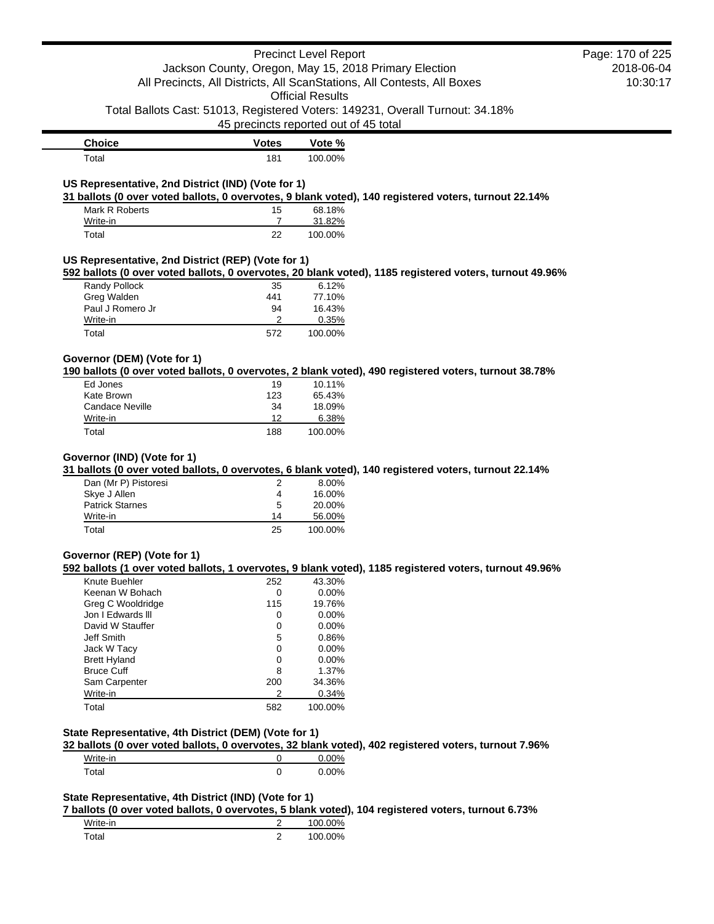|                                                       |                | <b>Precinct Level Report</b>                                                                                     | Page: 170 of 225 |
|-------------------------------------------------------|----------------|------------------------------------------------------------------------------------------------------------------|------------------|
|                                                       |                | Jackson County, Oregon, May 15, 2018 Primary Election                                                            | 2018-06-04       |
|                                                       |                | All Precincts, All Districts, All ScanStations, All Contests, All Boxes                                          | 10:30:17         |
|                                                       |                | <b>Official Results</b>                                                                                          |                  |
|                                                       |                | Total Ballots Cast: 51013, Registered Voters: 149231, Overall Turnout: 34.18%                                    |                  |
|                                                       |                | 45 precincts reported out of 45 total                                                                            |                  |
| <b>Choice</b>                                         | <b>Votes</b>   | Vote %                                                                                                           |                  |
| Total                                                 | 181            | 100.00%                                                                                                          |                  |
|                                                       |                |                                                                                                                  |                  |
| US Representative, 2nd District (IND) (Vote for 1)    |                | 31 ballots (0 over voted ballots, 0 overvotes, 9 blank voted), 140 registered voters, turnout 22.14%             |                  |
| Mark R Roberts                                        | 15             | 68.18%                                                                                                           |                  |
| Write-in                                              | 7              | 31.82%                                                                                                           |                  |
| Total                                                 | 22             | 100.00%                                                                                                          |                  |
| US Representative, 2nd District (REP) (Vote for 1)    |                |                                                                                                                  |                  |
|                                                       |                | 592 ballots (0 over voted ballots, 0 overvotes, 20 blank voted), 1185 registered voters, turnout 49.96%          |                  |
| Randy Pollock                                         | 35             | 6.12%                                                                                                            |                  |
| Greg Walden                                           | 441            | 77.10%                                                                                                           |                  |
| Paul J Romero Jr                                      | 94             | 16.43%                                                                                                           |                  |
| Write-in                                              | 2              | 0.35%                                                                                                            |                  |
| Total                                                 | 572            | 100.00%                                                                                                          |                  |
|                                                       |                |                                                                                                                  |                  |
| Governor (DEM) (Vote for 1)                           |                | 190 ballots (0 over voted ballots, 0 overvotes, 2 blank voted), 490 registered voters, turnout 38.78%            |                  |
| Ed Jones                                              | 19             | 10.11%                                                                                                           |                  |
|                                                       |                | 65.43%                                                                                                           |                  |
| Kate Brown                                            | 123            |                                                                                                                  |                  |
| <b>Candace Neville</b>                                | 34             | 18.09%                                                                                                           |                  |
| Write-in<br>Total                                     | 12             | 6.38%                                                                                                            |                  |
|                                                       | 188            | 100.00%                                                                                                          |                  |
|                                                       |                |                                                                                                                  |                  |
| Governor (IND) (Vote for 1)                           |                |                                                                                                                  |                  |
| Dan (Mr P) Pistoresi                                  | 2              | 31 ballots (0 over voted ballots, 0 overvotes, 6 blank voted), 140 registered voters, turnout 22.14%<br>8.00%    |                  |
| Skye J Allen                                          | 4              | 16.00%                                                                                                           |                  |
| <b>Patrick Starnes</b>                                | 5              | 20.00%                                                                                                           |                  |
| Write-in                                              | 14             | 56.00%                                                                                                           |                  |
| Total                                                 | 25             | 100.00%                                                                                                          |                  |
|                                                       |                |                                                                                                                  |                  |
|                                                       |                |                                                                                                                  |                  |
| Knute Buehler                                         | 252            | 592 ballots (1 over voted ballots, 1 overvotes, 9 blank voted), 1185 registered voters, turnout 49.96%<br>43.30% |                  |
| Keenan W Bohach                                       | 0              | 0.00%                                                                                                            |                  |
| Greg C Wooldridge                                     | 115            | 19.76%                                                                                                           |                  |
| Jon I Edwards III                                     | 0              | 0.00%                                                                                                            |                  |
| David W Stauffer                                      | 0              | 0.00%                                                                                                            |                  |
| Jeff Smith                                            | 5              | 0.86%                                                                                                            |                  |
| Jack W Tacy                                           | 0              | 0.00%                                                                                                            |                  |
| <b>Brett Hyland</b>                                   | 0              |                                                                                                                  |                  |
| <b>Bruce Cuff</b>                                     |                | 0.00%                                                                                                            |                  |
|                                                       | 8              | 1.37%                                                                                                            |                  |
| Sam Carpenter                                         | 200<br>2       | 34.36%                                                                                                           |                  |
| Write-in<br>Total                                     | 582            | 0.34%                                                                                                            |                  |
| Governor (REP) (Vote for 1)                           |                | 100.00%                                                                                                          |                  |
| State Representative, 4th District (DEM) (Vote for 1) |                |                                                                                                                  |                  |
|                                                       |                | 32 ballots (0 over voted ballots, 0 overvotes, 32 blank voted), 402 registered voters, turnout 7.96%             |                  |
| Write-in                                              | 0              | 0.00%                                                                                                            |                  |
| Total                                                 | 0              | 0.00%                                                                                                            |                  |
|                                                       |                |                                                                                                                  |                  |
| State Representative, 4th District (IND) (Vote for 1) |                |                                                                                                                  |                  |
| Write-in                                              | $\overline{2}$ | 7 ballots (0 over voted ballots, 0 overvotes, 5 blank voted), 104 registered voters, turnout 6.73%<br>100.00%    |                  |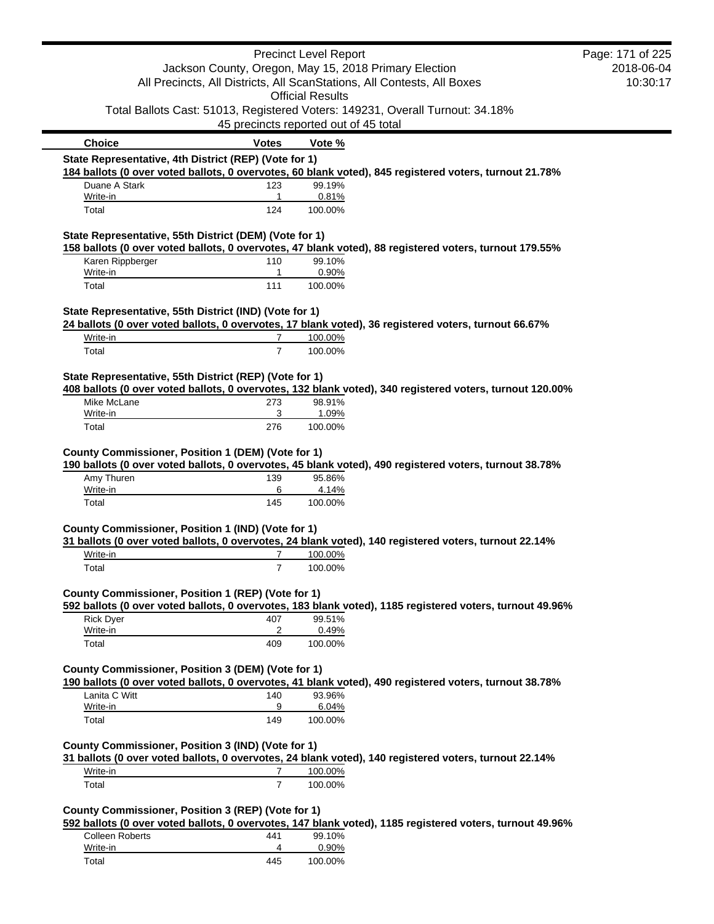|                                                        |                                                       | <b>Precinct Level Report</b> |                                                                                                          | Page: 171 of 225 |
|--------------------------------------------------------|-------------------------------------------------------|------------------------------|----------------------------------------------------------------------------------------------------------|------------------|
|                                                        | Jackson County, Oregon, May 15, 2018 Primary Election |                              |                                                                                                          | 2018-06-04       |
|                                                        |                                                       |                              | All Precincts, All Districts, All ScanStations, All Contests, All Boxes                                  | 10:30:17         |
|                                                        |                                                       | <b>Official Results</b>      |                                                                                                          |                  |
|                                                        |                                                       |                              | Total Ballots Cast: 51013, Registered Voters: 149231, Overall Turnout: 34.18%                            |                  |
|                                                        | 45 precincts reported out of 45 total                 |                              |                                                                                                          |                  |
| <b>Choice</b>                                          | <b>Votes</b>                                          | Vote %                       |                                                                                                          |                  |
| State Representative, 4th District (REP) (Vote for 1)  |                                                       |                              |                                                                                                          |                  |
|                                                        |                                                       |                              | 184 ballots (0 over voted ballots, 0 overvotes, 60 blank voted), 845 registered voters, turnout 21.78%   |                  |
| Duane A Stark<br>Write-in                              | 123<br>1                                              | 99.19%<br>0.81%              |                                                                                                          |                  |
| Total                                                  | 124                                                   | 100.00%                      |                                                                                                          |                  |
| State Representative, 55th District (DEM) (Vote for 1) |                                                       |                              |                                                                                                          |                  |
|                                                        |                                                       |                              | 158 ballots (0 over voted ballots, 0 overvotes, 47 blank voted), 88 registered voters, turnout 179.55%   |                  |
| Karen Rippberger<br>Write-in                           | 110<br>1                                              | 99.10%<br>0.90%              |                                                                                                          |                  |
| Total                                                  | 111                                                   | 100.00%                      |                                                                                                          |                  |
|                                                        |                                                       |                              |                                                                                                          |                  |
| State Representative, 55th District (IND) (Vote for 1) |                                                       |                              | 24 ballots (0 over voted ballots, 0 overvotes, 17 blank voted), 36 registered voters, turnout 66.67%     |                  |
| Write-in                                               | 7                                                     | 100.00%                      |                                                                                                          |                  |
| Total                                                  | $\overline{7}$                                        | 100.00%                      |                                                                                                          |                  |
|                                                        |                                                       |                              |                                                                                                          |                  |
| State Representative, 55th District (REP) (Vote for 1) |                                                       |                              |                                                                                                          |                  |
|                                                        |                                                       |                              | 408 ballots (0 over voted ballots, 0 overvotes, 132 blank voted), 340 registered voters, turnout 120.00% |                  |
| Mike McLane<br>Write-in                                | 273<br>3                                              | 98.91%<br>1.09%              |                                                                                                          |                  |
| Total                                                  | 276                                                   | 100.00%                      |                                                                                                          |                  |
| County Commissioner, Position 1 (DEM) (Vote for 1)     |                                                       |                              |                                                                                                          |                  |
|                                                        |                                                       |                              | 190 ballots (0 over voted ballots, 0 overvotes, 45 blank voted), 490 registered voters, turnout 38.78%   |                  |
| Amy Thuren<br>Write-in                                 | 139<br>6                                              | 95.86%<br>4.14%              |                                                                                                          |                  |
| Total                                                  | 145                                                   | 100.00%                      |                                                                                                          |                  |
|                                                        |                                                       |                              |                                                                                                          |                  |
| County Commissioner, Position 1 (IND) (Vote for 1)     |                                                       |                              |                                                                                                          |                  |
|                                                        |                                                       |                              | 31 ballots (0 over voted ballots, 0 overvotes, 24 blank voted), 140 registered voters, turnout 22.14%    |                  |
| Write-in<br>Total                                      | 7<br>$\overline{7}$                                   | 100.00%<br>100.00%           |                                                                                                          |                  |
|                                                        |                                                       |                              |                                                                                                          |                  |
| County Commissioner, Position 1 (REP) (Vote for 1)     |                                                       |                              |                                                                                                          |                  |
|                                                        |                                                       |                              | 592 ballots (0 over voted ballots, 0 overvotes, 183 blank voted), 1185 registered voters, turnout 49.96% |                  |
| <b>Rick Dyer</b><br>Write-in                           | 407<br>$\overline{c}$                                 | 99.51%<br>0.49%              |                                                                                                          |                  |
| Total                                                  | 409                                                   | 100.00%                      |                                                                                                          |                  |
|                                                        |                                                       |                              |                                                                                                          |                  |
| County Commissioner, Position 3 (DEM) (Vote for 1)     |                                                       |                              |                                                                                                          |                  |
|                                                        |                                                       |                              | 190 ballots (0 over voted ballots, 0 overvotes, 41 blank voted), 490 registered voters, turnout 38.78%   |                  |
| Lanita C Witt<br>Write-in                              | 140<br>9                                              | 93.96%<br>6.04%              |                                                                                                          |                  |
| Total                                                  | 149                                                   | 100.00%                      |                                                                                                          |                  |
|                                                        |                                                       |                              |                                                                                                          |                  |
| County Commissioner, Position 3 (IND) (Vote for 1)     |                                                       |                              | 31 ballots (0 over voted ballots, 0 overvotes, 24 blank voted), 140 registered voters, turnout 22.14%    |                  |
| Write-in                                               | 7                                                     | 100.00%                      |                                                                                                          |                  |
| Total                                                  | $\overline{7}$                                        | 100.00%                      |                                                                                                          |                  |
|                                                        |                                                       |                              |                                                                                                          |                  |
| County Commissioner, Position 3 (REP) (Vote for 1)     |                                                       |                              |                                                                                                          |                  |
|                                                        |                                                       |                              | 592 ballots (0 over voted ballots, 0 overvotes, 147 blank voted), 1185 registered voters, turnout 49.96% |                  |
| <b>Colleen Roberts</b>                                 | 441                                                   | 99.10%                       |                                                                                                          |                  |
| Write-in                                               | 4                                                     | 0.90%                        |                                                                                                          |                  |

Total 445 100.00%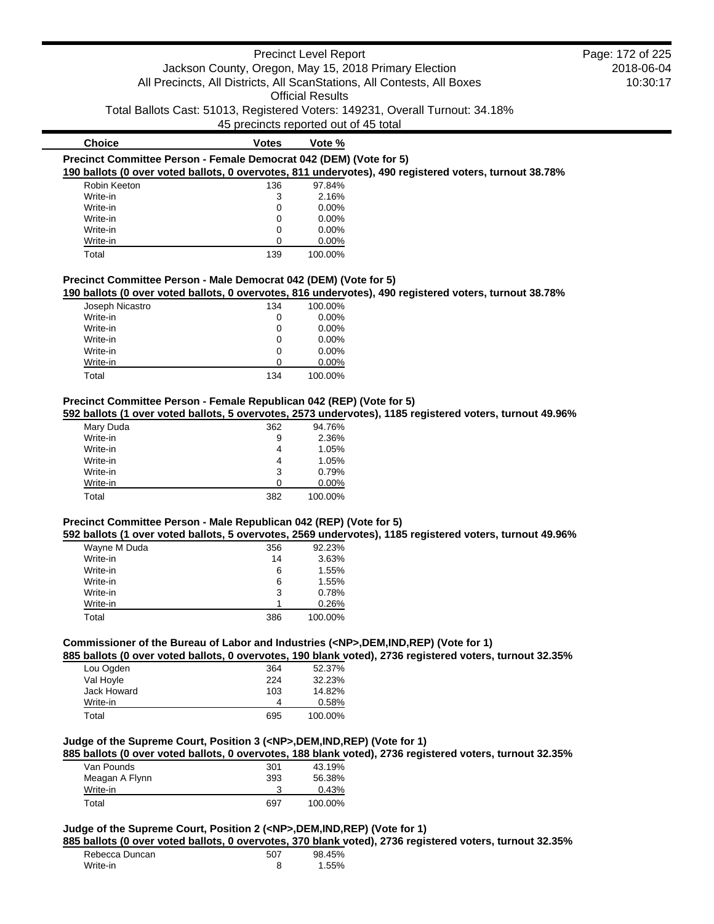|                                                                                                                                                               |                                       | <b>Precinct Level Report</b> | Page: 172 of 225                                                                                         |            |
|---------------------------------------------------------------------------------------------------------------------------------------------------------------|---------------------------------------|------------------------------|----------------------------------------------------------------------------------------------------------|------------|
|                                                                                                                                                               |                                       |                              | Jackson County, Oregon, May 15, 2018 Primary Election                                                    | 2018-06-04 |
|                                                                                                                                                               |                                       |                              | All Precincts, All Districts, All ScanStations, All Contests, All Boxes                                  | 10:30:17   |
|                                                                                                                                                               |                                       | <b>Official Results</b>      |                                                                                                          |            |
|                                                                                                                                                               |                                       |                              |                                                                                                          |            |
|                                                                                                                                                               |                                       |                              | Total Ballots Cast: 51013, Registered Voters: 149231, Overall Turnout: 34.18%                            |            |
|                                                                                                                                                               | 45 precincts reported out of 45 total |                              |                                                                                                          |            |
| <b>Choice</b>                                                                                                                                                 | <b>Votes</b>                          | Vote %                       |                                                                                                          |            |
| Precinct Committee Person - Female Democrat 042 (DEM) (Vote for 5)                                                                                            |                                       |                              |                                                                                                          |            |
|                                                                                                                                                               |                                       |                              | 190 ballots (0 over voted ballots, 0 overvotes, 811 undervotes), 490 registered voters, turnout 38.78%   |            |
| Robin Keeton                                                                                                                                                  | 136                                   | 97.84%                       |                                                                                                          |            |
| Write-in                                                                                                                                                      | 3                                     | 2.16%                        |                                                                                                          |            |
| Write-in                                                                                                                                                      | 0                                     | 0.00%                        |                                                                                                          |            |
| Write-in                                                                                                                                                      | 0                                     | 0.00%                        |                                                                                                          |            |
| Write-in                                                                                                                                                      | 0                                     | 0.00%                        |                                                                                                          |            |
|                                                                                                                                                               | 0                                     | 0.00%                        |                                                                                                          |            |
| Write-in                                                                                                                                                      |                                       |                              |                                                                                                          |            |
| Total                                                                                                                                                         | 139                                   | 100.00%                      |                                                                                                          |            |
|                                                                                                                                                               |                                       |                              |                                                                                                          |            |
|                                                                                                                                                               |                                       |                              |                                                                                                          |            |
|                                                                                                                                                               |                                       |                              | 190 ballots (0 over voted ballots, 0 overvotes, 816 undervotes), 490 registered voters, turnout 38.78%   |            |
| Joseph Nicastro                                                                                                                                               | 134                                   | 100.00%                      |                                                                                                          |            |
| Write-in                                                                                                                                                      | 0                                     | 0.00%                        |                                                                                                          |            |
| Write-in                                                                                                                                                      | 0                                     | 0.00%                        |                                                                                                          |            |
| Write-in                                                                                                                                                      | 0                                     | 0.00%                        |                                                                                                          |            |
| Write-in                                                                                                                                                      | 0                                     | 0.00%                        |                                                                                                          |            |
| Write-in                                                                                                                                                      | 0                                     | 0.00%                        |                                                                                                          |            |
| Total                                                                                                                                                         | 134                                   | 100.00%                      |                                                                                                          |            |
|                                                                                                                                                               |                                       |                              |                                                                                                          |            |
|                                                                                                                                                               |                                       |                              |                                                                                                          |            |
|                                                                                                                                                               |                                       |                              | 592 ballots (1 over voted ballots, 5 overvotes, 2573 undervotes), 1185 registered voters, turnout 49.96% |            |
| Mary Duda                                                                                                                                                     | 362                                   | 94.76%                       |                                                                                                          |            |
| Write-in                                                                                                                                                      | 9                                     | 2.36%                        |                                                                                                          |            |
| Write-in                                                                                                                                                      | 4                                     | 1.05%                        |                                                                                                          |            |
| Write-in                                                                                                                                                      | 4                                     | 1.05%                        |                                                                                                          |            |
| Write-in                                                                                                                                                      | 3                                     | 0.79%                        |                                                                                                          |            |
| Precinct Committee Person - Male Democrat 042 (DEM) (Vote for 5)<br>Precinct Committee Person - Female Republican 042 (REP) (Vote for 5)<br>Write-in<br>Total | 0<br>382                              | 0.00%<br>100.00%             |                                                                                                          |            |

| Wayne M Duda | 356 | 92.23%  |
|--------------|-----|---------|
| Write-in     | 14  | 3.63%   |
| Write-in     | 6   | 1.55%   |
| Write-in     | 6   | 1.55%   |
| Write-in     | 3   | 0.78%   |
| Write-in     |     | 0.26%   |
| Total        | 386 | 100.00% |

# **Commissioner of the Bureau of Labor and Industries (<NP>,DEM,IND,REP) (Vote for 1)**

**885 ballots (0 over voted ballots, 0 overvotes, 190 blank voted), 2736 registered voters, turnout 32.35%**

| Lou Ogden   | 364 | 52.37%  |
|-------------|-----|---------|
| Val Hoyle   | 224 | 32.23%  |
| Jack Howard | 103 | 14.82%  |
| Write-in    | 4   | 0.58%   |
| Total       | 695 | 100.00% |

# **Judge of the Supreme Court, Position 3 (<NP>,DEM,IND,REP) (Vote for 1)**

**885 ballots (0 over voted ballots, 0 overvotes, 188 blank voted), 2736 registered voters, turnout 32.35%**

| Van Pounds     | 301 | 43.19%  |
|----------------|-----|---------|
| Meagan A Flynn | 393 | 56.38%  |
| Write-in       |     | 0.43%   |
| Total          | 697 | 100.00% |

# **Judge of the Supreme Court, Position 2 (<NP>,DEM,IND,REP) (Vote for 1)**

**885 ballots (0 over voted ballots, 0 overvotes, 370 blank voted), 2736 registered voters, turnout 32.35%**

| Rebecca Duncan | 507 | 98.45% |
|----------------|-----|--------|
| Write-in       |     | 1.55%  |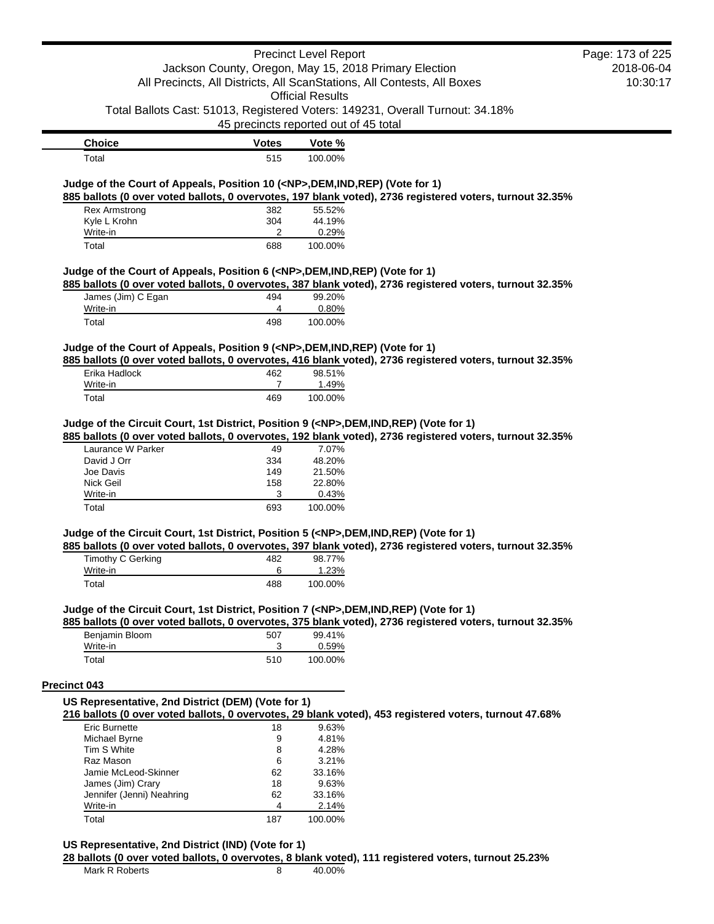|                                                                                                                     |                                       | <b>Precinct Level Report</b> |                                                                                                          | Page: 173 of 225 |
|---------------------------------------------------------------------------------------------------------------------|---------------------------------------|------------------------------|----------------------------------------------------------------------------------------------------------|------------------|
|                                                                                                                     |                                       |                              | Jackson County, Oregon, May 15, 2018 Primary Election                                                    | 2018-06-04       |
|                                                                                                                     |                                       |                              | All Precincts, All Districts, All ScanStations, All Contests, All Boxes                                  | 10:30:17         |
|                                                                                                                     |                                       | <b>Official Results</b>      |                                                                                                          |                  |
|                                                                                                                     | 45 precincts reported out of 45 total |                              | Total Ballots Cast: 51013, Registered Voters: 149231, Overall Turnout: 34.18%                            |                  |
| <b>Choice</b>                                                                                                       | Votes                                 | Vote %                       |                                                                                                          |                  |
| Total                                                                                                               | 515                                   | 100.00%                      |                                                                                                          |                  |
| Judge of the Court of Appeals, Position 10 ( <np>,DEM,IND,REP) (Vote for 1)</np>                                    |                                       |                              |                                                                                                          |                  |
| <b>Rex Armstrong</b>                                                                                                |                                       |                              | 885 ballots (0 over voted ballots, 0 overvotes, 197 blank voted), 2736 registered voters, turnout 32.35% |                  |
| Kyle L Krohn                                                                                                        | 382<br>304                            | 55.52%<br>44.19%             |                                                                                                          |                  |
| Write-in                                                                                                            | 2                                     | 0.29%                        |                                                                                                          |                  |
| Total                                                                                                               | 688                                   | 100.00%                      |                                                                                                          |                  |
| Judge of the Court of Appeals, Position 6 ( <np>,DEM,IND,REP) (Vote for 1)<br/>James (Jim) C Egan<br/>Write-in</np> | 494<br>4                              | 99.20%<br>0.80%              | 885 ballots (0 over voted ballots, 0 overvotes, 387 blank voted), 2736 registered voters, turnout 32.35% |                  |
| Total                                                                                                               | 498                                   | 100.00%                      |                                                                                                          |                  |
| Judge of the Court of Appeals, Position 9 ( <np>, DEM, IND, REP) (Vote for 1)</np>                                  |                                       |                              |                                                                                                          |                  |
|                                                                                                                     |                                       |                              | 885 ballots (0 over voted ballots, 0 overvotes, 416 blank voted), 2736 registered voters, turnout 32.35% |                  |
| Erika Hadlock                                                                                                       | 462                                   | 98.51%                       |                                                                                                          |                  |
| Write-in                                                                                                            | 7                                     | 1.49%                        |                                                                                                          |                  |
| Total                                                                                                               | 469                                   | 100.00%                      |                                                                                                          |                  |
| Judge of the Circuit Court, 1st District, Position 9 ( <np>,DEM,IND,REP) (Vote for 1)</np>                          |                                       |                              | 885 ballots (0 over voted ballots, 0 overvotes, 192 blank voted), 2736 registered voters, turnout 32.35% |                  |
| Laurance W Parker                                                                                                   | 49                                    | 7.07%                        |                                                                                                          |                  |
| David J Orr                                                                                                         | 334                                   | 48.20%                       |                                                                                                          |                  |
| Joe Davis                                                                                                           | 149                                   | 21.50%                       |                                                                                                          |                  |
| Nick Geil                                                                                                           | 158                                   | 22.80%                       |                                                                                                          |                  |
| Write-in                                                                                                            | 3                                     | 0.43%                        |                                                                                                          |                  |
| Total                                                                                                               | 693                                   | 100.00%                      |                                                                                                          |                  |
| Judge of the Circuit Court, 1st District, Position 5 ( <np>,DEM,IND,REP) (Vote for 1)</np>                          |                                       |                              | 885 ballots (0 over voted ballots, 0 overvotes, 397 blank voted), 2736 registered voters, turnout 32.35% |                  |
| <b>Timothy C Gerking</b>                                                                                            | 482                                   | 98.77%                       |                                                                                                          |                  |
| Write-in<br>Total                                                                                                   | 6<br>488                              | 1.23%<br>100.00%             |                                                                                                          |                  |
| Judge of the Circuit Court, 1st District, Position 7 ( <np>,DEM,IND,REP) (Vote for 1)</np>                          |                                       |                              |                                                                                                          |                  |
| Benjamin Bloom                                                                                                      | 507                                   | 99.41%                       | 885 ballots (0 over voted ballots, 0 overvotes, 375 blank voted), 2736 registered voters, turnout 32.35% |                  |
| Write-in                                                                                                            | 3                                     | 0.59%                        |                                                                                                          |                  |
| Total                                                                                                               | 510                                   | 100.00%                      |                                                                                                          |                  |
| Precinct 043                                                                                                        |                                       |                              |                                                                                                          |                  |
| US Representative, 2nd District (DEM) (Vote for 1)                                                                  |                                       |                              |                                                                                                          |                  |
|                                                                                                                     |                                       |                              | 216 ballots (0 over voted ballots, 0 overvotes, 29 blank voted), 453 registered voters, turnout 47.68%   |                  |
| Eric Burnette                                                                                                       | 18                                    | 9.63%                        |                                                                                                          |                  |
| Michael Byrne                                                                                                       | 9                                     | 4.81%                        |                                                                                                          |                  |
| Tim S White                                                                                                         | 8                                     | 4.28%                        |                                                                                                          |                  |
| Raz Mason                                                                                                           | 6                                     | 3.21%                        |                                                                                                          |                  |
| Jamie McLeod-Skinner                                                                                                | 62                                    | 33.16%                       |                                                                                                          |                  |
| James (Jim) Crary                                                                                                   | 18                                    | 9.63%                        |                                                                                                          |                  |
| Jennifer (Jenni) Neahring<br>Write-in                                                                               | 62<br>4                               | 33.16%<br>2.14%              |                                                                                                          |                  |
| Total                                                                                                               | 187                                   | 100.00%                      |                                                                                                          |                  |
| US Representative, 2nd District (IND) (Vote for 1)                                                                  |                                       |                              |                                                                                                          |                  |
|                                                                                                                     |                                       |                              | 28 ballots (0 over voted ballots, 0 overvotes, 8 blank voted), 111 registered voters, turnout 25.23%     |                  |
| Mark R Roberts                                                                                                      | 8                                     | 40.00%                       |                                                                                                          |                  |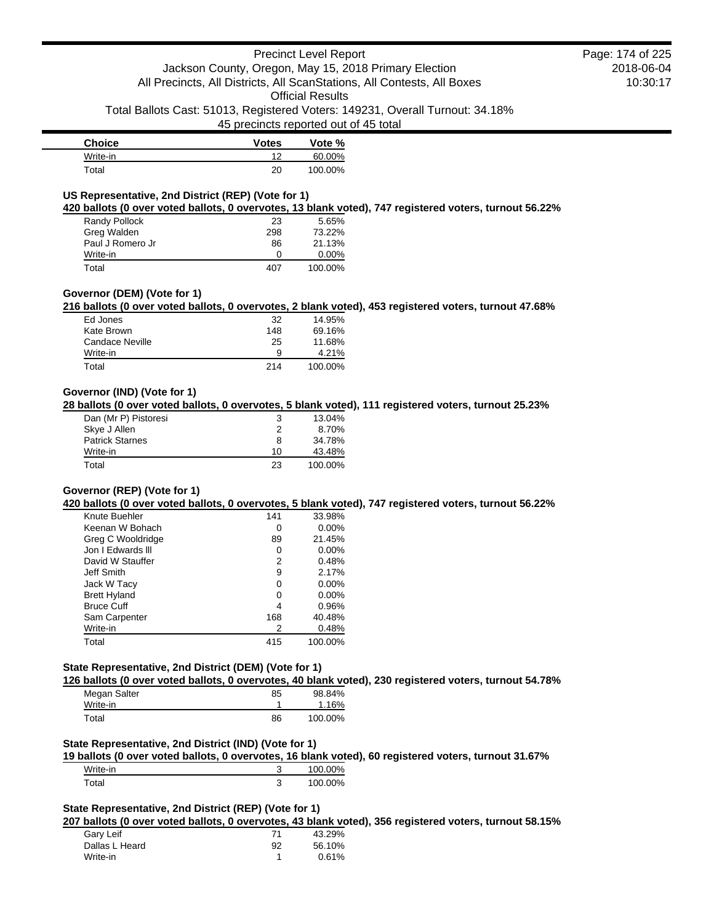45 precincts reported out of 45 total

| <b>Choice</b> | <b>Votes</b> | Vote %  |
|---------------|--------------|---------|
| Write-in      | 1つ           | 60.00%  |
| Total         | 20           | 100.00% |

# **US Representative, 2nd District (REP) (Vote for 1)**

**420 ballots (0 over voted ballots, 0 overvotes, 13 blank voted), 747 registered voters, turnout 56.22%**

| Randy Pollock    | 23  | 5.65%    |
|------------------|-----|----------|
| Greg Walden      | 298 | 73.22%   |
| Paul J Romero Jr | 86  | 21.13%   |
| Write-in         | 0   | $0.00\%$ |
| Total            | 407 | 100.00%  |

# **Governor (DEM) (Vote for 1)**

**216 ballots (0 over voted ballots, 0 overvotes, 2 blank voted), 453 registered voters, turnout 47.68%**

| Ed Jones        | 32  | 14.95%  |
|-----------------|-----|---------|
| Kate Brown      | 148 | 69.16%  |
| Candace Neville | 25  | 11.68%  |
| Write-in        | 9   | 4.21%   |
| Total           | 214 | 100.00% |

# **Governor (IND) (Vote for 1)**

**28 ballots (0 over voted ballots, 0 overvotes, 5 blank voted), 111 registered voters, turnout 25.23%**

| Dan (Mr P) Pistoresi   | 3  | 13.04%  |
|------------------------|----|---------|
| Skye J Allen           | 2  | 8.70%   |
| <b>Patrick Starnes</b> | 8  | 34.78%  |
| Write-in               | 10 | 43.48%  |
| Total                  | 23 | 100.00% |

# **Governor (REP) (Vote for 1)**

**420 ballots (0 over voted ballots, 0 overvotes, 5 blank voted), 747 registered voters, turnout 56.22%**

| Knute Buehler       | 141 | 33.98%   |
|---------------------|-----|----------|
| Keenan W Bohach     | O   | $0.00\%$ |
| Greg C Wooldridge   | 89  | 21.45%   |
| Jon I Edwards III   | 0   | $0.00\%$ |
| David W Stauffer    | 2   | 0.48%    |
| Jeff Smith          | 9   | 2.17%    |
| Jack W Tacy         | 0   | $0.00\%$ |
| <b>Brett Hyland</b> | O   | $0.00\%$ |
| <b>Bruce Cuff</b>   | 4   | 0.96%    |
| Sam Carpenter       | 168 | 40.48%   |
| Write-in            | 2   | 0.48%    |
| Total               | 415 | 100.00%  |

# **State Representative, 2nd District (DEM) (Vote for 1)**

**126 ballots (0 over voted ballots, 0 overvotes, 40 blank voted), 230 registered voters, turnout 54.78%**

| Megan Salter | 85 | 98.84%  |
|--------------|----|---------|
| Write-in     |    | 1.16%   |
| Total        | 86 | 100.00% |

# **State Representative, 2nd District (IND) (Vote for 1)**

**19 ballots (0 over voted ballots, 0 overvotes, 16 blank voted), 60 registered voters, turnout 31.67%**

| Write-in |   | 100.00% |
|----------|---|---------|
| Гоtal    | w | 100.00% |

# **State Representative, 2nd District (REP) (Vote for 1)**

**207 ballots (0 over voted ballots, 0 overvotes, 43 blank voted), 356 registered voters, turnout 58.15%**

| Gary Leif      |    | 43.29% |
|----------------|----|--------|
| Dallas L Heard | 92 | 56.10% |
| Write-in       |    | 0.61%  |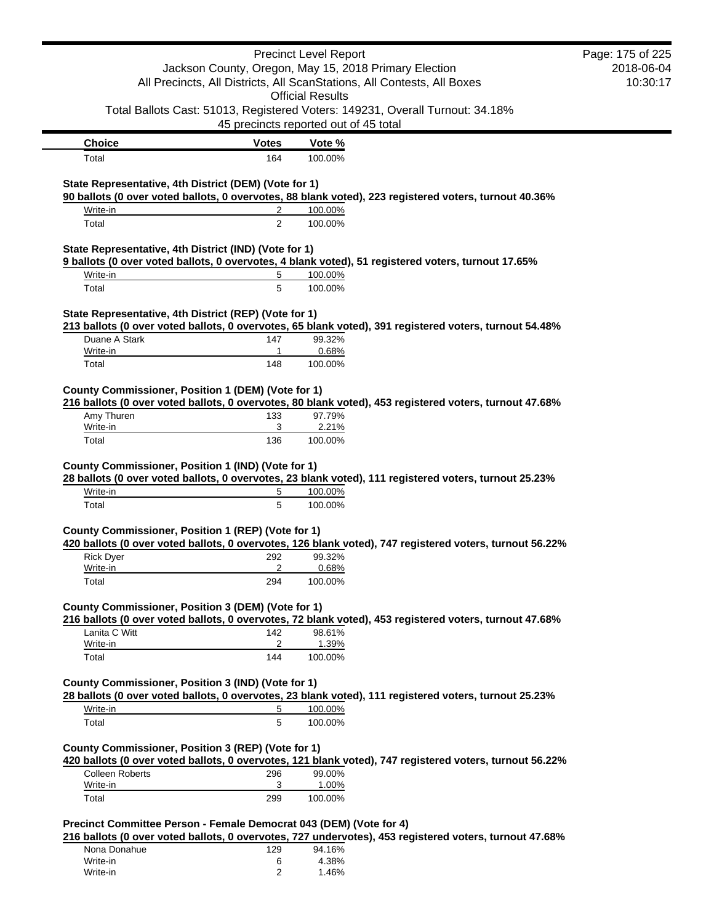|                                                                                                |                    | <b>Precinct Level Report</b>                                            |                                                                                                         | Page: 175 of 225 |
|------------------------------------------------------------------------------------------------|--------------------|-------------------------------------------------------------------------|---------------------------------------------------------------------------------------------------------|------------------|
|                                                                                                |                    | Jackson County, Oregon, May 15, 2018 Primary Election                   |                                                                                                         | 2018-06-04       |
|                                                                                                |                    | All Precincts, All Districts, All ScanStations, All Contests, All Boxes |                                                                                                         | 10:30:17         |
|                                                                                                |                    | <b>Official Results</b>                                                 |                                                                                                         |                  |
|                                                                                                |                    | 45 precincts reported out of 45 total                                   | Total Ballots Cast: 51013, Registered Voters: 149231, Overall Turnout: 34.18%                           |                  |
| <b>Choice</b>                                                                                  | <b>Votes</b>       | Vote %                                                                  |                                                                                                         |                  |
| Total                                                                                          | 164                | 100.00%                                                                 |                                                                                                         |                  |
|                                                                                                |                    |                                                                         |                                                                                                         |                  |
| State Representative, 4th District (DEM) (Vote for 1)                                          |                    |                                                                         | 90 ballots (0 over voted ballots, 0 overvotes, 88 blank voted), 223 registered voters, turnout 40.36%   |                  |
| Write-in                                                                                       | 2                  | 100.00%                                                                 |                                                                                                         |                  |
| Total                                                                                          | $\overline{2}$     | 100.00%                                                                 |                                                                                                         |                  |
| State Representative, 4th District (IND) (Vote for 1)                                          |                    |                                                                         |                                                                                                         |                  |
|                                                                                                |                    |                                                                         | 9 ballots (0 over voted ballots, 0 overvotes, 4 blank voted), 51 registered voters, turnout 17.65%      |                  |
| Write-in                                                                                       | 5                  | 100.00%                                                                 |                                                                                                         |                  |
| Total                                                                                          | 5                  | 100.00%                                                                 |                                                                                                         |                  |
| State Representative, 4th District (REP) (Vote for 1)                                          |                    |                                                                         |                                                                                                         |                  |
|                                                                                                |                    |                                                                         | 213 ballots (0 over voted ballots, 0 overvotes, 65 blank voted), 391 registered voters, turnout 54.48%  |                  |
| Duane A Stark                                                                                  | 147<br>$\mathbf 1$ | 99.32%<br>0.68%                                                         |                                                                                                         |                  |
| Write-in<br>Total                                                                              | 148                | 100.00%                                                                 |                                                                                                         |                  |
|                                                                                                |                    |                                                                         |                                                                                                         |                  |
| County Commissioner, Position 1 (DEM) (Vote for 1)                                             |                    |                                                                         |                                                                                                         |                  |
| Amy Thuren                                                                                     |                    |                                                                         | 216 ballots (0 over voted ballots, 0 overvotes, 80 blank voted), 453 registered voters, turnout 47.68%  |                  |
| Write-in                                                                                       | 133<br>3           | 97.79%<br>2.21%                                                         |                                                                                                         |                  |
| Total                                                                                          | 136                | 100.00%                                                                 |                                                                                                         |                  |
| Write-in                                                                                       | 5                  | 100.00%                                                                 | 28 ballots (0 over voted ballots, 0 overvotes, 23 blank voted), 111 registered voters, turnout 25.23%   |                  |
| Total                                                                                          | 5                  | 100.00%                                                                 |                                                                                                         |                  |
| County Commissioner, Position 1 (REP) (Vote for 1)                                             |                    |                                                                         |                                                                                                         |                  |
|                                                                                                |                    |                                                                         | 420 ballots (0 over voted ballots, 0 overvotes, 126 blank voted), 747 registered voters, turnout 56.22% |                  |
| <b>Rick Dyer</b>                                                                               | 292                | 99.32%                                                                  |                                                                                                         |                  |
| Write-in                                                                                       | $\overline{2}$     | 0.68%                                                                   |                                                                                                         |                  |
| Total                                                                                          | 294                | 100.00%                                                                 |                                                                                                         |                  |
| County Commissioner, Position 3 (DEM) (Vote for 1)                                             |                    |                                                                         |                                                                                                         |                  |
|                                                                                                |                    |                                                                         | 216 ballots (0 over voted ballots, 0 overvotes, 72 blank voted), 453 registered voters, turnout 47.68%  |                  |
| Lanita C Witt<br>Write-in                                                                      | 142<br>2           | 98.61%<br>1.39%                                                         |                                                                                                         |                  |
| Total                                                                                          | 144                | 100.00%                                                                 |                                                                                                         |                  |
| County Commissioner, Position 3 (IND) (Vote for 1)                                             |                    |                                                                         |                                                                                                         |                  |
|                                                                                                |                    |                                                                         | 28 ballots (0 over voted ballots, 0 overvotes, 23 blank voted), 111 registered voters, turnout 25.23%   |                  |
| Write-in                                                                                       | 5                  | 100.00%                                                                 |                                                                                                         |                  |
| Total                                                                                          | 5                  | 100.00%                                                                 |                                                                                                         |                  |
|                                                                                                |                    |                                                                         |                                                                                                         |                  |
| County Commissioner, Position 3 (REP) (Vote for 1)                                             |                    |                                                                         | 420 ballots (0 over voted ballots, 0 overvotes, 121 blank voted), 747 registered voters, turnout 56.22% |                  |
| <b>Colleen Roberts</b>                                                                         |                    | 99.00%                                                                  |                                                                                                         |                  |
| Write-in                                                                                       | 296                |                                                                         |                                                                                                         |                  |
| Total                                                                                          | 3                  | 1.00%                                                                   |                                                                                                         |                  |
|                                                                                                | 299                | 100.00%                                                                 |                                                                                                         |                  |
|                                                                                                |                    |                                                                         |                                                                                                         |                  |
|                                                                                                |                    |                                                                         | 216 ballots (0 over voted ballots, 0 overvotes, 727 undervotes), 453 registered voters, turnout 47.68%  |                  |
| Precinct Committee Person - Female Democrat 043 (DEM) (Vote for 4)<br>Nona Donahue<br>Write-in | 129<br>6           | 94.16%<br>4.38%                                                         |                                                                                                         |                  |

Write-in 2 1.46%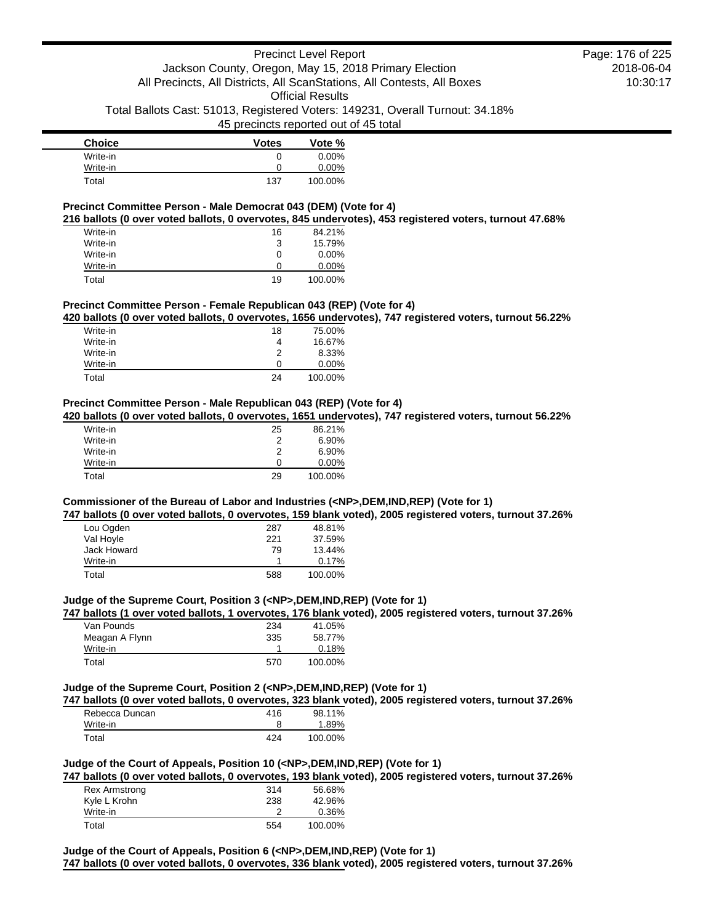45 precincts reported out of 45 total

| <b>Choice</b> | <b>Votes</b> | Vote %   |
|---------------|--------------|----------|
| Write-in      | O            | $0.00\%$ |
| Write-in      |              | $0.00\%$ |
| Total         | 137          | 100.00%  |

### **Precinct Committee Person - Male Democrat 043 (DEM) (Vote for 4)**

**216 ballots (0 over voted ballots, 0 overvotes, 845 undervotes), 453 registered voters, turnout 47.68%**

| Write-in | 16 | 84.21%   |
|----------|----|----------|
| Write-in | 3  | 15.79%   |
| Write-in | 0  | $0.00\%$ |
| Write-in | O  | $0.00\%$ |
| Total    | 19 | 100.00%  |

#### **Precinct Committee Person - Female Republican 043 (REP) (Vote for 4)**

**420 ballots (0 over voted ballots, 0 overvotes, 1656 undervotes), 747 registered voters, turnout 56.22%**

| Write-in | 18 | 75.00%   |
|----------|----|----------|
| Write-in | 4  | 16.67%   |
| Write-in | 2  | 8.33%    |
| Write-in | O  | $0.00\%$ |
| Total    | 24 | 100.00%  |

# **Precinct Committee Person - Male Republican 043 (REP) (Vote for 4)**

**420 ballots (0 over voted ballots, 0 overvotes, 1651 undervotes), 747 registered voters, turnout 56.22%**

| Write-in | 25 | 86.21%   |
|----------|----|----------|
| Write-in | 2  | 6.90%    |
| Write-in | 2  | 6.90%    |
| Write-in | O  | $0.00\%$ |
| Total    | 29 | 100.00%  |

# **Commissioner of the Bureau of Labor and Industries (<NP>,DEM,IND,REP) (Vote for 1)**

**747 ballots (0 over voted ballots, 0 overvotes, 159 blank voted), 2005 registered voters, turnout 37.26%**

| Lou Ogden   | 287 | 48.81%  |
|-------------|-----|---------|
| Val Hoyle   | 221 | 37.59%  |
| Jack Howard | 79  | 13.44%  |
| Write-in    |     | 0.17%   |
| Total       | 588 | 100.00% |

#### **Judge of the Supreme Court, Position 3 (<NP>,DEM,IND,REP) (Vote for 1)**

**747 ballots (1 over voted ballots, 1 overvotes, 176 blank voted), 2005 registered voters, turnout 37.26%**

| Van Pounds     | 234 | 41.05%  |
|----------------|-----|---------|
| Meagan A Flynn | 335 | 58.77%  |
| Write-in       |     | 0.18%   |
| Total          | 570 | 100.00% |

#### **Judge of the Supreme Court, Position 2 (<NP>,DEM,IND,REP) (Vote for 1)**

**747 ballots (0 over voted ballots, 0 overvotes, 323 blank voted), 2005 registered voters, turnout 37.26%**

| Rebecca Duncan | 416 | 98.11%  |
|----------------|-----|---------|
| Write-in       |     | 1.89%   |
| Total          | 424 | 100.00% |

### **Judge of the Court of Appeals, Position 10 (<NP>,DEM,IND,REP) (Vote for 1)**

**747 ballots (0 over voted ballots, 0 overvotes, 193 blank voted), 2005 registered voters, turnout 37.26%**

| <b>Rex Armstrong</b> | 314 | 56.68%  |
|----------------------|-----|---------|
| Kyle L Krohn         | 238 | 42.96%  |
| Write-in             |     | 0.36%   |
| Total                | 554 | 100.00% |

**Judge of the Court of Appeals, Position 6 (<NP>,DEM,IND,REP) (Vote for 1) 747 ballots (0 over voted ballots, 0 overvotes, 336 blank voted), 2005 registered voters, turnout 37.26%**

2018-06-04 10:30:17 Page: 176 of 225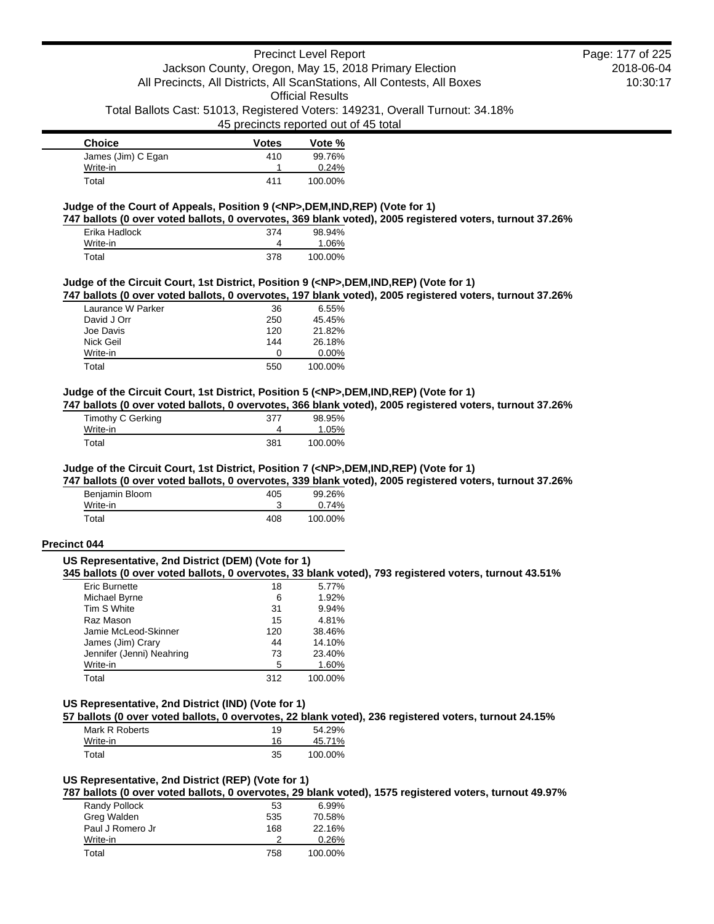45 precincts reported out of 45 total

| <b>Choice</b>      | <b>Votes</b> | Vote %  |
|--------------------|--------------|---------|
| James (Jim) C Egan | 410          | 99.76%  |
| Write-in           |              | 0.24%   |
| Total              | 411          | 100.00% |

### **Judge of the Court of Appeals, Position 9 (<NP>,DEM,IND,REP) (Vote for 1)**

**747 ballots (0 over voted ballots, 0 overvotes, 369 blank voted), 2005 registered voters, turnout 37.26%**

| Erika Hadlock | 374 | 98.94%  |
|---------------|-----|---------|
| Write-in      |     | 1.06%   |
| Total         | 378 | 100.00% |

### **Judge of the Circuit Court, 1st District, Position 9 (<NP>,DEM,IND,REP) (Vote for 1)**

**747 ballots (0 over voted ballots, 0 overvotes, 197 blank voted), 2005 registered voters, turnout 37.26%**

| Laurance W Parker | 36  | $6.55\%$ |
|-------------------|-----|----------|
| David J Orr       | 250 | 45.45%   |
| Joe Davis         | 120 | 21.82%   |
| Nick Geil         | 144 | 26.18%   |
| Write-in          | O   | $0.00\%$ |
| Total             | 550 | 100.00%  |

### **Judge of the Circuit Court, 1st District, Position 5 (<NP>,DEM,IND,REP) (Vote for 1)**

**747 ballots (0 over voted ballots, 0 overvotes, 366 blank voted), 2005 registered voters, turnout 37.26%**

| Timothy C Gerking | 377 | 98.95%  |
|-------------------|-----|---------|
| Write-in          |     | 1.05%   |
| Total             | 381 | 100.00% |

#### **Judge of the Circuit Court, 1st District, Position 7 (<NP>,DEM,IND,REP) (Vote for 1)**

**747 ballots (0 over voted ballots, 0 overvotes, 339 blank voted), 2005 registered voters, turnout 37.26%**

| Benjamin Bloom | 405 | 99.26%  |
|----------------|-----|---------|
| Write-in       |     | 0.74%   |
| Total          | 408 | 100.00% |

#### **Precinct 044**

#### **US Representative, 2nd District (DEM) (Vote for 1)**

**345 ballots (0 over voted ballots, 0 overvotes, 33 blank voted), 793 registered voters, turnout 43.51%**

| Eric Burnette             | 18  | 5.77%   |
|---------------------------|-----|---------|
| Michael Byrne             | 6   | 1.92%   |
| Tim S White               | 31  | 9.94%   |
| Raz Mason                 | 15  | 4.81%   |
| Jamie McLeod-Skinner      | 120 | 38.46%  |
| James (Jim) Crary         | 44  | 14.10%  |
| Jennifer (Jenni) Neahring | 73  | 23.40%  |
| Write-in                  | 5   | 1.60%   |
| Total                     | 312 | 100.00% |

# **US Representative, 2nd District (IND) (Vote for 1)**

**57 ballots (0 over voted ballots, 0 overvotes, 22 blank voted), 236 registered voters, turnout 24.15%**

| Mark R Roberts | 19 | 54.29%  |
|----------------|----|---------|
| Write-in       | 16 | 45.71%  |
| Total          | 35 | 100.00% |

#### **US Representative, 2nd District (REP) (Vote for 1)**

**787 ballots (0 over voted ballots, 0 overvotes, 29 blank voted), 1575 registered voters, turnout 49.97%**

| Randy Pollock    | 53  | 6.99%   |
|------------------|-----|---------|
| Greg Walden      | 535 | 70.58%  |
| Paul J Romero Jr | 168 | 22.16%  |
| Write-in         |     | 0.26%   |
| Total            | 758 | 100.00% |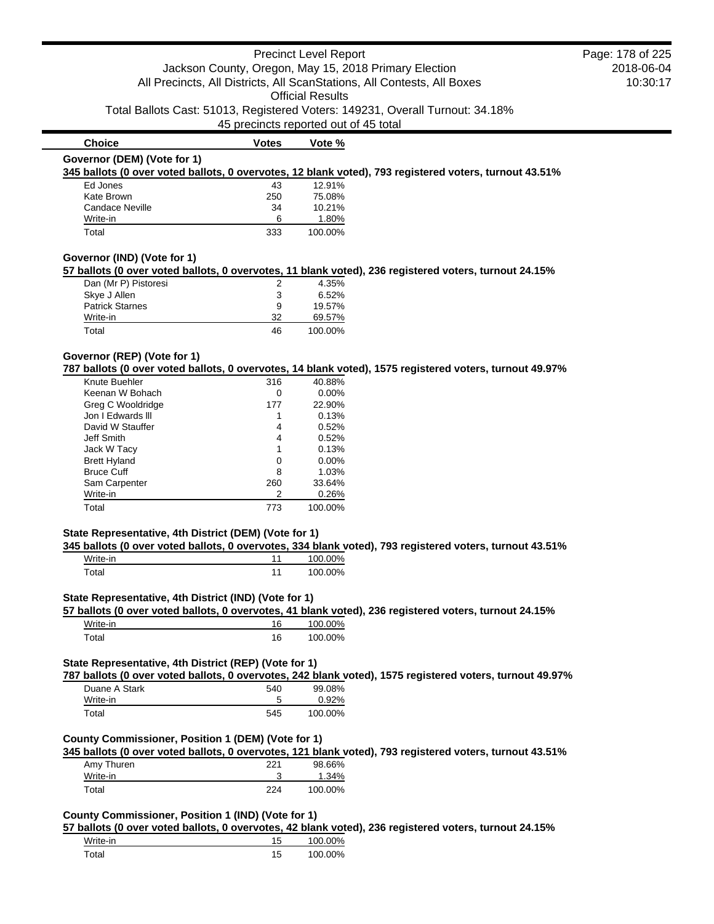|                                                       |              | <b>Precinct Level Report</b>                                                                             | Page: 178 of 225 |
|-------------------------------------------------------|--------------|----------------------------------------------------------------------------------------------------------|------------------|
|                                                       |              | Jackson County, Oregon, May 15, 2018 Primary Election                                                    | 2018-06-04       |
|                                                       |              | All Precincts, All Districts, All ScanStations, All Contests, All Boxes                                  | 10:30:17         |
|                                                       |              | <b>Official Results</b>                                                                                  |                  |
|                                                       |              | Total Ballots Cast: 51013, Registered Voters: 149231, Overall Turnout: 34.18%                            |                  |
|                                                       |              | 45 precincts reported out of 45 total                                                                    |                  |
|                                                       |              |                                                                                                          |                  |
| <b>Choice</b>                                         | <b>Votes</b> | Vote %                                                                                                   |                  |
| Governor (DEM) (Vote for 1)                           |              |                                                                                                          |                  |
|                                                       |              | 345 ballots (0 over voted ballots, 0 overvotes, 12 blank voted), 793 registered voters, turnout 43.51%   |                  |
| Ed Jones                                              | 43           | 12.91%                                                                                                   |                  |
| Kate Brown                                            | 250          | 75.08%                                                                                                   |                  |
| Candace Neville                                       | 34           | 10.21%                                                                                                   |                  |
| Write-in<br>Total                                     | 6<br>333     | 1.80%<br>100.00%                                                                                         |                  |
|                                                       |              |                                                                                                          |                  |
| Governor (IND) (Vote for 1)                           |              |                                                                                                          |                  |
|                                                       |              | 57 ballots (0 over voted ballots, 0 overvotes, 11 blank voted), 236 registered voters, turnout 24.15%    |                  |
| Dan (Mr P) Pistoresi                                  | 2            | 4.35%                                                                                                    |                  |
| Skye J Allen                                          | 3            | 6.52%                                                                                                    |                  |
| <b>Patrick Starnes</b>                                | 9            | 19.57%                                                                                                   |                  |
| Write-in                                              | 32           | 69.57%                                                                                                   |                  |
| Total                                                 | 46           | 100.00%                                                                                                  |                  |
| Governor (REP) (Vote for 1)                           |              |                                                                                                          |                  |
|                                                       |              | 787 ballots (0 over voted ballots, 0 overvotes, 14 blank voted), 1575 registered voters, turnout 49.97%  |                  |
| Knute Buehler                                         | 316          | 40.88%                                                                                                   |                  |
| Keenan W Bohach                                       | 0            | 0.00%                                                                                                    |                  |
| Greg C Wooldridge                                     | 177          | 22.90%                                                                                                   |                  |
| Jon I Edwards III                                     | 1            | 0.13%                                                                                                    |                  |
| David W Stauffer                                      | 4            | 0.52%                                                                                                    |                  |
| Jeff Smith                                            | 4            | 0.52%                                                                                                    |                  |
| Jack W Tacy                                           | 1            | 0.13%                                                                                                    |                  |
| <b>Brett Hyland</b>                                   | 0            | 0.00%                                                                                                    |                  |
| <b>Bruce Cuff</b>                                     | 8            | 1.03%                                                                                                    |                  |
| Sam Carpenter                                         | 260          | 33.64%                                                                                                   |                  |
| Write-in                                              | 2            | 0.26%                                                                                                    |                  |
| Total                                                 | 773          | 100.00%                                                                                                  |                  |
|                                                       |              |                                                                                                          |                  |
| State Representative, 4th District (DEM) (Vote for 1) |              | 345 ballots (0 over voted ballots, 0 overvotes, 334 blank voted), 793 registered voters, turnout 43.51%  |                  |
| Write-in                                              | 11           | 100.00%                                                                                                  |                  |
| Total                                                 | 11           | 100.00%                                                                                                  |                  |
|                                                       |              |                                                                                                          |                  |
| State Representative, 4th District (IND) (Vote for 1) |              |                                                                                                          |                  |
|                                                       |              | 57 ballots (0 over voted ballots, 0 overvotes, 41 blank voted), 236 registered voters, turnout 24.15%    |                  |
| Write-in                                              | 16           | 100.00%                                                                                                  |                  |
| Total                                                 | 16           | 100.00%                                                                                                  |                  |
|                                                       |              |                                                                                                          |                  |
| State Representative, 4th District (REP) (Vote for 1) |              |                                                                                                          |                  |
|                                                       |              | 787 ballots (0 over voted ballots, 0 overvotes, 242 blank voted), 1575 registered voters, turnout 49.97% |                  |
| Duane A Stark<br>Write-in                             | 540<br>5     | 99.08%                                                                                                   |                  |
|                                                       |              | 0.92%                                                                                                    |                  |
| Total                                                 | 545          | 100.00%                                                                                                  |                  |
| County Commissioner, Position 1 (DEM) (Vote for 1)    |              |                                                                                                          |                  |
|                                                       |              | 345 ballots (0 over voted ballots, 0 overvotes, 121 blank voted), 793 registered voters, turnout 43.51%  |                  |
|                                                       |              |                                                                                                          |                  |
|                                                       |              |                                                                                                          |                  |
| Amy Thuren                                            | 221          | 98.66%                                                                                                   |                  |
| Write-in<br>Total                                     | 3<br>224     | 1.34%<br>100.00%                                                                                         |                  |

**57 ballots (0 over voted ballots, 0 overvotes, 42 blank voted), 236 registered voters, turnout 24.15%**

| Write-in | $\cdot$   | 100.00% |
|----------|-----------|---------|
| ʻotal    | 15<br>ں ، | 100.00% |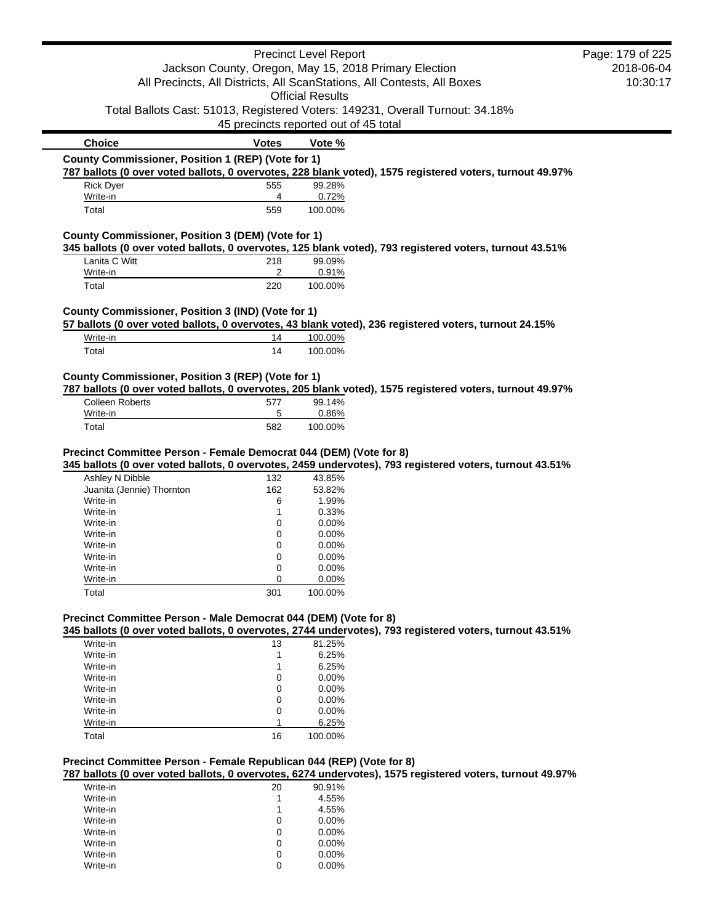|                                                                      |                                       | <b>Precinct Level Report</b> |                                                                                                          | Page: 179 of 225 |
|----------------------------------------------------------------------|---------------------------------------|------------------------------|----------------------------------------------------------------------------------------------------------|------------------|
|                                                                      |                                       |                              | Jackson County, Oregon, May 15, 2018 Primary Election                                                    | 2018-06-04       |
|                                                                      |                                       |                              | All Precincts, All Districts, All ScanStations, All Contests, All Boxes                                  | 10:30:17         |
|                                                                      |                                       | <b>Official Results</b>      |                                                                                                          |                  |
|                                                                      |                                       |                              | Total Ballots Cast: 51013, Registered Voters: 149231, Overall Turnout: 34.18%                            |                  |
|                                                                      | 45 precincts reported out of 45 total |                              |                                                                                                          |                  |
| <b>Choice</b>                                                        | <b>Votes</b>                          | Vote %                       |                                                                                                          |                  |
| County Commissioner, Position 1 (REP) (Vote for 1)                   |                                       |                              |                                                                                                          |                  |
|                                                                      |                                       |                              | 787 ballots (0 over voted ballots, 0 overvotes, 228 blank voted), 1575 registered voters, turnout 49.97% |                  |
| <b>Rick Dyer</b>                                                     | 555                                   | 99.28%                       |                                                                                                          |                  |
| Write-in                                                             | 4                                     | 0.72%                        |                                                                                                          |                  |
| Total                                                                | 559                                   | 100.00%                      |                                                                                                          |                  |
|                                                                      |                                       |                              |                                                                                                          |                  |
| County Commissioner, Position 3 (DEM) (Vote for 1)                   |                                       |                              |                                                                                                          |                  |
|                                                                      |                                       |                              | 345 ballots (0 over voted ballots, 0 overvotes, 125 blank voted), 793 registered voters, turnout 43.51%  |                  |
| Lanita C Witt                                                        | 218                                   | 99.09%                       |                                                                                                          |                  |
| Write-in                                                             | 2                                     | 0.91%                        |                                                                                                          |                  |
| Total                                                                | 220                                   | 100.00%                      |                                                                                                          |                  |
|                                                                      |                                       |                              |                                                                                                          |                  |
| County Commissioner, Position 3 (IND) (Vote for 1)                   |                                       |                              |                                                                                                          |                  |
|                                                                      |                                       |                              | 57 ballots (0 over voted ballots, 0 overvotes, 43 blank voted), 236 registered voters, turnout 24.15%    |                  |
| Write-in                                                             | 14                                    | 100.00%                      |                                                                                                          |                  |
| Total                                                                | 14                                    | 100.00%                      |                                                                                                          |                  |
|                                                                      |                                       |                              |                                                                                                          |                  |
| County Commissioner, Position 3 (REP) (Vote for 1)                   |                                       |                              |                                                                                                          |                  |
|                                                                      |                                       |                              | 787 ballots (0 over voted ballots, 0 overvotes, 205 blank voted), 1575 registered voters, turnout 49.97% |                  |
| <b>Colleen Roberts</b>                                               | 577                                   | 99.14%                       |                                                                                                          |                  |
| Write-in                                                             | 5                                     | 0.86%                        |                                                                                                          |                  |
| Total                                                                | 582                                   | 100.00%                      |                                                                                                          |                  |
|                                                                      |                                       |                              |                                                                                                          |                  |
| Precinct Committee Person - Female Democrat 044 (DEM) (Vote for 8)   |                                       |                              |                                                                                                          |                  |
|                                                                      |                                       |                              | 345 ballots (0 over voted ballots, 0 overvotes, 2459 undervotes), 793 registered voters, turnout 43.51%  |                  |
| Ashley N Dibble                                                      | 132                                   | 43.85%                       |                                                                                                          |                  |
| Juanita (Jennie) Thornton<br>Write-in                                | 162                                   | 53.82%                       |                                                                                                          |                  |
|                                                                      | 6                                     | 1.99%                        |                                                                                                          |                  |
| Write-in                                                             | 1<br>0                                | 0.33%<br>0.00%               |                                                                                                          |                  |
| Write-in                                                             |                                       |                              |                                                                                                          |                  |
| Write-in                                                             | 0                                     | 0.00%<br>0.00%               |                                                                                                          |                  |
| Write-in                                                             | 0                                     |                              |                                                                                                          |                  |
| Write-in                                                             | 0                                     | 0.00%                        |                                                                                                          |                  |
| Write-in<br>Write-in                                                 | 0<br>0                                | 0.00%                        |                                                                                                          |                  |
|                                                                      | 301                                   | 0.00%<br>100.00%             |                                                                                                          |                  |
| Total                                                                |                                       |                              |                                                                                                          |                  |
| Precinct Committee Person - Male Democrat 044 (DEM) (Vote for 8)     |                                       |                              |                                                                                                          |                  |
|                                                                      |                                       |                              | 345 ballots (0 over voted ballots, 0 overvotes, 2744 undervotes), 793 registered voters, turnout 43.51%  |                  |
| Write-in                                                             | 13                                    | 81.25%                       |                                                                                                          |                  |
| Write-in                                                             | 1                                     | 6.25%                        |                                                                                                          |                  |
| Write-in                                                             | 1                                     | 6.25%                        |                                                                                                          |                  |
| Write-in                                                             | 0                                     | 0.00%                        |                                                                                                          |                  |
| Write-in                                                             | 0                                     | 0.00%                        |                                                                                                          |                  |
| Write-in                                                             | 0                                     | 0.00%                        |                                                                                                          |                  |
| Write-in                                                             | 0                                     | 0.00%                        |                                                                                                          |                  |
| Write-in                                                             | 1                                     | 6.25%                        |                                                                                                          |                  |
| Total                                                                | 16                                    | 100.00%                      |                                                                                                          |                  |
|                                                                      |                                       |                              |                                                                                                          |                  |
| Precinct Committee Person - Female Republican 044 (REP) (Vote for 8) |                                       |                              |                                                                                                          |                  |
|                                                                      |                                       |                              | 787 ballots (0 over voted ballots, 0 overvotes, 6274 undervotes), 1575 registered voters, turnout 49.97% |                  |
| Write-in                                                             | 20                                    | 90.91%                       |                                                                                                          |                  |
| Write-in                                                             | 1                                     | 4.55%                        |                                                                                                          |                  |
| Write-in                                                             | 1                                     | 4.55%                        |                                                                                                          |                  |
| Write-in                                                             | 0                                     | 0.00%                        |                                                                                                          |                  |
| Write-in                                                             | 0                                     | 0.00%                        |                                                                                                          |                  |
| Write-in                                                             | 0                                     | 0.00%                        |                                                                                                          |                  |
| Write-in                                                             | 0                                     | 0.00%                        |                                                                                                          |                  |

Write-in 0 0.00%<br>Write-in 0 0.00%<br>Write-in 0 0.00%

Write-in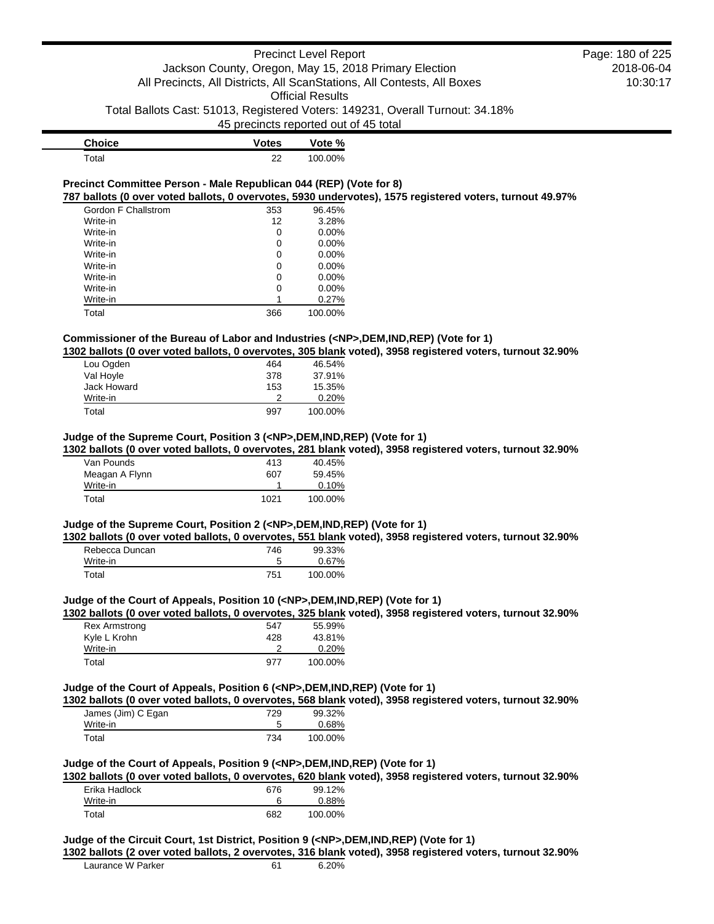| <b>Choice</b> | <b>Votes</b> | Vote %  |
|---------------|--------------|---------|
| $\tau$ otal   | 22           | 100.00% |

#### **Precinct Committee Person - Male Republican 044 (REP) (Vote for 8) 787 ballots (0 over voted ballots, 0 overvotes, 5930 undervotes), 1575 registered voters, turnout 49.97%**

| Gordon F Challstrom | 353 | 96.45%   |
|---------------------|-----|----------|
| Write-in            | 12  | 3.28%    |
| Write-in            | 0   | 0.00%    |
| Write-in            | 0   | $0.00\%$ |
| Write-in            | 0   | 0.00%    |
| Write-in            | 0   | 0.00%    |
| Write-in            | 0   | $0.00\%$ |
| Write-in            | 0   | $0.00\%$ |
| Write-in            |     | 0.27%    |
| Total               | 366 | 100.00%  |

# **Commissioner of the Bureau of Labor and Industries (<NP>,DEM,IND,REP) (Vote for 1)**

**1302 ballots (0 over voted ballots, 0 overvotes, 305 blank voted), 3958 registered voters, turnout 32.90%**

| Lou Ogden   | 464 | 46.54%  |
|-------------|-----|---------|
| Val Hoyle   | 378 | 37.91%  |
| Jack Howard | 153 | 15.35%  |
| Write-in    | າ   | 0.20%   |
| Total       | 997 | 100.00% |

### **Judge of the Supreme Court, Position 3 (<NP>,DEM,IND,REP) (Vote for 1)**

**1302 ballots (0 over voted ballots, 0 overvotes, 281 blank voted), 3958 registered voters, turnout 32.90%**

| Van Pounds     | 413  | 40.45%   |
|----------------|------|----------|
| Meagan A Flynn | 607  | 59.45%   |
| Write-in       |      | $0.10\%$ |
| Total          | 1021 | 100.00%  |

# **Judge of the Supreme Court, Position 2 (<NP>,DEM,IND,REP) (Vote for 1)**

**1302 ballots (0 over voted ballots, 0 overvotes, 551 blank voted), 3958 registered voters, turnout 32.90%**

| Rebecca Duncan | 746 | 99.33%  |
|----------------|-----|---------|
| Write-in       |     | 0.67%   |
| Total          | 751 | 100.00% |

#### **Judge of the Court of Appeals, Position 10 (<NP>,DEM,IND,REP) (Vote for 1)**

**1302 ballots (0 over voted ballots, 0 overvotes, 325 blank voted), 3958 registered voters, turnout 32.90%**

| <b>Rex Armstrong</b> | 547 | 55.99%   |
|----------------------|-----|----------|
| Kyle L Krohn         | 428 | 43.81%   |
| Write-in             |     | $0.20\%$ |
| Total                | 977 | 100.00%  |

### **Judge of the Court of Appeals, Position 6 (<NP>,DEM,IND,REP) (Vote for 1)**

**1302 ballots (0 over voted ballots, 0 overvotes, 568 blank voted), 3958 registered voters, turnout 32.90%**

| James (Jim) C Egan | 729 | 99.32%  |
|--------------------|-----|---------|
| Write-in           |     | 0.68%   |
| Total              | 734 | 100.00% |

### **Judge of the Court of Appeals, Position 9 (<NP>,DEM,IND,REP) (Vote for 1)**

**1302 ballots (0 over voted ballots, 0 overvotes, 620 blank voted), 3958 registered voters, turnout 32.90%**

| Erika Hadlock | 676 | 99.12%   |
|---------------|-----|----------|
| Write-in      | 6   | $0.88\%$ |
| Total         | 682 | 100.00%  |

#### **Judge of the Circuit Court, 1st District, Position 9 (<NP>,DEM,IND,REP) (Vote for 1)**

**1302 ballots (2 over voted ballots, 2 overvotes, 316 blank voted), 3958 registered voters, turnout 32.90%**

| Laurance W Parker | 6.20% |
|-------------------|-------|
|                   |       |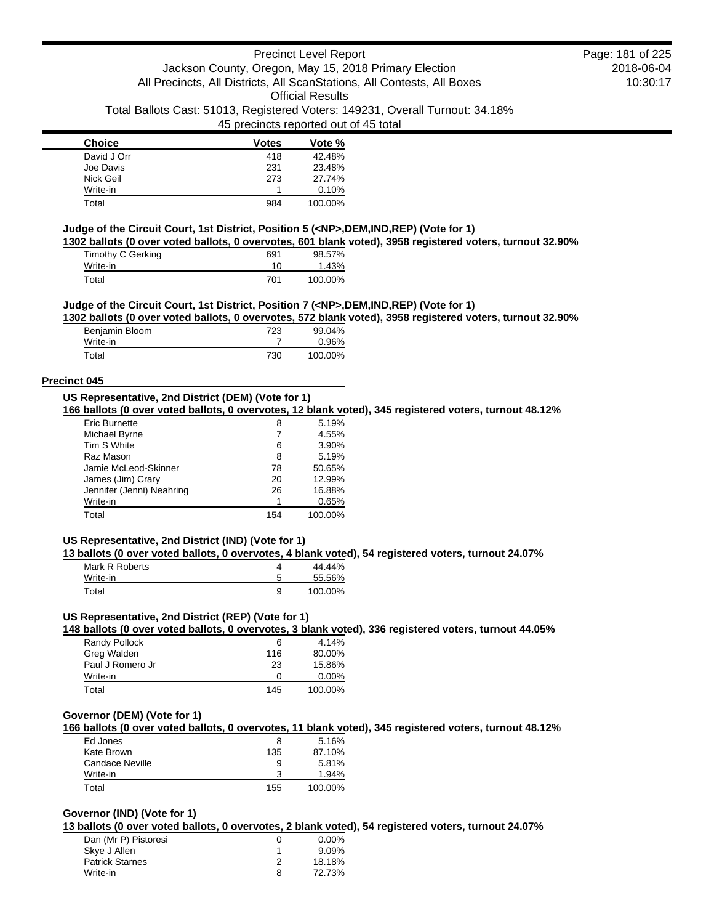| <b>Choice</b> | Votes | Vote %  |
|---------------|-------|---------|
| David J Orr   | 418   | 42.48%  |
| Joe Davis     | 231   | 23.48%  |
| Nick Geil     | 273   | 27.74%  |
| Write-in      |       | 0.10%   |
| Total         | 984   | 100.00% |

### **Judge of the Circuit Court, 1st District, Position 5 (<NP>,DEM,IND,REP) (Vote for 1)**

**1302 ballots (0 over voted ballots, 0 overvotes, 601 blank voted), 3958 registered voters, turnout 32.90%**

| Timothy C Gerking | 691 | 98.57%  |
|-------------------|-----|---------|
| Write-in          | 10  | 1.43%   |
| Total             | 701 | 100.00% |

### **Judge of the Circuit Court, 1st District, Position 7 (<NP>,DEM,IND,REP) (Vote for 1)**

**1302 ballots (0 over voted ballots, 0 overvotes, 572 blank voted), 3958 registered voters, turnout 32.90%**

| Benjamin Bloom | 723 | 99.04%  |
|----------------|-----|---------|
| Write-in       |     | 0.96%   |
| Total          | 730 | 100.00% |

### **Precinct 045**

### **US Representative, 2nd District (DEM) (Vote for 1)**

**166 ballots (0 over voted ballots, 0 overvotes, 12 blank voted), 345 registered voters, turnout 48.12%**

| Eric Burnette             | 8   | 5.19%   |
|---------------------------|-----|---------|
| Michael Byrne             | 7   | 4.55%   |
| Tim S White               | 6   | 3.90%   |
| Raz Mason                 | 8   | 5.19%   |
| Jamie McLeod-Skinner      | 78  | 50.65%  |
| James (Jim) Crary         | 20  | 12.99%  |
| Jennifer (Jenni) Neahring | 26  | 16.88%  |
| Write-in                  |     | 0.65%   |
| Total                     | 154 | 100.00% |

## **US Representative, 2nd District (IND) (Vote for 1)**

**13 ballots (0 over voted ballots, 0 overvotes, 4 blank voted), 54 registered voters, turnout 24.07%**

| Mark R Roberts | 44.44%  |
|----------------|---------|
| Write-in       | 55.56%  |
| Total          | 100.00% |

# **US Representative, 2nd District (REP) (Vote for 1)**

**148 ballots (0 over voted ballots, 0 overvotes, 3 blank voted), 336 registered voters, turnout 44.05%**

| Randy Pollock    | 6   | 4.14%    |
|------------------|-----|----------|
| Greg Walden      | 116 | 80.00%   |
| Paul J Romero Jr | 23  | 15.86%   |
| Write-in         | 0   | $0.00\%$ |
| Total            | 145 | 100.00%  |

## **Governor (DEM) (Vote for 1)**

**166 ballots (0 over voted ballots, 0 overvotes, 11 blank voted), 345 registered voters, turnout 48.12%**

| Ed Jones        | 8   | 5.16%   |
|-----------------|-----|---------|
| Kate Brown      | 135 | 87.10%  |
| Candace Neville | 9   | 5.81%   |
| Write-in        | ર   | 1.94%   |
| Total           | 155 | 100.00% |

## **Governor (IND) (Vote for 1)**

**13 ballots (0 over voted ballots, 0 overvotes, 2 blank voted), 54 registered voters, turnout 24.07%**

| Dan (Mr P) Pistoresi   |   | $0.00\%$ |
|------------------------|---|----------|
| Skye J Allen           |   | 9.09%    |
| <b>Patrick Starnes</b> |   | 18.18%   |
| Write-in               | 8 | 72.73%   |
|                        |   |          |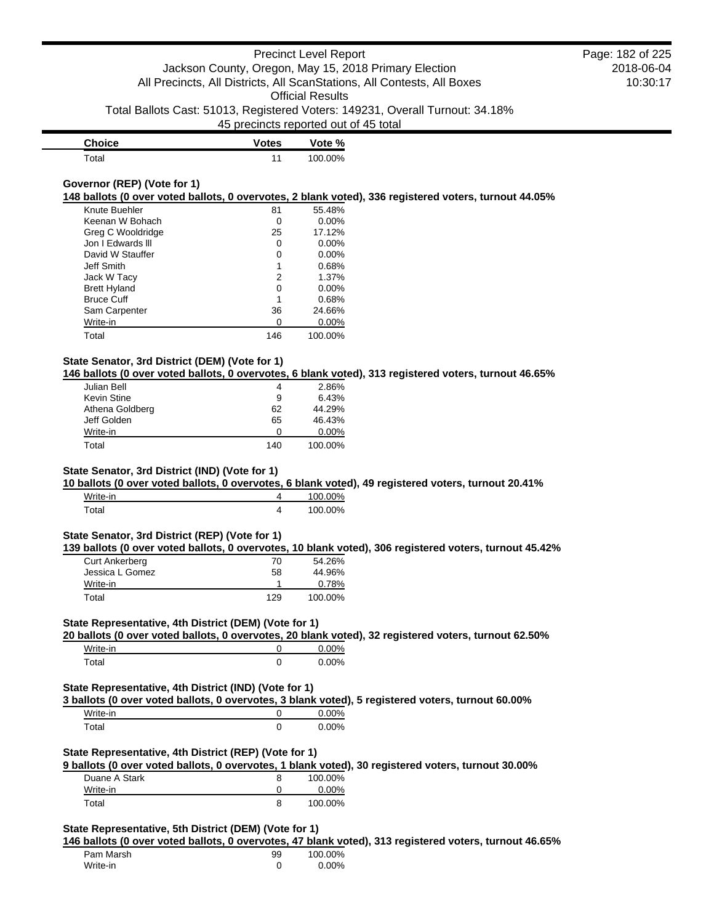| <b>Choice</b> | <b>Votes</b> | Vote %  |
|---------------|--------------|---------|
| $\tau$ otal   | 11           | 100.00% |

## **Governor (REP) (Vote for 1)**

**148 ballots (0 over voted ballots, 0 overvotes, 2 blank voted), 336 registered voters, turnout 44.05%**

| Knute Buehler       | 81  | 55.48%   |
|---------------------|-----|----------|
| Keenan W Bohach     | Ω   | $0.00\%$ |
| Greg C Wooldridge   | 25  | 17.12%   |
| Jon I Edwards III   | 0   | $0.00\%$ |
| David W Stauffer    | 0   | $0.00\%$ |
| Jeff Smith          | 1   | 0.68%    |
| Jack W Tacy         | 2   | 1.37%    |
| <b>Brett Hyland</b> | 0   | $0.00\%$ |
| <b>Bruce Cuff</b>   | 1   | 0.68%    |
| Sam Carpenter       | 36  | 24.66%   |
| Write-in            | Ω   | $0.00\%$ |
| Total               | 146 | 100.00%  |

## **State Senator, 3rd District (DEM) (Vote for 1)**

**146 ballots (0 over voted ballots, 0 overvotes, 6 blank voted), 313 registered voters, turnout 46.65%**

| Julian Bell     | 4   | 2.86%    |
|-----------------|-----|----------|
| Kevin Stine     | 9   | 6.43%    |
| Athena Goldberg | 62  | 44.29%   |
| Jeff Golden     | 65  | 46.43%   |
| Write-in        |     | $0.00\%$ |
| Total           | 140 | 100.00%  |

## **State Senator, 3rd District (IND) (Vote for 1)**

**10 ballots (0 over voted ballots, 0 overvotes, 6 blank voted), 49 registered voters, turnout 20.41%**

| Write-in | 100.00% |
|----------|---------|
| Total    | 100.00% |

#### **State Senator, 3rd District (REP) (Vote for 1)**

**139 ballots (0 over voted ballots, 0 overvotes, 10 blank voted), 306 registered voters, turnout 45.42%**

| <b>Curt Ankerberg</b> | 70  | 54.26%  |
|-----------------------|-----|---------|
| Jessica L Gomez       | 58  | 44.96%  |
| Write-in              |     | 0.78%   |
| Total                 | 129 | 100.00% |

## **State Representative, 4th District (DEM) (Vote for 1)**

**20 ballots (0 over voted ballots, 0 overvotes, 20 blank voted), 32 registered voters, turnout 62.50%**

| Write-in | $0.00\%$ |
|----------|----------|
| Total    | $0.00\%$ |

### **State Representative, 4th District (IND) (Vote for 1)**

**3 ballots (0 over voted ballots, 0 overvotes, 3 blank voted), 5 registered voters, turnout 60.00%**

| Write-in | 0.00%    |
|----------|----------|
| Total    | $0.00\%$ |

## **State Representative, 4th District (REP) (Vote for 1)**

**9 ballots (0 over voted ballots, 0 overvotes, 1 blank voted), 30 registered voters, turnout 30.00%**

| Duane A Stark | 100.00%  |
|---------------|----------|
| Write-in      | $0.00\%$ |
| Total         | 100.00%  |

## **State Representative, 5th District (DEM) (Vote for 1)**

**146 ballots (0 over voted ballots, 0 overvotes, 47 blank voted), 313 registered voters, turnout 46.65%**

| Pam Marsh | 99 | 100.00%  |
|-----------|----|----------|
| Write-in  |    | $0.00\%$ |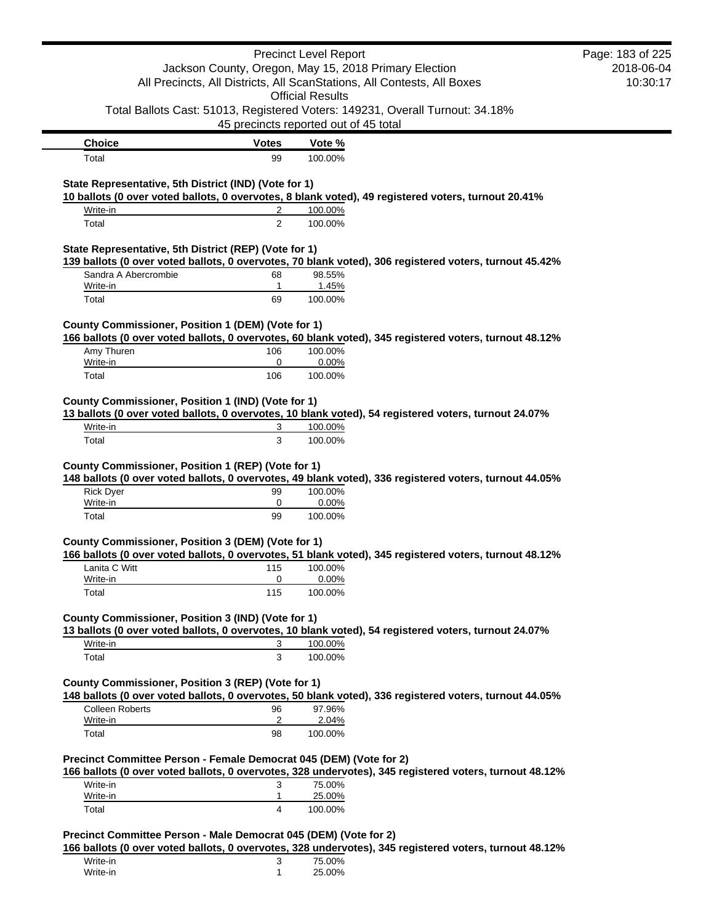|                                                                    |                   | <b>Precinct Level Report</b>                                                                           | Page: 183 of 225 |  |
|--------------------------------------------------------------------|-------------------|--------------------------------------------------------------------------------------------------------|------------------|--|
|                                                                    |                   | Jackson County, Oregon, May 15, 2018 Primary Election                                                  | 2018-06-04       |  |
|                                                                    |                   | All Precincts, All Districts, All ScanStations, All Contests, All Boxes                                | 10:30:17         |  |
|                                                                    |                   | <b>Official Results</b>                                                                                |                  |  |
|                                                                    |                   | Total Ballots Cast: 51013, Registered Voters: 149231, Overall Turnout: 34.18%                          |                  |  |
|                                                                    |                   | 45 precincts reported out of 45 total                                                                  |                  |  |
| <b>Choice</b>                                                      | <b>Votes</b>      | Vote %                                                                                                 |                  |  |
| Total                                                              | 99                | 100.00%                                                                                                |                  |  |
| State Representative, 5th District (IND) (Vote for 1)              |                   |                                                                                                        |                  |  |
|                                                                    |                   | 10 ballots (0 over voted ballots, 0 overvotes, 8 blank voted), 49 registered voters, turnout 20.41%    |                  |  |
| Write-in                                                           | 2                 | 100.00%                                                                                                |                  |  |
| Total                                                              | $\overline{2}$    | 100.00%                                                                                                |                  |  |
| State Representative, 5th District (REP) (Vote for 1)              |                   | 139 ballots (0 over voted ballots, 0 overvotes, 70 blank voted), 306 registered voters, turnout 45.42% |                  |  |
| Sandra A Abercrombie                                               | 68                | 98.55%                                                                                                 |                  |  |
| Write-in                                                           | 1                 | 1.45%                                                                                                  |                  |  |
| Total                                                              | 69                | 100.00%                                                                                                |                  |  |
|                                                                    |                   |                                                                                                        |                  |  |
| County Commissioner, Position 1 (DEM) (Vote for 1)                 |                   | 166 ballots (0 over voted ballots, 0 overvotes, 60 blank voted), 345 registered voters, turnout 48.12% |                  |  |
| Amy Thuren                                                         | 106               | 100.00%                                                                                                |                  |  |
| Write-in                                                           | 0                 | 0.00%                                                                                                  |                  |  |
| Total                                                              | 106               | 100.00%                                                                                                |                  |  |
|                                                                    |                   |                                                                                                        |                  |  |
| County Commissioner, Position 1 (IND) (Vote for 1)                 |                   |                                                                                                        |                  |  |
|                                                                    |                   |                                                                                                        |                  |  |
|                                                                    |                   | 13 ballots (0 over voted ballots, 0 overvotes, 10 blank voted), 54 registered voters, turnout 24.07%   |                  |  |
| Write-in<br>Total                                                  | 3<br>3            | 100.00%<br>100.00%                                                                                     |                  |  |
|                                                                    |                   |                                                                                                        |                  |  |
| County Commissioner, Position 1 (REP) (Vote for 1)                 |                   |                                                                                                        |                  |  |
|                                                                    |                   | 148 ballots (0 over voted ballots, 0 overvotes, 49 blank voted), 336 registered voters, turnout 44.05% |                  |  |
| <b>Rick Dyer</b>                                                   | 99<br>0           | 100.00%                                                                                                |                  |  |
| Write-in<br>Total                                                  | 99                | 0.00%<br>100.00%                                                                                       |                  |  |
|                                                                    |                   |                                                                                                        |                  |  |
| County Commissioner, Position 3 (DEM) (Vote for 1)                 |                   |                                                                                                        |                  |  |
|                                                                    |                   | 166 ballots (0 over voted ballots, 0 overvotes, 51 blank voted), 345 registered voters, turnout 48.12% |                  |  |
| Lanita C Witt<br>Write-in                                          | 115<br>0          | 100.00%<br>0.00%                                                                                       |                  |  |
| Total                                                              | 115               | 100.00%                                                                                                |                  |  |
|                                                                    |                   |                                                                                                        |                  |  |
| County Commissioner, Position 3 (IND) (Vote for 1)                 |                   |                                                                                                        |                  |  |
|                                                                    |                   | 13 ballots (0 over voted ballots, 0 overvotes, 10 blank voted), 54 registered voters, turnout 24.07%   |                  |  |
| Write-in                                                           | 3                 | 100.00%                                                                                                |                  |  |
| Total                                                              | 3                 | 100.00%                                                                                                |                  |  |
| County Commissioner, Position 3 (REP) (Vote for 1)                 |                   |                                                                                                        |                  |  |
|                                                                    |                   | 148 ballots (0 over voted ballots, 0 overvotes, 50 blank voted), 336 registered voters, turnout 44.05% |                  |  |
| <b>Colleen Roberts</b>                                             | 96                | 97.96%                                                                                                 |                  |  |
| Write-in                                                           | $\overline{c}$    | 2.04%                                                                                                  |                  |  |
| Total                                                              | 98                | 100.00%                                                                                                |                  |  |
| Precinct Committee Person - Female Democrat 045 (DEM) (Vote for 2) |                   |                                                                                                        |                  |  |
|                                                                    |                   | 166 ballots (0 over voted ballots, 0 overvotes, 328 undervotes), 345 registered voters, turnout 48.12% |                  |  |
| Write-in                                                           | 3<br>$\mathbf{1}$ | 75.00%                                                                                                 |                  |  |
| Write-in<br>Total                                                  | 4                 | 25.00%<br>100.00%                                                                                      |                  |  |

| Write-in | J | 75.00% |
|----------|---|--------|
| Write-in |   | 25.00% |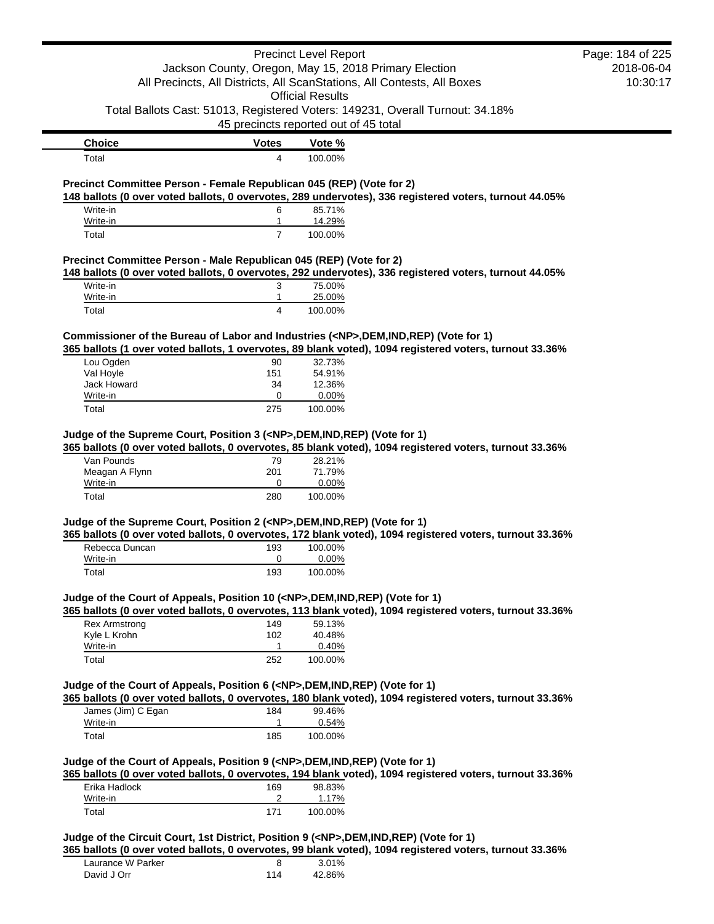|                                                                                            |                                                       | <b>Precinct Level Report</b> |                                                                                                          | Page: 184 of 225       |
|--------------------------------------------------------------------------------------------|-------------------------------------------------------|------------------------------|----------------------------------------------------------------------------------------------------------|------------------------|
|                                                                                            | Jackson County, Oregon, May 15, 2018 Primary Election | <b>Official Results</b>      | All Precincts, All Districts, All ScanStations, All Contests, All Boxes                                  | 2018-06-04<br>10:30:17 |
|                                                                                            | 45 precincts reported out of 45 total                 |                              | Total Ballots Cast: 51013, Registered Voters: 149231, Overall Turnout: 34.18%                            |                        |
| <b>Choice</b>                                                                              | <b>Votes</b>                                          | Vote %                       |                                                                                                          |                        |
| Total                                                                                      | 4                                                     | 100.00%                      |                                                                                                          |                        |
| Precinct Committee Person - Female Republican 045 (REP) (Vote for 2)                       |                                                       |                              | 148 ballots (0 over voted ballots, 0 overvotes, 289 undervotes), 336 registered voters, turnout 44.05%   |                        |
| Write-in                                                                                   | 6                                                     | 85.71%                       |                                                                                                          |                        |
| Write-in                                                                                   | 1                                                     | 14.29%                       |                                                                                                          |                        |
| Total<br>Precinct Committee Person - Male Republican 045 (REP) (Vote for 2)                | $\overline{7}$                                        | 100.00%                      |                                                                                                          |                        |
|                                                                                            |                                                       |                              | 148 ballots (0 over voted ballots, 0 overvotes, 292 undervotes), 336 registered voters, turnout 44.05%   |                        |
| Write-in                                                                                   | 3                                                     | 75.00%                       |                                                                                                          |                        |
| Write-in                                                                                   | 1                                                     | 25.00%                       |                                                                                                          |                        |
| Total                                                                                      | 4                                                     | 100.00%                      |                                                                                                          |                        |
| Commissioner of the Bureau of Labor and Industries ( <np>,DEM,IND,REP) (Vote for 1)</np>   |                                                       |                              |                                                                                                          |                        |
|                                                                                            |                                                       |                              | 365 ballots (1 over voted ballots, 1 overvotes, 89 blank voted), 1094 registered voters, turnout 33.36%  |                        |
| Lou Ogden                                                                                  | 90                                                    | 32.73%                       |                                                                                                          |                        |
| Val Hoyle                                                                                  | 151                                                   | 54.91%                       |                                                                                                          |                        |
| Jack Howard                                                                                | 34<br>0                                               | 12.36%                       |                                                                                                          |                        |
| Write-in<br>Total                                                                          | 275                                                   | 0.00%<br>100.00%             |                                                                                                          |                        |
|                                                                                            |                                                       |                              |                                                                                                          |                        |
| Van Pounds<br>Meagan A Flynn<br>Write-in                                                   | 79<br>201<br>0                                        | 28.21%<br>71.79%<br>0.00%    |                                                                                                          |                        |
| Total                                                                                      | 280                                                   | 100.00%                      |                                                                                                          |                        |
| Judge of the Supreme Court, Position 2 ( <np>,DEM,IND,REP) (Vote for 1)</np>               |                                                       |                              | 365 ballots (0 over voted ballots, 0 overvotes, 172 blank voted), 1094 registered voters, turnout 33.36% |                        |
| Rebecca Duncan                                                                             | 193                                                   | 100.00%                      |                                                                                                          |                        |
| Write-in                                                                                   | 0                                                     | 0.00%                        |                                                                                                          |                        |
| Total                                                                                      | 193                                                   | 100.00%                      |                                                                                                          |                        |
| Judge of the Court of Appeals, Position 10 ( <np>,DEM,IND,REP) (Vote for 1)</np>           |                                                       |                              | 365 ballots (0 over voted ballots, 0 overvotes, 113 blank voted), 1094 registered voters, turnout 33.36% |                        |
| <b>Rex Armstrong</b>                                                                       | 149                                                   | 59.13%                       |                                                                                                          |                        |
| Kyle L Krohn                                                                               | 102                                                   | 40.48%                       |                                                                                                          |                        |
| Write-in                                                                                   | 1                                                     | 0.40%                        |                                                                                                          |                        |
| Total                                                                                      | 252                                                   | 100.00%                      |                                                                                                          |                        |
| Judge of the Court of Appeals, Position 6 ( <np>,DEM,IND,REP) (Vote for 1)</np>            |                                                       |                              | 365 ballots (0 over voted ballots, 0 overvotes, 180 blank voted), 1094 registered voters, turnout 33.36% |                        |
| James (Jim) C Egan                                                                         | 184                                                   | 99.46%                       |                                                                                                          |                        |
| Write-in<br>Total                                                                          | 1<br>185                                              | 0.54%<br>100.00%             |                                                                                                          |                        |
| Judge of the Court of Appeals, Position 9 ( <np>,DEM,IND,REP) (Vote for 1)</np>            |                                                       |                              |                                                                                                          |                        |
|                                                                                            |                                                       |                              | 365 ballots (0 over voted ballots, 0 overvotes, 194 blank voted), 1094 registered voters, turnout 33.36% |                        |
| Erika Hadlock                                                                              | 169                                                   | 98.83%                       |                                                                                                          |                        |
| Write-in<br>Total                                                                          | 2<br>171                                              | 1.17%<br>100.00%             |                                                                                                          |                        |
|                                                                                            |                                                       |                              |                                                                                                          |                        |
| Judge of the Circuit Court, 1st District, Position 9 ( <np>,DEM,IND,REP) (Vote for 1)</np> |                                                       |                              |                                                                                                          |                        |
|                                                                                            |                                                       |                              | 365 ballots (0 over voted ballots, 0 overvotes, 99 blank voted), 1094 registered voters, turnout 33.36%  |                        |
|                                                                                            |                                                       |                              |                                                                                                          |                        |

| Laurance W Parker |     | 3.01%  |
|-------------------|-----|--------|
| David J Orr       | 114 | 42.86% |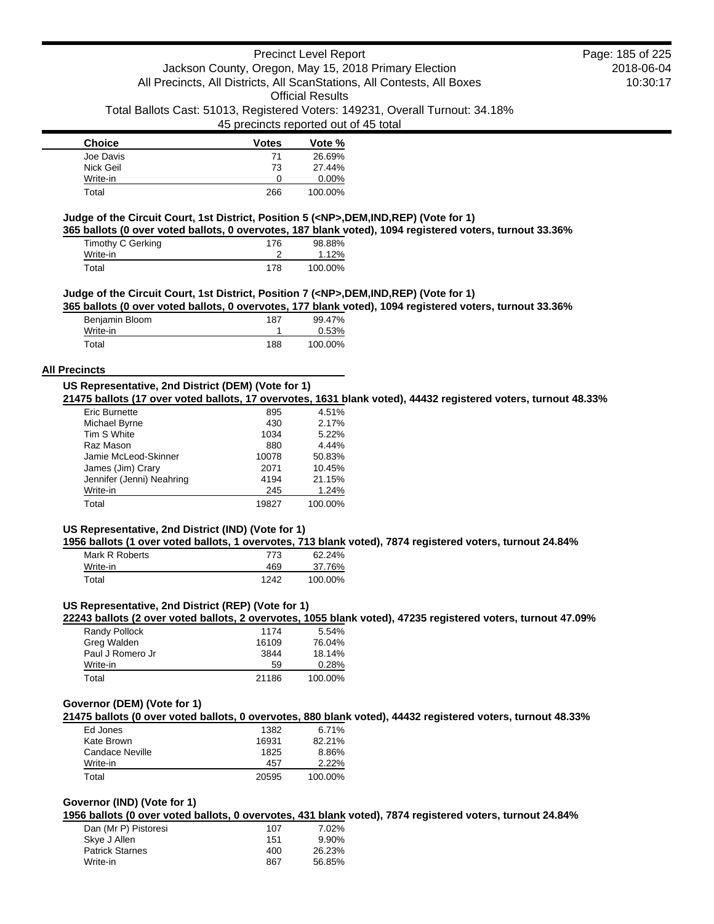## 45 precincts reported out of 45 total

| <b>Choice</b> | <b>Votes</b> | Vote %   |
|---------------|--------------|----------|
| Joe Davis     | 71           | 26.69%   |
| Nick Geil     | 73           | 27.44%   |
| Write-in      | Ω            | $0.00\%$ |
| Total         | 266          | 100.00%  |

## **Judge of the Circuit Court, 1st District, Position 5 (<NP>,DEM,IND,REP) (Vote for 1)**

**365 ballots (0 over voted ballots, 0 overvotes, 187 blank voted), 1094 registered voters, turnout 33.36%**

| Timothy C Gerking | 176 | 98.88%  |
|-------------------|-----|---------|
| Write-in          |     | 1.12%   |
| Total             | 178 | 100.00% |

### **Judge of the Circuit Court, 1st District, Position 7 (<NP>,DEM,IND,REP) (Vote for 1)**

**365 ballots (0 over voted ballots, 0 overvotes, 177 blank voted), 1094 registered voters, turnout 33.36%**

| Benjamin Bloom | 187 | 99.47%  |
|----------------|-----|---------|
| Write-in       |     | 0.53%   |
| Total          | 188 | 100.00% |

### **All Precincts**

## **US Representative, 2nd District (DEM) (Vote for 1)**

**21475 ballots (17 over voted ballots, 17 overvotes, 1631 blank voted), 44432 registered voters, turnout 48.33%**

| <b>Eric Burnette</b>      | 895   | 4.51%   |
|---------------------------|-------|---------|
| Michael Byrne             | 430   | 2.17%   |
| Tim S White               | 1034  | 5.22%   |
| Raz Mason                 | 880   | 4.44%   |
| Jamie McLeod-Skinner      | 10078 | 50.83%  |
| James (Jim) Crary         | 2071  | 10.45%  |
| Jennifer (Jenni) Neahring | 4194  | 21.15%  |
| Write-in                  | 245   | 1.24%   |
| Total                     | 19827 | 100.00% |

### **US Representative, 2nd District (IND) (Vote for 1)**

**1956 ballots (1 over voted ballots, 1 overvotes, 713 blank voted), 7874 registered voters, turnout 24.84%**

| Mark R Roberts | 773  | 62.24%  |
|----------------|------|---------|
| Write-in       | 469  | 37.76%  |
| Total          | 1242 | 100.00% |

### **US Representative, 2nd District (REP) (Vote for 1)**

**22243 ballots (2 over voted ballots, 2 overvotes, 1055 blank voted), 47235 registered voters, turnout 47.09%**

| Randy Pollock    | 1174  | 5.54%   |
|------------------|-------|---------|
| Greg Walden      | 16109 | 76.04%  |
| Paul J Romero Jr | 3844  | 18.14%  |
| Write-in         | 59    | 0.28%   |
| Total            | 21186 | 100.00% |

## **Governor (DEM) (Vote for 1)**

**21475 ballots (0 over voted ballots, 0 overvotes, 880 blank voted), 44432 registered voters, turnout 48.33%**

| Ed Jones        | 1382  | 6.71%    |
|-----------------|-------|----------|
| Kate Brown      | 16931 | 82.21%   |
| Candace Neville | 1825  | 8.86%    |
| Write-in        | 457   | $2.22\%$ |
| Total           | 20595 | 100.00%  |

### **Governor (IND) (Vote for 1)**

**1956 ballots (0 over voted ballots, 0 overvotes, 431 blank voted), 7874 registered voters, turnout 24.84%**

| Dan (Mr P) Pistoresi   | 107 | 7.02%    |
|------------------------|-----|----------|
| Skye J Allen           | 151 | $9.90\%$ |
| <b>Patrick Starnes</b> | 400 | 26.23%   |
| Write-in               | 867 | 56.85%   |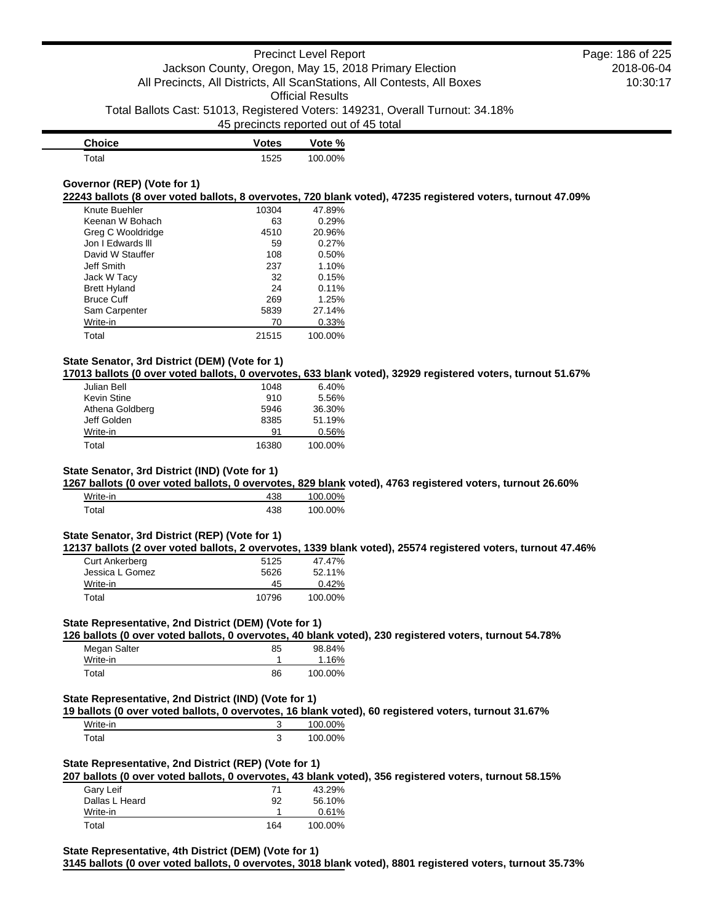| <b>Choice</b> | <b>Votes</b> | Vote %  |
|---------------|--------------|---------|
| Total         | 1525         | 100.00% |

## **Governor (REP) (Vote for 1)**

**22243 ballots (8 over voted ballots, 8 overvotes, 720 blank voted), 47235 registered voters, turnout 47.09%**

| Knute Buehler       | 10304 | 47.89%  |
|---------------------|-------|---------|
| Keenan W Bohach     | 63    | 0.29%   |
| Greg C Wooldridge   | 4510  | 20.96%  |
| Jon I Edwards III   | 59    | 0.27%   |
| David W Stauffer    | 108   | 0.50%   |
| Jeff Smith          | 237   | 1.10%   |
| Jack W Tacy         | 32    | 0.15%   |
| <b>Brett Hyland</b> | 24    | 0.11%   |
| <b>Bruce Cuff</b>   | 269   | 1.25%   |
| Sam Carpenter       | 5839  | 27.14%  |
| Write-in            | 70    | 0.33%   |
| Total               | 21515 | 100.00% |

## **State Senator, 3rd District (DEM) (Vote for 1)**

**17013 ballots (0 over voted ballots, 0 overvotes, 633 blank voted), 32929 registered voters, turnout 51.67%**

| Julian Bell     | 1048  | 6.40%   |
|-----------------|-------|---------|
| Kevin Stine     | 910   | 5.56%   |
| Athena Goldberg | 5946  | 36.30%  |
| Jeff Golden     | 8385  | 51.19%  |
| Write-in        | 91    | 0.56%   |
| Total           | 16380 | 100.00% |

## **State Senator, 3rd District (IND) (Vote for 1)**

**1267 ballots (0 over voted ballots, 0 overvotes, 829 blank voted), 4763 registered voters, turnout 26.60%**

| Write-in | 438 | 100.00% |
|----------|-----|---------|
| Total    | 438 | 100.00% |

### **State Senator, 3rd District (REP) (Vote for 1)**

**12137 ballots (2 over voted ballots, 2 overvotes, 1339 blank voted), 25574 registered voters, turnout 47.46%**

| <b>Curt Ankerberg</b> | 5125  | 47.47%  |
|-----------------------|-------|---------|
| Jessica L Gomez       | 5626  | 52.11%  |
| Write-in              | 45    | 0.42%   |
| Total                 | 10796 | 100.00% |

## **State Representative, 2nd District (DEM) (Vote for 1)**

**126 ballots (0 over voted ballots, 0 overvotes, 40 blank voted), 230 registered voters, turnout 54.78%**

| Megan Salter | 85 | 98.84%  |
|--------------|----|---------|
| Write-in     |    | 1.16%   |
| Total        | 86 | 100.00% |

## **State Representative, 2nd District (IND) (Vote for 1)**

**19 ballots (0 over voted ballots, 0 overvotes, 16 blank voted), 60 registered voters, turnout 31.67%**

| Write-in | w      | 100.00% |
|----------|--------|---------|
| ™ota⊩    | ◠<br>w | 100.00% |

# **State Representative, 2nd District (REP) (Vote for 1)**

**207 ballots (0 over voted ballots, 0 overvotes, 43 blank voted), 356 registered voters, turnout 58.15%**

| Gary Leif      | 71  | 43.29%  |
|----------------|-----|---------|
| Dallas L Heard | 92  | 56.10%  |
| Write-in       |     | 0.61%   |
| Total          | 164 | 100.00% |

**State Representative, 4th District (DEM) (Vote for 1)**

**3145 ballots (0 over voted ballots, 0 overvotes, 3018 blank voted), 8801 registered voters, turnout 35.73%**

## 2018-06-04 10:30:17 Page: 186 of 225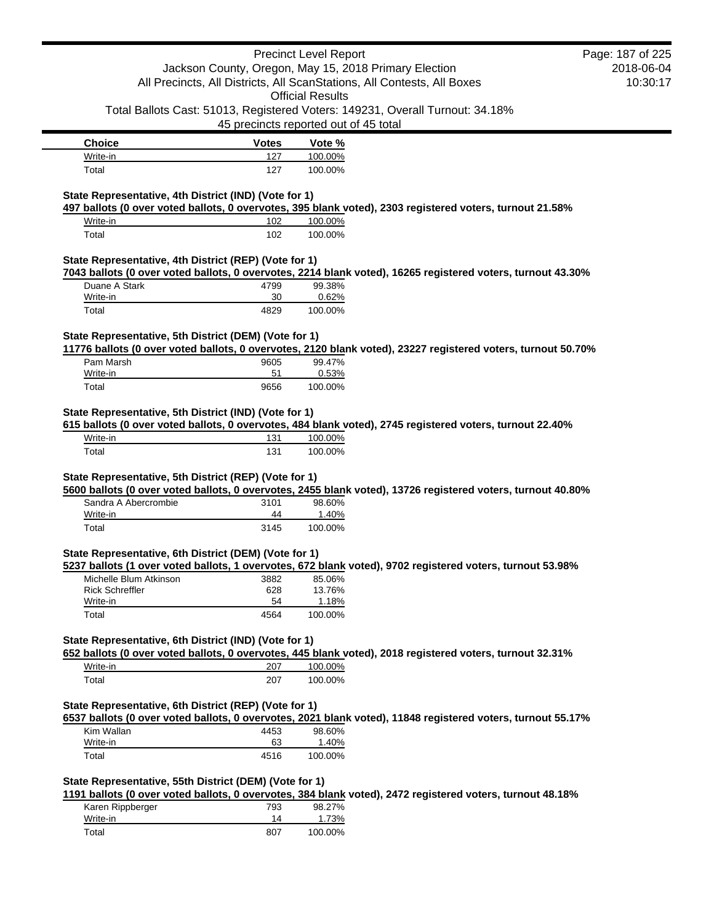|                                                                                                                                     |                                       | <b>Precinct Level Report</b> |                                                                                                              | Page: 187 of 225 |
|-------------------------------------------------------------------------------------------------------------------------------------|---------------------------------------|------------------------------|--------------------------------------------------------------------------------------------------------------|------------------|
|                                                                                                                                     |                                       |                              | Jackson County, Oregon, May 15, 2018 Primary Election                                                        | 2018-06-04       |
|                                                                                                                                     |                                       |                              | All Precincts, All Districts, All ScanStations, All Contests, All Boxes                                      | 10:30:17         |
|                                                                                                                                     |                                       | <b>Official Results</b>      |                                                                                                              |                  |
|                                                                                                                                     |                                       |                              | Total Ballots Cast: 51013, Registered Voters: 149231, Overall Turnout: 34.18%                                |                  |
|                                                                                                                                     | 45 precincts reported out of 45 total |                              |                                                                                                              |                  |
| <b>Choice</b>                                                                                                                       | <b>Votes</b>                          | Vote %                       |                                                                                                              |                  |
| Write-in                                                                                                                            | 127                                   | 100.00%                      |                                                                                                              |                  |
| Total                                                                                                                               | 127                                   | 100.00%                      |                                                                                                              |                  |
| State Representative, 4th District (IND) (Vote for 1)<br>Write-in<br>Total<br>State Representative, 4th District (REP) (Vote for 1) | 102<br>102                            | 100.00%<br>100.00%           | 497 ballots (0 over voted ballots, 0 overvotes, 395 blank voted), 2303 registered voters, turnout 21.58%     |                  |
|                                                                                                                                     |                                       |                              | 7043 ballots (0 over voted ballots, 0 overvotes, 2214 blank voted), 16265 registered voters, turnout 43.30%  |                  |
| Duane A Stark                                                                                                                       | 4799                                  | 99.38%                       |                                                                                                              |                  |
| Write-in                                                                                                                            | 30                                    | 0.62%                        |                                                                                                              |                  |
| Total                                                                                                                               | 4829                                  | 100.00%                      |                                                                                                              |                  |
| State Representative, 5th District (DEM) (Vote for 1)                                                                               |                                       |                              | 11776 ballots (0 over voted ballots, 0 overvotes, 2120 blank voted), 23227 registered voters, turnout 50.70% |                  |
| Pam Marsh                                                                                                                           | 9605                                  | 99.47%                       |                                                                                                              |                  |
| Write-in                                                                                                                            | 51                                    | 0.53%                        |                                                                                                              |                  |
| Total                                                                                                                               | 9656                                  | 100.00%                      |                                                                                                              |                  |
| Write-in<br>Total                                                                                                                   | 131<br>131                            | 100.00%<br>100.00%           | 615 ballots (0 over voted ballots, 0 overvotes, 484 blank voted), 2745 registered voters, turnout 22.40%     |                  |
| State Representative, 5th District (REP) (Vote for 1)                                                                               |                                       |                              | 5600 ballots (0 over voted ballots, 0 overvotes, 2455 blank voted), 13726 registered voters, turnout 40.80%  |                  |
| Sandra A Abercrombie                                                                                                                | 3101                                  | 98.60%                       |                                                                                                              |                  |
| Write-in                                                                                                                            | 44                                    | 1.40%                        |                                                                                                              |                  |
| Total                                                                                                                               | 3145                                  | 100.00%                      |                                                                                                              |                  |
| State Representative, 6th District (DEM) (Vote for 1)                                                                               |                                       |                              | 5237 ballots (1 over voted ballots, 1 overvotes, 672 blank voted), 9702 registered voters, turnout 53.98%    |                  |
| Michelle Blum Atkinson                                                                                                              | 3882                                  | 85.06%                       |                                                                                                              |                  |
| <b>Rick Schreffler</b>                                                                                                              | 628                                   | 13.76%                       |                                                                                                              |                  |
| Write-in                                                                                                                            | 54                                    | 1.18%                        |                                                                                                              |                  |
| Total                                                                                                                               | 4564                                  | 100.00%                      |                                                                                                              |                  |
| State Representative, 6th District (IND) (Vote for 1)                                                                               |                                       |                              | 652 ballots (0 over voted ballots, 0 overvotes, 445 blank voted), 2018 registered voters, turnout 32.31%     |                  |
| Write-in                                                                                                                            | 207                                   | 100.00%                      |                                                                                                              |                  |
| Total                                                                                                                               | 207                                   | 100.00%                      |                                                                                                              |                  |
| State Representative, 6th District (REP) (Vote for 1)                                                                               |                                       |                              | 6537 ballots (0 over voted ballots, 0 overvotes, 2021 blank voted), 11848 registered voters, turnout 55.17%  |                  |
| Kim Wallan                                                                                                                          | 4453                                  | 98.60%                       |                                                                                                              |                  |
| Write-in                                                                                                                            | 63                                    | 1.40%                        |                                                                                                              |                  |
| Total                                                                                                                               | 4516                                  | 100.00%                      |                                                                                                              |                  |
| State Representative, 55th District (DEM) (Vote for 1)                                                                              |                                       |                              | 1191 ballots (0 over voted ballots, 0 overvotes, 384 blank voted), 2472 registered voters, turnout 48.18%    |                  |
| Karen Rippberger                                                                                                                    | 793                                   | 98.27%                       |                                                                                                              |                  |
| Write-in                                                                                                                            | 14                                    | 1.73%                        |                                                                                                              |                  |
| Total                                                                                                                               | 807                                   | 100.00%                      |                                                                                                              |                  |

Ė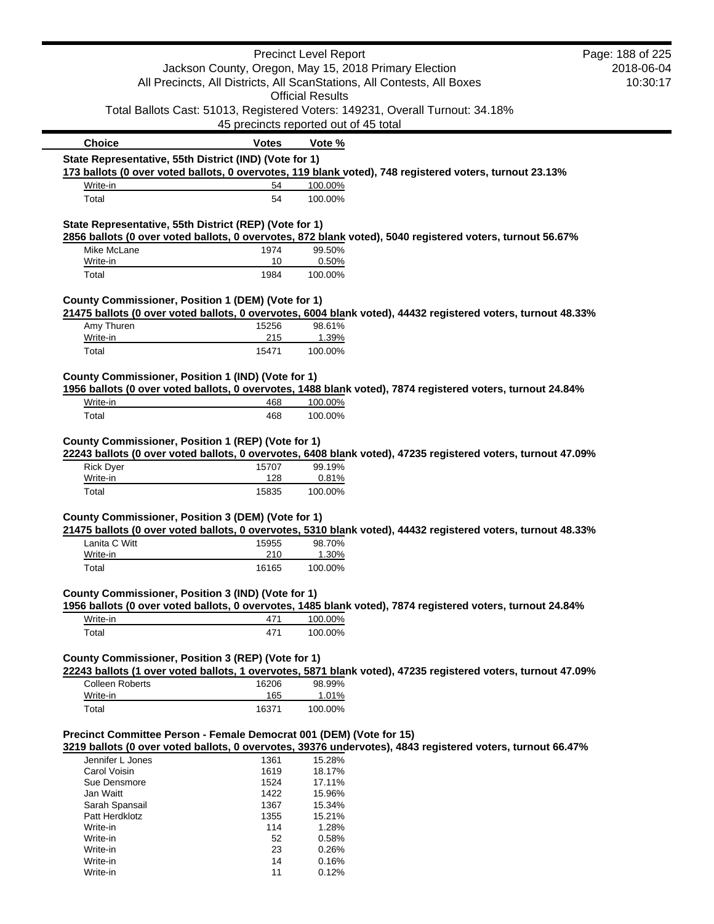|                                                                     |                                       | <b>Precinct Level Report</b> |                                                                                                              | Page: 188 of 225 |
|---------------------------------------------------------------------|---------------------------------------|------------------------------|--------------------------------------------------------------------------------------------------------------|------------------|
|                                                                     |                                       |                              | Jackson County, Oregon, May 15, 2018 Primary Election                                                        | 2018-06-04       |
|                                                                     |                                       |                              | All Precincts, All Districts, All ScanStations, All Contests, All Boxes                                      | 10:30:17         |
|                                                                     |                                       | <b>Official Results</b>      |                                                                                                              |                  |
|                                                                     |                                       |                              | Total Ballots Cast: 51013, Registered Voters: 149231, Overall Turnout: 34.18%                                |                  |
|                                                                     | 45 precincts reported out of 45 total |                              |                                                                                                              |                  |
| <b>Choice</b>                                                       | <b>Votes</b>                          | Vote %                       |                                                                                                              |                  |
| State Representative, 55th District (IND) (Vote for 1)              |                                       |                              |                                                                                                              |                  |
|                                                                     |                                       |                              | 173 ballots (0 over voted ballots, 0 overvotes, 119 blank voted), 748 registered voters, turnout 23.13%      |                  |
| Write-in                                                            | 54                                    | 100.00%                      |                                                                                                              |                  |
| Total                                                               | 54                                    | 100.00%                      |                                                                                                              |                  |
| State Representative, 55th District (REP) (Vote for 1)              |                                       |                              |                                                                                                              |                  |
|                                                                     |                                       |                              | 2856 ballots (0 over voted ballots, 0 overvotes, 872 blank voted), 5040 registered voters, turnout 56.67%    |                  |
| Mike McLane                                                         | 1974                                  | 99.50%                       |                                                                                                              |                  |
| Write-in<br>Total                                                   | 10<br>1984                            | 0.50%<br>100.00%             |                                                                                                              |                  |
|                                                                     |                                       |                              |                                                                                                              |                  |
| County Commissioner, Position 1 (DEM) (Vote for 1)                  |                                       |                              |                                                                                                              |                  |
| Amy Thuren                                                          | 15256                                 | 98.61%                       | 21475 ballots (0 over voted ballots, 0 overvotes, 6004 blank voted), 44432 registered voters, turnout 48.33% |                  |
| Write-in                                                            | 215                                   | 1.39%                        |                                                                                                              |                  |
| Total                                                               | 15471                                 | 100.00%                      |                                                                                                              |                  |
| County Commissioner, Position 1 (IND) (Vote for 1)                  |                                       |                              |                                                                                                              |                  |
|                                                                     |                                       |                              | 1956 ballots (0 over voted ballots, 0 overvotes, 1488 blank voted), 7874 registered voters, turnout 24.84%   |                  |
| Write-in                                                            | 468                                   | 100.00%                      |                                                                                                              |                  |
| Total                                                               | 468                                   | 100.00%                      |                                                                                                              |                  |
| Write-in<br>Total                                                   | 128<br>15835                          | 0.81%<br>100.00%             |                                                                                                              |                  |
|                                                                     |                                       |                              |                                                                                                              |                  |
| County Commissioner, Position 3 (DEM) (Vote for 1)                  |                                       |                              | 21475 ballots (0 over voted ballots, 0 overvotes, 5310 blank voted), 44432 registered voters, turnout 48.33% |                  |
| Lanita C Witt                                                       | 15955                                 | 98.70%                       |                                                                                                              |                  |
| Write-in                                                            | 210                                   | 1.30%                        |                                                                                                              |                  |
| Total                                                               | 16165                                 | 100.00%                      |                                                                                                              |                  |
| County Commissioner, Position 3 (IND) (Vote for 1)                  |                                       |                              |                                                                                                              |                  |
| Write-in                                                            | 471                                   | 100.00%                      | 1956 ballots (0 over voted ballots, 0 overvotes, 1485 blank voted), 7874 registered voters, turnout 24.84%   |                  |
| Total                                                               | 471                                   | 100.00%                      |                                                                                                              |                  |
|                                                                     |                                       |                              |                                                                                                              |                  |
| County Commissioner, Position 3 (REP) (Vote for 1)                  |                                       |                              | 22243 ballots (1 over voted ballots, 1 overvotes, 5871 blank voted), 47235 registered voters, turnout 47.09% |                  |
| <b>Colleen Roberts</b>                                              | 16206                                 | 98.99%                       |                                                                                                              |                  |
| Write-in                                                            | 165                                   | 1.01%                        |                                                                                                              |                  |
| Total                                                               | 16371                                 | 100.00%                      |                                                                                                              |                  |
|                                                                     |                                       |                              |                                                                                                              |                  |
| Precinct Committee Person - Female Democrat 001 (DEM) (Vote for 15) |                                       |                              | 3219 ballots (0 over voted ballots, 0 overvotes, 39376 undervotes), 4843 registered voters, turnout 66.47%   |                  |
| Jennifer L Jones                                                    | 1361                                  | 15.28%                       |                                                                                                              |                  |
| Carol Voisin                                                        | 1619                                  | 18.17%                       |                                                                                                              |                  |
| Sue Densmore                                                        | 1524                                  | 17.11%                       |                                                                                                              |                  |
| Jan Waitt                                                           | 1422                                  | 15.96%                       |                                                                                                              |                  |
| Sarah Spansail<br>Patt Herdklotz                                    | 1367<br>1355                          | 15.34%<br>15.21%             |                                                                                                              |                  |
| Write-in                                                            | 114                                   | 1.28%                        |                                                                                                              |                  |
| Write-in                                                            | 52                                    | 0.58%                        |                                                                                                              |                  |
| Write-in                                                            | 23                                    | 0.26%                        |                                                                                                              |                  |
| Write-in                                                            | 14                                    | 0.16%                        |                                                                                                              |                  |
| Write-in                                                            | 11                                    | 0.12%                        |                                                                                                              |                  |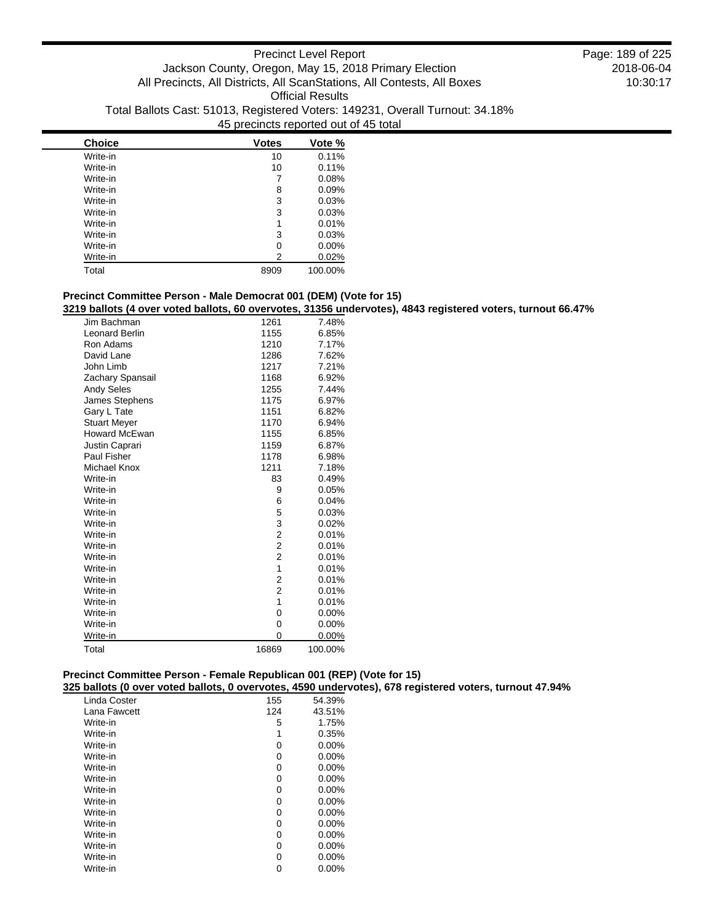| <b>Choice</b> | <b>Votes</b> | Vote %  |
|---------------|--------------|---------|
| Write-in      | 10           | 0.11%   |
| Write-in      | 10           | 0.11%   |
| Write-in      | 7            | 0.08%   |
| Write-in      | 8            | 0.09%   |
| Write-in      | 3            | 0.03%   |
| Write-in      | 3            | 0.03%   |
| Write-in      | 1            | 0.01%   |
| Write-in      | 3            | 0.03%   |
| Write-in      | 0            | 0.00%   |
| Write-in      | 2            | 0.02%   |
| Total         | 8909         | 100.00% |

## **Precinct Committee Person - Male Democrat 001 (DEM) (Vote for 15)**

**3219 ballots (4 over voted ballots, 60 overvotes, 31356 undervotes), 4843 registered voters, turnout 66.47%**

| Jim Bachman          | 1261                    | 7.48%   |
|----------------------|-------------------------|---------|
| Leonard Berlin       | 1155                    | 6.85%   |
| Ron Adams            | 1210                    | 7.17%   |
| David Lane           | 1286                    | 7.62%   |
| John Limb            | 1217                    | 7.21%   |
| Zachary Spansail     | 1168                    | 6.92%   |
| <b>Andy Seles</b>    | 1255                    | 7.44%   |
| James Stephens       | 1175                    | 6.97%   |
| Gary L Tate          | 1151                    | 6.82%   |
| <b>Stuart Meyer</b>  | 1170                    | 6.94%   |
| <b>Howard McEwan</b> | 1155                    | 6.85%   |
| Justin Caprari       | 1159                    | 6.87%   |
| Paul Fisher          | 1178                    | 6.98%   |
| <b>Michael Knox</b>  | 1211                    | 7.18%   |
| Write-in             | 83                      | 0.49%   |
| Write-in             | 9                       | 0.05%   |
| Write-in             | 6                       | 0.04%   |
| Write-in             | 5                       | 0.03%   |
| Write-in             | 3                       | 0.02%   |
| Write-in             | 2                       | 0.01%   |
| Write-in             | $\overline{\mathbf{c}}$ | 0.01%   |
| Write-in             | 2                       | 0.01%   |
| Write-in             | 1                       | 0.01%   |
| Write-in             | 2                       | 0.01%   |
| Write-in             | 2                       | 0.01%   |
| Write-in             | 1                       | 0.01%   |
| Write-in             | 0                       | 0.00%   |
| Write-in             | 0                       | 0.00%   |
| Write-in             | 0                       | 0.00%   |
| Total                | 16869                   | 100.00% |

# **Precinct Committee Person - Female Republican 001 (REP) (Vote for 15)**

**325 ballots (0 over voted ballots, 0 overvotes, 4590 undervotes), 678 registered voters, turnout 47.94%**

| Linda Coster | 155 | 54.39%   |
|--------------|-----|----------|
| Lana Fawcett | 124 | 43.51%   |
| Write-in     | 5   | 1.75%    |
| Write-in     | 1   | 0.35%    |
| Write-in     | 0   | 0.00%    |
| Write-in     | 0   | $0.00\%$ |
| Write-in     | 0   | $0.00\%$ |
| Write-in     | 0   | 0.00%    |
| Write-in     | 0   | $0.00\%$ |
| Write-in     | 0   | $0.00\%$ |
| Write-in     | 0   | $0.00\%$ |
| Write-in     | 0   | 0.00%    |
| Write-in     | 0   | $0.00\%$ |
| Write-in     | 0   | $0.00\%$ |
| Write-in     | 0   | 0.00%    |
| Write-in     | 0   | $0.00\%$ |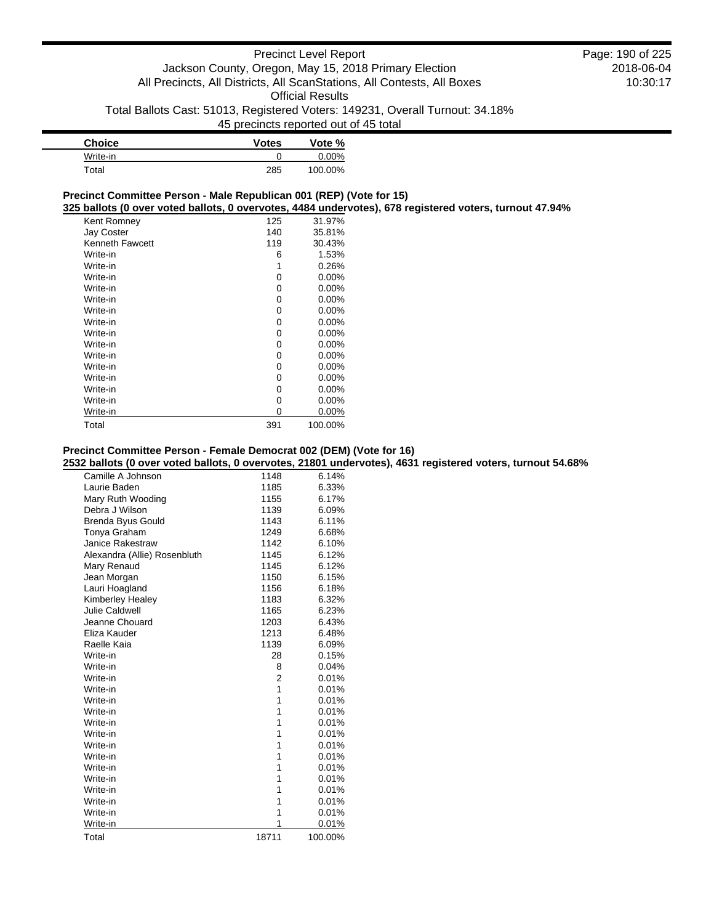| <b>Choice</b> | <b>Votes</b> | Vote %   |
|---------------|--------------|----------|
| Write-in      |              | $0.00\%$ |
| Total         | 285          | 100.00%  |

## **Precinct Committee Person - Male Republican 001 (REP) (Vote for 15)**

**325 ballots (0 over voted ballots, 0 overvotes, 4484 undervotes), 678 registered voters, turnout 47.94%**

| Kent Romney            | 125 | 31.97%   |
|------------------------|-----|----------|
| <b>Jay Coster</b>      | 140 | 35.81%   |
| <b>Kenneth Fawcett</b> | 119 | 30.43%   |
| Write-in               | 6   | 1.53%    |
| Write-in               | 1   | 0.26%    |
| Write-in               | 0   | $0.00\%$ |
| Write-in               | 0   | $0.00\%$ |
| Write-in               | 0   | $0.00\%$ |
| Write-in               | 0   | 0.00%    |
| Write-in               | 0   | $0.00\%$ |
| Write-in               | 0   | $0.00\%$ |
| Write-in               | 0   | $0.00\%$ |
| Write-in               | 0   | $0.00\%$ |
| Write-in               | 0   | $0.00\%$ |
| Write-in               | 0   | $0.00\%$ |
| Write-in               | 0   | $0.00\%$ |
| Write-in               | 0   | $0.00\%$ |
| Write-in               | 0   | 0.00%    |
| Total                  | 391 | 100.00%  |

## **Precinct Committee Person - Female Democrat 002 (DEM) (Vote for 16)**

**2532 ballots (0 over voted ballots, 0 overvotes, 21801 undervotes), 4631 registered voters, turnout 54.68%**

| Camille A Johnson            | 1148           | 6.14%   |
|------------------------------|----------------|---------|
| Laurie Baden                 | 1185           | 6.33%   |
| Mary Ruth Wooding            | 1155           | 6.17%   |
| Debra J Wilson               | 1139           | 6.09%   |
| Brenda Byus Gould            | 1143           | 6.11%   |
| Tonya Graham                 | 1249           | 6.68%   |
| <b>Janice Rakestraw</b>      | 1142           | 6.10%   |
| Alexandra (Allie) Rosenbluth | 1145           | 6.12%   |
| Mary Renaud                  | 1145           | 6.12%   |
| Jean Morgan                  | 1150           | 6.15%   |
| Lauri Hoagland               | 1156           | 6.18%   |
| Kimberley Healey             | 1183           | 6.32%   |
| Julie Caldwell               | 1165           | 6.23%   |
| Jeanne Chouard               | 1203           | 6.43%   |
| Eliza Kauder                 | 1213           | 6.48%   |
| Raelle Kaia                  | 1139           | 6.09%   |
| Write-in                     | 28             | 0.15%   |
| Write-in                     | 8              | 0.04%   |
| Write-in                     | $\overline{2}$ | 0.01%   |
| Write-in                     | 1              | 0.01%   |
| Write-in                     | 1              | 0.01%   |
| Write-in                     | 1              | 0.01%   |
| Write-in                     | 1              | 0.01%   |
| Write-in                     | 1              | 0.01%   |
| Write-in                     | 1              | 0.01%   |
| Write-in                     | 1              | 0.01%   |
| Write-in                     | 1              | 0.01%   |
| Write-in                     | 1              | 0.01%   |
| Write-in                     | 1              | 0.01%   |
| Write-in                     | 1              | 0.01%   |
| Write-in                     | 1              | 0.01%   |
| Write-in                     | 1              | 0.01%   |
| Total                        | 18711          | 100.00% |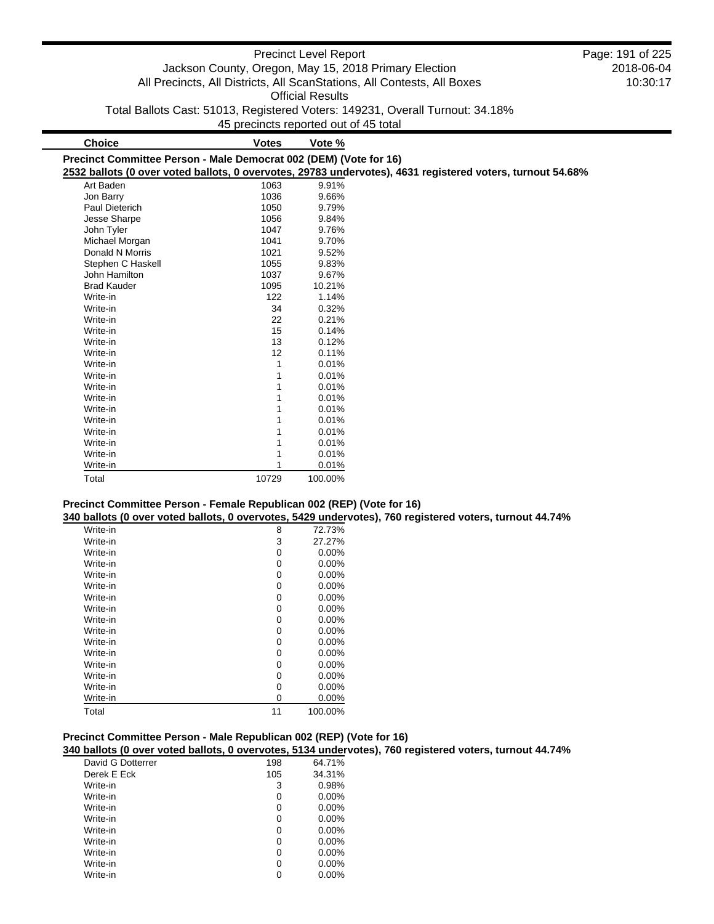|                                                                   |                                       | <b>Precinct Level Report</b> | Jackson County, Oregon, May 15, 2018 Primary Election<br>All Precincts, All Districts, All ScanStations, All Contests, All Boxes | Page: 191 of 225<br>2018-06-04<br>10:30:17 |
|-------------------------------------------------------------------|---------------------------------------|------------------------------|----------------------------------------------------------------------------------------------------------------------------------|--------------------------------------------|
|                                                                   |                                       | <b>Official Results</b>      |                                                                                                                                  |                                            |
|                                                                   |                                       |                              | Total Ballots Cast: 51013, Registered Voters: 149231, Overall Turnout: 34.18%                                                    |                                            |
|                                                                   | 45 precincts reported out of 45 total |                              |                                                                                                                                  |                                            |
|                                                                   |                                       |                              |                                                                                                                                  |                                            |
| <b>Choice</b>                                                     | <b>Votes</b>                          | Vote %                       |                                                                                                                                  |                                            |
| Precinct Committee Person - Male Democrat 002 (DEM) (Vote for 16) |                                       |                              | 2532 ballots (0 over voted ballots, 0 overvotes, 29783 undervotes), 4631 registered voters, turnout 54.68%                       |                                            |
| Art Baden                                                         | 1063                                  | 9.91%                        |                                                                                                                                  |                                            |
| Jon Barry                                                         | 1036                                  | 9.66%                        |                                                                                                                                  |                                            |
| <b>Paul Dieterich</b>                                             | 1050                                  | 9.79%                        |                                                                                                                                  |                                            |
| Jesse Sharpe                                                      | 1056                                  | 9.84%                        |                                                                                                                                  |                                            |
| John Tyler                                                        | 1047                                  | 9.76%                        |                                                                                                                                  |                                            |
| Michael Morgan                                                    | 1041                                  | 9.70%                        |                                                                                                                                  |                                            |
| Donald N Morris                                                   | 1021                                  | 9.52%                        |                                                                                                                                  |                                            |
| Stephen C Haskell                                                 | 1055                                  | 9.83%                        |                                                                                                                                  |                                            |
| John Hamilton                                                     | 1037                                  | 9.67%                        |                                                                                                                                  |                                            |
| <b>Brad Kauder</b>                                                | 1095                                  | 10.21%                       |                                                                                                                                  |                                            |
| Write-in                                                          | 122                                   | 1.14%                        |                                                                                                                                  |                                            |
| Write-in                                                          | 34                                    | 0.32%                        |                                                                                                                                  |                                            |
| Write-in                                                          | 22                                    | 0.21%                        |                                                                                                                                  |                                            |
| Write-in                                                          | 15                                    | 0.14%                        |                                                                                                                                  |                                            |
| Write-in                                                          | 13                                    | 0.12%                        |                                                                                                                                  |                                            |
| Write-in                                                          | 12                                    | 0.11%                        |                                                                                                                                  |                                            |
| Write-in                                                          |                                       | 0.01%                        |                                                                                                                                  |                                            |
| Write-in                                                          |                                       | 0.01%                        |                                                                                                                                  |                                            |
| Write-in                                                          |                                       | 0.01%                        |                                                                                                                                  |                                            |
| Write-in                                                          |                                       | 0.01%                        |                                                                                                                                  |                                            |
| Write-in                                                          |                                       | 0.01%                        |                                                                                                                                  |                                            |
| Write-in                                                          |                                       | 0.01%                        |                                                                                                                                  |                                            |
| Write-in                                                          |                                       | 0.01%                        |                                                                                                                                  |                                            |

Write-in 0.01% Total 10729 100.00%

Write-in 1 0.01% Write-in 2001%

# **Precinct Committee Person - Female Republican 002 (REP) (Vote for 16)**

**340 ballots (0 over voted ballots, 0 overvotes, 5429 undervotes), 760 registered voters, turnout 44.74%**

| Write-in | 8  | 72.73%   |
|----------|----|----------|
| Write-in | 3  | 27.27%   |
| Write-in | 0  | 0.00%    |
| Write-in | 0  | 0.00%    |
| Write-in | 0  | $0.00\%$ |
| Write-in | 0  | 0.00%    |
| Write-in | 0  | 0.00%    |
| Write-in | 0  | $0.00\%$ |
| Write-in | 0  | 0.00%    |
| Write-in | 0  | 0.00%    |
| Write-in | 0  | 0.00%    |
| Write-in | 0  | $0.00\%$ |
| Write-in | 0  | $0.00\%$ |
| Write-in | 0  | $0.00\%$ |
| Write-in | 0  | $0.00\%$ |
| Write-in | 0  | 0.00%    |
| Total    | 11 | 100.00%  |

# **Precinct Committee Person - Male Republican 002 (REP) (Vote for 16)**

**340 ballots (0 over voted ballots, 0 overvotes, 5134 undervotes), 760 registered voters, turnout 44.74%**

| David G Dotterrer | 198 | 64.71%   |
|-------------------|-----|----------|
| Derek E Eck       | 105 | 34.31%   |
| Write-in          | 3   | 0.98%    |
| Write-in          | 0   | $0.00\%$ |
| Write-in          | 0   | $0.00\%$ |
| Write-in          | 0   | $0.00\%$ |
| Write-in          | 0   | $0.00\%$ |
| Write-in          | 0   | $0.00\%$ |
| Write-in          | 0   | $0.00\%$ |
| Write-in          | 0   | 0.00%    |
| Write-in          | 0   | $0.00\%$ |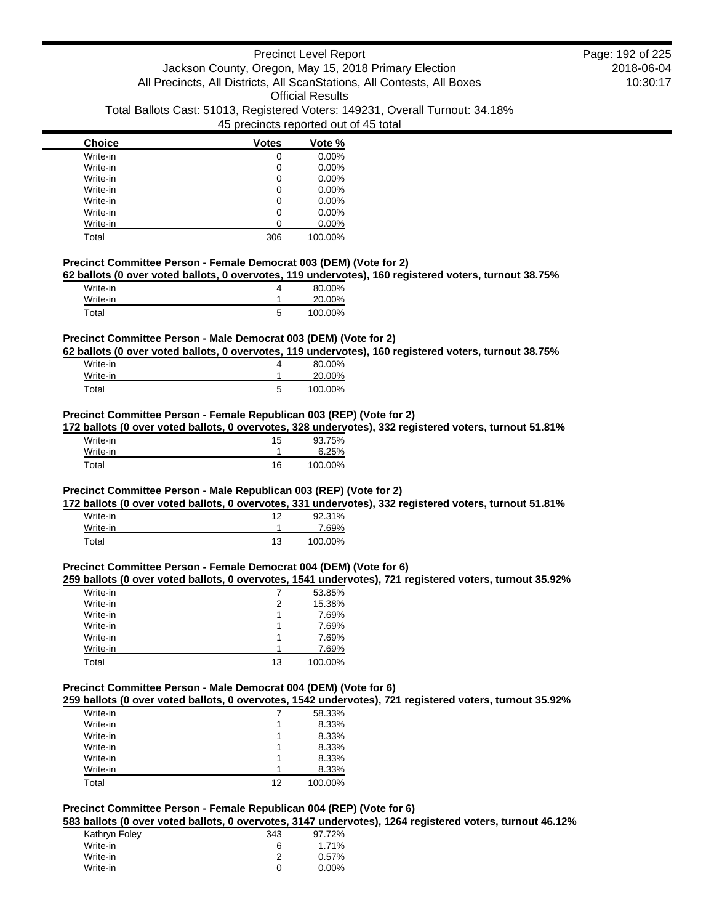| <b>Choice</b> | <b>Votes</b> | Vote %   |
|---------------|--------------|----------|
| Write-in      | 0            | $0.00\%$ |
| Write-in      | 0            | $0.00\%$ |
| Write-in      | 0            | $0.00\%$ |
| Write-in      | 0            | $0.00\%$ |
| Write-in      | 0            | $0.00\%$ |
| Write-in      | 0            | $0.00\%$ |
| Write-in      |              | 0.00%    |
| Total         | 306          | 100.00%  |

### **Precinct Committee Person - Female Democrat 003 (DEM) (Vote for 2)**

**62 ballots (0 over voted ballots, 0 overvotes, 119 undervotes), 160 registered voters, turnout 38.75%**

| Write-in |   | 80.00%  |
|----------|---|---------|
| Write-in |   | 20.00%  |
| Total    | 5 | 100.00% |

## **Precinct Committee Person - Male Democrat 003 (DEM) (Vote for 2)**

**62 ballots (0 over voted ballots, 0 overvotes, 119 undervotes), 160 registered voters, turnout 38.75%**

| Write-in |   | 80.00%  |
|----------|---|---------|
| Write-in |   | 20.00%  |
| Total    | 5 | 100.00% |

## **Precinct Committee Person - Female Republican 003 (REP) (Vote for 2)**

**172 ballots (0 over voted ballots, 0 overvotes, 328 undervotes), 332 registered voters, turnout 51.81%**

| Write-in | 15 | 93.75%  |
|----------|----|---------|
| Write-in |    | 6.25%   |
| Total    | 16 | 100.00% |

### **Precinct Committee Person - Male Republican 003 (REP) (Vote for 2)**

**172 ballots (0 over voted ballots, 0 overvotes, 331 undervotes), 332 registered voters, turnout 51.81%**

| Write-in | 10 | 92.31%  |
|----------|----|---------|
| Write-in |    | 7.69%   |
| Total    | 13 | 100.00% |

### **Precinct Committee Person - Female Democrat 004 (DEM) (Vote for 6)**

### **259 ballots (0 over voted ballots, 0 overvotes, 1541 undervotes), 721 registered voters, turnout 35.92%**

| Write-in |    | 53.85%  |
|----------|----|---------|
| Write-in | 2  | 15.38%  |
| Write-in |    | 7.69%   |
| Write-in |    | 7.69%   |
| Write-in |    | 7.69%   |
| Write-in |    | 7.69%   |
| Total    | 13 | 100.00% |

### **Precinct Committee Person - Male Democrat 004 (DEM) (Vote for 6)**

**259 ballots (0 over voted ballots, 0 overvotes, 1542 undervotes), 721 registered voters, turnout 35.92%**

| Write-in |    | 58.33%  |
|----------|----|---------|
| Write-in |    | 8.33%   |
| Write-in |    | 8.33%   |
| Write-in |    | 8.33%   |
| Write-in |    | 8.33%   |
| Write-in |    | 8.33%   |
| Total    | 12 | 100.00% |

## **Precinct Committee Person - Female Republican 004 (REP) (Vote for 6)**

**583 ballots (0 over voted ballots, 0 overvotes, 3147 undervotes), 1264 registered voters, turnout 46.12%**

| Kathryn Foley | 343 | 97.72%   |
|---------------|-----|----------|
| Write-in      | 6   | 1.71%    |
| Write-in      |     | 0.57%    |
| Write-in      | O   | $0.00\%$ |
|               |     |          |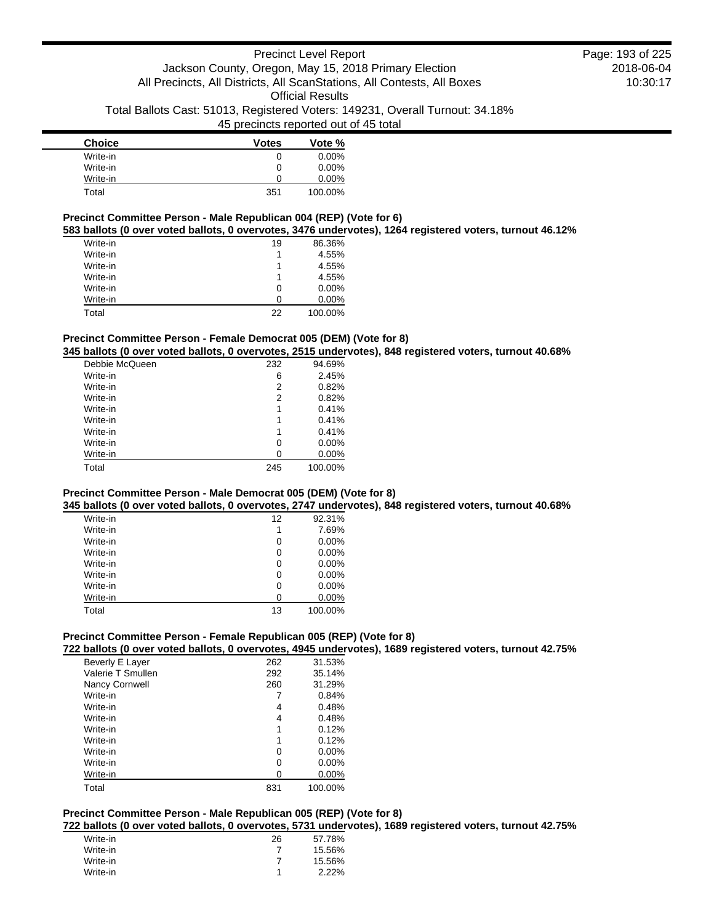| <b>Choice</b> | <b>Votes</b> | Vote %   |
|---------------|--------------|----------|
| Write-in      | 0            | $0.00\%$ |
| Write-in      | 0            | $0.00\%$ |
| Write-in      | 0            | $0.00\%$ |
| Total         | 351          | 100.00%  |

## **Precinct Committee Person - Male Republican 004 (REP) (Vote for 6)**

**583 ballots (0 over voted ballots, 0 overvotes, 3476 undervotes), 1264 registered voters, turnout 46.12%**

| Write-in | 19 | 86.36%   |
|----------|----|----------|
| Write-in |    | 4.55%    |
| Write-in |    | 4.55%    |
| Write-in |    | 4.55%    |
| Write-in | O  | $0.00\%$ |
| Write-in | n  | $0.00\%$ |
| Total    | 22 | 100.00%  |

### **Precinct Committee Person - Female Democrat 005 (DEM) (Vote for 8)**

**345 ballots (0 over voted ballots, 0 overvotes, 2515 undervotes), 848 registered voters, turnout 40.68%**

| Debbie McQueen | 232 | 94.69%   |
|----------------|-----|----------|
| Write-in       | 6   | 2.45%    |
| Write-in       | 2   | 0.82%    |
| Write-in       | 2   | 0.82%    |
| Write-in       | 1   | 0.41%    |
| Write-in       | 1   | 0.41%    |
| Write-in       | 1   | 0.41%    |
| Write-in       | 0   | $0.00\%$ |
| Write-in       | Ω   | 0.00%    |
| Total          | 245 | 100.00%  |

### **Precinct Committee Person - Male Democrat 005 (DEM) (Vote for 8)**

**345 ballots (0 over voted ballots, 0 overvotes, 2747 undervotes), 848 registered voters, turnout 40.68%**

| Write-in | 12 | 92.31%   |
|----------|----|----------|
| Write-in | 1  | 7.69%    |
| Write-in | 0  | 0.00%    |
| Write-in | 0  | 0.00%    |
| Write-in | 0  | 0.00%    |
| Write-in | 0  | $0.00\%$ |
| Write-in | 0  | 0.00%    |
| Write-in | ∩  | 0.00%    |
| Total    | 13 | 100.00%  |

## **Precinct Committee Person - Female Republican 005 (REP) (Vote for 8)**

**722 ballots (0 over voted ballots, 0 overvotes, 4945 undervotes), 1689 registered voters, turnout 42.75%**

| Beverly E Layer   | 262 | 31.53%   |
|-------------------|-----|----------|
| Valerie T Smullen | 292 | 35.14%   |
| Nancy Cornwell    | 260 | 31.29%   |
| Write-in          |     | 0.84%    |
| Write-in          | 4   | 0.48%    |
| Write-in          | 4   | 0.48%    |
| Write-in          | 1   | 0.12%    |
| Write-in          | 1   | 0.12%    |
| Write-in          | 0   | 0.00%    |
| Write-in          | 0   | $0.00\%$ |
| Write-in          | 0   | $0.00\%$ |
| Total             | 831 | 100.00%  |

# **Precinct Committee Person - Male Republican 005 (REP) (Vote for 8)**

**722 ballots (0 over voted ballots, 0 overvotes, 5731 undervotes), 1689 registered voters, turnout 42.75%**

| Write-in | 26 | 57.78% |
|----------|----|--------|
| Write-in |    | 15.56% |
| Write-in |    | 15.56% |
| Write-in |    | 2.22%  |
|          |    |        |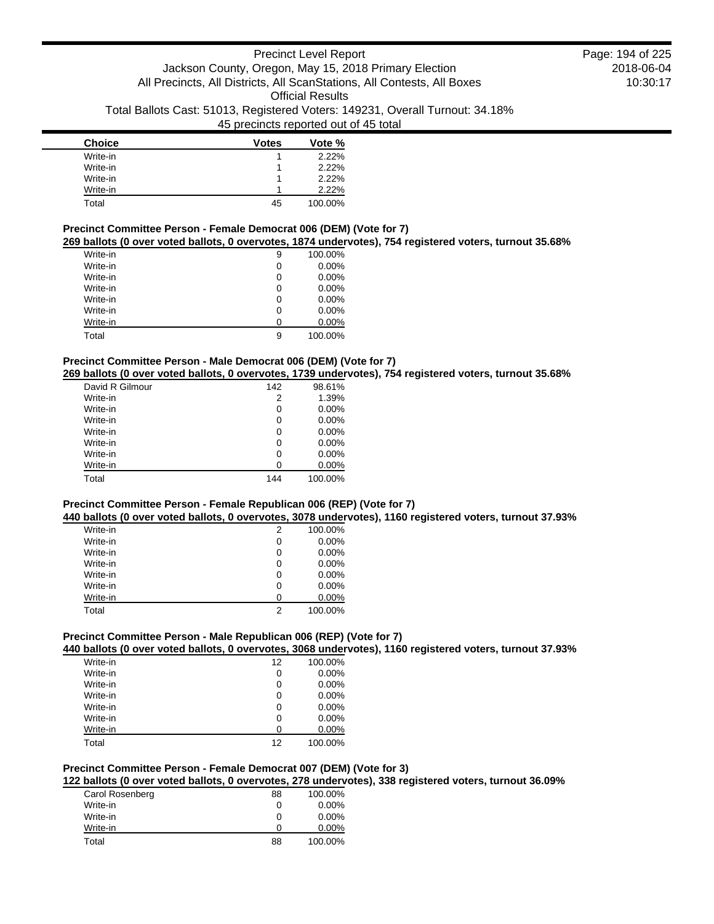| <b>Choice</b> | <b>Votes</b> | Vote %  |
|---------------|--------------|---------|
| Write-in      |              | 2.22%   |
| Write-in      |              | 2.22%   |
| Write-in      |              | 2.22%   |
| Write-in      |              | 2.22%   |
| Total         | 45           | 100.00% |

# **Precinct Committee Person - Female Democrat 006 (DEM) (Vote for 7)**

**269 ballots (0 over voted ballots, 0 overvotes, 1874 undervotes), 754 registered voters, turnout 35.68%**

| Write-in | 9 | 100.00%  |
|----------|---|----------|
| Write-in | 0 | $0.00\%$ |
| Write-in | 0 | $0.00\%$ |
| Write-in | 0 | $0.00\%$ |
| Write-in | 0 | $0.00\%$ |
| Write-in | 0 | $0.00\%$ |
| Write-in | ი | $0.00\%$ |
| Total    | 9 | 100.00%  |

## **Precinct Committee Person - Male Democrat 006 (DEM) (Vote for 7)**

**269 ballots (0 over voted ballots, 0 overvotes, 1739 undervotes), 754 registered voters, turnout 35.68%**

| David R Gilmour | 142 | 98.61%   |
|-----------------|-----|----------|
| Write-in        | 2   | 1.39%    |
| Write-in        | 0   | $0.00\%$ |
| Write-in        | 0   | $0.00\%$ |
| Write-in        | 0   | $0.00\%$ |
| Write-in        | 0   | $0.00\%$ |
| Write-in        | 0   | $0.00\%$ |
| Write-in        | ი   | $0.00\%$ |
| Total           | 144 | 100.00%  |

## **Precinct Committee Person - Female Republican 006 (REP) (Vote for 7)**

**440 ballots (0 over voted ballots, 0 overvotes, 3078 undervotes), 1160 registered voters, turnout 37.93%**

| Write-in | 2 | 100.00%  |
|----------|---|----------|
| Write-in | 0 | $0.00\%$ |
| Write-in | 0 | $0.00\%$ |
| Write-in | 0 | $0.00\%$ |
| Write-in | 0 | $0.00\%$ |
| Write-in | 0 | $0.00\%$ |
| Write-in | ი | $0.00\%$ |
| Total    | 2 | 100.00%  |

# **Precinct Committee Person - Male Republican 006 (REP) (Vote for 7)**

**440 ballots (0 over voted ballots, 0 overvotes, 3068 undervotes), 1160 registered voters, turnout 37.93%**

| Write-in | 12 | 100.00%  |
|----------|----|----------|
| Write-in | 0  | $0.00\%$ |
| Write-in | 0  | $0.00\%$ |
| Write-in | 0  | $0.00\%$ |
| Write-in | 0  | $0.00\%$ |
| Write-in | 0  | $0.00\%$ |
| Write-in | U  | $0.00\%$ |
| Total    | 12 | 100.00%  |

### **Precinct Committee Person - Female Democrat 007 (DEM) (Vote for 3)**

**122 ballots (0 over voted ballots, 0 overvotes, 278 undervotes), 338 registered voters, turnout 36.09%**

| Carol Rosenberg | 88 | 100.00%  |
|-----------------|----|----------|
| Write-in        | 0  | $0.00\%$ |
| Write-in        | 0  | $0.00\%$ |
| Write-in        | O  | 0.00%    |
| Total           | 88 | 100.00%  |
|                 |    |          |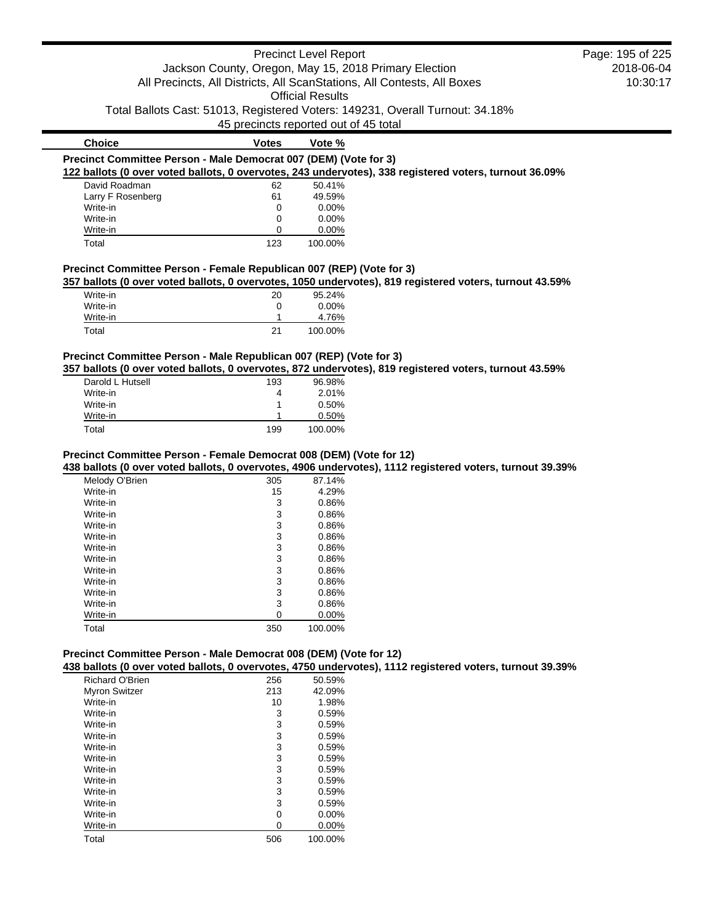### Precinct Level Report Jackson County, Oregon, May 15, 2018 Primary Election All Precincts, All Districts, All ScanStations, All Contests, All Boxes Official Results Total Ballots Cast: 51013, Registered Voters: 149231, Overall Turnout: 34.18% 45 precincts reported out of 45 total 2018-06-04 10:30:17 **Choice Votes Votes Vote % Precinct Committee Person - Male Democrat 007 (DEM) (Vote for 3) 122 ballots (0 over voted ballots, 0 overvotes, 243 undervotes), 338 registered voters, turnout 36.09%** David Roadman 62 50.41% Larry F Rosenberg 61 49.59%<br>
Write-in 0 0.00% Write-in 0 Write-in 0 0.00% Write-in 0 0.00% Page: 195 of 225

### **Precinct Committee Person - Female Republican 007 (REP) (Vote for 3)**

**357 ballots (0 over voted ballots, 0 overvotes, 1050 undervotes), 819 registered voters, turnout 43.59%**

| Write-in | 20 | 95.24%   |
|----------|----|----------|
| Write-in |    | $0.00\%$ |
| Write-in |    | 4.76%    |
| Total    | 21 | 100.00%  |

Total 123 100.00%

### **Precinct Committee Person - Male Republican 007 (REP) (Vote for 3)**

**357 ballots (0 over voted ballots, 0 overvotes, 872 undervotes), 819 registered voters, turnout 43.59%**

| Darold L Hutsell | 193 | 96.98%  |
|------------------|-----|---------|
| Write-in         | 4   | 2.01%   |
| Write-in         | 1   | 0.50%   |
| Write-in         |     | 0.50%   |
| Total            | 199 | 100.00% |

### **Precinct Committee Person - Female Democrat 008 (DEM) (Vote for 12)**

**438 ballots (0 over voted ballots, 0 overvotes, 4906 undervotes), 1112 registered voters, turnout 39.39%**

| Melody O'Brien | 305 | 87.14%  |
|----------------|-----|---------|
| Write-in       | 15  | 4.29%   |
| Write-in       | 3   | 0.86%   |
| Write-in       | 3   | 0.86%   |
| Write-in       | 3   | 0.86%   |
| Write-in       | 3   | 0.86%   |
| Write-in       | 3   | 0.86%   |
| Write-in       | 3   | 0.86%   |
| Write-in       | 3   | 0.86%   |
| Write-in       | 3   | 0.86%   |
| Write-in       | 3   | 0.86%   |
| Write-in       | 3   | 0.86%   |
| Write-in       | 0   | 0.00%   |
| Total          | 350 | 100.00% |

## **Precinct Committee Person - Male Democrat 008 (DEM) (Vote for 12)**

**438 ballots (0 over voted ballots, 0 overvotes, 4750 undervotes), 1112 registered voters, turnout 39.39%**

| <b>Richard O'Brien</b> | 256 | 50.59%   |
|------------------------|-----|----------|
| <b>Myron Switzer</b>   | 213 | 42.09%   |
| Write-in               | 10  | 1.98%    |
| Write-in               | 3   | 0.59%    |
| Write-in               | 3   | 0.59%    |
| Write-in               | 3   | 0.59%    |
| Write-in               | 3   | 0.59%    |
| Write-in               | 3   | 0.59%    |
| Write-in               | 3   | 0.59%    |
| Write-in               | 3   | 0.59%    |
| Write-in               | 3   | 0.59%    |
| Write-in               | 3   | 0.59%    |
| Write-in               | 0   | $0.00\%$ |
| Write-in               | 0   | $0.00\%$ |
| Total                  | 506 | 100.00%  |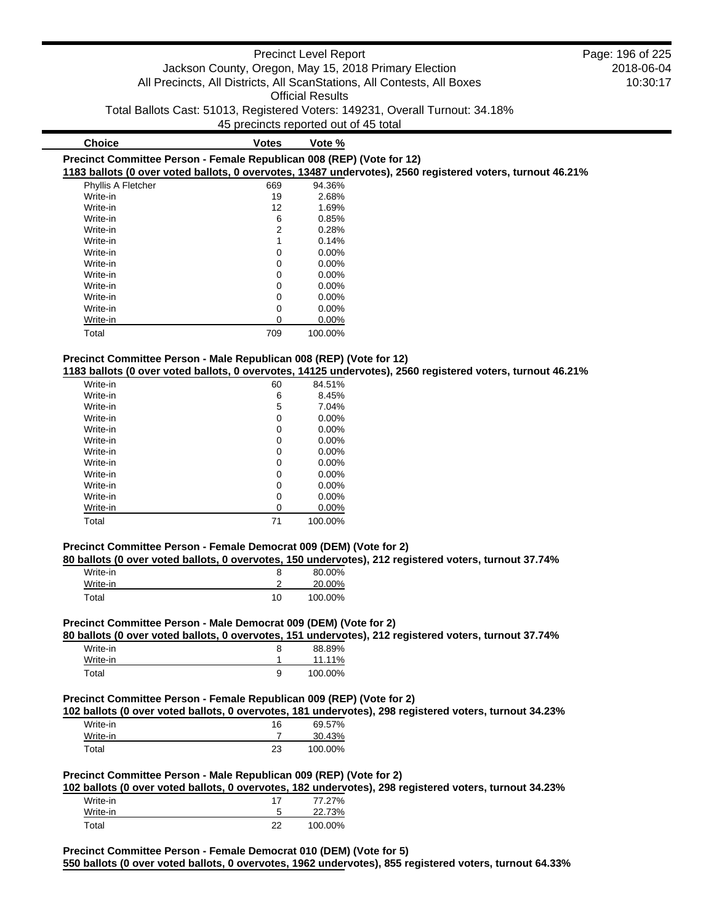|               |                                                       | <b>Precinct Level Report</b> |                                                                               | Page: 196 of 225 |
|---------------|-------------------------------------------------------|------------------------------|-------------------------------------------------------------------------------|------------------|
|               | Jackson County, Oregon, May 15, 2018 Primary Election |                              |                                                                               | 2018-06-04       |
|               |                                                       |                              | All Precincts, All Districts, All ScanStations, All Contests, All Boxes       | 10:30:17         |
|               |                                                       | Official Results             |                                                                               |                  |
|               |                                                       |                              | Total Ballots Cast: 51013, Registered Voters: 149231, Overall Turnout: 34.18% |                  |
|               | 45 precincts reported out of 45 total                 |                              |                                                                               |                  |
| <b>Choice</b> | Votes                                                 | Vote %                       |                                                                               |                  |

|                           |                |          | 1183 ballots (0 over voted ballots, 0 overvotes, 13487 undervotes), 2560 registered voters, turnout 46.21% |
|---------------------------|----------------|----------|------------------------------------------------------------------------------------------------------------|
| <b>Phyllis A Fletcher</b> | 669            | 94.36%   |                                                                                                            |
| Write-in                  | 19             | 2.68%    |                                                                                                            |
| Write-in                  | 12             | 1.69%    |                                                                                                            |
| Write-in                  | 6              | 0.85%    |                                                                                                            |
| Write-in                  | $\overline{2}$ | 0.28%    |                                                                                                            |
| Write-in                  |                | 0.14%    |                                                                                                            |
| Write-in                  | 0              | $0.00\%$ |                                                                                                            |
| Write-in                  | 0              | $0.00\%$ |                                                                                                            |
| Write-in                  | 0              | $0.00\%$ |                                                                                                            |
| Write-in                  | $\mathbf 0$    | $0.00\%$ |                                                                                                            |
| Write-in                  | 0              | $0.00\%$ |                                                                                                            |
| Write-in                  | 0              | $0.00\%$ |                                                                                                            |
| Write-in                  | 0              | $0.00\%$ |                                                                                                            |
| Total                     | 709            | 100.00%  |                                                                                                            |

**Precinct Committee Person - Female Republican 008 (REP) (Vote for 12)**

## **Precinct Committee Person - Male Republican 008 (REP) (Vote for 12)**

**1183 ballots (0 over voted ballots, 0 overvotes, 14125 undervotes), 2560 registered voters, turnout 46.21%**

| Write-in | 60 | 84.51%   |
|----------|----|----------|
| Write-in | 6  | 8.45%    |
| Write-in | 5  | 7.04%    |
| Write-in | 0  | $0.00\%$ |
| Write-in | 0  | $0.00\%$ |
| Write-in | 0  | $0.00\%$ |
| Write-in | 0  | $0.00\%$ |
| Write-in | 0  | $0.00\%$ |
| Write-in | 0  | $0.00\%$ |
| Write-in | 0  | $0.00\%$ |
| Write-in | 0  | $0.00\%$ |
| Write-in | 0  | 0.00%    |
| Total    | 71 | 100.00%  |

## **Precinct Committee Person - Female Democrat 009 (DEM) (Vote for 2)**

**80 ballots (0 over voted ballots, 0 overvotes, 150 undervotes), 212 registered voters, turnout 37.74%**

| Write-in |    | 80.00%  |
|----------|----|---------|
| Write-in |    | 20.00%  |
| Total    | 10 | 100.00% |

## **Precinct Committee Person - Male Democrat 009 (DEM) (Vote for 2)**

**80 ballots (0 over voted ballots, 0 overvotes, 151 undervotes), 212 registered voters, turnout 37.74%**

| Write-in | 88.89%  |
|----------|---------|
| Write-in | 11.11%  |
| Total    | 100.00% |

## **Precinct Committee Person - Female Republican 009 (REP) (Vote for 2)**

**102 ballots (0 over voted ballots, 0 overvotes, 181 undervotes), 298 registered voters, turnout 34.23%**

| Write-in | 16 | 69.57%  |
|----------|----|---------|
| Write-in |    | 30.43%  |
| Total    | 23 | 100.00% |

## **Precinct Committee Person - Male Republican 009 (REP) (Vote for 2)**

**102 ballots (0 over voted ballots, 0 overvotes, 182 undervotes), 298 registered voters, turnout 34.23%**

| Write-in |    | 77.27%  |
|----------|----|---------|
| Write-in |    | 22.73%  |
| Total    | າາ | 100.00% |

**Precinct Committee Person - Female Democrat 010 (DEM) (Vote for 5) 550 ballots (0 over voted ballots, 0 overvotes, 1962 undervotes), 855 registered voters, turnout 64.33%**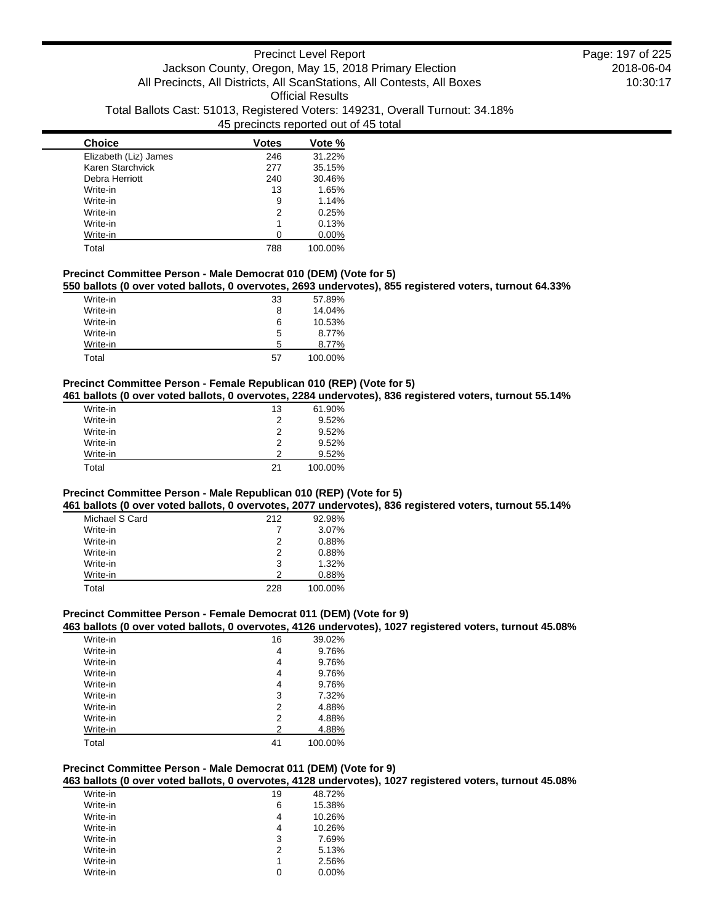| <b>Choice</b>         | <b>Votes</b> | Vote %  |
|-----------------------|--------------|---------|
| Elizabeth (Liz) James | 246          | 31.22%  |
| Karen Starchvick      | 277          | 35.15%  |
| Debra Herriott        | 240          | 30.46%  |
| Write-in              | 13           | 1.65%   |
| Write-in              | 9            | 1.14%   |
| Write-in              | 2            | 0.25%   |
| Write-in              |              | 0.13%   |
| Write-in              |              | 0.00%   |
| Total                 | 788          | 100.00% |

## **Precinct Committee Person - Male Democrat 010 (DEM) (Vote for 5)**

**550 ballots (0 over voted ballots, 0 overvotes, 2693 undervotes), 855 registered voters, turnout 64.33%**

| Write-in | 33 | 57.89%  |
|----------|----|---------|
| Write-in | 8  | 14.04%  |
| Write-in | 6  | 10.53%  |
| Write-in | 5  | 8.77%   |
| Write-in | 5  | 8.77%   |
| Total    | 57 | 100.00% |

### **Precinct Committee Person - Female Republican 010 (REP) (Vote for 5)**

**461 ballots (0 over voted ballots, 0 overvotes, 2284 undervotes), 836 registered voters, turnout 55.14%**

| Write-in | 13 | 61.90%  |
|----------|----|---------|
| Write-in | 2  | 9.52%   |
| Write-in | 2  | 9.52%   |
| Write-in | 2  | 9.52%   |
| Write-in | 2  | 9.52%   |
| Total    | 21 | 100.00% |

## **Precinct Committee Person - Male Republican 010 (REP) (Vote for 5)**

**461 ballots (0 over voted ballots, 0 overvotes, 2077 undervotes), 836 registered voters, turnout 55.14%**

| Michael S Card | 212 | 92.98%  |
|----------------|-----|---------|
| Write-in       |     | 3.07%   |
| Write-in       | 2   | 0.88%   |
| Write-in       | 2   | 0.88%   |
| Write-in       | 3   | 1.32%   |
| Write-in       | 2   | 0.88%   |
| Total          | 228 | 100.00% |

## **Precinct Committee Person - Female Democrat 011 (DEM) (Vote for 9)**

**463 ballots (0 over voted ballots, 0 overvotes, 4126 undervotes), 1027 registered voters, turnout 45.08%**

| Write-in | 16 | 39.02%  |
|----------|----|---------|
| Write-in | 4  | 9.76%   |
| Write-in | 4  | 9.76%   |
| Write-in | 4  | 9.76%   |
| Write-in | 4  | 9.76%   |
| Write-in | 3  | 7.32%   |
| Write-in | 2  | 4.88%   |
| Write-in | 2  | 4.88%   |
| Write-in | 2  | 4.88%   |
| Total    | 41 | 100.00% |
|          |    |         |

## **Precinct Committee Person - Male Democrat 011 (DEM) (Vote for 9)**

**463 ballots (0 over voted ballots, 0 overvotes, 4128 undervotes), 1027 registered voters, turnout 45.08%**

| Write-in | 19 | 48.72% |
|----------|----|--------|
| Write-in | 6  | 15.38% |
| Write-in | 4  | 10.26% |
| Write-in | 4  | 10.26% |
| Write-in | 3  | 7.69%  |
| Write-in | 2  | 5.13%  |
| Write-in | 1  | 2.56%  |
| Write-in | Ω  | 0.00%  |
|          |    |        |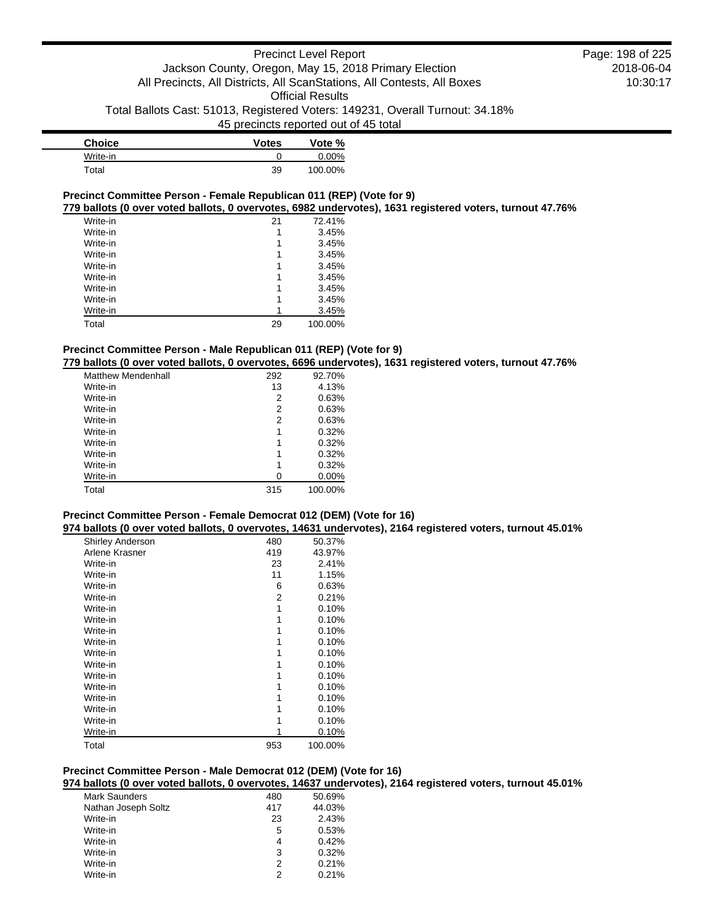| <b>Choice</b> | <b>Votes</b> | Vote %   |
|---------------|--------------|----------|
| Write-in      |              | $0.00\%$ |
| Total         | 39           | 100.00%  |

### **Precinct Committee Person - Female Republican 011 (REP) (Vote for 9)**

**779 ballots (0 over voted ballots, 0 overvotes, 6982 undervotes), 1631 registered voters, turnout 47.76%**

| Write-in | 21 | 72.41%  |
|----------|----|---------|
| Write-in |    | 3.45%   |
| Write-in | 1  | 3.45%   |
| Write-in | 1  | 3.45%   |
| Write-in | 1  | 3.45%   |
| Write-in | 1  | 3.45%   |
| Write-in | 1  | 3.45%   |
| Write-in | 1  | 3.45%   |
| Write-in |    | 3.45%   |
| Total    | 29 | 100.00% |

## **Precinct Committee Person - Male Republican 011 (REP) (Vote for 9)**

**779 ballots (0 over voted ballots, 0 overvotes, 6696 undervotes), 1631 registered voters, turnout 47.76%**

| <b>Matthew Mendenhall</b> | 292 | 92.70%   |
|---------------------------|-----|----------|
| Write-in                  | 13  | 4.13%    |
| Write-in                  | 2   | 0.63%    |
| Write-in                  | 2   | 0.63%    |
| Write-in                  | 2   | 0.63%    |
| Write-in                  | 1   | 0.32%    |
| Write-in                  | 1   | 0.32%    |
| Write-in                  | 1   | 0.32%    |
| Write-in                  | 1   | 0.32%    |
| Write-in                  | 0   | $0.00\%$ |
| Total                     | 315 | 100.00%  |

## **Precinct Committee Person - Female Democrat 012 (DEM) (Vote for 16)**

**974 ballots (0 over voted ballots, 0 overvotes, 14631 undervotes), 2164 registered voters, turnout 45.01%**

| <b>Shirley Anderson</b> | 480 | 50.37%  |
|-------------------------|-----|---------|
| Arlene Krasner          | 419 | 43.97%  |
| Write-in                | 23  | 2.41%   |
| Write-in                | 11  | 1.15%   |
| Write-in                | 6   | 0.63%   |
| Write-in                | 2   | 0.21%   |
| Write-in                | 1   | 0.10%   |
| Write-in                | 1   | 0.10%   |
| Write-in                |     | 0.10%   |
| Write-in                |     | 0.10%   |
| Write-in                |     | 0.10%   |
| Write-in                |     | 0.10%   |
| Write-in                |     | 0.10%   |
| Write-in                | 1   | 0.10%   |
| Write-in                |     | 0.10%   |
| Write-in                |     | 0.10%   |
| Write-in                |     | 0.10%   |
| Write-in                |     | 0.10%   |
| Total                   | 953 | 100.00% |

## **Precinct Committee Person - Male Democrat 012 (DEM) (Vote for 16)**

**974 ballots (0 over voted ballots, 0 overvotes, 14637 undervotes), 2164 registered voters, turnout 45.01%**

| <b>Mark Saunders</b> | 480 | 50.69% |
|----------------------|-----|--------|
| Nathan Joseph Soltz  | 417 | 44.03% |
| Write-in             | 23  | 2.43%  |
| Write-in             | 5   | 0.53%  |
| Write-in             | 4   | 0.42%  |
| Write-in             | 3   | 0.32%  |
| Write-in             | 2   | 0.21%  |
| Write-in             | 2   | 0.21%  |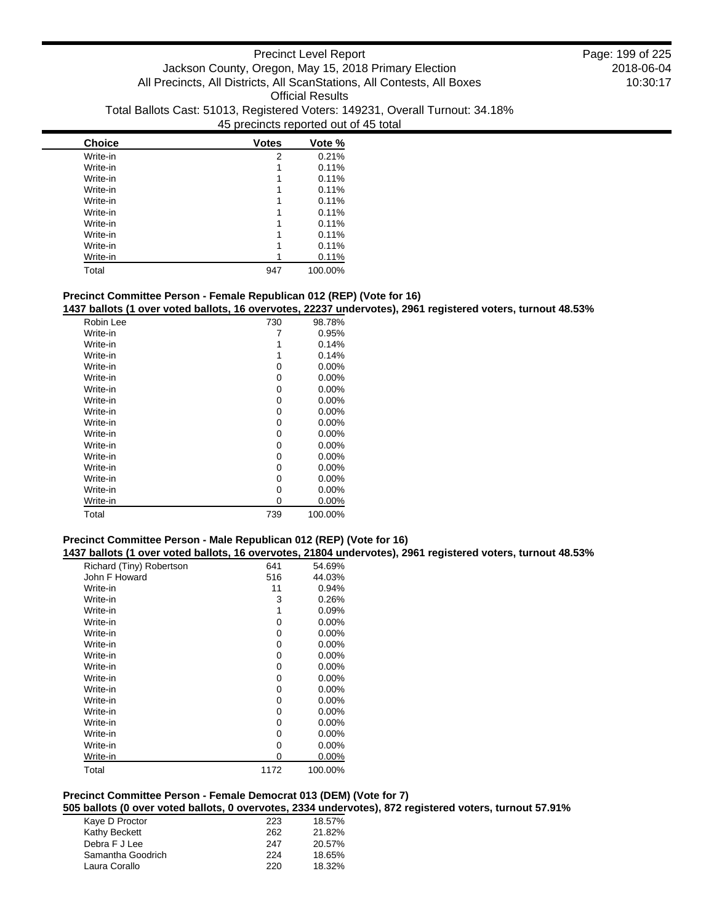| <b>Choice</b> | <b>Votes</b> | Vote %  |
|---------------|--------------|---------|
| Write-in      | 2            | 0.21%   |
| Write-in      | 1            | 0.11%   |
| Write-in      | 1            | 0.11%   |
| Write-in      |              | 0.11%   |
| Write-in      |              | 0.11%   |
| Write-in      |              | 0.11%   |
| Write-in      |              | 0.11%   |
| Write-in      |              | 0.11%   |
| Write-in      |              | 0.11%   |
| Write-in      |              | 0.11%   |
| Total         | 947          | 100.00% |

## **Precinct Committee Person - Female Republican 012 (REP) (Vote for 16)**

**1437 ballots (1 over voted ballots, 16 overvotes, 22237 undervotes), 2961 registered voters, turnout 48.53%**

| Robin Lee | 730 | 98.78%   |
|-----------|-----|----------|
| Write-in  | 7   | 0.95%    |
| Write-in  | 1   | 0.14%    |
| Write-in  | 1   | 0.14%    |
| Write-in  | 0   | $0.00\%$ |
| Write-in  | 0   | $0.00\%$ |
| Write-in  | 0   | $0.00\%$ |
| Write-in  | 0   | 0.00%    |
| Write-in  | 0   | $0.00\%$ |
| Write-in  | 0   | 0.00%    |
| Write-in  | 0   | $0.00\%$ |
| Write-in  | 0   | $0.00\%$ |
| Write-in  | 0   | $0.00\%$ |
| Write-in  | 0   | $0.00\%$ |
| Write-in  | 0   | 0.00%    |
| Write-in  | 0   | 0.00%    |
| Write-in  | 0   | 0.00%    |
| Total     | 739 | 100.00%  |

# **Precinct Committee Person - Male Republican 012 (REP) (Vote for 16)**

**1437 ballots (1 over voted ballots, 16 overvotes, 21804 undervotes), 2961 registered voters, turnout 48.53%**

| Richard (Tiny) Robertson | 641  | 54.69%   |
|--------------------------|------|----------|
| John F Howard            | 516  | 44.03%   |
| Write-in                 | 11   | 0.94%    |
| Write-in                 | 3    | 0.26%    |
| Write-in                 | 1    | 0.09%    |
| Write-in                 | 0    | $0.00\%$ |
| Write-in                 | 0    | $0.00\%$ |
| Write-in                 | 0    | $0.00\%$ |
| Write-in                 | 0    | $0.00\%$ |
| Write-in                 | 0    | $0.00\%$ |
| Write-in                 | 0    | $0.00\%$ |
| Write-in                 | 0    | $0.00\%$ |
| Write-in                 | 0    | $0.00\%$ |
| Write-in                 | 0    | $0.00\%$ |
| Write-in                 | 0    | $0.00\%$ |
| Write-in                 | 0    | $0.00\%$ |
| Write-in                 | 0    | $0.00\%$ |
| Write-in                 | 0    | 0.00%    |
| Total                    | 1172 | 100.00%  |

# **Precinct Committee Person - Female Democrat 013 (DEM) (Vote for 7)**

**505 ballots (0 over voted ballots, 0 overvotes, 2334 undervotes), 872 registered voters, turnout 57.91%**

| Kaye D Proctor    | 223 | 18.57% |
|-------------------|-----|--------|
| Kathy Beckett     | 262 | 21.82% |
| Debra F J Lee     | 247 | 20.57% |
| Samantha Goodrich | 224 | 18.65% |
| Laura Corallo     | 220 | 18.32% |
|                   |     |        |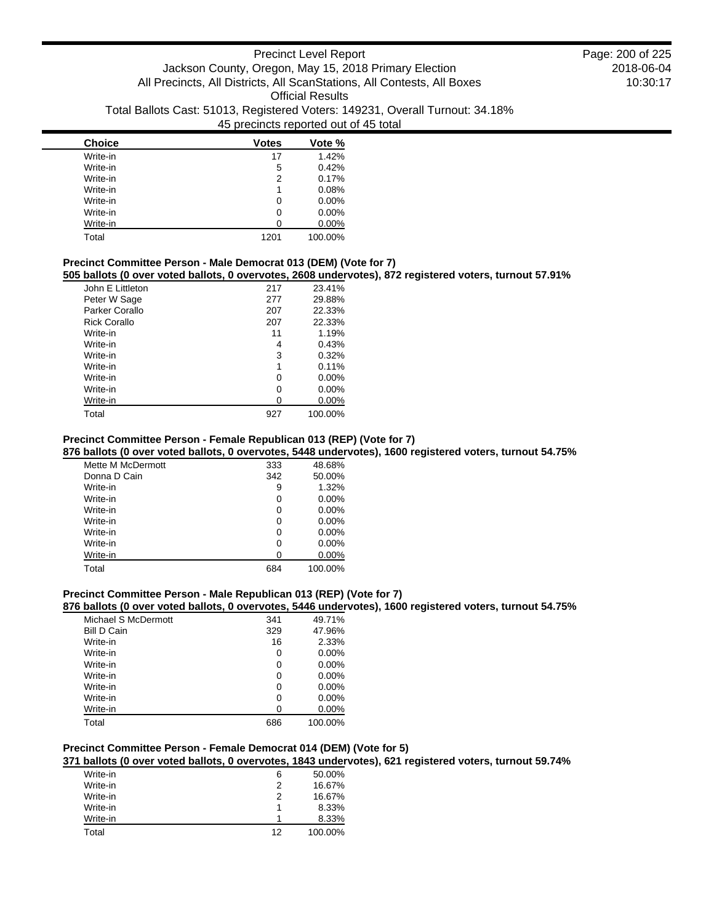| <b>Choice</b> | <b>Votes</b> | Vote %   |
|---------------|--------------|----------|
| Write-in      | 17           | 1.42%    |
| Write-in      | 5            | 0.42%    |
| Write-in      | 2            | 0.17%    |
| Write-in      | 1            | 0.08%    |
| Write-in      | 0            | $0.00\%$ |
| Write-in      | 0            | $0.00\%$ |
| Write-in      | O            | $0.00\%$ |
| Total         | 1201         | 100.00%  |

## **Precinct Committee Person - Male Democrat 013 (DEM) (Vote for 7)**

**505 ballots (0 over voted ballots, 0 overvotes, 2608 undervotes), 872 registered voters, turnout 57.91%**

| John E Littleton    | 217 | 23.41%   |
|---------------------|-----|----------|
| Peter W Sage        | 277 | 29.88%   |
| Parker Corallo      | 207 | 22.33%   |
| <b>Rick Corallo</b> | 207 | 22.33%   |
| Write-in            | 11  | 1.19%    |
| Write-in            | 4   | 0.43%    |
| Write-in            | 3   | 0.32%    |
| Write-in            | 1   | 0.11%    |
| Write-in            | 0   | $0.00\%$ |
| Write-in            | 0   | $0.00\%$ |
| Write-in            | U   | $0.00\%$ |
| Total               | 927 | 100.00%  |

### **Precinct Committee Person - Female Republican 013 (REP) (Vote for 7)**

**876 ballots (0 over voted ballots, 0 overvotes, 5448 undervotes), 1600 registered voters, turnout 54.75%**

| Mette M McDermott | 333 | 48.68%   |
|-------------------|-----|----------|
| Donna D Cain      | 342 | 50.00%   |
| Write-in          | 9   | 1.32%    |
| Write-in          | 0   | $0.00\%$ |
| Write-in          | 0   | $0.00\%$ |
| Write-in          | 0   | $0.00\%$ |
| Write-in          | 0   | $0.00\%$ |
| Write-in          | 0   | $0.00\%$ |
| Write-in          | 0   | $0.00\%$ |
| Total             | 684 | 100.00%  |

### **Precinct Committee Person - Male Republican 013 (REP) (Vote for 7)**

## **876 ballots (0 over voted ballots, 0 overvotes, 5446 undervotes), 1600 registered voters, turnout 54.75%**

| Michael S McDermott | 341 | 49.71%   |
|---------------------|-----|----------|
| <b>Bill D Cain</b>  | 329 | 47.96%   |
| Write-in            | 16  | 2.33%    |
| Write-in            | 0   | 0.00%    |
| Write-in            | 0   | $0.00\%$ |
| Write-in            | 0   | $0.00\%$ |
| Write-in            | 0   | 0.00%    |
| Write-in            | 0   | $0.00\%$ |
| Write-in            | ი   | 0.00%    |
| Total               | 686 | 100.00%  |

### **Precinct Committee Person - Female Democrat 014 (DEM) (Vote for 5)**

**371 ballots (0 over voted ballots, 0 overvotes, 1843 undervotes), 621 registered voters, turnout 59.74%**

| Write-in | 6  | 50.00%  |
|----------|----|---------|
| Write-in | 2  | 16.67%  |
| Write-in | 2  | 16.67%  |
| Write-in |    | 8.33%   |
| Write-in |    | 8.33%   |
| Total    | 12 | 100.00% |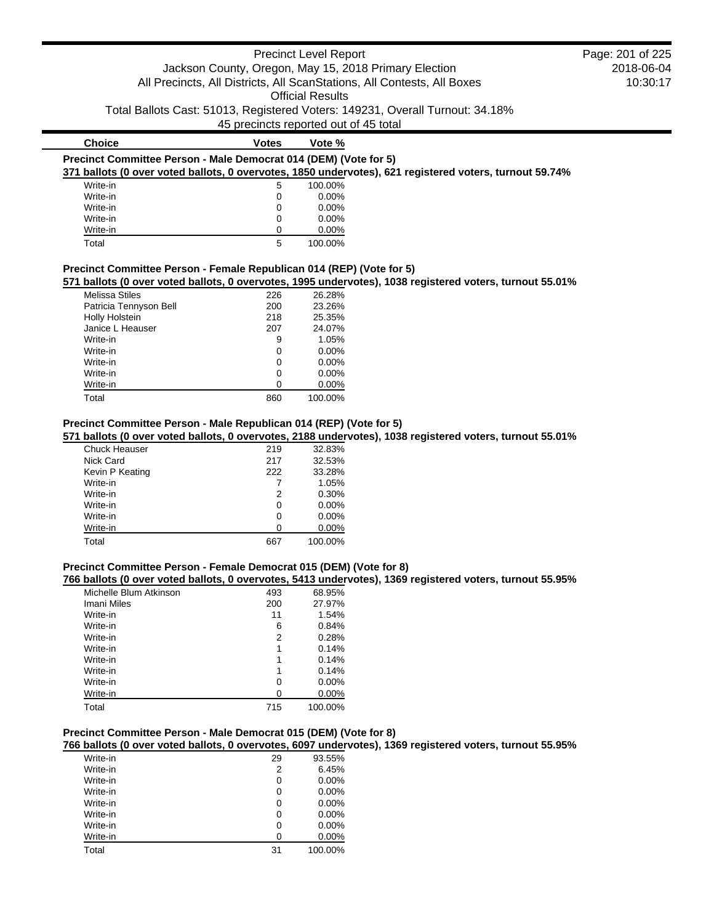|                                                                      |                                                       | <b>Precinct Level Report</b> |                                                                                                          | Page: 201 of 225 |
|----------------------------------------------------------------------|-------------------------------------------------------|------------------------------|----------------------------------------------------------------------------------------------------------|------------------|
|                                                                      | Jackson County, Oregon, May 15, 2018 Primary Election |                              |                                                                                                          | 2018-06-04       |
|                                                                      |                                                       |                              | All Precincts, All Districts, All ScanStations, All Contests, All Boxes                                  | 10:30:17         |
|                                                                      |                                                       | <b>Official Results</b>      |                                                                                                          |                  |
|                                                                      | 45 precincts reported out of 45 total                 |                              | Total Ballots Cast: 51013, Registered Voters: 149231, Overall Turnout: 34.18%                            |                  |
|                                                                      |                                                       |                              |                                                                                                          |                  |
| <b>Choice</b>                                                        | Votes                                                 | Vote %                       |                                                                                                          |                  |
| Precinct Committee Person - Male Democrat 014 (DEM) (Vote for 5)     |                                                       |                              | 371 ballots (0 over voted ballots, 0 overvotes, 1850 undervotes), 621 registered voters, turnout 59.74%  |                  |
| Write-in                                                             | 5                                                     | 100.00%                      |                                                                                                          |                  |
| Write-in                                                             |                                                       | $0.00\%$                     |                                                                                                          |                  |
| Write-in                                                             |                                                       | $0.00\%$                     |                                                                                                          |                  |
| Write-in                                                             |                                                       | $0.00\%$                     |                                                                                                          |                  |
| Write-in                                                             | 0                                                     | $0.00\%$                     |                                                                                                          |                  |
| Total                                                                | 5                                                     | 100.00%                      |                                                                                                          |                  |
| Precinct Committee Person - Female Republican 014 (REP) (Vote for 5) |                                                       |                              | 571 ballots (0 over voted ballots, 0 overvotes, 1995 undervotes), 1038 registered voters, turnout 55.01% |                  |
| Melissa Stiles                                                       | 226                                                   | 26 28%                       |                                                                                                          |                  |

| <b>Melissa Stiles</b>  | 226 | 26.28%   |
|------------------------|-----|----------|
| Patricia Tennyson Bell | 200 | 23.26%   |
| Holly Holstein         | 218 | 25.35%   |
| Janice L Heauser       | 207 | 24.07%   |
| Write-in               | 9   | 1.05%    |
| Write-in               | 0   | $0.00\%$ |
| Write-in               | 0   | $0.00\%$ |
| Write-in               | 0   | $0.00\%$ |
| Write-in               | 0   | $0.00\%$ |
| Total                  | 860 | 100.00%  |

# **Precinct Committee Person - Male Republican 014 (REP) (Vote for 5)**

# **571 ballots (0 over voted ballots, 0 overvotes, 2188 undervotes), 1038 registered voters, turnout 55.01%**

| <b>Chuck Heauser</b> | 219 | 32.83%   |
|----------------------|-----|----------|
| Nick Card            | 217 | 32.53%   |
| Kevin P Keating      | 222 | 33.28%   |
| Write-in             |     | 1.05%    |
| Write-in             | 2   | 0.30%    |
| Write-in             | 0   | 0.00%    |
| Write-in             | 0   | $0.00\%$ |
| Write-in             | 0   | 0.00%    |
| Total                | 667 | 100.00%  |

# **Precinct Committee Person - Female Democrat 015 (DEM) (Vote for 8)**

### **766 ballots (0 over voted ballots, 0 overvotes, 5413 undervotes), 1369 registered voters, turnout 55.95%**

| Michelle Blum Atkinson | 493 | 68.95%   |
|------------------------|-----|----------|
| Imani Miles            | 200 | 27.97%   |
| Write-in               | 11  | 1.54%    |
| Write-in               | 6   | 0.84%    |
| Write-in               | 2   | 0.28%    |
| Write-in               | 1   | 0.14%    |
| Write-in               | 1   | 0.14%    |
| Write-in               | 1   | 0.14%    |
| Write-in               | 0   | $0.00\%$ |
| Write-in               | 0   | $0.00\%$ |
| Total                  | 715 | 100.00%  |

# **Precinct Committee Person - Male Democrat 015 (DEM) (Vote for 8)**

## **766 ballots (0 over voted ballots, 0 overvotes, 6097 undervotes), 1369 registered voters, turnout 55.95%**

| Write-in | 29 | 93.55%   |
|----------|----|----------|
| Write-in | 2  | 6.45%    |
| Write-in | 0  | $0.00\%$ |
| Write-in | 0  | $0.00\%$ |
| Write-in | 0  | $0.00\%$ |
| Write-in | 0  | $0.00\%$ |
| Write-in | 0  | $0.00\%$ |
| Write-in | 0  | 0.00%    |
| Total    | 31 | 100.00%  |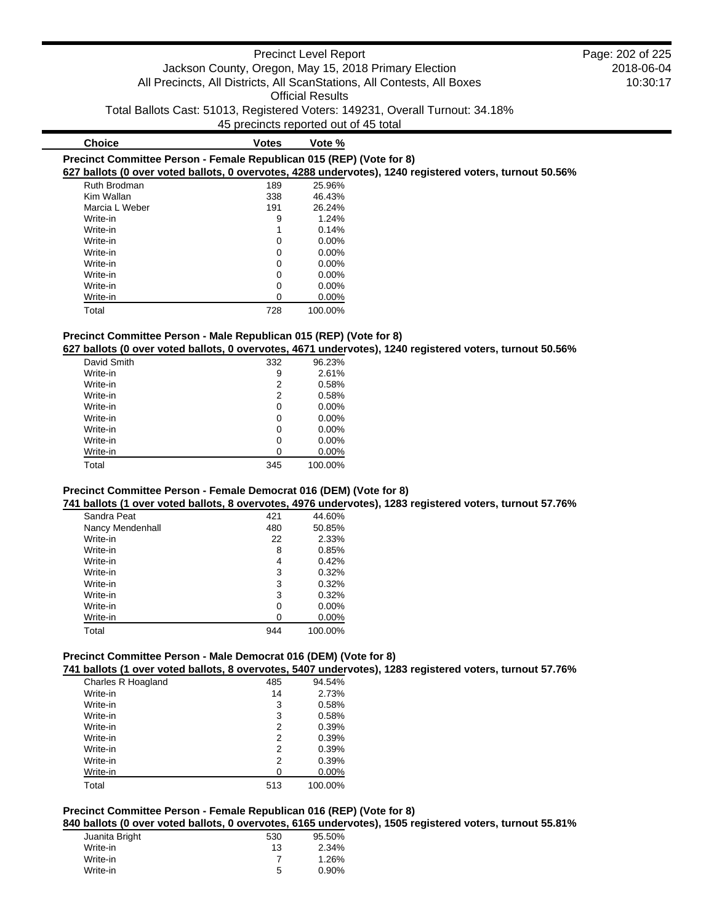# **Choice Votes Vote %**

| Precinct Committee Person - Female Republican 015 (REP) (Vote for 8)                                                                                                                                                                                                                                                                                                               |  |  |
|------------------------------------------------------------------------------------------------------------------------------------------------------------------------------------------------------------------------------------------------------------------------------------------------------------------------------------------------------------------------------------|--|--|
| $0.071$ . If $\lambda$ , $\lambda$ , $\lambda$ , $\lambda$ , $\lambda$ , $\lambda$ , $\lambda$ , $\lambda$ , $\lambda$ , $\lambda$ , $\lambda$ , $\lambda$ , $\lambda$ , $\lambda$ , $\lambda$ , $\lambda$ , $\lambda$ , $\lambda$ , $\lambda$ , $\lambda$ , $\lambda$ , $\lambda$ , $\lambda$ , $\lambda$ , $\lambda$ , $\lambda$ , $\lambda$ , $\lambda$ , $\lambda$ , $\lambda$ |  |  |

## **627 ballots (0 over voted ballots, 0 overvotes, 4288 undervotes), 1240 registered voters, turnout 50.56%**

| Ruth Brodman   | 189 | 25.96%   |
|----------------|-----|----------|
| Kim Wallan     | 338 | 46.43%   |
| Marcia L Weber | 191 | 26.24%   |
| Write-in       | 9   | 1.24%    |
| Write-in       | 1   | 0.14%    |
| Write-in       | 0   | $0.00\%$ |
| Write-in       | 0   | $0.00\%$ |
| Write-in       | 0   | $0.00\%$ |
| Write-in       | 0   | $0.00\%$ |
| Write-in       | 0   | $0.00\%$ |
| Write-in       | 0   | $0.00\%$ |
| Total          | 728 | 100.00%  |

# **Precinct Committee Person - Male Republican 015 (REP) (Vote for 8)**

## **627 ballots (0 over voted ballots, 0 overvotes, 4671 undervotes), 1240 registered voters, turnout 50.56%**

| David Smith | 332 | 96.23%   |
|-------------|-----|----------|
| Write-in    | 9   | 2.61%    |
| Write-in    | 2   | 0.58%    |
| Write-in    | 2   | 0.58%    |
| Write-in    | 0   | $0.00\%$ |
| Write-in    | 0   | $0.00\%$ |
| Write-in    | 0   | $0.00\%$ |
| Write-in    | 0   | $0.00\%$ |
| Write-in    | 0   | 0.00%    |
| Total       | 345 | 100.00%  |

## **Precinct Committee Person - Female Democrat 016 (DEM) (Vote for 8)**

### **741 ballots (1 over voted ballots, 8 overvotes, 4976 undervotes), 1283 registered voters, turnout 57.76%**

| Sandra Peat      | 421 | 44.60%   |
|------------------|-----|----------|
| Nancy Mendenhall | 480 | 50.85%   |
| Write-in         | 22  | 2.33%    |
| Write-in         | 8   | 0.85%    |
| Write-in         | 4   | 0.42%    |
| Write-in         | 3   | 0.32%    |
| Write-in         | 3   | 0.32%    |
| Write-in         | 3   | 0.32%    |
| Write-in         | 0   | $0.00\%$ |
| Write-in         | O   | $0.00\%$ |
| Total            | 944 | 100.00%  |

### **Precinct Committee Person - Male Democrat 016 (DEM) (Vote for 8)**

**741 ballots (1 over voted ballots, 8 overvotes, 5407 undervotes), 1283 registered voters, turnout 57.76%**

| Charles R Hoagland | 485 | 94.54%  |
|--------------------|-----|---------|
| Write-in           | 14  | 2.73%   |
| Write-in           | 3   | 0.58%   |
| Write-in           | 3   | 0.58%   |
| Write-in           | 2   | 0.39%   |
| Write-in           | 2   | 0.39%   |
| Write-in           | 2   | 0.39%   |
| Write-in           | 2   | 0.39%   |
| Write-in           | U   | 0.00%   |
| Total              | 513 | 100.00% |

# **Precinct Committee Person - Female Republican 016 (REP) (Vote for 8)**

**840 ballots (0 over voted ballots, 0 overvotes, 6165 undervotes), 1505 registered voters, turnout 55.81%**

| Juanita Bright | 530 | 95.50% |
|----------------|-----|--------|
| Write-in       | 13  | 2.34%  |
| Write-in       |     | 1.26%  |
| Write-in       | 5   | 0.90%  |
|                |     |        |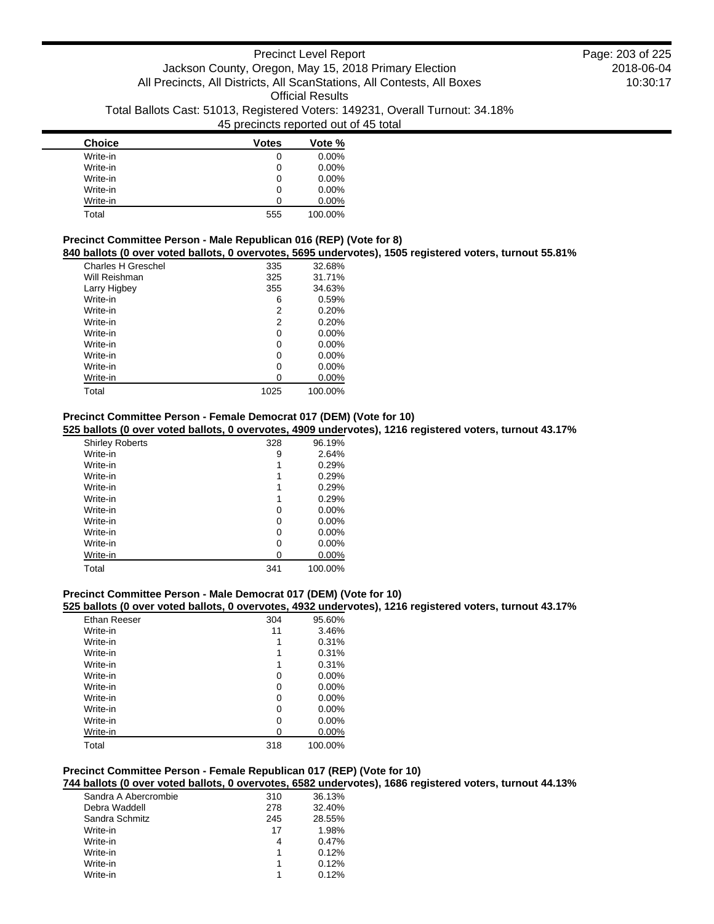| <b>Choice</b> | <b>Votes</b> | Vote %   |
|---------------|--------------|----------|
| Write-in      | 0            | $0.00\%$ |
| Write-in      | 0            | $0.00\%$ |
| Write-in      | 0            | $0.00\%$ |
| Write-in      | 0            | $0.00\%$ |
| Write-in      | O            | 0.00%    |
| Total         | 555          | 100.00%  |

### **Precinct Committee Person - Male Republican 016 (REP) (Vote for 8) 840 ballots (0 over voted ballots, 0 overvotes, 5695 undervotes), 1505 registered voters, turnout 55.81%**

| <b>Danvio (V OTOL TOLOG Danvio) U OTOL TOLOG, UUOU GHIGOL</b> |      |          |
|---------------------------------------------------------------|------|----------|
| Charles H Greschel                                            | 335  | 32.68%   |
| Will Reishman                                                 | 325  | 31.71%   |
| Larry Higbey                                                  | 355  | 34.63%   |
| Write-in                                                      | 6    | 0.59%    |
| Write-in                                                      | 2    | 0.20%    |
| Write-in                                                      | 2    | 0.20%    |
| Write-in                                                      | 0    | $0.00\%$ |
| Write-in                                                      | 0    | $0.00\%$ |
| Write-in                                                      | 0    | $0.00\%$ |
| Write-in                                                      | 0    | $0.00\%$ |
| Write-in                                                      | 0    | $0.00\%$ |
| Total                                                         | 1025 | 100.00%  |

## **Precinct Committee Person - Female Democrat 017 (DEM) (Vote for 10)**

## **525 ballots (0 over voted ballots, 0 overvotes, 4909 undervotes), 1216 registered voters, turnout 43.17%**

| <b>Shirley Roberts</b> | 328 | 96.19%   |
|------------------------|-----|----------|
| Write-in               | 9   | 2.64%    |
| Write-in               | 1   | 0.29%    |
| Write-in               | 1   | 0.29%    |
| Write-in               | 1   | 0.29%    |
| Write-in               | 1   | 0.29%    |
| Write-in               | 0   | $0.00\%$ |
| Write-in               | 0   | $0.00\%$ |
| Write-in               | 0   | 0.00%    |
| Write-in               | 0   | $0.00\%$ |
| Write-in               | 0   | 0.00%    |
| Total                  | 341 | 100.00%  |

### **Precinct Committee Person - Male Democrat 017 (DEM) (Vote for 10)**

### **525 ballots (0 over voted ballots, 0 overvotes, 4932 undervotes), 1216 registered voters, turnout 43.17%**

| Ethan Reeser | 304 | 95.60%   |
|--------------|-----|----------|
| Write-in     | 11  | 3.46%    |
| Write-in     | 1   | 0.31%    |
| Write-in     | 1   | 0.31%    |
| Write-in     | 1   | 0.31%    |
| Write-in     | 0   | $0.00\%$ |
| Write-in     | 0   | $0.00\%$ |
| Write-in     | 0   | $0.00\%$ |
| Write-in     | 0   | $0.00\%$ |
| Write-in     | 0   | $0.00\%$ |
| Write-in     | 0   | 0.00%    |
| Total        | 318 | 100.00%  |

# **Precinct Committee Person - Female Republican 017 (REP) (Vote for 10)**

# **744 ballots (0 over voted ballots, 0 overvotes, 6582 undervotes), 1686 registered voters, turnout 44.13%**

| Sandra A Abercrombie | 310 | 36.13% |
|----------------------|-----|--------|
| Debra Waddell        | 278 | 32.40% |
| Sandra Schmitz       | 245 | 28.55% |
| Write-in             | 17  | 1.98%  |
| Write-in             | 4   | 0.47%  |
| Write-in             | 1   | 0.12%  |
| Write-in             | 1   | 0.12%  |
| Write-in             |     | 0.12%  |
|                      |     |        |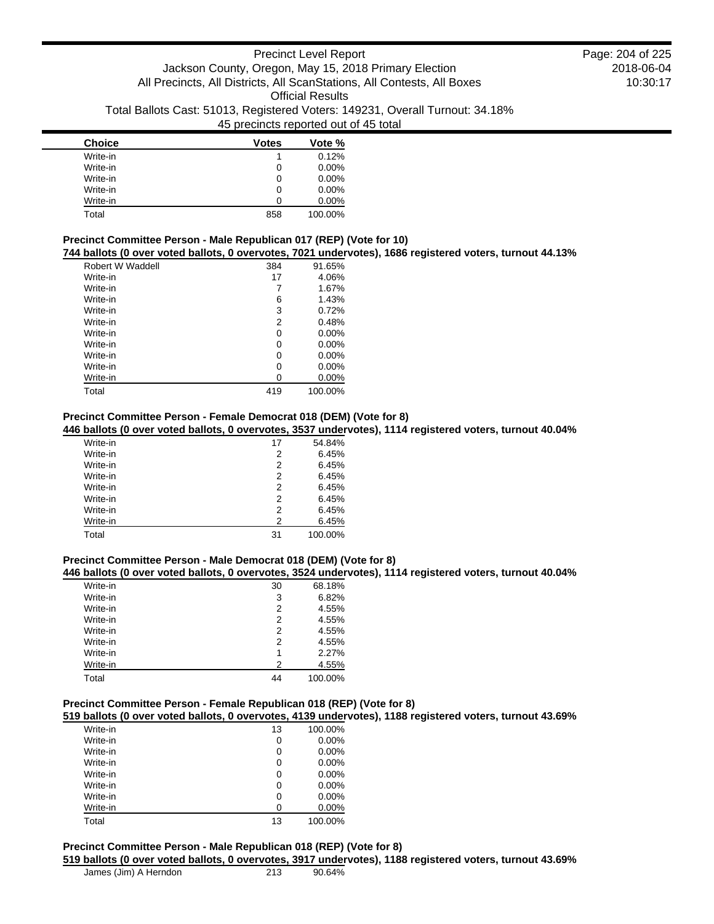| <b>Choice</b> | <b>Votes</b> | Vote %   |
|---------------|--------------|----------|
| Write-in      |              | 0.12%    |
| Write-in      | 0            | $0.00\%$ |
| Write-in      | 0            | 0.00%    |
| Write-in      | 0            | $0.00\%$ |
| Write-in      | Ω            | 0.00%    |
| Total         | 858          | 100.00%  |

## **Precinct Committee Person - Male Republican 017 (REP) (Vote for 10)**

### **744 ballots (0 over voted ballots, 0 overvotes, 7021 undervotes), 1686 registered voters, turnout 44.13%**

| Robert W Waddell | 384 | 91.65%   |
|------------------|-----|----------|
| Write-in         | 17  | 4.06%    |
| Write-in         | 7   | 1.67%    |
| Write-in         | 6   | 1.43%    |
| Write-in         | 3   | 0.72%    |
| Write-in         | 2   | 0.48%    |
| Write-in         | 0   | $0.00\%$ |
| Write-in         | 0   | $0.00\%$ |
| Write-in         | 0   | $0.00\%$ |
| Write-in         | 0   | $0.00\%$ |
| Write-in         | 0   | $0.00\%$ |
| Total            | 419 | 100.00%  |

## **Precinct Committee Person - Female Democrat 018 (DEM) (Vote for 8)**

## **446 ballots (0 over voted ballots, 0 overvotes, 3537 undervotes), 1114 registered voters, turnout 40.04%**

| Write-in | 17 | 54.84%  |
|----------|----|---------|
| Write-in | 2  | 6.45%   |
| Write-in | 2  | 6.45%   |
| Write-in | 2  | 6.45%   |
| Write-in | 2  | 6.45%   |
| Write-in | 2  | 6.45%   |
| Write-in | 2  | 6.45%   |
| Write-in | 2  | 6.45%   |
| Total    | 31 | 100.00% |

### **Precinct Committee Person - Male Democrat 018 (DEM) (Vote for 8)**

### **446 ballots (0 over voted ballots, 0 overvotes, 3524 undervotes), 1114 registered voters, turnout 40.04%**

| Write-in | 30 | 68.18%  |
|----------|----|---------|
| Write-in | 3  | 6.82%   |
| Write-in | 2  | 4.55%   |
| Write-in | 2  | 4.55%   |
| Write-in | 2  | 4.55%   |
| Write-in | 2  | 4.55%   |
| Write-in | 1  | 2.27%   |
| Write-in | 2  | 4.55%   |
| Total    | 44 | 100.00% |

## **Precinct Committee Person - Female Republican 018 (REP) (Vote for 8)**

**519 ballots (0 over voted ballots, 0 overvotes, 4139 undervotes), 1188 registered voters, turnout 43.69%**

| Write-in | 13 | 100.00%  |
|----------|----|----------|
| Write-in | 0  | $0.00\%$ |
| Write-in | 0  | $0.00\%$ |
| Write-in | 0  | $0.00\%$ |
| Write-in | 0  | $0.00\%$ |
| Write-in | 0  | $0.00\%$ |
| Write-in | 0  | $0.00\%$ |
| Write-in | 0  | $0.00\%$ |
| Total    | 13 | 100.00%  |

## **Precinct Committee Person - Male Republican 018 (REP) (Vote for 8)**

**519 ballots (0 over voted ballots, 0 overvotes, 3917 undervotes), 1188 registered voters, turnout 43.69%**

|  |  | James (Jim) A Herndon |
|--|--|-----------------------|
|--|--|-----------------------|

2018-06-04 10:30:17 Page: 204 of 225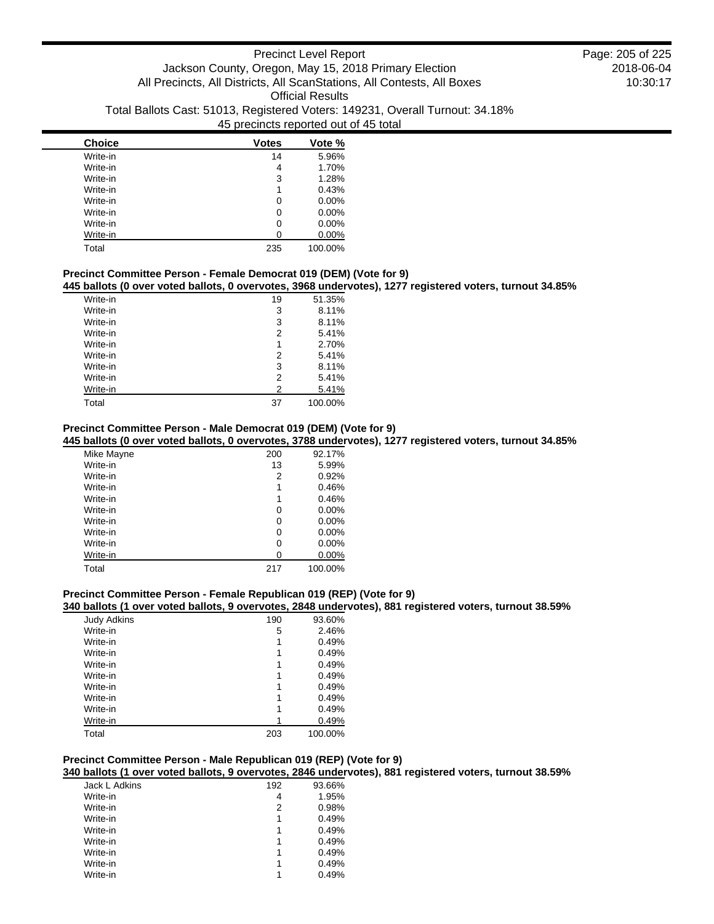| <b>Choice</b> | <b>Votes</b> | Vote %   |
|---------------|--------------|----------|
| Write-in      | 14           | 5.96%    |
| Write-in      | 4            | 1.70%    |
| Write-in      | 3            | 1.28%    |
| Write-in      | 1            | 0.43%    |
| Write-in      | 0            | $0.00\%$ |
| Write-in      | 0            | $0.00\%$ |
| Write-in      | 0            | $0.00\%$ |
| Write-in      | O            | 0.00%    |
| Total         | 235          | 100.00%  |

## **Precinct Committee Person - Female Democrat 019 (DEM) (Vote for 9)**

**445 ballots (0 over voted ballots, 0 overvotes, 3968 undervotes), 1277 registered voters, turnout 34.85%**

| Write-in | 19 | 51.35%  |
|----------|----|---------|
| Write-in | 3  | 8.11%   |
| Write-in | 3  | 8.11%   |
| Write-in | 2  | 5.41%   |
| Write-in | 1  | 2.70%   |
| Write-in | 2  | 5.41%   |
| Write-in | 3  | 8.11%   |
| Write-in | 2  | 5.41%   |
| Write-in | 2  | 5.41%   |
| Total    | 37 | 100.00% |

# **Precinct Committee Person - Male Democrat 019 (DEM) (Vote for 9)**

**445 ballots (0 over voted ballots, 0 overvotes, 3788 undervotes), 1277 registered voters, turnout 34.85%**

| Mike Mayne | 200 | 92.17%   |
|------------|-----|----------|
| Write-in   | 13  | 5.99%    |
| Write-in   | 2   | 0.92%    |
| Write-in   | 1   | 0.46%    |
| Write-in   | 1   | 0.46%    |
| Write-in   | 0   | $0.00\%$ |
| Write-in   | 0   | $0.00\%$ |
| Write-in   | 0   | $0.00\%$ |
| Write-in   | 0   | $0.00\%$ |
| Write-in   | 0   | $0.00\%$ |
| Total      | 217 | 100.00%  |

### **Precinct Committee Person - Female Republican 019 (REP) (Vote for 9)**

### **340 ballots (1 over voted ballots, 9 overvotes, 2848 undervotes), 881 registered voters, turnout 38.59%**

| <b>Judy Adkins</b> | 190 | 93.60%  |
|--------------------|-----|---------|
| Write-in           | 5   | 2.46%   |
| Write-in           |     | 0.49%   |
| Write-in           |     | 0.49%   |
| Write-in           |     | 0.49%   |
| Write-in           | 1   | 0.49%   |
| Write-in           |     | 0.49%   |
| Write-in           |     | 0.49%   |
| Write-in           | 1   | 0.49%   |
| Write-in           |     | 0.49%   |
| Total              | 203 | 100.00% |

## **Precinct Committee Person - Male Republican 019 (REP) (Vote for 9)**

**340 ballots (1 over voted ballots, 9 overvotes, 2846 undervotes), 881 registered voters, turnout 38.59%**

| Jack L Adkins | 192 | 93.66% |
|---------------|-----|--------|
| Write-in      | 4   | 1.95%  |
| Write-in      | 2   | 0.98%  |
| Write-in      | 1   | 0.49%  |
| Write-in      | 1   | 0.49%  |
| Write-in      | 1   | 0.49%  |
| Write-in      | 1   | 0.49%  |
| Write-in      | 1   | 0.49%  |
| Write-in      | 1   | 0.49%  |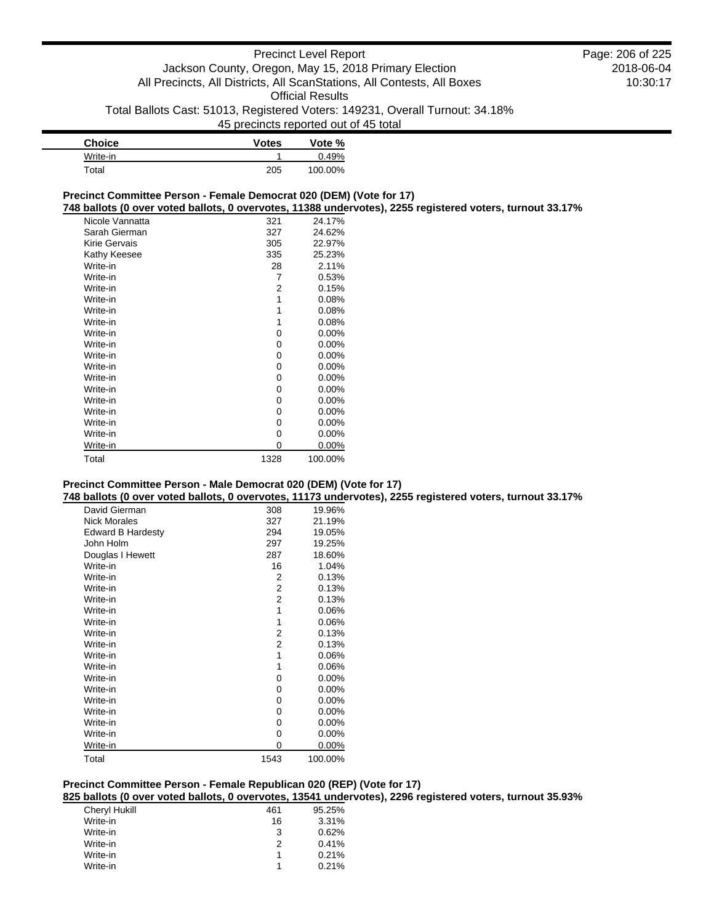| <b>Choice</b> | <b>Votes</b> | Vote %  |
|---------------|--------------|---------|
| Write-in      |              | 0.49%   |
| Total         | 205          | 100.00% |

### **Precinct Committee Person - Female Democrat 020 (DEM) (Vote for 17)**

**748 ballots (0 over voted ballots, 0 overvotes, 11388 undervotes), 2255 registered voters, turnout 33.17%**

| Nicole Vannatta | 321  | 24.17%   |
|-----------------|------|----------|
| Sarah Gierman   | 327  | 24.62%   |
| Kirie Gervais   | 305  | 22.97%   |
| Kathy Keesee    | 335  | 25.23%   |
| Write-in        | 28   | 2.11%    |
| Write-in        | 7    | 0.53%    |
| Write-in        | 2    | 0.15%    |
| Write-in        | 1    | 0.08%    |
| Write-in        | 1    | 0.08%    |
| Write-in        | 1    | 0.08%    |
| Write-in        | 0    | 0.00%    |
| Write-in        | 0    | $0.00\%$ |
| Write-in        | 0    | $0.00\%$ |
| Write-in        | 0    | $0.00\%$ |
| Write-in        | 0    | 0.00%    |
| Write-in        | 0    | 0.00%    |
| Write-in        | 0    | $0.00\%$ |
| Write-in        | 0    | $0.00\%$ |
| Write-in        | 0    | 0.00%    |
| Write-in        | 0    | 0.00%    |
| Write-in        | 0    | $0.00\%$ |
| Total           | 1328 | 100.00%  |

## **Precinct Committee Person - Male Democrat 020 (DEM) (Vote for 17)**

**748 ballots (0 over voted ballots, 0 overvotes, 11173 undervotes), 2255 registered voters, turnout 33.17%**

| David Gierman            | 308  | 19.96%  |
|--------------------------|------|---------|
| <b>Nick Morales</b>      | 327  | 21.19%  |
| <b>Edward B Hardesty</b> | 294  | 19.05%  |
| John Holm                | 297  | 19.25%  |
| Douglas I Hewett         | 287  | 18.60%  |
| Write-in                 | 16   | 1.04%   |
| Write-in                 | 2    | 0.13%   |
| Write-in                 | 2    | 0.13%   |
| Write-in                 | 2    | 0.13%   |
| Write-in                 | 1    | 0.06%   |
| Write-in                 | 1    | 0.06%   |
| Write-in                 | 2    | 0.13%   |
| Write-in                 | 2    | 0.13%   |
| Write-in                 | 1    | 0.06%   |
| Write-in                 | 1    | 0.06%   |
| Write-in                 | 0    | 0.00%   |
| Write-in                 | 0    | 0.00%   |
| Write-in                 | 0    | 0.00%   |
| Write-in                 | 0    | 0.00%   |
| Write-in                 | 0    | 0.00%   |
| Write-in                 | 0    | 0.00%   |
| Write-in                 | 0    | 0.00%   |
| Total                    | 1543 | 100.00% |

## **Precinct Committee Person - Female Republican 020 (REP) (Vote for 17)**

**825 ballots (0 over voted ballots, 0 overvotes, 13541 undervotes), 2296 registered voters, turnout 35.93%**

| Cheryl Hukill | 461 | 95.25% |
|---------------|-----|--------|
| Write-in      | 16  | 3.31%  |
| Write-in      | 3   | 0.62%  |
| Write-in      | 2   | 0.41%  |
| Write-in      | 1   | 0.21%  |
| Write-in      |     | 0.21%  |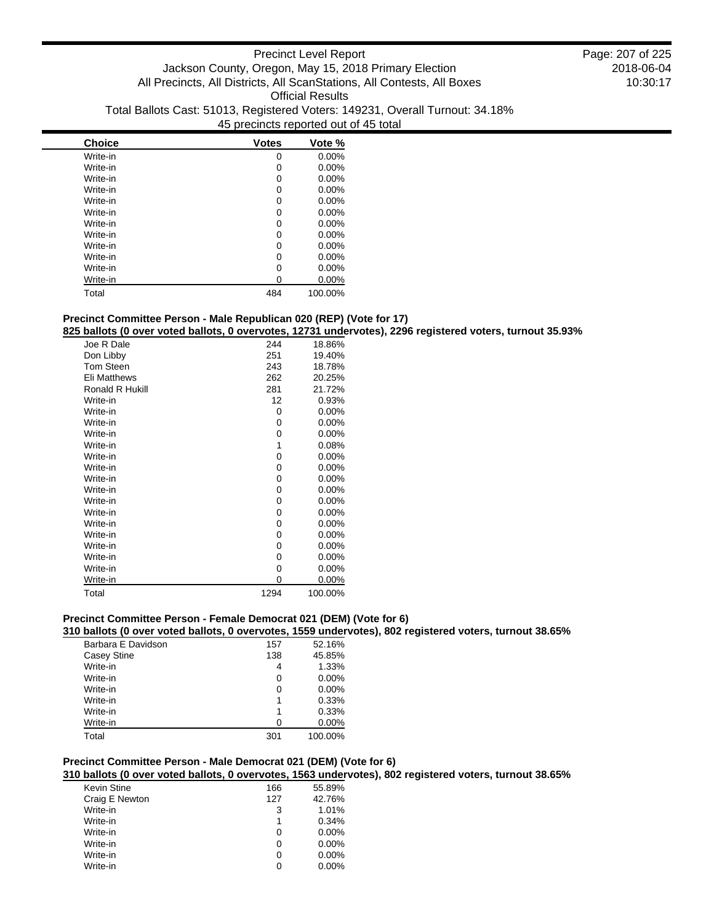| <b>Choice</b> | <b>Votes</b> | Vote %   |
|---------------|--------------|----------|
| Write-in      | 0            | $0.00\%$ |
| Write-in      | 0            | 0.00%    |
| Write-in      | 0            | $0.00\%$ |
| Write-in      | 0            | $0.00\%$ |
| Write-in      | 0            | 0.00%    |
| Write-in      | 0            | $0.00\%$ |
| Write-in      | 0            | $0.00\%$ |
| Write-in      | 0            | $0.00\%$ |
| Write-in      | 0            | 0.00%    |
| Write-in      | 0            | 0.00%    |
| Write-in      | 0            | $0.00\%$ |
| Write-in      |              | 0.00%    |
| Total         | 484          | 100.00%  |

# **Precinct Committee Person - Male Republican 020 (REP) (Vote for 17)**

# **825 ballots (0 over voted ballots, 0 overvotes, 12731 undervotes), 2296 registered voters, turnout 35.93%**

| Joe R Dale          | 244  | 18.86%   |
|---------------------|------|----------|
| Don Libby           | 251  | 19.40%   |
| <b>Tom Steen</b>    | 243  | 18.78%   |
| <b>Eli Matthews</b> | 262  | 20.25%   |
| Ronald R Hukill     | 281  | 21.72%   |
| Write-in            | 12   | 0.93%    |
| Write-in            | 0    | 0.00%    |
| Write-in            | 0    | $0.00\%$ |
| Write-in            | 0    | $0.00\%$ |
| Write-in            | 1    | 0.08%    |
| Write-in            | 0    | $0.00\%$ |
| Write-in            | 0    | $0.00\%$ |
| Write-in            | 0    | $0.00\%$ |
| Write-in            | 0    | 0.00%    |
| Write-in            | 0    | $0.00\%$ |
| Write-in            | 0    | $0.00\%$ |
| Write-in            | 0    | $0.00\%$ |
| Write-in            | 0    | $0.00\%$ |
| Write-in            | 0    | $0.00\%$ |
| Write-in            | 0    | $0.00\%$ |
| Write-in            | 0    | $0.00\%$ |
| Write-in            | 0    | $0.00\%$ |
| Total               | 1294 | 100.00%  |

## **Precinct Committee Person - Female Democrat 021 (DEM) (Vote for 6)**

### **310 ballots (0 over voted ballots, 0 overvotes, 1559 undervotes), 802 registered voters, turnout 38.65%**

| Barbara E Davidson | 157 | 52.16%  |
|--------------------|-----|---------|
| Casey Stine        | 138 | 45.85%  |
| Write-in           | 4   | 1.33%   |
| Write-in           | 0   | 0.00%   |
| Write-in           | 0   | 0.00%   |
| Write-in           | 1   | 0.33%   |
| Write-in           | 1   | 0.33%   |
| Write-in           | O   | 0.00%   |
| Total              | 301 | 100.00% |

## **Precinct Committee Person - Male Democrat 021 (DEM) (Vote for 6)**

**310 ballots (0 over voted ballots, 0 overvotes, 1563 undervotes), 802 registered voters, turnout 38.65%**

| Kevin Stine    | 166 | 55.89%   |
|----------------|-----|----------|
| Craig E Newton | 127 | 42.76%   |
| Write-in       | 3   | 1.01%    |
| Write-in       | 1   | 0.34%    |
| Write-in       | 0   | $0.00\%$ |
| Write-in       | 0   | $0.00\%$ |
| Write-in       | 0   | $0.00\%$ |
| Write-in       | 0   | $0.00\%$ |
|                |     |          |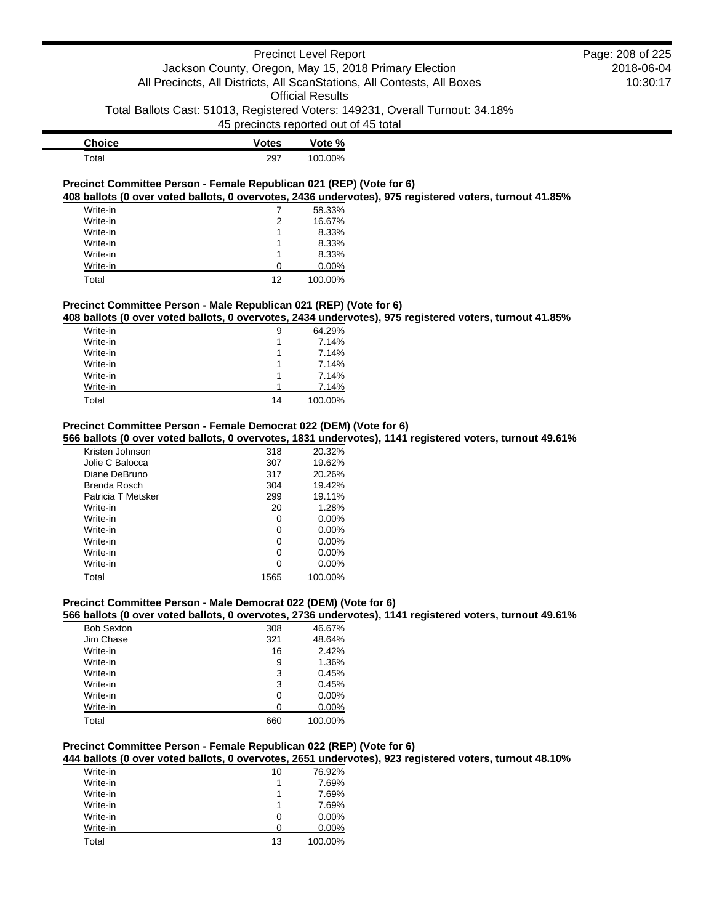# Precinct Level Report Jackson County, Oregon, May 15, 2018 Primary Election All Precincts, All Districts, All ScanStations, All Contests, All Boxes Official Results

Total Ballots Cast: 51013, Registered Voters: 149231, Overall Turnout: 34.18%

45 precincts reported out of 45 total

| <b>Choice</b> | <b>Votes</b> | Vote %  |
|---------------|--------------|---------|
| Total         | 297          | 100.00% |

### **Precinct Committee Person - Female Republican 021 (REP) (Vote for 6) 408 ballots (0 over voted ballots, 0 overvotes, 2436 undervotes), 975 registered voters, turnout 41.85%**

| Write-in |    | 58.33%   |
|----------|----|----------|
| Write-in | 2  | 16.67%   |
| Write-in |    | 8.33%    |
| Write-in |    | 8.33%    |
| Write-in |    | 8.33%    |
| Write-in | O  | $0.00\%$ |
| Total    | 12 | 100.00%  |

## **Precinct Committee Person - Male Republican 021 (REP) (Vote for 6)**

**408 ballots (0 over voted ballots, 0 overvotes, 2434 undervotes), 975 registered voters, turnout 41.85%**

| Write-in | 9  | 64.29%  |
|----------|----|---------|
| Write-in | 1  | 7.14%   |
| Write-in | 1  | 7.14%   |
| Write-in | 1  | 7.14%   |
| Write-in | 1  | 7.14%   |
| Write-in |    | 7.14%   |
| Total    | 14 | 100.00% |

## **Precinct Committee Person - Female Democrat 022 (DEM) (Vote for 6)**

## **566 ballots (0 over voted ballots, 0 overvotes, 1831 undervotes), 1141 registered voters, turnout 49.61%**

| Kristen Johnson    | 318  | 20.32%   |
|--------------------|------|----------|
| Jolie C Balocca    | 307  | 19.62%   |
| Diane DeBruno      | 317  | 20.26%   |
| Brenda Rosch       | 304  | 19.42%   |
| Patricia T Metsker | 299  | 19.11%   |
| Write-in           | 20   | 1.28%    |
| Write-in           | 0    | $0.00\%$ |
| Write-in           | 0    | $0.00\%$ |
| Write-in           | 0    | $0.00\%$ |
| Write-in           | 0    | $0.00\%$ |
| Write-in           | O    | $0.00\%$ |
| Total              | 1565 | 100.00%  |

# **Precinct Committee Person - Male Democrat 022 (DEM) (Vote for 6)**

**566 ballots (0 over voted ballots, 0 overvotes, 2736 undervotes), 1141 registered voters, turnout 49.61%**

| <b>Bob Sexton</b> | 308 | 46.67%  |
|-------------------|-----|---------|
| Jim Chase         | 321 | 48.64%  |
| Write-in          | 16  | 2.42%   |
| Write-in          | 9   | 1.36%   |
| Write-in          | 3   | 0.45%   |
| Write-in          | 3   | 0.45%   |
| Write-in          | 0   | 0.00%   |
| Write-in          | 0   | 0.00%   |
| Total             | 660 | 100.00% |

## **Precinct Committee Person - Female Republican 022 (REP) (Vote for 6)**

**444 ballots (0 over voted ballots, 0 overvotes, 2651 undervotes), 923 registered voters, turnout 48.10%**

| Write-in | 10 | 76.92%   |
|----------|----|----------|
| Write-in |    | 7.69%    |
| Write-in | 1  | 7.69%    |
| Write-in |    | 7.69%    |
| Write-in | 0  | $0.00\%$ |
| Write-in | 0  | 0.00%    |
| Total    | 13 | 100.00%  |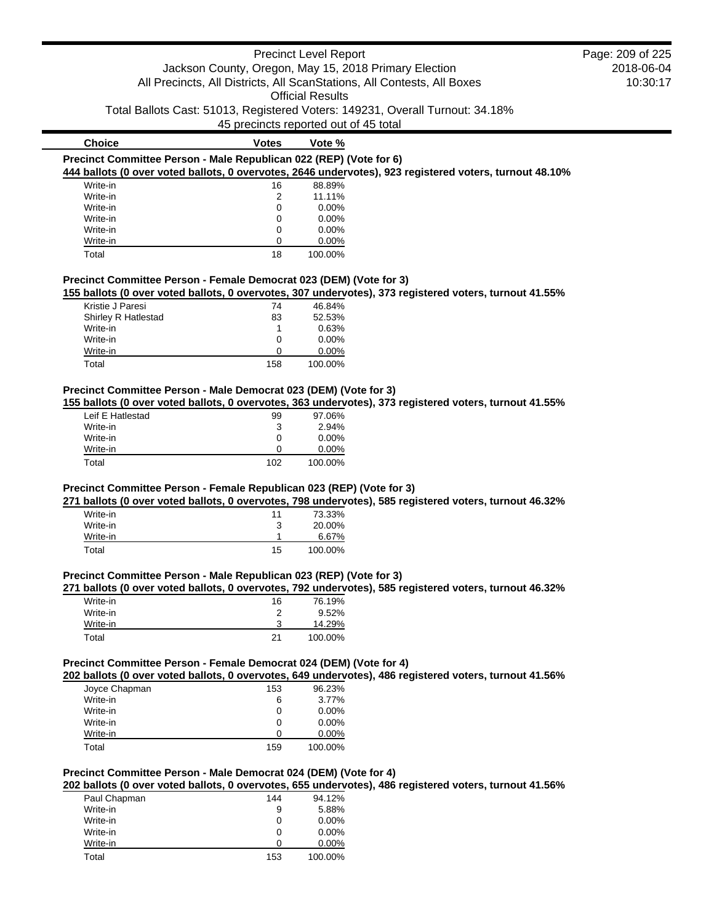|                                                                    | Jackson County, Oregon, May 15, 2018 Primary Election<br>45 precincts reported out of 45 total | <b>Precinct Level Report</b><br><b>Official Results</b> | All Precincts, All Districts, All ScanStations, All Contests, All Boxes<br>Total Ballots Cast: 51013, Registered Voters: 149231, Overall Turnout: 34.18% | Page: 209 of 225<br>2018-06-04<br>10:30:17 |
|--------------------------------------------------------------------|------------------------------------------------------------------------------------------------|---------------------------------------------------------|----------------------------------------------------------------------------------------------------------------------------------------------------------|--------------------------------------------|
| <b>Choice</b>                                                      | <b>Votes</b>                                                                                   | Vote %                                                  |                                                                                                                                                          |                                            |
| Precinct Committee Person - Male Republican 022 (REP) (Vote for 6) |                                                                                                |                                                         | 444 ballots (0 over voted ballots, 0 overvotes, 2646 undervotes), 923 registered voters, turnout 48.10%                                                  |                                            |
| Write-in                                                           | 16                                                                                             | 88.89%                                                  |                                                                                                                                                          |                                            |
| Write-in                                                           | 2                                                                                              | 11.11%                                                  |                                                                                                                                                          |                                            |
| Write-in                                                           |                                                                                                | $0.00\%$                                                |                                                                                                                                                          |                                            |
| Write-in                                                           | 0                                                                                              | $0.00\%$                                                |                                                                                                                                                          |                                            |
| Write-in                                                           | 0                                                                                              | $0.00\%$                                                |                                                                                                                                                          |                                            |
| Write-in                                                           | 0                                                                                              | $0.00\%$                                                |                                                                                                                                                          |                                            |
| Total                                                              | 18                                                                                             | 100.00%                                                 |                                                                                                                                                          |                                            |

### **Precinct Committee Person - Female Democrat 023 (DEM) (Vote for 3)**

**155 ballots (0 over voted ballots, 0 overvotes, 307 undervotes), 373 registered voters, turnout 41.55%**

| Kristie J Paresi    | 74  | 46.84%   |
|---------------------|-----|----------|
| Shirley R Hatlestad | 83  | 52.53%   |
| Write-in            |     | 0.63%    |
| Write-in            | 0   | $0.00\%$ |
| Write-in            | O   | $0.00\%$ |
| Total               | 158 | 100.00%  |

# **Precinct Committee Person - Male Democrat 023 (DEM) (Vote for 3)**

**155 ballots (0 over voted ballots, 0 overvotes, 363 undervotes), 373 registered voters, turnout 41.55%**

| Leif E Hatlestad | 99  | 97.06%   |
|------------------|-----|----------|
| Write-in         | 3   | 2.94%    |
| Write-in         | 0   | $0.00\%$ |
| Write-in         | O   | $0.00\%$ |
| Total            | 102 | 100.00%  |

## **Precinct Committee Person - Female Republican 023 (REP) (Vote for 3)**

**271 ballots (0 over voted ballots, 0 overvotes, 798 undervotes), 585 registered voters, turnout 46.32%**

| Write-in | 11 | 73.33%  |
|----------|----|---------|
| Write-in | 3  | 20.00%  |
| Write-in |    | 6.67%   |
| Total    | 15 | 100.00% |

### **Precinct Committee Person - Male Republican 023 (REP) (Vote for 3)**

### **271 ballots (0 over voted ballots, 0 overvotes, 792 undervotes), 585 registered voters, turnout 46.32%**

| Write-in | 16 | 76.19%  |
|----------|----|---------|
| Write-in | 2  | 9.52%   |
| Write-in |    | 14.29%  |
| Total    | 21 | 100.00% |

## **Precinct Committee Person - Female Democrat 024 (DEM) (Vote for 4)**

**202 ballots (0 over voted ballots, 0 overvotes, 649 undervotes), 486 registered voters, turnout 41.56%**

| Joyce Chapman | 153          | 96.23%   |
|---------------|--------------|----------|
| Write-in      | 6            | 3.77%    |
| Write-in      | 0            | $0.00\%$ |
| Write-in      | $\mathbf{0}$ | $0.00\%$ |
| Write-in      | O            | $0.00\%$ |
| Total         | 159          | 100.00%  |

## **Precinct Committee Person - Male Democrat 024 (DEM) (Vote for 4)**

**202 ballots (0 over voted ballots, 0 overvotes, 655 undervotes), 486 registered voters, turnout 41.56%**

| Paul Chapman | 144 | 94.12%   |
|--------------|-----|----------|
| Write-in     | 9   | 5.88%    |
| Write-in     | 0   | $0.00\%$ |
| Write-in     | 0   | $0.00\%$ |
| Write-in     | Ω   | $0.00\%$ |
| Total        | 153 | 100.00%  |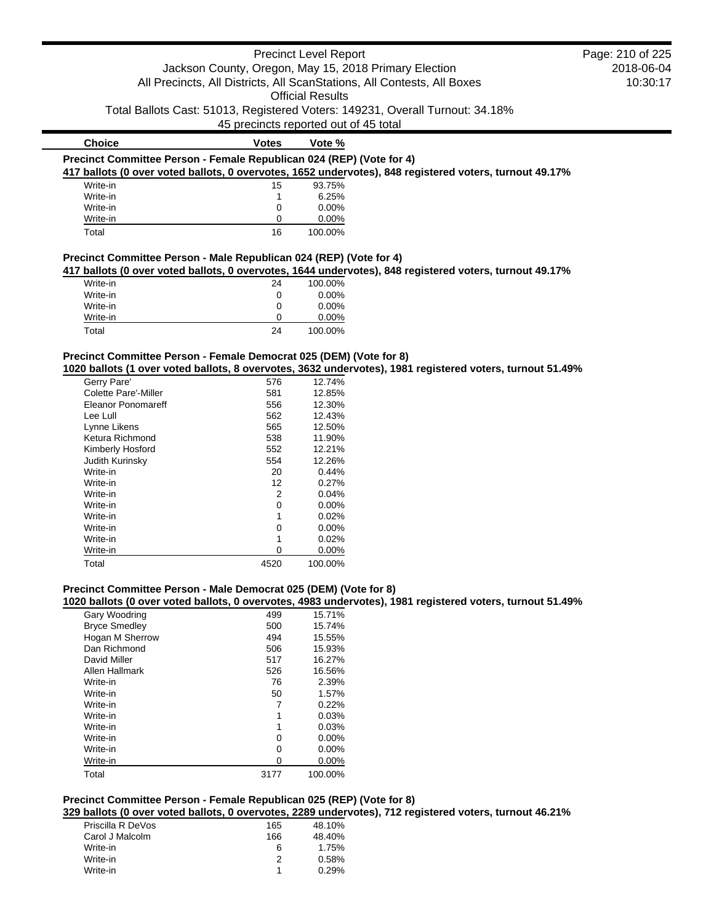|                                                                      |                                       | <b>Precinct Level Report</b> |                                                                                                         | Page: 210 of 225 |
|----------------------------------------------------------------------|---------------------------------------|------------------------------|---------------------------------------------------------------------------------------------------------|------------------|
|                                                                      |                                       |                              | Jackson County, Oregon, May 15, 2018 Primary Election                                                   | 2018-06-04       |
|                                                                      |                                       |                              | All Precincts, All Districts, All ScanStations, All Contests, All Boxes                                 | 10:30:17         |
|                                                                      |                                       | <b>Official Results</b>      |                                                                                                         |                  |
|                                                                      |                                       |                              | Total Ballots Cast: 51013, Registered Voters: 149231, Overall Turnout: 34.18%                           |                  |
|                                                                      | 45 precincts reported out of 45 total |                              |                                                                                                         |                  |
| <b>Choice</b>                                                        | Votes                                 | Vote %                       |                                                                                                         |                  |
| Precinct Committee Person - Female Republican 024 (REP) (Vote for 4) |                                       |                              |                                                                                                         |                  |
|                                                                      |                                       |                              | 417 ballots (0 over voted ballots, 0 overvotes, 1652 undervotes), 848 registered voters, turnout 49.17% |                  |
| Write-in                                                             | 15                                    | 93.75%                       |                                                                                                         |                  |
| Write-in                                                             |                                       | 6.25%                        |                                                                                                         |                  |
| Write-in                                                             |                                       | $0.00\%$                     |                                                                                                         |                  |
| Write-in                                                             | U                                     | $0.00\%$                     |                                                                                                         |                  |
| Total                                                                | 16                                    | 100.00%                      |                                                                                                         |                  |
| Precinct Committee Person - Male Republican 024 (REP) (Vote for 4)   |                                       |                              |                                                                                                         |                  |
|                                                                      |                                       |                              | 417 ballots (0 over voted ballots, 0 overvotes, 1644 undervotes), 848 registered voters, turnout 49.17% |                  |
| Write-in                                                             | 24                                    | 100.00%                      |                                                                                                         |                  |
| Write-in                                                             | 0                                     | $0.00\%$                     |                                                                                                         |                  |
| Write-in                                                             | 0                                     | 0.00%                        |                                                                                                         |                  |

# **Precinct Committee Person - Female Democrat 025 (DEM) (Vote for 8)**

**1020 ballots (1 over voted ballots, 8 overvotes, 3632 undervotes), 1981 registered voters, turnout 51.49%**

| Gerry Pare'                 | 576  | 12.74%   |
|-----------------------------|------|----------|
| <b>Colette Pare'-Miller</b> | 581  | 12.85%   |
| Eleanor Ponomareff          | 556  | 12.30%   |
| Lee Lull                    | 562  | 12.43%   |
| Lynne Likens                | 565  | 12.50%   |
| Ketura Richmond             | 538  | 11.90%   |
| Kimberly Hosford            | 552  | 12.21%   |
| <b>Judith Kurinsky</b>      | 554  | 12.26%   |
| Write-in                    | 20   | 0.44%    |
| Write-in                    | 12   | 0.27%    |
| Write-in                    | 2    | 0.04%    |
| Write-in                    | 0    | 0.00%    |
| Write-in                    | 1    | 0.02%    |
| Write-in                    | ი    | $0.00\%$ |
| Write-in                    | 1    | 0.02%    |
| Write-in                    | 0    | 0.00%    |
| Total                       | 4520 | 100.00%  |

Write-in 0 0.00% Total 24 100.00%

## **Precinct Committee Person - Male Democrat 025 (DEM) (Vote for 8)**

**1020 ballots (0 over voted ballots, 0 overvotes, 4983 undervotes), 1981 registered voters, turnout 51.49%**

| Gary Woodring        | 499  | 15.71%   |
|----------------------|------|----------|
| <b>Bryce Smedley</b> | 500  | 15.74%   |
| Hogan M Sherrow      | 494  | 15.55%   |
| Dan Richmond         | 506  | 15.93%   |
| David Miller         | 517  | 16.27%   |
| Allen Hallmark       | 526  | 16.56%   |
| Write-in             | 76   | 2.39%    |
| Write-in             | 50   | 1.57%    |
| Write-in             | 7    | 0.22%    |
| Write-in             | 1    | 0.03%    |
| Write-in             | 1    | 0.03%    |
| Write-in             | 0    | 0.00%    |
| Write-in             | 0    | 0.00%    |
| Write-in             | 0    | $0.00\%$ |
| Total                | 3177 | 100.00%  |

# **Precinct Committee Person - Female Republican 025 (REP) (Vote for 8)**

**329 ballots (0 over voted ballots, 0 overvotes, 2289 undervotes), 712 registered voters, turnout 46.21%**

| Priscilla R DeVos | 165 | 48.10% |
|-------------------|-----|--------|
| Carol J Malcolm   | 166 | 48.40% |
| Write-in          | 6   | 1.75%  |
| Write-in          | 2   | 0.58%  |
| Write-in          |     | 0.29%  |
|                   |     |        |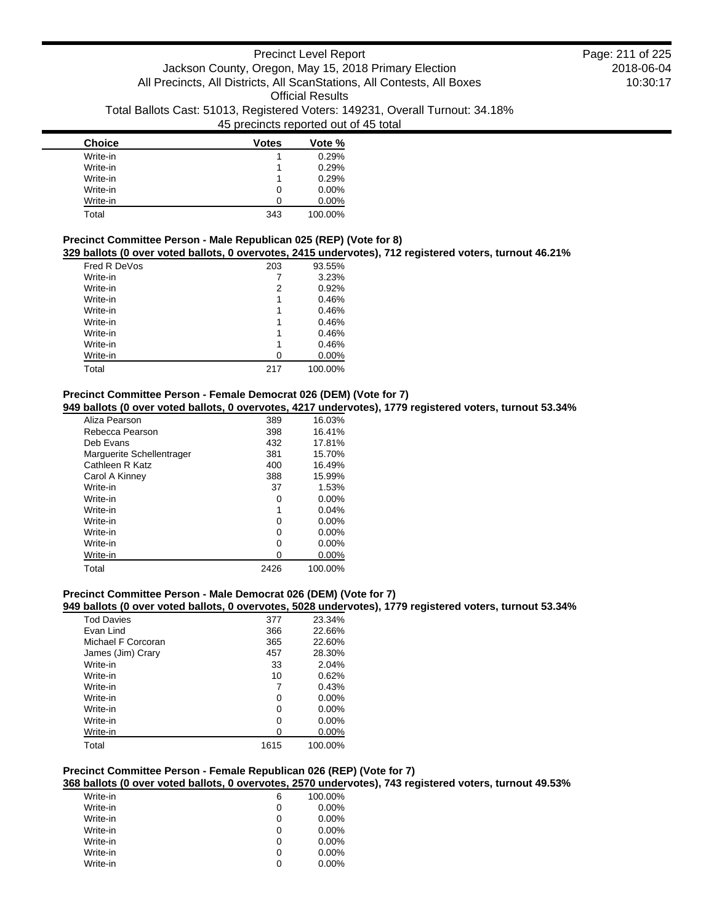| <b>Choice</b> | <b>Votes</b> | Vote %   |
|---------------|--------------|----------|
| Write-in      |              | 0.29%    |
| Write-in      |              | 0.29%    |
| Write-in      |              | 0.29%    |
| Write-in      | 0            | $0.00\%$ |
| Write-in      |              | $0.00\%$ |
| Total         | 343          | 100.00%  |

# **Precinct Committee Person - Male Republican 025 (REP) (Vote for 8)**

**329 ballots (0 over voted ballots, 0 overvotes, 2415 undervotes), 712 registered voters, turnout 46.21%**

| Fred R DeVos | 203 | 93.55%  |
|--------------|-----|---------|
| Write-in     |     | 3.23%   |
| Write-in     | 2   | 0.92%   |
| Write-in     | 1   | 0.46%   |
| Write-in     | 1   | 0.46%   |
| Write-in     | 1   | 0.46%   |
| Write-in     | 1   | 0.46%   |
| Write-in     | 1   | 0.46%   |
| Write-in     | O   | 0.00%   |
| Total        | 217 | 100.00% |

## **Precinct Committee Person - Female Democrat 026 (DEM) (Vote for 7)**

**949 ballots (0 over voted ballots, 0 overvotes, 4217 undervotes), 1779 registered voters, turnout 53.34%**

| Aliza Pearson             | 389  | 16.03%   |
|---------------------------|------|----------|
| Rebecca Pearson           | 398  | 16.41%   |
| Deb Fyans                 | 432  | 17.81%   |
| Marguerite Schellentrager | 381  | 15.70%   |
| Cathleen R Katz           | 400  | 16.49%   |
| Carol A Kinney            | 388  | 15.99%   |
| Write-in                  | 37   | 1.53%    |
| Write-in                  | 0    | $0.00\%$ |
| Write-in                  | 1    | 0.04%    |
| Write-in                  | 0    | $0.00\%$ |
| Write-in                  | ი    | $0.00\%$ |
| Write-in                  | 0    | $0.00\%$ |
| Write-in                  | O    | 0.00%    |
| Total                     | 2426 | 100.00%  |

## **Precinct Committee Person - Male Democrat 026 (DEM) (Vote for 7)**

## **949 ballots (0 over voted ballots, 0 overvotes, 5028 undervotes), 1779 registered voters, turnout 53.34%**

| <b>Tod Davies</b>  | 377  | 23.34%   |
|--------------------|------|----------|
| Evan Lind          | 366  | 22.66%   |
| Michael F Corcoran | 365  | 22.60%   |
| James (Jim) Crary  | 457  | 28.30%   |
| Write-in           | 33   | 2.04%    |
| Write-in           | 10   | 0.62%    |
| Write-in           | 7    | 0.43%    |
| Write-in           | 0    | $0.00\%$ |
| Write-in           | 0    | $0.00\%$ |
| Write-in           | 0    | $0.00\%$ |
| Write-in           | 0    | $0.00\%$ |
| Total              | 1615 | 100.00%  |

## **Precinct Committee Person - Female Republican 026 (REP) (Vote for 7)**

**368 ballots (0 over voted ballots, 0 overvotes, 2570 undervotes), 743 registered voters, turnout 49.53%**

| Write-in | 6 | 100.00%  |
|----------|---|----------|
| Write-in | 0 | $0.00\%$ |
| Write-in | 0 | $0.00\%$ |
| Write-in | 0 | $0.00\%$ |
| Write-in | 0 | $0.00\%$ |
| Write-in | 0 | $0.00\%$ |
| Write-in | Ω | $0.00\%$ |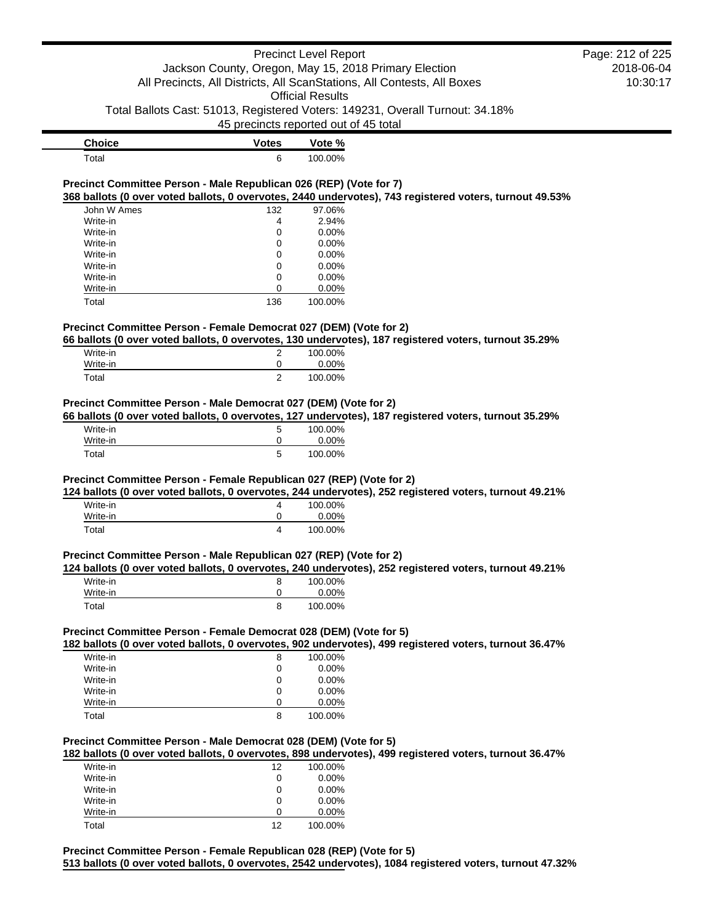# Precinct Level Report Jackson County, Oregon, May 15, 2018 Primary Election All Precincts, All Districts, All ScanStations, All Contests, All Boxes Official Results Total Ballots Cast: 51013, Registered Voters: 149231, Overall Turnout: 34.18% 45 precincts reported out of 45 total **Choice Votes Vote %** Total 6 100.00% **Precinct Committee Person - Male Republican 026 (REP) (Vote for 7) 368 ballots (0 over voted ballots, 0 overvotes, 2440 undervotes), 743 registered voters, turnout 49.53%** John W Ames 132 97.06% Write-in  $\begin{array}{cccc} 4 & 2.94\% \\ \text{Write-in} & 0 & 0.00\% \end{array}$ Write-in 0 0.00% Write-in 0 0.00% Write-in 0 0.00% Write-in 0 0.00% Write-in 0 0.00% Write-in 0 0.00% Total 136 100.00% **Precinct Committee Person - Female Democrat 027 (DEM) (Vote for 2) 66 ballots (0 over voted ballots, 0 overvotes, 130 undervotes), 187 registered voters, turnout 35.29%** Write-in 2 100.00% Write-in 0 0.00% Total 2 100.00% **Precinct Committee Person - Male Democrat 027 (DEM) (Vote for 2) 66 ballots (0 over voted ballots, 0 overvotes, 127 undervotes), 187 registered voters, turnout 35.29%** Write-in 5 100.00% Write-in 0 0.00% Total 5 100.00% **Precinct Committee Person - Female Republican 027 (REP) (Vote for 2) 124 ballots (0 over voted ballots, 0 overvotes, 244 undervotes), 252 registered voters, turnout 49.21%** Write-in 200.00% Write-in 0 0.00% Total 4 100.00% **Precinct Committee Person - Male Republican 027 (REP) (Vote for 2) 124 ballots (0 over voted ballots, 0 overvotes, 240 undervotes), 252 registered voters, turnout 49.21%** Write-in 8 100.00% Write-in 0 0.00% Total 8 100.00% **Precinct Committee Person - Female Democrat 028 (DEM) (Vote for 5) 182 ballots (0 over voted ballots, 0 overvotes, 902 undervotes), 499 registered voters, turnout 36.47%** Write-in 8 100.00% Write-in 0 0.00% Write-in 0 0.00% Write-in  $0$  0.00% Write-in 0 0.00% Total 8 100.00% Page: 212 of 225

2018-06-04 10:30:17

### **Precinct Committee Person - Male Democrat 028 (DEM) (Vote for 5)**

**182 ballots (0 over voted ballots, 0 overvotes, 898 undervotes), 499 registered voters, turnout 36.47%**

| Write-in | 12 | 100.00%  |
|----------|----|----------|
| Write-in | 0  | $0.00\%$ |
| Write-in | 0  | $0.00\%$ |
| Write-in | 0  | $0.00\%$ |
| Write-in | O  | $0.00\%$ |
| Total    | 12 | 100.00%  |

**Precinct Committee Person - Female Republican 028 (REP) (Vote for 5) 513 ballots (0 over voted ballots, 0 overvotes, 2542 undervotes), 1084 registered voters, turnout 47.32%**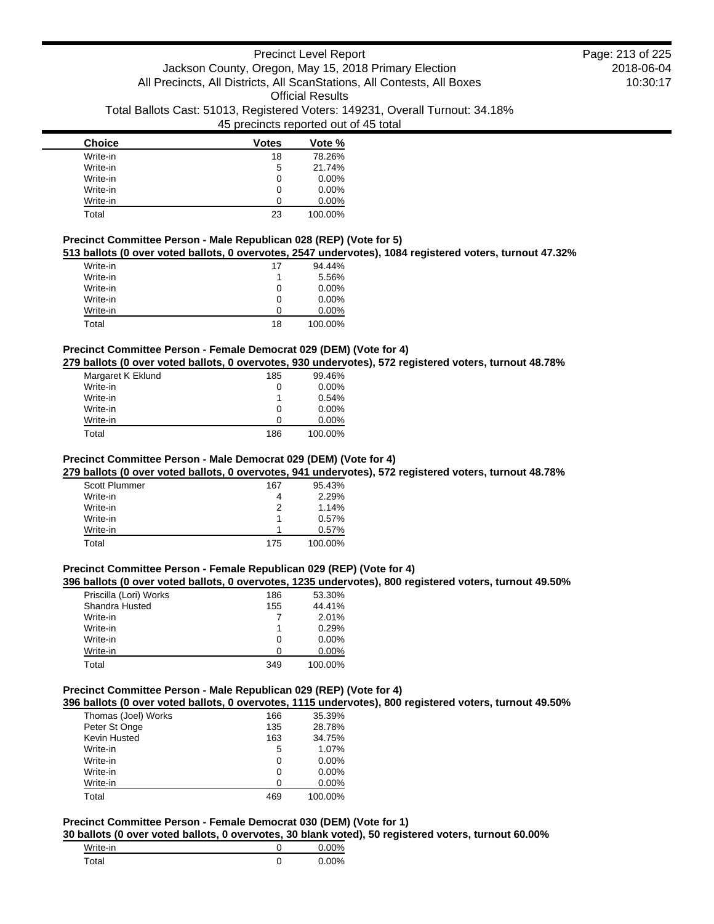| <b>Choice</b> | Votes | Vote %   |
|---------------|-------|----------|
| Write-in      | 18    | 78.26%   |
| Write-in      | 5     | 21.74%   |
| Write-in      | 0     | $0.00\%$ |
| Write-in      | 0     | $0.00\%$ |
| Write-in      | Ω     | $0.00\%$ |
| Total         | 23    | 100.00%  |

## **Precinct Committee Person - Male Republican 028 (REP) (Vote for 5)**

## **513 ballots (0 over voted ballots, 0 overvotes, 2547 undervotes), 1084 registered voters, turnout 47.32%**

| Write-in | 17 | 94.44%   |
|----------|----|----------|
| Write-in | 1  | 5.56%    |
| Write-in | 0  | $0.00\%$ |
| Write-in | 0  | $0.00\%$ |
| Write-in | 0  | $0.00\%$ |
| Total    | 18 | 100.00%  |

# **Precinct Committee Person - Female Democrat 029 (DEM) (Vote for 4)**

**279 ballots (0 over voted ballots, 0 overvotes, 930 undervotes), 572 registered voters, turnout 48.78%**

| Margaret K Eklund | 185 | 99.46%   |
|-------------------|-----|----------|
| Write-in          | 0   | $0.00\%$ |
| Write-in          |     | 0.54%    |
| Write-in          | 0   | $0.00\%$ |
| Write-in          | O   | $0.00\%$ |
| Total             | 186 | 100.00%  |

## **Precinct Committee Person - Male Democrat 029 (DEM) (Vote for 4)**

**279 ballots (0 over voted ballots, 0 overvotes, 941 undervotes), 572 registered voters, turnout 48.78%**

| <b>Scott Plummer</b> | 167 | 95.43%  |
|----------------------|-----|---------|
| Write-in             |     | 2.29%   |
| Write-in             | 2   | 1.14%   |
| Write-in             | 1   | 0.57%   |
| Write-in             |     | 0.57%   |
| Total                | 175 | 100.00% |

## **Precinct Committee Person - Female Republican 029 (REP) (Vote for 4)**

#### **396 ballots (0 over voted ballots, 0 overvotes, 1235 undervotes), 800 registered voters, turnout 49.50%**

| Priscilla (Lori) Works | 186 | 53.30%   |
|------------------------|-----|----------|
| Shandra Husted         | 155 | 44.41%   |
| Write-in               |     | 2.01%    |
| Write-in               | 1   | 0.29%    |
| Write-in               | 0   | $0.00\%$ |
| Write-in               | n   | $0.00\%$ |
| Total                  | 349 | 100.00%  |

## **Precinct Committee Person - Male Republican 029 (REP) (Vote for 4)**

**396 ballots (0 over voted ballots, 0 overvotes, 1115 undervotes), 800 registered voters, turnout 49.50%**

| Thomas (Joel) Works | 166 | 35.39%   |
|---------------------|-----|----------|
| Peter St Onge       | 135 | 28.78%   |
| Kevin Husted        | 163 | 34.75%   |
| Write-in            | 5   | 1.07%    |
| Write-in            | 0   | $0.00\%$ |
| Write-in            | 0   | $0.00\%$ |
| Write-in            | O   | $0.00\%$ |
| Total               | 469 | 100.00%  |

## **Precinct Committee Person - Female Democrat 030 (DEM) (Vote for 1)**

**30 ballots (0 over voted ballots, 0 overvotes, 30 blank voted), 50 registered voters, turnout 60.00%**

| Write-in | $0.00\%$ |
|----------|----------|
| Total    | $0.00\%$ |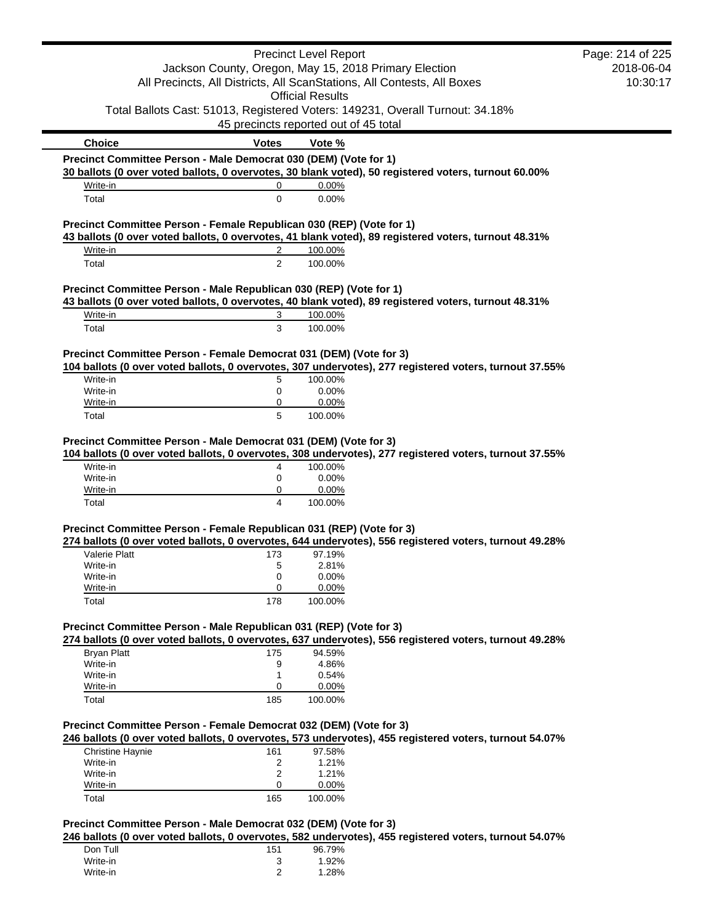|              | <b>Precinct Level Report</b>                                                   | Page: 214 of 225                                                                                                                                                                                                                                                                                                                                                                                                                                                                                                                                                                                                                                                                                                                                                                                                                                                                                                                                                                                                                                                                                                                                                                                                                                                                                                                                                                                                                                                                                                                                                                                                                                                                                                                                                                                                                                                                                          |
|--------------|--------------------------------------------------------------------------------|-----------------------------------------------------------------------------------------------------------------------------------------------------------------------------------------------------------------------------------------------------------------------------------------------------------------------------------------------------------------------------------------------------------------------------------------------------------------------------------------------------------------------------------------------------------------------------------------------------------------------------------------------------------------------------------------------------------------------------------------------------------------------------------------------------------------------------------------------------------------------------------------------------------------------------------------------------------------------------------------------------------------------------------------------------------------------------------------------------------------------------------------------------------------------------------------------------------------------------------------------------------------------------------------------------------------------------------------------------------------------------------------------------------------------------------------------------------------------------------------------------------------------------------------------------------------------------------------------------------------------------------------------------------------------------------------------------------------------------------------------------------------------------------------------------------------------------------------------------------------------------------------------------------|
|              |                                                                                | 2018-06-04                                                                                                                                                                                                                                                                                                                                                                                                                                                                                                                                                                                                                                                                                                                                                                                                                                                                                                                                                                                                                                                                                                                                                                                                                                                                                                                                                                                                                                                                                                                                                                                                                                                                                                                                                                                                                                                                                                |
|              |                                                                                | 10:30:17                                                                                                                                                                                                                                                                                                                                                                                                                                                                                                                                                                                                                                                                                                                                                                                                                                                                                                                                                                                                                                                                                                                                                                                                                                                                                                                                                                                                                                                                                                                                                                                                                                                                                                                                                                                                                                                                                                  |
|              |                                                                                |                                                                                                                                                                                                                                                                                                                                                                                                                                                                                                                                                                                                                                                                                                                                                                                                                                                                                                                                                                                                                                                                                                                                                                                                                                                                                                                                                                                                                                                                                                                                                                                                                                                                                                                                                                                                                                                                                                           |
|              |                                                                                |                                                                                                                                                                                                                                                                                                                                                                                                                                                                                                                                                                                                                                                                                                                                                                                                                                                                                                                                                                                                                                                                                                                                                                                                                                                                                                                                                                                                                                                                                                                                                                                                                                                                                                                                                                                                                                                                                                           |
|              |                                                                                |                                                                                                                                                                                                                                                                                                                                                                                                                                                                                                                                                                                                                                                                                                                                                                                                                                                                                                                                                                                                                                                                                                                                                                                                                                                                                                                                                                                                                                                                                                                                                                                                                                                                                                                                                                                                                                                                                                           |
| <b>Votes</b> | Vote %                                                                         |                                                                                                                                                                                                                                                                                                                                                                                                                                                                                                                                                                                                                                                                                                                                                                                                                                                                                                                                                                                                                                                                                                                                                                                                                                                                                                                                                                                                                                                                                                                                                                                                                                                                                                                                                                                                                                                                                                           |
|              |                                                                                |                                                                                                                                                                                                                                                                                                                                                                                                                                                                                                                                                                                                                                                                                                                                                                                                                                                                                                                                                                                                                                                                                                                                                                                                                                                                                                                                                                                                                                                                                                                                                                                                                                                                                                                                                                                                                                                                                                           |
|              |                                                                                |                                                                                                                                                                                                                                                                                                                                                                                                                                                                                                                                                                                                                                                                                                                                                                                                                                                                                                                                                                                                                                                                                                                                                                                                                                                                                                                                                                                                                                                                                                                                                                                                                                                                                                                                                                                                                                                                                                           |
|              |                                                                                |                                                                                                                                                                                                                                                                                                                                                                                                                                                                                                                                                                                                                                                                                                                                                                                                                                                                                                                                                                                                                                                                                                                                                                                                                                                                                                                                                                                                                                                                                                                                                                                                                                                                                                                                                                                                                                                                                                           |
|              |                                                                                |                                                                                                                                                                                                                                                                                                                                                                                                                                                                                                                                                                                                                                                                                                                                                                                                                                                                                                                                                                                                                                                                                                                                                                                                                                                                                                                                                                                                                                                                                                                                                                                                                                                                                                                                                                                                                                                                                                           |
|              |                                                                                |                                                                                                                                                                                                                                                                                                                                                                                                                                                                                                                                                                                                                                                                                                                                                                                                                                                                                                                                                                                                                                                                                                                                                                                                                                                                                                                                                                                                                                                                                                                                                                                                                                                                                                                                                                                                                                                                                                           |
|              |                                                                                |                                                                                                                                                                                                                                                                                                                                                                                                                                                                                                                                                                                                                                                                                                                                                                                                                                                                                                                                                                                                                                                                                                                                                                                                                                                                                                                                                                                                                                                                                                                                                                                                                                                                                                                                                                                                                                                                                                           |
|              |                                                                                |                                                                                                                                                                                                                                                                                                                                                                                                                                                                                                                                                                                                                                                                                                                                                                                                                                                                                                                                                                                                                                                                                                                                                                                                                                                                                                                                                                                                                                                                                                                                                                                                                                                                                                                                                                                                                                                                                                           |
|              |                                                                                |                                                                                                                                                                                                                                                                                                                                                                                                                                                                                                                                                                                                                                                                                                                                                                                                                                                                                                                                                                                                                                                                                                                                                                                                                                                                                                                                                                                                                                                                                                                                                                                                                                                                                                                                                                                                                                                                                                           |
|              |                                                                                |                                                                                                                                                                                                                                                                                                                                                                                                                                                                                                                                                                                                                                                                                                                                                                                                                                                                                                                                                                                                                                                                                                                                                                                                                                                                                                                                                                                                                                                                                                                                                                                                                                                                                                                                                                                                                                                                                                           |
|              |                                                                                |                                                                                                                                                                                                                                                                                                                                                                                                                                                                                                                                                                                                                                                                                                                                                                                                                                                                                                                                                                                                                                                                                                                                                                                                                                                                                                                                                                                                                                                                                                                                                                                                                                                                                                                                                                                                                                                                                                           |
| 3            | 100.00%                                                                        |                                                                                                                                                                                                                                                                                                                                                                                                                                                                                                                                                                                                                                                                                                                                                                                                                                                                                                                                                                                                                                                                                                                                                                                                                                                                                                                                                                                                                                                                                                                                                                                                                                                                                                                                                                                                                                                                                                           |
| 3            | 100.00%                                                                        |                                                                                                                                                                                                                                                                                                                                                                                                                                                                                                                                                                                                                                                                                                                                                                                                                                                                                                                                                                                                                                                                                                                                                                                                                                                                                                                                                                                                                                                                                                                                                                                                                                                                                                                                                                                                                                                                                                           |
|              |                                                                                |                                                                                                                                                                                                                                                                                                                                                                                                                                                                                                                                                                                                                                                                                                                                                                                                                                                                                                                                                                                                                                                                                                                                                                                                                                                                                                                                                                                                                                                                                                                                                                                                                                                                                                                                                                                                                                                                                                           |
|              |                                                                                |                                                                                                                                                                                                                                                                                                                                                                                                                                                                                                                                                                                                                                                                                                                                                                                                                                                                                                                                                                                                                                                                                                                                                                                                                                                                                                                                                                                                                                                                                                                                                                                                                                                                                                                                                                                                                                                                                                           |
| 5            | 100.00%                                                                        |                                                                                                                                                                                                                                                                                                                                                                                                                                                                                                                                                                                                                                                                                                                                                                                                                                                                                                                                                                                                                                                                                                                                                                                                                                                                                                                                                                                                                                                                                                                                                                                                                                                                                                                                                                                                                                                                                                           |
| 0            | 0.00%                                                                          |                                                                                                                                                                                                                                                                                                                                                                                                                                                                                                                                                                                                                                                                                                                                                                                                                                                                                                                                                                                                                                                                                                                                                                                                                                                                                                                                                                                                                                                                                                                                                                                                                                                                                                                                                                                                                                                                                                           |
| 0            |                                                                                |                                                                                                                                                                                                                                                                                                                                                                                                                                                                                                                                                                                                                                                                                                                                                                                                                                                                                                                                                                                                                                                                                                                                                                                                                                                                                                                                                                                                                                                                                                                                                                                                                                                                                                                                                                                                                                                                                                           |
|              |                                                                                |                                                                                                                                                                                                                                                                                                                                                                                                                                                                                                                                                                                                                                                                                                                                                                                                                                                                                                                                                                                                                                                                                                                                                                                                                                                                                                                                                                                                                                                                                                                                                                                                                                                                                                                                                                                                                                                                                                           |
|              |                                                                                |                                                                                                                                                                                                                                                                                                                                                                                                                                                                                                                                                                                                                                                                                                                                                                                                                                                                                                                                                                                                                                                                                                                                                                                                                                                                                                                                                                                                                                                                                                                                                                                                                                                                                                                                                                                                                                                                                                           |
|              |                                                                                |                                                                                                                                                                                                                                                                                                                                                                                                                                                                                                                                                                                                                                                                                                                                                                                                                                                                                                                                                                                                                                                                                                                                                                                                                                                                                                                                                                                                                                                                                                                                                                                                                                                                                                                                                                                                                                                                                                           |
| 4            | 100.00%                                                                        |                                                                                                                                                                                                                                                                                                                                                                                                                                                                                                                                                                                                                                                                                                                                                                                                                                                                                                                                                                                                                                                                                                                                                                                                                                                                                                                                                                                                                                                                                                                                                                                                                                                                                                                                                                                                                                                                                                           |
| 0            | 0.00%                                                                          |                                                                                                                                                                                                                                                                                                                                                                                                                                                                                                                                                                                                                                                                                                                                                                                                                                                                                                                                                                                                                                                                                                                                                                                                                                                                                                                                                                                                                                                                                                                                                                                                                                                                                                                                                                                                                                                                                                           |
|              |                                                                                |                                                                                                                                                                                                                                                                                                                                                                                                                                                                                                                                                                                                                                                                                                                                                                                                                                                                                                                                                                                                                                                                                                                                                                                                                                                                                                                                                                                                                                                                                                                                                                                                                                                                                                                                                                                                                                                                                                           |
|              |                                                                                |                                                                                                                                                                                                                                                                                                                                                                                                                                                                                                                                                                                                                                                                                                                                                                                                                                                                                                                                                                                                                                                                                                                                                                                                                                                                                                                                                                                                                                                                                                                                                                                                                                                                                                                                                                                                                                                                                                           |
|              |                                                                                |                                                                                                                                                                                                                                                                                                                                                                                                                                                                                                                                                                                                                                                                                                                                                                                                                                                                                                                                                                                                                                                                                                                                                                                                                                                                                                                                                                                                                                                                                                                                                                                                                                                                                                                                                                                                                                                                                                           |
|              |                                                                                |                                                                                                                                                                                                                                                                                                                                                                                                                                                                                                                                                                                                                                                                                                                                                                                                                                                                                                                                                                                                                                                                                                                                                                                                                                                                                                                                                                                                                                                                                                                                                                                                                                                                                                                                                                                                                                                                                                           |
| 173          | 97.19%                                                                         |                                                                                                                                                                                                                                                                                                                                                                                                                                                                                                                                                                                                                                                                                                                                                                                                                                                                                                                                                                                                                                                                                                                                                                                                                                                                                                                                                                                                                                                                                                                                                                                                                                                                                                                                                                                                                                                                                                           |
| 5            | 2.81%                                                                          |                                                                                                                                                                                                                                                                                                                                                                                                                                                                                                                                                                                                                                                                                                                                                                                                                                                                                                                                                                                                                                                                                                                                                                                                                                                                                                                                                                                                                                                                                                                                                                                                                                                                                                                                                                                                                                                                                                           |
|              |                                                                                |                                                                                                                                                                                                                                                                                                                                                                                                                                                                                                                                                                                                                                                                                                                                                                                                                                                                                                                                                                                                                                                                                                                                                                                                                                                                                                                                                                                                                                                                                                                                                                                                                                                                                                                                                                                                                                                                                                           |
|              |                                                                                |                                                                                                                                                                                                                                                                                                                                                                                                                                                                                                                                                                                                                                                                                                                                                                                                                                                                                                                                                                                                                                                                                                                                                                                                                                                                                                                                                                                                                                                                                                                                                                                                                                                                                                                                                                                                                                                                                                           |
|              |                                                                                |                                                                                                                                                                                                                                                                                                                                                                                                                                                                                                                                                                                                                                                                                                                                                                                                                                                                                                                                                                                                                                                                                                                                                                                                                                                                                                                                                                                                                                                                                                                                                                                                                                                                                                                                                                                                                                                                                                           |
|              |                                                                                |                                                                                                                                                                                                                                                                                                                                                                                                                                                                                                                                                                                                                                                                                                                                                                                                                                                                                                                                                                                                                                                                                                                                                                                                                                                                                                                                                                                                                                                                                                                                                                                                                                                                                                                                                                                                                                                                                                           |
|              |                                                                                |                                                                                                                                                                                                                                                                                                                                                                                                                                                                                                                                                                                                                                                                                                                                                                                                                                                                                                                                                                                                                                                                                                                                                                                                                                                                                                                                                                                                                                                                                                                                                                                                                                                                                                                                                                                                                                                                                                           |
| 175          | 94.59%                                                                         |                                                                                                                                                                                                                                                                                                                                                                                                                                                                                                                                                                                                                                                                                                                                                                                                                                                                                                                                                                                                                                                                                                                                                                                                                                                                                                                                                                                                                                                                                                                                                                                                                                                                                                                                                                                                                                                                                                           |
|              |                                                                                |                                                                                                                                                                                                                                                                                                                                                                                                                                                                                                                                                                                                                                                                                                                                                                                                                                                                                                                                                                                                                                                                                                                                                                                                                                                                                                                                                                                                                                                                                                                                                                                                                                                                                                                                                                                                                                                                                                           |
| 0            |                                                                                |                                                                                                                                                                                                                                                                                                                                                                                                                                                                                                                                                                                                                                                                                                                                                                                                                                                                                                                                                                                                                                                                                                                                                                                                                                                                                                                                                                                                                                                                                                                                                                                                                                                                                                                                                                                                                                                                                                           |
| 185          | 100.00%                                                                        |                                                                                                                                                                                                                                                                                                                                                                                                                                                                                                                                                                                                                                                                                                                                                                                                                                                                                                                                                                                                                                                                                                                                                                                                                                                                                                                                                                                                                                                                                                                                                                                                                                                                                                                                                                                                                                                                                                           |
|              |                                                                                |                                                                                                                                                                                                                                                                                                                                                                                                                                                                                                                                                                                                                                                                                                                                                                                                                                                                                                                                                                                                                                                                                                                                                                                                                                                                                                                                                                                                                                                                                                                                                                                                                                                                                                                                                                                                                                                                                                           |
|              |                                                                                |                                                                                                                                                                                                                                                                                                                                                                                                                                                                                                                                                                                                                                                                                                                                                                                                                                                                                                                                                                                                                                                                                                                                                                                                                                                                                                                                                                                                                                                                                                                                                                                                                                                                                                                                                                                                                                                                                                           |
|              |                                                                                |                                                                                                                                                                                                                                                                                                                                                                                                                                                                                                                                                                                                                                                                                                                                                                                                                                                                                                                                                                                                                                                                                                                                                                                                                                                                                                                                                                                                                                                                                                                                                                                                                                                                                                                                                                                                                                                                                                           |
| 161          | 97.58%                                                                         |                                                                                                                                                                                                                                                                                                                                                                                                                                                                                                                                                                                                                                                                                                                                                                                                                                                                                                                                                                                                                                                                                                                                                                                                                                                                                                                                                                                                                                                                                                                                                                                                                                                                                                                                                                                                                                                                                                           |
|              |                                                                                |                                                                                                                                                                                                                                                                                                                                                                                                                                                                                                                                                                                                                                                                                                                                                                                                                                                                                                                                                                                                                                                                                                                                                                                                                                                                                                                                                                                                                                                                                                                                                                                                                                                                                                                                                                                                                                                                                                           |
| 0            | 0.00%                                                                          |                                                                                                                                                                                                                                                                                                                                                                                                                                                                                                                                                                                                                                                                                                                                                                                                                                                                                                                                                                                                                                                                                                                                                                                                                                                                                                                                                                                                                                                                                                                                                                                                                                                                                                                                                                                                                                                                                                           |
|              |                                                                                |                                                                                                                                                                                                                                                                                                                                                                                                                                                                                                                                                                                                                                                                                                                                                                                                                                                                                                                                                                                                                                                                                                                                                                                                                                                                                                                                                                                                                                                                                                                                                                                                                                                                                                                                                                                                                                                                                                           |
| 165          | 100.00%                                                                        |                                                                                                                                                                                                                                                                                                                                                                                                                                                                                                                                                                                                                                                                                                                                                                                                                                                                                                                                                                                                                                                                                                                                                                                                                                                                                                                                                                                                                                                                                                                                                                                                                                                                                                                                                                                                                                                                                                           |
|              | 0<br>$\mathbf 0$<br>2<br>2<br>5<br>0<br>4<br>0<br>0<br>178<br>9<br>1<br>2<br>2 | Jackson County, Oregon, May 15, 2018 Primary Election<br>All Precincts, All Districts, All ScanStations, All Contests, All Boxes<br><b>Official Results</b><br>Total Ballots Cast: 51013, Registered Voters: 149231, Overall Turnout: 34.18%<br>45 precincts reported out of 45 total<br>Precinct Committee Person - Male Democrat 030 (DEM) (Vote for 1)<br>30 ballots (0 over voted ballots, 0 overvotes, 30 blank voted), 50 registered voters, turnout 60.00%<br>0.00%<br>0.00%<br>Precinct Committee Person - Female Republican 030 (REP) (Vote for 1)<br>43 ballots (0 over voted ballots, 0 overvotes, 41 blank voted), 89 registered voters, turnout 48.31%<br>100.00%<br>100.00%<br>Precinct Committee Person - Male Republican 030 (REP) (Vote for 1)<br>43 ballots (0 over voted ballots, 0 overvotes, 40 blank voted), 89 registered voters, turnout 48.31%<br>Precinct Committee Person - Female Democrat 031 (DEM) (Vote for 3)<br>104 ballots (0 over voted ballots, 0 overvotes, 307 undervotes), 277 registered voters, turnout 37.55%<br>0.00%<br>100.00%<br>Precinct Committee Person - Male Democrat 031 (DEM) (Vote for 3)<br>104 ballots (0 over voted ballots, 0 overvotes, 308 undervotes), 277 registered voters, turnout 37.55%<br>0.00%<br>100.00%<br>Precinct Committee Person - Female Republican 031 (REP) (Vote for 3)<br>274 ballots (0 over voted ballots, 0 overvotes, 644 undervotes), 556 registered voters, turnout 49.28%<br>0.00%<br>0.00%<br>100.00%<br>Precinct Committee Person - Male Republican 031 (REP) (Vote for 3)<br>274 ballots (0 over voted ballots, 0 overvotes, 637 undervotes), 556 registered voters, turnout 49.28%<br>4.86%<br>0.54%<br>0.00%<br>Precinct Committee Person - Female Democrat 032 (DEM) (Vote for 3)<br>246 ballots (0 over voted ballots, 0 overvotes, 573 undervotes), 455 registered voters, turnout 54.07%<br>1.21%<br>1.21% |

| Don Tull | 151 | 96.79% |
|----------|-----|--------|
| Write-in |     | 1.92%  |
| Write-in | ົ   | 1.28%  |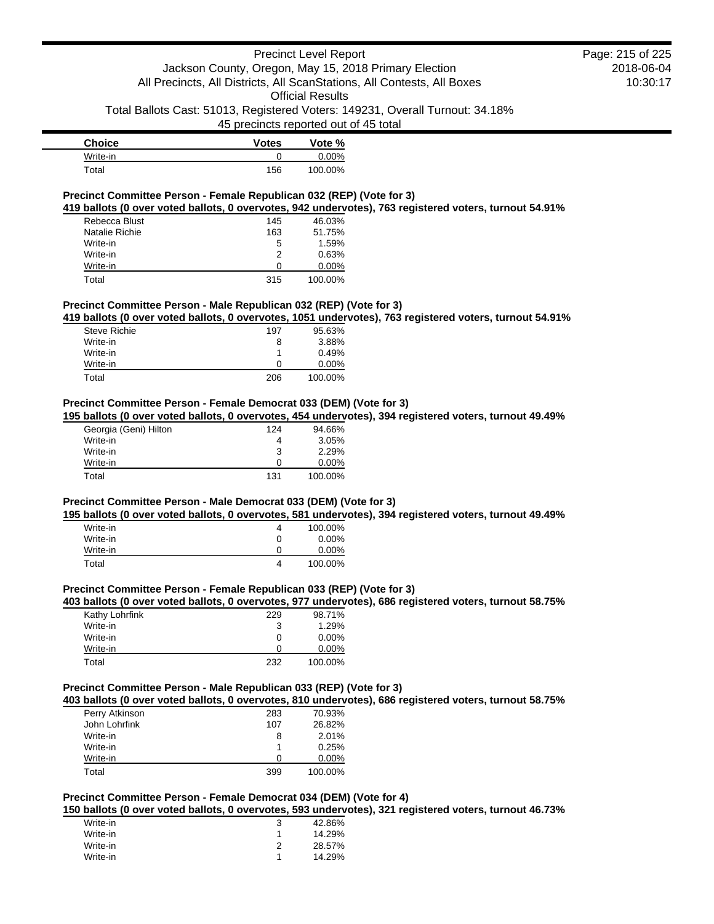# Precinct Level Report Jackson County, Oregon, May 15, 2018 Primary Election All Precincts, All Districts, All ScanStations, All Contests, All Boxes Official Results

Total Ballots Cast: 51013, Registered Voters: 149231, Overall Turnout: 34.18%

45 precincts reported out of 45 total

| <b>Choice</b>    | <b>Votes</b> | Vote %   |
|------------------|--------------|----------|
| Write-in         |              | $0.00\%$ |
| $\mathsf{Total}$ | 156          | 100.00%  |

## **Precinct Committee Person - Female Republican 032 (REP) (Vote for 3)**

**419 ballots (0 over voted ballots, 0 overvotes, 942 undervotes), 763 registered voters, turnout 54.91%**

| Rebecca Blust  | 145 | 46.03%   |
|----------------|-----|----------|
| Natalie Richie | 163 | 51.75%   |
| Write-in       | 5   | 1.59%    |
| Write-in       | 2   | 0.63%    |
| Write-in       | Ω   | $0.00\%$ |
| Total          | 315 | 100.00%  |

## **Precinct Committee Person - Male Republican 032 (REP) (Vote for 3)**

**419 ballots (0 over voted ballots, 0 overvotes, 1051 undervotes), 763 registered voters, turnout 54.91%**

| <b>Steve Richie</b> | 197 | 95.63%   |
|---------------------|-----|----------|
| Write-in            | 8   | 3.88%    |
| Write-in            |     | 0.49%    |
| Write-in            | O   | $0.00\%$ |
| Total               | 206 | 100.00%  |

## **Precinct Committee Person - Female Democrat 033 (DEM) (Vote for 3)**

**195 ballots (0 over voted ballots, 0 overvotes, 454 undervotes), 394 registered voters, turnout 49.49%**

| Georgia (Geni) Hilton | 124 | 94.66%   |
|-----------------------|-----|----------|
| Write-in              | 4   | 3.05%    |
| Write-in              | 3   | 2.29%    |
| Write-in              | 0   | $0.00\%$ |
| Total                 | 131 | 100.00%  |

## **Precinct Committee Person - Male Democrat 033 (DEM) (Vote for 3)**

**195 ballots (0 over voted ballots, 0 overvotes, 581 undervotes), 394 registered voters, turnout 49.49%**

| Write-in | 4 | 100.00%  |
|----------|---|----------|
| Write-in | 0 | $0.00\%$ |
| Write-in |   | $0.00\%$ |
| Total    | 4 | 100.00%  |

## **Precinct Committee Person - Female Republican 033 (REP) (Vote for 3)**

**403 ballots (0 over voted ballots, 0 overvotes, 977 undervotes), 686 registered voters, turnout 58.75%**

| Kathy Lohrfink | 229 | 98.71%   |
|----------------|-----|----------|
| Write-in       | 3   | 1.29%    |
| Write-in       | 0   | $0.00\%$ |
| Write-in       | 0   | $0.00\%$ |
| Total          | 232 | 100.00%  |

### **Precinct Committee Person - Male Republican 033 (REP) (Vote for 3)**

**403 ballots (0 over voted ballots, 0 overvotes, 810 undervotes), 686 registered voters, turnout 58.75%**

| Perry Atkinson<br>283<br>70.93%<br>John Lohrfink<br>26.82%<br>107<br>Write-in<br>2.01%<br>8<br>Write-in<br>0.25%<br>Write-in<br>$0.00\%$<br>O<br>Total<br>100.00%<br>399 |  |  |
|--------------------------------------------------------------------------------------------------------------------------------------------------------------------------|--|--|
|                                                                                                                                                                          |  |  |
|                                                                                                                                                                          |  |  |
|                                                                                                                                                                          |  |  |
|                                                                                                                                                                          |  |  |
|                                                                                                                                                                          |  |  |
|                                                                                                                                                                          |  |  |

## **Precinct Committee Person - Female Democrat 034 (DEM) (Vote for 4)**

**150 ballots (0 over voted ballots, 0 overvotes, 593 undervotes), 321 registered voters, turnout 46.73%**

| Write-in | 3 | 42.86% |
|----------|---|--------|
| Write-in |   | 14.29% |
| Write-in |   | 28.57% |
| Write-in | 1 | 14.29% |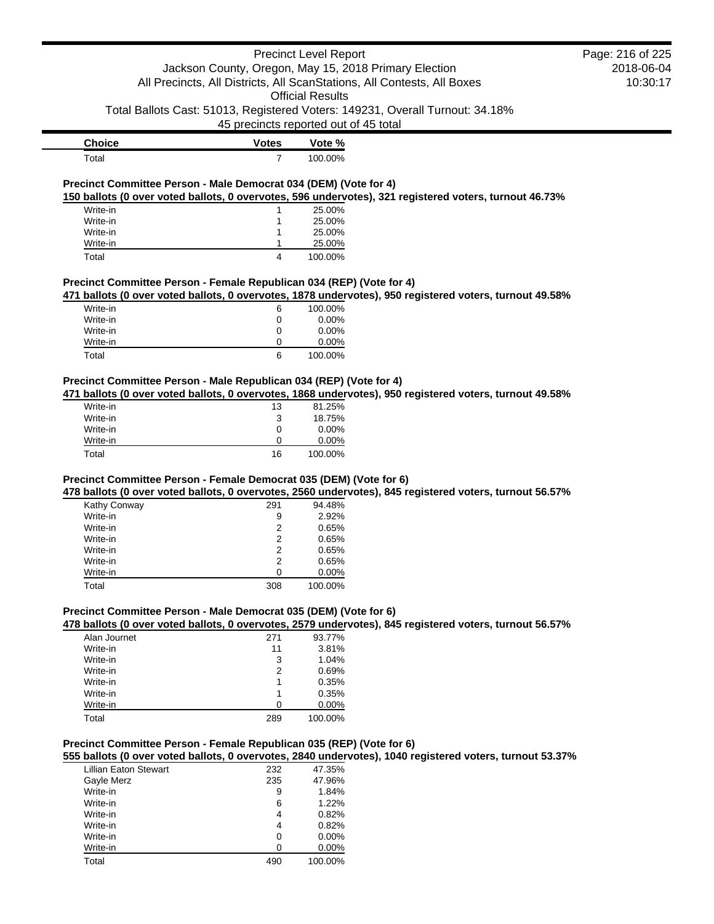|                                                                         |                                       | <b>Precinct Level Report</b> |                                                                                                         | Page: 216 of 225 |
|-------------------------------------------------------------------------|---------------------------------------|------------------------------|---------------------------------------------------------------------------------------------------------|------------------|
| Jackson County, Oregon, May 15, 2018 Primary Election                   |                                       |                              | 2018-06-04                                                                                              |                  |
| All Precincts, All Districts, All ScanStations, All Contests, All Boxes |                                       |                              | 10:30:17                                                                                                |                  |
|                                                                         |                                       | <b>Official Results</b>      |                                                                                                         |                  |
|                                                                         |                                       |                              | Total Ballots Cast: 51013, Registered Voters: 149231, Overall Turnout: 34.18%                           |                  |
|                                                                         |                                       |                              |                                                                                                         |                  |
|                                                                         | 45 precincts reported out of 45 total |                              |                                                                                                         |                  |
| <b>Choice</b>                                                           | <b>Votes</b>                          | Vote %                       |                                                                                                         |                  |
| Total                                                                   | $\overline{7}$                        | 100.00%                      |                                                                                                         |                  |
| Precinct Committee Person - Male Democrat 034 (DEM) (Vote for 4)        |                                       |                              |                                                                                                         |                  |
|                                                                         |                                       |                              | 150 ballots (0 over voted ballots, 0 overvotes, 596 undervotes), 321 registered voters, turnout 46.73%  |                  |
| Write-in                                                                | 1                                     | 25.00%                       |                                                                                                         |                  |
| Write-in                                                                | 1                                     | 25.00%                       |                                                                                                         |                  |
| Write-in                                                                | 1                                     | 25.00%                       |                                                                                                         |                  |
| Write-in                                                                | 1                                     | 25.00%                       |                                                                                                         |                  |
| Total                                                                   | 4                                     | 100.00%                      |                                                                                                         |                  |
|                                                                         |                                       |                              |                                                                                                         |                  |
| Precinct Committee Person - Female Republican 034 (REP) (Vote for 4)    |                                       |                              | 471 ballots (0 over voted ballots, 0 overvotes, 1878 undervotes), 950 registered voters, turnout 49.58% |                  |
|                                                                         |                                       |                              |                                                                                                         |                  |
| Write-in                                                                | 6                                     | 100.00%                      |                                                                                                         |                  |
| Write-in                                                                | $\mathbf 0$                           | 0.00%                        |                                                                                                         |                  |
| Write-in                                                                | 0                                     | 0.00%                        |                                                                                                         |                  |
| Write-in                                                                | 0<br>6                                | 0.00%                        |                                                                                                         |                  |
| Total                                                                   |                                       | 100.00%                      |                                                                                                         |                  |
| Precinct Committee Person - Male Republican 034 (REP) (Vote for 4)      |                                       |                              |                                                                                                         |                  |
|                                                                         |                                       |                              | 471 ballots (0 over voted ballots, 0 overvotes, 1868 undervotes), 950 registered voters, turnout 49.58% |                  |
| Write-in                                                                | 13                                    | 81.25%                       |                                                                                                         |                  |
| Write-in                                                                | 3                                     | 18.75%                       |                                                                                                         |                  |
| Write-in                                                                | 0                                     | $0.00\%$                     |                                                                                                         |                  |
| Write-in                                                                | 0                                     | 0.00%                        |                                                                                                         |                  |
| Total                                                                   | 16                                    | 100.00%                      |                                                                                                         |                  |
| Precinct Committee Person - Female Democrat 035 (DEM) (Vote for 6)      |                                       |                              |                                                                                                         |                  |
|                                                                         |                                       |                              | 478 ballots (0 over voted ballots, 0 overvotes, 2560 undervotes), 845 registered voters, turnout 56.57% |                  |
| Kathy Conway                                                            | 291                                   | 94.48%                       |                                                                                                         |                  |
| Write-in                                                                | 9                                     | 2.92%                        |                                                                                                         |                  |
| Write-in                                                                | 2                                     | 0.65%                        |                                                                                                         |                  |
| Write-in                                                                | 2                                     | 0.65%                        |                                                                                                         |                  |
| Write-in                                                                | 2                                     | 0.65%                        |                                                                                                         |                  |
| Write-in                                                                | 2                                     | 0.65%                        |                                                                                                         |                  |
| Write-in                                                                | 0                                     | $0.00\%$                     |                                                                                                         |                  |
| Total                                                                   | 308                                   | 100.00%                      |                                                                                                         |                  |

# **Precinct Committee Person - Male Democrat 035 (DEM) (Vote for 6)**

**478 ballots (0 over voted ballots, 0 overvotes, 2579 undervotes), 845 registered voters, turnout 56.57%**

| Alan Journet | 271 | 93.77%  |
|--------------|-----|---------|
| Write-in     | 11  | 3.81%   |
| Write-in     | 3   | 1.04%   |
| Write-in     | 2   | 0.69%   |
| Write-in     |     | 0.35%   |
| Write-in     |     | 0.35%   |
| Write-in     | 0   | 0.00%   |
| Total        | 289 | 100.00% |
|              |     |         |

## **Precinct Committee Person - Female Republican 035 (REP) (Vote for 6)**

**555 ballots (0 over voted ballots, 0 overvotes, 2840 undervotes), 1040 registered voters, turnout 53.37%**

| <b>Lillian Eaton Stewart</b> | 232 | 47.35%   |
|------------------------------|-----|----------|
| Gayle Merz                   | 235 | 47.96%   |
| Write-in                     | 9   | 1.84%    |
| Write-in                     | 6   | $1.22\%$ |
| Write-in                     | 4   | 0.82%    |
| Write-in                     | 4   | 0.82%    |
| Write-in                     | 0   | $0.00\%$ |
| Write-in                     | ∩   | 0.00%    |
| Total                        | 490 | 100.00%  |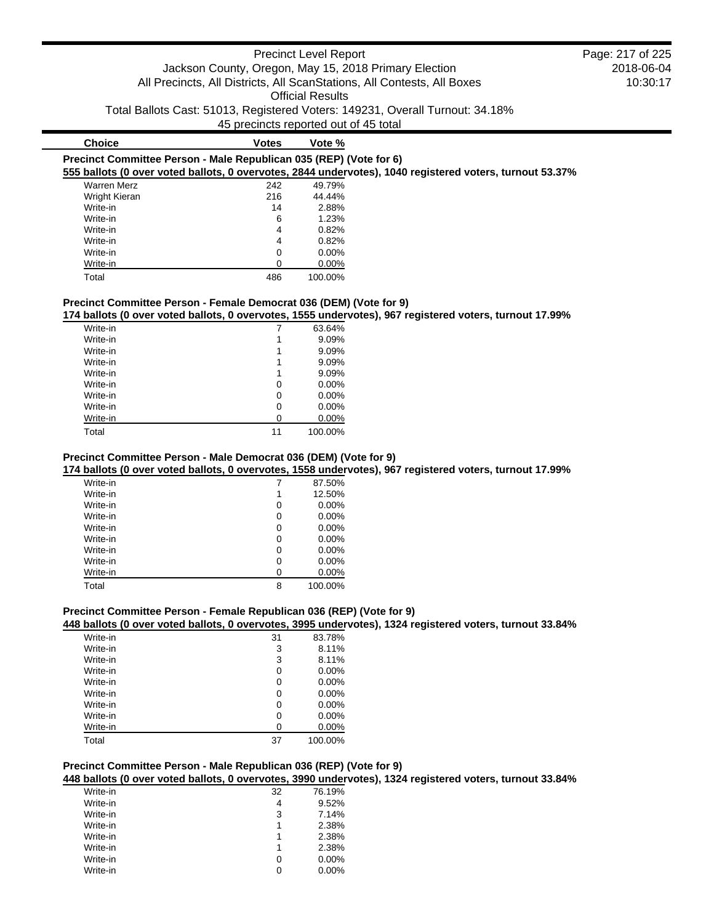# Precinct Level Report Jackson County, Oregon, May 15, 2018 Primary Election All Precincts, All Districts, All ScanStations, All Contests, All Boxes Official Results Total Ballots Cast: 51013, Registered Voters: 149231, Overall Turnout: 34.18% 45 precincts reported out of 45 total **Choice Votes Vote %**

|  |  | Precinct Committee Person - Male Republican 035 (REP) (Vote for 6)                                       |  |  |  |
|--|--|----------------------------------------------------------------------------------------------------------|--|--|--|
|  |  | 555 ballots (0 over voted ballots, 0 overvotes, 2844 undervotes), 1040 registered voters, turnout 53.37% |  |  |  |
|  |  |                                                                                                          |  |  |  |

| <b>Warren Merz</b> | 242 | 49.79%   |
|--------------------|-----|----------|
| Wright Kieran      | 216 | 44.44%   |
| Write-in           | 14  | 2.88%    |
| Write-in           | 6   | 1.23%    |
| Write-in           | 4   | 0.82%    |
| Write-in           | 4   | 0.82%    |
| Write-in           | 0   | $0.00\%$ |
| Write-in           | Ω   | 0.00%    |
| Total              | 486 | 100.00%  |
|                    |     |          |

# **Precinct Committee Person - Female Democrat 036 (DEM) (Vote for 9)**

**174 ballots (0 over voted ballots, 0 overvotes, 1555 undervotes), 967 registered voters, turnout 17.99%**

| Write-in |    | 63.64%   |
|----------|----|----------|
| Write-in | 1  | 9.09%    |
| Write-in | 1  | 9.09%    |
| Write-in | 1  | 9.09%    |
| Write-in | 1  | 9.09%    |
| Write-in | 0  | $0.00\%$ |
| Write-in | 0  | $0.00\%$ |
| Write-in | 0  | 0.00%    |
| Write-in | 0  | 0.00%    |
| Total    | 11 | 100.00%  |

# **Precinct Committee Person - Male Democrat 036 (DEM) (Vote for 9)**

**174 ballots (0 over voted ballots, 0 overvotes, 1558 undervotes), 967 registered voters, turnout 17.99%**

| Write-in |   | 87.50%   |
|----------|---|----------|
| Write-in | 1 | 12.50%   |
| Write-in | 0 | 0.00%    |
| Write-in | 0 | 0.00%    |
| Write-in | 0 | 0.00%    |
| Write-in | 0 | $0.00\%$ |
| Write-in | 0 | 0.00%    |
| Write-in | 0 | $0.00\%$ |
| Write-in | 0 | 0.00%    |
| Total    | 8 | 100.00%  |

# **Precinct Committee Person - Female Republican 036 (REP) (Vote for 9)**

**448 ballots (0 over voted ballots, 0 overvotes, 3995 undervotes), 1324 registered voters, turnout 33.84%**

| Write-in | 31 | 83.78%   |
|----------|----|----------|
| Write-in | 3  | 8.11%    |
| Write-in | 3  | 8.11%    |
| Write-in | 0  | $0.00\%$ |
| Write-in | 0  | $0.00\%$ |
| Write-in | 0  | 0.00%    |
| Write-in | 0  | $0.00\%$ |
| Write-in | 0  | $0.00\%$ |
| Write-in | O  | $0.00\%$ |
| Total    | 37 | 100.00%  |
|          |    |          |

# **Precinct Committee Person - Male Republican 036 (REP) (Vote for 9)**

**448 ballots (0 over voted ballots, 0 overvotes, 3990 undervotes), 1324 registered voters, turnout 33.84%**

| Write-in | 32 | 76.19%   |
|----------|----|----------|
| Write-in | 4  | 9.52%    |
| Write-in | 3  | 7.14%    |
| Write-in | 1  | 2.38%    |
| Write-in | 1  | 2.38%    |
| Write-in | 1  | 2.38%    |
| Write-in | 0  | $0.00\%$ |
| Write-in | Ω  | $0.00\%$ |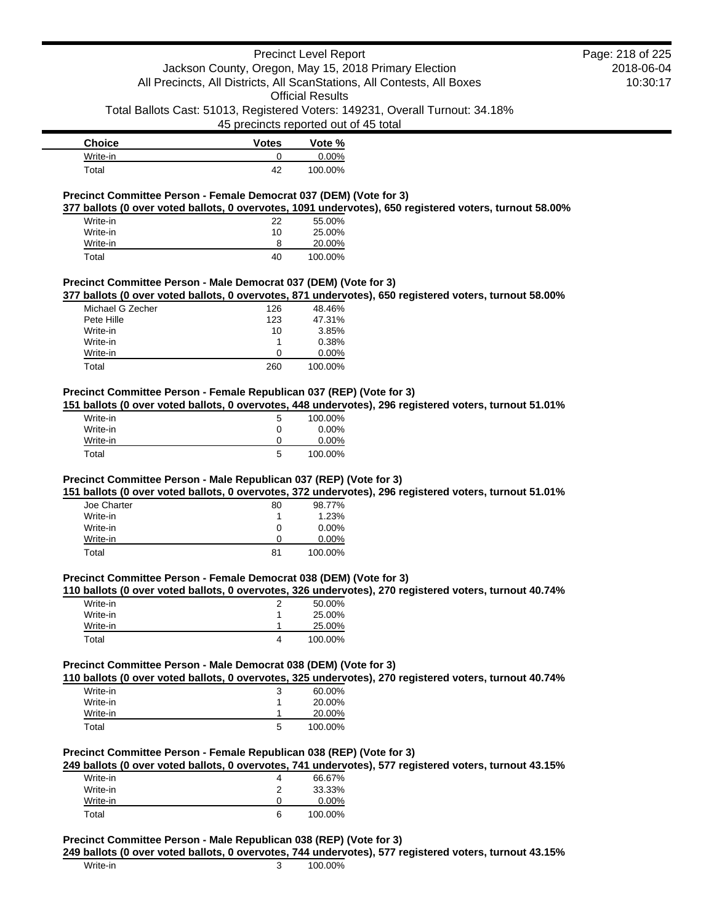# Precinct Level Report Jackson County, Oregon, May 15, 2018 Primary Election

# 2018-06-04 10:30:17 Page: 218 of 225

Official Results Total Ballots Cast: 51013, Registered Voters: 149231, Overall Turnout: 34.18%

All Precincts, All Districts, All ScanStations, All Contests, All Boxes

45 precincts reported out of 45 total

| <b>Choice</b>    | <b>Votes</b> | Vote %   |
|------------------|--------------|----------|
| Write-in         |              | $0.00\%$ |
| $\mathsf{Total}$ | 42           | 100.00%  |

# **Precinct Committee Person - Female Democrat 037 (DEM) (Vote for 3)**

**377 ballots (0 over voted ballots, 0 overvotes, 1091 undervotes), 650 registered voters, turnout 58.00%**

| Write-in | 22 | 55.00%  |
|----------|----|---------|
| Write-in | 10 | 25.00%  |
| Write-in | 8  | 20.00%  |
| Total    | 40 | 100.00% |

## **Precinct Committee Person - Male Democrat 037 (DEM) (Vote for 3)**

**377 ballots (0 over voted ballots, 0 overvotes, 871 undervotes), 650 registered voters, turnout 58.00%**

| Michael G Zecher | 126 | 48.46%   |
|------------------|-----|----------|
| Pete Hille       | 123 | 47.31%   |
| Write-in         | 10  | 3.85%    |
| Write-in         |     | 0.38%    |
| Write-in         | O   | $0.00\%$ |
| Total            | 260 | 100.00%  |

# **Precinct Committee Person - Female Republican 037 (REP) (Vote for 3)**

**151 ballots (0 over voted ballots, 0 overvotes, 448 undervotes), 296 registered voters, turnout 51.01%**

| Write-in | 5 | 100.00%  |
|----------|---|----------|
| Write-in | 0 | $0.00\%$ |
| Write-in |   | 0.00%    |
| Total    | 5 | 100.00%  |

### **Precinct Committee Person - Male Republican 037 (REP) (Vote for 3)**

**151 ballots (0 over voted ballots, 0 overvotes, 372 undervotes), 296 registered voters, turnout 51.01%**

| Joe Charter | 80 | 98.77%   |
|-------------|----|----------|
| Write-in    |    | 1.23%    |
| Write-in    | 0  | $0.00\%$ |
| Write-in    | 0  | $0.00\%$ |
| Total       | 81 | 100.00%  |

#### **Precinct Committee Person - Female Democrat 038 (DEM) (Vote for 3)**

#### **110 ballots (0 over voted ballots, 0 overvotes, 326 undervotes), 270 registered voters, turnout 40.74%**

| Write-in | 50.00%  |
|----------|---------|
| Write-in | 25.00%  |
| Write-in | 25.00%  |
| Total    | 100.00% |

# **Precinct Committee Person - Male Democrat 038 (DEM) (Vote for 3)**

**110 ballots (0 over voted ballots, 0 overvotes, 325 undervotes), 270 registered voters, turnout 40.74%**

| Write-in | 3 | 60.00%  |
|----------|---|---------|
| Write-in |   | 20.00%  |
| Write-in |   | 20.00%  |
| Total    | 5 | 100.00% |

# **Precinct Committee Person - Female Republican 038 (REP) (Vote for 3)**

**249 ballots (0 over voted ballots, 0 overvotes, 741 undervotes), 577 registered voters, turnout 43.15%**

| Write-in | 4 | 66.67%   |
|----------|---|----------|
| Write-in | ົ | 33.33%   |
| Write-in |   | $0.00\%$ |
| Total    | 6 | 100.00%  |

# **Precinct Committee Person - Male Republican 038 (REP) (Vote for 3)**

**249 ballots (0 over voted ballots, 0 overvotes, 744 undervotes), 577 registered voters, turnout 43.15%**

| Write-in | 100.00% |
|----------|---------|
|          |         |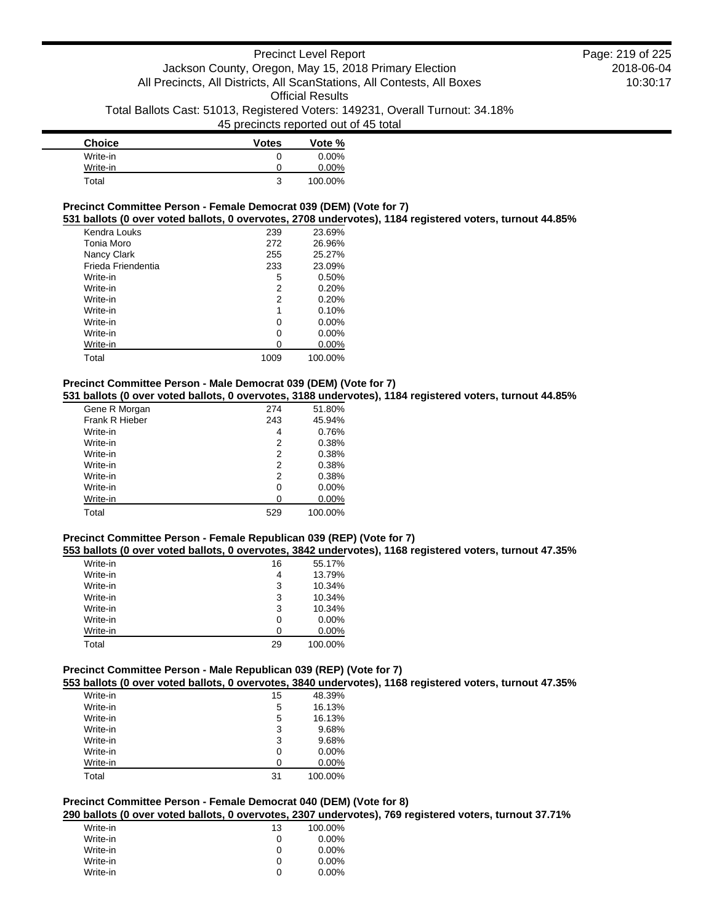# Precinct Level Report Jackson County, Oregon, May 15, 2018 Primary Election All Precincts, All Districts, All ScanStations, All Contests, All Boxes Official Results Total Ballots Cast: 51013, Registered Voters: 149231, Overall Turnout: 34.18% 45 precincts reported out of 45 total

| <b>Choice</b> | <b>Votes</b> | Vote %   |
|---------------|--------------|----------|
| Write-in      | 0            | $0.00\%$ |
| Write-in      | 0            | $0.00\%$ |
| Total         | ີ            | 100.00%  |

#### **Precinct Committee Person - Female Democrat 039 (DEM) (Vote for 7)**

**531 ballots (0 over voted ballots, 0 overvotes, 2708 undervotes), 1184 registered voters, turnout 44.85%**

| Kendra Louks       | 239  | 23.69%   |
|--------------------|------|----------|
| Tonia Moro         | 272  | 26.96%   |
| Nancy Clark        | 255  | 25.27%   |
| Frieda Friendentia | 233  | 23.09%   |
| Write-in           | 5    | 0.50%    |
| Write-in           | 2    | 0.20%    |
| Write-in           | 2    | 0.20%    |
| Write-in           | 1    | 0.10%    |
| Write-in           | 0    | $0.00\%$ |
| Write-in           | 0    | $0.00\%$ |
| Write-in           | 0    | $0.00\%$ |
| Total              | 1009 | 100.00%  |

## **Precinct Committee Person - Male Democrat 039 (DEM) (Vote for 7)**

**531 ballots (0 over voted ballots, 0 overvotes, 3188 undervotes), 1184 registered voters, turnout 44.85%**

| Gene R Morgan  | 274 | 51.80%   |
|----------------|-----|----------|
| Frank R Hieber | 243 | 45.94%   |
| Write-in       | 4   | 0.76%    |
| Write-in       | 2   | 0.38%    |
| Write-in       | 2   | 0.38%    |
| Write-in       | 2   | 0.38%    |
| Write-in       | 2   | 0.38%    |
| Write-in       | 0   | $0.00\%$ |
| Write-in       | 0   | 0.00%    |
| Total          | 529 | 100.00%  |

### **Precinct Committee Person - Female Republican 039 (REP) (Vote for 7)**

**553 ballots (0 over voted ballots, 0 overvotes, 3842 undervotes), 1168 registered voters, turnout 47.35%**

| Write-in | 16 | 55.17%   |
|----------|----|----------|
| Write-in | 4  | 13.79%   |
| Write-in | 3  | 10.34%   |
| Write-in | 3  | 10.34%   |
| Write-in | 3  | 10.34%   |
| Write-in | 0  | $0.00\%$ |
| Write-in | ∩  | $0.00\%$ |
| Total    | 29 | 100.00%  |

# **Precinct Committee Person - Male Republican 039 (REP) (Vote for 7)**

**553 ballots (0 over voted ballots, 0 overvotes, 3840 undervotes), 1168 registered voters, turnout 47.35%**

|  | 15 | 48.39%  |
|--|----|---------|
|  | 5  | 16.13%  |
|  | 5  | 16.13%  |
|  | 3  | 9.68%   |
|  | 3  | 9.68%   |
|  | 0  | 0.00%   |
|  | O  | 0.00%   |
|  | 31 | 100.00% |
|  |    |         |

# **Precinct Committee Person - Female Democrat 040 (DEM) (Vote for 8) 290 ballots (0 over voted ballots, 0 overvotes, 2307 undervotes), 769 registered voters, turnout 37.71%**

| Write-in | 13 | 100.00%  |
|----------|----|----------|
| Write-in | 0  | $0.00\%$ |
| Write-in | 0  | $0.00\%$ |
| Write-in | 0  | $0.00\%$ |
| Write-in | 0  | $0.00\%$ |
|          |    |          |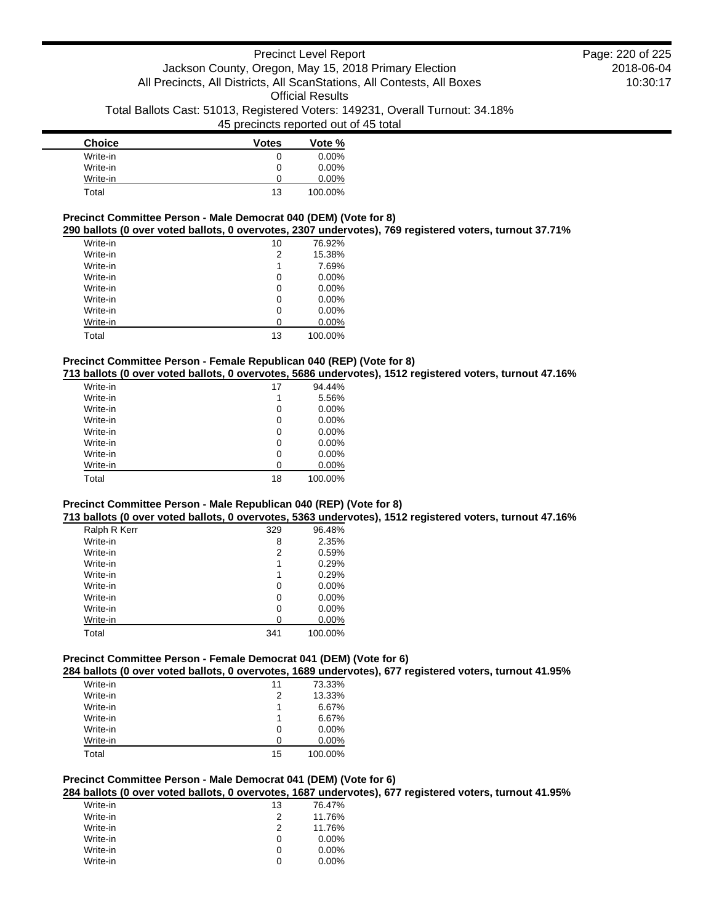# Precinct Level Report Jackson County, Oregon, May 15, 2018 Primary Election All Precincts, All Districts, All ScanStations, All Contests, All Boxes Official Results Total Ballots Cast: 51013, Registered Voters: 149231, Overall Turnout: 34.18% 45 precincts reported out of 45 total

| <b>Choice</b> | <b>Votes</b> | Vote %   |
|---------------|--------------|----------|
| Write-in      | 0            | $0.00\%$ |
| Write-in      | 0            | $0.00\%$ |
| Write-in      | 0            | $0.00\%$ |
| Total         | 13           | 100.00%  |

## **Precinct Committee Person - Male Democrat 040 (DEM) (Vote for 8)**

**290 ballots (0 over voted ballots, 0 overvotes, 2307 undervotes), 769 registered voters, turnout 37.71%**

| Write-in | 10 | 76.92%  |
|----------|----|---------|
| Write-in | 2  | 15.38%  |
| Write-in | 1  | 7.69%   |
| Write-in | 0  | 0.00%   |
| Write-in | 0  | 0.00%   |
| Write-in | 0  | 0.00%   |
| Write-in | 0  | 0.00%   |
| Write-in | 0  | 0.00%   |
| Total    | 13 | 100.00% |

#### **Precinct Committee Person - Female Republican 040 (REP) (Vote for 8)**

**713 ballots (0 over voted ballots, 0 overvotes, 5686 undervotes), 1512 registered voters, turnout 47.16%**

| Write-in | 17 | 94.44%   |
|----------|----|----------|
| Write-in | 1  | 5.56%    |
| Write-in | 0  | $0.00\%$ |
| Write-in | 0  | $0.00\%$ |
| Write-in | 0  | $0.00\%$ |
| Write-in | 0  | $0.00\%$ |
| Write-in | 0  | $0.00\%$ |
| Write-in | 0  | 0.00%    |
| Total    | 18 | 100.00%  |

# **Precinct Committee Person - Male Republican 040 (REP) (Vote for 8)**

**713 ballots (0 over voted ballots, 0 overvotes, 5363 undervotes), 1512 registered voters, turnout 47.16%**

| Ralph R Kerr | 329 | 96.48%   |
|--------------|-----|----------|
| Write-in     | 8   | 2.35%    |
| Write-in     | 2   | 0.59%    |
| Write-in     | 1   | 0.29%    |
| Write-in     | 1   | 0.29%    |
| Write-in     | 0   | $0.00\%$ |
| Write-in     | 0   | $0.00\%$ |
| Write-in     | 0   | $0.00\%$ |
| Write-in     | 0   | 0.00%    |
| Total        | 341 | 100.00%  |

# **Precinct Committee Person - Female Democrat 041 (DEM) (Vote for 6)**

**284 ballots (0 over voted ballots, 0 overvotes, 1689 undervotes), 677 registered voters, turnout 41.95%**

| Write-in | 11 | 73.33%   |
|----------|----|----------|
| Write-in | 2  | 13.33%   |
| Write-in | 1  | 6.67%    |
| Write-in | 1  | 6.67%    |
| Write-in | 0  | $0.00\%$ |
| Write-in | 0  | $0.00\%$ |
| Total    | 15 | 100.00%  |

# **Precinct Committee Person - Male Democrat 041 (DEM) (Vote for 6)**

**284 ballots (0 over voted ballots, 0 overvotes, 1687 undervotes), 677 registered voters, turnout 41.95%**

| Write-in | 13 | 76.47%   |
|----------|----|----------|
| Write-in | 2  | 11.76%   |
| Write-in | 2  | 11.76%   |
| Write-in | 0  | $0.00\%$ |
| Write-in | 0  | $0.00\%$ |
| Write-in | 0  | $0.00\%$ |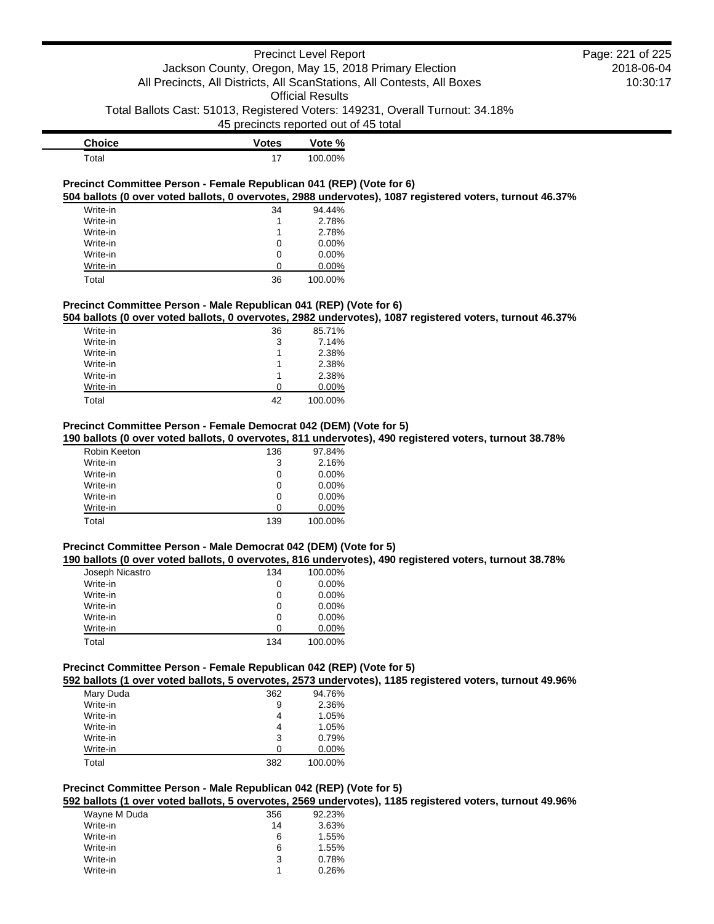# Precinct Level Report Jackson County, Oregon, May 15, 2018 Primary Election All Precincts, All Districts, All ScanStations, All Contests, All Boxes Official Results

Total Ballots Cast: 51013, Registered Voters: 149231, Overall Turnout: 34.18%

45 precincts reported out of 45 total

| <b>Choice</b> | <b>Votes</b> | Vote %  |
|---------------|--------------|---------|
| $\tau$ otal   | 17           | 100.00% |

#### **Precinct Committee Person - Female Republican 041 (REP) (Vote for 6) 504 ballots (0 over voted ballots, 0 overvotes, 2988 undervotes), 1087 registered voters, turnout 46.37%**

| Write-in | 34 | 94.44%   |
|----------|----|----------|
| Write-in |    | 2.78%    |
| Write-in | 1  | 2.78%    |
| Write-in | 0  | $0.00\%$ |
| Write-in | 0  | $0.00\%$ |
| Write-in | O  | $0.00\%$ |
| Total    | 36 | 100.00%  |

# **Precinct Committee Person - Male Republican 041 (REP) (Vote for 6)**

**504 ballots (0 over voted ballots, 0 overvotes, 2982 undervotes), 1087 registered voters, turnout 46.37%**

| Write-in | 36 | 85.71%  |
|----------|----|---------|
| Write-in | 3  | 7.14%   |
| Write-in | 1  | 2.38%   |
| Write-in | 1  | 2.38%   |
| Write-in | 1  | 2.38%   |
| Write-in | ∩  | 0.00%   |
| Total    | 42 | 100.00% |

# **Precinct Committee Person - Female Democrat 042 (DEM) (Vote for 5)**

## **190 ballots (0 over voted ballots, 0 overvotes, 811 undervotes), 490 registered voters, turnout 38.78%**

| Robin Keeton | 136 | 97.84%   |
|--------------|-----|----------|
| Write-in     | 3   | 2.16%    |
| Write-in     | 0   | $0.00\%$ |
| Write-in     | 0   | $0.00\%$ |
| Write-in     | 0   | $0.00\%$ |
| Write-in     | O   | $0.00\%$ |
| Total        | 139 | 100.00%  |

# **Precinct Committee Person - Male Democrat 042 (DEM) (Vote for 5)**

# **190 ballots (0 over voted ballots, 0 overvotes, 816 undervotes), 490 registered voters, turnout 38.78%**

| Joseph Nicastro | 134 | 100.00%  |
|-----------------|-----|----------|
| Write-in        | 0   | $0.00\%$ |
| Write-in        | 0   | $0.00\%$ |
| Write-in        | 0   | $0.00\%$ |
| Write-in        | 0   | $0.00\%$ |
| Write-in        | O   | $0.00\%$ |
| Total           | 134 | 100.00%  |

#### **Precinct Committee Person - Female Republican 042 (REP) (Vote for 5)**

**592 ballots (1 over voted ballots, 5 overvotes, 2573 undervotes), 1185 registered voters, turnout 49.96%**

| Mary Duda<br>362<br>94.76%<br>Write-in<br>2.36%<br>9<br>Write-in<br>1.05%<br>4<br>Write-in<br>1.05%<br>4<br>Write-in<br>0.79%<br>3<br>Write-in<br>$0.00\%$<br>ŋ<br>100.00%<br>Total<br>382 |  | . |  |
|--------------------------------------------------------------------------------------------------------------------------------------------------------------------------------------------|--|---|--|
|                                                                                                                                                                                            |  |   |  |
|                                                                                                                                                                                            |  |   |  |
|                                                                                                                                                                                            |  |   |  |
|                                                                                                                                                                                            |  |   |  |
|                                                                                                                                                                                            |  |   |  |
|                                                                                                                                                                                            |  |   |  |
|                                                                                                                                                                                            |  |   |  |

# **Precinct Committee Person - Male Republican 042 (REP) (Vote for 5)**

**592 ballots (1 over voted ballots, 5 overvotes, 2569 undervotes), 1185 registered voters, turnout 49.96%**

| Wayne M Duda | 356 | 92.23% |
|--------------|-----|--------|
| Write-in     | 14  | 3.63%  |
| Write-in     | 6   | 1.55%  |
| Write-in     | 6   | 1.55%  |
| Write-in     | 3   | 0.78%  |
| Write-in     |     | 0.26%  |
|              |     |        |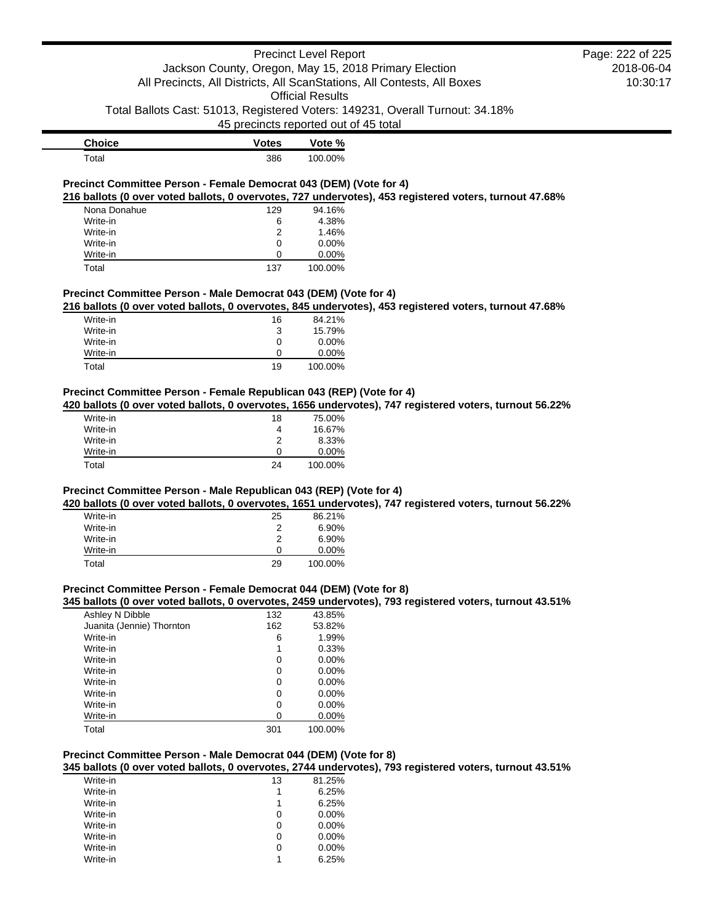# Precinct Level Report Jackson County, Oregon, May 15, 2018 Primary Election All Precincts, All Districts, All ScanStations, All Contests, All Boxes

Official Results

Total Ballots Cast: 51013, Registered Voters: 149231, Overall Turnout: 34.18%

45 precincts reported out of 45 total

| <b>Choice</b> | Votes | Vote %  |
|---------------|-------|---------|
| Total         | 386   | 100.00% |

#### **Precinct Committee Person - Female Democrat 043 (DEM) (Vote for 4) 216 ballots (0 over voted ballots, 0 overvotes, 727 undervotes), 453 registered voters, turnout 47.68%**

| Nona Donahue | 129 | 94.16%   |
|--------------|-----|----------|
| Write-in     | 6   | 4.38%    |
| Write-in     | 2   | 1.46%    |
| Write-in     | 0   | $0.00\%$ |
| Write-in     | O   | $0.00\%$ |
| Total        | 137 | 100.00%  |

#### **Precinct Committee Person - Male Democrat 043 (DEM) (Vote for 4)**

**216 ballots (0 over voted ballots, 0 overvotes, 845 undervotes), 453 registered voters, turnout 47.68%**

| Write-in | 16 | 84.21%   |
|----------|----|----------|
| Write-in | 3  | 15.79%   |
| Write-in | 0  | $0.00\%$ |
| Write-in | Ω  | $0.00\%$ |
| Total    | 19 | 100.00%  |

# **Precinct Committee Person - Female Republican 043 (REP) (Vote for 4)**

**420 ballots (0 over voted ballots, 0 overvotes, 1656 undervotes), 747 registered voters, turnout 56.22%**

| Write-in | 18 | 75.00%   |
|----------|----|----------|
| Write-in | 4  | 16.67%   |
| Write-in | 2  | 8.33%    |
| Write-in | 0  | $0.00\%$ |
| Total    | 24 | 100.00%  |

# **Precinct Committee Person - Male Republican 043 (REP) (Vote for 4)**

**420 ballots (0 over voted ballots, 0 overvotes, 1651 undervotes), 747 registered voters, turnout 56.22%**

| Write-in | 25 | 86.21%   |
|----------|----|----------|
| Write-in | 2  | $6.90\%$ |
| Write-in | 2  | 6.90%    |
| Write-in | 0  | $0.00\%$ |
| Total    | 29 | 100.00%  |

# **Precinct Committee Person - Female Democrat 044 (DEM) (Vote for 8)**

**345 ballots (0 over voted ballots, 0 overvotes, 2459 undervotes), 793 registered voters, turnout 43.51%**

| Ashley N Dibble           | 132 | 43.85%   |
|---------------------------|-----|----------|
| Juanita (Jennie) Thornton | 162 | 53.82%   |
| Write-in                  | 6   | 1.99%    |
| Write-in                  | 1   | 0.33%    |
| Write-in                  | 0   | $0.00\%$ |
| Write-in                  | 0   | $0.00\%$ |
| Write-in                  | 0   | $0.00\%$ |
| Write-in                  | 0   | $0.00\%$ |
| Write-in                  | 0   | $0.00\%$ |
| Write-in                  | 0   | $0.00\%$ |
| Total                     | 301 | 100.00%  |

# **Precinct Committee Person - Male Democrat 044 (DEM) (Vote for 8)**

**345 ballots (0 over voted ballots, 0 overvotes, 2744 undervotes), 793 registered voters, turnout 43.51%**

| Write-in | 13 | 81.25%   |
|----------|----|----------|
| Write-in | 1  | 6.25%    |
| Write-in | 1  | 6.25%    |
| Write-in | 0  | $0.00\%$ |
| Write-in | 0  | $0.00\%$ |
| Write-in | 0  | $0.00\%$ |
| Write-in | 0  | $0.00\%$ |
| Write-in | 1  | 6.25%    |

2018-06-04 10:30:17 Page: 222 of 225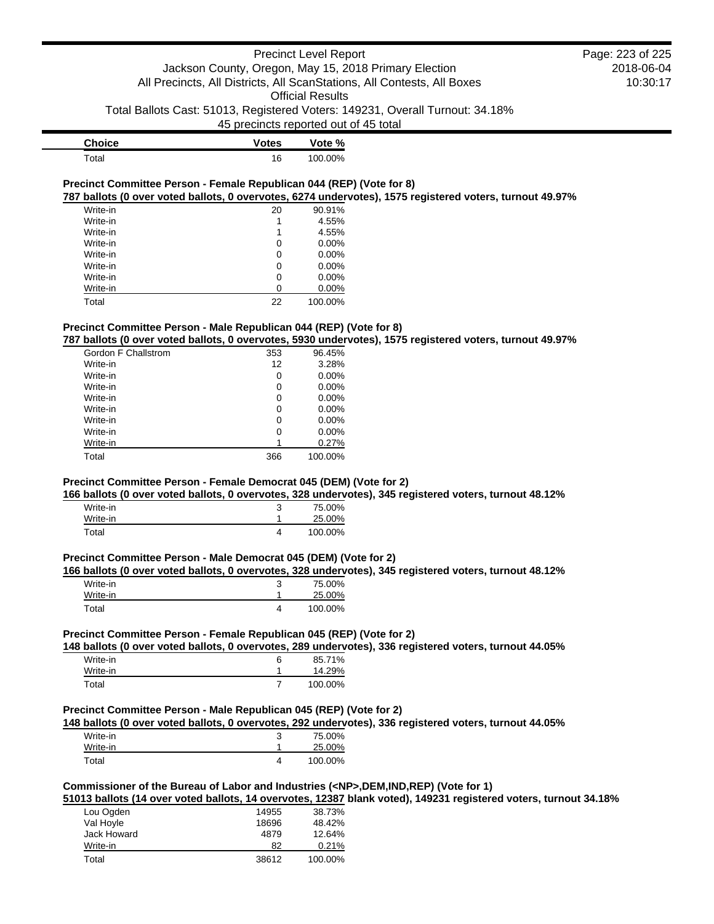# Precinct Level Report Jackson County, Oregon, May 15, 2018 Primary Election All Precincts, All Districts, All ScanStations, All Contests, All Boxes Official Results Total Ballots Cast: 51013, Registered Voters: 149231, Overall Turnout: 34.18% 45 precincts reported out of 45 total

| <b>Choice</b> | Votes | Vote %  |
|---------------|-------|---------|
| $\tau$ otal   | 16    | 100.00% |

### **Precinct Committee Person - Female Republican 044 (REP) (Vote for 8) 787 ballots (0 over voted ballots, 0 overvotes, 6274 undervotes), 1575 registered voters, turnout 49.97%**

| Write-in | 20 | 90.91%   |
|----------|----|----------|
| Write-in | 1  | 4.55%    |
| Write-in | 1  | 4.55%    |
| Write-in | 0  | $0.00\%$ |
| Write-in | 0  | $0.00\%$ |
| Write-in | 0  | $0.00\%$ |
| Write-in | 0  | $0.00\%$ |
| Write-in | 0  | 0.00%    |
| Total    | 22 | 100.00%  |

# **Precinct Committee Person - Male Republican 044 (REP) (Vote for 8)**

#### **787 ballots (0 over voted ballots, 0 overvotes, 5930 undervotes), 1575 registered voters, turnout 49.97%**

| Gordon F Challstrom | 353 | 96.45%   |
|---------------------|-----|----------|
| Write-in            | 12  | 3.28%    |
| Write-in            | 0   | 0.00%    |
| Write-in            | 0   | 0.00%    |
| Write-in            | 0   | $0.00\%$ |
| Write-in            | 0   | $0.00\%$ |
| Write-in            | 0   | $0.00\%$ |
| Write-in            | 0   | $0.00\%$ |
| Write-in            | 1   | 0.27%    |
| Total               | 366 | 100.00%  |

# **Precinct Committee Person - Female Democrat 045 (DEM) (Vote for 2)**

# **166 ballots (0 over voted ballots, 0 overvotes, 328 undervotes), 345 registered voters, turnout 48.12%**

| Write-in | ◠<br>u | 75.00%  |
|----------|--------|---------|
| Write-in |        | 25.00%  |
| Total    |        | 100.00% |

#### **Precinct Committee Person - Male Democrat 045 (DEM) (Vote for 2)**

#### **166 ballots (0 over voted ballots, 0 overvotes, 328 undervotes), 345 registered voters, turnout 48.12%**

| Write-in | J | 75.00%  |
|----------|---|---------|
| Write-in |   | 25.00%  |
| Total    |   | 100.00% |

# **Precinct Committee Person - Female Republican 045 (REP) (Vote for 2)**

#### **148 ballots (0 over voted ballots, 0 overvotes, 289 undervotes), 336 registered voters, turnout 44.05%**

| Write-in | 6 | 85.71%  |
|----------|---|---------|
| Write-in |   | 14.29%  |
| Total    |   | 100.00% |

# **Precinct Committee Person - Male Republican 045 (REP) (Vote for 2)**

#### **148 ballots (0 over voted ballots, 0 overvotes, 292 undervotes), 336 registered voters, turnout 44.05%**

| Write-in | د | 75.00%  |
|----------|---|---------|
| Write-in |   | 25.00%  |
| Total    |   | 100.00% |

#### **Commissioner of the Bureau of Labor and Industries (<NP>,DEM,IND,REP) (Vote for 1)**

# **51013 ballots (14 over voted ballots, 14 overvotes, 12387 blank voted), 149231 registered voters, turnout 34.18%**

| Lou Ogden   | 14955 | 38.73%  |
|-------------|-------|---------|
| Val Hoyle   | 18696 | 48.42%  |
| Jack Howard | 4879  | 12.64%  |
| Write-in    | 82    | 0.21%   |
| Total       | 38612 | 100.00% |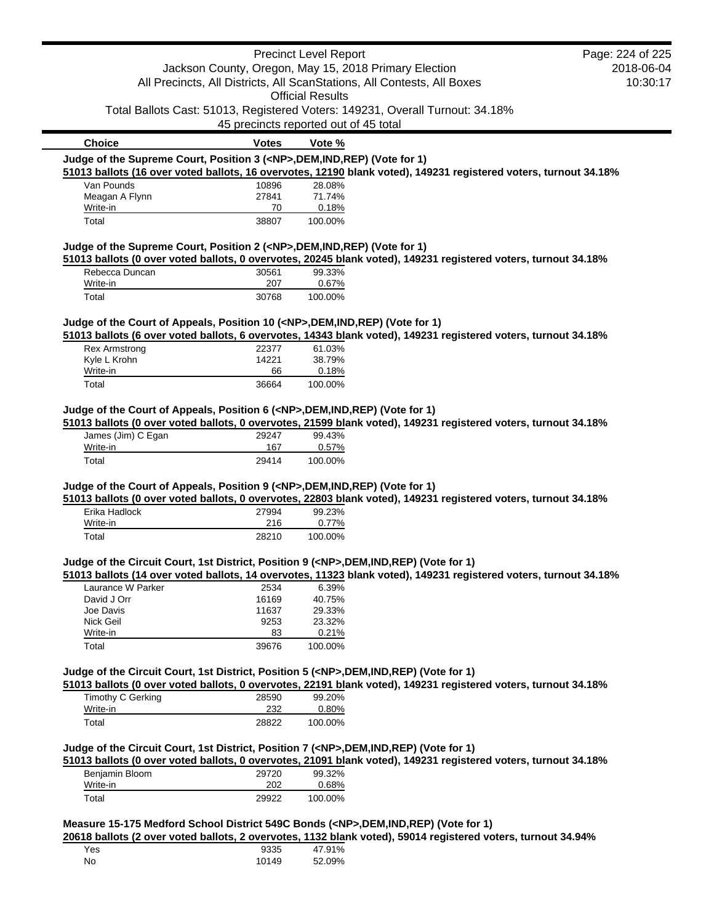|                                                                              |              | <b>Precinct Level Report</b>                                                                                                                                                                          | Page: 224 of 225 |
|------------------------------------------------------------------------------|--------------|-------------------------------------------------------------------------------------------------------------------------------------------------------------------------------------------------------|------------------|
| Jackson County, Oregon, May 15, 2018 Primary Election                        |              |                                                                                                                                                                                                       | 2018-06-04       |
|                                                                              |              | All Precincts, All Districts, All ScanStations, All Contests, All Boxes                                                                                                                               | 10:30:17         |
|                                                                              |              | <b>Official Results</b>                                                                                                                                                                               |                  |
|                                                                              |              | Total Ballots Cast: 51013, Registered Voters: 149231, Overall Turnout: 34.18%                                                                                                                         |                  |
|                                                                              |              | 45 precincts reported out of 45 total                                                                                                                                                                 |                  |
| <b>Choice</b>                                                                | <b>Votes</b> | Vote %                                                                                                                                                                                                |                  |
| Judge of the Supreme Court, Position 3 ( <np>,DEM,IND,REP) (Vote for 1)</np> |              |                                                                                                                                                                                                       |                  |
|                                                                              |              | 51013 ballots (16 over voted ballots, 16 overvotes, 12190 blank voted), 149231 registered voters, turnout 34.18%                                                                                      |                  |
| Van Pounds                                                                   | 10896        | 28.08%                                                                                                                                                                                                |                  |
| Meagan A Flynn                                                               | 27841        | 71.74%                                                                                                                                                                                                |                  |
| Write-in                                                                     | 70           | 0.18%                                                                                                                                                                                                 |                  |
| Total                                                                        | 38807        | 100.00%                                                                                                                                                                                               |                  |
| Judge of the Supreme Court, Position 2 ( <np>,DEM,IND,REP) (Vote for 1)</np> |              |                                                                                                                                                                                                       |                  |
|                                                                              |              | 51013 ballots (0 over voted ballots, 0 overvotes, 20245 blank voted), 149231 registered voters, turnout 34.18%                                                                                        |                  |
| Rebecca Duncan                                                               | 30561        | 99.33%                                                                                                                                                                                                |                  |
| Write-in                                                                     | 207          | 0.67%                                                                                                                                                                                                 |                  |
| Total                                                                        | 30768        | 100.00%                                                                                                                                                                                               |                  |
|                                                                              |              | Judge of the Court of Appeals, Position 10 ( <np>,DEM,IND,REP) (Vote for 1)</np>                                                                                                                      |                  |
|                                                                              |              | 51013 ballots (6 over voted ballots, 6 overvotes, 14343 blank voted), 149231 registered voters, turnout 34.18%                                                                                        |                  |
| <b>Rex Armstrong</b>                                                         | 22377        | 61.03%                                                                                                                                                                                                |                  |
| Kyle L Krohn                                                                 | 14221        | 38.79%                                                                                                                                                                                                |                  |
| Write-in<br>Total                                                            | 66<br>36664  | 0.18%<br>100.00%                                                                                                                                                                                      |                  |
|                                                                              |              | Judge of the Court of Appeals, Position 6 ( <np>,DEM,IND,REP) (Vote for 1)<br/>51013 ballots (0 over voted ballots, 0 overvotes, 21599 blank voted), 149231 registered voters, turnout 34.18%</np>    |                  |
| James (Jim) C Egan<br>Write-in                                               | 29247<br>167 | 99.43%<br>0.57%                                                                                                                                                                                       |                  |
| Total                                                                        | 29414        | 100.00%                                                                                                                                                                                               |                  |
|                                                                              |              |                                                                                                                                                                                                       |                  |
|                                                                              |              | Judge of the Court of Appeals, Position 9 ( <np>, DEM, IND, REP) (Vote for 1)<br/>51013 ballots (0 over voted ballots, 0 overvotes, 22803 blank voted), 149231 registered voters, turnout 34.18%</np> |                  |
| Erika Hadlock                                                                | 27994        | 99.23%                                                                                                                                                                                                |                  |
| Write-in                                                                     | 216          | 0.77%                                                                                                                                                                                                 |                  |
| Total                                                                        | 28210        | 100.00%                                                                                                                                                                                               |                  |
|                                                                              |              | Judge of the Circuit Court, 1st District, Position 9 ( <np>,DEM,IND,REP) (Vote for 1)</np>                                                                                                            |                  |
|                                                                              |              | 51013 ballots (14 over voted ballots, 14 overvotes, 11323 blank voted), 149231 registered voters, turnout 34.18%                                                                                      |                  |
| Laurance W Parker                                                            | 2534         | 6.39%                                                                                                                                                                                                 |                  |
| David J Orr                                                                  | 16169        | 40.75%                                                                                                                                                                                                |                  |
| Joe Davis                                                                    | 11637        | 29.33%                                                                                                                                                                                                |                  |
| Nick Geil                                                                    | 9253         | 23.32%                                                                                                                                                                                                |                  |
| Write-in                                                                     | 83           | 0.21%                                                                                                                                                                                                 |                  |
| Total                                                                        | 39676        | 100.00%                                                                                                                                                                                               |                  |
|                                                                              |              | Judge of the Circuit Court, 1st District, Position 5 ( <np>,DEM,IND,REP) (Vote for 1)</np>                                                                                                            |                  |
|                                                                              |              | 51013 ballots (0 over voted ballots, 0 overvotes, 22191 blank voted), 149231 registered voters, turnout 34.18%                                                                                        |                  |
| <b>Timothy C Gerking</b>                                                     | 28590        | 99.20%                                                                                                                                                                                                |                  |
| Write-in                                                                     | 232          | 0.80%                                                                                                                                                                                                 |                  |

# **Judge of the Circuit Court, 1st District, Position 7 (<NP>,DEM,IND,REP) (Vote for 1)**

**51013 ballots (0 over voted ballots, 0 overvotes, 21091 blank voted), 149231 registered voters, turnout 34.18%**

| Benjamin Bloom | 29720 | 99.32%  |
|----------------|-------|---------|
| Write-in       | 202   | 0.68%   |
| Total          | 29922 | 100.00% |

Total 28822 100.00%

# **Measure 15-175 Medford School District 549C Bonds (<NP>,DEM,IND,REP) (Vote for 1)**

**20618 ballots (2 over voted ballots, 2 overvotes, 1132 blank voted), 59014 registered voters, turnout 34.94%**

| Yes | 9335  | 47.91% |
|-----|-------|--------|
| No  | 10149 | 52.09% |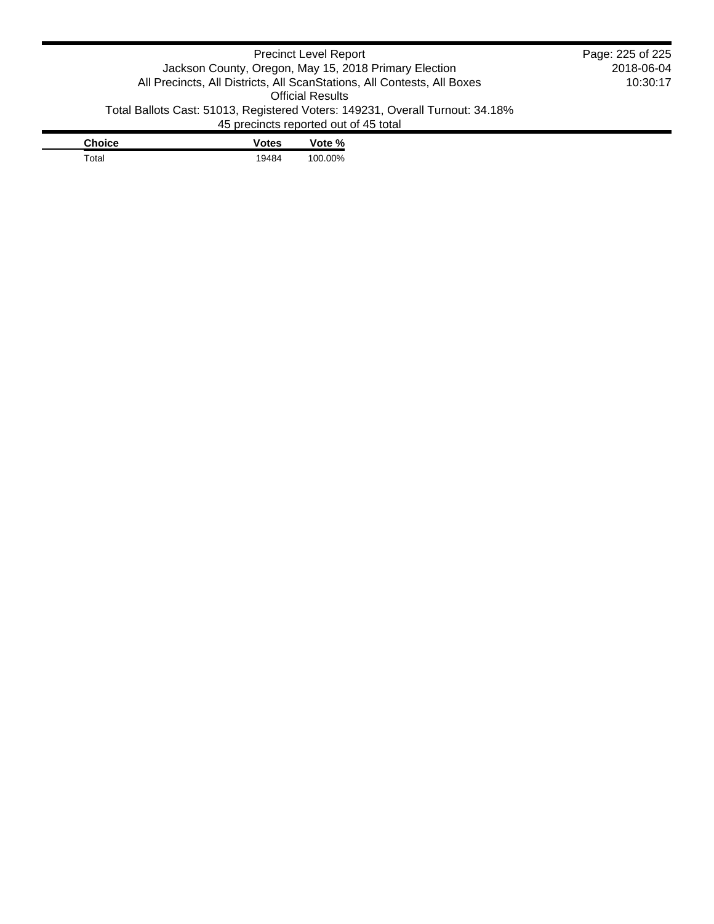| <b>Precinct Level Report</b>                          |                                                                               | Page: 225 of 225 |          |  |
|-------------------------------------------------------|-------------------------------------------------------------------------------|------------------|----------|--|
| Jackson County, Oregon, May 15, 2018 Primary Election |                                                                               | 2018-06-04       |          |  |
|                                                       | All Precincts, All Districts, All ScanStations, All Contests, All Boxes       |                  | 10:30:17 |  |
| <b>Official Results</b>                               |                                                                               |                  |          |  |
|                                                       | Total Ballots Cast: 51013, Registered Voters: 149231, Overall Turnout: 34.18% |                  |          |  |
|                                                       | 45 precincts reported out of 45 total                                         |                  |          |  |
| <b>Choice</b>                                         | <b>Votes</b>                                                                  | Vote %           |          |  |
| Total                                                 | 19484                                                                         | 100.00%          |          |  |